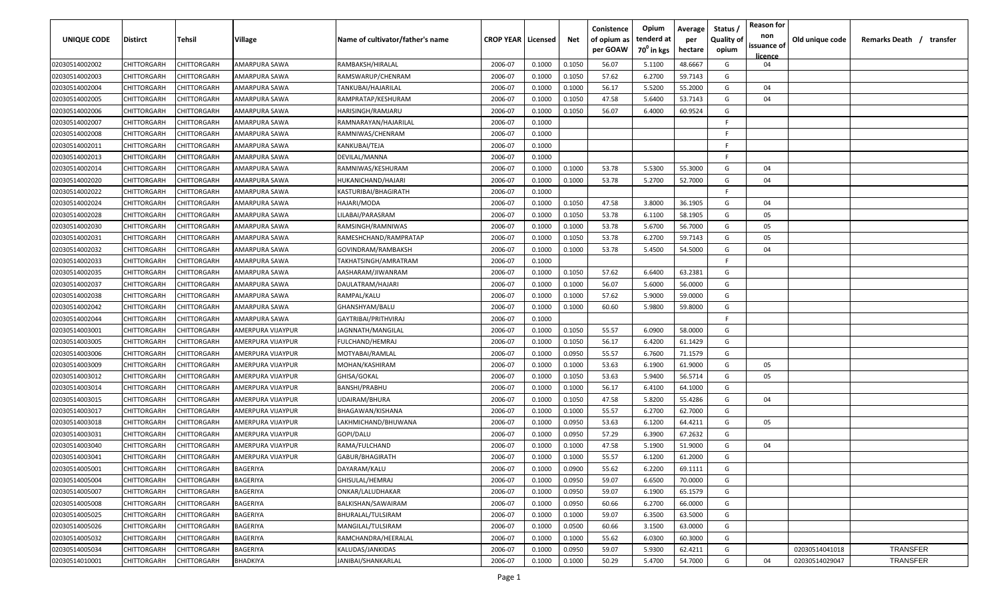| UNIQUE CODE    | Distirct           | Tehsil             | Village           | Name of cultivator/father's name | <b>CROP YEAR   Licensed</b> |        | Net    | Conistence<br>of opium as<br>per GOAW | Opium<br>tenderd at<br>70 <sup>0</sup> in kgs | Average<br>per<br>hectare | Status /<br><b>Quality of</b><br>opium | <b>Reason for</b><br>non<br>issuance of | Old unique code | Remarks Death / transfer |
|----------------|--------------------|--------------------|-------------------|----------------------------------|-----------------------------|--------|--------|---------------------------------------|-----------------------------------------------|---------------------------|----------------------------------------|-----------------------------------------|-----------------|--------------------------|
| 02030514002002 | CHITTORGARH        | CHITTORGARH        | AMARPURA SAWA     | RAMBAKSH/HIRALAL                 | 2006-07                     | 0.1000 | 0.1050 | 56.07                                 | 5.1100                                        | 48.6667                   | G                                      | licence<br>04                           |                 |                          |
| 02030514002003 | CHITTORGARH        | CHITTORGARH        | AMARPURA SAWA     | RAMSWARUP/CHENRAM                | 2006-07                     | 0.1000 | 0.1050 | 57.62                                 | 6.2700                                        | 59.7143                   | G                                      |                                         |                 |                          |
| 02030514002004 | CHITTORGARH        | CHITTORGARH        | AMARPURA SAWA     | TANKUBAI/HAJARILAL               | 2006-07                     | 0.1000 | 0.1000 | 56.17                                 | 5.5200                                        | 55.2000                   | G                                      | 04                                      |                 |                          |
| 02030514002005 | CHITTORGARH        | CHITTORGARH        | AMARPURA SAWA     | RAMPRATAP/KESHURAM               | 2006-07                     | 0.1000 | 0.1050 | 47.58                                 | 5.6400                                        | 53.7143                   | G                                      | 04                                      |                 |                          |
| 02030514002006 | CHITTORGARH        | CHITTORGARH        | AMARPURA SAWA     | HARISINGH/RAMJARU                | 2006-07                     | 0.1000 | 0.1050 | 56.07                                 | 6.4000                                        | 60.9524                   | G                                      |                                         |                 |                          |
| 02030514002007 | CHITTORGARH        | CHITTORGARH        | AMARPURA SAWA     | RAMNARAYAN/HAJARILAL             | 2006-07                     | 0.1000 |        |                                       |                                               |                           | -F.                                    |                                         |                 |                          |
| 02030514002008 | CHITTORGARH        | CHITTORGARH        | AMARPURA SAWA     | RAMNIWAS/CHENRAM                 | 2006-07                     | 0.1000 |        |                                       |                                               |                           | -F.                                    |                                         |                 |                          |
| 02030514002011 | CHITTORGARH        | CHITTORGARH        | AMARPURA SAWA     | KANKUBAI/TEJA                    | 2006-07                     | 0.1000 |        |                                       |                                               |                           | -F.                                    |                                         |                 |                          |
| 02030514002013 | CHITTORGARH        | CHITTORGARH        | AMARPURA SAWA     | DEVILAL/MANNA                    | 2006-07                     | 0.1000 |        |                                       |                                               |                           | -F.                                    |                                         |                 |                          |
| 02030514002014 | CHITTORGARH        | CHITTORGARH        | AMARPURA SAWA     | RAMNIWAS/KESHURAM                | 2006-07                     | 0.1000 | 0.1000 | 53.78                                 | 5.5300                                        | 55.3000                   | G                                      | 04                                      |                 |                          |
| 02030514002020 | CHITTORGARH        | CHITTORGARH        | AMARPURA SAWA     | HUKANICHAND/HAJARI               | 2006-07                     | 0.1000 | 0.1000 | 53.78                                 | 5.2700                                        | 52.7000                   | G                                      | 04                                      |                 |                          |
| 02030514002022 | CHITTORGARH        | CHITTORGARH        | AMARPURA SAWA     | KASTURIBAI/BHAGIRATH             | 2006-07                     | 0.1000 |        |                                       |                                               |                           | F.                                     |                                         |                 |                          |
| 02030514002024 | CHITTORGARH        | CHITTORGARH        | AMARPURA SAWA     | HAJARI/MODA                      | 2006-07                     | 0.1000 | 0.1050 | 47.58                                 | 3.8000                                        | 36.1905                   | G                                      | 04                                      |                 |                          |
| 02030514002028 | CHITTORGARH        | CHITTORGARH        | AMARPURA SAWA     | LILABAI/PARASRAM                 | 2006-07                     | 0.1000 | 0.1050 | 53.78                                 | 6.1100                                        | 58.1905                   | G                                      | 05                                      |                 |                          |
| 02030514002030 | CHITTORGARH        | CHITTORGARH        | AMARPURA SAWA     | RAMSINGH/RAMNIWAS                | 2006-07                     | 0.1000 | 0.1000 | 53.78                                 | 5.6700                                        | 56.7000                   | G                                      | 05                                      |                 |                          |
| 02030514002031 | CHITTORGARH        | CHITTORGARH        | AMARPURA SAWA     | RAMESHCHAND/RAMPRATAP            | 2006-07                     | 0.1000 | 0.1050 | 53.78                                 | 6.2700                                        | 59.7143                   | G                                      | 05                                      |                 |                          |
| 02030514002032 | CHITTORGARH        | CHITTORGARH        | AMARPURA SAWA     | GOVINDRAM/RAMBAKSH               | 2006-07                     | 0.1000 | 0.1000 | 53.78                                 | 5.4500                                        | 54.5000                   | G                                      | 04                                      |                 |                          |
| 02030514002033 | CHITTORGARH        | CHITTORGARH        | AMARPURA SAWA     | TAKHATSINGH/AMRATRAM             | 2006-07                     | 0.1000 |        |                                       |                                               |                           | F.                                     |                                         |                 |                          |
| 02030514002035 | CHITTORGARH        | CHITTORGARH        | AMARPURA SAWA     | AASHARAM/JIWANRAM                | 2006-07                     | 0.1000 | 0.1050 | 57.62                                 | 6.6400                                        | 63.2381                   | G                                      |                                         |                 |                          |
| 02030514002037 | CHITTORGARH        | CHITTORGARH        | AMARPURA SAWA     | DAULATRAM/HAJARI                 | 2006-07                     | 0.1000 | 0.1000 | 56.07                                 | 5.6000                                        | 56.0000                   | G                                      |                                         |                 |                          |
| 02030514002038 | CHITTORGARH        | CHITTORGARH        | AMARPURA SAWA     | RAMPAL/KALU                      | 2006-07                     | 0.1000 | 0.1000 | 57.62                                 | 5.9000                                        | 59.0000                   | G                                      |                                         |                 |                          |
| 02030514002042 | CHITTORGARH        | CHITTORGARH        | AMARPURA SAWA     | GHANSHYAM/BALU                   | 2006-07                     | 0.1000 | 0.1000 | 60.60                                 | 5.9800                                        | 59.8000                   | G                                      |                                         |                 |                          |
| 02030514002044 | CHITTORGARH        | CHITTORGARH        | AMARPURA SAWA     | GAYTRIBAI/PRITHVIRAJ             | 2006-07                     | 0.1000 |        |                                       |                                               |                           | -F.                                    |                                         |                 |                          |
| 02030514003001 | CHITTORGARH        | CHITTORGARH        | AMERPURA VIJAYPUR | JAGNNATH/MANGILAL                | 2006-07                     | 0.1000 | 0.1050 | 55.57                                 | 6.0900                                        | 58.0000                   | G                                      |                                         |                 |                          |
| 02030514003005 | CHITTORGARH        | CHITTORGARH        | AMERPURA VIJAYPUR | FULCHAND/HEMRAJ                  | 2006-07                     | 0.1000 | 0.1050 | 56.17                                 | 6.4200                                        | 61.1429                   | G                                      |                                         |                 |                          |
| 02030514003006 | CHITTORGARH        | CHITTORGARH        | AMERPURA VIJAYPUR | MOTYABAI/RAMLAL                  | 2006-07                     | 0.1000 | 0.0950 | 55.57                                 | 6.7600                                        | 71.1579                   | G                                      |                                         |                 |                          |
| 02030514003009 | CHITTORGARH        | CHITTORGARH        | AMERPURA VIJAYPUR | MOHAN/KASHIRAM                   | 2006-07                     | 0.1000 | 0.1000 | 53.63                                 | 6.1900                                        | 61.9000                   | G                                      | 05                                      |                 |                          |
| 02030514003012 | CHITTORGARH        | CHITTORGARH        | AMERPURA VIJAYPUR | GHISA/GOKAL                      | 2006-07                     | 0.1000 | 0.1050 | 53.63                                 | 5.9400                                        | 56.5714                   | G                                      | 05                                      |                 |                          |
| 02030514003014 | CHITTORGARH        | CHITTORGARH        | AMERPURA VIJAYPUR | BANSHI/PRABHU                    | 2006-07                     | 0.1000 | 0.1000 | 56.17                                 | 6.4100                                        | 64.1000                   | G                                      |                                         |                 |                          |
| 02030514003015 | CHITTORGARH        | CHITTORGARH        | AMERPURA VIJAYPUR | UDAIRAM/BHURA                    | 2006-07                     | 0.1000 | 0.1050 | 47.58                                 | 5.8200                                        | 55.4286                   | G                                      | 04                                      |                 |                          |
| 02030514003017 | CHITTORGARH        | CHITTORGARH        | AMERPURA VIJAYPUR | BHAGAWAN/KISHANA                 | 2006-07                     | 0.1000 | 0.1000 | 55.57                                 | 6.2700                                        | 62.7000                   | G                                      |                                         |                 |                          |
| 02030514003018 | CHITTORGARH        | CHITTORGARH        | AMERPURA VIJAYPUR | LAKHMICHAND/BHUWANA              | 2006-07                     | 0.1000 | 0.0950 | 53.63                                 | 6.1200                                        | 64.4211                   | G                                      | 05                                      |                 |                          |
| 02030514003031 | CHITTORGARH        | CHITTORGARH        | AMERPURA VIJAYPUR | GOPI/DALU                        | 2006-07                     | 0.1000 | 0.0950 | 57.29                                 | 6.3900                                        | 67.2632                   | G                                      |                                         |                 |                          |
| 02030514003040 | CHITTORGARH        | CHITTORGARH        | AMERPURA VIJAYPUR | RAMA/FULCHAND                    | 2006-07                     | 0.1000 | 0.1000 | 47.58                                 | 5.1900                                        | 51.9000                   | G                                      | 04                                      |                 |                          |
| 02030514003041 | <b>CHITTORGARH</b> | CHITTORGARH        | AMERPURA VIJAYPUR | GABUR/BHAGIRATH                  | 2006-07                     | 0.1000 | 0.1000 | 55.57                                 | 6.1200                                        | 61.2000                   | G                                      |                                         |                 |                          |
| 02030514005001 | <b>CHITTORGARH</b> | <b>CHITTORGARH</b> | BAGERIYA          | DAYARAM/KALU                     | 2006-07                     | 0.1000 | 0.0900 | 55.62                                 | 6.2200                                        | 69.1111                   | G                                      |                                         |                 |                          |
| 02030514005004 | CHITTORGARH        | CHITTORGARH        | BAGERIYA          | GHISULAL/HEMRAJ                  | 2006-07                     | 0.1000 | 0.0950 | 59.07                                 | 6.6500                                        | 70.0000                   | G                                      |                                         |                 |                          |
| 02030514005007 | CHITTORGARH        | CHITTORGARH        | BAGERIYA          | ONKAR/LALUDHAKAR                 | 2006-07                     | 0.1000 | 0.0950 | 59.07                                 | 6.1900                                        | 65.1579                   | G                                      |                                         |                 |                          |
| 02030514005008 | <b>CHITTORGARH</b> | CHITTORGARH        | BAGERIYA          | BALKISHAN/SAWAIRAM               | 2006-07                     | 0.1000 | 0.0950 | 60.66                                 | 6.2700                                        | 66.0000                   | G                                      |                                         |                 |                          |
| 02030514005025 | CHITTORGARH        | CHITTORGARH        | BAGERIYA          | BHURALAL/TULSIRAM                | 2006-07                     | 0.1000 | 0.1000 | 59.07                                 | 6.3500                                        | 63.5000                   | G                                      |                                         |                 |                          |
| 02030514005026 | CHITTORGARH        | CHITTORGARH        | BAGERIYA          | MANGILAL/TULSIRAM                | 2006-07                     | 0.1000 | 0.0500 | 60.66                                 | 3.1500                                        | 63.0000                   | G                                      |                                         |                 |                          |
| 02030514005032 | CHITTORGARH        | CHITTORGARH        | BAGERIYA          | RAMCHANDRA/HEERALAL              | 2006-07                     | 0.1000 | 0.1000 | 55.62                                 | 6.0300                                        | 60.3000                   | G                                      |                                         |                 |                          |
| 02030514005034 | CHITTORGARH        | CHITTORGARH        | BAGERIYA          | KALUDAS/JANKIDAS                 | 2006-07                     | 0.1000 | 0.0950 | 59.07                                 | 5.9300                                        | 62.4211                   | G                                      |                                         | 02030514041018  | <b>TRANSFER</b>          |
| 02030514010001 | CHITTORGARH        | CHITTORGARH        | <b>BHADKIYA</b>   | JANIBAI/SHANKARLAL               | 2006-07                     | 0.1000 | 0.1000 | 50.29                                 | 5.4700                                        | 54.7000                   | G                                      | 04                                      | 02030514029047  | TRANSFER                 |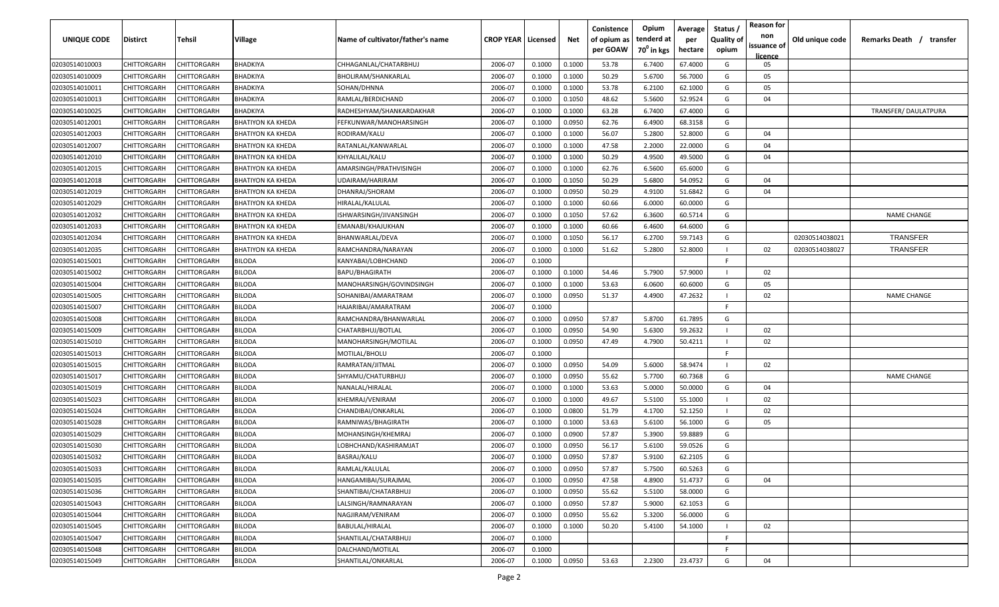| <b>UNIQUE CODE</b> | Distirct           | Tehsil      | Village                  | Name of cultivator/father's name | <b>CROP YEAR   Licensed</b> |        | Net    | Conistence<br>of opium as<br>per GOAW | Opium<br>tenderd at<br>70 <sup>0</sup> in kgs | Average<br>per<br>hectare | Status /<br><b>Quality of</b><br>opium | <b>Reason for</b><br>non<br>issuance of | Old unique code | Remarks Death / transfer |
|--------------------|--------------------|-------------|--------------------------|----------------------------------|-----------------------------|--------|--------|---------------------------------------|-----------------------------------------------|---------------------------|----------------------------------------|-----------------------------------------|-----------------|--------------------------|
| 02030514010003     | CHITTORGARH        | CHITTORGARH | BHADKIYA                 | CHHAGANLAL/CHATARBHUJ            | 2006-07                     | 0.1000 | 0.1000 | 53.78                                 | 6.7400                                        | 67.4000                   | G                                      | licence<br>05                           |                 |                          |
| 02030514010009     | CHITTORGARH        | CHITTORGARH | BHADKIYA                 | BHOLIRAM/SHANKARLAL              | 2006-07                     | 0.1000 | 0.1000 | 50.29                                 | 5.6700                                        | 56.7000                   | G                                      | 05                                      |                 |                          |
| 02030514010011     | CHITTORGARH        | CHITTORGARH | BHADKIYA                 | SOHAN/DHNNA                      | 2006-07                     | 0.1000 | 0.1000 | 53.78                                 | 6.2100                                        | 62.1000                   | G                                      | 05                                      |                 |                          |
| 02030514010013     | CHITTORGARH        | CHITTORGARH | BHADKIYA                 | RAMLAL/BERDICHAND                | 2006-07                     | 0.1000 | 0.1050 | 48.62                                 | 5.5600                                        | 52.9524                   | G                                      | 04                                      |                 |                          |
| 02030514010025     | CHITTORGARH        | CHITTORGARH | BHADKIYA                 | RADHESHYAM/SHANKARDAKHAR         | 2006-07                     | 0.1000 | 0.1000 | 63.28                                 | 6.7400                                        | 67.4000                   | G                                      |                                         |                 | TRANSFER/ DAULATPURA     |
| 02030514012001     | CHITTORGARH        | CHITTORGARH | BHATIYON KA KHEDA        | FEFKUNWAR/MANOHARSINGH           | 2006-07                     | 0.1000 | 0.0950 | 62.76                                 | 6.4900                                        | 68.3158                   | G                                      |                                         |                 |                          |
| 02030514012003     | CHITTORGARH        | CHITTORGARH | BHATIYON KA KHEDA        | RODIRAM/KALU                     | 2006-07                     | 0.1000 | 0.1000 | 56.07                                 | 5.2800                                        | 52.8000                   | G                                      | 04                                      |                 |                          |
| 02030514012007     | CHITTORGARH        | CHITTORGARH | BHATIYON KA KHEDA        | RATANLAL/KANWARLAL               | 2006-07                     | 0.1000 | 0.1000 | 47.58                                 | 2.2000                                        | 22.0000                   | G                                      | 04                                      |                 |                          |
| 02030514012010     | CHITTORGARH        | CHITTORGARH | BHATIYON KA KHEDA        | KHYALILAL/KALU                   | 2006-07                     | 0.1000 | 0.1000 | 50.29                                 | 4.9500                                        | 49.5000                   | G                                      | 04                                      |                 |                          |
| 02030514012015     | CHITTORGARH        | CHITTORGARH | BHATIYON KA KHEDA        | AMARSINGH/PRATHVISINGH           | 2006-07                     | 0.1000 | 0.1000 | 62.76                                 | 6.5600                                        | 65.6000                   | G                                      |                                         |                 |                          |
| 02030514012018     | CHITTORGARH        | CHITTORGARH | BHATIYON KA KHEDA        | UDAIRAM/HARIRAM                  | 2006-07                     | 0.1000 | 0.1050 | 50.29                                 | 5.6800                                        | 54.0952                   | G                                      | 04                                      |                 |                          |
| 02030514012019     | CHITTORGARH        | CHITTORGARH | BHATIYON KA KHEDA        | DHANRAJ/SHORAM                   | 2006-07                     | 0.1000 | 0.0950 | 50.29                                 | 4.9100                                        | 51.6842                   | G                                      | 04                                      |                 |                          |
| 02030514012029     | CHITTORGARH        | CHITTORGARH | <b>BHATIYON KA KHEDA</b> | HIRALAL/KALULAL                  | 2006-07                     | 0.1000 | 0.1000 | 60.66                                 | 6.0000                                        | 60.0000                   | G                                      |                                         |                 |                          |
| 02030514012032     | CHITTORGARH        | CHITTORGARH | <b>BHATIYON KA KHEDA</b> | ISHWARSINGH/JIVANSINGH           | 2006-07                     | 0.1000 | 0.1050 | 57.62                                 | 6.3600                                        | 60.5714                   | G                                      |                                         |                 | <b>NAME CHANGE</b>       |
| 02030514012033     | CHITTORGARH        | CHITTORGARH | <b>BHATIYON KA KHEDA</b> | EMANABI/KHAJUKHAN                | 2006-07                     | 0.1000 | 0.1000 | 60.66                                 | 6.4600                                        | 64.6000                   | G                                      |                                         |                 |                          |
| 02030514012034     | CHITTORGARH        | CHITTORGARH | <b>BHATIYON KA KHEDA</b> | BHANWARLAL/DEVA                  | 2006-07                     | 0.1000 | 0.1050 | 56.17                                 | 6.2700                                        | 59.7143                   | G                                      |                                         | 02030514038021  | <b>TRANSFER</b>          |
| 02030514012035     | CHITTORGARH        | CHITTORGARH | <b>BHATIYON KA KHEDA</b> | RAMCHANDRA/NARAYAN               | 2006-07                     | 0.1000 | 0.1000 | 51.62                                 | 5.2800                                        | 52.8000                   |                                        | 02                                      | 02030514038027  | <b>TRANSFER</b>          |
| 02030514015001     | CHITTORGARH        | CHITTORGARH | <b>BILODA</b>            | KANYABAI/LOBHCHAND               | 2006-07                     | 0.1000 |        |                                       |                                               |                           | F                                      |                                         |                 |                          |
| 02030514015002     | CHITTORGARH        | CHITTORGARH | BILODA                   | <b>BAPU/BHAGIRATH</b>            | 2006-07                     | 0.1000 | 0.1000 | 54.46                                 | 5.7900                                        | 57.9000                   |                                        | 02                                      |                 |                          |
| 02030514015004     | CHITTORGARH        | CHITTORGARH | BILODA                   | MANOHARSINGH/GOVINDSINGH         | 2006-07                     | 0.1000 | 0.1000 | 53.63                                 | 6.0600                                        | 60.6000                   | G                                      | 05                                      |                 |                          |
| 02030514015005     | CHITTORGARH        | CHITTORGARH | BILODA                   | SOHANIBAI/AMARATRAM              | 2006-07                     | 0.1000 | 0.0950 | 51.37                                 | 4.4900                                        | 47.2632                   |                                        | 02                                      |                 | <b>NAME CHANGE</b>       |
| 02030514015007     | CHITTORGARH        | CHITTORGARH | BILODA                   | HAJARIBAI/AMARATRAM              | 2006-07                     | 0.1000 |        |                                       |                                               |                           | -F.                                    |                                         |                 |                          |
| 02030514015008     | CHITTORGARH        | CHITTORGARH | BILODA                   | RAMCHANDRA/BHANWARLAL            | 2006-07                     | 0.1000 | 0.0950 | 57.87                                 | 5.8700                                        | 61.7895                   | G                                      |                                         |                 |                          |
| 02030514015009     | CHITTORGARH        | CHITTORGARH | BILODA                   | CHATARBHUJ/BOTLAL                | 2006-07                     | 0.1000 | 0.0950 | 54.90                                 | 5.6300                                        | 59.2632                   |                                        | 02                                      |                 |                          |
| 02030514015010     | CHITTORGARH        | CHITTORGARH | BILODA                   | MANOHARSINGH/MOTILAL             | 2006-07                     | 0.1000 | 0.0950 | 47.49                                 | 4.7900                                        | 50.4211                   |                                        | 02                                      |                 |                          |
| 02030514015013     | CHITTORGARH        | CHITTORGARH | BILODA                   | MOTILAL/BHOLU                    | 2006-07                     | 0.1000 |        |                                       |                                               |                           | -F.                                    |                                         |                 |                          |
| 02030514015015     | CHITTORGARH        | CHITTORGARH | BILODA                   | RAMRATAN/JITMAL                  | 2006-07                     | 0.1000 | 0.0950 | 54.09                                 | 5.6000                                        | 58.9474                   |                                        | 02                                      |                 |                          |
| 02030514015017     | CHITTORGARH        | CHITTORGARH | BILODA                   | SHYAMU/CHATURBHUJ                | 2006-07                     | 0.1000 | 0.0950 | 55.62                                 | 5.7700                                        | 60.7368                   | G                                      |                                         |                 | <b>NAME CHANGE</b>       |
| 02030514015019     | CHITTORGARH        | CHITTORGARH | BILODA                   | NANALAL/HIRALAL                  | 2006-07                     | 0.1000 | 0.1000 | 53.63                                 | 5.0000                                        | 50.0000                   | G                                      | 04                                      |                 |                          |
| 02030514015023     | CHITTORGARH        | CHITTORGARH | BILODA                   | KHEMRAJ/VENIRAM                  | 2006-07                     | 0.1000 | 0.1000 | 49.67                                 | 5.5100                                        | 55.1000                   |                                        | 02                                      |                 |                          |
| 02030514015024     | CHITTORGARH        | CHITTORGARH | <b>BILODA</b>            | CHANDIBAI/ONKARLAL               | 2006-07                     | 0.1000 | 0.0800 | 51.79                                 | 4.1700                                        | 52.1250                   |                                        | 02                                      |                 |                          |
| 02030514015028     | CHITTORGARH        | CHITTORGARH | <b>BILODA</b>            | RAMNIWAS/BHAGIRATH               | 2006-07                     | 0.1000 | 0.1000 | 53.63                                 | 5.6100                                        | 56.1000                   | G                                      | 05                                      |                 |                          |
| 02030514015029     | CHITTORGARH        | CHITTORGARH | <b>BILODA</b>            | MOHANSINGH/KHEMRAJ               | 2006-07                     | 0.1000 | 0.0900 | 57.87                                 | 5.3900                                        | 59.8889                   | G                                      |                                         |                 |                          |
| 02030514015030     | CHITTORGARH        | CHITTORGARH | BILODA                   | LOBHCHAND/KASHIRAMJAT            | 2006-07                     | 0.1000 | 0.0950 | 56.17                                 | 5.6100                                        | 59.0526                   | G                                      |                                         |                 |                          |
| 02030514015032     | CHITTORGARH        | CHITTORGARH | BILODA                   | BASRAJ/KALU                      | 2006-07                     | 0.1000 | 0.0950 | 57.87                                 | 5.9100                                        | 62.2105                   | G                                      |                                         |                 |                          |
| 02030514015033     | <b>CHITTORGARH</b> | CHITTORGARH | <b>BILODA</b>            | RAMLAL/KALULAL                   | 2006-07                     | 0.1000 | 0.0950 | 57.87                                 | 5.7500                                        | 60.5263                   | G                                      |                                         |                 |                          |
| 02030514015035     | CHITTORGARH        | CHITTORGARH | BILODA                   | HANGAMIBAI/SURAJMAL              | 2006-07                     | 0.1000 | 0.0950 | 47.58                                 | 4.8900                                        | 51.4737                   | G                                      | 04                                      |                 |                          |
| 02030514015036     | <b>CHITTORGARH</b> | CHITTORGARH | <b>BILODA</b>            | SHANTIBAI/CHATARBHUJ             | 2006-07                     | 0.1000 | 0.0950 | 55.62                                 | 5.5100                                        | 58.0000                   | G                                      |                                         |                 |                          |
| 02030514015043     | <b>CHITTORGARH</b> | CHITTORGARH | <b>BILODA</b>            | LALSINGH/RAMNARAYAN              | 2006-07                     | 0.1000 | 0.0950 | 57.87                                 | 5.9000                                        | 62.1053                   | G                                      |                                         |                 |                          |
| 02030514015044     | CHITTORGARH        | CHITTORGARH | <b>BILODA</b>            | NAGJIRAM/VENIRAM                 | 2006-07                     | 0.1000 | 0.0950 | 55.62                                 | 5.3200                                        | 56.0000                   | G                                      |                                         |                 |                          |
| 02030514015045     | CHITTORGARH        | CHITTORGARH | <b>BILODA</b>            | BABULAL/HIRALAL                  | 2006-07                     | 0.1000 | 0.1000 | 50.20                                 | 5.4100                                        | 54.1000                   |                                        | 02                                      |                 |                          |
| 02030514015047     | CHITTORGARH        | CHITTORGARH | <b>BILODA</b>            | SHANTILAL/CHATARBHUJ             | 2006-07                     | 0.1000 |        |                                       |                                               |                           | F.                                     |                                         |                 |                          |
| 02030514015048     | CHITTORGARH        | CHITTORGARH | BILODA                   | DALCHAND/MOTILAL                 | 2006-07                     | 0.1000 |        |                                       |                                               |                           | -F.                                    |                                         |                 |                          |
| 02030514015049     | CHITTORGARH        | CHITTORGARH | BILODA                   | SHANTILAL/ONKARLAL               | 2006-07                     | 0.1000 | 0.0950 | 53.63                                 | 2.2300                                        | 23.4737                   | G                                      | 04                                      |                 |                          |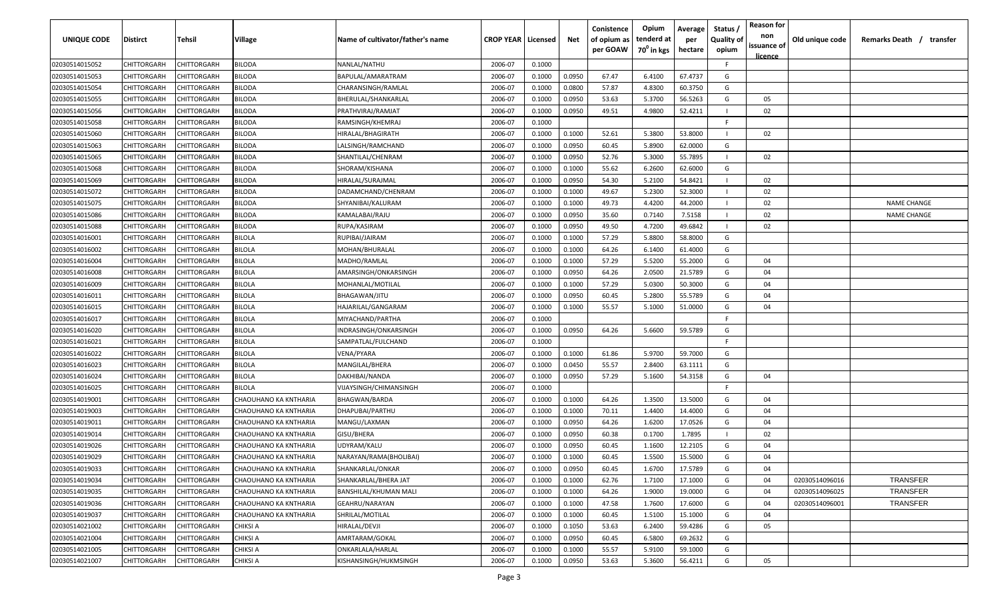| UNIQUE CODE    | Distirct    | Tehsil             | Village               | Name of cultivator/father's name | <b>CROP YEAR   Licensed</b> |        | Net    | Conistence<br>of opium as<br>per GOAW | Opium<br>tenderd at<br>$70^0$ in kgs | Average<br>per<br>hectare | Status /<br><b>Quality of</b><br>opium | <b>Reason for</b><br>non<br>issuance of<br><u>licence</u> | Old unique code | Remarks Death /<br>transfer |
|----------------|-------------|--------------------|-----------------------|----------------------------------|-----------------------------|--------|--------|---------------------------------------|--------------------------------------|---------------------------|----------------------------------------|-----------------------------------------------------------|-----------------|-----------------------------|
| 02030514015052 | CHITTORGARH | CHITTORGARH        | BILODA                | NANLAL/NATHU                     | 2006-07                     | 0.1000 |        |                                       |                                      |                           | F.                                     |                                                           |                 |                             |
| 02030514015053 | CHITTORGARH | CHITTORGARH        | BILODA                | BAPULAL/AMARATRAM                | 2006-07                     | 0.1000 | 0.0950 | 67.47                                 | 6.4100                               | 67.4737                   | G                                      |                                                           |                 |                             |
| 02030514015054 | CHITTORGARH | CHITTORGARH        | BILODA                | CHARANSINGH/RAMLAL               | 2006-07                     | 0.1000 | 0.0800 | 57.87                                 | 4.8300                               | 60.3750                   | G                                      |                                                           |                 |                             |
| 02030514015055 | CHITTORGARH | CHITTORGARH        | BILODA                | BHERULAL/SHANKARLAL              | 2006-07                     | 0.1000 | 0.0950 | 53.63                                 | 5.3700                               | 56.5263                   | G                                      | 05                                                        |                 |                             |
| 02030514015056 | CHITTORGARH | CHITTORGARH        | BILODA                | PRATHVIRAJ/RAMJAT                | 2006-07                     | 0.1000 | 0.0950 | 49.51                                 | 4.9800                               | 52.4211                   |                                        | 02                                                        |                 |                             |
| 02030514015058 | CHITTORGARH | CHITTORGARH        | BILODA                | RAMSINGH/KHEMRAJ                 | 2006-07                     | 0.1000 |        |                                       |                                      |                           | -F                                     |                                                           |                 |                             |
| 02030514015060 | CHITTORGARH | <b>CHITTORGARH</b> | BILODA                | HIRALAL/BHAGIRATH                | 2006-07                     | 0.1000 | 0.1000 | 52.61                                 | 5.3800                               | 53.8000                   |                                        | 02                                                        |                 |                             |
| 02030514015063 | CHITTORGARH | <b>CHITTORGARH</b> | BILODA                | LALSINGH/RAMCHAND                | 2006-07                     | 0.1000 | 0.0950 | 60.45                                 | 5.8900                               | 62.0000                   | G                                      |                                                           |                 |                             |
| 02030514015065 | CHITTORGARH | CHITTORGARH        | BILODA                | SHANTILAL/CHENRAM                | 2006-07                     | 0.1000 | 0.0950 | 52.76                                 | 5.3000                               | 55.7895                   | $\mathbf{I}$                           | 02                                                        |                 |                             |
| 02030514015068 | CHITTORGARH | CHITTORGARH        | BILODA                | SHORAM/KISHANA                   | 2006-07                     | 0.1000 | 0.1000 | 55.62                                 | 6.2600                               | 62.6000                   | G                                      |                                                           |                 |                             |
| 02030514015069 | CHITTORGARH | CHITTORGARH        | 3ILODA                | HIRALAL/SURAJMAL                 | 2006-07                     | 0.1000 | 0.0950 | 54.30                                 | 5.2100                               | 54.8421                   |                                        | 02                                                        |                 |                             |
| 02030514015072 | CHITTORGARH | CHITTORGARH        | BILODA                | DADAMCHAND/CHENRAM               | 2006-07                     | 0.1000 | 0.1000 | 49.67                                 | 5.2300                               | 52.3000                   |                                        | 02                                                        |                 |                             |
| 02030514015075 | CHITTORGARH | CHITTORGARH        | BILODA                | SHYANIBAI/KALURAM                | 2006-07                     | 0.1000 | 0.1000 | 49.73                                 | 4.4200                               | 44.2000                   |                                        | 02                                                        |                 | <b>NAME CHANGE</b>          |
| 02030514015086 | CHITTORGARH | CHITTORGARH        | BILODA                | KAMALABAI/RAJU                   | 2006-07                     | 0.1000 | 0.0950 | 35.60                                 | 0.7140                               | 7.5158                    |                                        | 02                                                        |                 | <b>NAME CHANGE</b>          |
| 02030514015088 | CHITTORGARH | CHITTORGARH        | BILODA                | RUPA/KASIRAM                     | 2006-07                     | 0.1000 | 0.0950 | 49.50                                 | 4.7200                               | 49.6842                   |                                        | 02                                                        |                 |                             |
| 02030514016001 | CHITTORGARH | CHITTORGARH        | BILOLA                | RUPIBAI/JAIRAM                   | 2006-07                     | 0.1000 | 0.1000 | 57.29                                 | 5.8800                               | 58.8000                   | G                                      |                                                           |                 |                             |
| 02030514016002 | CHITTORGARH | CHITTORGARH        | BILOLA                | MOHAN/BHURALAL                   | 2006-07                     | 0.1000 | 0.1000 | 64.26                                 | 6.1400                               | 61.4000                   | G                                      |                                                           |                 |                             |
| 02030514016004 | CHITTORGARH | CHITTORGARH        | <b>BILOLA</b>         | MADHO/RAMLAL                     | 2006-07                     | 0.1000 | 0.1000 | 57.29                                 | 5.5200                               | 55.2000                   | G                                      | 04                                                        |                 |                             |
| 02030514016008 | CHITTORGARH | CHITTORGARH        | BILOLA                | AMARSINGH/ONKARSINGH             | 2006-07                     | 0.1000 | 0.0950 | 64.26                                 | 2.0500                               | 21.5789                   | G                                      | 04                                                        |                 |                             |
| 02030514016009 | CHITTORGARH | CHITTORGARH        | BILOLA                | MOHANLAL/MOTILAL                 | 2006-07                     | 0.1000 | 0.1000 | 57.29                                 | 5.0300                               | 50.3000                   | G                                      | 04                                                        |                 |                             |
| 02030514016011 | CHITTORGARH | CHITTORGARH        | BILOLA                | BHAGAWAN/JITU                    | 2006-07                     | 0.1000 | 0.0950 | 60.45                                 | 5.2800                               | 55.5789                   | G                                      | 04                                                        |                 |                             |
| 02030514016015 | CHITTORGARH | CHITTORGARH        | BILOLA                | HAJARILAL/GANGARAM               | 2006-07                     | 0.1000 | 0.1000 | 55.57                                 | 5.1000                               | 51.0000                   | G                                      | 04                                                        |                 |                             |
| 02030514016017 | CHITTORGARH | CHITTORGARH        | BILOLA                | MIYACHAND/PARTHA                 | 2006-07                     | 0.1000 |        |                                       |                                      |                           | -F                                     |                                                           |                 |                             |
| 02030514016020 | CHITTORGARH | CHITTORGARH        | BILOLA                | INDRASINGH/ONKARSINGH            | 2006-07                     | 0.1000 | 0.0950 | 64.26                                 | 5.6600                               | 59.5789                   | G                                      |                                                           |                 |                             |
| 02030514016021 | CHITTORGARH | CHITTORGARH        | BILOLA                | SAMPATLAL/FULCHAND               | 2006-07                     | 0.1000 |        |                                       |                                      |                           | F.                                     |                                                           |                 |                             |
| 02030514016022 | CHITTORGARH | CHITTORGARH        | BILOLA                | VENA/PYARA                       | 2006-07                     | 0.1000 | 0.1000 | 61.86                                 | 5.9700                               | 59.7000                   | G                                      |                                                           |                 |                             |
| 02030514016023 | CHITTORGARH | CHITTORGARH        | BILOLA                | MANGILAL/BHERA                   | 2006-07                     | 0.1000 | 0.0450 | 55.57                                 | 2.8400                               | 63.1111                   | G                                      |                                                           |                 |                             |
| 02030514016024 | CHITTORGARH | CHITTORGARH        | 31LOLA                | DAKHIBAI/NANDA                   | 2006-07                     | 0.1000 | 0.0950 | 57.29                                 | 5.1600                               | 54.3158                   | G                                      | 04                                                        |                 |                             |
| 02030514016025 | CHITTORGARH | CHITTORGARH        | BILOLA                | VIJAYSINGH/CHIMANSINGH           | 2006-07                     | 0.1000 |        |                                       |                                      |                           | F.                                     |                                                           |                 |                             |
| 02030514019001 | CHITTORGARH | CHITTORGARH        | CHAOUHANO KA KNTHARIA | <b>BHAGWAN/BARDA</b>             | 2006-07                     | 0.1000 | 0.1000 | 64.26                                 | 1.3500                               | 13.5000                   | G                                      | 04                                                        |                 |                             |
| 02030514019003 | CHITTORGARH | CHITTORGARH        | CHAOUHANO KA KNTHARIA | DHAPUBAI/PARTHU                  | 2006-07                     | 0.1000 | 0.1000 | 70.11                                 | 1.4400                               | 14.4000                   | G                                      | 04                                                        |                 |                             |
| 02030514019011 | CHITTORGARH | <b>CHITTORGARH</b> | CHAOUHANO KA KNTHARIA | MANGU/LAXMAN                     | 2006-07                     | 0.1000 | 0.0950 | 64.26                                 | 1.6200                               | 17.0526                   | G                                      | 04                                                        |                 |                             |
| 02030514019014 | CHITTORGARH | CHITTORGARH        | CHAOUHANO KA KNTHARIA | GISU/BHERA                       | 2006-07                     | 0.1000 | 0.0950 | 60.38                                 | 0.1700                               | 1.7895                    |                                        | 02                                                        |                 |                             |
| 02030514019026 | CHITTORGARH | CHITTORGARH        | CHAOUHANO KA KNTHARIA | UDYRAM/KALU                      | 2006-07                     | 0.1000 | 0.0950 | 60.45                                 | 1.1600                               | 12.2105                   | G                                      | 04                                                        |                 |                             |
| 02030514019029 | CHITTORGARH | CHITTORGARH        | CHAOUHANO KA KNTHARIA | NARAYAN/RAMA(BHOLIBAI)           | 2006-07                     | 0.1000 | 0.1000 | 60.45                                 | 1.5500                               | 15.5000                   | G                                      | 04                                                        |                 |                             |
| 02030514019033 | CHITTORGARH | <b>CHITTORGARH</b> | CHAOUHANO KA KNTHARIA | SHANKARLAL/ONKAR                 | 2006-07                     | 0.1000 | 0.0950 | 60.45                                 | 1.6700                               | 17.5789                   | G                                      | 04                                                        |                 |                             |
| 02030514019034 | CHITTORGARH | CHITTORGARH        | CHAOUHANO KA KNTHARIA | SHANKARLAL/BHERA JAT             | 2006-07                     | 0.1000 | 0.1000 | 62.76                                 | 1.7100                               | 17.1000                   | G                                      | 04                                                        | 02030514096016  | <b>TRANSFER</b>             |
| 02030514019035 | CHITTORGARH | CHITTORGARH        | CHAOUHANO KA KNTHARIA | <b>BANSHILAL/KHUMAN MALI</b>     | 2006-07                     | 0.1000 | 0.1000 | 64.26                                 | 1.9000                               | 19.0000                   | G                                      | 04                                                        | 02030514096025  | <b>TRANSFER</b>             |
| 02030514019036 | CHITTORGARH | CHITTORGARH        | CHAOUHANO KA KNTHARIA | <b>GEAHRU/NARAYAN</b>            | 2006-07                     | 0.1000 | 0.1000 | 47.58                                 | 1.7600                               | 17.6000                   | G                                      | 04                                                        | 02030514096001  | <b>TRANSFER</b>             |
| 02030514019037 | CHITTORGARH | CHITTORGARH        | CHAOUHANO KA KNTHARIA | SHRILAL/MOTILAL                  | 2006-07                     | 0.1000 | 0.1000 | 60.45                                 | 1.5100                               | 15.1000                   | G                                      | 04                                                        |                 |                             |
| 02030514021002 | CHITTORGARH | CHITTORGARH        | CHIKSI A              | HIRALAL/DEVJI                    | 2006-07                     | 0.1000 | 0.1050 | 53.63                                 | 6.2400                               | 59.4286                   | G                                      | 05                                                        |                 |                             |
| 02030514021004 | CHITTORGARH | CHITTORGARH        | CHIKSI A              | AMRTARAM/GOKAL                   | 2006-07                     | 0.1000 | 0.0950 | 60.45                                 | 6.5800                               | 69.2632                   | G                                      |                                                           |                 |                             |
| 02030514021005 | CHITTORGARH | CHITTORGARH        | CHIKSI A              | ONKARLALA/HARLAL                 | 2006-07                     | 0.1000 | 0.1000 | 55.57                                 | 5.9100                               | 59.1000                   | G                                      |                                                           |                 |                             |
| 02030514021007 | CHITTORGARH | CHITTORGARH        | CHIKSI A              | KISHANSINGH/HUKMSINGH            | 2006-07                     | 0.1000 | 0.0950 | 53.63                                 | 5.3600                               | 56.4211                   | G                                      | 05                                                        |                 |                             |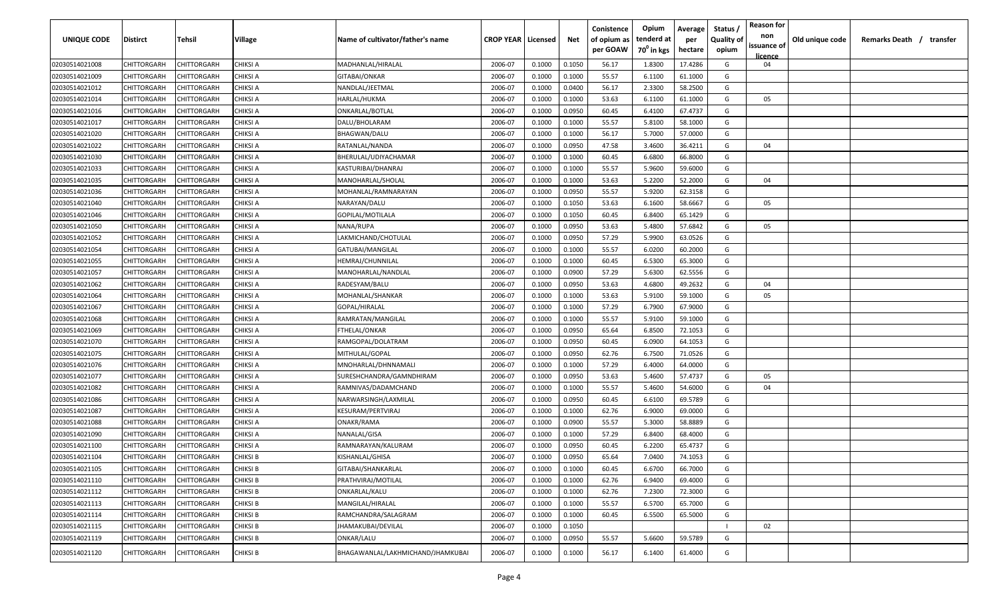| <b>UNIQUE CODE</b> | Distirct           | Tehsil      | Village         | Name of cultivator/father's name  | <b>CROP YEAR   Licensed</b> |        | Net    | Conistence<br>of opium as<br>per GOAW | Opium<br>tenderd at<br>70 <sup>0</sup> in kgs | Average<br>per<br>hectare | Status /<br><b>Quality of</b><br>opium | <b>Reason for</b><br>non<br>issuance of<br>licence | Old unique code | Remarks Death / transfer |
|--------------------|--------------------|-------------|-----------------|-----------------------------------|-----------------------------|--------|--------|---------------------------------------|-----------------------------------------------|---------------------------|----------------------------------------|----------------------------------------------------|-----------------|--------------------------|
| 02030514021008     | CHITTORGARH        | CHITTORGARH | <b>CHIKSI A</b> | MADHANLAL/HIRALAL                 | 2006-07                     | 0.1000 | 0.1050 | 56.17                                 | 1.8300                                        | 17.4286                   | G                                      | 04                                                 |                 |                          |
| 02030514021009     | CHITTORGARH        | CHITTORGARH | CHIKSI A        | GITABAI/ONKAR                     | 2006-07                     | 0.1000 | 0.1000 | 55.57                                 | 6.1100                                        | 61.1000                   | G                                      |                                                    |                 |                          |
| 02030514021012     | CHITTORGARH        | CHITTORGARH | CHIKSI A        | NANDLAL/JEETMAL                   | 2006-07                     | 0.1000 | 0.0400 | 56.17                                 | 2.3300                                        | 58.2500                   | G                                      |                                                    |                 |                          |
| 02030514021014     | CHITTORGARH        | CHITTORGARH | CHIKSI A        | HARLAL/HUKMA                      | 2006-07                     | 0.1000 | 0.1000 | 53.63                                 | 6.1100                                        | 61.1000                   | G                                      | 05                                                 |                 |                          |
| 02030514021016     | CHITTORGARH        | CHITTORGARH | CHIKSI A        | ONKARLAL/BOTLAL                   | 2006-07                     | 0.1000 | 0.0950 | 60.45                                 | 6.4100                                        | 67.4737                   | G                                      |                                                    |                 |                          |
| 02030514021017     | CHITTORGARH        | CHITTORGARH | CHIKSI A        | DALU/BHOLARAM                     | 2006-07                     | 0.1000 | 0.1000 | 55.57                                 | 5.8100                                        | 58.1000                   | G                                      |                                                    |                 |                          |
| 02030514021020     | CHITTORGARH        | CHITTORGARH | CHIKSI A        | BHAGWAN/DALU                      | 2006-07                     | 0.1000 | 0.1000 | 56.17                                 | 5.7000                                        | 57.0000                   | G                                      |                                                    |                 |                          |
| 02030514021022     | CHITTORGARH        | CHITTORGARH | CHIKSI A        | RATANLAL/NANDA                    | 2006-07                     | 0.1000 | 0.0950 | 47.58                                 | 3.4600                                        | 36.4211                   | G                                      | 04                                                 |                 |                          |
| 02030514021030     | CHITTORGARH        | CHITTORGARH | CHIKSI A        | BHERULAL/UDIYACHAMAR              | 2006-07                     | 0.1000 | 0.1000 | 60.45                                 | 6.6800                                        | 66.8000                   | G                                      |                                                    |                 |                          |
| 02030514021033     | CHITTORGARH        | CHITTORGARH | CHIKSI A        | KASTURIBAI/DHANRAJ                | 2006-07                     | 0.1000 | 0.1000 | 55.57                                 | 5.9600                                        | 59.6000                   | G                                      |                                                    |                 |                          |
| 02030514021035     | CHITTORGARH        | CHITTORGARH | CHIKSI A        | MANOHARLAL/SHOLAL                 | 2006-07                     | 0.1000 | 0.1000 | 53.63                                 | 5.2200                                        | 52.2000                   | G                                      | 04                                                 |                 |                          |
| 02030514021036     | CHITTORGARH        | CHITTORGARH | CHIKSI A        | MOHANLAL/RAMNARAYAN               | 2006-07                     | 0.1000 | 0.0950 | 55.57                                 | 5.9200                                        | 62.3158                   | G                                      |                                                    |                 |                          |
| 02030514021040     | CHITTORGARH        | CHITTORGARH | CHIKSI A        | NARAYAN/DALU                      | 2006-07                     | 0.1000 | 0.1050 | 53.63                                 | 6.1600                                        | 58.6667                   | G                                      | 05                                                 |                 |                          |
| 02030514021046     | CHITTORGARH        | CHITTORGARH | CHIKSI A        | GOPILAL/MOTILALA                  | 2006-07                     | 0.1000 | 0.1050 | 60.45                                 | 6.8400                                        | 65.1429                   | G                                      |                                                    |                 |                          |
| 02030514021050     | CHITTORGARH        | CHITTORGARH | CHIKSI A        | NANA/RUPA                         | 2006-07                     | 0.1000 | 0.0950 | 53.63                                 | 5.4800                                        | 57.6842                   | G                                      | 05                                                 |                 |                          |
| 02030514021052     | CHITTORGARH        | CHITTORGARH | CHIKSI A        | LAKMICHAND/CHOTULAL               | 2006-07                     | 0.1000 | 0.0950 | 57.29                                 | 5.9900                                        | 63.0526                   | G                                      |                                                    |                 |                          |
| 02030514021054     | CHITTORGARH        | CHITTORGARH | CHIKSI A        | GATUBAI/MANGILAL                  | 2006-07                     | 0.1000 | 0.1000 | 55.57                                 | 6.0200                                        | 60.2000                   | G                                      |                                                    |                 |                          |
| 02030514021055     | CHITTORGARH        | CHITTORGARH | CHIKSI A        | HEMRAJ/CHUNNILAL                  | 2006-07                     | 0.1000 | 0.1000 | 60.45                                 | 6.5300                                        | 65.3000                   | G                                      |                                                    |                 |                          |
| 02030514021057     | CHITTORGARH        | CHITTORGARH | CHIKSI A        | MANOHARLAL/NANDLAL                | 2006-07                     | 0.1000 | 0.0900 | 57.29                                 | 5.6300                                        | 62.5556                   | G                                      |                                                    |                 |                          |
| 02030514021062     | CHITTORGARH        | CHITTORGARH | CHIKSI A        | RADESYAM/BALU                     | 2006-07                     | 0.1000 | 0.0950 | 53.63                                 | 4.6800                                        | 49.2632                   | G                                      | 04                                                 |                 |                          |
| 02030514021064     | CHITTORGARH        | CHITTORGARH | <b>CHIKSI A</b> | MOHANLAL/SHANKAR                  | 2006-07                     | 0.1000 | 0.1000 | 53.63                                 | 5.9100                                        | 59.1000                   | G                                      | 05                                                 |                 |                          |
| 02030514021067     | CHITTORGARH        | CHITTORGARH | CHIKSI A        | GOPAL/HIRALAL                     | 2006-07                     | 0.1000 | 0.1000 | 57.29                                 | 6.7900                                        | 67.9000                   | G                                      |                                                    |                 |                          |
| 02030514021068     | CHITTORGARH        | CHITTORGARH | CHIKSI A        | RAMRATAN/MANGILAL                 | 2006-07                     | 0.1000 | 0.1000 | 55.57                                 | 5.9100                                        | 59.1000                   | G                                      |                                                    |                 |                          |
| 02030514021069     | CHITTORGARH        | CHITTORGARH | CHIKSI A        | FTHELAL/ONKAR                     | 2006-07                     | 0.1000 | 0.0950 | 65.64                                 | 6.8500                                        | 72.1053                   | G                                      |                                                    |                 |                          |
| 02030514021070     | CHITTORGARH        | CHITTORGARH | CHIKSI A        | RAMGOPAL/DOLATRAM                 | 2006-07                     | 0.1000 | 0.0950 | 60.45                                 | 6.0900                                        | 64.1053                   | G                                      |                                                    |                 |                          |
| 02030514021075     | CHITTORGARH        | CHITTORGARH | CHIKSI A        | MITHULAL/GOPAL                    | 2006-07                     | 0.1000 | 0.0950 | 62.76                                 | 6.7500                                        | 71.0526                   | G                                      |                                                    |                 |                          |
| 02030514021076     | CHITTORGARH        | CHITTORGARH | CHIKSI A        | MNOHARLAL/DHNNAMALI               | 2006-07                     | 0.1000 | 0.1000 | 57.29                                 | 6.4000                                        | 64.0000                   | G                                      |                                                    |                 |                          |
| 02030514021077     | CHITTORGARH        | CHITTORGARH | CHIKSI A        | SURESHCHANDRA/GAMNDHIRAM          | 2006-07                     | 0.1000 | 0.0950 | 53.63                                 | 5.4600                                        | 57.4737                   | G                                      | 05                                                 |                 |                          |
| 02030514021082     | CHITTORGARH        | CHITTORGARH | CHIKSI A        | RAMNIVAS/DADAMCHAND               | 2006-07                     | 0.1000 | 0.1000 | 55.57                                 | 5.4600                                        | 54.6000                   | G                                      | 04                                                 |                 |                          |
| 02030514021086     | CHITTORGARH        | CHITTORGARH | CHIKSI A        | NARWARSINGH/LAXMILAL              | 2006-07                     | 0.1000 | 0.0950 | 60.45                                 | 6.6100                                        | 69.5789                   | G                                      |                                                    |                 |                          |
| 02030514021087     | CHITTORGARH        | CHITTORGARH | CHIKSI A        | KESURAM/PERTVIRAJ                 | 2006-07                     | 0.1000 | 0.1000 | 62.76                                 | 6.9000                                        | 69.0000                   | G                                      |                                                    |                 |                          |
| 02030514021088     | CHITTORGARH        | CHITTORGARH | CHIKSI A        | ONAKR/RAMA                        | 2006-07                     | 0.1000 | 0.0900 | 55.57                                 | 5.3000                                        | 58.8889                   | G                                      |                                                    |                 |                          |
| 02030514021090     | CHITTORGARH        | CHITTORGARH | CHIKSI A        | NANALAL/GISA                      | 2006-07                     | 0.1000 | 0.1000 | 57.29                                 | 6.8400                                        | 68.4000                   | G                                      |                                                    |                 |                          |
| 02030514021100     | CHITTORGARH        | CHITTORGARH | <b>CHIKSI A</b> | RAMNARAYAN/KALURAM                | 2006-07                     | 0.1000 | 0.0950 | 60.45                                 | 6.2200                                        | 65.4737                   | G                                      |                                                    |                 |                          |
| 02030514021104     | CHITTORGARH        | CHITTORGARH | <b>CHIKSI B</b> | KISHANLAL/GHISA                   | 2006-07                     | 0.1000 | 0.0950 | 65.64                                 | 7.0400                                        | 74.1053                   | G                                      |                                                    |                 |                          |
| 02030514021105     | CHITTORGARH        | CHITTORGARH | <b>CHIKSI B</b> | GITABAI/SHANKARLAL                | 2006-07                     | 0.1000 | 0.1000 | 60.45                                 | 6.6700                                        | 66.7000                   | G                                      |                                                    |                 |                          |
| 02030514021110     | <b>CHITTORGARH</b> | CHITTORGARH | <b>CHIKSI B</b> | PRATHVIRAJ/MOTILAL                | 2006-07                     | 0.1000 | 0.1000 | 62.76                                 | 6.9400                                        | 69.4000                   | G                                      |                                                    |                 |                          |
| 02030514021112     | <b>CHITTORGARH</b> | CHITTORGARH | <b>CHIKSI B</b> | ONKARLAL/KALU                     | 2006-07                     | 0.1000 | 0.1000 | 62.76                                 | 7.2300                                        | 72.3000                   | G                                      |                                                    |                 |                          |
| 02030514021113     | <b>CHITTORGARH</b> | CHITTORGARH | <b>CHIKSI B</b> | MANGILAL/HIRALAL                  | 2006-07                     | 0.1000 | 0.1000 | 55.57                                 | 6.5700                                        | 65.7000                   | G                                      |                                                    |                 |                          |
| 02030514021114     | CHITTORGARH        | CHITTORGARH | <b>CHIKSI B</b> | RAMCHANDRA/SALAGRAM               | 2006-07                     | 0.1000 | 0.1000 | 60.45                                 | 6.5500                                        | 65.5000                   | G                                      |                                                    |                 |                          |
| 02030514021115     | CHITTORGARH        | CHITTORGARH | <b>CHIKSI B</b> | JHAMAKUBAI/DEVILAL                | 2006-07                     | 0.1000 | 0.1050 |                                       |                                               |                           |                                        | 02                                                 |                 |                          |
| 02030514021119     | CHITTORGARH        | CHITTORGARH | <b>CHIKSI B</b> | ONKAR/LALU                        | 2006-07                     | 0.1000 | 0.0950 | 55.57                                 | 5.6600                                        | 59.5789                   | G                                      |                                                    |                 |                          |
| 02030514021120     | CHITTORGARH        | CHITTORGARH | <b>CHIKSI B</b> | BHAGAWANLAL/LAKHMICHAND/JHAMKUBAI | 2006-07                     | 0.1000 | 0.1000 | 56.17                                 | 6.1400                                        | 61.4000                   | G                                      |                                                    |                 |                          |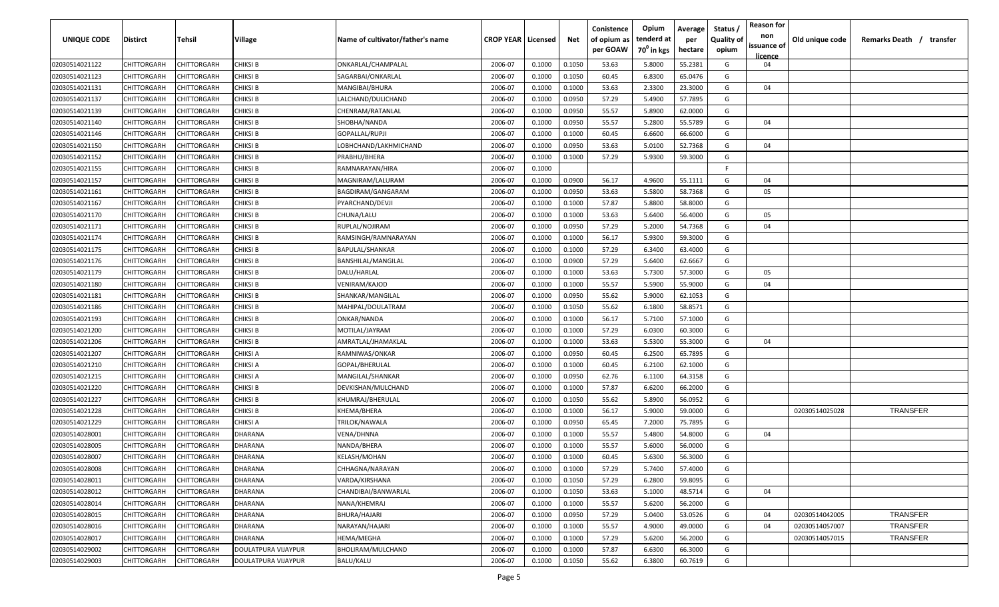| UNIQUE CODE    | Distirct           | Tehsil             | Village             | Name of cultivator/father's name | <b>CROP YEAR   Licensed</b> |        | Net    | Conistence<br>of opium as | Opium<br>tenderd at    | Average<br>per | Status /<br><b>Quality of</b> | <b>Reason for</b><br>non<br>issuance of | Old unique code | Remarks Death /<br>transfer |
|----------------|--------------------|--------------------|---------------------|----------------------------------|-----------------------------|--------|--------|---------------------------|------------------------|----------------|-------------------------------|-----------------------------------------|-----------------|-----------------------------|
|                |                    |                    |                     |                                  |                             |        |        | per GOAW                  | 70 <sup>0</sup> in kgs | hectare        | opium                         | licence                                 |                 |                             |
| 02030514021122 | CHITTORGARH        | CHITTORGARH        | <b>CHIKSI B</b>     | ONKARLAL/CHAMPALAL               | 2006-07                     | 0.1000 | 0.1050 | 53.63                     | 5.8000                 | 55.2381        | G                             | 04                                      |                 |                             |
| 02030514021123 | CHITTORGARH        | CHITTORGARH        | CHIKSI B            | SAGARBAI/ONKARLAL                | 2006-07                     | 0.1000 | 0.1050 | 60.45                     | 6.8300                 | 65.0476        | G                             |                                         |                 |                             |
| 02030514021131 | CHITTORGARH        | CHITTORGARH        | <b>CHIKSI B</b>     | MANGIBAI/BHURA                   | 2006-07                     | 0.1000 | 0.1000 | 53.63                     | 2.3300                 | 23.3000        | G                             | 04                                      |                 |                             |
| 02030514021137 | CHITTORGARH        | CHITTORGARH        | <b>CHIKSI B</b>     | LALCHAND/DULICHAND               | 2006-07                     | 0.1000 | 0.0950 | 57.29                     | 5.4900                 | 57.7895        | G                             |                                         |                 |                             |
| 02030514021139 | CHITTORGARH        | CHITTORGARH        | <b>CHIKSI B</b>     | CHENRAM/RATANLAL                 | 2006-07                     | 0.1000 | 0.0950 | 55.57                     | 5.8900                 | 62.0000        | G                             |                                         |                 |                             |
| 02030514021140 | CHITTORGARH        | CHITTORGARH        | CHIKSI B            | SHOBHA/NANDA                     | 2006-07                     | 0.1000 | 0.0950 | 55.57                     | 5.2800                 | 55.5789        | G                             | 04                                      |                 |                             |
| 02030514021146 | CHITTORGARH        | CHITTORGARH        | CHIKSI B            | GOPALLAL/RUPJI                   | 2006-07                     | 0.1000 | 0.1000 | 60.45                     | 6.6600                 | 66.6000        | G                             |                                         |                 |                             |
| 02030514021150 | CHITTORGARH        | CHITTORGARH        | CHIKSI B            | LOBHCHAND/LAKHMICHAND            | 2006-07                     | 0.1000 | 0.0950 | 53.63                     | 5.0100                 | 52.7368        | G                             | 04                                      |                 |                             |
| 02030514021152 | CHITTORGARH        | CHITTORGARH        | CHIKSI B            | PRABHU/BHERA                     | 2006-07                     | 0.1000 | 0.1000 | 57.29                     | 5.9300                 | 59.3000        | G                             |                                         |                 |                             |
| 02030514021155 | CHITTORGARH        | CHITTORGARH        | CHIKSI B            | RAMNARAYAN/HIRA                  | 2006-07                     | 0.1000 |        |                           |                        |                | F                             |                                         |                 |                             |
| 02030514021157 | CHITTORGARH        | CHITTORGARH        | CHIKSI B            | MAGNIRAM/LALURAM                 | 2006-07                     | 0.1000 | 0.0900 | 56.17                     | 4.9600                 | 55.1111        | G                             | 04                                      |                 |                             |
| 02030514021161 | CHITTORGARH        | CHITTORGARH        | CHIKSI B            | BAGDIRAM/GANGARAM                | 2006-07                     | 0.1000 | 0.0950 | 53.63                     | 5.5800                 | 58.7368        | G                             | 05                                      |                 |                             |
| 02030514021167 | CHITTORGARH        | CHITTORGARH        | CHIKSI B            | PYARCHAND/DEVJI                  | 2006-07                     | 0.1000 | 0.1000 | 57.87                     | 5.8800                 | 58.8000        | G                             |                                         |                 |                             |
| 02030514021170 | CHITTORGARH        | CHITTORGARH        | CHIKSI B            | CHUNA/LALU                       | 2006-07                     | 0.1000 | 0.1000 | 53.63                     | 5.6400                 | 56.4000        | G                             | 05                                      |                 |                             |
| 02030514021171 | CHITTORGARH        | CHITTORGARH        | <b>CHIKSI B</b>     | RUPLAL/NOJIRAM                   | 2006-07                     | 0.1000 | 0.0950 | 57.29                     | 5.2000                 | 54.7368        | G                             | 04                                      |                 |                             |
| 02030514021174 | CHITTORGARH        | CHITTORGARH        | <b>CHIKSI B</b>     | RAMSINGH/RAMNARAYAN              | 2006-07                     | 0.1000 | 0.1000 | 56.17                     | 5.9300                 | 59.3000        | G                             |                                         |                 |                             |
| 02030514021175 | CHITTORGARH        | CHITTORGARH        | <b>CHIKSI B</b>     | <b>BAPULAL/SHANKAR</b>           | 2006-07                     | 0.1000 | 0.1000 | 57.29                     | 6.3400                 | 63.4000        | G                             |                                         |                 |                             |
| 02030514021176 | CHITTORGARH        | CHITTORGARH        | <b>CHIKSI B</b>     | BANSHILAL/MANGILAL               | 2006-07                     | 0.1000 | 0.0900 | 57.29                     | 5.6400                 | 62.6667        | G                             |                                         |                 |                             |
| 02030514021179 | CHITTORGARH        | CHITTORGARH        | <b>CHIKSI B</b>     | DALU/HARLAL                      | 2006-07                     | 0.1000 | 0.1000 | 53.63                     | 5.7300                 | 57.3000        | G                             | 05                                      |                 |                             |
| 02030514021180 | CHITTORGARH        | CHITTORGARH        | <b>CHIKSI B</b>     | VENIRAM/KAJOD                    | 2006-07                     | 0.1000 | 0.1000 | 55.57                     | 5.5900                 | 55.9000        | G                             | 04                                      |                 |                             |
| 02030514021181 | CHITTORGARH        | CHITTORGARH        | <b>CHIKSI B</b>     | SHANKAR/MANGILAL                 | 2006-07                     | 0.1000 | 0.0950 | 55.62                     | 5.9000                 | 62.1053        | G                             |                                         |                 |                             |
| 02030514021186 | CHITTORGARH        | CHITTORGARH        | <b>CHIKSI B</b>     | MAHIPAL/DOULATRAM                | 2006-07                     | 0.1000 | 0.1050 | 55.62                     | 6.1800                 | 58.8571        | G                             |                                         |                 |                             |
| 02030514021193 | CHITTORGARH        | CHITTORGARH        | CHIKSI B            | ONKAR/NANDA                      | 2006-07                     | 0.1000 | 0.1000 | 56.17                     | 5.7100                 | 57.1000        | G                             |                                         |                 |                             |
| 02030514021200 | CHITTORGARH        | CHITTORGARH        | CHIKSI B            | MOTILAL/JAYRAM                   | 2006-07                     | 0.1000 | 0.1000 | 57.29                     | 6.0300                 | 60.3000        | G                             |                                         |                 |                             |
| 02030514021206 | CHITTORGARH        | CHITTORGARH        | CHIKSI B            | AMRATLAL/JHAMAKLAL               | 2006-07                     | 0.1000 | 0.1000 | 53.63                     | 5.5300                 | 55.3000        | G                             | 04                                      |                 |                             |
| 02030514021207 | CHITTORGARH        | CHITTORGARH        | CHIKSI A            | RAMNIWAS/ONKAR                   | 2006-07                     | 0.1000 | 0.0950 | 60.45                     | 6.2500                 | 65.7895        | G                             |                                         |                 |                             |
| 02030514021210 | CHITTORGARH        | CHITTORGARH        | CHIKSI A            | GOPAL/BHERULAL                   | 2006-07                     | 0.1000 | 0.1000 | 60.45                     | 6.2100                 | 62.1000        | G                             |                                         |                 |                             |
| 02030514021215 | CHITTORGARH        | CHITTORGARH        | CHIKSI A            | MANGILAL/SHANKAR                 | 2006-07                     | 0.1000 | 0.0950 | 62.76                     | 6.1100                 | 64.3158        | G                             |                                         |                 |                             |
| 02030514021220 | CHITTORGARH        | CHITTORGARH        | CHIKSI B            | DEVKISHAN/MULCHAND               | 2006-07                     | 0.1000 | 0.1000 | 57.87                     | 6.6200                 | 66.2000        | G                             |                                         |                 |                             |
| 02030514021227 | CHITTORGARH        | CHITTORGARH        | CHIKSI B            | KHUMRAJ/BHERULAL                 | 2006-07                     | 0.1000 | 0.1050 | 55.62                     | 5.8900                 | 56.0952        | G                             |                                         |                 |                             |
| 02030514021228 | CHITTORGARH        | CHITTORGARH        | <b>CHIKSI B</b>     | KHEMA/BHERA                      | 2006-07                     | 0.1000 | 0.1000 | 56.17                     | 5.9000                 | 59.0000        | G                             |                                         | 02030514025028  | <b>TRANSFER</b>             |
| 02030514021229 | CHITTORGARH        | CHITTORGARH        | CHIKSI A            | TRILOK/NAWALA                    | 2006-07                     | 0.1000 | 0.0950 | 65.45                     | 7.2000                 | 75.7895        | G                             |                                         |                 |                             |
| 02030514028001 | CHITTORGARH        | CHITTORGARH        | DHARANA             | VENA/DHNNA                       | 2006-07                     | 0.1000 | 0.1000 | 55.57                     | 5.4800                 | 54.8000        | G                             | 04                                      |                 |                             |
| 02030514028005 | CHITTORGARH        | CHITTORGARH        | DHARANA             | NANDA/BHERA                      | 2006-07                     | 0.1000 | 0.1000 | 55.57                     | 5.6000                 | 56.0000        | G                             |                                         |                 |                             |
| 02030514028007 | CHITTORGARH        | CHITTORGARH        | DHARANA             | KELASH/MOHAN                     | 2006-07                     | 0.1000 | 0.1000 | 60.45                     | 5.6300                 | 56.3000        | G                             |                                         |                 |                             |
| 02030514028008 | <b>CHITTORGARH</b> | <b>CHITTORGARH</b> | DHARANA             | CHHAGNA/NARAYAN                  | 2006-07                     | 0.1000 | 0.1000 | 57.29                     | 5.7400                 | 57.4000        | G                             |                                         |                 |                             |
| 02030514028011 | <b>CHITTORGARH</b> | CHITTORGARH        | DHARANA             | VARDA/KIRSHANA                   | 2006-07                     | 0.1000 | 0.1050 | 57.29                     | 6.2800                 | 59.8095        | G                             |                                         |                 |                             |
| 02030514028012 | <b>CHITTORGARH</b> | CHITTORGARH        | DHARANA             | CHANDIBAI/BANWARLAL              | 2006-07                     | 0.1000 | 0.1050 | 53.63                     | 5.1000                 | 48.5714        | G                             | 04                                      |                 |                             |
| 02030514028014 | <b>CHITTORGARH</b> | CHITTORGARH        | DHARANA             | NANA/KHEMRAJ                     | 2006-07                     | 0.1000 | 0.1000 | 55.57                     | 5.6200                 | 56.2000        | G                             |                                         |                 |                             |
| 02030514028015 | CHITTORGARH        | CHITTORGARH        | DHARANA             | BHURA/HAJARI                     | 2006-07                     | 0.1000 | 0.0950 | 57.29                     | 5.0400                 | 53.0526        | G                             | 04                                      | 02030514042005  | <b>TRANSFER</b>             |
| 02030514028016 | CHITTORGARH        | CHITTORGARH        | DHARANA             | NARAYAN/HAJARI                   | 2006-07                     | 0.1000 | 0.1000 | 55.57                     | 4.9000                 | 49.0000        | G                             | 04                                      | 02030514057007  | <b>TRANSFER</b>             |
| 02030514028017 | <b>CHITTORGARH</b> | CHITTORGARH        | DHARANA             | HEMA/MEGHA                       | 2006-07                     | 0.1000 | 0.1000 | 57.29                     | 5.6200                 | 56.2000        | G                             |                                         | 02030514057015  | <b>TRANSFER</b>             |
| 02030514029002 | CHITTORGARH        | CHITTORGARH        | DOULATPURA VIJAYPUR | BHOLIRAM/MULCHAND                | 2006-07                     | 0.1000 | 0.1000 | 57.87                     | 6.6300                 | 66.3000        | G                             |                                         |                 |                             |
| 02030514029003 | <b>CHITTORGARH</b> | CHITTORGARH        | DOULATPURA VIJAYPUR | BALU/KALU                        | 2006-07                     | 0.1000 | 0.1050 | 55.62                     | 6.3800                 | 60.7619        | G                             |                                         |                 |                             |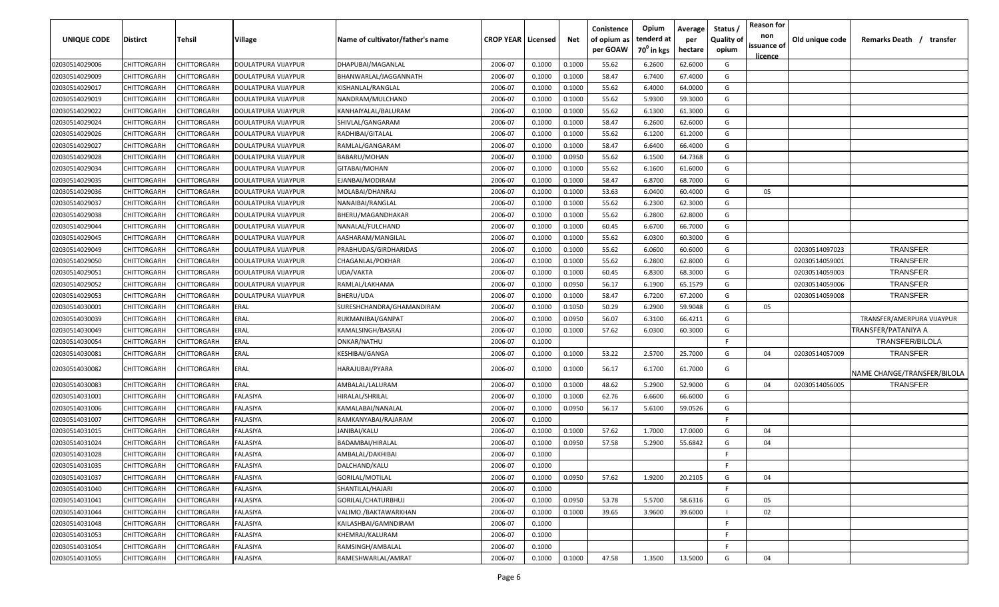| UNIQUE CODE    | <b>Distirct</b> | Tehsil             | Village                    | Name of cultivator/father's name | <b>CROP YEAR   Licensed</b> |        | Net    | Conistence<br>of opium as<br>per GOAW | Opium<br>tenderd at<br>70 <sup>0</sup> in kgs | Average<br>per<br>hectare | Status /<br><b>Quality of</b><br>opium | <b>Reason for</b><br>non<br>issuance of<br>licence | Old unique code | Remarks Death /<br>transfer |
|----------------|-----------------|--------------------|----------------------------|----------------------------------|-----------------------------|--------|--------|---------------------------------------|-----------------------------------------------|---------------------------|----------------------------------------|----------------------------------------------------|-----------------|-----------------------------|
| 02030514029006 | CHITTORGARH     | CHITTORGARH        | DOULATPURA VIJAYPUR        | DHAPUBAI/MAGANLAL                | 2006-07                     | 0.1000 | 0.1000 | 55.62                                 | 6.2600                                        | 62.6000                   | G                                      |                                                    |                 |                             |
| 02030514029009 | CHITTORGARH     | CHITTORGARH        | DOULATPURA VIJAYPUR        | BHANWARLAL/JAGGANNATH            | 2006-07                     | 0.1000 | 0.1000 | 58.47                                 | 6.7400                                        | 67.4000                   | G                                      |                                                    |                 |                             |
| 02030514029017 | CHITTORGARH     | CHITTORGARH        | DOULATPURA VIJAYPUR        | KISHANLAL/RANGLAL                | 2006-07                     | 0.1000 | 0.1000 | 55.62                                 | 6.4000                                        | 64.0000                   | G                                      |                                                    |                 |                             |
| 02030514029019 | CHITTORGARH     | CHITTORGARH        | DOULATPURA VIJAYPUR        | NANDRAM/MULCHAND                 | 2006-07                     | 0.1000 | 0.1000 | 55.62                                 | 5.9300                                        | 59.3000                   | G                                      |                                                    |                 |                             |
| 02030514029022 | CHITTORGARH     | CHITTORGARH        | DOULATPURA VIJAYPUR        | KANHAIYALAL/BALURAM              | 2006-07                     | 0.1000 | 0.1000 | 55.62                                 | 6.1300                                        | 61.3000                   | G                                      |                                                    |                 |                             |
| 02030514029024 | CHITTORGARH     | CHITTORGARH        | DOULATPURA VIJAYPUR        | SHIVLAL/GANGARAM                 | 2006-07                     | 0.1000 | 0.1000 | 58.47                                 | 6.2600                                        | 62.6000                   | G                                      |                                                    |                 |                             |
| 02030514029026 | CHITTORGARH     | CHITTORGARH        | DOULATPURA VIJAYPUR        | RADHIBAI/GITALAL                 | 2006-07                     | 0.1000 | 0.1000 | 55.62                                 | 6.1200                                        | 61.2000                   | G                                      |                                                    |                 |                             |
| 02030514029027 | CHITTORGARH     | CHITTORGARH        | DOULATPURA VIJAYPUR        | RAMLAL/GANGARAM                  | 2006-07                     | 0.1000 | 0.1000 | 58.47                                 | 6.6400                                        | 66.4000                   | G                                      |                                                    |                 |                             |
| 02030514029028 | CHITTORGARH     | <b>CHITTORGARH</b> | DOULATPURA VIJAYPUR        | BABARU/MOHAN                     | 2006-07                     | 0.1000 | 0.0950 | 55.62                                 | 6.1500                                        | 64.7368                   | G                                      |                                                    |                 |                             |
| 02030514029034 | CHITTORGARH     | CHITTORGARH        | DOULATPURA VIJAYPUR        | GITABAI/MOHAN                    | 2006-07                     | 0.1000 | 0.1000 | 55.62                                 | 6.1600                                        | 61.6000                   | G                                      |                                                    |                 |                             |
| 02030514029035 | CHITTORGARH     | CHITTORGARH        | DOULATPURA VIJAYPUR        | EJANBAI/MODIRAM                  | 2006-07                     | 0.1000 | 0.1000 | 58.47                                 | 6.8700                                        | 68.7000                   | G                                      |                                                    |                 |                             |
| 02030514029036 | CHITTORGARH     | CHITTORGARH        | DOULATPURA VIJAYPUR        | MOLABAI/DHANRAJ                  | 2006-07                     | 0.1000 | 0.1000 | 53.63                                 | 6.0400                                        | 60.4000                   | G                                      | 05                                                 |                 |                             |
| 02030514029037 | CHITTORGARH     | CHITTORGARH        | DOULATPURA VIJAYPUR        | NANAIBAI/RANGLAL                 | 2006-07                     | 0.1000 | 0.1000 | 55.62                                 | 6.2300                                        | 62.3000                   | G                                      |                                                    |                 |                             |
| 02030514029038 | CHITTORGARH     | CHITTORGARH        | DOULATPURA VIJAYPUR        | BHERU/MAGANDHAKAR                | 2006-07                     | 0.1000 | 0.1000 | 55.62                                 | 6.2800                                        | 62.8000                   | G                                      |                                                    |                 |                             |
| 02030514029044 | CHITTORGARH     | CHITTORGARH        | DOULATPURA VIJAYPUR        | NANALAL/FULCHAND                 | 2006-07                     | 0.1000 | 0.1000 | 60.45                                 | 6.6700                                        | 66.7000                   | G                                      |                                                    |                 |                             |
| 02030514029045 | CHITTORGARH     | CHITTORGARH        | DOULATPURA VIJAYPUR        | AASHARAM/MANGILAL                | 2006-07                     | 0.1000 | 0.1000 | 55.62                                 | 6.0300                                        | 60.3000                   | G                                      |                                                    |                 |                             |
| 02030514029049 | CHITTORGARH     | CHITTORGARH        | DOULATPURA VIJAYPUR        | PRABHUDAS/GIRDHARIDAS            | 2006-07                     | 0.1000 | 0.1000 | 55.62                                 | 6.0600                                        | 60.6000                   | G                                      |                                                    | 02030514097023  | <b>TRANSFER</b>             |
| 02030514029050 | CHITTORGARH     | CHITTORGARH        | <b>DOULATPURA VIJAYPUR</b> | CHAGANLAL/POKHAR                 | 2006-07                     | 0.1000 | 0.1000 | 55.62                                 | 6.2800                                        | 62.8000                   | G                                      |                                                    | 02030514059001  | <b>TRANSFER</b>             |
| 02030514029051 | CHITTORGARH     | CHITTORGARH        | <b>DOULATPURA VIJAYPUR</b> | UDA/VAKTA                        | 2006-07                     | 0.1000 | 0.1000 | 60.45                                 | 6.8300                                        | 68.3000                   | G                                      |                                                    | 02030514059003  | <b>TRANSFER</b>             |
| 02030514029052 | CHITTORGARH     | CHITTORGARH        | DOULATPURA VIJAYPUR        | RAMLAL/LAKHAMA                   | 2006-07                     | 0.1000 | 0.0950 | 56.17                                 | 6.1900                                        | 65.1579                   | G                                      |                                                    | 02030514059006  | <b>TRANSFER</b>             |
| 02030514029053 | CHITTORGARH     | CHITTORGARH        | DOULATPURA VIJAYPUR        | <b>BHERU/UDA</b>                 | 2006-07                     | 0.1000 | 0.1000 | 58.47                                 | 6.7200                                        | 67.2000                   | G                                      |                                                    | 02030514059008  | <b>TRANSFER</b>             |
| 02030514030001 | CHITTORGARH     | CHITTORGARH        | ERAL                       | SURESHCHANDRA/GHAMANDIRAM        | 2006-07                     | 0.1000 | 0.1050 | 50.29                                 | 6.2900                                        | 59.9048                   | G                                      | 05                                                 |                 |                             |
| 02030514030039 | CHITTORGARH     | CHITTORGARH        | ERAL                       | RUKMANIBAI/GANPAT                | 2006-07                     | 0.1000 | 0.0950 | 56.07                                 | 6.3100                                        | 66.4211                   | G                                      |                                                    |                 | TRANSFER/AMERPURA VIJAYPUR  |
| 02030514030049 | CHITTORGARH     | CHITTORGARH        | ERAL                       | KAMALSINGH/BASRAJ                | 2006-07                     | 0.1000 | 0.1000 | 57.62                                 | 6.0300                                        | 60.3000                   | G                                      |                                                    |                 | TRANSFER/PATANIYA A         |
| 02030514030054 | CHITTORGARH     | <b>CHITTORGARH</b> | ERAL                       | ONKAR/NATHU                      | 2006-07                     | 0.1000 |        |                                       |                                               |                           | -F                                     |                                                    |                 | TRANSFER/BILOLA             |
| 02030514030081 | CHITTORGARH     | <b>CHITTORGARH</b> | ERAL                       | KESHIBAI/GANGA                   | 2006-07                     | 0.1000 | 0.1000 | 53.22                                 | 2.5700                                        | 25.7000                   | G                                      | 04                                                 | 02030514057009  | <b>TRANSFER</b>             |
| 02030514030082 | CHITTORGARH     | CHITTORGARH        | ERAL                       | HARAJUBAI/PYARA                  | 2006-07                     | 0.1000 | 0.1000 | 56.17                                 | 6.1700                                        | 61.7000                   | G                                      |                                                    |                 | NAME CHANGE/TRANSFER/BILOLA |
| 02030514030083 | CHITTORGARH     | CHITTORGARH        | ERAL                       | AMBALAL/LALURAM                  | 2006-07                     | 0.1000 | 0.1000 | 48.62                                 | 5.2900                                        | 52.9000                   | G                                      | 04                                                 | 02030514056005  | <b>TRANSFER</b>             |
| 02030514031001 | CHITTORGARH     | CHITTORGARH        | FALASIYA                   | HIRALAL/SHRILAL                  | 2006-07                     | 0.1000 | 0.1000 | 62.76                                 | 6.6600                                        | 66.6000                   | G                                      |                                                    |                 |                             |
| 02030514031006 | CHITTORGARH     | CHITTORGARH        | FALASIYA                   | KAMALABAI/NANALAL                | 2006-07                     | 0.1000 | 0.0950 | 56.17                                 | 5.6100                                        | 59.0526                   | G                                      |                                                    |                 |                             |
| 02030514031007 | CHITTORGARH     | CHITTORGARH        | FALASIYA                   | RAMKANYABAI/RAJARAM              | 2006-07                     | 0.1000 |        |                                       |                                               |                           | -F                                     |                                                    |                 |                             |
| 02030514031015 | CHITTORGARH     | CHITTORGARH        | FALASIYA                   | JANIBAI/KALU                     | 2006-07                     | 0.1000 | 0.1000 | 57.62                                 | 1.7000                                        | 17.0000                   | G                                      | 04                                                 |                 |                             |
| 02030514031024 | CHITTORGARH     | <b>CHITTORGARH</b> | FALASIYA                   | BADAMBAI/HIRALAL                 | 2006-07                     | 0.1000 | 0.0950 | 57.58                                 | 5.2900                                        | 55.6842                   | G                                      | 04                                                 |                 |                             |
| 02030514031028 | CHITTORGARH     | CHITTORGARH        | FALASIYA                   | AMBALAL/DAKHIBAI                 | 2006-07                     | 0.1000 |        |                                       |                                               |                           |                                        |                                                    |                 |                             |
| 02030514031035 | CHITTORGARH     | <b>CHITTORGARH</b> | FALASIYA                   | DALCHAND/KALU                    | 2006-07                     | 0.1000 |        |                                       |                                               |                           |                                        |                                                    |                 |                             |
| 02030514031037 | CHITTORGARH     | <b>CHITTORGARH</b> | FALASIYA                   | GORILAL/MOTILAL                  | 2006-07                     | 0.1000 | 0.0950 | 57.62                                 | 1.9200                                        | 20.2105                   | G                                      | 04                                                 |                 |                             |
| 02030514031040 | CHITTORGARH     | CHITTORGARH        | FALASIYA                   | SHANTILAL/HAJARI                 | 2006-07                     | 0.1000 |        |                                       |                                               |                           | F.                                     |                                                    |                 |                             |
| 02030514031041 | CHITTORGARH     | CHITTORGARH        | FALASIYA                   | GORILAL/CHATURBHUJ               | 2006-07                     | 0.1000 | 0.0950 | 53.78                                 | 5.5700                                        | 58.6316                   | G                                      | 05                                                 |                 |                             |
| 02030514031044 | CHITTORGARH     | CHITTORGARH        | FALASIYA                   | VALIMO./BAKTAWARKHAN             | 2006-07                     | 0.1000 | 0.1000 | 39.65                                 | 3.9600                                        | 39.6000                   |                                        | 02                                                 |                 |                             |
| 02030514031048 | CHITTORGARH     | CHITTORGARH        | FALASIYA                   | KAILASHBAI/GAMNDIRAM             | 2006-07                     | 0.1000 |        |                                       |                                               |                           | -F                                     |                                                    |                 |                             |
| 02030514031053 | CHITTORGARH     | CHITTORGARH        | FALASIYA                   | KHEMRAJ/KALURAM                  | 2006-07                     | 0.1000 |        |                                       |                                               |                           | F.                                     |                                                    |                 |                             |
| 02030514031054 | CHITTORGARH     | CHITTORGARH        | FALASIYA                   | RAMSINGH/AMBALAL                 | 2006-07                     | 0.1000 |        |                                       |                                               |                           | E.                                     |                                                    |                 |                             |
| 02030514031055 | CHITTORGARH     | <b>CHITTORGARH</b> | FALASIYA                   | RAMESHWARLAL/AMRAT               | 2006-07                     | 0.1000 | 0.1000 | 47.58                                 | 1.3500                                        | 13.5000                   | G                                      | 04                                                 |                 |                             |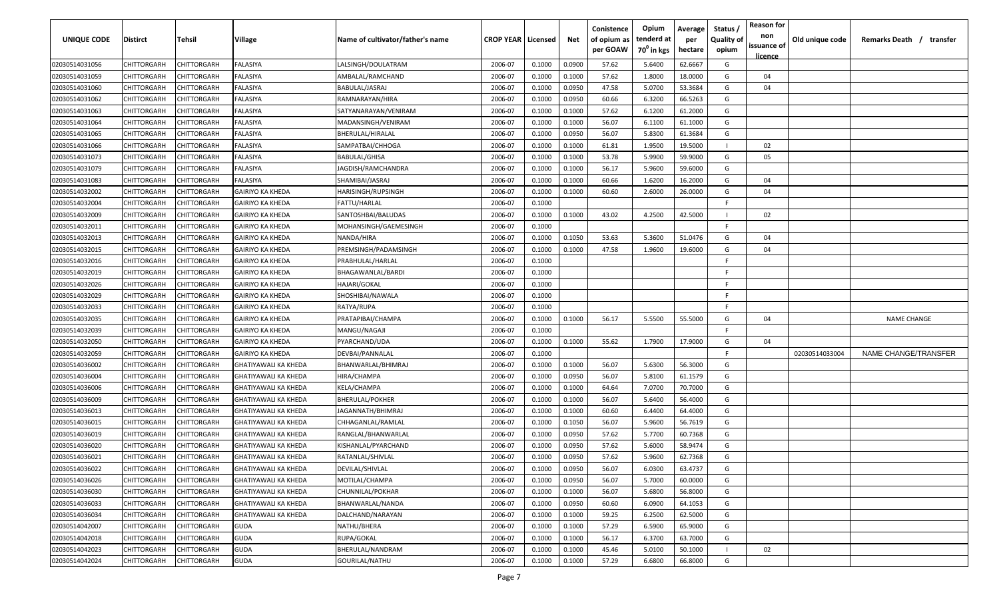| UNIQUE CODE                      | Distirct                   | Tehsil                     | Village                                                    | Name of cultivator/father's name        | <b>CROP YEAR   Licensed</b> |                  | Net              | Conistence<br>of opium as<br>per GOAW | Opium<br>tenderd at<br>70 <sup>0</sup> in kgs | Average<br>per<br>hectare | Status /<br><b>Quality of</b><br>opium | <b>Reason for</b><br>non<br>issuance of | Old unique code | Remarks Death / transfer |
|----------------------------------|----------------------------|----------------------------|------------------------------------------------------------|-----------------------------------------|-----------------------------|------------------|------------------|---------------------------------------|-----------------------------------------------|---------------------------|----------------------------------------|-----------------------------------------|-----------------|--------------------------|
|                                  |                            |                            |                                                            |                                         |                             | 0.1000           |                  |                                       | 5.6400                                        | 62.6667                   | G                                      | <u>licence</u>                          |                 |                          |
| 02030514031056<br>02030514031059 | CHITTORGARH                | CHITTORGARH                | FALASIYA                                                   | LALSINGH/DOULATRAM                      | 2006-07                     |                  | 0.0900<br>0.1000 | 57.62<br>57.62                        |                                               | 18.0000                   | G                                      | 04                                      |                 |                          |
| 02030514031060                   | CHITTORGARH<br>CHITTORGARH | CHITTORGARH<br>CHITTORGARH | FALASIYA<br>FALASIYA                                       | AMBALAL/RAMCHAND<br>BABULAL/JASRAJ      | 2006-07<br>2006-07          | 0.1000           |                  | 47.58                                 | 1.8000<br>5.0700                              | 53.3684                   | G                                      | 04                                      |                 |                          |
|                                  |                            |                            |                                                            |                                         |                             | 0.1000           | 0.0950           |                                       |                                               |                           | G                                      |                                         |                 |                          |
| 02030514031062                   | CHITTORGARH<br>CHITTORGARH | CHITTORGARH<br>CHITTORGARH | FALASIYA<br>FALASIYA                                       | RAMNARAYAN/HIRA<br>SATYANARAYAN/VENIRAM | 2006-07<br>2006-07          | 0.1000<br>0.1000 | 0.0950<br>0.1000 | 60.66<br>57.62                        | 6.3200<br>6.1200                              | 66.5263<br>61.2000        | G                                      |                                         |                 |                          |
| 02030514031063<br>02030514031064 | CHITTORGARH                | CHITTORGARH                | FALASIYA                                                   | MADANSINGH/VENIRAM                      | 2006-07                     | 0.1000           | 0.1000           | 56.07                                 | 6.1100                                        | 61.1000                   | G                                      |                                         |                 |                          |
| 02030514031065                   | CHITTORGARH                | CHITTORGARH                | FALASIYA                                                   | BHERULAL/HIRALAL                        | 2006-07                     | 0.1000           | 0.0950           | 56.07                                 | 5.8300                                        | 61.3684                   | G                                      |                                         |                 |                          |
| 02030514031066                   | CHITTORGARH                | CHITTORGARH                | FALASIYA                                                   | SAMPATBAI/CHHOGA                        | 2006-07                     | 0.1000           | 0.1000           | 61.81                                 | 1.9500                                        | 19.5000                   |                                        | 02                                      |                 |                          |
| 02030514031073                   | CHITTORGARH                | CHITTORGARH                | FALASIYA                                                   | <b>BABULAL/GHISA</b>                    | 2006-07                     | 0.1000           | 0.1000           | 53.78                                 | 5.9900                                        | 59.9000                   | G                                      | 05                                      |                 |                          |
| 02030514031079                   | CHITTORGARH                | CHITTORGARH                | FALASIYA                                                   | JAGDISH/RAMCHANDRA                      | 2006-07                     | 0.1000           | 0.1000           | 56.17                                 | 5.9600                                        | 59.6000                   | G                                      |                                         |                 |                          |
| 02030514031083                   | CHITTORGARH                | CHITTORGARH                | ALASIYA                                                    | SHAMIBAI/JASRAJ                         | 2006-07                     | 0.1000           | 0.1000           | 60.66                                 | 1.6200                                        | 16.2000                   | G                                      | 04                                      |                 |                          |
| 02030514032002                   | CHITTORGARH                | CHITTORGARH                | GAIRIYO KA KHEDA                                           | HARISINGH/RUPSINGH                      | 2006-07                     | 0.1000           | 0.1000           | 60.60                                 | 2.6000                                        | 26.0000                   | G                                      | 04                                      |                 |                          |
| 02030514032004                   | CHITTORGARH                | CHITTORGARH                | <b>GAIRIYO KA KHEDA</b>                                    | FATTU/HARLAL                            | 2006-07                     | 0.1000           |                  |                                       |                                               |                           | -F.                                    |                                         |                 |                          |
| 02030514032009                   | CHITTORGARH                | CHITTORGARH                | <b>GAIRIYO KA KHEDA</b>                                    | SANTOSHBAI/BALUDAS                      | 2006-07                     | 0.1000           | 0.1000           | 43.02                                 | 4.2500                                        | 42.5000                   |                                        | 02                                      |                 |                          |
| 02030514032011                   | CHITTORGARH                | CHITTORGARH                | <b>GAIRIYO KA KHEDA</b>                                    | MOHANSINGH/GAEMESINGH                   | 2006-07                     | 0.1000           |                  |                                       |                                               |                           | -F.                                    |                                         |                 |                          |
| 02030514032013                   | CHITTORGARH                | CHITTORGARH                | <b>GAIRIYO KA KHEDA</b>                                    | NANDA/HIRA                              | 2006-07                     | 0.1000           | 0.1050           | 53.63                                 | 5.3600                                        | 51.0476                   | G                                      | 04                                      |                 |                          |
|                                  | CHITTORGARH                | CHITTORGARH                |                                                            | PREMSINGH/PADAMSINGH                    | 2006-07                     | 0.1000           | 0.1000           | 47.58                                 | 1.9600                                        | 19.6000                   | G                                      | 04                                      |                 |                          |
| 02030514032015                   | CHITTORGARH                | CHITTORGARH                | <b>GAIRIYO KA KHEDA</b><br><b>GAIRIYO KA KHEDA</b>         |                                         | 2006-07                     | 0.1000           |                  |                                       |                                               |                           | F                                      |                                         |                 |                          |
| 02030514032016                   |                            |                            |                                                            | PRABHULAL/HARLAL                        |                             |                  |                  |                                       |                                               |                           | F.                                     |                                         |                 |                          |
| 02030514032019                   | CHITTORGARH<br>CHITTORGARH | CHITTORGARH                | <b>GAIRIYO KA KHEDA</b><br>GAIRIYO KA KHEDA                | BHAGAWANLAL/BARDI<br>HAJARI/GOKAL       | 2006-07<br>2006-07          | 0.1000           |                  |                                       |                                               |                           | E                                      |                                         |                 |                          |
| 02030514032026                   | CHITTORGARH                | CHITTORGARH                | <b>GAIRIYO KA KHEDA</b>                                    | SHOSHIBAI/NAWALA                        | 2006-07                     | 0.1000<br>0.1000 |                  |                                       |                                               |                           | -F.                                    |                                         |                 |                          |
| 02030514032029<br>02030514032033 | CHITTORGARH                | CHITTORGARH<br>CHITTORGARH | <b>GAIRIYO KA KHEDA</b>                                    | RATYA/RUPA                              | 2006-07                     | 0.1000           |                  |                                       |                                               |                           | -F.                                    |                                         |                 |                          |
| 02030514032035                   | CHITTORGARH                | CHITTORGARH                | GAIRIYO KA KHEDA                                           | PRATAPIBAI/CHAMPA                       | 2006-07                     | 0.1000           | 0.1000           | 56.17                                 | 5.5500                                        | 55.5000                   | G                                      | 04                                      |                 | <b>NAME CHANGE</b>       |
| 02030514032039                   | CHITTORGARH                | CHITTORGARH                | <b>GAIRIYO KA KHEDA</b>                                    | MANGU/NAGAJI                            | 2006-07                     | 0.1000           |                  |                                       |                                               |                           | -F.                                    |                                         |                 |                          |
| 02030514032050                   | CHITTORGARH                | CHITTORGARH                | <b>GAIRIYO KA KHEDA</b>                                    | PYARCHAND/UDA                           | 2006-07                     | 0.1000           | 0.1000           | 55.62                                 | 1.7900                                        | 17.9000                   | G                                      | 04                                      |                 |                          |
| 02030514032059                   |                            | CHITTORGARH                | <b>GAIRIYO KA KHEDA</b>                                    |                                         |                             | 0.1000           |                  |                                       |                                               |                           | -F.                                    |                                         |                 | NAME CHANGE/TRANSFER     |
|                                  | CHITTORGARH                |                            | GHATIYAWALI KA KHEDA                                       | DEVBAI/PANNALAL                         | 2006-07                     | 0.1000           | 0.1000           | 56.07                                 | 5.6300                                        | 56.3000                   | G                                      |                                         | 02030514033004  |                          |
| 02030514036002                   | CHITTORGARH                | CHITTORGARH                | GHATIYAWALI KA KHEDA                                       | BHANWARLAL/BHIMRAJ                      | 2006-07                     | 0.1000           | 0.0950           | 56.07                                 |                                               |                           | G                                      |                                         |                 |                          |
| 02030514036004                   | CHITTORGARH<br>CHITTORGARH | CHITTORGARH<br>CHITTORGARH |                                                            | HIRA/CHAMPA                             | 2006-07<br>2006-07          | 0.1000           | 0.1000           | 64.64                                 | 5.8100<br>7.0700                              | 61.1579<br>70.7000        | G                                      |                                         |                 |                          |
| 02030514036006                   |                            |                            | GHATIYAWALI KA KHEDA                                       | KELA/CHAMPA                             | 2006-07                     |                  | 0.1000           | 56.07                                 | 5.6400                                        | 56.4000                   | G                                      |                                         |                 |                          |
| 02030514036009                   | CHITTORGARH                | CHITTORGARH<br>CHITTORGARH | GHATIYAWALI KA KHEDA<br><b>GHATIYAWALI KA KHEDA</b>        | <b>BHERULAL/POKHER</b>                  | 2006-07                     | 0.1000<br>0.1000 | 0.1000           | 60.60                                 | 6.4400                                        | 64.4000                   | G                                      |                                         |                 |                          |
| 02030514036013<br>02030514036015 | CHITTORGARH<br>CHITTORGARH | CHITTORGARH                | <b>GHATIYAWALI KA KHEDA</b>                                | JAGANNATH/BHIMRAJ                       | 2006-07                     | 0.1000           | 0.1050           | 56.07                                 | 5.9600                                        | 56.7619                   | G                                      |                                         |                 |                          |
| 02030514036019                   | CHITTORGARH                | CHITTORGARH                |                                                            | CHHAGANLAL/RAMLAL<br>RANGLAL/BHANWARLAL | 2006-07                     | 0.1000           |                  | 57.62                                 | 5.7700                                        | 60.7368                   | G                                      |                                         |                 |                          |
|                                  |                            |                            | <b>GHATIYAWALI KA KHEDA</b><br><b>GHATIYAWALI KA KHEDA</b> |                                         | 2006-07                     | 0.1000           | 0.0950<br>0.0950 | 57.62                                 | 5.6000                                        | 58.9474                   | G                                      |                                         |                 |                          |
| 02030514036020                   | CHITTORGARH                | CHITTORGARH<br>CHITTORGARH | <b>GHATIYAWALI KA KHEDA</b>                                | KISHANLAL/PYARCHAND                     | 2006-07                     | 0.1000           | 0.0950           | 57.62                                 | 5.9600                                        | 62.7368                   | G                                      |                                         |                 |                          |
| 02030514036021<br>02030514036022 | CHITTORGARH                |                            |                                                            | RATANLAL/SHIVLAL                        |                             |                  |                  |                                       | 6.0300                                        | 63.4737                   |                                        |                                         |                 |                          |
|                                  | <b>CHITTORGARH</b>         | <b>CHITTORGARH</b>         | GHATIYAWALI KA KHEDA<br><b>GHATIYAWALI KA KHEDA</b>        | DEVILAL/SHIVLAL                         | 2006-07                     | 0.1000           | 0.0950<br>0.0950 | 56.07                                 |                                               |                           | G<br>G                                 |                                         |                 |                          |
| 02030514036026                   | CHITTORGARH                | CHITTORGARH                |                                                            | MOTILAL/CHAMPA                          | 2006-07                     | 0.1000           |                  | 56.07                                 | 5.7000                                        | 60.0000                   |                                        |                                         |                 |                          |
| 02030514036030                   | <b>CHITTORGARH</b>         | CHITTORGARH                | <b>GHATIYAWALI KA KHEDA</b>                                | CHUNNILAL/POKHAR                        | 2006-07                     | 0.1000           | 0.1000           | 56.07                                 | 5.6800                                        | 56.8000                   | G                                      |                                         |                 |                          |
| 02030514036033                   | <b>CHITTORGARH</b>         | CHITTORGARH                | <b>GHATIYAWALI KA KHEDA</b>                                | BHANWARLAL/NANDA                        | 2006-07                     | 0.1000           | 0.0950           | 60.60                                 | 6.0900                                        | 64.1053                   | G                                      |                                         |                 |                          |
| 02030514036034                   | CHITTORGARH                | CHITTORGARH                | <b>GHATIYAWALI KA KHEDA</b>                                | DALCHAND/NARAYAN                        | 2006-07                     | 0.1000           | 0.1000           | 59.25                                 | 6.2500                                        | 62.5000                   | G                                      |                                         |                 |                          |
| 02030514042007                   | CHITTORGARH                | CHITTORGARH                | <b>GUDA</b>                                                | NATHU/BHERA                             | 2006-07                     | 0.1000           | 0.1000           | 57.29                                 | 6.5900                                        | 65.9000                   | G                                      |                                         |                 |                          |
| 02030514042018                   | <b>CHITTORGARH</b>         | CHITTORGARH                | <b>GUDA</b>                                                | RUPA/GOKAL                              | 2006-07                     | 0.1000           | 0.1000           | 56.17                                 | 6.3700                                        | 63.7000                   | G                                      |                                         |                 |                          |
| 02030514042023                   | CHITTORGARH                | CHITTORGARH                | <b>GUDA</b>                                                | BHERULAL/NANDRAM                        | 2006-07                     | 0.1000           | 0.1000           | 45.46                                 | 5.0100                                        | 50.1000                   |                                        | 02                                      |                 |                          |
| 02030514042024                   | CHITTORGARH                | <b>CHITTORGARH</b>         | <b>GUDA</b>                                                | GOURILAL/NATHU                          | 2006-07                     | 0.1000           | 0.1000           | 57.29                                 | 6.6800                                        | 66.8000                   | G                                      |                                         |                 |                          |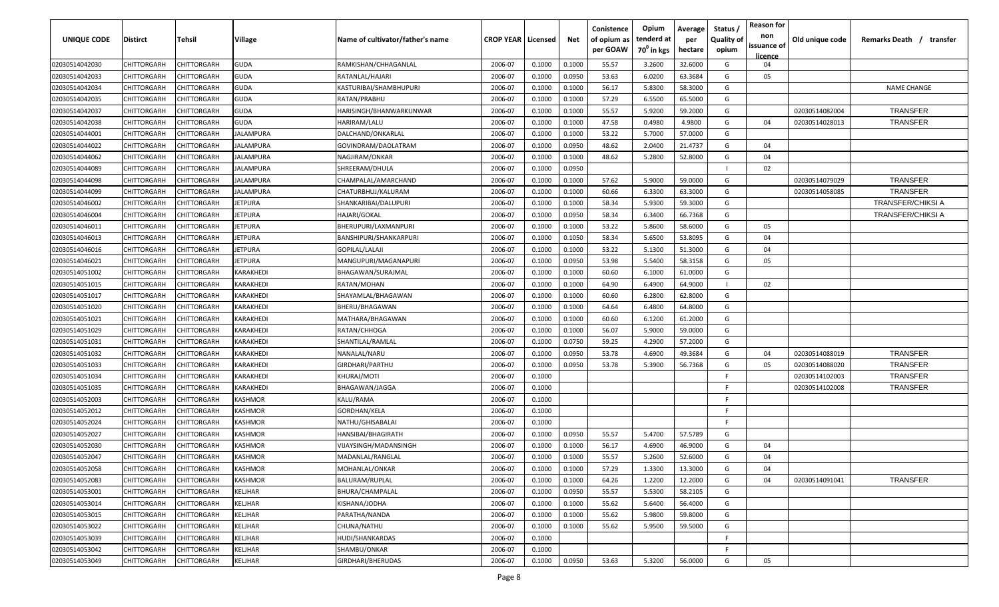| UNIQUE CODE    | Distirct           | Tehsil             | Village          | Name of cultivator/father's name | <b>CROP YEAR   Licensed</b> |        | Net    | Conistence<br>of opium as | Opium<br>tenderd at    | Average<br>per | Status /<br><b>Quality of</b> | <b>Reason for</b><br>non<br>issuance of | Old unique code | Remarks Death /<br>transfer |
|----------------|--------------------|--------------------|------------------|----------------------------------|-----------------------------|--------|--------|---------------------------|------------------------|----------------|-------------------------------|-----------------------------------------|-----------------|-----------------------------|
|                |                    |                    |                  |                                  |                             |        |        | per GOAW                  | 70 <sup>0</sup> in kgs | hectare        | opium                         | licence                                 |                 |                             |
| 02030514042030 | CHITTORGARH        | CHITTORGARH        | <b>GUDA</b>      | RAMKISHAN/CHHAGANLAL             | 2006-07                     | 0.1000 | 0.1000 | 55.57                     | 3.2600                 | 32.6000        | G                             | 04                                      |                 |                             |
| 02030514042033 | CHITTORGARH        | CHITTORGARH        | <b>GUDA</b>      | RATANLAL/HAJARI                  | 2006-07                     | 0.1000 | 0.0950 | 53.63                     | 6.0200                 | 63.3684        | G                             | 05                                      |                 |                             |
| 02030514042034 | CHITTORGARH        | CHITTORGARH        | <b>GUDA</b>      | KASTURIBAI/SHAMBHUPURI           | 2006-07                     | 0.1000 | 0.1000 | 56.17                     | 5.8300                 | 58.3000        | G                             |                                         |                 | <b>NAME CHANGE</b>          |
| 02030514042035 | CHITTORGARH        | CHITTORGARH        | <b>GUDA</b>      | RATAN/PRABHU                     | 2006-07                     | 0.1000 | 0.1000 | 57.29                     | 6.5500                 | 65.5000        | G                             |                                         |                 |                             |
| 02030514042037 | CHITTORGARH        | CHITTORGARH        | <b>GUDA</b>      | HARISINGH/BHANWARKUNWAR          | 2006-07                     | 0.1000 | 0.1000 | 55.57                     | 5.9200                 | 59.2000        | G                             |                                         | 02030514082004  | <b>TRANSFER</b>             |
| 02030514042038 | CHITTORGARH        | CHITTORGARH        | <b>GUDA</b>      | HARIRAM/LALU                     | 2006-07                     | 0.1000 | 0.1000 | 47.58                     | 0.4980                 | 4.9800         | G                             | 04                                      | 02030514028013  | TRANSFER                    |
| 02030514044001 | CHITTORGARH        | <b>CHITTORGARH</b> | <b>IALAMPURA</b> | DALCHAND/ONKARLAL                | 2006-07                     | 0.1000 | 0.1000 | 53.22                     | 5.7000                 | 57.0000        | G                             |                                         |                 |                             |
| 02030514044022 | CHITTORGARH        | CHITTORGARH        | <b>IALAMPURA</b> | GOVINDRAM/DAOLATRAM              | 2006-07                     | 0.1000 | 0.0950 | 48.62                     | 2.0400                 | 21.4737        | G                             | 04                                      |                 |                             |
| 02030514044062 | CHITTORGARH        | CHITTORGARH        | IALAMPURA        | NAGJIRAM/ONKAR                   | 2006-07                     | 0.1000 | 0.1000 | 48.62                     | 5.2800                 | 52.8000        | G                             | 04                                      |                 |                             |
| 02030514044089 | CHITTORGARH        | CHITTORGARH        | IALAMPURA        | SHREERAM/DHULA                   | 2006-07                     | 0.1000 | 0.0950 |                           |                        |                |                               | 02                                      |                 |                             |
| 02030514044098 | CHITTORGARH        | CHITTORGARH        | IALAMPURA        | CHAMPALAL/AMARCHAND              | 2006-07                     | 0.1000 | 0.1000 | 57.62                     | 5.9000                 | 59.0000        | G                             |                                         | 02030514079029  | <b>TRANSFER</b>             |
| 02030514044099 | CHITTORGARH        | CHITTORGARH        | IALAMPURA        | CHATURBHUJ/KALURAM               | 2006-07                     | 0.1000 | 0.1000 | 60.66                     | 6.3300                 | 63.3000        | G                             |                                         | 02030514058085  | <b>TRANSFER</b>             |
| 02030514046002 | CHITTORGARH        | CHITTORGARH        | <b>IETPURA</b>   | SHANKARIBAI/DALUPURI             | 2006-07                     | 0.1000 | 0.1000 | 58.34                     | 5.9300                 | 59.3000        | G                             |                                         |                 | TRANSFER/CHIKSI A           |
| 02030514046004 | CHITTORGARH        | CHITTORGARH        | JETPURA          | HAJARI/GOKAL                     | 2006-07                     | 0.1000 | 0.0950 | 58.34                     | 6.3400                 | 66.7368        | G                             |                                         |                 | <b>TRANSFER/CHIKSI A</b>    |
| 02030514046011 | CHITTORGARH        | CHITTORGARH        | JETPURA          | BHERUPURI/LAXMANPURI             | 2006-07                     | 0.1000 | 0.1000 | 53.22                     | 5.8600                 | 58.6000        | G                             | 05                                      |                 |                             |
| 02030514046013 | CHITTORGARH        | CHITTORGARH        | <b>JETPURA</b>   | BANSHIPURI/SHANKARPURI           | 2006-07                     | 0.1000 | 0.1050 | 58.34                     | 5.6500                 | 53.8095        | G                             | 04                                      |                 |                             |
| 02030514046016 | CHITTORGARH        | CHITTORGARH        | JETPURA          | GOPILAL/LALAJI                   | 2006-07                     | 0.1000 | 0.1000 | 53.22                     | 5.1300                 | 51.3000        | G                             | 04                                      |                 |                             |
| 02030514046021 | CHITTORGARH        | CHITTORGARH        | JETPURA          | MANGUPURI/MAGANAPURI             | 2006-07                     | 0.1000 | 0.0950 | 53.98                     | 5.5400                 | 58.3158        | G                             | 05                                      |                 |                             |
| 02030514051002 | CHITTORGARH        | CHITTORGARH        | KARAKHEDI        | BHAGAWAN/SURAJMAL                | 2006-07                     | 0.1000 | 0.1000 | 60.60                     | 6.1000                 | 61.0000        | G                             |                                         |                 |                             |
| 02030514051015 | CHITTORGARH        | CHITTORGARH        | KARAKHEDI        | RATAN/MOHAN                      | 2006-07                     | 0.1000 | 0.1000 | 64.90                     | 6.4900                 | 64.9000        |                               | 02                                      |                 |                             |
| 02030514051017 | CHITTORGARH        | CHITTORGARH        | KARAKHEDI        | SHAYAMLAL/BHAGAWAN               | 2006-07                     | 0.1000 | 0.1000 | 60.60                     | 6.2800                 | 62.8000        | G                             |                                         |                 |                             |
| 02030514051020 | CHITTORGARH        | CHITTORGARH        | KARAKHEDI        | BHERU/BHAGAWAN                   | 2006-07                     | 0.1000 | 0.1000 | 64.64                     | 6.4800                 | 64.8000        | G                             |                                         |                 |                             |
| 02030514051021 | CHITTORGARH        | CHITTORGARH        | KARAKHEDI        | MATHARA/BHAGAWAN                 | 2006-07                     | 0.1000 | 0.1000 | 60.60                     | 6.1200                 | 61.2000        | G                             |                                         |                 |                             |
| 02030514051029 | CHITTORGARH        | CHITTORGARH        | KARAKHEDI        | RATAN/CHHOGA                     | 2006-07                     | 0.1000 | 0.1000 | 56.07                     | 5.9000                 | 59.0000        | G                             |                                         |                 |                             |
| 02030514051031 | CHITTORGARH        | CHITTORGARH        | KARAKHEDI        | SHANTILAL/RAMLAL                 | 2006-07                     | 0.1000 | 0.0750 | 59.25                     | 4.2900                 | 57.2000        | G                             |                                         |                 |                             |
| 02030514051032 | CHITTORGARH        | CHITTORGARH        | KARAKHEDI        | NANALAL/NARU                     | 2006-07                     | 0.1000 | 0.0950 | 53.78                     | 4.6900                 | 49.3684        | G                             | 04                                      | 02030514088019  | <b>TRANSFER</b>             |
| 02030514051033 | CHITTORGARH        | CHITTORGARH        | KARAKHEDI        | GIRDHARI/PARTHU                  | 2006-07                     | 0.1000 | 0.0950 | 53.78                     | 5.3900                 | 56.7368        | G                             | 05                                      | 02030514088020  | <b>TRANSFER</b>             |
| 02030514051034 | CHITTORGARH        | CHITTORGARH        | KARAKHEDI        | KHURAJ/MOTI                      | 2006-07                     | 0.1000 |        |                           |                        |                | -F.                           |                                         | 02030514102003  | <b>TRANSFER</b>             |
| 02030514051035 | CHITTORGARH        | CHITTORGARH        | KARAKHEDI        | BHAGAWAN/JAGGA                   | 2006-07                     | 0.1000 |        |                           |                        |                | F.                            |                                         | 02030514102008  | <b>TRANSFER</b>             |
| 02030514052003 | CHITTORGARH        | CHITTORGARH        | KASHMOR          | KALU/RAMA                        | 2006-07                     | 0.1000 |        |                           |                        |                | -F.                           |                                         |                 |                             |
| 02030514052012 | CHITTORGARH        | CHITTORGARH        | KASHMOR          | GORDHAN/KELA                     | 2006-07                     | 0.1000 |        |                           |                        |                | -F.                           |                                         |                 |                             |
| 02030514052024 | CHITTORGARH        | CHITTORGARH        | KASHMOR          | NATHU/GHISABALAI                 | 2006-07                     | 0.1000 |        |                           |                        |                | -F.                           |                                         |                 |                             |
| 02030514052027 | CHITTORGARH        | CHITTORGARH        | KASHMOR          | HANSIBAI/BHAGIRATH               | 2006-07                     | 0.1000 | 0.0950 | 55.57                     | 5.4700                 | 57.5789        | G                             |                                         |                 |                             |
| 02030514052030 | CHITTORGARH        | CHITTORGARH        | KASHMOR          | VIJAYSINGH/MADANSINGH            | 2006-07                     | 0.1000 | 0.1000 | 56.17                     | 4.6900                 | 46.9000        | G                             | 04                                      |                 |                             |
| 02030514052047 | CHITTORGARH        | CHITTORGARH        | KASHMOR          | MADANLAL/RANGLAL                 | 2006-07                     | 0.1000 | 0.1000 | 55.57                     | 5.2600                 | 52.6000        | G                             | 04                                      |                 |                             |
| 02030514052058 | <b>CHITTORGARH</b> | CHITTORGARH        | <b>KASHMOR</b>   | MOHANLAL/ONKAR                   | 2006-07                     | 0.1000 | 0.1000 | 57.29                     | 1.3300                 | 13.3000        | G                             | 04                                      |                 |                             |
| 02030514052083 | CHITTORGARH        | CHITTORGARH        | KASHMOR          | <b>BALURAM/RUPLAL</b>            | 2006-07                     | 0.1000 | 0.1000 | 64.26                     | 1.2200                 | 12.2000        | G                             | 04                                      | 02030514091041  | <b>TRANSFER</b>             |
| 02030514053001 | <b>CHITTORGARH</b> | CHITTORGARH        | KELJHAR          | BHURA/CHAMPALAL                  | 2006-07                     | 0.1000 | 0.0950 | 55.57                     | 5.5300                 | 58.2105        | G                             |                                         |                 |                             |
| 02030514053014 | <b>CHITTORGARH</b> | CHITTORGARH        | KELJHAR          | KISHANA/JODHA                    | 2006-07                     | 0.1000 | 0.1000 | 55.62                     | 5.6400                 | 56.4000        | G                             |                                         |                 |                             |
| 02030514053015 | CHITTORGARH        | CHITTORGARH        | KELJHAR          | PARATHA/NANDA                    | 2006-07                     | 0.1000 | 0.1000 | 55.62                     | 5.9800                 | 59.8000        | G                             |                                         |                 |                             |
| 02030514053022 | CHITTORGARH        | CHITTORGARH        | KELJHAR          | CHUNA/NATHU                      | 2006-07                     | 0.1000 | 0.1000 | 55.62                     | 5.9500                 | 59.5000        | G                             |                                         |                 |                             |
| 02030514053039 | CHITTORGARH        | CHITTORGARH        | KELJHAR          | HUDI/SHANKARDAS                  | 2006-07                     | 0.1000 |        |                           |                        |                | F.                            |                                         |                 |                             |
| 02030514053042 | CHITTORGARH        | CHITTORGARH        | KELJHAR          | SHAMBU/ONKAR                     | 2006-07                     | 0.1000 |        |                           |                        |                | -F.                           |                                         |                 |                             |
| 02030514053049 | <b>CHITTORGARH</b> | CHITTORGARH        | KELJHAR          | GIRDHARI/BHERUDAS                | 2006-07                     | 0.1000 | 0.0950 | 53.63                     | 5.3200                 | 56.0000        | G                             | 05                                      |                 |                             |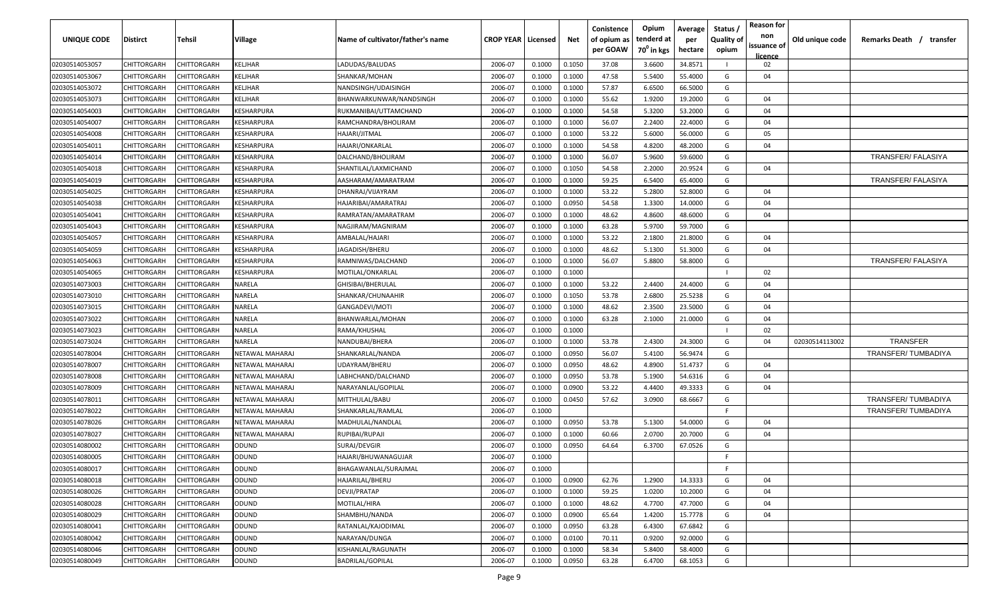| <b>UNIQUE CODE</b> | Distirct           | Tehsil      | Village         | Name of cultivator/father's name | <b>CROP YEAR   Licensed</b> |        | Net    | Conistence<br>of opium as | Opium<br>tenderd at    | Average<br>per | Status /<br><b>Quality of</b> | <b>Reason for</b><br>non<br>issuance of | Old unique code | Remarks Death /<br>transfer |
|--------------------|--------------------|-------------|-----------------|----------------------------------|-----------------------------|--------|--------|---------------------------|------------------------|----------------|-------------------------------|-----------------------------------------|-----------------|-----------------------------|
|                    |                    |             |                 |                                  |                             |        |        | per GOAW                  | 70 <sup>0</sup> in kgs | hectare        | opium                         | licence                                 |                 |                             |
| 02030514053057     | CHITTORGARH        | CHITTORGARH | KELJHAR         | LADUDAS/BALUDAS                  | 2006-07                     | 0.1000 | 0.1050 | 37.08                     | 3.6600                 | 34.8571        |                               | 02                                      |                 |                             |
| 02030514053067     | CHITTORGARH        | CHITTORGARH | KELJHAR         | SHANKAR/MOHAN                    | 2006-07                     | 0.1000 | 0.1000 | 47.58                     | 5.5400                 | 55.4000        | G                             | 04                                      |                 |                             |
| 02030514053072     | CHITTORGARH        | CHITTORGARH | KELJHAR         | NANDSINGH/UDAISINGH              | 2006-07                     | 0.1000 | 0.1000 | 57.87                     | 6.6500                 | 66.5000        | G                             |                                         |                 |                             |
| 02030514053073     | CHITTORGARH        | CHITTORGARH | KELJHAR         | BHANWARKUNWAR/NANDSINGH          | 2006-07                     | 0.1000 | 0.1000 | 55.62                     | 1.9200                 | 19.2000        | G                             | 04                                      |                 |                             |
| 02030514054003     | CHITTORGARH        | CHITTORGARH | KESHARPURA      | RUKMANIBAI/UTTAMCHAND            | 2006-07                     | 0.1000 | 0.1000 | 54.58                     | 5.3200                 | 53.2000        | G                             | 04                                      |                 |                             |
| 02030514054007     | CHITTORGARH        | CHITTORGARH | KESHARPURA      | RAMCHANDRA/BHOLIRAM              | 2006-07                     | 0.1000 | 0.1000 | 56.07                     | 2.2400                 | 22.4000        | G                             | 04                                      |                 |                             |
| 02030514054008     | CHITTORGARH        | CHITTORGARH | KESHARPURA      | HAJARI/JITMAL                    | 2006-07                     | 0.1000 | 0.1000 | 53.22                     | 5.6000                 | 56.0000        | G                             | 05                                      |                 |                             |
| 02030514054011     | CHITTORGARH        | CHITTORGARH | KESHARPURA      | HAJARI/ONKARLAL                  | 2006-07                     | 0.1000 | 0.1000 | 54.58                     | 4.8200                 | 48.2000        | G                             | 04                                      |                 |                             |
| 02030514054014     | CHITTORGARH        | CHITTORGARH | KESHARPURA      | DALCHAND/BHOLIRAM                | 2006-07                     | 0.1000 | 0.1000 | 56.07                     | 5.9600                 | 59.6000        | G                             |                                         |                 | TRANSFER/FALASIYA           |
| 02030514054018     | CHITTORGARH        | CHITTORGARH | KESHARPURA      | SHANTILAL/LAXMICHAND             | 2006-07                     | 0.1000 | 0.1050 | 54.58                     | 2.2000                 | 20.9524        | G                             | 04                                      |                 |                             |
| 02030514054019     | CHITTORGARH        | CHITTORGARH | KESHARPURA      | AASHARAM/AMARATRAM               | 2006-07                     | 0.1000 | 0.1000 | 59.25                     | 6.5400                 | 65.4000        | G                             |                                         |                 | TRANSFER/FALASIYA           |
| 02030514054025     | CHITTORGARH        | CHITTORGARH | KESHARPURA      | DHANRAJ/VIJAYRAM                 | 2006-07                     | 0.1000 | 0.1000 | 53.22                     | 5.2800                 | 52.8000        | G                             | 04                                      |                 |                             |
| 02030514054038     | CHITTORGARH        | CHITTORGARH | KESHARPURA      | HAJARIBAI/AMARATRAJ              | 2006-07                     | 0.1000 | 0.0950 | 54.58                     | 1.3300                 | 14.0000        | G                             | 04                                      |                 |                             |
| 02030514054041     | CHITTORGARH        | CHITTORGARH | KESHARPURA      | RAMRATAN/AMARATRAM               | 2006-07                     | 0.1000 | 0.1000 | 48.62                     | 4.8600                 | 48.6000        | G                             | 04                                      |                 |                             |
| 02030514054043     | CHITTORGARH        | CHITTORGARH | KESHARPURA      | NAGJIRAM/MAGNIRAM                | 2006-07                     | 0.1000 | 0.1000 | 63.28                     | 5.9700                 | 59.7000        | G                             |                                         |                 |                             |
| 02030514054057     | CHITTORGARH        | CHITTORGARH | KESHARPURA      | AMBALAL/HAJARI                   | 2006-07                     | 0.1000 | 0.1000 | 53.22                     | 2.1800                 | 21.8000        | G                             | 04                                      |                 |                             |
| 02030514054059     | CHITTORGARH        | CHITTORGARH | KESHARPURA      | JAGADISH/BHERU                   | 2006-07                     | 0.1000 | 0.1000 | 48.62                     | 5.1300                 | 51.3000        | G                             | 04                                      |                 |                             |
| 02030514054063     | CHITTORGARH        | CHITTORGARH | KESHARPURA      | RAMNIWAS/DALCHAND                | 2006-07                     | 0.1000 | 0.1000 | 56.07                     | 5.8800                 | 58.8000        | G                             |                                         |                 | TRANSFER/ FALASIYA          |
| 02030514054065     | CHITTORGARH        | CHITTORGARH | KESHARPURA      | MOTILAL/ONKARLAL                 | 2006-07                     | 0.1000 | 0.1000 |                           |                        |                |                               | 02                                      |                 |                             |
| 02030514073003     | CHITTORGARH        | CHITTORGARH | NARELA          | GHISIBAI/BHERULAL                | 2006-07                     | 0.1000 | 0.1000 | 53.22                     | 2.4400                 | 24.4000        | G                             | 04                                      |                 |                             |
| 02030514073010     | CHITTORGARH        | CHITTORGARH | NARELA          | SHANKAR/CHUNAAHIR                | 2006-07                     | 0.1000 | 0.1050 | 53.78                     | 2.6800                 | 25.5238        | G                             | 04                                      |                 |                             |
| 02030514073015     | CHITTORGARH        | CHITTORGARH | NARELA          | GANGADEVI/MOTI                   | 2006-07                     | 0.1000 | 0.1000 | 48.62                     | 2.3500                 | 23.5000        | G                             | 04                                      |                 |                             |
| 02030514073022     | CHITTORGARH        | CHITTORGARH | NARELA          | BHANWARLAL/MOHAN                 | 2006-07                     | 0.1000 | 0.1000 | 63.28                     | 2.1000                 | 21.0000        | G                             | 04                                      |                 |                             |
| 02030514073023     | CHITTORGARH        | CHITTORGARH | NARELA          | RAMA/KHUSHAL                     | 2006-07                     | 0.1000 | 0.1000 |                           |                        |                |                               | 02                                      |                 |                             |
| 02030514073024     | CHITTORGARH        | CHITTORGARH | NARELA          | NANDUBAI/BHERA                   | 2006-07                     | 0.1000 | 0.1000 | 53.78                     | 2.4300                 | 24.3000        | G                             | 04                                      | 02030514113002  | <b>TRANSFER</b>             |
| 02030514078004     | CHITTORGARH        | CHITTORGARH | NETAWAL MAHARAJ | SHANKARLAL/NANDA                 | 2006-07                     | 0.1000 | 0.0950 | 56.07                     | 5.4100                 | 56.9474        | G                             |                                         |                 | TRANSFER/TUMBADIYA          |
| 02030514078007     | CHITTORGARH        | CHITTORGARH | NETAWAL MAHARAJ | UDAYRAM/BHERU                    | 2006-07                     | 0.1000 | 0.0950 | 48.62                     | 4.8900                 | 51.4737        | G                             | 04                                      |                 |                             |
| 02030514078008     | CHITTORGARH        | CHITTORGARH | NETAWAL MAHARAJ | LABHCHAND/DALCHAND               | 2006-07                     | 0.1000 | 0.0950 | 53.78                     | 5.1900                 | 54.6316        | G                             | 04                                      |                 |                             |
| 02030514078009     | CHITTORGARH        | CHITTORGARH | NETAWAL MAHARAJ | NARAYANLAL/GOPILAL               | 2006-07                     | 0.1000 | 0.0900 | 53.22                     | 4.4400                 | 49.3333        | G                             | 04                                      |                 |                             |
| 02030514078011     | CHITTORGARH        | CHITTORGARH | NETAWAL MAHARAJ | MITTHULAL/BABU                   | 2006-07                     | 0.1000 | 0.0450 | 57.62                     | 3.0900                 | 68.6667        | G                             |                                         |                 | TRANSFER/TUMBADIYA          |
| 02030514078022     | CHITTORGARH        | CHITTORGARH | NETAWAL MAHARAJ | SHANKARLAL/RAMLAL                | 2006-07                     | 0.1000 |        |                           |                        |                | -F.                           |                                         |                 | TRANSFER/TUMBADIYA          |
| 02030514078026     | CHITTORGARH        | CHITTORGARH | NETAWAL MAHARAJ | MADHULAL/NANDLAL                 | 2006-07                     | 0.1000 | 0.0950 | 53.78                     | 5.1300                 | 54.0000        | G                             | 04                                      |                 |                             |
| 02030514078027     | CHITTORGARH        | CHITTORGARH | NETAWAL MAHARAJ | RUPIBAI/RUPAJI                   | 2006-07                     | 0.1000 | 0.1000 | 60.66                     | 2.0700                 | 20.7000        | G                             | 04                                      |                 |                             |
| 02030514080002     | CHITTORGARH        | CHITTORGARH | ODUND           | SURAJ/DEVGIR                     | 2006-07                     | 0.1000 | 0.0950 | 64.64                     | 6.3700                 | 67.0526        | G                             |                                         |                 |                             |
| 02030514080005     | CHITTORGARH        | CHITTORGARH | ODUND           | HAJARI/BHUWANAGUJAR              | 2006-07                     | 0.1000 |        |                           |                        |                | F                             |                                         |                 |                             |
| 02030514080017     | <b>CHITTORGARH</b> | CHITTORGARH | <b>ODUND</b>    | BHAGAWANLAL/SURAJMAL             | 2006-07                     | 0.1000 |        |                           |                        |                | -F.                           |                                         |                 |                             |
| 02030514080018     | <b>CHITTORGARH</b> | CHITTORGARH | ODUND           | HAJARILAL/BHERU                  | 2006-07                     | 0.1000 | 0.0900 | 62.76                     | 1.2900                 | 14.3333        | G                             | 04                                      |                 |                             |
| 02030514080026     | <b>CHITTORGARH</b> | CHITTORGARH | ODUND           | DEVJI/PRATAP                     | 2006-07                     | 0.1000 | 0.1000 | 59.25                     | 1.0200                 | 10.2000        | G                             | 04                                      |                 |                             |
| 02030514080028     | <b>CHITTORGARH</b> | CHITTORGARH | ODUND           | MOTILAL/HIRA                     | 2006-07                     | 0.1000 | 0.1000 | 48.62                     | 4.7700                 | 47.7000        | G                             | 04                                      |                 |                             |
| 02030514080029     | CHITTORGARH        | CHITTORGARH | ODUND           | SHAMBHU/NANDA                    | 2006-07                     | 0.1000 | 0.0900 | 65.64                     | 1.4200                 | 15.7778        | G                             | 04                                      |                 |                             |
| 02030514080041     | CHITTORGARH        | CHITTORGARH | ODUND           | RATANLAL/KAJODIMAL               | 2006-07                     | 0.1000 | 0.0950 | 63.28                     | 6.4300                 | 67.6842        | G                             |                                         |                 |                             |
| 02030514080042     | CHITTORGARH        | CHITTORGARH | ODUND           | NARAYAN/DUNGA                    | 2006-07                     | 0.1000 | 0.0100 | 70.11                     | 0.9200                 | 92.0000        | G                             |                                         |                 |                             |
| 02030514080046     | CHITTORGARH        | CHITTORGARH | ODUND           | KISHANLAL/RAGUNATH               | 2006-07                     | 0.1000 | 0.1000 | 58.34                     | 5.8400                 | 58.4000        | G                             |                                         |                 |                             |
| 02030514080049     | <b>CHITTORGARH</b> | CHITTORGARH | <b>ODUND</b>    | <b>BADRILAL/GOPILAL</b>          | 2006-07                     | 0.1000 | 0.0950 | 63.28                     | 6.4700                 | 68.1053        | G                             |                                         |                 |                             |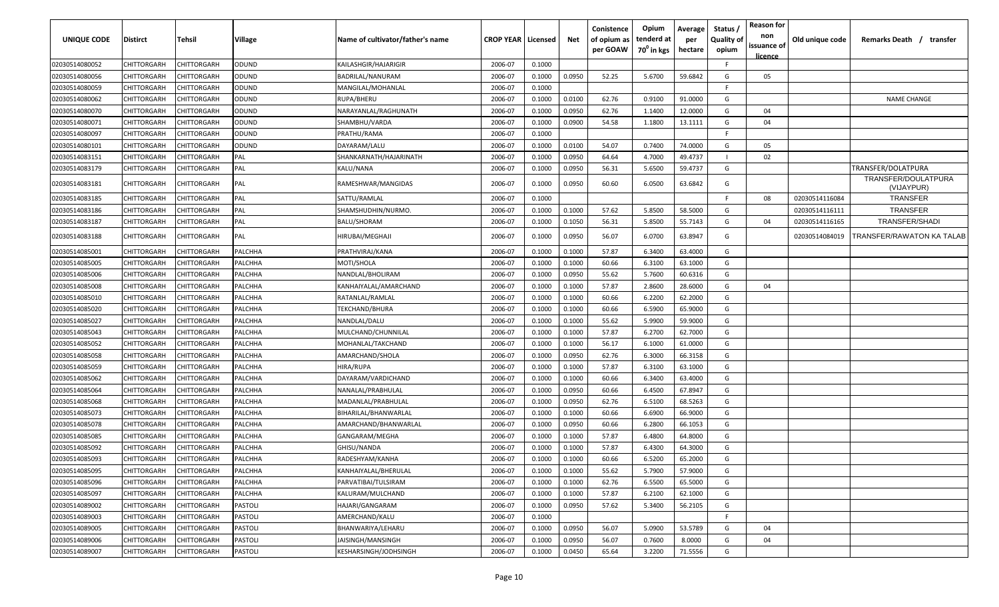| UNIQUE CODE    | <b>Distirct</b>    | Tehsil             | Village        | Name of cultivator/father's name | <b>CROP YEAR   Licensed</b> |        | Net    | Conistence<br>of opium as<br>per GOAW | Opium<br>tenderd at<br>70 <sup>0</sup> in kgs | Average<br>per<br>hectare | Status /<br><b>Quality of</b><br>opium | <b>Reason for</b><br>non<br>issuance of<br>licence | Old unique code | Remarks Death /<br>transfer       |
|----------------|--------------------|--------------------|----------------|----------------------------------|-----------------------------|--------|--------|---------------------------------------|-----------------------------------------------|---------------------------|----------------------------------------|----------------------------------------------------|-----------------|-----------------------------------|
| 02030514080052 | CHITTORGARH        | CHITTORGARH        | ODUND          | KAILASHGIR/HAJARIGIR             | 2006-07                     | 0.1000 |        |                                       |                                               |                           | E                                      |                                                    |                 |                                   |
| 02030514080056 | CHITTORGARH        | CHITTORGARH        | ODUND          | BADRILAL/NANURAM                 | 2006-07                     | 0.1000 | 0.0950 | 52.25                                 | 5.6700                                        | 59.6842                   | G                                      | 05                                                 |                 |                                   |
| 02030514080059 | CHITTORGARH        | CHITTORGARH        | ODUND          | MANGILAL/MOHANLAL                | 2006-07                     | 0.1000 |        |                                       |                                               |                           | F.                                     |                                                    |                 |                                   |
| 02030514080062 | CHITTORGARH        | CHITTORGARH        | ODUND          | RUPA/BHERU                       | 2006-07                     | 0.1000 | 0.0100 | 62.76                                 | 0.9100                                        | 91.0000                   | G                                      |                                                    |                 | <b>NAME CHANGE</b>                |
| 02030514080070 | CHITTORGARH        | CHITTORGARH        | ODUND          | NARAYANLAL/RAGHUNATH             | 2006-07                     | 0.1000 | 0.0950 | 62.76                                 | 1.1400                                        | 12.0000                   | G                                      | 04                                                 |                 |                                   |
| 02030514080071 | CHITTORGARH        | CHITTORGARH        | ODUND          | SHAMBHU/VARDA                    | 2006-07                     | 0.1000 | 0.0900 | 54.58                                 | 1.1800                                        | 13.1111                   | G                                      | 04                                                 |                 |                                   |
| 02030514080097 | CHITTORGARH        | CHITTORGARH        | ODUND          | PRATHU/RAMA                      | 2006-07                     | 0.1000 |        |                                       |                                               |                           | F.                                     |                                                    |                 |                                   |
| 02030514080101 | CHITTORGARH        | CHITTORGARH        | ODUND          | DAYARAM/LALU                     | 2006-07                     | 0.1000 | 0.0100 | 54.07                                 | 0.7400                                        | 74.0000                   | G                                      | 05                                                 |                 |                                   |
| 02030514083151 | CHITTORGARH        | CHITTORGARH        | PAL            | SHANKARNATH/HAJARINATH           | 2006-07                     | 0.1000 | 0.0950 | 64.64                                 | 4.7000                                        | 49.4737                   |                                        | 02                                                 |                 |                                   |
| 02030514083179 | CHITTORGARH        | CHITTORGARH        | PAL            | KALU/NANA                        | 2006-07                     | 0.1000 | 0.0950 | 56.31                                 | 5.6500                                        | 59.4737                   | G                                      |                                                    |                 | TRANSFER/DOLATPURA                |
| 02030514083181 | CHITTORGARH        | CHITTORGARH        | PAL            | RAMESHWAR/MANGIDAS               | 2006-07                     | 0.1000 | 0.0950 | 60.60                                 | 6.0500                                        | 63.6842                   | G                                      |                                                    |                 | TRANSFER/DOULATPURA<br>(VIJAYPUR) |
| 02030514083185 | CHITTORGARH        | CHITTORGARH        | PAL            | SATTU/RAMLAL                     | 2006-07                     | 0.1000 |        |                                       |                                               |                           | F.                                     | 08                                                 | 02030514116084  | <b>TRANSFER</b>                   |
| 02030514083186 | CHITTORGARH        | CHITTORGARH        | PAL            | SHAMSHUDHIN/NURMO.               | 2006-07                     | 0.1000 | 0.1000 | 57.62                                 | 5.8500                                        | 58.5000                   | G                                      |                                                    | 02030514116111  | <b>TRANSFER</b>                   |
| 02030514083187 | CHITTORGARH        | CHITTORGARH        | PAL            | BALU/SHORAM                      | 2006-07                     | 0.1000 | 0.1050 | 56.31                                 | 5.8500                                        | 55.7143                   | G                                      | 04                                                 | 02030514116165  | TRANSFER/SHADI                    |
| 02030514083188 | CHITTORGARH        | CHITTORGARH        | PAL            | HIRUBAI/MEGHAJI                  | 2006-07                     | 0.1000 | 0.0950 | 56.07                                 | 6.0700                                        | 63.8947                   | G                                      |                                                    | 02030514084019  | TRANSFER/RAWATON KA TALAB         |
| 02030514085001 | CHITTORGARH        | CHITTORGARH        | PALCHHA        | PRATHVIRAJ/KANA                  | 2006-07                     | 0.1000 | 0.1000 | 57.87                                 | 6.3400                                        | 63.4000                   | G                                      |                                                    |                 |                                   |
| 02030514085005 | CHITTORGARH        | CHITTORGARH        | PALCHHA        | MOTI/SHOLA                       | 2006-07                     | 0.1000 | 0.1000 | 60.66                                 | 6.3100                                        | 63.1000                   | G                                      |                                                    |                 |                                   |
| 02030514085006 | CHITTORGARH        | CHITTORGARH        | PALCHHA        | NANDLAL/BHOLIRAM                 | 2006-07                     | 0.1000 | 0.0950 | 55.62                                 | 5.7600                                        | 60.6316                   | G                                      |                                                    |                 |                                   |
| 02030514085008 | <b>CHITTORGARH</b> | CHITTORGARH        | PALCHHA        | KANHAIYALAL/AMARCHAND            | 2006-07                     | 0.1000 | 0.1000 | 57.87                                 | 2.8600                                        | 28.6000                   | G                                      | 04                                                 |                 |                                   |
| 02030514085010 | CHITTORGARH        | CHITTORGARF        | PALCHHA        | RATANLAL/RAMLAL                  | 2006-07                     | 0.1000 | 0.1000 | 60.66                                 | 6.2200                                        | 62.2000                   | G                                      |                                                    |                 |                                   |
| 02030514085020 | CHITTORGARH        | CHITTORGARH        | <b>PALCHHA</b> | TEKCHAND/BHURA                   | 2006-07                     | 0.1000 | 0.1000 | 60.66                                 | 6.5900                                        | 65.9000                   | G                                      |                                                    |                 |                                   |
| 02030514085027 | CHITTORGARH        | CHITTORGARH        | PALCHHA        | NANDLAL/DALU                     | 2006-07                     | 0.1000 | 0.1000 | 55.62                                 | 5.9900                                        | 59.9000                   | G                                      |                                                    |                 |                                   |
| 02030514085043 | CHITTORGARH        | CHITTORGARH        | PALCHHA        | MULCHAND/CHUNNILAL               | 2006-07                     | 0.1000 | 0.1000 | 57.87                                 | 6.2700                                        | 62.7000                   | G                                      |                                                    |                 |                                   |
| 02030514085052 | CHITTORGARH        | CHITTORGARH        | PALCHHA        | MOHANLAL/TAKCHAND                | 2006-07                     | 0.1000 | 0.1000 | 56.17                                 | 6.1000                                        | 61.0000                   | G                                      |                                                    |                 |                                   |
| 02030514085058 | CHITTORGARH        | CHITTORGARH        | PALCHHA        | AMARCHAND/SHOLA                  | 2006-07                     | 0.1000 | 0.0950 | 62.76                                 | 6.3000                                        | 66.3158                   | G                                      |                                                    |                 |                                   |
| 02030514085059 | CHITTORGARH        | CHITTORGARH        | PALCHHA        | HIRA/RUPA                        | 2006-07                     | 0.1000 | 0.1000 | 57.87                                 | 6.3100                                        | 63.1000                   | G                                      |                                                    |                 |                                   |
| 02030514085062 | CHITTORGARH        | CHITTORGARH        | PALCHHA        | DAYARAM/VARDICHAND               | 2006-07                     | 0.1000 | 0.1000 | 60.66                                 | 6.3400                                        | 63.4000                   | G                                      |                                                    |                 |                                   |
| 02030514085064 | CHITTORGARH        | CHITTORGARH        | PALCHHA        | NANALAL/PRABHULAL                | 2006-07                     | 0.1000 | 0.0950 | 60.66                                 | 6.4500                                        | 67.8947                   | G                                      |                                                    |                 |                                   |
| 02030514085068 | CHITTORGARH        | <b>CHITTORGARF</b> | PALCHHA        | MADANLAL/PRABHULAL               | 2006-07                     | 0.1000 | 0.0950 | 62.76                                 | 6.5100                                        | 68.5263                   | G                                      |                                                    |                 |                                   |
| 02030514085073 | CHITTORGARH        | CHITTORGARH        | <b>PALCHHA</b> | BIHARILAL/BHANWARLAL             | 2006-07                     | 0.1000 | 0.1000 | 60.66                                 | 6.6900                                        | 66.9000                   | G                                      |                                                    |                 |                                   |
| 02030514085078 | CHITTORGARH        | CHITTORGARH        | PALCHHA        | AMARCHAND/BHANWARLAL             | 2006-07                     | 0.1000 | 0.0950 | 60.66                                 | 6.2800                                        | 66.1053                   | G                                      |                                                    |                 |                                   |
| 02030514085085 | CHITTORGARH        | CHITTORGARH        | PALCHHA        | GANGARAM/MEGHA                   | 2006-07                     | 0.1000 | 0.1000 | 57.87                                 | 6.4800                                        | 64.8000                   | G                                      |                                                    |                 |                                   |
| 02030514085092 | CHITTORGARH        | CHITTORGARH        | PALCHHA        | GHISU/NANDA                      | 2006-07                     | 0.1000 | 0.1000 | 57.87                                 | 6.4300                                        | 64.3000                   | G                                      |                                                    |                 |                                   |
| 02030514085093 | CHITTORGARH        | CHITTORGARH        | PALCHHA        | RADESHYAM/KANHA                  | 2006-07                     | 0.1000 | 0.1000 | 60.66                                 | 6.5200                                        | 65.2000                   | G                                      |                                                    |                 |                                   |
| 02030514085095 | CHITTORGARH        | CHITTORGARH        | PALCHHA        | KANHAIYALAL/BHERULAL             | 2006-07                     | 0.1000 | 0.1000 | 55.62                                 | 5.7900                                        | 57.9000                   | G                                      |                                                    |                 |                                   |
| 02030514085096 | CHITTORGARH        | CHITTORGARH        | <b>PALCHHA</b> | PARVATIBAI/TULSIRAM              | 2006-07                     | 0.1000 | 0.1000 | 62.76                                 | 6.5500                                        | 65.5000                   | G                                      |                                                    |                 |                                   |
| 02030514085097 | CHITTORGARH        | CHITTORGARH        | PALCHHA        | KALURAM/MULCHAND                 | 2006-07                     | 0.1000 | 0.1000 | 57.87                                 | 6.2100                                        | 62.1000                   | G                                      |                                                    |                 |                                   |
| 02030514089002 | CHITTORGARH        | CHITTORGARH        | <b>PASTOLI</b> | HAJARI/GANGARAM                  | 2006-07                     | 0.1000 | 0.0950 | 57.62                                 | 5.3400                                        | 56.2105                   | G                                      |                                                    |                 |                                   |
| 02030514089003 | <b>CHITTORGARH</b> | CHITTORGARH        | <b>PASTOLI</b> | AMERCHAND/KALU                   | 2006-07                     | 0.1000 |        |                                       |                                               |                           | E                                      |                                                    |                 |                                   |
| 02030514089005 | <b>CHITTORGARH</b> | CHITTORGARH        | <b>PASTOLI</b> | BHANWARIYA/LEHARU                | 2006-07                     | 0.1000 | 0.0950 | 56.07                                 | 5.0900                                        | 53.5789                   | G                                      | 04                                                 |                 |                                   |
| 02030514089006 | <b>CHITTORGARH</b> | CHITTORGARH        | <b>PASTOLI</b> | JAISINGH/MANSINGH                | 2006-07                     | 0.1000 | 0.0950 | 56.07                                 | 0.7600                                        | 8.0000                    | G                                      | 04                                                 |                 |                                   |
| 02030514089007 | CHITTORGARH        | CHITTORGARH        | <b>PASTOLI</b> | KESHARSINGH/JODHSINGH            | 2006-07                     | 0.1000 | 0.0450 | 65.64                                 | 3.2200                                        | 71.5556                   | G                                      |                                                    |                 |                                   |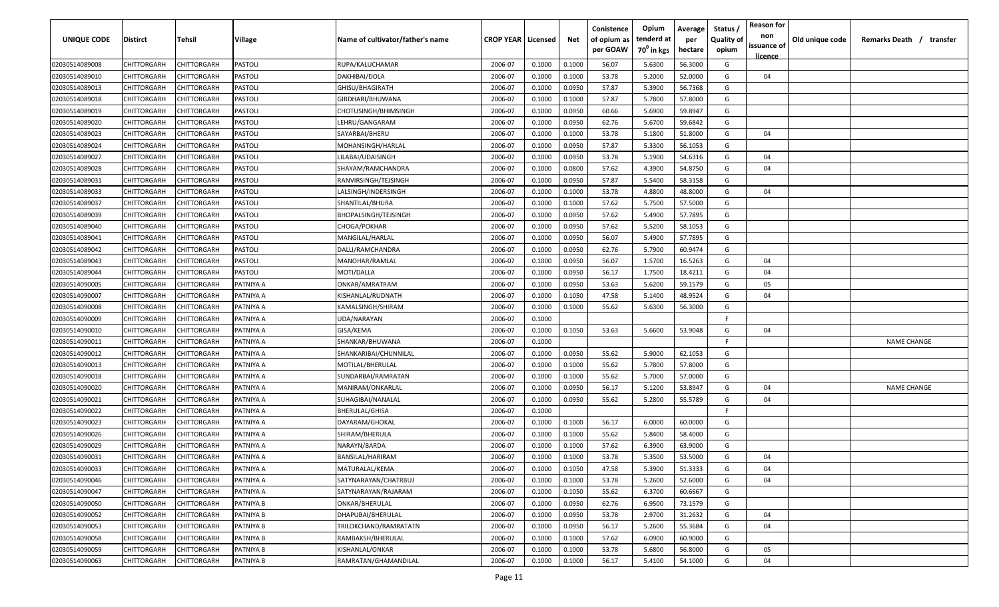| <b>UNIQUE CODE</b> | Distirct           | Tehsil      | Village   | Name of cultivator/father's name | <b>CROP YEAR   Licensed</b> |        | Net    | Conistence<br>of opium as<br>per GOAW | Opium<br>tenderd at<br>70 <sup>0</sup> in kgs | Average<br>per<br>hectare | Status /<br><b>Quality of</b><br>opium | <b>Reason for</b><br>non<br>issuance of | Old unique code | Remarks Death /<br>transfer |
|--------------------|--------------------|-------------|-----------|----------------------------------|-----------------------------|--------|--------|---------------------------------------|-----------------------------------------------|---------------------------|----------------------------------------|-----------------------------------------|-----------------|-----------------------------|
|                    |                    |             |           |                                  |                             |        |        |                                       |                                               |                           |                                        | <u>licence</u>                          |                 |                             |
| 02030514089008     | CHITTORGARH        | CHITTORGARH | PASTOLI   | RUPA/KALUCHAMAR                  | 2006-07                     | 0.1000 | 0.1000 | 56.07                                 | 5.6300                                        | 56.3000                   | G                                      |                                         |                 |                             |
| 02030514089010     | CHITTORGARH        | CHITTORGARH | PASTOLI   | DAKHIBAI/DOLA                    | 2006-07                     | 0.1000 | 0.1000 | 53.78                                 | 5.2000                                        | 52.0000                   | G                                      | 04                                      |                 |                             |
| 02030514089013     | CHITTORGARH        | CHITTORGARH | PASTOLI   | GHISU/BHAGIRATH                  | 2006-07                     | 0.1000 | 0.0950 | 57.87                                 | 5.3900                                        | 56.7368                   | G                                      |                                         |                 |                             |
| 02030514089018     | CHITTORGARH        | CHITTORGARH | PASTOLI   | GIRDHARI/BHUWANA                 | 2006-07                     | 0.1000 | 0.1000 | 57.87                                 | 5.7800                                        | 57.8000                   | G                                      |                                         |                 |                             |
| 02030514089019     | CHITTORGARH        | CHITTORGARH | PASTOLI   | CHOTUSINGH/BHIMSINGH             | 2006-07                     | 0.1000 | 0.0950 | 60.66                                 | 5.6900                                        | 59.8947                   | G                                      |                                         |                 |                             |
| 02030514089020     | CHITTORGARH        | CHITTORGARH | PASTOLI   | LEHRU/GANGARAM                   | 2006-07                     | 0.1000 | 0.0950 | 62.76                                 | 5.6700                                        | 59.6842                   | G                                      |                                         |                 |                             |
| 02030514089023     | CHITTORGARH        | CHITTORGARH | PASTOLI   | SAYARBAI/BHERU                   | 2006-07                     | 0.1000 | 0.1000 | 53.78                                 | 5.1800                                        | 51.8000                   | G                                      | 04                                      |                 |                             |
| 02030514089024     | CHITTORGARH        | CHITTORGARH | PASTOLI   | MOHANSINGH/HARLAL                | 2006-07                     | 0.1000 | 0.0950 | 57.87                                 | 5.3300                                        | 56.1053                   | G                                      |                                         |                 |                             |
| 02030514089027     | CHITTORGARH        | CHITTORGARH | PASTOLI   | LILABAI/UDAISINGH                | 2006-07                     | 0.1000 | 0.0950 | 53.78                                 | 5.1900                                        | 54.6316                   | G                                      | 04                                      |                 |                             |
| 02030514089028     | CHITTORGARH        | CHITTORGARH | PASTOLI   | SHAYAM/RAMCHANDRA                | 2006-07                     | 0.1000 | 0.0800 | 57.62                                 | 4.3900                                        | 54.8750                   | G                                      | 04                                      |                 |                             |
| 02030514089031     | CHITTORGARH        | CHITTORGARH | PASTOLI   | RANVIRSINGH/TEJSINGH             | 2006-07                     | 0.1000 | 0.0950 | 57.87                                 | 5.5400                                        | 58.3158                   | G                                      |                                         |                 |                             |
| 02030514089033     | CHITTORGARH        | CHITTORGARH | PASTOLI   | LALSINGH/INDERSINGH              | 2006-07                     | 0.1000 | 0.1000 | 53.78                                 | 4.8800                                        | 48.8000                   | G                                      | 04                                      |                 |                             |
| 02030514089037     | CHITTORGARH        | CHITTORGARH | PASTOLI   | SHANTILAL/BHURA                  | 2006-07                     | 0.1000 | 0.1000 | 57.62                                 | 5.7500                                        | 57.5000                   | G                                      |                                         |                 |                             |
| 02030514089039     | CHITTORGARH        | CHITTORGARH | PASTOLI   | BHOPALSINGH/TEJSINGH             | 2006-07                     | 0.1000 | 0.0950 | 57.62                                 | 5.4900                                        | 57.7895                   | G                                      |                                         |                 |                             |
| 02030514089040     | CHITTORGARH        | CHITTORGARH | PASTOLI   | CHOGA/POKHAR                     | 2006-07                     | 0.1000 | 0.0950 | 57.62                                 | 5.5200                                        | 58.1053                   | G                                      |                                         |                 |                             |
| 02030514089041     | CHITTORGARH        | CHITTORGARH | PASTOLI   | MANGILAL/HARLAL                  | 2006-07                     | 0.1000 | 0.0950 | 56.07                                 | 5.4900                                        | 57.7895                   | G                                      |                                         |                 |                             |
| 02030514089042     | CHITTORGARH        | CHITTORGARH | PASTOLI   | DALLI/RAMCHANDRA                 | 2006-07                     | 0.1000 | 0.0950 | 62.76                                 | 5.7900                                        | 60.9474                   | G                                      |                                         |                 |                             |
| 02030514089043     | CHITTORGARH        | CHITTORGARH | PASTOLI   | MANOHAR/RAMLAL                   | 2006-07                     | 0.1000 | 0.0950 | 56.07                                 | 1.5700                                        | 16.5263                   | G                                      | 04                                      |                 |                             |
| 02030514089044     | CHITTORGARH        | CHITTORGARH | PASTOLI   | MOTI/DALLA                       | 2006-07                     | 0.1000 | 0.0950 | 56.17                                 | 1.7500                                        | 18.4211                   | G                                      | 04                                      |                 |                             |
| 02030514090005     | CHITTORGARH        | CHITTORGARH | PATNIYA A | ONKAR/AMRATRAM                   | 2006-07                     | 0.1000 | 0.0950 | 53.63                                 | 5.6200                                        | 59.1579                   | G                                      | 05                                      |                 |                             |
| 02030514090007     | CHITTORGARH        | CHITTORGARH | PATNIYA A | KISHANLAL/RUDNATH                | 2006-07                     | 0.1000 | 0.1050 | 47.58                                 | 5.1400                                        | 48.9524                   | G                                      | 04                                      |                 |                             |
| 02030514090008     | CHITTORGARH        | CHITTORGARH | PATNIYA A | KAMALSINGH/SHIRAM                | 2006-07                     | 0.1000 | 0.1000 | 55.62                                 | 5.6300                                        | 56.3000                   | G                                      |                                         |                 |                             |
| 02030514090009     | CHITTORGARH        | CHITTORGARH | PATNIYA A | UDA/NARAYAN                      | 2006-07                     | 0.1000 |        |                                       |                                               |                           | -F.                                    |                                         |                 |                             |
| 02030514090010     | CHITTORGARH        | CHITTORGARH | PATNIYA A | GISA/KEMA                        | 2006-07                     | 0.1000 | 0.1050 | 53.63                                 | 5.6600                                        | 53.9048                   | G                                      | 04                                      |                 |                             |
| 02030514090011     | CHITTORGARH        | CHITTORGARH | PATNIYA A | SHANKAR/BHUWANA                  | 2006-07                     | 0.1000 |        |                                       |                                               |                           | -F                                     |                                         |                 | <b>NAME CHANGE</b>          |
| 02030514090012     | CHITTORGARH        | CHITTORGARH | PATNIYA A | SHANKARIBAI/CHUNNILAL            | 2006-07                     | 0.1000 | 0.0950 | 55.62                                 | 5.9000                                        | 62.1053                   | G                                      |                                         |                 |                             |
| 02030514090013     | CHITTORGARH        | CHITTORGARH | PATNIYA A | MOTILAL/BHERULAL                 | 2006-07                     | 0.1000 | 0.1000 | 55.62                                 | 5.7800                                        | 57.8000                   | G                                      |                                         |                 |                             |
| 02030514090018     | CHITTORGARH        | CHITTORGARH | PATNIYA A | SUNDARBAI/RAMRATAN               | 2006-07                     | 0.1000 | 0.1000 | 55.62                                 | 5.7000                                        | 57.0000                   | G                                      |                                         |                 |                             |
| 02030514090020     | CHITTORGARH        | CHITTORGARH | PATNIYA A | MANIRAM/ONKARLAL                 | 2006-07                     | 0.1000 | 0.0950 | 56.17                                 | 5.1200                                        | 53.8947                   | G                                      | 04                                      |                 | <b>NAME CHANGE</b>          |
| 02030514090021     | CHITTORGARH        | CHITTORGARH | PATNIYA A | SUHAGIBAI/NANALAL                | 2006-07                     | 0.1000 | 0.0950 | 55.62                                 | 5.2800                                        | 55.5789                   | G                                      | 04                                      |                 |                             |
| 02030514090022     | CHITTORGARH        | CHITTORGARH | PATNIYA A | BHERULAL/GHISA                   | 2006-07                     | 0.1000 |        |                                       |                                               |                           | -F.                                    |                                         |                 |                             |
| 02030514090023     | CHITTORGARH        | CHITTORGARH | PATNIYA A | DAYARAM/GHOKAL                   | 2006-07                     | 0.1000 | 0.1000 | 56.17                                 | 6.0000                                        | 60.0000                   | G                                      |                                         |                 |                             |
| 02030514090026     | CHITTORGARH        | CHITTORGARH | PATNIYA A | SHIRAM/BHERULA                   | 2006-07                     | 0.1000 | 0.1000 | 55.62                                 | 5.8400                                        | 58.4000                   | G                                      |                                         |                 |                             |
| 02030514090029     | CHITTORGARH        | CHITTORGARH | PATNIYA A | NARAYN/BARDA                     | 2006-07                     | 0.1000 | 0.1000 | 57.62                                 | 6.3900                                        | 63.9000                   | G                                      |                                         |                 |                             |
| 02030514090031     | CHITTORGARH        | CHITTORGARH | PATNIYA A | BANSILAL/HARIRAM                 | 2006-07                     | 0.1000 | 0.1000 | 53.78                                 | 5.3500                                        | 53.5000                   | G                                      | 04                                      |                 |                             |
| 02030514090033     | <b>CHITTORGARH</b> | CHITTORGARH | PATNIYA A | MATURALAL/KEMA                   | 2006-07                     | 0.1000 | 0.1050 | 47.58                                 | 5.3900                                        | 51.3333                   | G                                      | 04                                      |                 |                             |
| 02030514090046     | <b>CHITTORGARH</b> | CHITTORGARH | PATNIYA A | SATYNARAYAN/CHATRBUJ             | 2006-07                     | 0.1000 | 0.1000 | 53.78                                 | 5.2600                                        | 52.6000                   | G                                      | 04                                      |                 |                             |
| 02030514090047     | <b>CHITTORGARH</b> | CHITTORGARH | PATNIYA A | SATYNARAYAN/RAJARAM              | 2006-07                     | 0.1000 | 0.1050 | 55.62                                 | 6.3700                                        | 60.6667                   | G                                      |                                         |                 |                             |
| 02030514090050     | <b>CHITTORGARH</b> | CHITTORGARH | PATNIYA B | ONKAR/BHERULAL                   | 2006-07                     | 0.1000 | 0.0950 | 62.76                                 | 6.9500                                        | 73.1579                   | G                                      |                                         |                 |                             |
| 02030514090052     | CHITTORGARH        | CHITTORGARH | PATNIYA B | DHAPUBAI/BHERULAL                | 2006-07                     | 0.1000 | 0.0950 | 53.78                                 | 2.9700                                        | 31.2632                   | G                                      | 04                                      |                 |                             |
| 02030514090053     | CHITTORGARH        | CHITTORGARH | PATNIYA B | TRILOKCHAND/RAMRATATN            | 2006-07                     | 0.1000 | 0.0950 | 56.17                                 | 5.2600                                        | 55.3684                   | G                                      | 04                                      |                 |                             |
| 02030514090058     | CHITTORGARH        | CHITTORGARH | PATNIYA B | RAMBAKSH/BHERULAL                | 2006-07                     | 0.1000 | 0.1000 | 57.62                                 | 6.0900                                        | 60.9000                   | G                                      |                                         |                 |                             |
| 02030514090059     | CHITTORGARH        | CHITTORGARH | PATNIYA B | KISHANLAL/ONKAR                  | 2006-07                     | 0.1000 | 0.1000 | 53.78                                 | 5.6800                                        | 56.8000                   | G                                      | 05                                      |                 |                             |
| 02030514090063     | <b>CHITTORGARH</b> | CHITTORGARH | PATNIYA B | RAMRATAN/GHAMANDILAL             | 2006-07                     | 0.1000 | 0.1000 | 56.17                                 | 5.4100                                        | 54.1000                   | G                                      | 04                                      |                 |                             |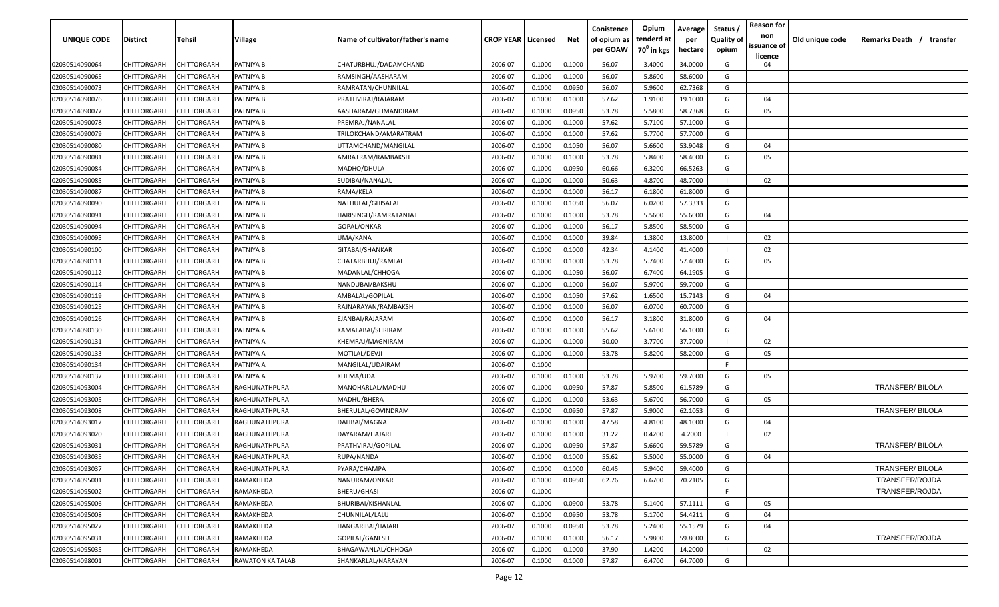| UNIQUE CODE    | Distirct           | Tehsil      | Village          | Name of cultivator/father's name | <b>CROP YEAR   Licensed</b> |        | Net    | Conistence<br>of opium as | Opium<br>tenderd at    | Average<br>per | Status /<br><b>Quality of</b> | <b>Reason for</b><br>non | Old unique code | Remarks Death / transfer |
|----------------|--------------------|-------------|------------------|----------------------------------|-----------------------------|--------|--------|---------------------------|------------------------|----------------|-------------------------------|--------------------------|-----------------|--------------------------|
|                |                    |             |                  |                                  |                             |        |        | per GOAW                  | 70 <sup>0</sup> in kgs | hectare        | opium                         | issuance of<br>licence   |                 |                          |
| 02030514090064 | CHITTORGARH        | CHITTORGARH | PATNIYA B        | CHATURBHUJ/DADAMCHAND            | 2006-07                     | 0.1000 | 0.1000 | 56.07                     | 3.4000                 | 34.0000        | G                             | 04                       |                 |                          |
| 02030514090065 | CHITTORGARH        | CHITTORGARH | PATNIYA B        | RAMSINGH/AASHARAM                | 2006-07                     | 0.1000 | 0.1000 | 56.07                     | 5.8600                 | 58.6000        | G                             |                          |                 |                          |
| 02030514090073 | CHITTORGARH        | CHITTORGARH | PATNIYA B        | RAMRATAN/CHUNNILAL               | 2006-07                     | 0.1000 | 0.0950 | 56.07                     | 5.9600                 | 62.7368        | G                             |                          |                 |                          |
| 02030514090076 | CHITTORGARH        | CHITTORGARH | PATNIYA B        | PRATHVIRAJ/RAJARAM               | 2006-07                     | 0.1000 | 0.1000 | 57.62                     | 1.9100                 | 19.1000        | G                             | 04                       |                 |                          |
| 02030514090077 | CHITTORGARH        | CHITTORGARH | PATNIYA B        | AASHARAM/GHMANDIRAM              | 2006-07                     | 0.1000 | 0.0950 | 53.78                     | 5.5800                 | 58.7368        | G                             | 05                       |                 |                          |
| 02030514090078 | CHITTORGARH        | CHITTORGARH | PATNIYA B        | PREMRAJ/NANALAL                  | 2006-07                     | 0.1000 | 0.1000 | 57.62                     | 5.7100                 | 57.1000        | G                             |                          |                 |                          |
| 02030514090079 | CHITTORGARH        | CHITTORGARH | PATNIYA B        | TRILOKCHAND/AMARATRAM            | 2006-07                     | 0.1000 | 0.1000 | 57.62                     | 5.7700                 | 57.7000        | G                             |                          |                 |                          |
| 02030514090080 | CHITTORGARH        | CHITTORGARH | PATNIYA B        | UTTAMCHAND/MANGILAL              | 2006-07                     | 0.1000 | 0.1050 | 56.07                     | 5.6600                 | 53.9048        | G                             | 04                       |                 |                          |
| 02030514090081 | CHITTORGARH        | CHITTORGARH | PATNIYA B        | AMRATRAM/RAMBAKSH                | 2006-07                     | 0.1000 | 0.1000 | 53.78                     | 5.8400                 | 58.4000        | G                             | 05                       |                 |                          |
| 02030514090084 | CHITTORGARH        | CHITTORGARH | PATNIYA B        | MADHO/DHULA                      | 2006-07                     | 0.1000 | 0.0950 | 60.66                     | 6.3200                 | 66.5263        | G                             |                          |                 |                          |
| 02030514090085 | CHITTORGARH        | CHITTORGARH | PATNIYA B        | SUDIBAI/NANALAL                  | 2006-07                     | 0.1000 | 0.1000 | 50.63                     | 4.8700                 | 48.7000        |                               | 02                       |                 |                          |
| 02030514090087 | CHITTORGARH        | CHITTORGARH | PATNIYA B        | RAMA/KELA                        | 2006-07                     | 0.1000 | 0.1000 | 56.17                     | 6.1800                 | 61.8000        | G                             |                          |                 |                          |
| 02030514090090 | CHITTORGARH        | CHITTORGARH | PATNIYA B        | NATHULAL/GHISALAL                | 2006-07                     | 0.1000 | 0.1050 | 56.07                     | 6.0200                 | 57.3333        | G                             |                          |                 |                          |
| 02030514090091 | CHITTORGARH        | CHITTORGARH | PATNIYA B        | HARISINGH/RAMRATANJAT            | 2006-07                     | 0.1000 | 0.1000 | 53.78                     | 5.5600                 | 55.6000        | G                             | 04                       |                 |                          |
| 02030514090094 | CHITTORGARH        | CHITTORGARH | PATNIYA B        | GOPAL/ONKAR                      | 2006-07                     | 0.1000 | 0.1000 | 56.17                     | 5.8500                 | 58.5000        | G                             |                          |                 |                          |
| 02030514090095 | CHITTORGARH        | CHITTORGARH | PATNIYA B        | UMA/KANA                         | 2006-07                     | 0.1000 | 0.1000 | 39.84                     | 1.3800                 | 13.8000        |                               | 02                       |                 |                          |
| 02030514090100 | CHITTORGARH        | CHITTORGARH | PATNIYA B        | GITABAI/SHANKAR                  | 2006-07                     | 0.1000 | 0.1000 | 42.34                     | 4.1400                 | 41.4000        |                               | 02                       |                 |                          |
| 02030514090111 | CHITTORGARH        | CHITTORGARH | PATNIYA B        | CHATARBHUJ/RAMLAL                | 2006-07                     | 0.1000 | 0.1000 | 53.78                     | 5.7400                 | 57.4000        | G                             | 05                       |                 |                          |
| 02030514090112 | CHITTORGARH        | CHITTORGARH | PATNIYA B        | MADANLAL/CHHOGA                  | 2006-07                     | 0.1000 | 0.1050 | 56.07                     | 6.7400                 | 64.1905        | G                             |                          |                 |                          |
| 02030514090114 | CHITTORGARH        | CHITTORGARH | PATNIYA B        | NANDUBAI/BAKSHU                  | 2006-07                     | 0.1000 | 0.1000 | 56.07                     | 5.9700                 | 59.7000        | G                             |                          |                 |                          |
| 02030514090119 | CHITTORGARH        | CHITTORGARH | PATNIYA B        | AMBALAL/GOPILAL                  | 2006-07                     | 0.1000 | 0.1050 | 57.62                     | 1.6500                 | 15.7143        | G                             | 04                       |                 |                          |
| 02030514090125 | CHITTORGARH        | CHITTORGARH | PATNIYA B        | RAJNARAYAN/RAMBAKSH              | 2006-07                     | 0.1000 | 0.1000 | 56.07                     | 6.0700                 | 60.7000        | G                             |                          |                 |                          |
| 02030514090126 | CHITTORGARH        | CHITTORGARH | PATNIYA B        | EJANBAI/RAJARAM                  | 2006-07                     | 0.1000 | 0.1000 | 56.17                     | 3.1800                 | 31.8000        | G                             | 04                       |                 |                          |
| 02030514090130 | CHITTORGARH        | CHITTORGARH | PATNIYA A        | KAMALABAI/SHRIRAM                | 2006-07                     | 0.1000 | 0.1000 | 55.62                     | 5.6100                 | 56.1000        | G                             |                          |                 |                          |
| 02030514090131 | CHITTORGARH        | CHITTORGARH | PATNIYA A        | KHEMRAJ/MAGNIRAM                 | 2006-07                     | 0.1000 | 0.1000 | 50.00                     | 3.7700                 | 37.7000        |                               | 02                       |                 |                          |
| 02030514090133 | CHITTORGARH        | CHITTORGARH | PATNIYA A        | MOTILAL/DEVJI                    | 2006-07                     | 0.1000 | 0.1000 | 53.78                     | 5.8200                 | 58.2000        | G                             | 05                       |                 |                          |
| 02030514090134 | CHITTORGARH        | CHITTORGARH | PATNIYA A        | MANGILAL/UDAIRAM                 | 2006-07                     | 0.1000 |        |                           |                        |                | F.                            |                          |                 |                          |
| 02030514090137 | CHITTORGARH        | CHITTORGARH | PATNIYA A        | KHEMA/UDA                        | 2006-07                     | 0.1000 | 0.1000 | 53.78                     | 5.9700                 | 59.7000        | G                             | 05                       |                 |                          |
| 02030514093004 | CHITTORGARH        | CHITTORGARH | RAGHUNATHPURA    | MANOHARLAL/MADHU                 | 2006-07                     | 0.1000 | 0.0950 | 57.87                     | 5.8500                 | 61.5789        | G                             |                          |                 | <b>TRANSFER/BILOLA</b>   |
| 02030514093005 | CHITTORGARH        | CHITTORGARH | RAGHUNATHPURA    | MADHU/BHERA                      | 2006-07                     | 0.1000 | 0.1000 | 53.63                     | 5.6700                 | 56.7000        | G                             | 05                       |                 |                          |
| 02030514093008 | CHITTORGARH        | CHITTORGARH | RAGHUNATHPURA    | BHERULAL/GOVINDRAM               | 2006-07                     | 0.1000 | 0.0950 | 57.87                     | 5.9000                 | 62.1053        | G                             |                          |                 | <b>TRANSFER/BILOLA</b>   |
| 02030514093017 | CHITTORGARH        | CHITTORGARH | RAGHUNATHPURA    | DALIBAI/MAGNA                    | 2006-07                     | 0.1000 | 0.1000 | 47.58                     | 4.8100                 | 48.1000        | G                             | 04                       |                 |                          |
| 02030514093020 | CHITTORGARH        | CHITTORGARH | RAGHUNATHPURA    | DAYARAM/HAJARI                   | 2006-07                     | 0.1000 | 0.1000 | 31.22                     | 0.4200                 | 4.2000         |                               | 02                       |                 |                          |
| 02030514093031 | CHITTORGARH        | CHITTORGARH | RAGHUNATHPURA    | PRATHVIRAJ/GOPILAL               | 2006-07                     | 0.1000 | 0.0950 | 57.87                     | 5.6600                 | 59.5789        | G                             |                          |                 | <b>TRANSFER/BILOLA</b>   |
| 02030514093035 | <b>CHITTORGARH</b> | CHITTORGARH | RAGHUNATHPURA    | RUPA/NANDA                       | 2006-07                     | 0.1000 | 0.1000 | 55.62                     | 5.5000                 | 55.0000        | G                             | 04                       |                 |                          |
| 02030514093037 | <b>CHITTORGARH</b> | CHITTORGARH | RAGHUNATHPURA    | PYARA/CHAMPA                     | 2006-07                     | 0.1000 | 0.1000 | 60.45                     | 5.9400                 | 59.4000        | G                             |                          |                 | <b>TRANSFER/BILOLA</b>   |
| 02030514095001 | CHITTORGARH        | CHITTORGARH | RAMAKHEDA        | NANURAM/ONKAR                    | 2006-07                     | 0.1000 | 0.0950 | 62.76                     | 6.6700                 | 70.2105        | G                             |                          |                 | TRANSFER/ROJDA           |
| 02030514095002 | CHITTORGARH        | CHITTORGARH | RAMAKHEDA        | <b>BHERU/GHASI</b>               | 2006-07                     | 0.1000 |        |                           |                        |                | F.                            |                          |                 | TRANSFER/ROJDA           |
| 02030514095006 | <b>CHITTORGARH</b> | CHITTORGARH | RAMAKHEDA        | BHURIBAI/KISHANLAL               | 2006-07                     | 0.1000 | 0.0900 | 53.78                     | 5.1400                 | 57.1111        | G                             | 05                       |                 |                          |
| 02030514095008 | CHITTORGARH        | CHITTORGARH | RAMAKHEDA        | CHUNNILAL/LALU                   | 2006-07                     | 0.1000 | 0.0950 | 53.78                     | 5.1700                 | 54.4211        | G                             | 04                       |                 |                          |
| 02030514095027 | CHITTORGARH        | CHITTORGARH | RAMAKHEDA        | HANGARIBAI/HAJARI                | 2006-07                     | 0.1000 | 0.0950 | 53.78                     | 5.2400                 | 55.1579        | G                             | 04                       |                 |                          |
| 02030514095031 | CHITTORGARH        | CHITTORGARH | RAMAKHEDA        | GOPILAL/GANESH                   | 2006-07                     | 0.1000 | 0.1000 | 56.17                     | 5.9800                 | 59.8000        | G                             |                          |                 | TRANSFER/ROJDA           |
| 02030514095035 | CHITTORGARH        | CHITTORGARH | RAMAKHEDA        | BHAGAWANLAL/CHHOGA               | 2006-07                     | 0.1000 | 0.1000 | 37.90                     | 1.4200                 | 14.2000        |                               | 02                       |                 |                          |
| 02030514098001 | <b>CHITTORGARH</b> | CHITTORGARH | RAWATON KA TALAB | SHANKARLAL/NARAYAN               | 2006-07                     | 0.1000 | 0.1000 | 57.87                     | 6.4700                 | 64.7000        | G                             |                          |                 |                          |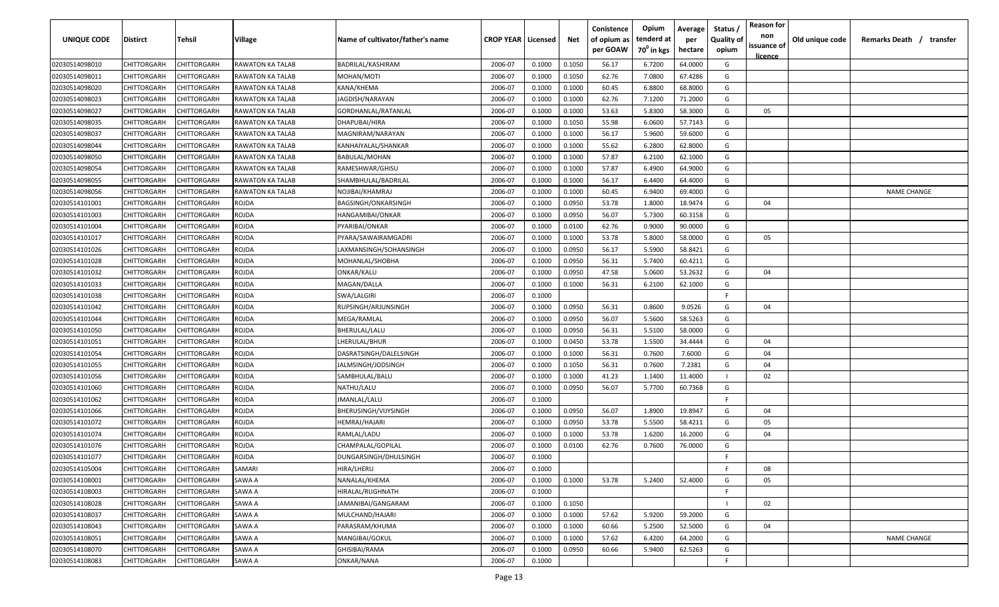| <b>UNIQUE CODE</b> | <b>Distirct</b>    | Tehsil      | Village                 | Name of cultivator/father's name | <b>CROP YEAR Licensed</b> |        | Net    | Conistence<br>of opium as<br>per GOAW | Opium<br>tenderd at<br>70 <sup>0</sup> in kgs | Average<br>per<br>hectare | Status /<br><b>Quality of</b><br>opium | <b>Reason for</b><br>non<br>issuance of | Old unique code | Remarks Death /<br>transfer |
|--------------------|--------------------|-------------|-------------------------|----------------------------------|---------------------------|--------|--------|---------------------------------------|-----------------------------------------------|---------------------------|----------------------------------------|-----------------------------------------|-----------------|-----------------------------|
| 02030514098010     | CHITTORGARH        | CHITTORGARH | <b>RAWATON KA TALAB</b> | BADRILAL/KASHIRAM                | 2006-07                   | 0.1000 | 0.1050 | 56.17                                 | 6.7200                                        | 64.0000                   | G                                      | licence                                 |                 |                             |
| 02030514098011     | CHITTORGARH        | CHITTORGARH | <b>RAWATON KA TALAB</b> | MOHAN/MOTI                       | 2006-07                   | 0.1000 | 0.1050 | 62.76                                 | 7.0800                                        | 67.4286                   | G                                      |                                         |                 |                             |
| 02030514098020     | CHITTORGARH        | CHITTORGARH | <b>RAWATON KA TALAB</b> | KANA/KHEMA                       | 2006-07                   | 0.1000 | 0.1000 | 60.45                                 | 6.8800                                        | 68.8000                   | G                                      |                                         |                 |                             |
| 02030514098023     | CHITTORGARH        | CHITTORGARH | <b>RAWATON KA TALAB</b> | IAGDISH/NARAYAN                  | 2006-07                   | 0.1000 | 0.1000 | 62.76                                 | 7.1200                                        | 71.2000                   | G                                      |                                         |                 |                             |
| 02030514098027     | CHITTORGARH        | CHITTORGARH | <b>RAWATON KA TALAB</b> | GORDHANLAL/RATANLAL              | 2006-07                   | 0.1000 | 0.1000 | 53.63                                 | 5.8300                                        | 58.3000                   | G                                      | 05                                      |                 |                             |
| 02030514098035     | CHITTORGARH        | CHITTORGARH | <b>RAWATON KA TALAB</b> | DHAPUBAI/HIRA                    | 2006-07                   | 0.1000 | 0.1050 | 55.98                                 | 6.0600                                        | 57.7143                   | G                                      |                                         |                 |                             |
| 02030514098037     | CHITTORGARH        | CHITTORGARH | <b>RAWATON KA TALAB</b> | MAGNIRAM/NARAYAN                 | 2006-07                   | 0.1000 | 0.1000 | 56.17                                 | 5.9600                                        | 59.6000                   | G                                      |                                         |                 |                             |
| 02030514098044     | CHITTORGARH        | CHITTORGARF | <b>RAWATON KA TALAB</b> | KANHAIYALAL/SHANKAR              | 2006-07                   | 0.1000 | 0.1000 | 55.62                                 | 6.2800                                        | 62.8000                   | G                                      |                                         |                 |                             |
| 02030514098050     | CHITTORGARH        | CHITTORGARH | <b>RAWATON KA TALAB</b> | BABULAL/MOHAN                    | 2006-07                   | 0.1000 | 0.1000 | 57.87                                 | 6.2100                                        | 62.1000                   | G                                      |                                         |                 |                             |
| 02030514098054     | CHITTORGARH        | CHITTORGARH | RAWATON KA TALAB        | RAMESHWAR/GHISU                  | 2006-07                   | 0.1000 | 0.1000 | 57.87                                 | 6.4900                                        | 64.9000                   | G                                      |                                         |                 |                             |
| 02030514098055     | CHITTORGARH        | CHITTORGARH | <b>RAWATON KA TALAB</b> | SHAMBHULAL/BADRILAL              | 2006-07                   | 0.1000 | 0.1000 | 56.17                                 | 6.4400                                        | 64.4000                   | G                                      |                                         |                 |                             |
| 02030514098056     | CHITTORGARH        | CHITTORGARH | <b>RAWATON KA TALAB</b> | NOJIBAI/KHAMRAJ                  | 2006-07                   | 0.1000 | 0.1000 | 60.45                                 | 6.9400                                        | 69.4000                   | G                                      |                                         |                 | <b>NAME CHANGE</b>          |
| 02030514101001     | CHITTORGARH        | CHITTORGARH | <b>ROJDA</b>            | BAGSINGH/ONKARSINGH              | 2006-07                   | 0.1000 | 0.0950 | 53.78                                 | 1.8000                                        | 18.9474                   | G                                      | 04                                      |                 |                             |
| 02030514101003     | CHITTORGARH        | CHITTORGARH | <b>ROJDA</b>            | HANGAMIBAI/ONKAR                 | 2006-07                   | 0.1000 | 0.0950 | 56.07                                 | 5.7300                                        | 60.3158                   | G                                      |                                         |                 |                             |
| 02030514101004     | CHITTORGARH        | CHITTORGARH | <b>ROJDA</b>            | PYARIBAI/ONKAR                   | 2006-07                   | 0.1000 | 0.0100 | 62.76                                 | 0.9000                                        | 90.0000                   | G                                      |                                         |                 |                             |
| 02030514101017     | CHITTORGARH        | CHITTORGARH | <b>ROJDA</b>            | PYARA/SAWAIRAMGADRI              | 2006-07                   | 0.1000 | 0.1000 | 53.78                                 | 5.8000                                        | 58.0000                   | G                                      | 05                                      |                 |                             |
| 02030514101026     | CHITTORGARH        | CHITTORGARF | ROJDA                   | LAXMANSINGH/SOHANSINGH           | 2006-07                   | 0.1000 | 0.0950 | 56.17                                 | 5.5900                                        | 58.8421                   | G                                      |                                         |                 |                             |
| 02030514101028     | CHITTORGARH        | CHITTORGARH | ROJDA                   | MOHANLAL/SHOBHA                  | 2006-07                   | 0.1000 | 0.0950 | 56.31                                 | 5.7400                                        | 60.4211                   | G                                      |                                         |                 |                             |
| 02030514101032     | CHITTORGARH        | CHITTORGARH | <b>ROJDA</b>            | ONKAR/KALU                       | 2006-07                   | 0.1000 | 0.0950 | 47.58                                 | 5.0600                                        | 53.2632                   | G                                      | 04                                      |                 |                             |
| 02030514101033     | CHITTORGARH        | CHITTORGARH | <b>ROJDA</b>            | MAGAN/DALLA                      | 2006-07                   | 0.1000 | 0.1000 | 56.31                                 | 6.2100                                        | 62.1000                   | G                                      |                                         |                 |                             |
| 02030514101038     | CHITTORGARH        | CHITTORGARH | <b>ROJDA</b>            | SWA/LALGIRI                      | 2006-07                   | 0.1000 |        |                                       |                                               |                           | E                                      |                                         |                 |                             |
| 02030514101042     | CHITTORGARH        | CHITTORGARH | <b>ROJDA</b>            | RUPSINGH/ARJUNSINGH              | 2006-07                   | 0.1000 | 0.0950 | 56.31                                 | 0.8600                                        | 9.0526                    | G                                      | 04                                      |                 |                             |
| 02030514101044     | CHITTORGARH        | CHITTORGARH | ROJDA                   | MEGA/RAMLAL                      | 2006-07                   | 0.1000 | 0.0950 | 56.07                                 | 5.5600                                        | 58.5263                   | G                                      |                                         |                 |                             |
| 02030514101050     | CHITTORGARH        | CHITTORGARH | ROJDA                   | <b>BHERULAL/LALU</b>             | 2006-07                   | 0.1000 | 0.0950 | 56.31                                 | 5.5100                                        | 58.0000                   | G                                      |                                         |                 |                             |
| 02030514101051     | CHITTORGARH        | CHITTORGARH | ROJDA                   | <b>LHERULAL/BHUR</b>             | 2006-07                   | 0.1000 | 0.0450 | 53.78                                 | 1.5500                                        | 34.4444                   | G                                      | 04                                      |                 |                             |
| 02030514101054     | CHITTORGARH        | CHITTORGARH | ROJDA                   | DASRATSINGH/DALELSINGH           | 2006-07                   | 0.1000 | 0.1000 | 56.31                                 | 0.7600                                        | 7.6000                    | G                                      | 04                                      |                 |                             |
| 02030514101055     | CHITTORGARH        | CHITTORGARH | ROJDA                   | JALMSINGH/JODSINGH               | 2006-07                   | 0.1000 | 0.1050 | 56.31                                 | 0.7600                                        | 7.2381                    | G                                      | 04                                      |                 |                             |
| 02030514101056     | CHITTORGARH        | CHITTORGARH | ROJDA                   | SAMBHULAL/BALU                   | 2006-07                   | 0.1000 | 0.1000 | 41.23                                 | 1.1400                                        | 11.4000                   |                                        | 02                                      |                 |                             |
| 02030514101060     | CHITTORGARH        | CHITTORGARH | ROJDA                   | NATHU/LALU                       | 2006-07                   | 0.1000 | 0.0950 | 56.07                                 | 5.7700                                        | 60.7368                   | G                                      |                                         |                 |                             |
| 02030514101062     | CHITTORGARH        | CHITTORGARH | <b>ROJDA</b>            | JMANLAL/LALU                     | 2006-07                   | 0.1000 |        |                                       |                                               |                           | F.                                     |                                         |                 |                             |
| 02030514101066     | CHITTORGARH        | CHITTORGARH | <b>ROJDA</b>            | BHERUSINGH/VIJYSINGH             | 2006-07                   | 0.1000 | 0.0950 | 56.07                                 | 1.8900                                        | 19.8947                   | G                                      | 04                                      |                 |                             |
| 02030514101072     | CHITTORGARH        | CHITTORGARH | <b>ROJDA</b>            | HEMRAJ/HAJARI                    | 2006-07                   | 0.1000 | 0.0950 | 53.78                                 | 5.5500                                        | 58.4211                   | G                                      | 05                                      |                 |                             |
| 02030514101074     | CHITTORGARH        | CHITTORGARH | <b>ROJDA</b>            | RAMLAL/LADU                      | 2006-07                   | 0.1000 | 0.1000 | 53.78                                 | 1.6200                                        | 16.2000                   | G                                      | 04                                      |                 |                             |
| 02030514101076     | CHITTORGARH        | CHITTORGARH | <b>ROJDA</b>            | CHAMPALAL/GOPILAL                | 2006-07                   | 0.1000 | 0.0100 | 62.76                                 | 0.7600                                        | 76.0000                   | G                                      |                                         |                 |                             |
| 02030514101077     | <b>CHITTORGARH</b> | CHITTORGARH | <b>ROJDA</b>            | DUNGARSINGH/DHULSINGH            | 2006-07                   | 0.1000 |        |                                       |                                               |                           | F.                                     |                                         |                 |                             |
| 02030514105004     | CHITTORGARH        | CHITTORGARH | SAMARI                  | HIRA/LHERU                       | 2006-07                   | 0.1000 |        |                                       |                                               |                           | F.                                     | 08                                      |                 |                             |
| 02030514108001     | <b>CHITTORGARH</b> | CHITTORGARH | SAWA A                  | NANALAL/KHEMA                    | 2006-07                   | 0.1000 | 0.1000 | 53.78                                 | 5.2400                                        | 52.4000                   | G                                      | 05                                      |                 |                             |
| 02030514108003     | CHITTORGARH        | CHITTORGARH | SAWA A                  | HIRALAL/RUGHNATH                 | 2006-07                   | 0.1000 |        |                                       |                                               |                           | E                                      |                                         |                 |                             |
| 02030514108028     | CHITTORGARH        | CHITTORGARH | SAWA A                  | JAMANIBAI/GANGARAM               | 2006-07                   | 0.1000 | 0.1050 |                                       |                                               |                           |                                        | 02                                      |                 |                             |
| 02030514108037     | CHITTORGARH        | CHITTORGARH | SAWA A                  | MULCHAND/HAJARI                  | 2006-07                   | 0.1000 | 0.1000 | 57.62                                 | 5.9200                                        | 59.2000                   | G                                      |                                         |                 |                             |
| 02030514108043     | CHITTORGARH        | CHITTORGARH | SAWA A                  | PARASRAM/KHUMA                   | 2006-07                   | 0.1000 | 0.1000 | 60.66                                 | 5.2500                                        | 52.5000                   | G                                      | 04                                      |                 |                             |
| 02030514108051     | CHITTORGARH        | CHITTORGARH | SAWA A                  | MANGIBAI/GOKUL                   | 2006-07                   | 0.1000 | 0.1000 | 57.62                                 | 6.4200                                        | 64.2000                   | G                                      |                                         |                 | <b>NAME CHANGE</b>          |
| 02030514108070     | CHITTORGARH        | CHITTORGARH | SAWA A                  | GHISIBAI/RAMA                    | 2006-07                   | 0.1000 | 0.0950 | 60.66                                 | 5.9400                                        | 62.5263                   | G                                      |                                         |                 |                             |
| 02030514108083     | <b>CHITTORGARH</b> | CHITTORGARH | SAWA A                  | ONKAR/NANA                       | 2006-07                   | 0.1000 |        |                                       |                                               |                           | F.                                     |                                         |                 |                             |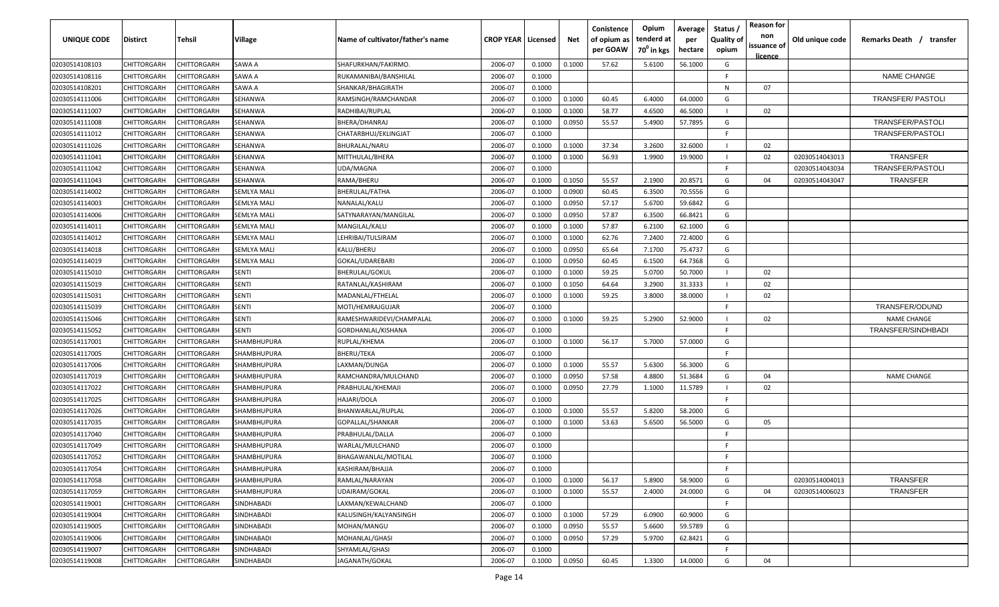| <b>UNIQUE CODE</b> | Distirct           | Tehsil      | Village            | Name of cultivator/father's name | <b>CROP YEAR   Licensed</b> |        | Net    | Conistence<br>of opium as<br>per GOAW | Opium<br>tenderd at<br>70 <sup>°</sup> in kgs | Average<br>per<br>hectare | Status,<br>Quality of<br>opium | <b>Reason for</b><br>non<br>issuance of<br><u>licence</u> | Old unique code | Remarks Death / transfer |
|--------------------|--------------------|-------------|--------------------|----------------------------------|-----------------------------|--------|--------|---------------------------------------|-----------------------------------------------|---------------------------|--------------------------------|-----------------------------------------------------------|-----------------|--------------------------|
| 02030514108103     | CHITTORGARH        | CHITTORGARH | SAWA A             | SHAFURKHAN/FAKIRMO.              | 2006-07                     | 0.1000 | 0.1000 | 57.62                                 | 5.6100                                        | 56.1000                   | G                              |                                                           |                 |                          |
| 02030514108116     | CHITTORGARH        | CHITTORGARH | SAWA A             | RUKAMANIBAI/BANSHILAL            | 2006-07                     | 0.1000 |        |                                       |                                               |                           | -F.                            |                                                           |                 | <b>NAME CHANGE</b>       |
| 02030514108201     | CHITTORGARH        | CHITTORGARH | SAWA A             | SHANKAR/BHAGIRATH                | 2006-07                     | 0.1000 |        |                                       |                                               |                           | N                              | 07                                                        |                 |                          |
| 02030514111006     | CHITTORGARH        | CHITTORGARH | SEHANWA            | RAMSINGH/RAMCHANDAR              | 2006-07                     | 0.1000 | 0.1000 | 60.45                                 | 6.4000                                        | 64.0000                   | G                              |                                                           |                 | <b>TRANSFER/ PASTOLI</b> |
| 02030514111007     | CHITTORGARH        | CHITTORGARH | SEHANWA            | RADHIBAI/RUPLAL                  | 2006-07                     | 0.1000 | 0.1000 | 58.77                                 | 4.6500                                        | 46.5000                   |                                | 02                                                        |                 |                          |
| 02030514111008     | CHITTORGARH        | CHITTORGARH | SEHANWA            | BHERA/DHANRAJ                    | 2006-07                     | 0.1000 | 0.0950 | 55.57                                 | 5.4900                                        | 57.7895                   | G                              |                                                           |                 | TRANSFER/PASTOLI         |
| 02030514111012     | CHITTORGARH        | CHITTORGARH | SEHANWA            | CHATARBHUJ/EKLINGJAT             | 2006-07                     | 0.1000 |        |                                       |                                               |                           | -F.                            |                                                           |                 | TRANSFER/PASTOLI         |
| 02030514111026     | CHITTORGARH        | CHITTORGARH | SEHANWA            | BHURALAL/NARU                    | 2006-07                     | 0.1000 | 0.1000 | 37.34                                 | 3.2600                                        | 32.6000                   |                                | 02                                                        |                 |                          |
| 02030514111041     | CHITTORGARH        | CHITTORGARH | SEHANWA            | MITTHULAL/BHERA                  | 2006-07                     | 0.1000 | 0.1000 | 56.93                                 | 1.9900                                        | 19.9000                   |                                | 02                                                        | 02030514043013  | <b>TRANSFER</b>          |
| 02030514111042     | CHITTORGARH        | CHITTORGARH | SEHANWA            | UDA/MAGNA                        | 2006-07                     | 0.1000 |        |                                       |                                               |                           | F.                             |                                                           | 02030514043034  | TRANSFER/PASTOLI         |
| 02030514111043     | CHITTORGARH        | CHITTORGARH | SEHANWA            | RAMA/BHERU                       | 2006-07                     | 0.1000 | 0.1050 | 55.57                                 | 2.1900                                        | 20.8571                   | G                              | 04                                                        | 02030514043047  | <b>TRANSFER</b>          |
| 02030514114002     | CHITTORGARH        | CHITTORGARH | SEMLYA MALI        | BHERULAL/FATHA                   | 2006-07                     | 0.1000 | 0.0900 | 60.45                                 | 6.3500                                        | 70.5556                   | G                              |                                                           |                 |                          |
| 02030514114003     | CHITTORGARH        | CHITTORGARH | SEMLYA MALI        | NANALAL/KALU                     | 2006-07                     | 0.1000 | 0.0950 | 57.17                                 | 5.6700                                        | 59.6842                   | G                              |                                                           |                 |                          |
| 02030514114006     | CHITTORGARH        | CHITTORGARH | <b>SEMLYA MALI</b> | SATYNARAYAN/MANGILAL             | 2006-07                     | 0.1000 | 0.0950 | 57.87                                 | 6.3500                                        | 66.8421                   | G                              |                                                           |                 |                          |
| 02030514114011     | CHITTORGARH        | CHITTORGARH | <b>SEMLYA MALI</b> | MANGILAL/KALU                    | 2006-07                     | 0.1000 | 0.1000 | 57.87                                 | 6.2100                                        | 62.1000                   | G                              |                                                           |                 |                          |
| 02030514114012     | CHITTORGARH        | CHITTORGARH | <b>SEMLYA MALI</b> | LEHRIBAI/TULSIRAM                | 2006-07                     | 0.1000 | 0.1000 | 62.76                                 | 7.2400                                        | 72.4000                   | G                              |                                                           |                 |                          |
| 02030514114018     | CHITTORGARH        | CHITTORGARH | <b>SEMLYA MALI</b> | KALU/BHERU                       | 2006-07                     | 0.1000 | 0.0950 | 65.64                                 | 7.1700                                        | 75.4737                   | G                              |                                                           |                 |                          |
| 02030514114019     | CHITTORGARH        | CHITTORGARH | <b>SEMLYA MALI</b> | GOKAL/UDAREBARI                  | 2006-07                     | 0.1000 | 0.0950 | 60.45                                 | 6.1500                                        | 64.7368                   | G                              |                                                           |                 |                          |
| 02030514115010     | CHITTORGARH        | CHITTORGARH | SENTI              | <b>BHERULAL/GOKUL</b>            | 2006-07                     | 0.1000 | 0.1000 | 59.25                                 | 5.0700                                        | 50.7000                   |                                | 02                                                        |                 |                          |
| 02030514115019     | CHITTORGARH        | CHITTORGARH | SENTI              | RATANLAL/KASHIRAM                | 2006-07                     | 0.1000 | 0.1050 | 64.64                                 | 3.2900                                        | 31.3333                   |                                | 02                                                        |                 |                          |
| 02030514115031     | CHITTORGARH        | CHITTORGARH | SENTI              | MADANLAL/FTHELAL                 | 2006-07                     | 0.1000 | 0.1000 | 59.25                                 | 3.8000                                        | 38.0000                   |                                | 02                                                        |                 |                          |
| 02030514115039     | CHITTORGARH        | CHITTORGARH | SENTI              | MOTI/HEMRAJGUJAR                 | 2006-07                     | 0.1000 |        |                                       |                                               |                           | -F.                            |                                                           |                 | TRANSFER/ODUND           |
| 02030514115046     | CHITTORGARH        | CHITTORGARH | SENTI              | RAMESHWARIDEVI/CHAMPALAL         | 2006-07                     | 0.1000 | 0.1000 | 59.25                                 | 5.2900                                        | 52.9000                   |                                | 02                                                        |                 | <b>NAME CHANGE</b>       |
| 02030514115052     | CHITTORGARH        | CHITTORGARH | SENTI              | GORDHANLAL/KISHANA               | 2006-07                     | 0.1000 |        |                                       |                                               |                           | -F.                            |                                                           |                 | TRANSFER/SINDHBADI       |
| 02030514117001     | CHITTORGARH        | CHITTORGARH | SHAMBHUPURA        | RUPLAL/KHEMA                     | 2006-07                     | 0.1000 | 0.1000 | 56.17                                 | 5.7000                                        | 57.0000                   | G                              |                                                           |                 |                          |
| 02030514117005     | CHITTORGARH        | CHITTORGARH | SHAMBHUPURA        | BHERU/TEKA                       | 2006-07                     | 0.1000 |        |                                       |                                               |                           | -F.                            |                                                           |                 |                          |
| 02030514117006     | CHITTORGARH        | CHITTORGARH | SHAMBHUPURA        | LAXMAN/DUNGA                     | 2006-07                     | 0.1000 | 0.1000 | 55.57                                 | 5.6300                                        | 56.3000                   | G                              |                                                           |                 |                          |
| 02030514117019     | CHITTORGARH        | CHITTORGARH | SHAMBHUPURA        | RAMCHANDRA/MULCHAND              | 2006-07                     | 0.1000 | 0.0950 | 57.58                                 | 4.8800                                        | 51.3684                   | G                              | 04                                                        |                 | <b>NAME CHANGE</b>       |
| 02030514117022     | CHITTORGARH        | CHITTORGARH | SHAMBHUPURA        | PRABHULAL/KHEMAJI                | 2006-07                     | 0.1000 | 0.0950 | 27.79                                 | 1.1000                                        | 11.5789                   |                                | 02                                                        |                 |                          |
| 02030514117025     | CHITTORGARH        | CHITTORGARH | SHAMBHUPURA        | HAJARI/DOLA                      | 2006-07                     | 0.1000 |        |                                       |                                               |                           | -F.                            |                                                           |                 |                          |
| 02030514117026     | CHITTORGARH        | CHITTORGARH | SHAMBHUPURA        | BHANWARLAL/RUPLAL                | 2006-07                     | 0.1000 | 0.1000 | 55.57                                 | 5.8200                                        | 58.2000                   | G                              |                                                           |                 |                          |
| 02030514117035     | CHITTORGARH        | CHITTORGARH | SHAMBHUPURA        | GOPALLAL/SHANKAR                 | 2006-07                     | 0.1000 | 0.1000 | 53.63                                 | 5.6500                                        | 56.5000                   | G                              | 05                                                        |                 |                          |
| 02030514117040     | CHITTORGARH        | CHITTORGARH | SHAMBHUPURA        | PRABHULAL/DALLA                  | 2006-07                     | 0.1000 |        |                                       |                                               |                           | -F.                            |                                                           |                 |                          |
| 02030514117049     | CHITTORGARH        | CHITTORGARH | SHAMBHUPURA        | WARLAL/MULCHAND                  | 2006-07                     | 0.1000 |        |                                       |                                               |                           | -F.                            |                                                           |                 |                          |
| 02030514117052     | CHITTORGARH        | CHITTORGARH | SHAMBHUPURA        | BHAGAWANLAL/MOTILAL              | 2006-07                     | 0.1000 |        |                                       |                                               |                           | F                              |                                                           |                 |                          |
| 02030514117054     | <b>CHITTORGARH</b> | CHITTORGARH | SHAMBHUPURA        | KASHIRAM/BHAJJA                  | 2006-07                     | 0.1000 |        |                                       |                                               |                           | -F.                            |                                                           |                 |                          |
| 02030514117058     | CHITTORGARH        | CHITTORGARH | SHAMBHUPURA        | RAMLAL/NARAYAN                   | 2006-07                     | 0.1000 | 0.1000 | 56.17                                 | 5.8900                                        | 58.9000                   | G                              |                                                           | 02030514004013  | <b>TRANSFER</b>          |
| 02030514117059     | CHITTORGARH        | CHITTORGARH | <b>SHAMBHUPURA</b> | UDAIRAM/GOKAL                    | 2006-07                     | 0.1000 | 0.1000 | 55.57                                 | 2.4000                                        | 24.0000                   | G                              | 04                                                        | 02030514006023  | <b>TRANSFER</b>          |
| 02030514119001     | <b>CHITTORGARH</b> | CHITTORGARH | SINDHABADI         | LAXMAN/KEWALCHAND                | 2006-07                     | 0.1000 |        |                                       |                                               |                           | F.                             |                                                           |                 |                          |
| 02030514119004     | CHITTORGARH        | CHITTORGARH | SINDHABADI         | KALUSINGH/KALYANSINGH            | 2006-07                     | 0.1000 | 0.1000 | 57.29                                 | 6.0900                                        | 60.9000                   | G                              |                                                           |                 |                          |
| 02030514119005     | CHITTORGARH        | CHITTORGARH | SINDHABADI         | MOHAN/MANGU                      | 2006-07                     | 0.1000 | 0.0950 | 55.57                                 | 5.6600                                        | 59.5789                   | G                              |                                                           |                 |                          |
| 02030514119006     | CHITTORGARH        | CHITTORGARH | SINDHABADI         | MOHANLAL/GHASI                   | 2006-07                     | 0.1000 | 0.0950 | 57.29                                 | 5.9700                                        | 62.8421                   | G                              |                                                           |                 |                          |
| 02030514119007     | CHITTORGARH        | CHITTORGARH | SINDHABADI         | SHYAMLAL/GHASI                   | 2006-07                     | 0.1000 |        |                                       |                                               |                           | F.                             |                                                           |                 |                          |
| 02030514119008     | <b>CHITTORGARH</b> | CHITTORGARH | SINDHABADI         | JAGANATH/GOKAL                   | 2006-07                     | 0.1000 | 0.0950 | 60.45                                 | 1.3300                                        | 14.0000                   | G                              | 04                                                        |                 |                          |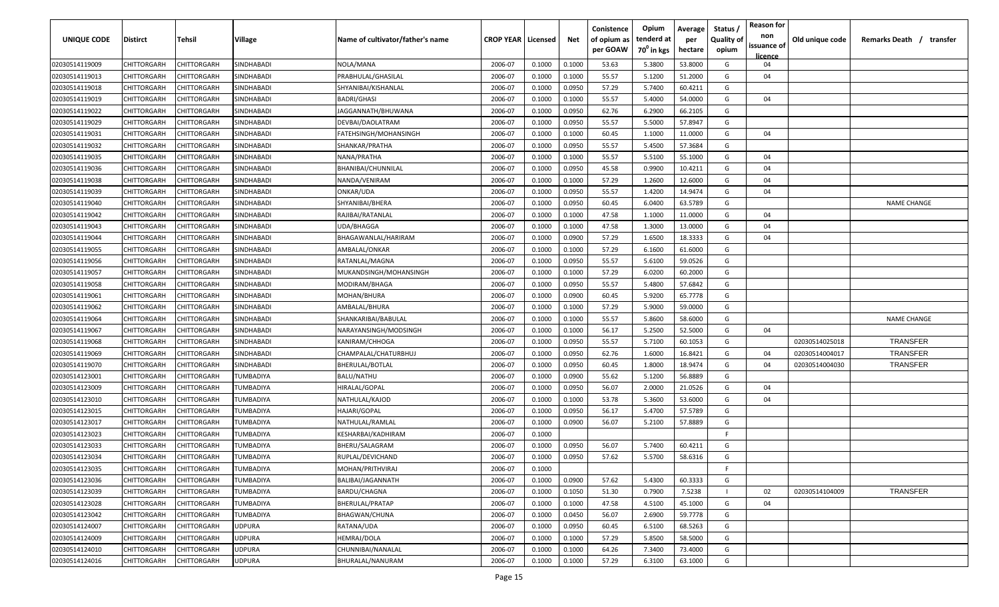| UNIQUE CODE    | Distirct           | Tehsil      | Village           | Name of cultivator/father's name | <b>CROP YEAR   Licensed</b> |        | Net    | Conistence<br>of opium as | Opium<br>tenderd at    | Average<br>per | Status /<br><b>Quality of</b> | <b>Reason for</b><br>non<br>issuance of | Old unique code | Remarks Death / transfer |
|----------------|--------------------|-------------|-------------------|----------------------------------|-----------------------------|--------|--------|---------------------------|------------------------|----------------|-------------------------------|-----------------------------------------|-----------------|--------------------------|
|                |                    |             |                   |                                  |                             |        |        | per GOAW                  | 70 <sup>0</sup> in kgs | hectare        | opium                         | licence                                 |                 |                          |
| 02030514119009 | CHITTORGARH        | CHITTORGARH | SINDHABADI        | NOLA/MANA                        | 2006-07                     | 0.1000 | 0.1000 | 53.63                     | 5.3800                 | 53.8000        | G                             | 04                                      |                 |                          |
| 02030514119013 | CHITTORGARH        | CHITTORGARH | SINDHABADI        | PRABHULAL/GHASILAL               | 2006-07                     | 0.1000 | 0.1000 | 55.57                     | 5.1200                 | 51.2000        | G                             | 04                                      |                 |                          |
| 02030514119018 | CHITTORGARH        | CHITTORGARH | SINDHABADI        | SHYANIBAI/KISHANLAL              | 2006-07                     | 0.1000 | 0.0950 | 57.29                     | 5.7400                 | 60.4211        | G                             |                                         |                 |                          |
| 02030514119019 | CHITTORGARH        | CHITTORGARH | SINDHABADI        | <b>BADRI/GHASI</b>               | 2006-07                     | 0.1000 | 0.1000 | 55.57                     | 5.4000                 | 54.0000        | G                             | 04                                      |                 |                          |
| 02030514119022 | CHITTORGARH        | CHITTORGARH | SINDHABADI        | JAGGANNATH/BHUWANA               | 2006-07                     | 0.1000 | 0.0950 | 62.76                     | 6.2900                 | 66.2105        | G                             |                                         |                 |                          |
| 02030514119029 | CHITTORGARH        | CHITTORGARH | SINDHABADI        | DEVBAI/DAOLATRAM                 | 2006-07                     | 0.1000 | 0.0950 | 55.57                     | 5.5000                 | 57.8947        | G                             |                                         |                 |                          |
| 02030514119031 | CHITTORGARH        | CHITTORGARH | SINDHABADI        | FATEHSINGH/MOHANSINGH            | 2006-07                     | 0.1000 | 0.1000 | 60.45                     | 1.1000                 | 11.0000        | G                             | 04                                      |                 |                          |
| 02030514119032 | CHITTORGARH        | CHITTORGARH | SINDHABADI        | SHANKAR/PRATHA                   | 2006-07                     | 0.1000 | 0.0950 | 55.57                     | 5.4500                 | 57.3684        | G                             |                                         |                 |                          |
| 02030514119035 | CHITTORGARH        | CHITTORGARH | SINDHABADI        | NANA/PRATHA                      | 2006-07                     | 0.1000 | 0.1000 | 55.57                     | 5.5100                 | 55.1000        | G                             | 04                                      |                 |                          |
| 02030514119036 | CHITTORGARH        | CHITTORGARH | SINDHABADI        | BHANIBAI/CHUNNILAL               | 2006-07                     | 0.1000 | 0.0950 | 45.58                     | 0.9900                 | 10.4211        | G                             | 04                                      |                 |                          |
| 02030514119038 | CHITTORGARH        | CHITTORGARH | SINDHABADI        | NANDA/VENIRAM                    | 2006-07                     | 0.1000 | 0.1000 | 57.29                     | 1.2600                 | 12.6000        | G                             | 04                                      |                 |                          |
| 02030514119039 | CHITTORGARH        | CHITTORGARH | SINDHABADI        | ONKAR/UDA                        | 2006-07                     | 0.1000 | 0.0950 | 55.57                     | 1.4200                 | 14.9474        | G                             | 04                                      |                 |                          |
| 02030514119040 | CHITTORGARH        | CHITTORGARH | SINDHABADI        | SHYANIBAI/BHERA                  | 2006-07                     | 0.1000 | 0.0950 | 60.45                     | 6.0400                 | 63.5789        | G                             |                                         |                 | <b>NAME CHANGE</b>       |
| 02030514119042 | CHITTORGARH        | CHITTORGARH | SINDHABADI        | RAJIBAI/RATANLAL                 | 2006-07                     | 0.1000 | 0.1000 | 47.58                     | 1.1000                 | 11.0000        | G                             | 04                                      |                 |                          |
| 02030514119043 | CHITTORGARH        | CHITTORGARH | SINDHABADI        | UDA/BHAGGA                       | 2006-07                     | 0.1000 | 0.1000 | 47.58                     | 1.3000                 | 13.0000        | G                             | 04                                      |                 |                          |
| 02030514119044 | CHITTORGARH        | CHITTORGARH | SINDHABADI        | BHAGAWANLAL/HARIRAM              | 2006-07                     | 0.1000 | 0.0900 | 57.29                     | 1.6500                 | 18.3333        | G                             | 04                                      |                 |                          |
| 02030514119055 | CHITTORGARH        | CHITTORGARH | SINDHABADI        | AMBALAL/ONKAR                    | 2006-07                     | 0.1000 | 0.1000 | 57.29                     | 6.1600                 | 61.6000        | G                             |                                         |                 |                          |
| 02030514119056 | CHITTORGARH        | CHITTORGARH | <b>SINDHABADI</b> | RATANLAL/MAGNA                   | 2006-07                     | 0.1000 | 0.0950 | 55.57                     | 5.6100                 | 59.0526        | G                             |                                         |                 |                          |
| 02030514119057 | CHITTORGARH        | CHITTORGARH | SINDHABADI        | MUKANDSINGH/MOHANSINGH           | 2006-07                     | 0.1000 | 0.1000 | 57.29                     | 6.0200                 | 60.2000        | G                             |                                         |                 |                          |
| 02030514119058 | CHITTORGARH        | CHITTORGARH | SINDHABADI        | MODIRAM/BHAGA                    | 2006-07                     | 0.1000 | 0.0950 | 55.57                     | 5.4800                 | 57.6842        | G                             |                                         |                 |                          |
| 02030514119061 | CHITTORGARH        | CHITTORGARH | SINDHABADI        | MOHAN/BHURA                      | 2006-07                     | 0.1000 | 0.0900 | 60.45                     | 5.9200                 | 65.7778        | G                             |                                         |                 |                          |
| 02030514119062 | CHITTORGARH        | CHITTORGARH | SINDHABADI        | AMBALAL/BHURA                    | 2006-07                     | 0.1000 | 0.1000 | 57.29                     | 5.9000                 | 59.0000        | G                             |                                         |                 |                          |
| 02030514119064 | CHITTORGARH        | CHITTORGARH | SINDHABADI        | SHANKARIBAI/BABULAL              | 2006-07                     | 0.1000 | 0.1000 | 55.57                     | 5.8600                 | 58.6000        | G                             |                                         |                 | <b>NAME CHANGE</b>       |
| 02030514119067 | CHITTORGARH        | CHITTORGARH | SINDHABADI        | NARAYANSINGH/MODSINGH            | 2006-07                     | 0.1000 | 0.1000 | 56.17                     | 5.2500                 | 52.5000        | G                             | 04                                      |                 |                          |
| 02030514119068 | CHITTORGARH        | CHITTORGARH | SINDHABADI        | KANIRAM/CHHOGA                   | 2006-07                     | 0.1000 | 0.0950 | 55.57                     | 5.7100                 | 60.1053        | G                             |                                         | 02030514025018  | <b>TRANSFER</b>          |
| 02030514119069 | CHITTORGARH        | CHITTORGARH | SINDHABADI        | CHAMPALAL/CHATURBHUJ             | 2006-07                     | 0.1000 | 0.0950 | 62.76                     | 1.6000                 | 16.8421        | G                             | 04                                      | 02030514004017  | <b>TRANSFER</b>          |
| 02030514119070 | CHITTORGARH        | CHITTORGARH | SINDHABADI        | BHERULAL/BOTLAL                  | 2006-07                     | 0.1000 | 0.0950 | 60.45                     | 1.8000                 | 18.9474        | G                             | 04                                      | 02030514004030  | <b>TRANSFER</b>          |
| 02030514123001 | CHITTORGARH        | CHITTORGARH | TUMBADIYA         | BALU/NATHU                       | 2006-07                     | 0.1000 | 0.0900 | 55.62                     | 5.1200                 | 56.8889        | G                             |                                         |                 |                          |
| 02030514123009 | CHITTORGARH        | CHITTORGARH | TUMBADIYA         | HIRALAL/GOPAL                    | 2006-07                     | 0.1000 | 0.0950 | 56.07                     | 2.0000                 | 21.0526        | G                             | 04                                      |                 |                          |
| 02030514123010 | CHITTORGARH        | CHITTORGARH | TUMBADIYA         | NATHULAL/KAJOD                   | 2006-07                     | 0.1000 | 0.1000 | 53.78                     | 5.3600                 | 53.6000        | G                             | 04                                      |                 |                          |
| 02030514123015 | CHITTORGARH        | CHITTORGARH | TUMBADIYA         | HAJARI/GOPAL                     | 2006-07                     | 0.1000 | 0.0950 | 56.17                     | 5.4700                 | 57.5789        | G                             |                                         |                 |                          |
| 02030514123017 | CHITTORGARH        | CHITTORGARH | TUMBADIYA         | NATHULAL/RAMLAL                  | 2006-07                     | 0.1000 | 0.0900 | 56.07                     | 5.2100                 | 57.8889        | G                             |                                         |                 |                          |
| 02030514123023 | CHITTORGARH        | CHITTORGARH | TUMBADIYA         | KESHARBAI/KADHIRAM               | 2006-07                     | 0.1000 |        |                           |                        |                | -F                            |                                         |                 |                          |
| 02030514123033 | CHITTORGARH        | CHITTORGARH | TUMBADIYA         | BHERU/SALAGRAM                   | 2006-07                     | 0.1000 | 0.0950 | 56.07                     | 5.7400                 | 60.4211        | G                             |                                         |                 |                          |
| 02030514123034 | CHITTORGARH        | CHITTORGARH | TUMBADIYA         | RUPLAL/DEVICHAND                 | 2006-07                     | 0.1000 | 0.0950 | 57.62                     | 5.5700                 | 58.6316        | G                             |                                         |                 |                          |
| 02030514123035 | <b>CHITTORGARH</b> | CHITTORGARH | TUMBADIYA         | MOHAN/PRITHVIRAJ                 | 2006-07                     | 0.1000 |        |                           |                        |                | F.                            |                                         |                 |                          |
| 02030514123036 | <b>CHITTORGARH</b> | CHITTORGARH | TUMBADIYA         | BALIBAI/JAGANNATH                | 2006-07                     | 0.1000 | 0.0900 | 57.62                     | 5.4300                 | 60.3333        | G                             |                                         |                 |                          |
| 02030514123039 | <b>CHITTORGARH</b> | CHITTORGARH | TUMBADIYA         | <b>BARDU/CHAGNA</b>              | 2006-07                     | 0.1000 | 0.1050 | 51.30                     | 0.7900                 | 7.5238         |                               | 02                                      | 02030514104009  | <b>TRANSFER</b>          |
| 02030514123028 | CHITTORGARH        | CHITTORGARH | <b>TUMBADIYA</b>  | BHERULAL/PRATAP                  | 2006-07                     | 0.1000 | 0.1000 | 47.58                     | 4.5100                 | 45.1000        | G                             | 04                                      |                 |                          |
| 02030514123042 | CHITTORGARH        | CHITTORGARH | TUMBADIYA         | BHAGWAN/CHUNA                    | 2006-07                     | 0.1000 | 0.0450 | 56.07                     | 2.6900                 | 59.7778        | G                             |                                         |                 |                          |
| 02030514124007 | CHITTORGARH        | CHITTORGARH | JDPURA            | RATANA/UDA                       | 2006-07                     | 0.1000 | 0.0950 | 60.45                     | 6.5100                 | 68.5263        | G                             |                                         |                 |                          |
| 02030514124009 | <b>CHITTORGARH</b> | CHITTORGARH | JDPURA            | HEMRAJ/DOLA                      | 2006-07                     | 0.1000 | 0.1000 | 57.29                     | 5.8500                 | 58.5000        | G                             |                                         |                 |                          |
| 02030514124010 | CHITTORGARH        | CHITTORGARH | JDPURA            | CHUNNIBAI/NANALAL                | 2006-07                     | 0.1000 | 0.1000 | 64.26                     | 7.3400                 | 73.4000        | G                             |                                         |                 |                          |
| 02030514124016 | CHITTORGARH        | CHITTORGARH | JDPURA            | BHURALAL/NANURAM                 | 2006-07                     | 0.1000 | 0.1000 | 57.29                     | 6.3100                 | 63.1000        | G                             |                                         |                 |                          |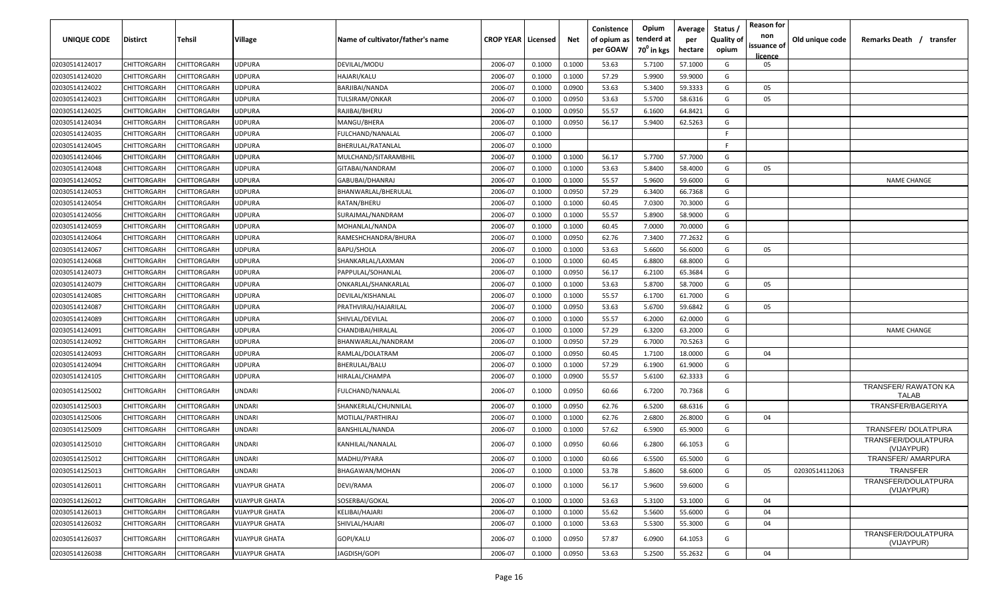| UNIQUE CODE    | <b>Distirct</b>    | Tehsil             | <b>Village</b>        | Name of cultivator/father's name | <b>CROP YEAR Licensed</b> |        | Net    | Conistence<br>of opium as<br>per GOAW | Opium<br>tenderd at<br>70 <sup>0</sup> in kgs | Average<br>per<br>hectare | Status /<br><b>Quality of</b><br>opium | <b>Reason for</b><br>non<br>issuance of<br><b>licence</b> | Old unique code | Remarks Death /<br>transfer       |
|----------------|--------------------|--------------------|-----------------------|----------------------------------|---------------------------|--------|--------|---------------------------------------|-----------------------------------------------|---------------------------|----------------------------------------|-----------------------------------------------------------|-----------------|-----------------------------------|
| 02030514124017 | CHITTORGARH        | CHITTORGARH        | <b>JDPURA</b>         | DEVILAL/MODU                     | 2006-07                   | 0.1000 | 0.1000 | 53.63                                 | 5.7100                                        | 57.1000                   | G                                      | 05                                                        |                 |                                   |
| 02030514124020 | CHITTORGARH        | CHITTORGARH        | <b>JDPURA</b>         | HAJARI/KALU                      | 2006-07                   | 0.1000 | 0.1000 | 57.29                                 | 5.9900                                        | 59.9000                   | G                                      |                                                           |                 |                                   |
| 02030514124022 | CHITTORGARH        | CHITTORGARH        | <b>JDPURA</b>         | BARJIBAI/NANDA                   | 2006-07                   | 0.1000 | 0.0900 | 53.63                                 | 5.3400                                        | 59.3333                   | G                                      | 05                                                        |                 |                                   |
| 02030514124023 | CHITTORGARH        | CHITTORGARH        | <b>JDPURA</b>         | TULSIRAM/ONKAR                   | 2006-07                   | 0.1000 | 0.0950 | 53.63                                 | 5.5700                                        | 58.6316                   | G                                      | 05                                                        |                 |                                   |
| 02030514124025 | CHITTORGARH        | CHITTORGARH        | <b>JDPURA</b>         | RAJIBAI/BHERU                    | 2006-07                   | 0.1000 | 0.0950 | 55.57                                 | 6.1600                                        | 64.8421                   | G                                      |                                                           |                 |                                   |
| 02030514124034 | CHITTORGARH        | CHITTORGARH        | <b>JDPURA</b>         | MANGU/BHERA                      | 2006-07                   | 0.1000 | 0.0950 | 56.17                                 | 5.9400                                        | 62.5263                   | G                                      |                                                           |                 |                                   |
| 02030514124035 | CHITTORGARH        | CHITTORGARH        | <b>JDPURA</b>         | FULCHAND/NANALAL                 | 2006-07                   | 0.1000 |        |                                       |                                               |                           | -F                                     |                                                           |                 |                                   |
| 02030514124045 | CHITTORGARH        | <b>CHITTORGARH</b> | JDPURA                | BHERULAL/RATANLAL                | 2006-07                   | 0.1000 |        |                                       |                                               |                           | -F                                     |                                                           |                 |                                   |
| 02030514124046 | CHITTORGARH        | <b>CHITTORGARH</b> | JDPURA                | MULCHAND/SITARAMBHIL             | 2006-07                   | 0.1000 | 0.1000 | 56.17                                 | 5.7700                                        | 57.7000                   | G                                      |                                                           |                 |                                   |
| 02030514124048 | CHITTORGARH        | CHITTORGARH        | JDPURA                | GITABAI/NANDRAM                  | 2006-07                   | 0.1000 | 0.1000 | 53.63                                 | 5.8400                                        | 58.4000                   | G                                      | 05                                                        |                 |                                   |
| 02030514124052 | CHITTORGARH        | CHITTORGARH        | JDPURA                | GABUBAI/DHANRAJ                  | 2006-07                   | 0.1000 | 0.1000 | 55.57                                 | 5.9600                                        | 59.6000                   | G                                      |                                                           |                 | <b>NAME CHANGE</b>                |
| 02030514124053 | CHITTORGARH        | CHITTORGARH        | JDPURA                | BHANWARLAL/BHERULAL              | 2006-07                   | 0.1000 | 0.0950 | 57.29                                 | 6.3400                                        | 66.7368                   | G                                      |                                                           |                 |                                   |
| 02030514124054 | <b>CHITTORGARH</b> | CHITTORGARH        | <b>JDPURA</b>         | RATAN/BHERU                      | 2006-07                   | 0.1000 | 0.1000 | 60.45                                 | 7.0300                                        | 70.3000                   | G                                      |                                                           |                 |                                   |
| 02030514124056 | CHITTORGARH        | CHITTORGARH        | JDPURA                | SURAJMAL/NANDRAM                 | 2006-07                   | 0.1000 | 0.1000 | 55.57                                 | 5.8900                                        | 58.9000                   | G                                      |                                                           |                 |                                   |
| 02030514124059 | CHITTORGARH        | CHITTORGARH        | <b>JDPURA</b>         | MOHANLAL/NANDA                   | 2006-07                   | 0.1000 | 0.1000 | 60.45                                 | 7.0000                                        | 70.0000                   | G                                      |                                                           |                 |                                   |
| 02030514124064 | CHITTORGARH        | CHITTORGARH        | JDPURA                | RAMESHCHANDRA/BHURA              | 2006-07                   | 0.1000 | 0.0950 | 62.76                                 | 7.3400                                        | 77.2632                   | G                                      |                                                           |                 |                                   |
| 02030514124067 | CHITTORGARH        | <b>CHITTORGARH</b> | JDPURA                | <b>BAPU/SHOLA</b>                | 2006-07                   | 0.1000 | 0.1000 | 53.63                                 | 5.6600                                        | 56.6000                   | G                                      | 05                                                        |                 |                                   |
| 02030514124068 | CHITTORGARH        | CHITTORGARH        | JDPURA                | SHANKARLAL/LAXMAN                | 2006-07                   | 0.1000 | 0.1000 | 60.45                                 | 6.8800                                        | 68.8000                   | G                                      |                                                           |                 |                                   |
| 02030514124073 | CHITTORGARH        | CHITTORGARH        | <b>JDPURA</b>         | PAPPULAL/SOHANLAL                | 2006-07                   | 0.1000 | 0.0950 | 56.17                                 | 6.2100                                        | 65.3684                   | G                                      |                                                           |                 |                                   |
| 02030514124079 | CHITTORGARH        | CHITTORGARH        | JDPURA                | ONKARLAL/SHANKARLAL              | 2006-07                   | 0.1000 | 0.1000 | 53.63                                 | 5.8700                                        | 58.7000                   | G                                      | 05                                                        |                 |                                   |
| 02030514124085 | CHITTORGARH        | CHITTORGARH        | <b>JDPURA</b>         | DEVILAL/KISHANLAL                | 2006-07                   | 0.1000 | 0.1000 | 55.57                                 | 6.1700                                        | 61.7000                   | G                                      |                                                           |                 |                                   |
| 02030514124087 | CHITTORGARH        | CHITTORGARH        | JDPURA                | PRATHVIRAJ/HAJARILAL             | 2006-07                   | 0.1000 | 0.0950 | 53.63                                 | 5.6700                                        | 59.6842                   | G                                      | 05                                                        |                 |                                   |
| 02030514124089 | CHITTORGARH        | CHITTORGARH        | <b>JDPURA</b>         | SHIVLAL/DEVILAL                  | 2006-07                   | 0.1000 | 0.1000 | 55.57                                 | 6.2000                                        | 62.0000                   | G                                      |                                                           |                 |                                   |
| 02030514124091 | CHITTORGARH        | CHITTORGARH        | <b>JDPURA</b>         | CHANDIBAI/HIRALAL                | 2006-07                   | 0.1000 | 0.1000 | 57.29                                 | 6.3200                                        | 63.2000                   | G                                      |                                                           |                 | <b>NAME CHANGE</b>                |
| 02030514124092 | CHITTORGARH        | <b>CHITTORGARH</b> | <b>JDPURA</b>         | BHANWARLAL/NANDRAM               | 2006-07                   | 0.1000 | 0.0950 | 57.29                                 | 6.7000                                        | 70.5263                   | G                                      |                                                           |                 |                                   |
| 02030514124093 | CHITTORGARH        | <b>CHITTORGARH</b> | <b>JDPURA</b>         | RAMLAL/DOLATRAM                  | 2006-07                   | 0.1000 | 0.0950 | 60.45                                 | 1.7100                                        | 18.0000                   | G                                      | 04                                                        |                 |                                   |
| 02030514124094 | CHITTORGARH        | CHITTORGARH        | <b>JDPURA</b>         | BHERULAL/BALU                    | 2006-07                   | 0.1000 | 0.1000 | 57.29                                 | 6.1900                                        | 61.9000                   | G                                      |                                                           |                 |                                   |
| 02030514124105 | CHITTORGARH        | CHITTORGARH        | JDPURA                | HIRALAL/CHAMPA                   | 2006-07                   | 0.1000 | 0.0900 | 55.57                                 | 5.6100                                        | 62.3333                   | G                                      |                                                           |                 |                                   |
| 02030514125002 | CHITTORGARH        | CHITTORGARH        | JNDARI                | FULCHAND/NANALAL                 | 2006-07                   | 0.1000 | 0.0950 | 60.66                                 | 6.7200                                        | 70.7368                   | G                                      |                                                           |                 | TRANSFER/ RAWATON KA<br>TALAB     |
| 02030514125003 | CHITTORGARH        | CHITTORGARH        | JNDARI                | SHANKERLAL/CHUNNILAL             | 2006-07                   | 0.1000 | 0.0950 | 62.76                                 | 6.5200                                        | 68.6316                   | G                                      |                                                           |                 | TRANSFER/BAGERIYA                 |
| 02030514125006 | CHITTORGARH        | CHITTORGARH        | JNDARI                | MOTILAL/PARTHIRAJ                | 2006-07                   | 0.1000 | 0.1000 | 62.76                                 | 2.6800                                        | 26.8000                   | G                                      | 04                                                        |                 |                                   |
| 02030514125009 | CHITTORGARH        | CHITTORGARH        | JNDARI                | BANSHILAL/NANDA                  | 2006-07                   | 0.1000 | 0.1000 | 57.62                                 | 6.5900                                        | 65.9000                   | G                                      |                                                           |                 | TRANSFER/ DOLATPURA               |
| 02030514125010 | CHITTORGARH        | CHITTORGARH        | JNDARI                | KANHILAL/NANALAL                 | 2006-07                   | 0.1000 | 0.0950 | 60.66                                 | 6.2800                                        | 66.1053                   | G                                      |                                                           |                 | TRANSFER/DOULATPURA<br>(VIJAYPUR) |
| 02030514125012 | CHITTORGARH        | CHITTORGARH        | JNDARI                | MADHU/PYARA                      | 2006-07                   | 0.1000 | 0.1000 | 60.66                                 | 6.5500                                        | 65.5000                   | G                                      |                                                           |                 | TRANSFER/ AMARPURA                |
| 02030514125013 | <b>CHITTORGARH</b> | CHITTORGARH        | UNDARI                | <b>BHAGAWAN/MOHAN</b>            | 2006-07                   | 0.1000 | 0.1000 | 53.78                                 | 5.8600                                        | 58.6000                   | G                                      | 05                                                        | 02030514112063  | <b>TRANSFER</b>                   |
| 02030514126011 | CHITTORGARH        | CHITTORGARH        | VIJAYPUR GHATA        | DEVI/RAMA                        | 2006-07                   | 0.1000 | 0.1000 | 56.17                                 | 5.9600                                        | 59.6000                   | G                                      |                                                           |                 | TRANSFER/DOULATPURA<br>(VIJAYPUR) |
| 02030514126012 | CHITTORGARH        | CHITTORGARH        | VIJAYPUR GHATA        | SOSERBAI/GOKAL                   | 2006-07                   | 0.1000 | 0.1000 | 53.63                                 | 5.3100                                        | 53.1000                   | G                                      | 04                                                        |                 |                                   |
| 02030514126013 | CHITTORGARH        | CHITTORGARH        | VIJAYPUR GHATA        | KELIBAI/HAJARI                   | 2006-07                   | 0.1000 | 0.1000 | 55.62                                 | 5.5600                                        | 55.6000                   | G                                      | 04                                                        |                 |                                   |
| 02030514126032 | CHITTORGARH        | CHITTORGARH        | <b>VIJAYPUR GHATA</b> | SHIVLAL/HAJARI                   | 2006-07                   | 0.1000 | 0.1000 | 53.63                                 | 5.5300                                        | 55.3000                   | G                                      | 04                                                        |                 |                                   |
| 02030514126037 | CHITTORGARH        | CHITTORGARH        | VIJAYPUR GHATA        | GOPI/KALU                        | 2006-07                   | 0.1000 | 0.0950 | 57.87                                 | 6.0900                                        | 64.1053                   | G                                      |                                                           |                 | TRANSFER/DOULATPURA<br>(VIJAYPUR) |
| 02030514126038 | CHITTORGARH        | <b>CHITTORGARH</b> | <b>VIJAYPUR GHATA</b> | JAGDISH/GOPI                     | 2006-07                   | 0.1000 | 0.0950 | 53.63                                 | 5.2500                                        | 55.2632                   | G                                      | 04                                                        |                 |                                   |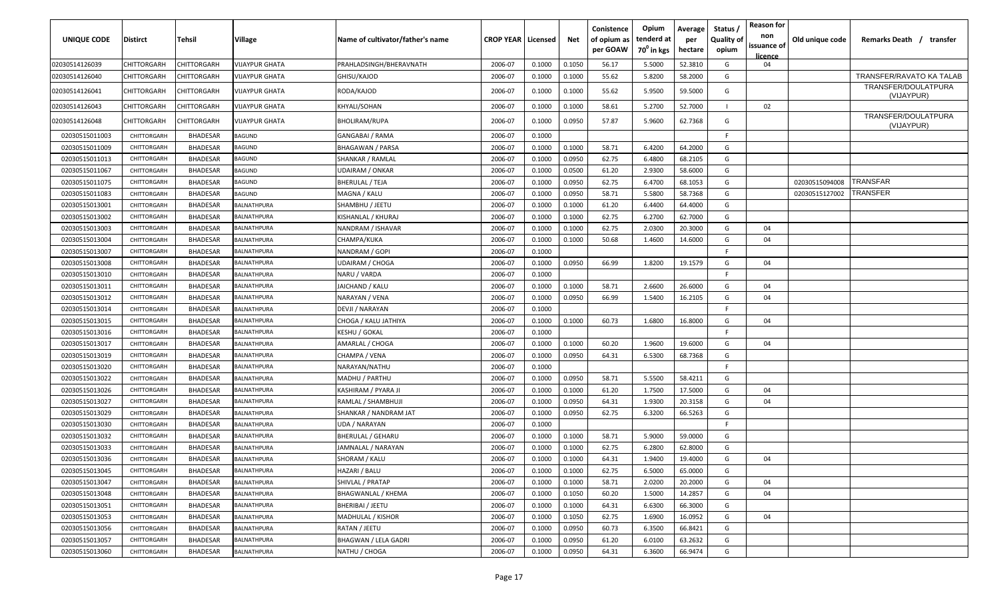| CHITTORGARH<br><b>CHITTORGARH</b><br><b>VIJAYPUR GHATA</b><br>2006-07<br>0.1000<br>0.1050<br>56.17<br>5.5000<br>52.3810<br>G<br>04<br>02030514126039<br>PRAHLADSINGH/BHERAVNATH<br>TRANSFER/RAVATO KA TALAB<br>0.1000<br>55.62<br>58.2000<br>G<br>02030514126040<br><b>CHITTORGARH</b><br>CHITTORGARH<br><b>VIJAYPUR GHATA</b><br>GHISU/KAJOD<br>2006-07<br>0.1000<br>5.8200<br>TRANSFER/DOULATPURA<br>0.1000<br>02030514126041<br>CHITTORGARH<br>CHITTORGARH<br>VIJAYPUR GHATA<br>RODA/KAJOD<br>2006-07<br>0.1000<br>55.62<br>5.9500<br>59.5000<br>G<br>(VIJAYPUR)<br>0.1000<br>58.61<br>52.7000<br>02<br><b>CHITTORGARH</b><br>CHITTORGARH<br><b>VIJAYPUR GHATA</b><br>KHYALI/SOHAN<br>2006-07<br>0.1000<br>5.2700<br>02030514126043<br>$\mathbf{I}$<br>TRANSFER/DOULATPURA<br>0.0950<br>57.87<br>5.9600<br>62.7368<br>G<br>02030514126048<br>CHITTORGARH<br>CHITTORGARH<br>VIJAYPUR GHATA<br><b>BHOLIRAM/RUPA</b><br>2006-07<br>0.1000<br>(VIJAYPUR)<br>F.<br>02030515011003<br>CHITTORGARH<br><b>BHADESAR</b><br><b>BAGUND</b><br>GANGABAI / RAMA<br>2006-07<br>0.1000<br>CHITTORGARH<br><b>BAGUND</b><br>0.1000<br>6.4200<br>64.2000<br>G<br>02030515011009<br><b>BHADESAR</b><br><b>BHAGAWAN / PARSA</b><br>2006-07<br>0.1000<br>58.71<br>0.0950<br>62.75<br>G<br>02030515011013<br>CHITTORGARH<br><b>BHADESAR</b><br><b>BAGUND</b><br><b>SHANKAR / RAMLAL</b><br>2006-07<br>6.4800<br>68.2105<br>0.1000<br>0.0500<br>02030515011067<br>CHITTORGARH<br><b>BHADESAR</b><br><b>BAGUND</b><br><b>UDAIRAM / ONKAR</b><br>2006-07<br>0.1000<br>61.20<br>2.9300<br>58.6000<br>G<br>TRANSFAR<br>0.0950<br>62.75<br>02030515011075<br>CHITTORGARH<br><b>BHADESAR</b><br><b>BAGUND</b><br><b>BHERULAL / TEJA</b><br>2006-07<br>0.1000<br>6.4700<br>68.1053<br>G<br>02030515094008<br>TRANSFER<br>0.0950<br>58.71<br>5.5800<br>02030515011083<br>CHITTORGARH<br><b>BHADESAF</b><br><b>BAGUND</b><br>MAGNA / KALU<br>2006-07<br>0.1000<br>58.7368<br>G<br>02030515127002<br>0.1000<br>0.1000<br>61.20<br>G<br>02030515013001<br>CHITTORGARH<br><b>BHADESAF</b><br>BALNATHPURA<br>SHAMBHU / JEETU<br>2006-07<br>6.4400<br>64.4000<br>0.1000<br>02030515013002<br>CHITTORGARH<br><b>BHADESAF</b><br>BALNATHPURA<br>KISHANLAL / KHURAJ<br>2006-07<br>0.1000<br>62.75<br>6.2700<br>62.7000<br>G<br>02030515013003<br><b>BHADESAR</b><br>BALNATHPURA<br>0.1000<br>0.1000<br>62.75<br>2.0300<br>20.3000<br>G<br>CHITTORGARH<br>NANDRAM / ISHAVAR<br>2006-07<br>04<br>G<br>0.1000<br>50.68<br>02030515013004<br>CHITTORGARH<br><b>BHADESAF</b><br>BALNATHPURA<br>CHAMPA/KUKA<br>2006-07<br>0.1000<br>1.4600<br>14.6000<br>04<br>F.<br>02030515013007<br>CHITTORGARH<br><b>BHADESAF</b><br>BALNATHPURA<br>NANDRAM / GOPI<br>2006-07<br>0.1000<br>G<br><b>BHADESAF</b><br>BALNATHPURA<br>2006-07<br>0.0950<br>66.99<br>1.8200<br>19.1579<br>04<br>02030515013008<br>CHITTORGARH<br>UDAIRAM / CHOGA<br>0.1000<br>CHITTORGARH<br><b>BHADESAR</b><br>NARU / VARDA<br>2006-07<br>0.1000<br>-F.<br>02030515013010<br>BALNATHPURA<br>0.1000<br>58.71<br>2.6600<br>26.6000<br>G<br>02030515013011<br>CHITTORGARH<br><b>BHADESAF</b><br>BALNATHPURA<br>2006-07<br>0.1000<br>04<br>JAICHAND / KALU<br>02030515013012<br>CHITTORGARH<br><b>BHADESAF</b><br>NARAYAN / VENA<br>2006-07<br>0.1000<br>0.0950<br>66.99<br>1.5400<br>16.2105<br>G<br>04<br>BALNATHPURA<br>F.<br>02030515013014<br>CHITTORGARH<br><b>BHADESAF</b><br>BALNATHPURA<br>DEVJI / NARAYAN<br>2006-07<br>0.1000<br>CHITTORGARH<br><b>BHADESAR</b><br>BALNATHPURA<br>2006-07<br>0.1000<br>0.1000<br>60.73<br>1.6800<br>16.8000<br>G<br>04<br>02030515013015<br>CHOGA / KALU JATHIYA<br>F.<br>CHITTORGARH<br><b>BHADESAR</b><br>KESHU / GOKAL<br>2006-07<br>02030515013016<br>BALNATHPURA<br>0.1000<br>0.1000<br>60.20<br>19.6000<br>G<br>02030515013017<br>CHITTORGARH<br><b>BHADESAR</b><br>BALNATHPURA<br>AMARLAL / CHOGA<br>2006-07<br>0.1000<br>1.9600<br>04<br>02030515013019<br>CHITTORGARH<br><b>BHADESAF</b><br>BALNATHPURA<br>CHAMPA / VENA<br>2006-07<br>0.1000<br>0.0950<br>64.31<br>6.5300<br>68.7368<br>G<br>02030515013020<br><b>BHADESAR</b><br>NARAYAN/NATHU<br>2006-07<br>0.1000<br>-F<br>CHITTORGARH<br>BALNATHPURA<br>0.0950<br>58.4211<br>02030515013022<br>CHITTORGARH<br><b>BHADESAR</b><br>BALNATHPURA<br>MADHU / PARTHU<br>2006-07<br>0.1000<br>58.71<br>5.5500<br>G<br>0.1000<br>02030515013026<br>CHITTORGARH<br><b>BHADESAF</b><br>BALNATHPURA<br>KASHIRAM / PYARA JI<br>2006-07<br>0.1000<br>61.20<br>1.7500<br>17.5000<br>G<br>04<br>0.0950<br>1.9300<br>G<br>02030515013027<br>CHITTORGARH<br><b>BHADESAF</b><br>BALNATHPURA<br>RAMLAL / SHAMBHUJI<br>2006-07<br>0.1000<br>64.31<br>20.3158<br>04<br>02030515013029<br>CHITTORGARH<br><b>BHADESAF</b><br>BALNATHPURA<br>SHANKAR / NANDRAM JAT<br>2006-07<br>0.1000<br>0.0950<br>62.75<br>6.3200<br>66.5263<br>G<br>02030515013030<br><b>BHADESAR</b><br>2006-07<br>0.1000<br>F.<br>CHITTORGARH<br>BALNATHPURA<br>UDA / NARAYAN<br>0.1000<br>58.71<br>5.9000<br>G<br>02030515013032<br>CHITTORGARH<br><b>BHADESAF</b><br>BALNATHPURA<br>BHERULAL / GEHARU<br>2006-07<br>0.1000<br>59.0000<br>G<br>0.1000<br>62.75<br>6.2800<br>62.8000<br>02030515013033<br>CHITTORGARH<br><b>BHADESAF</b><br>BALNATHPURA<br>2006-07<br>0.1000<br>AMNALAL / NARAYAN<br>G<br>02030515013036<br>CHITTORGARH<br><b>BHADESAR</b><br>BALNATHPURA<br>SHORAM / KALU<br>2006-07<br>0.1000<br>0.1000<br>64.31<br>1.9400<br>19.4000<br>04<br>0.1000<br>65.0000<br>02030515013045<br>CHITTORGARH<br><b>BHADESAR</b><br>BALNATHPURA<br>HAZARI / BALU<br>2006-07<br>0.1000<br>62.75<br>6.5000<br>G<br>G<br><b>BHADESAR</b><br>2006-07<br>0.1000<br>58.71<br>2.0200<br>20.2000<br>04<br>02030515013047<br>CHITTORGARH<br>BALNATHPURA<br>SHIVLAL / PRATAP<br>0.1000<br><b>BHADESAR</b><br>2006-07<br>0.1050<br>60.20<br>1.5000<br>14.2857<br>02030515013048<br>CHITTORGARH<br>BALNATHPURA<br><b>BHAGWANLAL / KHEMA</b><br>0.1000<br>G<br>04<br><b>BHADESAR</b><br>BHERIBAI / JEETU<br>2006-07<br>0.1000<br>0.1000<br>6.6300<br>66.3000<br>02030515013051<br>CHITTORGARH<br>BALNATHPURA<br>64.31<br>G<br>0.1050<br>02030515013053<br>CHITTORGARH<br><b>BHADESAR</b><br>BALNATHPURA<br>MADHULAL / KISHOR<br>2006-07<br>0.1000<br>62.75<br>1.6900<br>16.0952<br>G<br>04<br>0.0950<br>60.73<br>G<br>02030515013056<br>CHITTORGARH<br><b>BHADESAR</b><br>BALNATHPURA<br>RATAN / JEETU<br>2006-07<br>6.3500<br>66.8421<br>0.1000<br>0.0950<br>02030515013057<br>CHITTORGARH<br><b>BHADESAR</b><br>BALNATHPURA<br><b>BHAGWAN / LELA GADRI</b><br>2006-07<br>61.20<br>6.0100<br>63.2632<br>G<br>0.1000<br>02030515013060<br>CHITTORGARH<br><b>BHADESAR</b><br>NATHU / CHOGA<br>2006-07<br>0.0950<br>64.31<br>6.3600<br>66.9474<br>G<br>BALNATHPURA<br>0.1000 | UNIQUE CODE | <b>Distirct</b> | Tehsil | Village | Name of cultivator/father's name | <b>CROP YEAR   Licensed</b> | Net | Conistence<br>of opium as<br>per GOAW | Opium<br>tenderd at<br>70 <sup>0</sup> in kgs | Average<br>per<br>hectare | Status<br><b>Quality of</b><br>opium | <b>Reason for</b><br>non<br>issuance of<br>licence | Old unique code | Remarks Death / transfer |
|---------------------------------------------------------------------------------------------------------------------------------------------------------------------------------------------------------------------------------------------------------------------------------------------------------------------------------------------------------------------------------------------------------------------------------------------------------------------------------------------------------------------------------------------------------------------------------------------------------------------------------------------------------------------------------------------------------------------------------------------------------------------------------------------------------------------------------------------------------------------------------------------------------------------------------------------------------------------------------------------------------------------------------------------------------------------------------------------------------------------------------------------------------------------------------------------------------------------------------------------------------------------------------------------------------------------------------------------------------------------------------------------------------------------------------------------------------------------------------------------------------------------------------------------------------------------------------------------------------------------------------------------------------------------------------------------------------------------------------------------------------------------------------------------------------------------------------------------------------------------------------------------------------------------------------------------------------------------------------------------------------------------------------------------------------------------------------------------------------------------------------------------------------------------------------------------------------------------------------------------------------------------------------------------------------------------------------------------------------------------------------------------------------------------------------------------------------------------------------------------------------------------------------------------------------------------------------------------------------------------------------------------------------------------------------------------------------------------------------------------------------------------------------------------------------------------------------------------------------------------------------------------------------------------------------------------------------------------------------------------------------------------------------------------------------------------------------------------------------------------------------------------------------------------------------------------------------------------------------------------------------------------------------------------------------------------------------------------------------------------------------------------------------------------------------------------------------------------------------------------------------------------------------------------------------------------------------------------------------------------------------------------------------------------------------------------------------------------------------------------------------------------------------------------------------------------------------------------------------------------------------------------------------------------------------------------------------------------------------------------------------------------------------------------------------------------------------------------------------------------------------------------------------------------------------------------------------------------------------------------------------------------------------------------------------------------------------------------------------------------------------------------------------------------------------------------------------------------------------------------------------------------------------------------------------------------------------------------------------------------------------------------------------------------------------------------------------------------------------------------------------------------------------------------------------------------------------------------------------------------------------------------------------------------------------------------------------------------------------------------------------------------------------------------------------------------------------------------------------------------------------------------------------------------------------------------------------------------------------------------------------------------------------------------------------------------------------------------------------------------------------------------------------------------------------------------------------------------------------------------------------------------------------------------------------------------------------------------------------------------------------------------------------------------------------------------------------------------------------------------------------------------------------------------------------------------------------------------------------------------------------------------------------------------------------------------------------------------------------------------------------------------------------------------------------------------------------------------------------------------------------------------------------------------------------------------------------------------------------------------------------------------------------------------------------------------------------------------------------------------------------------------------------------------------------------------------------------------------------------------------------------------------------------------------------------------------------------------------------------------------------------------------------------------------------------------------------------------------------------------|-------------|-----------------|--------|---------|----------------------------------|-----------------------------|-----|---------------------------------------|-----------------------------------------------|---------------------------|--------------------------------------|----------------------------------------------------|-----------------|--------------------------|
|                                                                                                                                                                                                                                                                                                                                                                                                                                                                                                                                                                                                                                                                                                                                                                                                                                                                                                                                                                                                                                                                                                                                                                                                                                                                                                                                                                                                                                                                                                                                                                                                                                                                                                                                                                                                                                                                                                                                                                                                                                                                                                                                                                                                                                                                                                                                                                                                                                                                                                                                                                                                                                                                                                                                                                                                                                                                                                                                                                                                                                                                                                                                                                                                                                                                                                                                                                                                                                                                                                                                                                                                                                                                                                                                                                                                                                                                                                                                                                                                                                                                                                                                                                                                                                                                                                                                                                                                                                                                                                                                                                                                                                                                                                                                                                                                                                                                                                                                                                                                                                                                                                                                                                                                                                                                                                                                                                                                                                                                                                                                                                                                                                                                                                                                                                                                                                                                                                                                                                                                                                                                                                                                                                                                                                                                                                                                                                                                                                                                                                                                                                                                                                                                                                                                             |             |                 |        |         |                                  |                             |     |                                       |                                               |                           |                                      |                                                    |                 |                          |
|                                                                                                                                                                                                                                                                                                                                                                                                                                                                                                                                                                                                                                                                                                                                                                                                                                                                                                                                                                                                                                                                                                                                                                                                                                                                                                                                                                                                                                                                                                                                                                                                                                                                                                                                                                                                                                                                                                                                                                                                                                                                                                                                                                                                                                                                                                                                                                                                                                                                                                                                                                                                                                                                                                                                                                                                                                                                                                                                                                                                                                                                                                                                                                                                                                                                                                                                                                                                                                                                                                                                                                                                                                                                                                                                                                                                                                                                                                                                                                                                                                                                                                                                                                                                                                                                                                                                                                                                                                                                                                                                                                                                                                                                                                                                                                                                                                                                                                                                                                                                                                                                                                                                                                                                                                                                                                                                                                                                                                                                                                                                                                                                                                                                                                                                                                                                                                                                                                                                                                                                                                                                                                                                                                                                                                                                                                                                                                                                                                                                                                                                                                                                                                                                                                                                             |             |                 |        |         |                                  |                             |     |                                       |                                               |                           |                                      |                                                    |                 |                          |
|                                                                                                                                                                                                                                                                                                                                                                                                                                                                                                                                                                                                                                                                                                                                                                                                                                                                                                                                                                                                                                                                                                                                                                                                                                                                                                                                                                                                                                                                                                                                                                                                                                                                                                                                                                                                                                                                                                                                                                                                                                                                                                                                                                                                                                                                                                                                                                                                                                                                                                                                                                                                                                                                                                                                                                                                                                                                                                                                                                                                                                                                                                                                                                                                                                                                                                                                                                                                                                                                                                                                                                                                                                                                                                                                                                                                                                                                                                                                                                                                                                                                                                                                                                                                                                                                                                                                                                                                                                                                                                                                                                                                                                                                                                                                                                                                                                                                                                                                                                                                                                                                                                                                                                                                                                                                                                                                                                                                                                                                                                                                                                                                                                                                                                                                                                                                                                                                                                                                                                                                                                                                                                                                                                                                                                                                                                                                                                                                                                                                                                                                                                                                                                                                                                                                             |             |                 |        |         |                                  |                             |     |                                       |                                               |                           |                                      |                                                    |                 |                          |
|                                                                                                                                                                                                                                                                                                                                                                                                                                                                                                                                                                                                                                                                                                                                                                                                                                                                                                                                                                                                                                                                                                                                                                                                                                                                                                                                                                                                                                                                                                                                                                                                                                                                                                                                                                                                                                                                                                                                                                                                                                                                                                                                                                                                                                                                                                                                                                                                                                                                                                                                                                                                                                                                                                                                                                                                                                                                                                                                                                                                                                                                                                                                                                                                                                                                                                                                                                                                                                                                                                                                                                                                                                                                                                                                                                                                                                                                                                                                                                                                                                                                                                                                                                                                                                                                                                                                                                                                                                                                                                                                                                                                                                                                                                                                                                                                                                                                                                                                                                                                                                                                                                                                                                                                                                                                                                                                                                                                                                                                                                                                                                                                                                                                                                                                                                                                                                                                                                                                                                                                                                                                                                                                                                                                                                                                                                                                                                                                                                                                                                                                                                                                                                                                                                                                             |             |                 |        |         |                                  |                             |     |                                       |                                               |                           |                                      |                                                    |                 |                          |
|                                                                                                                                                                                                                                                                                                                                                                                                                                                                                                                                                                                                                                                                                                                                                                                                                                                                                                                                                                                                                                                                                                                                                                                                                                                                                                                                                                                                                                                                                                                                                                                                                                                                                                                                                                                                                                                                                                                                                                                                                                                                                                                                                                                                                                                                                                                                                                                                                                                                                                                                                                                                                                                                                                                                                                                                                                                                                                                                                                                                                                                                                                                                                                                                                                                                                                                                                                                                                                                                                                                                                                                                                                                                                                                                                                                                                                                                                                                                                                                                                                                                                                                                                                                                                                                                                                                                                                                                                                                                                                                                                                                                                                                                                                                                                                                                                                                                                                                                                                                                                                                                                                                                                                                                                                                                                                                                                                                                                                                                                                                                                                                                                                                                                                                                                                                                                                                                                                                                                                                                                                                                                                                                                                                                                                                                                                                                                                                                                                                                                                                                                                                                                                                                                                                                             |             |                 |        |         |                                  |                             |     |                                       |                                               |                           |                                      |                                                    |                 |                          |
|                                                                                                                                                                                                                                                                                                                                                                                                                                                                                                                                                                                                                                                                                                                                                                                                                                                                                                                                                                                                                                                                                                                                                                                                                                                                                                                                                                                                                                                                                                                                                                                                                                                                                                                                                                                                                                                                                                                                                                                                                                                                                                                                                                                                                                                                                                                                                                                                                                                                                                                                                                                                                                                                                                                                                                                                                                                                                                                                                                                                                                                                                                                                                                                                                                                                                                                                                                                                                                                                                                                                                                                                                                                                                                                                                                                                                                                                                                                                                                                                                                                                                                                                                                                                                                                                                                                                                                                                                                                                                                                                                                                                                                                                                                                                                                                                                                                                                                                                                                                                                                                                                                                                                                                                                                                                                                                                                                                                                                                                                                                                                                                                                                                                                                                                                                                                                                                                                                                                                                                                                                                                                                                                                                                                                                                                                                                                                                                                                                                                                                                                                                                                                                                                                                                                             |             |                 |        |         |                                  |                             |     |                                       |                                               |                           |                                      |                                                    |                 |                          |
|                                                                                                                                                                                                                                                                                                                                                                                                                                                                                                                                                                                                                                                                                                                                                                                                                                                                                                                                                                                                                                                                                                                                                                                                                                                                                                                                                                                                                                                                                                                                                                                                                                                                                                                                                                                                                                                                                                                                                                                                                                                                                                                                                                                                                                                                                                                                                                                                                                                                                                                                                                                                                                                                                                                                                                                                                                                                                                                                                                                                                                                                                                                                                                                                                                                                                                                                                                                                                                                                                                                                                                                                                                                                                                                                                                                                                                                                                                                                                                                                                                                                                                                                                                                                                                                                                                                                                                                                                                                                                                                                                                                                                                                                                                                                                                                                                                                                                                                                                                                                                                                                                                                                                                                                                                                                                                                                                                                                                                                                                                                                                                                                                                                                                                                                                                                                                                                                                                                                                                                                                                                                                                                                                                                                                                                                                                                                                                                                                                                                                                                                                                                                                                                                                                                                             |             |                 |        |         |                                  |                             |     |                                       |                                               |                           |                                      |                                                    |                 |                          |
|                                                                                                                                                                                                                                                                                                                                                                                                                                                                                                                                                                                                                                                                                                                                                                                                                                                                                                                                                                                                                                                                                                                                                                                                                                                                                                                                                                                                                                                                                                                                                                                                                                                                                                                                                                                                                                                                                                                                                                                                                                                                                                                                                                                                                                                                                                                                                                                                                                                                                                                                                                                                                                                                                                                                                                                                                                                                                                                                                                                                                                                                                                                                                                                                                                                                                                                                                                                                                                                                                                                                                                                                                                                                                                                                                                                                                                                                                                                                                                                                                                                                                                                                                                                                                                                                                                                                                                                                                                                                                                                                                                                                                                                                                                                                                                                                                                                                                                                                                                                                                                                                                                                                                                                                                                                                                                                                                                                                                                                                                                                                                                                                                                                                                                                                                                                                                                                                                                                                                                                                                                                                                                                                                                                                                                                                                                                                                                                                                                                                                                                                                                                                                                                                                                                                             |             |                 |        |         |                                  |                             |     |                                       |                                               |                           |                                      |                                                    |                 |                          |
|                                                                                                                                                                                                                                                                                                                                                                                                                                                                                                                                                                                                                                                                                                                                                                                                                                                                                                                                                                                                                                                                                                                                                                                                                                                                                                                                                                                                                                                                                                                                                                                                                                                                                                                                                                                                                                                                                                                                                                                                                                                                                                                                                                                                                                                                                                                                                                                                                                                                                                                                                                                                                                                                                                                                                                                                                                                                                                                                                                                                                                                                                                                                                                                                                                                                                                                                                                                                                                                                                                                                                                                                                                                                                                                                                                                                                                                                                                                                                                                                                                                                                                                                                                                                                                                                                                                                                                                                                                                                                                                                                                                                                                                                                                                                                                                                                                                                                                                                                                                                                                                                                                                                                                                                                                                                                                                                                                                                                                                                                                                                                                                                                                                                                                                                                                                                                                                                                                                                                                                                                                                                                                                                                                                                                                                                                                                                                                                                                                                                                                                                                                                                                                                                                                                                             |             |                 |        |         |                                  |                             |     |                                       |                                               |                           |                                      |                                                    |                 |                          |
|                                                                                                                                                                                                                                                                                                                                                                                                                                                                                                                                                                                                                                                                                                                                                                                                                                                                                                                                                                                                                                                                                                                                                                                                                                                                                                                                                                                                                                                                                                                                                                                                                                                                                                                                                                                                                                                                                                                                                                                                                                                                                                                                                                                                                                                                                                                                                                                                                                                                                                                                                                                                                                                                                                                                                                                                                                                                                                                                                                                                                                                                                                                                                                                                                                                                                                                                                                                                                                                                                                                                                                                                                                                                                                                                                                                                                                                                                                                                                                                                                                                                                                                                                                                                                                                                                                                                                                                                                                                                                                                                                                                                                                                                                                                                                                                                                                                                                                                                                                                                                                                                                                                                                                                                                                                                                                                                                                                                                                                                                                                                                                                                                                                                                                                                                                                                                                                                                                                                                                                                                                                                                                                                                                                                                                                                                                                                                                                                                                                                                                                                                                                                                                                                                                                                             |             |                 |        |         |                                  |                             |     |                                       |                                               |                           |                                      |                                                    |                 |                          |
|                                                                                                                                                                                                                                                                                                                                                                                                                                                                                                                                                                                                                                                                                                                                                                                                                                                                                                                                                                                                                                                                                                                                                                                                                                                                                                                                                                                                                                                                                                                                                                                                                                                                                                                                                                                                                                                                                                                                                                                                                                                                                                                                                                                                                                                                                                                                                                                                                                                                                                                                                                                                                                                                                                                                                                                                                                                                                                                                                                                                                                                                                                                                                                                                                                                                                                                                                                                                                                                                                                                                                                                                                                                                                                                                                                                                                                                                                                                                                                                                                                                                                                                                                                                                                                                                                                                                                                                                                                                                                                                                                                                                                                                                                                                                                                                                                                                                                                                                                                                                                                                                                                                                                                                                                                                                                                                                                                                                                                                                                                                                                                                                                                                                                                                                                                                                                                                                                                                                                                                                                                                                                                                                                                                                                                                                                                                                                                                                                                                                                                                                                                                                                                                                                                                                             |             |                 |        |         |                                  |                             |     |                                       |                                               |                           |                                      |                                                    |                 |                          |
|                                                                                                                                                                                                                                                                                                                                                                                                                                                                                                                                                                                                                                                                                                                                                                                                                                                                                                                                                                                                                                                                                                                                                                                                                                                                                                                                                                                                                                                                                                                                                                                                                                                                                                                                                                                                                                                                                                                                                                                                                                                                                                                                                                                                                                                                                                                                                                                                                                                                                                                                                                                                                                                                                                                                                                                                                                                                                                                                                                                                                                                                                                                                                                                                                                                                                                                                                                                                                                                                                                                                                                                                                                                                                                                                                                                                                                                                                                                                                                                                                                                                                                                                                                                                                                                                                                                                                                                                                                                                                                                                                                                                                                                                                                                                                                                                                                                                                                                                                                                                                                                                                                                                                                                                                                                                                                                                                                                                                                                                                                                                                                                                                                                                                                                                                                                                                                                                                                                                                                                                                                                                                                                                                                                                                                                                                                                                                                                                                                                                                                                                                                                                                                                                                                                                             |             |                 |        |         |                                  |                             |     |                                       |                                               |                           |                                      |                                                    |                 |                          |
|                                                                                                                                                                                                                                                                                                                                                                                                                                                                                                                                                                                                                                                                                                                                                                                                                                                                                                                                                                                                                                                                                                                                                                                                                                                                                                                                                                                                                                                                                                                                                                                                                                                                                                                                                                                                                                                                                                                                                                                                                                                                                                                                                                                                                                                                                                                                                                                                                                                                                                                                                                                                                                                                                                                                                                                                                                                                                                                                                                                                                                                                                                                                                                                                                                                                                                                                                                                                                                                                                                                                                                                                                                                                                                                                                                                                                                                                                                                                                                                                                                                                                                                                                                                                                                                                                                                                                                                                                                                                                                                                                                                                                                                                                                                                                                                                                                                                                                                                                                                                                                                                                                                                                                                                                                                                                                                                                                                                                                                                                                                                                                                                                                                                                                                                                                                                                                                                                                                                                                                                                                                                                                                                                                                                                                                                                                                                                                                                                                                                                                                                                                                                                                                                                                                                             |             |                 |        |         |                                  |                             |     |                                       |                                               |                           |                                      |                                                    |                 |                          |
|                                                                                                                                                                                                                                                                                                                                                                                                                                                                                                                                                                                                                                                                                                                                                                                                                                                                                                                                                                                                                                                                                                                                                                                                                                                                                                                                                                                                                                                                                                                                                                                                                                                                                                                                                                                                                                                                                                                                                                                                                                                                                                                                                                                                                                                                                                                                                                                                                                                                                                                                                                                                                                                                                                                                                                                                                                                                                                                                                                                                                                                                                                                                                                                                                                                                                                                                                                                                                                                                                                                                                                                                                                                                                                                                                                                                                                                                                                                                                                                                                                                                                                                                                                                                                                                                                                                                                                                                                                                                                                                                                                                                                                                                                                                                                                                                                                                                                                                                                                                                                                                                                                                                                                                                                                                                                                                                                                                                                                                                                                                                                                                                                                                                                                                                                                                                                                                                                                                                                                                                                                                                                                                                                                                                                                                                                                                                                                                                                                                                                                                                                                                                                                                                                                                                             |             |                 |        |         |                                  |                             |     |                                       |                                               |                           |                                      |                                                    |                 |                          |
|                                                                                                                                                                                                                                                                                                                                                                                                                                                                                                                                                                                                                                                                                                                                                                                                                                                                                                                                                                                                                                                                                                                                                                                                                                                                                                                                                                                                                                                                                                                                                                                                                                                                                                                                                                                                                                                                                                                                                                                                                                                                                                                                                                                                                                                                                                                                                                                                                                                                                                                                                                                                                                                                                                                                                                                                                                                                                                                                                                                                                                                                                                                                                                                                                                                                                                                                                                                                                                                                                                                                                                                                                                                                                                                                                                                                                                                                                                                                                                                                                                                                                                                                                                                                                                                                                                                                                                                                                                                                                                                                                                                                                                                                                                                                                                                                                                                                                                                                                                                                                                                                                                                                                                                                                                                                                                                                                                                                                                                                                                                                                                                                                                                                                                                                                                                                                                                                                                                                                                                                                                                                                                                                                                                                                                                                                                                                                                                                                                                                                                                                                                                                                                                                                                                                             |             |                 |        |         |                                  |                             |     |                                       |                                               |                           |                                      |                                                    |                 |                          |
|                                                                                                                                                                                                                                                                                                                                                                                                                                                                                                                                                                                                                                                                                                                                                                                                                                                                                                                                                                                                                                                                                                                                                                                                                                                                                                                                                                                                                                                                                                                                                                                                                                                                                                                                                                                                                                                                                                                                                                                                                                                                                                                                                                                                                                                                                                                                                                                                                                                                                                                                                                                                                                                                                                                                                                                                                                                                                                                                                                                                                                                                                                                                                                                                                                                                                                                                                                                                                                                                                                                                                                                                                                                                                                                                                                                                                                                                                                                                                                                                                                                                                                                                                                                                                                                                                                                                                                                                                                                                                                                                                                                                                                                                                                                                                                                                                                                                                                                                                                                                                                                                                                                                                                                                                                                                                                                                                                                                                                                                                                                                                                                                                                                                                                                                                                                                                                                                                                                                                                                                                                                                                                                                                                                                                                                                                                                                                                                                                                                                                                                                                                                                                                                                                                                                             |             |                 |        |         |                                  |                             |     |                                       |                                               |                           |                                      |                                                    |                 |                          |
|                                                                                                                                                                                                                                                                                                                                                                                                                                                                                                                                                                                                                                                                                                                                                                                                                                                                                                                                                                                                                                                                                                                                                                                                                                                                                                                                                                                                                                                                                                                                                                                                                                                                                                                                                                                                                                                                                                                                                                                                                                                                                                                                                                                                                                                                                                                                                                                                                                                                                                                                                                                                                                                                                                                                                                                                                                                                                                                                                                                                                                                                                                                                                                                                                                                                                                                                                                                                                                                                                                                                                                                                                                                                                                                                                                                                                                                                                                                                                                                                                                                                                                                                                                                                                                                                                                                                                                                                                                                                                                                                                                                                                                                                                                                                                                                                                                                                                                                                                                                                                                                                                                                                                                                                                                                                                                                                                                                                                                                                                                                                                                                                                                                                                                                                                                                                                                                                                                                                                                                                                                                                                                                                                                                                                                                                                                                                                                                                                                                                                                                                                                                                                                                                                                                                             |             |                 |        |         |                                  |                             |     |                                       |                                               |                           |                                      |                                                    |                 |                          |
|                                                                                                                                                                                                                                                                                                                                                                                                                                                                                                                                                                                                                                                                                                                                                                                                                                                                                                                                                                                                                                                                                                                                                                                                                                                                                                                                                                                                                                                                                                                                                                                                                                                                                                                                                                                                                                                                                                                                                                                                                                                                                                                                                                                                                                                                                                                                                                                                                                                                                                                                                                                                                                                                                                                                                                                                                                                                                                                                                                                                                                                                                                                                                                                                                                                                                                                                                                                                                                                                                                                                                                                                                                                                                                                                                                                                                                                                                                                                                                                                                                                                                                                                                                                                                                                                                                                                                                                                                                                                                                                                                                                                                                                                                                                                                                                                                                                                                                                                                                                                                                                                                                                                                                                                                                                                                                                                                                                                                                                                                                                                                                                                                                                                                                                                                                                                                                                                                                                                                                                                                                                                                                                                                                                                                                                                                                                                                                                                                                                                                                                                                                                                                                                                                                                                             |             |                 |        |         |                                  |                             |     |                                       |                                               |                           |                                      |                                                    |                 |                          |
|                                                                                                                                                                                                                                                                                                                                                                                                                                                                                                                                                                                                                                                                                                                                                                                                                                                                                                                                                                                                                                                                                                                                                                                                                                                                                                                                                                                                                                                                                                                                                                                                                                                                                                                                                                                                                                                                                                                                                                                                                                                                                                                                                                                                                                                                                                                                                                                                                                                                                                                                                                                                                                                                                                                                                                                                                                                                                                                                                                                                                                                                                                                                                                                                                                                                                                                                                                                                                                                                                                                                                                                                                                                                                                                                                                                                                                                                                                                                                                                                                                                                                                                                                                                                                                                                                                                                                                                                                                                                                                                                                                                                                                                                                                                                                                                                                                                                                                                                                                                                                                                                                                                                                                                                                                                                                                                                                                                                                                                                                                                                                                                                                                                                                                                                                                                                                                                                                                                                                                                                                                                                                                                                                                                                                                                                                                                                                                                                                                                                                                                                                                                                                                                                                                                                             |             |                 |        |         |                                  |                             |     |                                       |                                               |                           |                                      |                                                    |                 |                          |
|                                                                                                                                                                                                                                                                                                                                                                                                                                                                                                                                                                                                                                                                                                                                                                                                                                                                                                                                                                                                                                                                                                                                                                                                                                                                                                                                                                                                                                                                                                                                                                                                                                                                                                                                                                                                                                                                                                                                                                                                                                                                                                                                                                                                                                                                                                                                                                                                                                                                                                                                                                                                                                                                                                                                                                                                                                                                                                                                                                                                                                                                                                                                                                                                                                                                                                                                                                                                                                                                                                                                                                                                                                                                                                                                                                                                                                                                                                                                                                                                                                                                                                                                                                                                                                                                                                                                                                                                                                                                                                                                                                                                                                                                                                                                                                                                                                                                                                                                                                                                                                                                                                                                                                                                                                                                                                                                                                                                                                                                                                                                                                                                                                                                                                                                                                                                                                                                                                                                                                                                                                                                                                                                                                                                                                                                                                                                                                                                                                                                                                                                                                                                                                                                                                                                             |             |                 |        |         |                                  |                             |     |                                       |                                               |                           |                                      |                                                    |                 |                          |
|                                                                                                                                                                                                                                                                                                                                                                                                                                                                                                                                                                                                                                                                                                                                                                                                                                                                                                                                                                                                                                                                                                                                                                                                                                                                                                                                                                                                                                                                                                                                                                                                                                                                                                                                                                                                                                                                                                                                                                                                                                                                                                                                                                                                                                                                                                                                                                                                                                                                                                                                                                                                                                                                                                                                                                                                                                                                                                                                                                                                                                                                                                                                                                                                                                                                                                                                                                                                                                                                                                                                                                                                                                                                                                                                                                                                                                                                                                                                                                                                                                                                                                                                                                                                                                                                                                                                                                                                                                                                                                                                                                                                                                                                                                                                                                                                                                                                                                                                                                                                                                                                                                                                                                                                                                                                                                                                                                                                                                                                                                                                                                                                                                                                                                                                                                                                                                                                                                                                                                                                                                                                                                                                                                                                                                                                                                                                                                                                                                                                                                                                                                                                                                                                                                                                             |             |                 |        |         |                                  |                             |     |                                       |                                               |                           |                                      |                                                    |                 |                          |
|                                                                                                                                                                                                                                                                                                                                                                                                                                                                                                                                                                                                                                                                                                                                                                                                                                                                                                                                                                                                                                                                                                                                                                                                                                                                                                                                                                                                                                                                                                                                                                                                                                                                                                                                                                                                                                                                                                                                                                                                                                                                                                                                                                                                                                                                                                                                                                                                                                                                                                                                                                                                                                                                                                                                                                                                                                                                                                                                                                                                                                                                                                                                                                                                                                                                                                                                                                                                                                                                                                                                                                                                                                                                                                                                                                                                                                                                                                                                                                                                                                                                                                                                                                                                                                                                                                                                                                                                                                                                                                                                                                                                                                                                                                                                                                                                                                                                                                                                                                                                                                                                                                                                                                                                                                                                                                                                                                                                                                                                                                                                                                                                                                                                                                                                                                                                                                                                                                                                                                                                                                                                                                                                                                                                                                                                                                                                                                                                                                                                                                                                                                                                                                                                                                                                             |             |                 |        |         |                                  |                             |     |                                       |                                               |                           |                                      |                                                    |                 |                          |
|                                                                                                                                                                                                                                                                                                                                                                                                                                                                                                                                                                                                                                                                                                                                                                                                                                                                                                                                                                                                                                                                                                                                                                                                                                                                                                                                                                                                                                                                                                                                                                                                                                                                                                                                                                                                                                                                                                                                                                                                                                                                                                                                                                                                                                                                                                                                                                                                                                                                                                                                                                                                                                                                                                                                                                                                                                                                                                                                                                                                                                                                                                                                                                                                                                                                                                                                                                                                                                                                                                                                                                                                                                                                                                                                                                                                                                                                                                                                                                                                                                                                                                                                                                                                                                                                                                                                                                                                                                                                                                                                                                                                                                                                                                                                                                                                                                                                                                                                                                                                                                                                                                                                                                                                                                                                                                                                                                                                                                                                                                                                                                                                                                                                                                                                                                                                                                                                                                                                                                                                                                                                                                                                                                                                                                                                                                                                                                                                                                                                                                                                                                                                                                                                                                                                             |             |                 |        |         |                                  |                             |     |                                       |                                               |                           |                                      |                                                    |                 |                          |
|                                                                                                                                                                                                                                                                                                                                                                                                                                                                                                                                                                                                                                                                                                                                                                                                                                                                                                                                                                                                                                                                                                                                                                                                                                                                                                                                                                                                                                                                                                                                                                                                                                                                                                                                                                                                                                                                                                                                                                                                                                                                                                                                                                                                                                                                                                                                                                                                                                                                                                                                                                                                                                                                                                                                                                                                                                                                                                                                                                                                                                                                                                                                                                                                                                                                                                                                                                                                                                                                                                                                                                                                                                                                                                                                                                                                                                                                                                                                                                                                                                                                                                                                                                                                                                                                                                                                                                                                                                                                                                                                                                                                                                                                                                                                                                                                                                                                                                                                                                                                                                                                                                                                                                                                                                                                                                                                                                                                                                                                                                                                                                                                                                                                                                                                                                                                                                                                                                                                                                                                                                                                                                                                                                                                                                                                                                                                                                                                                                                                                                                                                                                                                                                                                                                                             |             |                 |        |         |                                  |                             |     |                                       |                                               |                           |                                      |                                                    |                 |                          |
|                                                                                                                                                                                                                                                                                                                                                                                                                                                                                                                                                                                                                                                                                                                                                                                                                                                                                                                                                                                                                                                                                                                                                                                                                                                                                                                                                                                                                                                                                                                                                                                                                                                                                                                                                                                                                                                                                                                                                                                                                                                                                                                                                                                                                                                                                                                                                                                                                                                                                                                                                                                                                                                                                                                                                                                                                                                                                                                                                                                                                                                                                                                                                                                                                                                                                                                                                                                                                                                                                                                                                                                                                                                                                                                                                                                                                                                                                                                                                                                                                                                                                                                                                                                                                                                                                                                                                                                                                                                                                                                                                                                                                                                                                                                                                                                                                                                                                                                                                                                                                                                                                                                                                                                                                                                                                                                                                                                                                                                                                                                                                                                                                                                                                                                                                                                                                                                                                                                                                                                                                                                                                                                                                                                                                                                                                                                                                                                                                                                                                                                                                                                                                                                                                                                                             |             |                 |        |         |                                  |                             |     |                                       |                                               |                           |                                      |                                                    |                 |                          |
|                                                                                                                                                                                                                                                                                                                                                                                                                                                                                                                                                                                                                                                                                                                                                                                                                                                                                                                                                                                                                                                                                                                                                                                                                                                                                                                                                                                                                                                                                                                                                                                                                                                                                                                                                                                                                                                                                                                                                                                                                                                                                                                                                                                                                                                                                                                                                                                                                                                                                                                                                                                                                                                                                                                                                                                                                                                                                                                                                                                                                                                                                                                                                                                                                                                                                                                                                                                                                                                                                                                                                                                                                                                                                                                                                                                                                                                                                                                                                                                                                                                                                                                                                                                                                                                                                                                                                                                                                                                                                                                                                                                                                                                                                                                                                                                                                                                                                                                                                                                                                                                                                                                                                                                                                                                                                                                                                                                                                                                                                                                                                                                                                                                                                                                                                                                                                                                                                                                                                                                                                                                                                                                                                                                                                                                                                                                                                                                                                                                                                                                                                                                                                                                                                                                                             |             |                 |        |         |                                  |                             |     |                                       |                                               |                           |                                      |                                                    |                 |                          |
|                                                                                                                                                                                                                                                                                                                                                                                                                                                                                                                                                                                                                                                                                                                                                                                                                                                                                                                                                                                                                                                                                                                                                                                                                                                                                                                                                                                                                                                                                                                                                                                                                                                                                                                                                                                                                                                                                                                                                                                                                                                                                                                                                                                                                                                                                                                                                                                                                                                                                                                                                                                                                                                                                                                                                                                                                                                                                                                                                                                                                                                                                                                                                                                                                                                                                                                                                                                                                                                                                                                                                                                                                                                                                                                                                                                                                                                                                                                                                                                                                                                                                                                                                                                                                                                                                                                                                                                                                                                                                                                                                                                                                                                                                                                                                                                                                                                                                                                                                                                                                                                                                                                                                                                                                                                                                                                                                                                                                                                                                                                                                                                                                                                                                                                                                                                                                                                                                                                                                                                                                                                                                                                                                                                                                                                                                                                                                                                                                                                                                                                                                                                                                                                                                                                                             |             |                 |        |         |                                  |                             |     |                                       |                                               |                           |                                      |                                                    |                 |                          |
|                                                                                                                                                                                                                                                                                                                                                                                                                                                                                                                                                                                                                                                                                                                                                                                                                                                                                                                                                                                                                                                                                                                                                                                                                                                                                                                                                                                                                                                                                                                                                                                                                                                                                                                                                                                                                                                                                                                                                                                                                                                                                                                                                                                                                                                                                                                                                                                                                                                                                                                                                                                                                                                                                                                                                                                                                                                                                                                                                                                                                                                                                                                                                                                                                                                                                                                                                                                                                                                                                                                                                                                                                                                                                                                                                                                                                                                                                                                                                                                                                                                                                                                                                                                                                                                                                                                                                                                                                                                                                                                                                                                                                                                                                                                                                                                                                                                                                                                                                                                                                                                                                                                                                                                                                                                                                                                                                                                                                                                                                                                                                                                                                                                                                                                                                                                                                                                                                                                                                                                                                                                                                                                                                                                                                                                                                                                                                                                                                                                                                                                                                                                                                                                                                                                                             |             |                 |        |         |                                  |                             |     |                                       |                                               |                           |                                      |                                                    |                 |                          |
|                                                                                                                                                                                                                                                                                                                                                                                                                                                                                                                                                                                                                                                                                                                                                                                                                                                                                                                                                                                                                                                                                                                                                                                                                                                                                                                                                                                                                                                                                                                                                                                                                                                                                                                                                                                                                                                                                                                                                                                                                                                                                                                                                                                                                                                                                                                                                                                                                                                                                                                                                                                                                                                                                                                                                                                                                                                                                                                                                                                                                                                                                                                                                                                                                                                                                                                                                                                                                                                                                                                                                                                                                                                                                                                                                                                                                                                                                                                                                                                                                                                                                                                                                                                                                                                                                                                                                                                                                                                                                                                                                                                                                                                                                                                                                                                                                                                                                                                                                                                                                                                                                                                                                                                                                                                                                                                                                                                                                                                                                                                                                                                                                                                                                                                                                                                                                                                                                                                                                                                                                                                                                                                                                                                                                                                                                                                                                                                                                                                                                                                                                                                                                                                                                                                                             |             |                 |        |         |                                  |                             |     |                                       |                                               |                           |                                      |                                                    |                 |                          |
|                                                                                                                                                                                                                                                                                                                                                                                                                                                                                                                                                                                                                                                                                                                                                                                                                                                                                                                                                                                                                                                                                                                                                                                                                                                                                                                                                                                                                                                                                                                                                                                                                                                                                                                                                                                                                                                                                                                                                                                                                                                                                                                                                                                                                                                                                                                                                                                                                                                                                                                                                                                                                                                                                                                                                                                                                                                                                                                                                                                                                                                                                                                                                                                                                                                                                                                                                                                                                                                                                                                                                                                                                                                                                                                                                                                                                                                                                                                                                                                                                                                                                                                                                                                                                                                                                                                                                                                                                                                                                                                                                                                                                                                                                                                                                                                                                                                                                                                                                                                                                                                                                                                                                                                                                                                                                                                                                                                                                                                                                                                                                                                                                                                                                                                                                                                                                                                                                                                                                                                                                                                                                                                                                                                                                                                                                                                                                                                                                                                                                                                                                                                                                                                                                                                                             |             |                 |        |         |                                  |                             |     |                                       |                                               |                           |                                      |                                                    |                 |                          |
|                                                                                                                                                                                                                                                                                                                                                                                                                                                                                                                                                                                                                                                                                                                                                                                                                                                                                                                                                                                                                                                                                                                                                                                                                                                                                                                                                                                                                                                                                                                                                                                                                                                                                                                                                                                                                                                                                                                                                                                                                                                                                                                                                                                                                                                                                                                                                                                                                                                                                                                                                                                                                                                                                                                                                                                                                                                                                                                                                                                                                                                                                                                                                                                                                                                                                                                                                                                                                                                                                                                                                                                                                                                                                                                                                                                                                                                                                                                                                                                                                                                                                                                                                                                                                                                                                                                                                                                                                                                                                                                                                                                                                                                                                                                                                                                                                                                                                                                                                                                                                                                                                                                                                                                                                                                                                                                                                                                                                                                                                                                                                                                                                                                                                                                                                                                                                                                                                                                                                                                                                                                                                                                                                                                                                                                                                                                                                                                                                                                                                                                                                                                                                                                                                                                                             |             |                 |        |         |                                  |                             |     |                                       |                                               |                           |                                      |                                                    |                 |                          |
|                                                                                                                                                                                                                                                                                                                                                                                                                                                                                                                                                                                                                                                                                                                                                                                                                                                                                                                                                                                                                                                                                                                                                                                                                                                                                                                                                                                                                                                                                                                                                                                                                                                                                                                                                                                                                                                                                                                                                                                                                                                                                                                                                                                                                                                                                                                                                                                                                                                                                                                                                                                                                                                                                                                                                                                                                                                                                                                                                                                                                                                                                                                                                                                                                                                                                                                                                                                                                                                                                                                                                                                                                                                                                                                                                                                                                                                                                                                                                                                                                                                                                                                                                                                                                                                                                                                                                                                                                                                                                                                                                                                                                                                                                                                                                                                                                                                                                                                                                                                                                                                                                                                                                                                                                                                                                                                                                                                                                                                                                                                                                                                                                                                                                                                                                                                                                                                                                                                                                                                                                                                                                                                                                                                                                                                                                                                                                                                                                                                                                                                                                                                                                                                                                                                                             |             |                 |        |         |                                  |                             |     |                                       |                                               |                           |                                      |                                                    |                 |                          |
|                                                                                                                                                                                                                                                                                                                                                                                                                                                                                                                                                                                                                                                                                                                                                                                                                                                                                                                                                                                                                                                                                                                                                                                                                                                                                                                                                                                                                                                                                                                                                                                                                                                                                                                                                                                                                                                                                                                                                                                                                                                                                                                                                                                                                                                                                                                                                                                                                                                                                                                                                                                                                                                                                                                                                                                                                                                                                                                                                                                                                                                                                                                                                                                                                                                                                                                                                                                                                                                                                                                                                                                                                                                                                                                                                                                                                                                                                                                                                                                                                                                                                                                                                                                                                                                                                                                                                                                                                                                                                                                                                                                                                                                                                                                                                                                                                                                                                                                                                                                                                                                                                                                                                                                                                                                                                                                                                                                                                                                                                                                                                                                                                                                                                                                                                                                                                                                                                                                                                                                                                                                                                                                                                                                                                                                                                                                                                                                                                                                                                                                                                                                                                                                                                                                                             |             |                 |        |         |                                  |                             |     |                                       |                                               |                           |                                      |                                                    |                 |                          |
|                                                                                                                                                                                                                                                                                                                                                                                                                                                                                                                                                                                                                                                                                                                                                                                                                                                                                                                                                                                                                                                                                                                                                                                                                                                                                                                                                                                                                                                                                                                                                                                                                                                                                                                                                                                                                                                                                                                                                                                                                                                                                                                                                                                                                                                                                                                                                                                                                                                                                                                                                                                                                                                                                                                                                                                                                                                                                                                                                                                                                                                                                                                                                                                                                                                                                                                                                                                                                                                                                                                                                                                                                                                                                                                                                                                                                                                                                                                                                                                                                                                                                                                                                                                                                                                                                                                                                                                                                                                                                                                                                                                                                                                                                                                                                                                                                                                                                                                                                                                                                                                                                                                                                                                                                                                                                                                                                                                                                                                                                                                                                                                                                                                                                                                                                                                                                                                                                                                                                                                                                                                                                                                                                                                                                                                                                                                                                                                                                                                                                                                                                                                                                                                                                                                                             |             |                 |        |         |                                  |                             |     |                                       |                                               |                           |                                      |                                                    |                 |                          |
|                                                                                                                                                                                                                                                                                                                                                                                                                                                                                                                                                                                                                                                                                                                                                                                                                                                                                                                                                                                                                                                                                                                                                                                                                                                                                                                                                                                                                                                                                                                                                                                                                                                                                                                                                                                                                                                                                                                                                                                                                                                                                                                                                                                                                                                                                                                                                                                                                                                                                                                                                                                                                                                                                                                                                                                                                                                                                                                                                                                                                                                                                                                                                                                                                                                                                                                                                                                                                                                                                                                                                                                                                                                                                                                                                                                                                                                                                                                                                                                                                                                                                                                                                                                                                                                                                                                                                                                                                                                                                                                                                                                                                                                                                                                                                                                                                                                                                                                                                                                                                                                                                                                                                                                                                                                                                                                                                                                                                                                                                                                                                                                                                                                                                                                                                                                                                                                                                                                                                                                                                                                                                                                                                                                                                                                                                                                                                                                                                                                                                                                                                                                                                                                                                                                                             |             |                 |        |         |                                  |                             |     |                                       |                                               |                           |                                      |                                                    |                 |                          |
|                                                                                                                                                                                                                                                                                                                                                                                                                                                                                                                                                                                                                                                                                                                                                                                                                                                                                                                                                                                                                                                                                                                                                                                                                                                                                                                                                                                                                                                                                                                                                                                                                                                                                                                                                                                                                                                                                                                                                                                                                                                                                                                                                                                                                                                                                                                                                                                                                                                                                                                                                                                                                                                                                                                                                                                                                                                                                                                                                                                                                                                                                                                                                                                                                                                                                                                                                                                                                                                                                                                                                                                                                                                                                                                                                                                                                                                                                                                                                                                                                                                                                                                                                                                                                                                                                                                                                                                                                                                                                                                                                                                                                                                                                                                                                                                                                                                                                                                                                                                                                                                                                                                                                                                                                                                                                                                                                                                                                                                                                                                                                                                                                                                                                                                                                                                                                                                                                                                                                                                                                                                                                                                                                                                                                                                                                                                                                                                                                                                                                                                                                                                                                                                                                                                                             |             |                 |        |         |                                  |                             |     |                                       |                                               |                           |                                      |                                                    |                 |                          |
|                                                                                                                                                                                                                                                                                                                                                                                                                                                                                                                                                                                                                                                                                                                                                                                                                                                                                                                                                                                                                                                                                                                                                                                                                                                                                                                                                                                                                                                                                                                                                                                                                                                                                                                                                                                                                                                                                                                                                                                                                                                                                                                                                                                                                                                                                                                                                                                                                                                                                                                                                                                                                                                                                                                                                                                                                                                                                                                                                                                                                                                                                                                                                                                                                                                                                                                                                                                                                                                                                                                                                                                                                                                                                                                                                                                                                                                                                                                                                                                                                                                                                                                                                                                                                                                                                                                                                                                                                                                                                                                                                                                                                                                                                                                                                                                                                                                                                                                                                                                                                                                                                                                                                                                                                                                                                                                                                                                                                                                                                                                                                                                                                                                                                                                                                                                                                                                                                                                                                                                                                                                                                                                                                                                                                                                                                                                                                                                                                                                                                                                                                                                                                                                                                                                                             |             |                 |        |         |                                  |                             |     |                                       |                                               |                           |                                      |                                                    |                 |                          |
|                                                                                                                                                                                                                                                                                                                                                                                                                                                                                                                                                                                                                                                                                                                                                                                                                                                                                                                                                                                                                                                                                                                                                                                                                                                                                                                                                                                                                                                                                                                                                                                                                                                                                                                                                                                                                                                                                                                                                                                                                                                                                                                                                                                                                                                                                                                                                                                                                                                                                                                                                                                                                                                                                                                                                                                                                                                                                                                                                                                                                                                                                                                                                                                                                                                                                                                                                                                                                                                                                                                                                                                                                                                                                                                                                                                                                                                                                                                                                                                                                                                                                                                                                                                                                                                                                                                                                                                                                                                                                                                                                                                                                                                                                                                                                                                                                                                                                                                                                                                                                                                                                                                                                                                                                                                                                                                                                                                                                                                                                                                                                                                                                                                                                                                                                                                                                                                                                                                                                                                                                                                                                                                                                                                                                                                                                                                                                                                                                                                                                                                                                                                                                                                                                                                                             |             |                 |        |         |                                  |                             |     |                                       |                                               |                           |                                      |                                                    |                 |                          |
|                                                                                                                                                                                                                                                                                                                                                                                                                                                                                                                                                                                                                                                                                                                                                                                                                                                                                                                                                                                                                                                                                                                                                                                                                                                                                                                                                                                                                                                                                                                                                                                                                                                                                                                                                                                                                                                                                                                                                                                                                                                                                                                                                                                                                                                                                                                                                                                                                                                                                                                                                                                                                                                                                                                                                                                                                                                                                                                                                                                                                                                                                                                                                                                                                                                                                                                                                                                                                                                                                                                                                                                                                                                                                                                                                                                                                                                                                                                                                                                                                                                                                                                                                                                                                                                                                                                                                                                                                                                                                                                                                                                                                                                                                                                                                                                                                                                                                                                                                                                                                                                                                                                                                                                                                                                                                                                                                                                                                                                                                                                                                                                                                                                                                                                                                                                                                                                                                                                                                                                                                                                                                                                                                                                                                                                                                                                                                                                                                                                                                                                                                                                                                                                                                                                                             |             |                 |        |         |                                  |                             |     |                                       |                                               |                           |                                      |                                                    |                 |                          |
|                                                                                                                                                                                                                                                                                                                                                                                                                                                                                                                                                                                                                                                                                                                                                                                                                                                                                                                                                                                                                                                                                                                                                                                                                                                                                                                                                                                                                                                                                                                                                                                                                                                                                                                                                                                                                                                                                                                                                                                                                                                                                                                                                                                                                                                                                                                                                                                                                                                                                                                                                                                                                                                                                                                                                                                                                                                                                                                                                                                                                                                                                                                                                                                                                                                                                                                                                                                                                                                                                                                                                                                                                                                                                                                                                                                                                                                                                                                                                                                                                                                                                                                                                                                                                                                                                                                                                                                                                                                                                                                                                                                                                                                                                                                                                                                                                                                                                                                                                                                                                                                                                                                                                                                                                                                                                                                                                                                                                                                                                                                                                                                                                                                                                                                                                                                                                                                                                                                                                                                                                                                                                                                                                                                                                                                                                                                                                                                                                                                                                                                                                                                                                                                                                                                                             |             |                 |        |         |                                  |                             |     |                                       |                                               |                           |                                      |                                                    |                 |                          |
|                                                                                                                                                                                                                                                                                                                                                                                                                                                                                                                                                                                                                                                                                                                                                                                                                                                                                                                                                                                                                                                                                                                                                                                                                                                                                                                                                                                                                                                                                                                                                                                                                                                                                                                                                                                                                                                                                                                                                                                                                                                                                                                                                                                                                                                                                                                                                                                                                                                                                                                                                                                                                                                                                                                                                                                                                                                                                                                                                                                                                                                                                                                                                                                                                                                                                                                                                                                                                                                                                                                                                                                                                                                                                                                                                                                                                                                                                                                                                                                                                                                                                                                                                                                                                                                                                                                                                                                                                                                                                                                                                                                                                                                                                                                                                                                                                                                                                                                                                                                                                                                                                                                                                                                                                                                                                                                                                                                                                                                                                                                                                                                                                                                                                                                                                                                                                                                                                                                                                                                                                                                                                                                                                                                                                                                                                                                                                                                                                                                                                                                                                                                                                                                                                                                                             |             |                 |        |         |                                  |                             |     |                                       |                                               |                           |                                      |                                                    |                 |                          |
|                                                                                                                                                                                                                                                                                                                                                                                                                                                                                                                                                                                                                                                                                                                                                                                                                                                                                                                                                                                                                                                                                                                                                                                                                                                                                                                                                                                                                                                                                                                                                                                                                                                                                                                                                                                                                                                                                                                                                                                                                                                                                                                                                                                                                                                                                                                                                                                                                                                                                                                                                                                                                                                                                                                                                                                                                                                                                                                                                                                                                                                                                                                                                                                                                                                                                                                                                                                                                                                                                                                                                                                                                                                                                                                                                                                                                                                                                                                                                                                                                                                                                                                                                                                                                                                                                                                                                                                                                                                                                                                                                                                                                                                                                                                                                                                                                                                                                                                                                                                                                                                                                                                                                                                                                                                                                                                                                                                                                                                                                                                                                                                                                                                                                                                                                                                                                                                                                                                                                                                                                                                                                                                                                                                                                                                                                                                                                                                                                                                                                                                                                                                                                                                                                                                                             |             |                 |        |         |                                  |                             |     |                                       |                                               |                           |                                      |                                                    |                 |                          |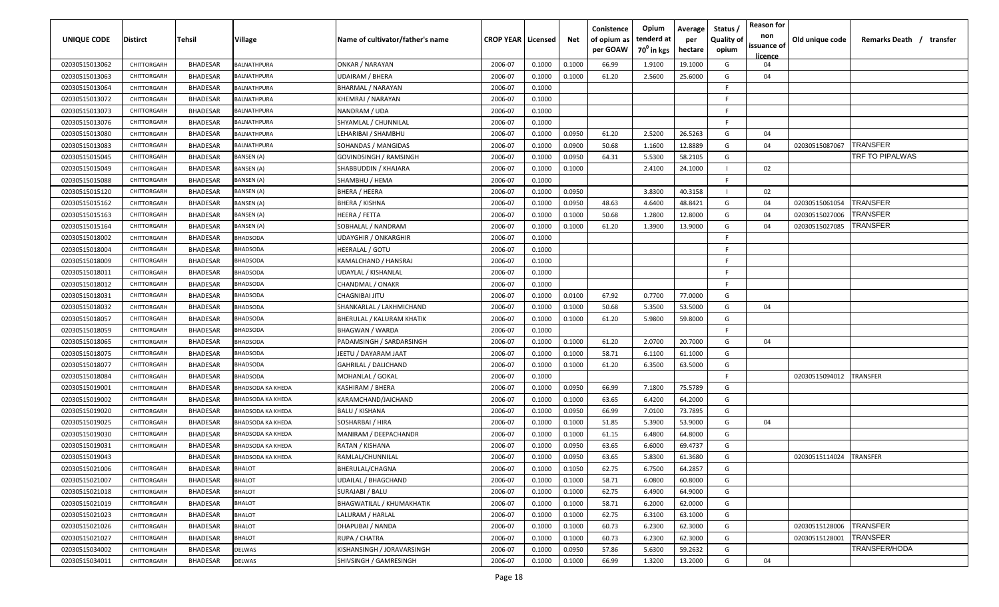| UNIQUE CODE    | <b>Distirct</b> | Tehsil          | Village           | Name of cultivator/father's name | <b>CROP YEAR   Licensed</b> |        | Net    | Conistence<br>of opium as<br>per GOAW | Opium<br>tenderd at<br>70 <sup>0</sup> in kgs | Average<br>per<br>hectare | Status /<br><b>Quality of</b><br>opium | <b>Reason for</b><br>non<br>issuance of<br><u>licence</u> | Old unique code | Remarks Death / transfer |
|----------------|-----------------|-----------------|-------------------|----------------------------------|-----------------------------|--------|--------|---------------------------------------|-----------------------------------------------|---------------------------|----------------------------------------|-----------------------------------------------------------|-----------------|--------------------------|
| 02030515013062 | CHITTORGARH     | <b>BHADESAR</b> | BALNATHPURA       | ONKAR / NARAYAN                  | 2006-07                     | 0.1000 | 0.1000 | 66.99                                 | 1.9100                                        | 19.1000                   | G                                      | 04                                                        |                 |                          |
| 02030515013063 | CHITTORGARH     | <b>BHADESAR</b> | BALNATHPURA       | UDAIRAM / BHERA                  | 2006-07                     | 0.1000 | 0.1000 | 61.20                                 | 2.5600                                        | 25.6000                   | G                                      | 04                                                        |                 |                          |
| 02030515013064 | CHITTORGARH     | <b>BHADESAR</b> | BALNATHPURA       | BHARMAL / NARAYAN                | 2006-07                     | 0.1000 |        |                                       |                                               |                           | E                                      |                                                           |                 |                          |
| 02030515013072 | CHITTORGARH     | <b>BHADESAR</b> | BALNATHPURA       | KHEMRAJ / NARAYAN                | 2006-07                     | 0.1000 |        |                                       |                                               |                           | F.                                     |                                                           |                 |                          |
| 02030515013073 | CHITTORGARH     | <b>BHADESAR</b> | BALNATHPURA       | NANDRAM / UDA                    | 2006-07                     | 0.1000 |        |                                       |                                               |                           | F.                                     |                                                           |                 |                          |
| 02030515013076 | CHITTORGARH     | <b>BHADESAR</b> | BALNATHPURA       | SHYAMLAL / CHUNNILAL             | 2006-07                     | 0.1000 |        |                                       |                                               |                           | F.                                     |                                                           |                 |                          |
| 02030515013080 | CHITTORGARH     | <b>BHADESAR</b> | BALNATHPURA       | LEHARIBAI / SHAMBHU              | 2006-07                     | 0.1000 | 0.0950 | 61.20                                 | 2.5200                                        | 26.5263                   | G                                      | 04                                                        |                 |                          |
| 02030515013083 | CHITTORGARH     | <b>BHADESAR</b> | BALNATHPURA       | SOHANDAS / MANGIDAS              | 2006-07                     | 0.1000 | 0.0900 | 50.68                                 | 1.1600                                        | 12.8889                   | G                                      | 04                                                        | 02030515087067  | TRANSFER                 |
| 02030515015045 | CHITTORGARH     | <b>BHADESAR</b> | BANSEN (A)        | GOVINDSINGH / RAMSINGH           | 2006-07                     | 0.1000 | 0.0950 | 64.31                                 | 5.5300                                        | 58.2105                   | G                                      |                                                           |                 | TRF TO PIPALWAS          |
| 02030515015049 | CHITTORGARH     | <b>BHADESAR</b> | BANSEN (A)        | SHABBUDDIN / KHAJARA             | 2006-07                     | 0.1000 | 0.1000 |                                       | 2.4100                                        | 24.1000                   |                                        | 02                                                        |                 |                          |
| 02030515015088 | CHITTORGARH     | <b>BHADESAR</b> | BANSEN (A)        | SHAMBHU / HEMA                   | 2006-07                     | 0.1000 |        |                                       |                                               |                           | F.                                     |                                                           |                 |                          |
| 02030515015120 | CHITTORGARH     | <b>BHADESAR</b> | BANSEN (A)        | BHERA / HEERA                    | 2006-07                     | 0.1000 | 0.0950 |                                       | 3.8300                                        | 40.3158                   |                                        | 02                                                        |                 |                          |
| 02030515015162 | CHITTORGARH     | <b>BHADESAR</b> | <b>BANSEN</b> (A) | BHERA / KISHNA                   | 2006-07                     | 0.1000 | 0.0950 | 48.63                                 | 4.6400                                        | 48.8421                   | G                                      | 04                                                        | 02030515061054  | TRANSFER                 |
| 02030515015163 | CHITTORGARH     | <b>BHADESAR</b> | <b>BANSEN</b> (A) | HEERA / FETTA                    | 2006-07                     | 0.1000 | 0.1000 | 50.68                                 | 1.2800                                        | 12.8000                   | G                                      | 04                                                        | 02030515027006  | TRANSFER                 |
| 02030515015164 | CHITTORGARH     | <b>BHADESAR</b> | BANSEN (A)        | SOBHALAL / NANDRAM               | 2006-07                     | 0.1000 | 0.1000 | 61.20                                 | 1.3900                                        | 13.9000                   | G                                      | 04                                                        | 02030515027085  | TRANSFER                 |
| 02030515018002 | CHITTORGARH     | <b>BHADESAR</b> | <b>BHADSODA</b>   | UDAYGHIR / ONKARGHIR             | 2006-07                     | 0.1000 |        |                                       |                                               |                           | E                                      |                                                           |                 |                          |
| 02030515018004 | CHITTORGARH     | <b>BHADESAR</b> | <b>BHADSODA</b>   | HEERALAL / GOTU                  | 2006-07                     | 0.1000 |        |                                       |                                               |                           | F                                      |                                                           |                 |                          |
| 02030515018009 | CHITTORGARH     | <b>BHADESAR</b> | <b>BHADSODA</b>   | KAMALCHAND / HANSRAJ             | 2006-07                     | 0.1000 |        |                                       |                                               |                           | F                                      |                                                           |                 |                          |
| 02030515018011 | CHITTORGARH     | <b>BHADESAR</b> | BHADSODA          | UDAYLAL / KISHANLAL              | 2006-07                     | 0.1000 |        |                                       |                                               |                           | F.                                     |                                                           |                 |                          |
| 02030515018012 | CHITTORGARH     | <b>BHADESAR</b> | BHADSODA          | CHANDMAL / ONAKR                 | 2006-07                     | 0.1000 |        |                                       |                                               |                           | F.                                     |                                                           |                 |                          |
| 0203051501803  | CHITTORGARH     | <b>BHADESAR</b> | <b>BHADSODA</b>   | CHAGNIBAI JITU                   | 2006-07                     | 0.1000 | 0.0100 | 67.92                                 | 0.7700                                        | 77.0000                   | G                                      |                                                           |                 |                          |
| 02030515018032 | CHITTORGARH     | <b>BHADESAR</b> | <b>BHADSODA</b>   | SHANKARLAL / LAKHMICHAND         | 2006-07                     | 0.1000 | 0.1000 | 50.68                                 | 5.3500                                        | 53.5000                   | G                                      | 04                                                        |                 |                          |
| 02030515018057 | CHITTORGARH     | <b>BHADESAR</b> | BHADSODA          | BHERULAL / KALURAM KHATIK        | 2006-07                     | 0.1000 | 0.1000 | 61.20                                 | 5.9800                                        | 59.8000                   | G                                      |                                                           |                 |                          |
| 02030515018059 | CHITTORGARH     | <b>BHADESAR</b> | BHADSODA          | BHAGWAN / WARDA                  | 2006-07                     | 0.1000 |        |                                       |                                               |                           | E                                      |                                                           |                 |                          |
| 02030515018065 | CHITTORGARH     | <b>BHADESAR</b> | BHADSODA          | PADAMSINGH / SARDARSINGH         | 2006-07                     | 0.1000 | 0.1000 | 61.20                                 | 2.0700                                        | 20.7000                   | G                                      | 04                                                        |                 |                          |
| 02030515018075 | CHITTORGARH     | <b>BHADESAR</b> | BHADSODA          | JEETU / DAYARAM JAAT             | 2006-07                     | 0.1000 | 0.1000 | 58.71                                 | 6.1100                                        | 61.1000                   | G                                      |                                                           |                 |                          |
| 02030515018077 | CHITTORGARH     | <b>BHADESAR</b> | BHADSODA          | GAHRILAL / DALICHAND             | 2006-07                     | 0.1000 | 0.1000 | 61.20                                 | 6.3500                                        | 63.5000                   | G                                      |                                                           |                 |                          |
| 02030515018084 | CHITTORGARH     | <b>BHADESAR</b> | BHADSODA          | MOHANLAL / GOKAL                 | 2006-07                     | 0.1000 |        |                                       |                                               |                           | F.                                     |                                                           | 02030515094012  | TRANSFER                 |
| 02030515019001 | CHITTORGARH     | <b>BHADESAR</b> | BHADSODA KA KHEDA | KASHIRAM / BHERA                 | 2006-07                     | 0.1000 | 0.0950 | 66.99                                 | 7.1800                                        | 75.5789                   | G                                      |                                                           |                 |                          |
| 02030515019002 | CHITTORGARH     | <b>BHADESAR</b> | BHADSODA KA KHEDA | KARAMCHAND/JAICHAND              | 2006-07                     | 0.1000 | 0.1000 | 63.65                                 | 6.4200                                        | 64.2000                   | G                                      |                                                           |                 |                          |
| 02030515019020 | CHITTORGARH     | <b>BHADESAR</b> | BHADSODA KA KHEDA | BALU / KISHANA                   | 2006-07                     | 0.1000 | 0.0950 | 66.99                                 | 7.0100                                        | 73.7895                   | G                                      |                                                           |                 |                          |
| 02030515019025 | CHITTORGARH     | <b>BHADESAR</b> | BHADSODA KA KHEDA | SOSHARBAI / HIRA                 | 2006-07                     | 0.1000 | 0.1000 | 51.85                                 | 5.3900                                        | 53.9000                   | G                                      | 04                                                        |                 |                          |
| 02030515019030 | CHITTORGARH     | <b>BHADESAR</b> | BHADSODA KA KHEDA | MANIRAM / DEEPACHANDR            | 2006-07                     | 0.1000 | 0.1000 | 61.15                                 | 6.4800                                        | 64.8000                   | G                                      |                                                           |                 |                          |
| 02030515019031 | CHITTORGARH     | <b>BHADESAR</b> | BHADSODA KA KHEDA | RATAN / KISHANA                  | 2006-07                     | 0.1000 | 0.0950 | 63.65                                 | 6.6000                                        | 69.4737                   | G                                      |                                                           |                 |                          |
| 02030515019043 |                 | BHADESAR        | BHADSODA KA KHEDA | RAMLAL/CHUNNILAL                 | 2006-07                     | 0.1000 | 0.0950 | 63.65                                 | 5.8300                                        | 61.3680                   | G                                      |                                                           | 02030515114024  | TRANSFER                 |
| 02030515021006 | CHITTORGARH     | <b>BHADESAR</b> | <b>BHALOT</b>     | BHERULAL/CHAGNA                  | 2006-07                     | 0.1000 | 0.1050 | 62.75                                 | 6.7500                                        | 64.2857                   | G                                      |                                                           |                 |                          |
| 02030515021007 | CHITTORGARH     | <b>BHADESAR</b> | <b>BHALOT</b>     | UDAILAL / BHAGCHAND              | 2006-07                     | 0.1000 | 0.1000 | 58.71                                 | 6.0800                                        | 60.8000                   | G                                      |                                                           |                 |                          |
| 02030515021018 | CHITTORGARH     | <b>BHADESAR</b> | <b>BHALOT</b>     | SURAJABI / BALU                  | 2006-07                     | 0.1000 | 0.1000 | 62.75                                 | 6.4900                                        | 64.9000                   | G                                      |                                                           |                 |                          |
| 02030515021019 | CHITTORGARH     | <b>BHADESAR</b> | <b>BHALOT</b>     | BHAGWATILAL / KHUMAKHATIK        | 2006-07                     | 0.1000 | 0.1000 | 58.71                                 | 6.2000                                        | 62.0000                   | G                                      |                                                           |                 |                          |
| 02030515021023 | CHITTORGARH     | <b>BHADESAR</b> | <b>BHALOT</b>     | LALURAM / HARLAL                 | 2006-07                     | 0.1000 | 0.1000 | 62.75                                 | 6.3100                                        | 63.1000                   | G                                      |                                                           |                 |                          |
| 02030515021026 | CHITTORGARH     | <b>BHADESAR</b> | <b>BHALOT</b>     | DHAPUBAI / NANDA                 | 2006-07                     | 0.1000 | 0.1000 | 60.73                                 | 6.2300                                        | 62.3000                   | G                                      |                                                           | 02030515128006  | <b>TRANSFER</b>          |
| 02030515021027 | CHITTORGARH     | <b>BHADESAR</b> | <b>BHALOT</b>     | RUPA / CHATRA                    | 2006-07                     | 0.1000 | 0.1000 | 60.73                                 | 6.2300                                        | 62.3000                   | G                                      |                                                           | 02030515128001  | TRANSFER                 |
| 02030515034002 | CHITTORGARH     | <b>BHADESAR</b> | <b>DELWAS</b>     | KISHANSINGH / JORAVARSINGH       | 2006-07                     | 0.1000 | 0.0950 | 57.86                                 | 5.6300                                        | 59.2632                   | G                                      |                                                           |                 | TRANSFER/HODA            |
| 02030515034011 | CHITTORGARH     | BHADESAR        | <b>DELWAS</b>     | SHIVSINGH / GAMRESINGH           | 2006-07                     | 0.1000 | 0.1000 | 66.99                                 | 1.3200                                        | 13.2000                   | G                                      | 04                                                        |                 |                          |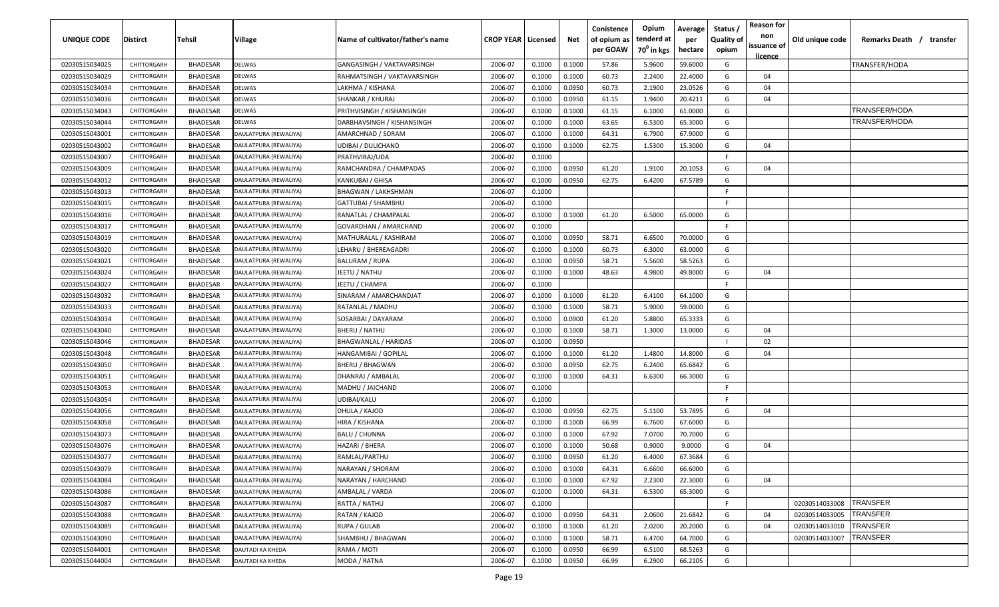| UNIQUE CODE                      | <b>Distirct</b>            | <b>Tehsil</b>                      | <b>Village</b>                                 | Name of cultivator/father's name        | <b>CROP YEAR   Licensed</b> |                  | Net              | Conistence<br>of opium as<br>per GOAW | Opium<br>tenderd at<br>70 <sup>0</sup> in kgs | Average<br>per<br>hectare | Status /<br><b>Quality of</b><br>opium | <b>Reason for</b><br>non<br>issuance of | Old unique code | Remarks Death /<br>transfer |
|----------------------------------|----------------------------|------------------------------------|------------------------------------------------|-----------------------------------------|-----------------------------|------------------|------------------|---------------------------------------|-----------------------------------------------|---------------------------|----------------------------------------|-----------------------------------------|-----------------|-----------------------------|
|                                  |                            |                                    |                                                |                                         |                             |                  |                  |                                       |                                               |                           |                                        | <u>licence</u>                          |                 |                             |
| 02030515034025                   | CHITTORGARH                | <b>BHADESAR</b>                    | <b>DELWAS</b>                                  | GANGASINGH / VAKTAVARSINGH              | 2006-07                     | 0.1000           | 0.1000           | 57.86                                 | 5.9600                                        | 59.6000                   | G                                      |                                         |                 | TRANSFER/HODA               |
| 02030515034029                   | CHITTORGARH                | <b>BHADESAR</b>                    | DELWAS                                         | RAHMATSINGH / VAKTAVARSINGH             | 2006-07                     | 0.1000           | 0.1000           | 60.73                                 | 2.2400                                        | 22.4000                   | G                                      | 04                                      |                 |                             |
| 02030515034034                   | CHITTORGARH                | <b>BHADESAR</b>                    | DELWAS                                         | LAKHMA / KISHANA                        | 2006-07                     | 0.1000           | 0.0950           | 60.73                                 | 2.1900                                        | 23.0526                   | G                                      | 04                                      |                 |                             |
| 02030515034036                   | CHITTORGARH                | <b>BHADESAR</b>                    | DELWAS                                         | SHANKAR / KHURAJ                        | 2006-07                     | 0.1000           | 0.0950           | 61.15                                 | 1.9400                                        | 20.4211                   | G                                      | 04                                      |                 |                             |
| 02030515034043                   | CHITTORGARH                | <b>BHADESAR</b>                    | DELWAS                                         | PRITHVISINGH / KISHANSINGH              | 2006-07                     | 0.1000           | 0.1000           | 61.15                                 | 6.1000                                        | 61.0000                   | G                                      |                                         |                 | TRANSFER/HODA               |
| 02030515034044                   | CHITTORGARH                | <b>BHADESAR</b>                    | <b>DELWAS</b>                                  | DARBHAVSINGH / KISHANSINGH              | 2006-07                     | 0.1000           | 0.1000           | 63.65                                 | 6.5300                                        | 65.3000                   | G                                      |                                         |                 | <b>TRANSFER/HODA</b>        |
| 02030515043001                   | CHITTORGARH                | <b>BHADESAR</b>                    | DAULATPURA (REWALIYA)                          | AMARCHNAD / SORAM                       | 2006-07                     | 0.1000           | 0.1000           | 64.31                                 | 6.7900                                        | 67.9000                   | G                                      |                                         |                 |                             |
| 02030515043002                   | CHITTORGARH                | <b>BHADESAR</b>                    | DAULATPURA (REWALIYA)                          | UDIBAI / DULICHAND                      | 2006-07                     | 0.1000           | 0.1000           | 62.75                                 | 1.5300                                        | 15.3000                   | G                                      | 04                                      |                 |                             |
| 02030515043007                   | CHITTORGARH                | <b>BHADESAR</b>                    | DAULATPURA (REWALIYA)                          | PRATHVIRAJ/UDA                          | 2006-07                     | 0.1000           |                  |                                       |                                               |                           | F.                                     |                                         |                 |                             |
| 02030515043009                   | CHITTORGARH                | <b>BHADESAR</b>                    | DAULATPURA (REWALIYA)                          | RAMCHANDRA / CHAMPADAS                  | 2006-07                     | 0.1000           | 0.0950           | 61.20                                 | 1.9100                                        | 20.1053                   | G                                      | 04                                      |                 |                             |
| 02030515043012                   | CHITTORGARH                | <b>BHADESAR</b>                    | DAULATPURA (REWALIYA)                          | KANKUBAI / GHISA                        | 2006-07                     | 0.1000           | 0.0950           | 62.75                                 | 6.4200                                        | 67.5789                   | G                                      |                                         |                 |                             |
| 02030515043013                   | CHITTORGARH                | <b>BHADESAR</b>                    | DAULATPURA (REWALIYA)                          | BHAGWAN / LAKHSHMAN                     | 2006-07                     | 0.1000           |                  |                                       |                                               |                           | F.<br>F.                               |                                         |                 |                             |
| 02030515043015                   | CHITTORGARH                | <b>BHADESAR</b>                    | DAULATPURA (REWALIYA)                          | GATTUBAI / SHAMBHU                      | 2006-07                     | 0.1000           |                  |                                       |                                               |                           |                                        |                                         |                 |                             |
| 02030515043016                   | CHITTORGARH                | <b>BHADESAR</b>                    | DAULATPURA (REWALIYA)                          | RANATLAL / CHAMPALAL                    | 2006-07                     | 0.1000           | 0.1000           | 61.20                                 | 6.5000                                        | 65.0000                   | G<br>F                                 |                                         |                 |                             |
| 02030515043017                   | CHITTORGARH                | <b>BHADESAR</b>                    | DAULATPURA (REWALIYA)                          | GOVARDHAN / AMARCHAND                   | 2006-07                     | 0.1000           |                  |                                       |                                               |                           |                                        |                                         |                 |                             |
| 02030515043019                   | CHITTORGARH                | <b>BHADESAR</b>                    | DAULATPURA (REWALIYA)                          | MATHURALAL / KASHIRAM                   | 2006-07                     | 0.1000           | 0.0950           | 58.71                                 | 6.6500                                        | 70.0000                   | G                                      |                                         |                 |                             |
| 02030515043020                   | CHITTORGARH                | <b>BHADESAR</b>                    | DAULATPURA (REWALIYA)                          | LEHARU / BHEREAGADRI                    | 2006-07                     | 0.1000           | 0.1000           | 60.73                                 | 6.3000                                        | 63.0000                   | G                                      |                                         |                 |                             |
| 02030515043021                   | CHITTORGARH                | <b>BHADESAR</b>                    | DAULATPURA (REWALIYA)                          | <b>BALURAM / RUPA</b>                   | 2006-07                     | 0.1000           | 0.0950           | 58.71                                 | 5.5600                                        | 58.5263                   | G                                      |                                         |                 |                             |
| 02030515043024                   | CHITTORGARH                | <b>BHADESAR</b>                    | DAULATPURA (REWALIYA)                          | JEETU / NATHU                           | 2006-07                     | 0.1000           | 0.1000           | 48.63                                 | 4.9800                                        | 49.8000                   | G                                      | 04                                      |                 |                             |
| 02030515043027                   | CHITTORGARH                | <b>BHADESAR</b>                    | DAULATPURA (REWALIYA)                          | JEETU / CHAMPA                          | 2006-07                     | 0.1000           |                  |                                       |                                               |                           | F.                                     |                                         |                 |                             |
| 02030515043032                   | CHITTORGARH                | <b>BHADESAR</b>                    | DAULATPURA (REWALIYA)                          | SINARAM / AMARCHANDJAT                  | 2006-07                     | 0.1000           | 0.1000           | 61.20                                 | 6.4100                                        | 64.1000                   | G                                      |                                         |                 |                             |
| 02030515043033                   | CHITTORGARH                | <b>BHADESAR</b>                    | DAULATPURA (REWALIYA)                          | RATANLAL / MADHU                        | 2006-07                     | 0.1000           | 0.1000           | 58.71                                 | 5.9000                                        | 59.0000                   | G                                      |                                         |                 |                             |
| 02030515043034                   | CHITTORGARH                | <b>BHADESAR</b>                    | DAULATPURA (REWALIYA)                          | SOSARBAI / DAYARAM                      | 2006-07                     | 0.1000           | 0.0900           | 61.20                                 | 5.8800                                        | 65.3333                   | G                                      |                                         |                 |                             |
| 02030515043040<br>02030515043046 | CHITTORGARH                | <b>BHADESAR</b>                    | DAULATPURA (REWALIYA)                          | BHERU / NATHU                           | 2006-07                     | 0.1000           | 0.1000           | 58.71                                 | 1.3000                                        | 13.0000                   | G                                      | 04                                      |                 |                             |
| 02030515043048                   | CHITTORGARH<br>CHITTORGARH | <b>BHADESAR</b><br><b>BHADESAR</b> | DAULATPURA (REWALIYA)<br>DAULATPURA (REWALIYA) | BHAGWANLAL / HARIDAS                    | 2006-07<br>2006-07          | 0.1000<br>0.1000 | 0.0950<br>0.1000 | 61.20                                 | 1.4800                                        | 14.8000                   | G                                      | 02<br>04                                |                 |                             |
| 02030515043050                   | CHITTORGARH                | <b>BHADESAR</b>                    | DAULATPURA (REWALIYA)                          | HANGAMIBAI / GOPILAL<br>BHERU / BHAGWAN | 2006-07                     | 0.1000           | 0.0950           | 62.75                                 | 6.2400                                        | 65.6842                   | G                                      |                                         |                 |                             |
| 02030515043051                   | CHITTORGARH                | <b>BHADESAR</b>                    | DAULATPURA (REWALIYA)                          | DHANRAJ / AMBALAL                       | 2006-07                     | 0.1000           | 0.1000           | 64.31                                 | 6.6300                                        | 66.3000                   | G                                      |                                         |                 |                             |
| 02030515043053                   | CHITTORGARH                | <b>BHADESAR</b>                    |                                                |                                         | 2006-07                     | 0.1000           |                  |                                       |                                               |                           | F.                                     |                                         |                 |                             |
| 02030515043054                   | CHITTORGARH                | <b>BHADESAR</b>                    | DAULATPURA (REWALIYA)<br>DAULATPURA (REWALIYA) | MADHU / JAICHAND<br>UDIBAI/KALU         | 2006-07                     | 0.1000           |                  |                                       |                                               |                           | E                                      |                                         |                 |                             |
| 02030515043056                   | CHITTORGARH                | <b>BHADESAR</b>                    | DAULATPURA (REWALIYA)                          | DHULA / KAJOD                           | 2006-07                     | 0.1000           | 0.0950           | 62.75                                 | 5.1100                                        | 53.7895                   | G                                      | 04                                      |                 |                             |
| 02030515043058                   | CHITTORGARH                | <b>BHADESAR</b>                    | DAULATPURA (REWALIYA)                          | HIRA / KISHANA                          | 2006-07                     | 0.1000           | 0.1000           | 66.99                                 | 6.7600                                        | 67.6000                   | G                                      |                                         |                 |                             |
| 02030515043073                   | CHITTORGARH                | <b>BHADESAR</b>                    | DAULATPURA (REWALIYA)                          | BALU / CHUNNA                           | 2006-07                     | 0.1000           | 0.1000           | 67.92                                 | 7.0700                                        | 70.7000                   | G                                      |                                         |                 |                             |
| 02030515043076                   | CHITTORGARH                | <b>BHADESAR</b>                    | DAULATPURA (REWALIYA)                          | HAZARI / BHERA                          | 2006-07                     | 0.1000           | 0.1000           | 50.68                                 | 0.9000                                        | 9.0000                    | G                                      | 04                                      |                 |                             |
| 02030515043077                   | CHITTORGARH                | <b>BHADESAR</b>                    | DAULATPURA (REWALIYA)                          | RAMLAL/PARTHU                           | 2006-07                     | 0.1000           | 0.0950           | 61.20                                 | 6.4000                                        | 67.3684                   | G                                      |                                         |                 |                             |
| 02030515043079                   | CHITTORGARH                | BHADESAR                           | DAULATPURA (REWALIYA)                          | NARAYAN / SHORAM                        | 2006-07                     | 0.1000           | 0.1000           | 64.31                                 | 6.6600                                        | 66.6000                   | G                                      |                                         |                 |                             |
| 02030515043084                   | CHITTORGARH                | BHADESAR                           | DAULATPURA (REWALIYA)                          | NARAYAN / HARCHAND                      | 2006-07                     | 0.1000           | 0.1000           | 67.92                                 | 2.2300                                        | 22.3000                   | G                                      | 04                                      |                 |                             |
| 02030515043086                   | CHITTORGARH                | <b>BHADESAR</b>                    | DAULATPURA (REWALIYA)                          | AMBALAL / VARDA                         | 2006-07                     | 0.1000           | 0.1000           | 64.31                                 | 6.5300                                        | 65.3000                   | G                                      |                                         |                 |                             |
| 02030515043087                   | CHITTORGARH                | <b>BHADESAR</b>                    | DAULATPURA (REWALIYA)                          | RATTA / NATHU                           | 2006-07                     | 0.1000           |                  |                                       |                                               |                           | E                                      |                                         | 02030514033008  | <b>TRANSFER</b>             |
| 02030515043088                   | CHITTORGARH                | <b>BHADESAR</b>                    | DAULATPURA (REWALIYA)                          | RATAN / KAJOD                           | 2006-07                     | 0.1000           | 0.0950           | 64.31                                 | 2.0600                                        | 21.6842                   | G                                      | 04                                      | 02030514033005  | <b>TRANSFER</b>             |
| 02030515043089                   | CHITTORGARH                | BHADESAR                           | DAULATPURA (REWALIYA)                          | RUPA / GULAB                            | 2006-07                     | 0.1000           | 0.1000           | 61.20                                 | 2.0200                                        | 20.2000                   | G                                      | 04                                      | 02030514033010  | <b>TRANSFER</b>             |
| 02030515043090                   | CHITTORGARH                | <b>BHADESAR</b>                    | DAULATPURA (REWALIYA)                          | SHAMBHU / BHAGWAN                       | 2006-07                     | 0.1000           | 0.1000           | 58.71                                 | 6.4700                                        | 64.7000                   | G                                      |                                         | 02030514033007  | TRANSFER                    |
| 02030515044001                   | CHITTORGARH                | <b>BHADESAR</b>                    | DAUTADI KA KHEDA                               | RAMA / MOTI                             | 2006-07                     | 0.1000           | 0.0950           | 66.99                                 | 6.5100                                        | 68.5263                   | G                                      |                                         |                 |                             |
| 02030515044004                   | CHITTORGARH                | <b>BHADESAR</b>                    | DAUTADI KA KHEDA                               | MODA / RATNA                            | 2006-07                     | 0.1000           | 0.0950           | 66.99                                 | 6.2900                                        | 66.2105                   | G                                      |                                         |                 |                             |
|                                  |                            |                                    |                                                |                                         |                             |                  |                  |                                       |                                               |                           |                                        |                                         |                 |                             |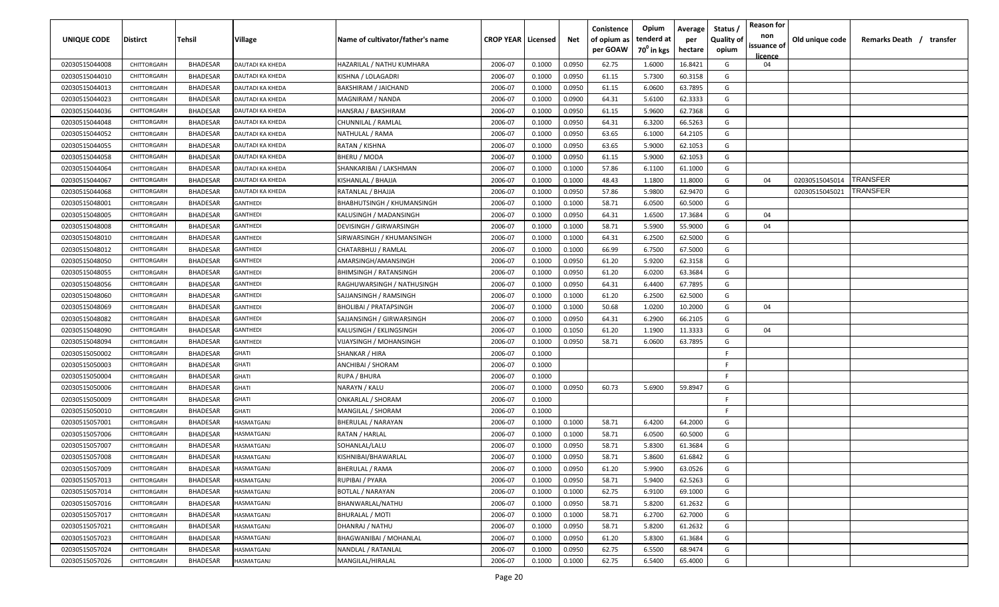| <b>UNIQUE CODE</b> | <b>Distirct</b> | <b>Tehsil</b>   | Village           | Name of cultivator/father's name  | <b>CROP YEAR   Licensed</b> |        | Net    | Conistence<br>of opium as<br>per GOAW | Opium<br>tenderd at<br>70 <sup>0</sup> in kgs | Average<br>per<br>hectare | Status /<br><b>Quality of</b><br>opium | <b>Reason for</b><br>non<br>issuance of<br><b>licence</b> | Old unique code | Remarks Death / transfer |
|--------------------|-----------------|-----------------|-------------------|-----------------------------------|-----------------------------|--------|--------|---------------------------------------|-----------------------------------------------|---------------------------|----------------------------------------|-----------------------------------------------------------|-----------------|--------------------------|
| 02030515044008     | CHITTORGARH     | <b>BHADESAR</b> | DAUTADI KA KHEDA  | HAZARILAL / NATHU KUMHARA         | 2006-07                     | 0.1000 | 0.0950 | 62.75                                 | 1.6000                                        | 16.8421                   | G                                      | 04                                                        |                 |                          |
| 02030515044010     | CHITTORGARH     | <b>BHADESAR</b> | DAUTADI KA KHEDA  | KISHNA / LOLAGADRI                | 2006-07                     | 0.1000 | 0.0950 | 61.15                                 | 5.7300                                        | 60.3158                   | G                                      |                                                           |                 |                          |
| 02030515044013     | CHITTORGARH     | <b>BHADESAR</b> | DAUTADI KA KHEDA  | BAKSHIRAM / JAICHAND              | 2006-07                     | 0.1000 | 0.0950 | 61.15                                 | 6.0600                                        | 63.7895                   | G                                      |                                                           |                 |                          |
| 02030515044023     | CHITTORGARH     | <b>BHADESAR</b> | DAUTADI KA KHEDA  | MAGNIRAM / NANDA                  | 2006-07                     | 0.1000 | 0.0900 | 64.31                                 | 5.6100                                        | 62.3333                   | G                                      |                                                           |                 |                          |
| 02030515044036     | CHITTORGARH     | <b>BHADESAR</b> | DAUTADI KA KHEDA  | HANSRAJ / BAKSHIRAM               | 2006-07                     | 0.1000 | 0.0950 | 61.15                                 | 5.9600                                        | 62.7368                   | G                                      |                                                           |                 |                          |
| 02030515044048     | CHITTORGARH     | <b>BHADESAR</b> | DAUTADI KA KHEDA  | CHUNNILAL / RAMLAL                | 2006-07                     | 0.1000 | 0.0950 | 64.31                                 | 6.3200                                        | 66.5263                   | G                                      |                                                           |                 |                          |
| 02030515044052     | CHITTORGARH     | <b>BHADESAR</b> | DAUTADI KA KHEDA  | NATHULAL / RAMA                   | 2006-07                     | 0.1000 | 0.0950 | 63.65                                 | 6.1000                                        | 64.2105                   | G                                      |                                                           |                 |                          |
| 02030515044055     | CHITTORGARH     | <b>BHADESAR</b> | DAUTADI KA KHEDA  | RATAN / KISHNA                    | 2006-07                     | 0.1000 | 0.0950 | 63.65                                 | 5.9000                                        | 62.1053                   | G                                      |                                                           |                 |                          |
| 02030515044058     | CHITTORGARH     | <b>BHADESAR</b> | DAUTADI KA KHEDA  | BHERU / MODA                      | 2006-07                     | 0.1000 | 0.0950 | 61.15                                 | 5.9000                                        | 62.1053                   | G                                      |                                                           |                 |                          |
| 02030515044064     | CHITTORGARH     | <b>BHADESAR</b> | DAUTADI KA KHEDA  | SHANKARIBAI / LAKSHMAN            | 2006-07                     | 0.1000 | 0.1000 | 57.86                                 | 6.1100                                        | 61.1000                   | G                                      |                                                           |                 |                          |
| 02030515044067     | CHITTORGARH     | <b>BHADESAR</b> | DAUTADI KA KHEDA  | KISHANLAL / BHAJJA                | 2006-07                     | 0.1000 | 0.1000 | 48.43                                 | 1.1800                                        | 11.8000                   | G                                      | 04                                                        | 02030515045014  | TRANSFER                 |
| 02030515044068     | CHITTORGARH     | <b>BHADESAR</b> | DAUTADI KA KHEDA  | RATANLAL / BHAJJA                 | 2006-07                     | 0.1000 | 0.0950 | 57.86                                 | 5.9800                                        | 62.9470                   | G                                      |                                                           | 02030515045021  | TRANSFER                 |
| 02030515048001     | CHITTORGARH     | <b>BHADESAR</b> | GANTHEDI          | <b>BHABHUTSINGH / KHUMANSINGH</b> | 2006-07                     | 0.1000 | 0.1000 | 58.71                                 | 6.0500                                        | 60.5000                   | G                                      |                                                           |                 |                          |
| 02030515048005     | CHITTORGARH     | <b>BHADESAR</b> | <b>GANTHEDI</b>   | KALUSINGH / MADANSINGH            | 2006-07                     | 0.1000 | 0.0950 | 64.31                                 | 1.6500                                        | 17.3684                   | G                                      | 04                                                        |                 |                          |
| 02030515048008     | CHITTORGARH     | <b>BHADESAR</b> | <b>GANTHEDI</b>   | <b>DEVISINGH / GIRWARSINGH</b>    | 2006-07                     | 0.1000 | 0.1000 | 58.71                                 | 5.5900                                        | 55.9000                   | G                                      | 04                                                        |                 |                          |
| 02030515048010     | CHITTORGARH     | <b>BHADESAR</b> | GANTHEDI          | SIRWARSINGH / KHUMANSINGH         | 2006-07                     | 0.1000 | 0.1000 | 64.31                                 | 6.2500                                        | 62.5000                   | G                                      |                                                           |                 |                          |
| 02030515048012     | CHITTORGARH     | <b>BHADESAR</b> | <b>GANTHEDI</b>   | CHATARBHUJ / RAMLAL               | 2006-07                     | 0.1000 | 0.1000 | 66.99                                 | 6.7500                                        | 67.5000                   | G                                      |                                                           |                 |                          |
| 02030515048050     | CHITTORGARH     | <b>BHADESAR</b> | <b>GANTHEDI</b>   | AMARSINGH/AMANSINGH               | 2006-07                     | 0.1000 | 0.0950 | 61.20                                 | 5.9200                                        | 62.3158                   | G                                      |                                                           |                 |                          |
| 02030515048055     | CHITTORGARH     | <b>BHADESAR</b> | <b>GANTHEDI</b>   | <b>BHIMSINGH / RATANSINGH</b>     | 2006-07                     | 0.1000 | 0.0950 | 61.20                                 | 6.0200                                        | 63.3684                   | G                                      |                                                           |                 |                          |
| 02030515048056     | CHITTORGARH     | <b>BHADESAR</b> | <b>GANTHEDI</b>   | RAGHUWARSINGH / NATHUSINGH        | 2006-07                     | 0.1000 | 0.0950 | 64.31                                 | 6.4400                                        | 67.7895                   | G                                      |                                                           |                 |                          |
| 02030515048060     | CHITTORGARH     | <b>BHADESAR</b> | <b>GANTHEDI</b>   | SAJJANSINGH / RAMSINGH            | 2006-07                     | 0.1000 | 0.1000 | 61.20                                 | 6.2500                                        | 62.5000                   | G                                      |                                                           |                 |                          |
| 02030515048069     | CHITTORGARH     | <b>BHADESAR</b> | <b>GANTHEDI</b>   | <b>BHOLIBAI / PRATAPSINGH</b>     | 2006-07                     | 0.1000 | 0.1000 | 50.68                                 | 1.0200                                        | 10.2000                   | G                                      | 04                                                        |                 |                          |
| 02030515048082     | CHITTORGARH     | <b>BHADESAR</b> | <b>GANTHEDI</b>   | SAJJANSINGH / GIRWARSINGH         | 2006-07                     | 0.1000 | 0.0950 | 64.31                                 | 6.2900                                        | 66.2105                   | G                                      |                                                           |                 |                          |
| 02030515048090     | CHITTORGARH     | <b>BHADESAR</b> | GANTHEDI          | KALUSINGH / EKLINGSINGH           | 2006-07                     | 0.1000 | 0.1050 | 61.20                                 | 1.1900                                        | 11.3333                   | G                                      | 04                                                        |                 |                          |
| 02030515048094     | CHITTORGARH     | <b>BHADESAR</b> | GANTHEDI          | VIJAYSINGH / MOHANSINGH           | 2006-07                     | 0.1000 | 0.0950 | 58.71                                 | 6.0600                                        | 63.7895                   | G                                      |                                                           |                 |                          |
| 02030515050002     | CHITTORGARH     | <b>BHADESAR</b> | <b>GHATI</b>      | SHANKAR / HIRA                    | 2006-07                     | 0.1000 |        |                                       |                                               |                           | -F.                                    |                                                           |                 |                          |
| 02030515050003     | CHITTORGARH     | <b>BHADESAR</b> | GHATI             | ANCHIBAI / SHORAM                 | 2006-07                     | 0.1000 |        |                                       |                                               |                           | -F.                                    |                                                           |                 |                          |
| 02030515050004     | CHITTORGARH     | <b>BHADESAR</b> | <b>GHATI</b>      | RUPA / BHURA                      | 2006-07                     | 0.1000 |        |                                       |                                               |                           | F.                                     |                                                           |                 |                          |
| 02030515050006     | CHITTORGARH     | <b>BHADESAR</b> | GHATI             | NARAYN / KALU                     | 2006-07                     | 0.1000 | 0.0950 | 60.73                                 | 5.6900                                        | 59.8947                   | G                                      |                                                           |                 |                          |
| 02030515050009     | CHITTORGARH     | <b>BHADESAR</b> | <b>GHATI</b>      | ONKARLAL / SHORAM                 | 2006-07                     | 0.1000 |        |                                       |                                               |                           | -F.                                    |                                                           |                 |                          |
| 02030515050010     | CHITTORGARH     | BHADESAR        | <b>GHATI</b>      | MANGILAL / SHORAM                 | 2006-07                     | 0.1000 |        |                                       |                                               |                           | -F.                                    |                                                           |                 |                          |
| 02030515057001     | CHITTORGARH     | <b>BHADESAR</b> | HASMATGANJ        | BHERULAL / NARAYAN                | 2006-07                     | 0.1000 | 0.1000 | 58.71                                 | 6.4200                                        | 64.2000                   | G                                      |                                                           |                 |                          |
| 02030515057006     | CHITTORGARH     | <b>BHADESAR</b> | HASMATGANJ        | RATAN / HARLAL                    | 2006-07                     | 0.1000 | 0.1000 | 58.71                                 | 6.0500                                        | 60.5000                   | G                                      |                                                           |                 |                          |
| 02030515057007     | CHITTORGARH     | <b>BHADESAR</b> | <b>HASMATGANJ</b> | SOHANLAL/LALU                     | 2006-07                     | 0.1000 | 0.0950 | 58.71                                 | 5.8300                                        | 61.3684                   | G                                      |                                                           |                 |                          |
| 02030515057008     | CHITTORGARH     | <b>BHADESAR</b> | HASMATGANJ        | KISHNIBAI/BHAWARLAL               | 2006-07                     | 0.1000 | 0.0950 | 58.71                                 | 5.8600                                        | 61.6842                   | G                                      |                                                           |                 |                          |
| 02030515057009     | CHITTORGARH     | BHADESAR        | HASMATGANJ        | <b>BHERULAL / RAMA</b>            | 2006-07                     | 0.1000 | 0.0950 | 61.20                                 | 5.9900                                        | 63.0526                   | G                                      |                                                           |                 |                          |
| 02030515057013     | CHITTORGARH     | <b>BHADESAR</b> | HASMATGANJ        | RUPIBAI / PYARA                   | 2006-07                     | 0.1000 | 0.0950 | 58.71                                 | 5.9400                                        | 62.5263                   | G                                      |                                                           |                 |                          |
| 02030515057014     | CHITTORGARH     | <b>BHADESAR</b> | HASMATGANJ        | <b>BOTLAL / NARAYAN</b>           | 2006-07                     | 0.1000 | 0.1000 | 62.75                                 | 6.9100                                        | 69.1000                   | G                                      |                                                           |                 |                          |
| 02030515057016     | CHITTORGARH     | <b>BHADESAR</b> | HASMATGANJ        | BHANWARLAL/NATHU                  | 2006-07                     | 0.1000 | 0.0950 | 58.71                                 | 5.8200                                        | 61.2632                   | G                                      |                                                           |                 |                          |
| 02030515057017     | CHITTORGARH     | <b>BHADESAR</b> | HASMATGANJ        | <b>BHURALAL / MOTI</b>            | 2006-07                     | 0.1000 | 0.1000 | 58.71                                 | 6.2700                                        | 62.7000                   | G                                      |                                                           |                 |                          |
| 02030515057021     | CHITTORGARH     | BHADESAR        | HASMATGANJ        | DHANRAJ / NATHU                   | 2006-07                     | 0.1000 | 0.0950 | 58.71                                 | 5.8200                                        | 61.2632                   | G                                      |                                                           |                 |                          |
| 02030515057023     | CHITTORGARH     | <b>BHADESAR</b> | HASMATGANJ        | BHAGWANIBAI / MOHANLAL            | 2006-07                     | 0.1000 | 0.0950 | 61.20                                 | 5.8300                                        | 61.3684                   | G                                      |                                                           |                 |                          |
| 02030515057024     | CHITTORGARH     | <b>BHADESAR</b> | HASMATGANJ        | NANDLAL / RATANLAL                | 2006-07                     | 0.1000 | 0.0950 | 62.75                                 | 6.5500                                        | 68.9474                   | G                                      |                                                           |                 |                          |
| 02030515057026     | CHITTORGARH     | BHADESAR        | HASMATGANJ        | MANGILAL/HIRALAL                  | 2006-07                     | 0.1000 | 0.1000 | 62.75                                 | 6.5400                                        | 65.4000                   | G                                      |                                                           |                 |                          |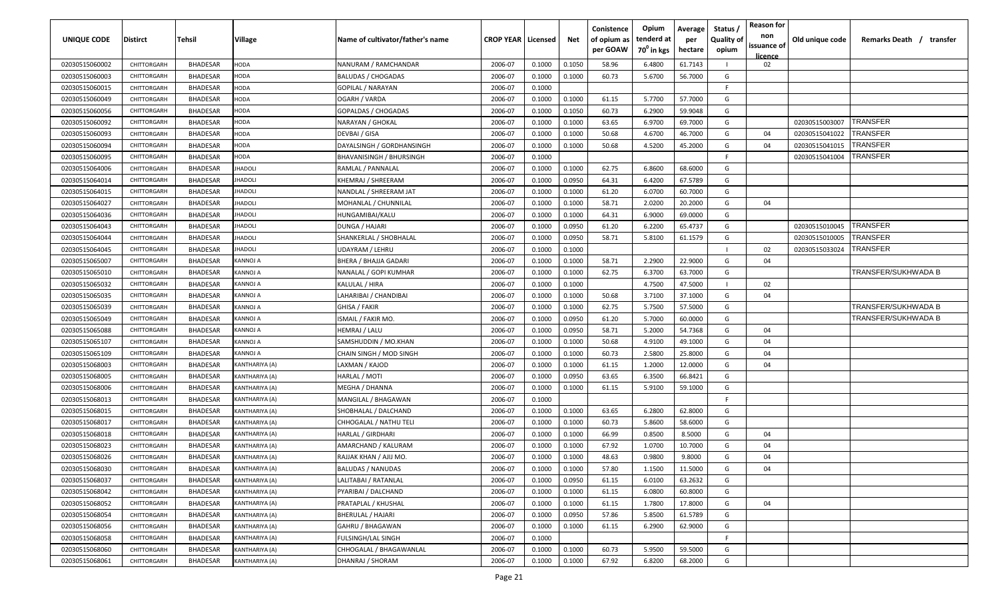| <b>UNIQUE CODE</b> | <b>Distirct</b> | <b>Tehsil</b>   | Village        | Name of cultivator/father's name | <b>CROP YEAR   Licensed</b> |        | Net    | Conistence<br>of opium as<br>per GOAW | Opium<br>tenderd at<br>70 <sup>0</sup> in kgs | Average<br>per<br>hectare | Status /<br><b>Quality of</b><br>opium | <b>Reason for</b><br>non<br>issuance of<br><b>licence</b> | Old unique code | Remarks Death /<br>transfer |
|--------------------|-----------------|-----------------|----------------|----------------------------------|-----------------------------|--------|--------|---------------------------------------|-----------------------------------------------|---------------------------|----------------------------------------|-----------------------------------------------------------|-----------------|-----------------------------|
| 02030515060002     | CHITTORGARH     | <b>BHADESAR</b> | <b>HODA</b>    | NANURAM / RAMCHANDAR             | 2006-07                     | 0.1000 | 0.1050 | 58.96                                 | 6.4800                                        | 61.7143                   |                                        | 02                                                        |                 |                             |
| 02030515060003     | CHITTORGARH     | <b>BHADESAR</b> | <b>HODA</b>    | <b>BALUDAS / CHOGADAS</b>        | 2006-07                     | 0.1000 | 0.1000 | 60.73                                 | 5.6700                                        | 56.7000                   | G                                      |                                                           |                 |                             |
| 02030515060015     | CHITTORGARH     | <b>BHADESAR</b> | HODA           | <b>GOPILAL / NARAYAN</b>         | 2006-07                     | 0.1000 |        |                                       |                                               |                           | F.                                     |                                                           |                 |                             |
| 02030515060049     | CHITTORGARH     | <b>BHADESAR</b> | HODA           | OGARH / VARDA                    | 2006-07                     | 0.1000 | 0.1000 | 61.15                                 | 5.7700                                        | 57.7000                   | G                                      |                                                           |                 |                             |
| 02030515060056     | CHITTORGARH     | <b>BHADESAR</b> | HODA           | <b>GOPALDAS / CHOGADAS</b>       | 2006-07                     | 0.1000 | 0.1050 | 60.73                                 | 6.2900                                        | 59.9048                   | G                                      |                                                           |                 |                             |
| 02030515060092     | CHITTORGARH     | <b>BHADESAR</b> | HODA           | NARAYAN / GHOKAL                 | 2006-07                     | 0.1000 | 0.1000 | 63.65                                 | 6.9700                                        | 69.7000                   | G                                      |                                                           | 02030515003007  | TRANSFER                    |
| 02030515060093     | CHITTORGARH     | <b>BHADESAR</b> | HODA           | DEVBAI / GISA                    | 2006-07                     | 0.1000 | 0.1000 | 50.68                                 | 4.6700                                        | 46.7000                   | G                                      | 04                                                        | 02030515041022  | <b>TRANSFER</b>             |
| 02030515060094     | CHITTORGARH     | <b>BHADESAR</b> | HODA           | DAYALSINGH / GORDHANSINGH        | 2006-07                     | 0.1000 | 0.1000 | 50.68                                 | 4.5200                                        | 45.2000                   | G                                      | 04                                                        | 02030515041015  | TRANSFER                    |
| 02030515060095     | CHITTORGARH     | <b>BHADESAR</b> | HODA           | <b>BHAVANISINGH / BHURSINGH</b>  | 2006-07                     | 0.1000 |        |                                       |                                               |                           | -F                                     |                                                           | 02030515041004  | TRANSFER                    |
| 02030515064006     | CHITTORGARH     | <b>BHADESAR</b> | <b>HADOLI</b>  | RAMLAL / PANNALAL                | 2006-07                     | 0.1000 | 0.1000 | 62.75                                 | 6.8600                                        | 68.6000                   | G                                      |                                                           |                 |                             |
| 02030515064014     | CHITTORGARH     | <b>BHADESAR</b> | <b>HADOLI</b>  | KHEMRAJ / SHREERAM               | 2006-07                     | 0.1000 | 0.0950 | 64.31                                 | 6.4200                                        | 67.5789                   | G                                      |                                                           |                 |                             |
| 02030515064015     | CHITTORGARH     | <b>BHADESAR</b> | <b>HADOLI</b>  | NANDLAL / SHREERAM JAT           | 2006-07                     | 0.1000 | 0.1000 | 61.20                                 | 6.0700                                        | 60.7000                   | G                                      |                                                           |                 |                             |
| 02030515064027     | CHITTORGARH     | <b>BHADESAR</b> | <b>HADOLI</b>  | MOHANLAL / CHUNNILAL             | 2006-07                     | 0.1000 | 0.1000 | 58.71                                 | 2.0200                                        | 20.2000                   | G                                      | 04                                                        |                 |                             |
| 02030515064036     | CHITTORGARH     | <b>BHADESAR</b> | <b>HADOLI</b>  | HUNGAMIBAI/KALU                  | 2006-07                     | 0.1000 | 0.1000 | 64.31                                 | 6.9000                                        | 69.0000                   | G                                      |                                                           |                 |                             |
| 02030515064043     | CHITTORGARH     | <b>BHADESAR</b> | <b>HADOLI</b>  | DUNGA / HAJARI                   | 2006-07                     | 0.1000 | 0.0950 | 61.20                                 | 6.2200                                        | 65.4737                   | G                                      |                                                           | 02030515010045  | TRANSFER                    |
| 02030515064044     | CHITTORGARH     | <b>BHADESAR</b> | <b>HADOLI</b>  | SHANKERLAL / SHOBHALAL           | 2006-07                     | 0.1000 | 0.0950 | 58.71                                 | 5.8100                                        | 61.1579                   | G                                      |                                                           | 02030515010005  | TRANSFER                    |
| 02030515064045     | CHITTORGARH     | <b>BHADESAR</b> | <b>HADOLI</b>  | UDAYRAM / LEHRU                  | 2006-07                     | 0.1000 | 0.1000 |                                       |                                               |                           |                                        | 02                                                        | 02030515033024  | TRANSFER                    |
| 02030515065007     | CHITTORGARH     | <b>BHADESAR</b> | KANNOJ A       | BHERA / BHAJJA GADARI            | 2006-07                     | 0.1000 | 0.1000 | 58.71                                 | 2.2900                                        | 22.9000                   | G                                      | 04                                                        |                 |                             |
| 02030515065010     | CHITTORGARH     | <b>BHADESAR</b> | KANNOJ A       | NANALAL / GOPI KUMHAR            | 2006-07                     | 0.1000 | 0.1000 | 62.75                                 | 6.3700                                        | 63.7000                   | G                                      |                                                           |                 | TRANSFER/SUKHWADA B         |
| 02030515065032     | CHITTORGARH     | <b>BHADESAR</b> | KANNOJ A       | KALULAL / HIRA                   | 2006-07                     | 0.1000 | 0.1000 |                                       | 4.7500                                        | 47.5000                   | -1                                     | 02                                                        |                 |                             |
| 02030515065035     | CHITTORGARH     | <b>BHADESAR</b> | A LONNA>       | LAHARIBAI / CHANDIBAI            | 2006-07                     | 0.1000 | 0.1000 | 50.68                                 | 3.7100                                        | 37.1000                   | G                                      | 04                                                        |                 |                             |
| 02030515065039     | CHITTORGARH     | <b>BHADESAR</b> | KANNOJ A       | GHISA / FAKIR                    | 2006-07                     | 0.1000 | 0.1000 | 62.75                                 | 5.7500                                        | 57.5000                   | G                                      |                                                           |                 | TRANSFER/SUKHWADA B         |
| 02030515065049     | CHITTORGARH     | <b>BHADESAR</b> | A LONNA>       | ISMAIL / FAKIR MO.               | 2006-07                     | 0.1000 | 0.0950 | 61.20                                 | 5.7000                                        | 60.0000                   | G                                      |                                                           |                 | TRANSFER/SUKHWADA B         |
| 02030515065088     | CHITTORGARH     | <b>BHADESAR</b> | A LONNA>       | HEMRAJ / LALU                    | 2006-07                     | 0.1000 | 0.0950 | 58.71                                 | 5.2000                                        | 54.7368                   | G                                      | 04                                                        |                 |                             |
| 02030515065107     | CHITTORGARH     | <b>BHADESAR</b> | A LONNA>       | SAMSHUDDIN / MO.KHAN             | 2006-07                     | 0.1000 | 0.1000 | 50.68                                 | 4.9100                                        | 49.1000                   | G                                      | 04                                                        |                 |                             |
| 02030515065109     | CHITTORGARH     | <b>BHADESAR</b> | KANNOJ A       | CHAIN SINGH / MOD SINGH          | 2006-07                     | 0.1000 | 0.1000 | 60.73                                 | 2.5800                                        | 25.8000                   | G                                      | 04                                                        |                 |                             |
| 02030515068003     | CHITTORGARH     | <b>BHADESAR</b> | KANTHARIYA (A) | LAXMAN / KAJOD                   | 2006-07                     | 0.1000 | 0.1000 | 61.15                                 | 1.2000                                        | 12.0000                   | G                                      | 04                                                        |                 |                             |
| 02030515068005     | CHITTORGARH     | <b>BHADESAR</b> | KANTHARIYA (A) | HARLAL / MOTI                    | 2006-07                     | 0.1000 | 0.0950 | 63.65                                 | 6.3500                                        | 66.8421                   | G                                      |                                                           |                 |                             |
| 02030515068006     | CHITTORGARH     | <b>BHADESAR</b> | (ANTHARIYA (A) | MEGHA / DHANNA                   | 2006-07                     | 0.1000 | 0.1000 | 61.15                                 | 5.9100                                        | 59.1000                   | G                                      |                                                           |                 |                             |
| 02030515068013     | CHITTORGARH     | <b>BHADESAR</b> | KANTHARIYA (A) | MANGILAL / BHAGAWAN              | 2006-07                     | 0.1000 |        |                                       |                                               |                           | -F.                                    |                                                           |                 |                             |
| 02030515068015     | CHITTORGARH     | <b>BHADESAR</b> | KANTHARIYA (A) | SHOBHALAL / DALCHAND             | 2006-07                     | 0.1000 | 0.1000 | 63.65                                 | 6.2800                                        | 62.8000                   | G                                      |                                                           |                 |                             |
| 02030515068017     | CHITTORGARH     | BHADESAR        | KANTHARIYA (A) | CHHOGALAL / NATHU TELI           | 2006-07                     | 0.1000 | 0.1000 | 60.73                                 | 5.8600                                        | 58.6000                   | G                                      |                                                           |                 |                             |
| 02030515068018     | CHITTORGARH     | <b>BHADESAR</b> | KANTHARIYA (A) | HARLAL / GIRDHARI                | 2006-07                     | 0.1000 | 0.1000 | 66.99                                 | 0.8500                                        | 8.5000                    | G                                      | 04                                                        |                 |                             |
| 02030515068023     | CHITTORGARH     | <b>BHADESAR</b> | KANTHARIYA (A) | AMARCHAND / KALURAM              | 2006-07                     | 0.1000 | 0.1000 | 67.92                                 | 1.0700                                        | 10.7000                   | G                                      | 04                                                        |                 |                             |
| 02030515068026     | CHITTORGARH     | <b>BHADESAR</b> | KANTHARIYA (A) | RAJJAK KHAN / AJIJ MO.           | 2006-07                     | 0.1000 | 0.1000 | 48.63                                 | 0.9800                                        | 9.8000                    | G                                      | 04                                                        |                 |                             |
| 02030515068030     | CHITTORGARH     | BHADESAR        | KANTHARIYA (A) | <b>BALUDAS / NANUDAS</b>         | 2006-07                     | 0.1000 | 0.1000 | 57.80                                 | 1.1500                                        | 11.5000                   | G                                      | 04                                                        |                 |                             |
| 02030515068037     | CHITTORGARH     | BHADESAR        | KANTHARIYA (A) | LALITABAI / RATANLAL             | 2006-07                     | 0.1000 | 0.0950 | 61.15                                 | 6.0100                                        | 63.2632                   | G                                      |                                                           |                 |                             |
| 02030515068042     | CHITTORGARH     | <b>BHADESAR</b> | KANTHARIYA (A) | PYARIBAI / DALCHAND              | 2006-07                     | 0.1000 | 0.1000 | 61.15                                 | 6.0800                                        | 60.8000                   | G                                      |                                                           |                 |                             |
| 02030515068052     | CHITTORGARH     | <b>BHADESAR</b> | KANTHARIYA (A) | PRATAPLAL / KHUSHAL              | 2006-07                     | 0.1000 | 0.1000 | 61.15                                 | 1.7800                                        | 17.8000                   | G                                      | 04                                                        |                 |                             |
| 02030515068054     | CHITTORGARH     | <b>BHADESAR</b> | KANTHARIYA (A) | BHERULAL / HAJARI                | 2006-07                     | 0.1000 | 0.0950 | 57.86                                 | 5.8500                                        | 61.5789                   | G                                      |                                                           |                 |                             |
| 02030515068056     | CHITTORGARH     | BHADESAR        | KANTHARIYA (A) | GAHRU / BHAGAWAN                 | 2006-07                     | 0.1000 | 0.1000 | 61.15                                 | 6.2900                                        | 62.9000                   | G                                      |                                                           |                 |                             |
| 02030515068058     | CHITTORGARH     | <b>BHADESAR</b> | KANTHARIYA (A) | FULSINGH/LAL SINGH               | 2006-07                     | 0.1000 |        |                                       |                                               |                           | F.                                     |                                                           |                 |                             |
| 02030515068060     | CHITTORGARH     | <b>BHADESAR</b> | KANTHARIYA (A) | CHHOGALAL / BHAGAWANLAL          | 2006-07                     | 0.1000 | 0.1000 | 60.73                                 | 5.9500                                        | 59.5000                   | G                                      |                                                           |                 |                             |
| 02030515068061     | CHITTORGARH     | BHADESAR        | KANTHARIYA (A) | DHANRAJ / SHORAM                 | 2006-07                     | 0.1000 | 0.1000 | 67.92                                 | 6.8200                                        | 68.2000                   | G                                      |                                                           |                 |                             |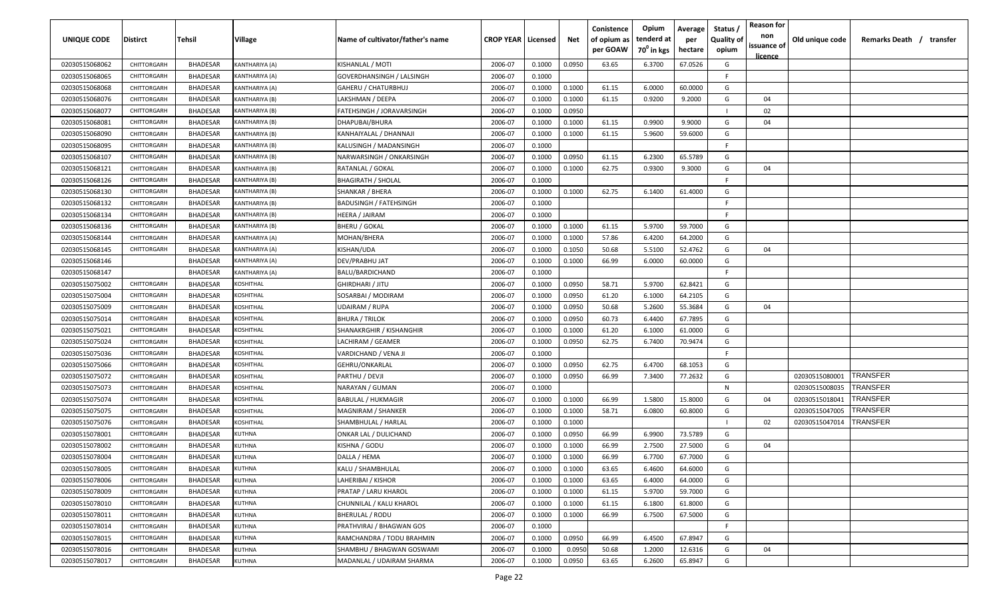| UNIQUE CODE                      | <b>Distirct</b>            | Tehsil                             | Village                          | Name of cultivator/father's name                 | <b>CROP YEAR   Licensed</b> |                  | Net              | Conistence<br>of opium as<br>per GOAW | Opium<br>tenderd at<br>$70^0$ in kgs | Average<br>per<br>hectare | Status /<br><b>Quality of</b><br>opium | <b>Reason for</b><br>non<br>issuance of | Old unique code | Remarks Death / transfer |
|----------------------------------|----------------------------|------------------------------------|----------------------------------|--------------------------------------------------|-----------------------------|------------------|------------------|---------------------------------------|--------------------------------------|---------------------------|----------------------------------------|-----------------------------------------|-----------------|--------------------------|
|                                  |                            |                                    |                                  |                                                  |                             |                  |                  |                                       |                                      |                           |                                        | licence                                 |                 |                          |
| 02030515068062                   | CHITTORGARH                | BHADESAR                           | KANTHARIYA (A)                   | KISHANLAL / MOTI                                 | 2006-07                     | 0.1000           | 0.0950           | 63.65                                 | 6.3700                               | 67.0526                   | G                                      |                                         |                 |                          |
| 02030515068065                   | CHITTORGARH                | <b>BHADESAR</b>                    | KANTHARIYA (A)                   | GOVERDHANSINGH / LALSINGH                        | 2006-07                     | 0.1000           |                  |                                       |                                      |                           | F.                                     |                                         |                 |                          |
| 02030515068068                   | CHITTORGARH                | <b>BHADESAR</b>                    | KANTHARIYA (A)                   | GAHERU / CHATURBHUJ                              | 2006-07                     | 0.1000           | 0.1000           | 61.15                                 | 6.0000                               | 60.0000                   | G                                      |                                         |                 |                          |
| 02030515068076                   | CHITTORGARH                | <b>BHADESAR</b>                    | KANTHARIYA (B)                   | LAKSHMAN / DEEPA                                 | 2006-07                     | 0.1000           | 0.1000           | 61.15                                 | 0.9200                               | 9.2000                    | G                                      | 04                                      |                 |                          |
| 02030515068077                   | CHITTORGARH                | <b>BHADESAR</b>                    | KANTHARIYA (B)                   | FATEHSINGH / JORAVARSINGH                        | 2006-07                     | 0.1000           | 0.0950           |                                       |                                      |                           |                                        | 02                                      |                 |                          |
| 02030515068081                   | CHITTORGARH<br>CHITTORGARH | <b>BHADESAR</b>                    | KANTHARIYA (B)<br>KANTHARIYA (B) | DHAPUBAI/BHURA                                   | 2006-07                     | 0.1000           | 0.1000           | 61.15                                 | 0.9900                               | 9.9000                    | G                                      | 04                                      |                 |                          |
| 02030515068090<br>02030515068095 | CHITTORGARH                | <b>BHADESAR</b><br><b>BHADESAR</b> | KANTHARIYA (B)                   | KANHAIYALAL / DHANNAJI<br>KALUSINGH / MADANSINGH | 2006-07<br>2006-07          | 0.1000<br>0.1000 | 0.1000           | 61.15                                 | 5.9600                               | 59.6000                   | G<br>F.                                |                                         |                 |                          |
| 02030515068107                   | CHITTORGARH                | <b>BHADESAR</b>                    | KANTHARIYA (B)                   |                                                  | 2006-07                     | 0.1000           | 0.0950           | 61.15                                 | 6.2300                               | 65.5789                   | G                                      |                                         |                 |                          |
|                                  | CHITTORGARH                |                                    | KANTHARIYA (B)                   | NARWARSINGH / ONKARSINGH                         | 2006-07                     |                  | 0.1000           | 62.75                                 | 0.9300                               |                           | G                                      | 04                                      |                 |                          |
| 02030515068121<br>02030515068126 | CHITTORGARH                | <b>BHADESAR</b>                    |                                  | RATANLAL / GOKAL                                 | 2006-07                     | 0.1000           |                  |                                       |                                      | 9.3000                    | F.                                     |                                         |                 |                          |
| 02030515068130                   |                            | <b>BHADESAR</b><br><b>BHADESAR</b> | KANTHARIYA (B)                   | BHAGIRATH / SHOLAL                               | 2006-07                     | 0.1000           | 0.1000           | 62.75                                 | 6.1400                               | 61.4000                   | G                                      |                                         |                 |                          |
|                                  | CHITTORGARH<br>CHITTORGARH | <b>BHADESAR</b>                    | KANTHARIYA (B)                   | SHANKAR / BHERA                                  | 2006-07                     | 0.1000<br>0.1000 |                  |                                       |                                      |                           | F.                                     |                                         |                 |                          |
| 02030515068132<br>02030515068134 | CHITTORGARH                | <b>BHADESAR</b>                    | KANTHARIYA (B)                   | BADUSINGH / FATEHSINGH<br>HEERA / JAIRAM         | 2006-07                     | 0.1000           |                  |                                       |                                      |                           | F.                                     |                                         |                 |                          |
| 02030515068136                   |                            | <b>BHADESAR</b>                    | KANTHARIYA (B)                   | BHERU / GOKAL                                    | 2006-07                     | 0.1000           | 0.1000           | 61.15                                 | 5.9700                               | 59.7000                   | G                                      |                                         |                 |                          |
| 02030515068144                   | CHITTORGARH                |                                    | KANTHARIYA (B)                   |                                                  |                             |                  |                  |                                       |                                      |                           | G                                      |                                         |                 |                          |
|                                  | CHITTORGARH                | <b>BHADESAR</b>                    | KANTHARIYA (A)                   | MOHAN/BHERA                                      | 2006-07                     | 0.1000           | 0.1000           | 57.86                                 | 6.4200                               | 64.2000                   |                                        |                                         |                 |                          |
| 02030515068145                   | CHITTORGARH                | <b>BHADESAR</b>                    | KANTHARIYA (A)                   | KISHAN/UDA                                       | 2006-07                     | 0.1000           | 0.1050           | 50.68                                 | 5.5100                               | 52.4762                   | G                                      | 04                                      |                 |                          |
| 02030515068146                   |                            | <b>BHADESAR</b>                    | KANTHARIYA (A)                   | DEV/PRABHU JAT                                   | 2006-07                     | 0.1000           | 0.1000           | 66.99                                 | 6.0000                               | 60.0000                   | G<br>F.                                |                                         |                 |                          |
| 02030515068147<br>02030515075002 | CHITTORGARH                | <b>BHADESAR</b>                    | KANTHARIYA (A)<br>KOSHITHAL      | BALU/BARDICHAND                                  | 2006-07                     | 0.1000           | 0.0950           |                                       | 5.9700                               |                           | G                                      |                                         |                 |                          |
|                                  | CHITTORGARH                | <b>BHADESAR</b>                    | KOSHITHAL                        | GHIRDHARI / JITU                                 | 2006-07                     | 0.1000           |                  | 58.71                                 |                                      | 62.8421                   | G                                      |                                         |                 |                          |
| 02030515075004                   | CHITTORGARH                | <b>BHADESAR</b>                    | KOSHITHAL                        | SOSARBAI / MODIRAM                               | 2006-07                     | 0.1000           | 0.0950<br>0.0950 | 61.20<br>50.68                        | 6.1000<br>5.2600                     | 64.2105<br>55.3684        | G                                      | 04                                      |                 |                          |
| 02030515075009<br>02030515075014 | CHITTORGARH                | <b>BHADESAR</b><br><b>BHADESAR</b> | KOSHITHAL                        | UDAIRAM / RUPA<br>BHURA / TRILOK                 | 2006-07<br>2006-07          | 0.1000<br>0.1000 | 0.0950           | 60.73                                 | 6.4400                               | 67.7895                   | G                                      |                                         |                 |                          |
| 02030515075021                   | CHITTORGARH                | <b>BHADESAR</b>                    | KOSHITHAL                        | SHANAKRGHIR / KISHANGHIR                         | 2006-07                     | 0.1000           | 0.1000           | 61.20                                 | 6.1000                               | 61.0000                   | G                                      |                                         |                 |                          |
| 02030515075024                   | CHITTORGARH                | <b>BHADESAR</b>                    | KOSHITHAL                        | LACHIRAM / GEAMER                                | 2006-07                     | 0.1000           | 0.0950           | 62.75                                 | 6.7400                               | 70.9474                   | G                                      |                                         |                 |                          |
| 02030515075036                   | CHITTORGARH                | <b>BHADESAR</b>                    | KOSHITHAL                        | VARDICHAND / VENA JI                             | 2006-07                     | 0.1000           |                  |                                       |                                      |                           | F.                                     |                                         |                 |                          |
| 02030515075066                   | CHITTORGARH                | <b>BHADESAR</b>                    | KOSHITHAL                        | GEHRU/ONKARLAL                                   | 2006-07                     | 0.1000           | 0.0950           | 62.75                                 | 6.4700                               | 68.1053                   | G                                      |                                         |                 |                          |
| 02030515075072                   | CHITTORGARH                | <b>BHADESAR</b>                    | <b>COSHITHAL</b>                 | PARTHU / DEVJI                                   | 2006-07                     | 0.1000           | 0.0950           | 66.99                                 | 7.3400                               | 77.2632                   | G                                      |                                         | 02030515080001  | <b>TRANSFER</b>          |
| 02030515075073                   | CHITTORGARH                | <b>BHADESAR</b>                    | KOSHITHAL                        | NARAYAN / GUMAN                                  | 2006-07                     | 0.1000           |                  |                                       |                                      |                           | N                                      |                                         | 02030515008035  | <b>TRANSFER</b>          |
| 02030515075074                   | CHITTORGARH                | <b>BHADESAR</b>                    | KOSHITHAL                        | BABULAL / HUKMAGIR                               | 2006-07                     | 0.1000           | 0.1000           | 66.99                                 | 1.5800                               | 15.8000                   | G                                      | 04                                      | 02030515018041  | <b>TRANSFER</b>          |
| 02030515075075                   | CHITTORGARH                | <b>BHADESAR</b>                    | KOSHITHAL                        | MAGNIRAM / SHANKER                               | 2006-07                     | 0.1000           | 0.1000           | 58.71                                 | 6.0800                               | 60.8000                   | G                                      |                                         | 02030515047005  | <b>TRANSFER</b>          |
| 02030515075076                   | CHITTORGARH                | <b>BHADESAR</b>                    | KOSHITHAL                        | SHAMBHULAL / HARLAL                              | 2006-07                     | 0.1000           | 0.1000           |                                       |                                      |                           |                                        | 02                                      | 02030515047014  | TRANSFER                 |
| 02030515078001                   | CHITTORGARH                | <b>BHADESAR</b>                    | KUTHNA                           | ONKAR LAL / DULICHAND                            | 2006-07                     | 0.1000           | 0.0950           | 66.99                                 | 6.9900                               | 73.5789                   | G                                      |                                         |                 |                          |
| 02030515078002                   | CHITTORGARH                | <b>BHADESAR</b>                    | KUTHNA                           | KISHNA / GODU                                    | 2006-07                     | 0.1000           | 0.1000           | 66.99                                 | 2.7500                               | 27.5000                   | G                                      | 04                                      |                 |                          |
| 02030515078004                   | CHITTORGARH                | <b>BHADESAR</b>                    | <b>KUTHNA</b>                    | DALLA / HEMA                                     | 2006-07                     | 0.1000           | 0.1000           | 66.99                                 | 6.7700                               | 67.7000                   | G                                      |                                         |                 |                          |
| 02030515078005                   | CHITTORGARH                | <b>BHADESAR</b>                    | <b>KUTHNA</b>                    | KALU / SHAMBHULAL                                | 2006-07                     | 0.1000           | 0.1000           | 63.65                                 | 6.4600                               | 64.6000                   | G                                      |                                         |                 |                          |
| 02030515078006                   | CHITTORGARH                | <b>BHADESAR</b>                    | <b>KUTHNA</b>                    | LAHERIBAI / KISHOR                               | 2006-07                     | 0.1000           | 0.1000           | 63.65                                 | 6.4000                               | 64.0000                   | G                                      |                                         |                 |                          |
| 02030515078009                   | CHITTORGARH                | <b>BHADESAR</b>                    | <b>KUTHNA</b>                    | PRATAP / LARU KHAROL                             | 2006-07                     | 0.1000           | 0.1000           | 61.15                                 | 5.9700                               | 59.7000                   | G                                      |                                         |                 |                          |
| 02030515078010                   | CHITTORGARH                | <b>BHADESAR</b>                    | <b>KUTHNA</b>                    | CHUNNILAL / KALU KHAROL                          | 2006-07                     | 0.1000           | 0.1000           | 61.15                                 | 6.1800                               | 61.8000                   | G                                      |                                         |                 |                          |
| 02030515078011                   | CHITTORGARH                | <b>BHADESAR</b>                    | KUTHNA                           | BHERULAL / RODU                                  | 2006-07                     | 0.1000           | 0.1000           | 66.99                                 | 6.7500                               | 67.5000                   | G                                      |                                         |                 |                          |
| 02030515078014                   | CHITTORGARH                | <b>BHADESAR</b>                    | <b>KUTHNA</b>                    | PRATHVIRAJ / BHAGWAN GOS                         | 2006-07                     | 0.1000           |                  |                                       |                                      |                           | F.                                     |                                         |                 |                          |
| 02030515078015                   | CHITTORGARH                | <b>BHADESAR</b>                    | KUTHNA                           | RAMCHANDRA / TODU BRAHMIN                        | 2006-07                     | 0.1000           | 0.0950           | 66.99                                 | 6.4500                               | 67.8947                   | G                                      |                                         |                 |                          |
| 02030515078016                   | CHITTORGARH                | BHADESAR                           | <b>KUTHNA</b>                    | SHAMBHU / BHAGWAN GOSWAMI                        | 2006-07                     | 0.1000           | 0.0950           | 50.68                                 | 1.2000                               | 12.6316                   | G                                      | 04                                      |                 |                          |
| 02030515078017                   | CHITTORGARH                | BHADESAR                           | <b>KUTHNA</b>                    | MADANLAL / UDAIRAM SHARMA                        | 2006-07                     | 0.1000           | 0.0950           | 63.65                                 | 6.2600                               | 65.8947                   | G                                      |                                         |                 |                          |
|                                  |                            |                                    |                                  |                                                  |                             |                  |                  |                                       |                                      |                           |                                        |                                         |                 |                          |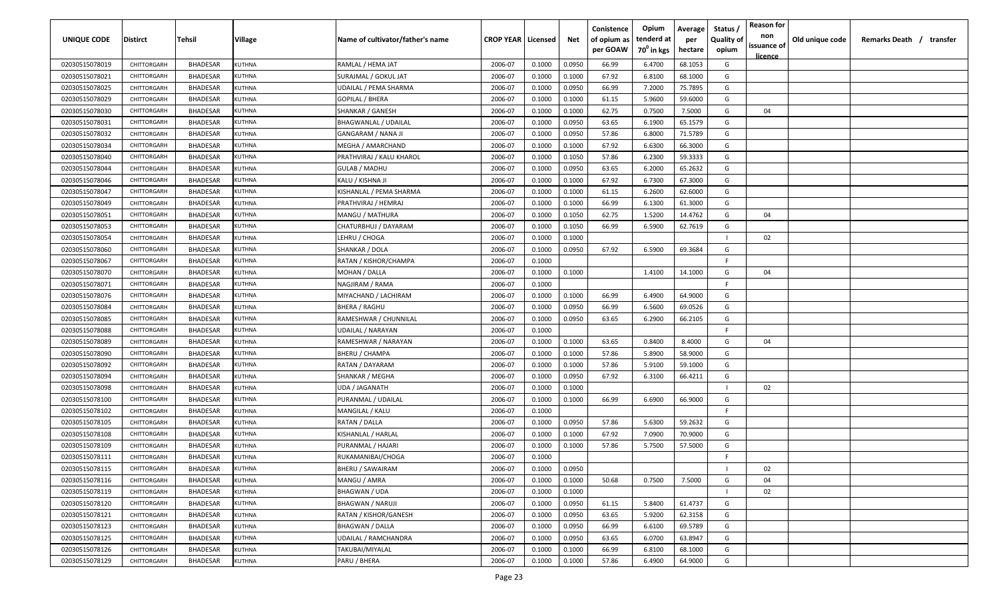| <b>UNIQUE CODE</b> | Distirct    | Tehsil          | Village       | Name of cultivator/father's name | <b>CROP YEAR Licensed</b> |        | Net    | Conistence<br>of opium as<br>per GOAW | Opium<br>tenderd at<br>70 <sup>0</sup> in kgs | Average<br>per<br>hectare | Status /<br><b>Quality of</b><br>opium | <b>Reason for</b><br>non<br>issuance of<br><u>licence</u> | Old unique code | Remarks Death / transfer |
|--------------------|-------------|-----------------|---------------|----------------------------------|---------------------------|--------|--------|---------------------------------------|-----------------------------------------------|---------------------------|----------------------------------------|-----------------------------------------------------------|-----------------|--------------------------|
| 02030515078019     | CHITTORGARH | <b>BHADESAR</b> | <b>KUTHNA</b> | RAMLAL / HEMA JAT                | 2006-07                   | 0.1000 | 0.0950 | 66.99                                 | 6.4700                                        | 68.1053                   | G                                      |                                                           |                 |                          |
| 02030515078021     | CHITTORGARH | <b>BHADESAR</b> | <b>KUTHNA</b> | SURAJMAL / GOKUL JAT             | 2006-07                   | 0.1000 | 0.1000 | 67.92                                 | 6.8100                                        | 68.1000                   | G                                      |                                                           |                 |                          |
| 02030515078025     | CHITTORGARH | <b>BHADESAR</b> | KUTHNA        | UDAILAL / PEMA SHARMA            | 2006-07                   | 0.1000 | 0.0950 | 66.99                                 | 7.2000                                        | 75.7895                   | G                                      |                                                           |                 |                          |
| 02030515078029     | CHITTORGARH | <b>BHADESAR</b> | KUTHNA        | <b>GOPILAL / BHERA</b>           | 2006-07                   | 0.1000 | 0.1000 | 61.15                                 | 5.9600                                        | 59.6000                   | G                                      |                                                           |                 |                          |
| 02030515078030     | CHITTORGARH | <b>BHADESAR</b> | KUTHNA        | SHANKAR / GANESH                 | 2006-07                   | 0.1000 | 0.1000 | 62.75                                 | 0.7500                                        | 7.5000                    | G                                      | 04                                                        |                 |                          |
| 02030515078031     | CHITTORGARH | <b>BHADESAR</b> | KUTHNA        | <b>BHAGWANLAL / UDAILAL</b>      | 2006-07                   | 0.1000 | 0.0950 | 63.65                                 | 6.1900                                        | 65.1579                   | G                                      |                                                           |                 |                          |
| 02030515078032     | CHITTORGARH | <b>BHADESAR</b> | KUTHNA        | GANGARAM / NANA JI               | 2006-07                   | 0.1000 | 0.0950 | 57.86                                 | 6.8000                                        | 71.5789                   | G                                      |                                                           |                 |                          |
| 02030515078034     | CHITTORGARH | <b>BHADESAR</b> | <b>KUTHNA</b> | MEGHA / AMARCHAND                | 2006-07                   | 0.1000 | 0.1000 | 67.92                                 | 6.6300                                        | 66.3000                   | G                                      |                                                           |                 |                          |
| 02030515078040     | CHITTORGARH | <b>BHADESAR</b> | KUTHNA        | PRATHVIRAJ / KALU KHAROL         | 2006-07                   | 0.1000 | 0.1050 | 57.86                                 | 6.2300                                        | 59.3333                   | G                                      |                                                           |                 |                          |
| 02030515078044     | CHITTORGARH | BHADESAR        | KUTHNA        | GULAB / MADHU                    | 2006-07                   | 0.1000 | 0.0950 | 63.65                                 | 6.2000                                        | 65.2632                   | G                                      |                                                           |                 |                          |
| 02030515078046     | CHITTORGARH | <b>BHADESAR</b> | KUTHNA        | KALU / KISHNA JI                 | 2006-07                   | 0.1000 | 0.1000 | 67.92                                 | 6.7300                                        | 67.3000                   | G                                      |                                                           |                 |                          |
| 02030515078047     | CHITTORGARH | <b>BHADESAR</b> | KUTHNA        | KISHANLAL / PEMA SHARMA          | 2006-07                   | 0.1000 | 0.1000 | 61.15                                 | 6.2600                                        | 62.6000                   | G                                      |                                                           |                 |                          |
| 02030515078049     | CHITTORGARH | <b>BHADESAR</b> | KUTHNA        | PRATHVIRAJ / HEMRAJ              | 2006-07                   | 0.1000 | 0.1000 | 66.99                                 | 6.1300                                        | 61.3000                   | G                                      |                                                           |                 |                          |
| 02030515078051     | CHITTORGARH | <b>BHADESAR</b> | KUTHNA        | MANGU / MATHURA                  | 2006-07                   | 0.1000 | 0.1050 | 62.75                                 | 1.5200                                        | 14.4762                   | G                                      | 04                                                        |                 |                          |
| 02030515078053     | CHITTORGARH | <b>BHADESAR</b> | KUTHNA        | CHATURBHUJ / DAYARAM             | 2006-07                   | 0.1000 | 0.1050 | 66.99                                 | 6.5900                                        | 62.7619                   | G                                      |                                                           |                 |                          |
| 02030515078054     | CHITTORGARH | <b>BHADESAR</b> | <b>KUTHNA</b> | LEHRU / CHOGA                    | 2006-07                   | 0.1000 | 0.1000 |                                       |                                               |                           |                                        | 02                                                        |                 |                          |
| 02030515078060     | CHITTORGARH | <b>BHADESAR</b> | <b>KUTHNA</b> | SHANKAR / DOLA                   | 2006-07                   | 0.1000 | 0.0950 | 67.92                                 | 6.5900                                        | 69.3684                   | G                                      |                                                           |                 |                          |
| 02030515078067     | CHITTORGARH | <b>BHADESAR</b> | <b>KUTHNA</b> | RATAN / KISHOR/CHAMPA            | 2006-07                   | 0.1000 |        |                                       |                                               |                           | $\mathsf{F}$                           |                                                           |                 |                          |
| 02030515078070     | CHITTORGARH | <b>BHADESAR</b> | KUTHNA        | MOHAN / DALLA                    | 2006-07                   | 0.1000 | 0.1000 |                                       | 1.4100                                        | 14.1000                   | G                                      | 04                                                        |                 |                          |
| 02030515078071     | CHITTORGARH | <b>BHADESAR</b> | KUTHNA        | NAGJIRAM / RAMA                  | 2006-07                   | 0.1000 |        |                                       |                                               |                           | F                                      |                                                           |                 |                          |
| 02030515078076     | CHITTORGARH | <b>BHADESAR</b> | KUTHNA        | MIYACHAND / LACHIRAM             | 2006-07                   | 0.1000 | 0.1000 | 66.99                                 | 6.4900                                        | 64.9000                   | G                                      |                                                           |                 |                          |
| 02030515078084     | CHITTORGARH | <b>BHADESAR</b> | KUTHNA        | <b>BHERA / RAGHU</b>             | 2006-07                   | 0.1000 | 0.0950 | 66.99                                 | 6.5600                                        | 69.0526                   | G                                      |                                                           |                 |                          |
| 02030515078085     | CHITTORGARH | <b>BHADESAR</b> | KUTHNA        | RAMESHWAR / CHUNNILAL            | 2006-07                   | 0.1000 | 0.0950 | 63.65                                 | 6.2900                                        | 66.2105                   | G                                      |                                                           |                 |                          |
| 02030515078088     | CHITTORGARH | <b>BHADESAR</b> | KUTHNA        | UDAILAL / NARAYAN                | 2006-07                   | 0.1000 |        |                                       |                                               |                           | -F                                     |                                                           |                 |                          |
| 02030515078089     | CHITTORGARH | <b>BHADESAR</b> | KUTHNA        | RAMESHWAR / NARAYAN              | 2006-07                   | 0.1000 | 0.1000 | 63.65                                 | 0.8400                                        | 8.4000                    | G                                      | 04                                                        |                 |                          |
| 02030515078090     | CHITTORGARH | <b>BHADESAR</b> | KUTHNA        | BHERU / CHAMPA                   | 2006-07                   | 0.1000 | 0.1000 | 57.86                                 | 5.8900                                        | 58.9000                   | G                                      |                                                           |                 |                          |
| 02030515078092     | CHITTORGARH | <b>BHADESAR</b> | KUTHNA        | RATAN / DAYARAM                  | 2006-07                   | 0.1000 | 0.1000 | 57.86                                 | 5.9100                                        | 59.1000                   | G                                      |                                                           |                 |                          |
| 02030515078094     | CHITTORGARH | <b>BHADESAR</b> | KUTHNA        | SHANKAR / MEGHA                  | 2006-07                   | 0.1000 | 0.0950 | 67.92                                 | 6.3100                                        | 66.4211                   | G                                      |                                                           |                 |                          |
| 02030515078098     | CHITTORGARH | <b>BHADESAR</b> | KUTHNA        | UDA / JAGANATH                   | 2006-07                   | 0.1000 | 0.1000 |                                       |                                               |                           |                                        | 02                                                        |                 |                          |
| 02030515078100     | CHITTORGARH | <b>BHADESAR</b> | KUTHNA        | PURANMAL / UDAILAL               | 2006-07                   | 0.1000 | 0.1000 | 66.99                                 | 6.6900                                        | 66.9000                   | G                                      |                                                           |                 |                          |
| 02030515078102     | CHITTORGARH | <b>BHADESAR</b> | KUTHNA        | MANGILAL / KALU                  | 2006-07                   | 0.1000 |        |                                       |                                               |                           | F                                      |                                                           |                 |                          |
| 02030515078105     | CHITTORGARH | <b>BHADESAR</b> | <b>KUTHNA</b> | RATAN / DALLA                    | 2006-07                   | 0.1000 | 0.0950 | 57.86                                 | 5.6300                                        | 59.2632                   | G                                      |                                                           |                 |                          |
| 02030515078108     | CHITTORGARH | <b>BHADESAR</b> | <b>KUTHNA</b> | KISHANLAL / HARLAL               | 2006-07                   | 0.1000 | 0.1000 | 67.92                                 | 7.0900                                        | 70.9000                   | G                                      |                                                           |                 |                          |
| 02030515078109     | CHITTORGARH | <b>BHADESAR</b> | <b>KUTHNA</b> | PURANMAL / HAJARI                | 2006-07                   | 0.1000 | 0.1000 | 57.86                                 | 5.7500                                        | 57.5000                   | G                                      |                                                           |                 |                          |
| 02030515078111     | CHITTORGARH | <b>BHADESAR</b> | KUTHNA        | RUKAMANIBAI/CHOGA                | 2006-07                   | 0.1000 |        |                                       |                                               |                           | F                                      |                                                           |                 |                          |
| 02030515078115     | CHITTORGARH | BHADESAR        | KUTHNA        | <b>BHERU / SAWAIRAM</b>          | 2006-07                   | 0.1000 | 0.0950 |                                       |                                               |                           |                                        | 02                                                        |                 |                          |
| 02030515078116     | CHITTORGARH | <b>BHADESAR</b> | KUTHNA        | MANGU / AMRA                     | 2006-07                   | 0.1000 | 0.1000 | 50.68                                 | 0.7500                                        | 7.5000                    | G                                      | 04                                                        |                 |                          |
| 02030515078119     | CHITTORGARH | <b>BHADESAR</b> | KUTHNA        | BHAGWAN / UDA                    | 2006-07                   | 0.1000 | 0.1000 |                                       |                                               |                           |                                        | 02                                                        |                 |                          |
| 02030515078120     | CHITTORGARH | <b>BHADESAR</b> | KUTHNA        | <b>BHAGWAN / NARUJI</b>          | 2006-07                   | 0.1000 | 0.0950 | 61.15                                 | 5.8400                                        | 61.4737                   | G                                      |                                                           |                 |                          |
| 02030515078121     | CHITTORGARH | <b>BHADESAR</b> | KUTHNA        | RATAN / KISHOR/GANESH            | 2006-07                   | 0.1000 | 0.0950 | 63.65                                 | 5.9200                                        | 62.3158                   | G                                      |                                                           |                 |                          |
| 02030515078123     | CHITTORGARH | <b>BHADESAR</b> | <b>KUTHNA</b> | <b>BHAGWAN / DALLA</b>           | 2006-07                   | 0.1000 | 0.0950 | 66.99                                 | 6.6100                                        | 69.5789                   | G                                      |                                                           |                 |                          |
| 02030515078125     | CHITTORGARH | <b>BHADESAR</b> | KUTHNA        | UDAILAL / RAMCHANDRA             | 2006-07                   | 0.1000 | 0.0950 | 63.65                                 | 6.0700                                        | 63.8947                   | G                                      |                                                           |                 |                          |
| 02030515078126     | CHITTORGARH | BHADESAR        | KUTHNA        | TAKUBAI/MIYALAL                  | 2006-07                   | 0.1000 | 0.1000 | 66.99                                 | 6.8100                                        | 68.1000                   | G                                      |                                                           |                 |                          |
| 02030515078129     | CHITTORGARH | BHADESAR        | KUTHNA        | PARU / BHERA                     | 2006-07                   | 0.1000 | 0.1000 | 57.86                                 | 6.4900                                        | 64.9000                   | G                                      |                                                           |                 |                          |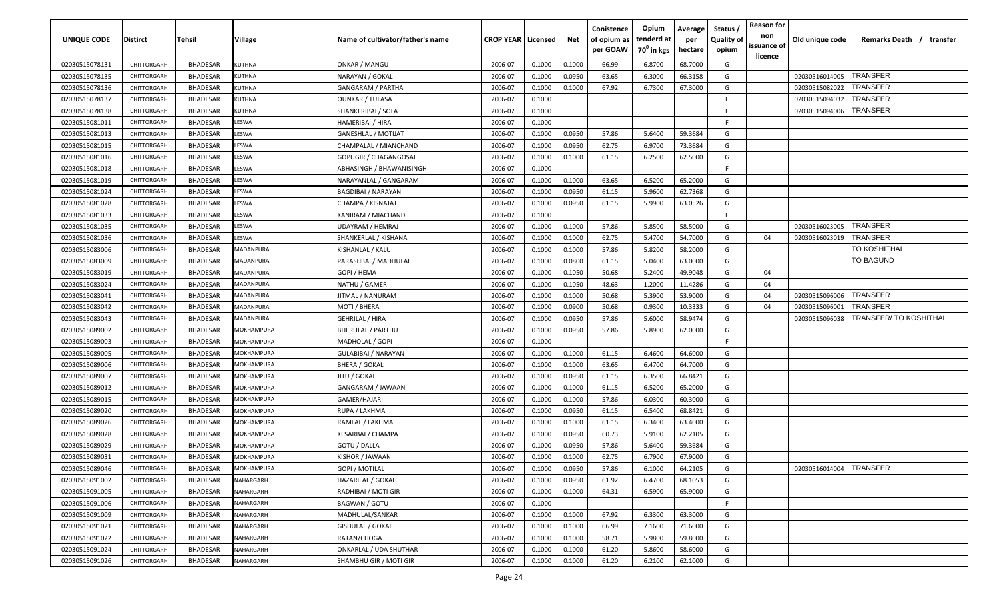| UNIQUE CODE    | <b>Distirct</b> | Tehsil          | <b>Village</b>    | Name of cultivator/father's name | <b>CROP YEAR   Licensed</b> |        | Net    | Conistence<br>of opium as<br>per GOAW | Opium<br>tenderd at<br>70 <sup>0</sup> in kgs | Average<br>per<br>hectare | Status /<br><b>Quality of</b><br>opium | <b>Reason for</b><br>non<br>issuance of<br>licence | Old unique code | Remarks Death / transfer |
|----------------|-----------------|-----------------|-------------------|----------------------------------|-----------------------------|--------|--------|---------------------------------------|-----------------------------------------------|---------------------------|----------------------------------------|----------------------------------------------------|-----------------|--------------------------|
| 02030515078131 | CHITTORGARH     | <b>BHADESAR</b> | <b>KUTHNA</b>     | ONKAR / MANGU                    | 2006-07                     | 0.1000 | 0.1000 | 66.99                                 | 6.8700                                        | 68.7000                   | G                                      |                                                    |                 |                          |
| 02030515078135 | CHITTORGARH     | <b>BHADESAR</b> | KUTHNA            | NARAYAN / GOKAL                  | 2006-07                     | 0.1000 | 0.0950 | 63.65                                 | 6.3000                                        | 66.3158                   | G                                      |                                                    | 02030516014005  | TRANSFER                 |
| 02030515078136 | CHITTORGARH     | <b>BHADESAR</b> | KUTHNA            | GANGARAM / PARTHA                | 2006-07                     | 0.1000 | 0.1000 | 67.92                                 | 6.7300                                        | 67.3000                   | G                                      |                                                    | 02030515082022  | TRANSFER                 |
| 02030515078137 | CHITTORGARH     | <b>BHADESAR</b> | <b>KUTHNA</b>     | <b>OUNKAR / TULASA</b>           | 2006-07                     | 0.1000 |        |                                       |                                               |                           | E                                      |                                                    | 02030515094032  | TRANSFER                 |
| 02030515078138 | CHITTORGARH     | <b>BHADESAR</b> | <b>KUTHNA</b>     | SHANKERIBAI / SOLA               | 2006-07                     | 0.1000 |        |                                       |                                               |                           | F                                      |                                                    | 02030515094006  | TRANSFER                 |
| 02030515081011 | CHITTORGARH     | <b>BHADESAR</b> | <b>ESWA</b>       | HAMERIBAI / HIRA                 | 2006-07                     | 0.1000 |        |                                       |                                               |                           | E                                      |                                                    |                 |                          |
| 02030515081013 | CHITTORGARH     | <b>BHADESAR</b> | <b>ESWA</b>       | <b>GANESHLAL / MOTIJAT</b>       | 2006-07                     | 0.1000 | 0.0950 | 57.86                                 | 5.6400                                        | 59.3684                   | G                                      |                                                    |                 |                          |
| 02030515081015 | CHITTORGARH     | <b>BHADESAR</b> | <b>ESWA</b>       | CHAMPALAL / MIANCHAND            | 2006-07                     | 0.1000 | 0.0950 | 62.75                                 | 6.9700                                        | 73.3684                   | G                                      |                                                    |                 |                          |
| 02030515081016 | CHITTORGARH     | <b>BHADESAR</b> | <b>ESWA</b>       | GOPUGIR / CHAGANGOSAI            | 2006-07                     | 0.1000 | 0.1000 | 61.15                                 | 6.2500                                        | 62.5000                   | G                                      |                                                    |                 |                          |
| 02030515081018 | CHITTORGARH     | <b>BHADESAR</b> | <b>ESWA</b>       | ABHASINGH / BHAWANISINGH         | 2006-07                     | 0.1000 |        |                                       |                                               |                           | E                                      |                                                    |                 |                          |
| 02030515081019 | CHITTORGARH     | <b>BHADESAR</b> | <b>ESWA</b>       | NARAYANLAL / GANGARAM            | 2006-07                     | 0.1000 | 0.1000 | 63.65                                 | 6.5200                                        | 65.2000                   | G                                      |                                                    |                 |                          |
| 02030515081024 | CHITTORGARH     | <b>BHADESAR</b> | ESWA.             | BAGDIBAI / NARAYAN               | 2006-07                     | 0.1000 | 0.0950 | 61.15                                 | 5.9600                                        | 62.7368                   | G                                      |                                                    |                 |                          |
| 02030515081028 | CHITTORGARH     | <b>BHADESAR</b> | <b>ESWA</b>       | CHAMPA / KISNAJAT                | 2006-07                     | 0.1000 | 0.0950 | 61.15                                 | 5.9900                                        | 63.0526                   | G                                      |                                                    |                 |                          |
| 02030515081033 | CHITTORGARH     | <b>BHADESAR</b> | <b>ESWA</b>       | KANIRAM / MIACHAND               | 2006-07                     | 0.1000 |        |                                       |                                               |                           | F                                      |                                                    |                 |                          |
| 02030515081035 | CHITTORGARH     | <b>BHADESAR</b> | <b>ESWA</b>       | UDAYRAM / HEMRAJ                 | 2006-07                     | 0.1000 | 0.1000 | 57.86                                 | 5.8500                                        | 58.5000                   | G                                      |                                                    | 02030516023005  | TRANSFER                 |
| 02030515081036 | CHITTORGARH     | <b>BHADESAR</b> | <b>ESWA</b>       | SHANKERLAL / KISHANA             | 2006-07                     | 0.1000 | 0.1000 | 62.75                                 | 5.4700                                        | 54.7000                   | G                                      | 04                                                 | 02030516023019  | <b>TRANSFER</b>          |
| 02030515083006 | CHITTORGARH     | <b>BHADESAR</b> | MADANPURA         | KISHANLAL / KALU                 | 2006-07                     | 0.1000 | 0.1000 | 57.86                                 | 5.8200                                        | 58.2000                   | G                                      |                                                    |                 | <b>TO KOSHITHAL</b>      |
| 02030515083009 | CHITTORGARH     | <b>BHADESAR</b> | MADANPURA         | PARASHBAI / MADHULAL             | 2006-07                     | 0.1000 | 0.0800 | 61.15                                 | 5.0400                                        | 63.0000                   | G                                      |                                                    |                 | <b>TO BAGUND</b>         |
| 02030515083019 | CHITTORGARH     | <b>BHADESAR</b> | MADANPURA         | GOPI / HEMA                      | 2006-07                     | 0.1000 | 0.1050 | 50.68                                 | 5.2400                                        | 49.9048                   | G                                      | 04                                                 |                 |                          |
| 02030515083024 | CHITTORGARH     | <b>BHADESAR</b> | MADANPURA         | NATHU / GAMER                    | 2006-07                     | 0.1000 | 0.1050 | 48.63                                 | 1.2000                                        | 11.4286                   | G                                      | 04                                                 |                 |                          |
| 02030515083041 | CHITTORGARH     | <b>BHADESAR</b> | <b>MADANPURA</b>  | IITMAL / NANURAM                 | 2006-07                     | 0.1000 | 0.1000 | 50.68                                 | 5.3900                                        | 53.9000                   | G                                      | 04                                                 | 02030515096006  | <b><i>FRANSFER</i></b>   |
| 02030515083042 | CHITTORGARH     | <b>BHADESAR</b> | MADANPURA         | MOTI / BHERA                     | 2006-07                     | 0.1000 | 0.0900 | 50.68                                 | 0.9300                                        | 10.3333                   | G                                      | 04                                                 | 02030515096001  | <b><i>FRANSFER</i></b>   |
| 02030515083043 | CHITTORGARH     | <b>BHADESAR</b> | MADANPURA         | <b>GEHRILAL / HIRA</b>           | 2006-07                     | 0.1000 | 0.0950 | 57.86                                 | 5.6000                                        | 58.9474                   | G                                      |                                                    | 02030515096038  | TRANSFER/ TO KOSHITHAL   |
| 02030515089002 | CHITTORGARH     | <b>BHADESAR</b> | <b>MOKHAMPURA</b> | BHERULAL / PARTHU                | 2006-07                     | 0.1000 | 0.0950 | 57.86                                 | 5.8900                                        | 62.0000                   | G                                      |                                                    |                 |                          |
| 02030515089003 | CHITTORGARH     | <b>BHADESAR</b> | MOKHAMPURA        | MADHOLAL / GOPI                  | 2006-07                     | 0.1000 |        |                                       |                                               |                           | F                                      |                                                    |                 |                          |
| 02030515089005 | CHITTORGARH     | <b>BHADESAR</b> | MOKHAMPURA        | GULABIBAI / NARAYAN              | 2006-07                     | 0.1000 | 0.1000 | 61.15                                 | 6.4600                                        | 64.6000                   | G                                      |                                                    |                 |                          |
| 02030515089006 | CHITTORGARH     | <b>BHADESAR</b> | MOKHAMPURA        | BHERA / GOKAL                    | 2006-07                     | 0.1000 | 0.1000 | 63.65                                 | 6.4700                                        | 64.7000                   | G                                      |                                                    |                 |                          |
| 02030515089007 | CHITTORGARH     | <b>BHADESAR</b> | MOKHAMPURA        | IITU / GOKAL                     | 2006-07                     | 0.1000 | 0.0950 | 61.15                                 | 6.3500                                        | 66.8421                   | G                                      |                                                    |                 |                          |
| 02030515089012 | CHITTORGARH     | <b>BHADESAR</b> | MOKHAMPURA        | GANGARAM / JAWAAN                | 2006-07                     | 0.1000 | 0.1000 | 61.15                                 | 6.5200                                        | 65.2000                   | G                                      |                                                    |                 |                          |
| 02030515089015 | CHITTORGARH     | <b>BHADESAR</b> | MOKHAMPURA        | GAMER/HAJARI                     | 2006-07                     | 0.1000 | 0.1000 | 57.86                                 | 6.0300                                        | 60.3000                   | G                                      |                                                    |                 |                          |
| 02030515089020 | CHITTORGARH     | <b>BHADESAR</b> | MOKHAMPURA        | RUPA / LAKHMA                    | 2006-07                     | 0.1000 | 0.0950 | 61.15                                 | 6.5400                                        | 68.8421                   | G                                      |                                                    |                 |                          |
| 02030515089026 | CHITTORGARH     | <b>BHADESAR</b> | MOKHAMPURA        | RAMLAL / LAKHMA                  | 2006-07                     | 0.1000 | 0.1000 | 61.15                                 | 6.3400                                        | 63.4000                   | G                                      |                                                    |                 |                          |
| 02030515089028 | CHITTORGARH     | <b>BHADESAR</b> | MOKHAMPURA        | KESARBAI / CHAMPA                | 2006-07                     | 0.1000 | 0.0950 | 60.73                                 | 5.9100                                        | 62.2105                   | G                                      |                                                    |                 |                          |
| 02030515089029 | CHITTORGARH     | <b>BHADESAR</b> | MOKHAMPURA        | GOTU / DALLA                     | 2006-07                     | 0.1000 | 0.0950 | 57.86                                 | 5.6400                                        | 59.3684                   | G                                      |                                                    |                 |                          |
| 02030515089031 | CHITTORGARH     | <b>BHADESAR</b> | MOKHAMPURA        | KISHOR / JAWAAN                  | 2006-07                     | 0.1000 | 0.1000 | 62.75                                 | 6.7900                                        | 67.9000                   | G                                      |                                                    |                 |                          |
| 02030515089046 | CHITTORGARH     | BHADESAR        | MOKHAMPURA        | <b>GOPI / MOTILAL</b>            | 2006-07                     | 0.1000 | 0.0950 | 57.86                                 | 6.1000                                        | 64.2105                   | G                                      |                                                    | 02030516014004  | <b>TRANSFER</b>          |
| 02030515091002 | CHITTORGARH     | <b>BHADESAR</b> | VAHARGARH         | HAZARILAL / GOKAL                | 2006-07                     | 0.1000 | 0.0950 | 61.92                                 | 6.4700                                        | 68.1053                   | G                                      |                                                    |                 |                          |
| 02030515091005 | CHITTORGARH     | <b>BHADESAR</b> | NAHARGARH         | RADHIBAI / MOTI GIR              | 2006-07                     | 0.1000 | 0.1000 | 64.31                                 | 6.5900                                        | 65.9000                   | G                                      |                                                    |                 |                          |
| 02030515091006 | CHITTORGARH     | <b>BHADESAR</b> | NAHARGARH         | <b>BAGWAN / GOTU</b>             | 2006-07                     | 0.1000 |        |                                       |                                               |                           | F                                      |                                                    |                 |                          |
| 02030515091009 | CHITTORGARH     | <b>BHADESAR</b> | NAHARGARH         | MADHULAL/SANKAR                  | 2006-07                     | 0.1000 | 0.1000 | 67.92                                 | 6.3300                                        | 63.3000                   | G                                      |                                                    |                 |                          |
| 02030515091021 | CHITTORGARH     | <b>BHADESAR</b> | VAHARGARH         | GISHULAL / GOKAL                 | 2006-07                     | 0.1000 | 0.1000 | 66.99                                 | 7.1600                                        | 71.6000                   | G                                      |                                                    |                 |                          |
| 02030515091022 | CHITTORGARH     | <b>BHADESAR</b> | VAHARGARH         | RATAN/CHOGA                      | 2006-07                     | 0.1000 | 0.1000 | 58.71                                 | 5.9800                                        | 59.8000                   | G                                      |                                                    |                 |                          |
| 02030515091024 | CHITTORGARH     | <b>BHADESAR</b> | VAHARGARH         | ONKARLAL / UDA SHUTHAR           | 2006-07                     | 0.1000 | 0.1000 | 61.20                                 | 5.8600                                        | 58.6000                   | G                                      |                                                    |                 |                          |
| 02030515091026 | CHITTORGARH     | BHADESAR        | VAHARGARH         | SHAMBHU GIR / MOTI GIR           | 2006-07                     | 0.1000 | 0.1000 | 61.20                                 | 6.2100                                        | 62.1000                   | G                                      |                                                    |                 |                          |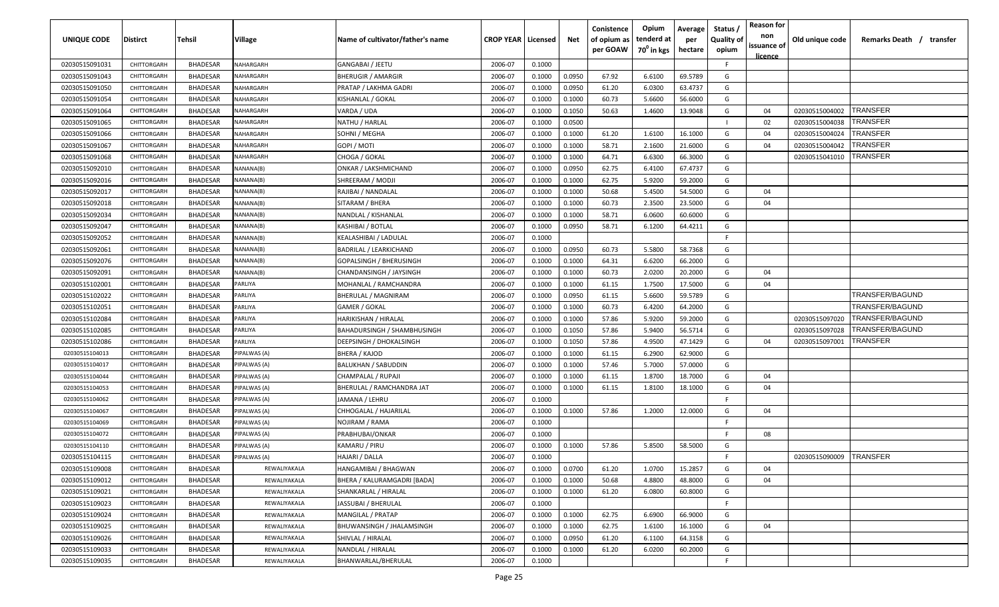| <b>UNIQUE CODE</b> | <b>Distirct</b> | <b>Tehsil</b>   | Village          | Name of cultivator/father's name   | <b>CROP YEAR   Licensed</b> |        | Net    | Conistence<br>of opium as<br>per GOAW | Opium<br>tenderd at<br>70 <sup>0</sup> in kgs | Average<br>per<br>hectare | Status /<br><b>Quality of</b><br>opium | <b>Reason for</b><br>non<br>issuance of<br><u>licence</u> | Old unique code | Remarks Death /<br>transfer |
|--------------------|-----------------|-----------------|------------------|------------------------------------|-----------------------------|--------|--------|---------------------------------------|-----------------------------------------------|---------------------------|----------------------------------------|-----------------------------------------------------------|-----------------|-----------------------------|
| 02030515091031     | CHITTORGARH     | <b>BHADESAR</b> | NAHARGARH        | GANGABAI / JEETU                   | 2006-07                     | 0.1000 |        |                                       |                                               |                           | F.                                     |                                                           |                 |                             |
| 02030515091043     | CHITTORGARH     | <b>BHADESAR</b> | NAHARGARH        | <b>BHERUGIR / AMARGIR</b>          | 2006-07                     | 0.1000 | 0.0950 | 67.92                                 | 6.6100                                        | 69.5789                   | G                                      |                                                           |                 |                             |
| 02030515091050     | CHITTORGARH     | <b>BHADESAR</b> | NAHARGARH        | PRATAP / LAKHMA GADRI              | 2006-07                     | 0.1000 | 0.0950 | 61.20                                 | 6.0300                                        | 63.4737                   | G                                      |                                                           |                 |                             |
| 02030515091054     | CHITTORGARH     | <b>BHADESAR</b> | NAHARGARH        | KISHANLAL / GOKAL                  | 2006-07                     | 0.1000 | 0.1000 | 60.73                                 | 5.6600                                        | 56.6000                   | G                                      |                                                           |                 |                             |
| 02030515091064     | CHITTORGARH     | <b>BHADESAR</b> | NAHARGARH        | VARDA / UDA                        | 2006-07                     | 0.1000 | 0.1050 | 50.63                                 | 1.4600                                        | 13.9048                   | G                                      | 04                                                        | 02030515004002  | TRANSFER                    |
| 02030515091065     | CHITTORGARH     | <b>BHADESAR</b> | NAHARGARH        | NATHU / HARLAL                     | 2006-07                     | 0.1000 | 0.0500 |                                       |                                               |                           |                                        | 02                                                        | 02030515004038  | <b>TRANSFER</b>             |
| 02030515091066     | CHITTORGARH     | <b>BHADESAR</b> | NAHARGARH        | SOHNI / MEGHA                      | 2006-07                     | 0.1000 | 0.1000 | 61.20                                 | 1.6100                                        | 16.1000                   | G                                      | 04                                                        | 02030515004024  | <b>TRANSFER</b>             |
| 02030515091067     | CHITTORGARH     | <b>BHADESAR</b> | NAHARGARH        | GOPI / MOTI                        | 2006-07                     | 0.1000 | 0.1000 | 58.71                                 | 2.1600                                        | 21.6000                   | G                                      | 04                                                        | 02030515004042  | TRANSFER                    |
| 02030515091068     | CHITTORGARH     | <b>BHADESAR</b> | NAHARGARH        | CHOGA / GOKAL                      | 2006-07                     | 0.1000 | 0.1000 | 64.71                                 | 6.6300                                        | 66.3000                   | G                                      |                                                           | 02030515041010  | TRANSFER                    |
| 02030515092010     | CHITTORGARH     | <b>BHADESAR</b> | NANANA(B)        | ONKAR / LAKSHMICHAND               | 2006-07                     | 0.1000 | 0.0950 | 62.75                                 | 6.4100                                        | 67.4737                   | G                                      |                                                           |                 |                             |
| 02030515092016     | CHITTORGARH     | <b>BHADESAR</b> | NANANA(B)        | SHREERAM / MODJI                   | 2006-07                     | 0.1000 | 0.1000 | 62.75                                 | 5.9200                                        | 59.2000                   | G                                      |                                                           |                 |                             |
| 02030515092017     | CHITTORGARH     | <b>BHADESAR</b> | <b>VANANA(B)</b> | RAJIBAI / NANDALAL                 | 2006-07                     | 0.1000 | 0.1000 | 50.68                                 | 5.4500                                        | 54.5000                   | G                                      | 04                                                        |                 |                             |
| 02030515092018     | CHITTORGARH     | <b>BHADESAR</b> | NANANA(B)        | SITARAM / BHERA                    | 2006-07                     | 0.1000 | 0.1000 | 60.73                                 | 2.3500                                        | 23.5000                   | G                                      | 04                                                        |                 |                             |
| 02030515092034     | CHITTORGARH     | <b>BHADESAR</b> | NANANA(B)        | NANDLAL / KISHANLAL                | 2006-07                     | 0.1000 | 0.1000 | 58.71                                 | 6.0600                                        | 60.6000                   | G                                      |                                                           |                 |                             |
| 02030515092047     | CHITTORGARH     | <b>BHADESAR</b> | NANANA(B)        | KASHIBAI / BOTLAL                  | 2006-07                     | 0.1000 | 0.0950 | 58.71                                 | 6.1200                                        | 64.4211                   | G                                      |                                                           |                 |                             |
| 02030515092052     | CHITTORGARH     | <b>BHADESAR</b> | NANANA(B)        | KEALASHIBAI / LADULAL              | 2006-07                     | 0.1000 |        |                                       |                                               |                           | -F.                                    |                                                           |                 |                             |
| 02030515092061     | CHITTORGARH     | <b>BHADESAR</b> | NANANA(B)        | <b>BADRILAL / LEARKICHAND</b>      | 2006-07                     | 0.1000 | 0.0950 | 60.73                                 | 5.5800                                        | 58.7368                   | G                                      |                                                           |                 |                             |
| 02030515092076     | CHITTORGARH     | <b>BHADESAR</b> | NANANA(B)        | <b>GOPALSINGH / BHERUSINGH</b>     | 2006-07                     | 0.1000 | 0.1000 | 64.31                                 | 6.6200                                        | 66.2000                   | G                                      |                                                           |                 |                             |
| 02030515092091     | CHITTORGARH     | <b>BHADESAR</b> | NANANA(B)        | CHANDANSINGH / JAYSINGH            | 2006-07                     | 0.1000 | 0.1000 | 60.73                                 | 2.0200                                        | 20.2000                   | G                                      | 04                                                        |                 |                             |
| 02030515102001     | CHITTORGARH     | <b>BHADESAR</b> | PARLIYA          | MOHANLAL / RAMCHANDRA              | 2006-07                     | 0.1000 | 0.1000 | 61.15                                 | 1.7500                                        | 17.5000                   | G                                      | 04                                                        |                 |                             |
| 02030515102022     | CHITTORGARH     | <b>BHADESAR</b> | PARLIYA          | <b>BHERULAL / MAGNIRAM</b>         | 2006-07                     | 0.1000 | 0.0950 | 61.15                                 | 5.6600                                        | 59.5789                   | G                                      |                                                           |                 | TRANSFER/BAGUND             |
| 02030515102051     | CHITTORGARH     | <b>BHADESAR</b> | PARLIYA          | GAMER / GOKAL                      | 2006-07                     | 0.1000 | 0.1000 | 60.73                                 | 6.4200                                        | 64.2000                   | G                                      |                                                           |                 | TRANSFER/BAGUND             |
| 02030515102084     | CHITTORGARH     | <b>BHADESAR</b> | PARLIYA          | HARIKISHAN / HIRALAL               | 2006-07                     | 0.1000 | 0.1000 | 57.86                                 | 5.9200                                        | 59.2000                   | G                                      |                                                           | 02030515097020  | TRANSFER/BAGUND             |
| 02030515102085     | CHITTORGARH     | <b>BHADESAR</b> | <b>PARLIYA</b>   | <b>BAHADURSINGH / SHAMBHUSINGH</b> | 2006-07                     | 0.1000 | 0.1050 | 57.86                                 | 5.9400                                        | 56.5714                   | G                                      |                                                           | 02030515097028  | TRANSFER/BAGUND             |
| 02030515102086     | CHITTORGARH     | <b>BHADESAR</b> | PARLIYA          | DEEPSINGH / DHOKALSINGH            | 2006-07                     | 0.1000 | 0.1050 | 57.86                                 | 4.9500                                        | 47.1429                   | G                                      | 04                                                        | 02030515097001  | TRANSFER                    |
| 02030515104013     | CHITTORGARH     | <b>BHADESAR</b> | PIPALWAS (A)     | <b>BHERA / KAJOD</b>               | 2006-07                     | 0.1000 | 0.1000 | 61.15                                 | 6.2900                                        | 62.9000                   | G                                      |                                                           |                 |                             |
| 02030515104017     | CHITTORGARH     | <b>BHADESAR</b> | PIPALWAS (A)     | <b>BALUKHAN / SABUDDIN</b>         | 2006-07                     | 0.1000 | 0.1000 | 57.46                                 | 5.7000                                        | 57.0000                   | G                                      |                                                           |                 |                             |
| 02030515104044     | CHITTORGARH     | <b>BHADESAR</b> | PIPALWAS (A)     | CHAMPALAL / RUPAJI                 | 2006-07                     | 0.1000 | 0.1000 | 61.15                                 | 1.8700                                        | 18.7000                   | G                                      | 04                                                        |                 |                             |
| 02030515104053     | CHITTORGARH     | <b>BHADESAR</b> | PIPALWAS (A)     | BHERULAL / RAMCHANDRA JAT          | 2006-07                     | 0.1000 | 0.1000 | 61.15                                 | 1.8100                                        | 18.1000                   | G                                      | 04                                                        |                 |                             |
| 02030515104062     | CHITTORGARH     | <b>BHADESAR</b> | PIPALWAS (A)     | JAMANA / LEHRU                     | 2006-07                     | 0.1000 |        |                                       |                                               |                           | F.                                     |                                                           |                 |                             |
| 02030515104067     | CHITTORGARH     | <b>BHADESAR</b> | PIPALWAS (A)     | CHHOGALAL / HAJARILAL              | 2006-07                     | 0.1000 | 0.1000 | 57.86                                 | 1.2000                                        | 12.0000                   | G                                      | 04                                                        |                 |                             |
| 02030515104069     | CHITTORGARH     | <b>BHADESAR</b> | PIPALWAS (A)     | NOJIRAM / RAMA                     | 2006-07                     | 0.1000 |        |                                       |                                               |                           | F.                                     |                                                           |                 |                             |
| 02030515104072     | CHITTORGARH     | <b>BHADESAR</b> | PIPALWAS (A)     | PRABHUBAI/ONKAR                    | 2006-07                     | 0.1000 |        |                                       |                                               |                           | -F.                                    | 08                                                        |                 |                             |
| 02030515104110     | CHITTORGARH     | <b>BHADESAR</b> | PIPALWAS (A)     | KAMARU / PIRU                      | 2006-07                     | 0.1000 | 0.1000 | 57.86                                 | 5.8500                                        | 58.5000                   | G                                      |                                                           |                 |                             |
| 02030515104115     | CHITTORGARH     | <b>BHADESAR</b> | PIPALWAS (A)     | HAJARI / DALLA                     | 2006-07                     | 0.1000 |        |                                       |                                               |                           | F.                                     |                                                           | 02030515090009  | <b>TRANSFER</b>             |
| 02030515109008     | CHITTORGARH     | BHADESAR        | REWALIYAKALA     | HANGAMIBAI / BHAGWAN               | 2006-07                     | 0.1000 | 0.0700 | 61.20                                 | 1.0700                                        | 15.2857                   | G                                      | 04                                                        |                 |                             |
| 02030515109012     | CHITTORGARH     | <b>BHADESAR</b> | REWALIYAKALA     | BHERA / KALURAMGADRI [BADA]        | 2006-07                     | 0.1000 | 0.1000 | 50.68                                 | 4.8800                                        | 48.8000                   | G                                      | 04                                                        |                 |                             |
| 02030515109021     | CHITTORGARH     | <b>BHADESAR</b> | REWALIYAKALA     | SHANKARLAL / HIRALAL               | 2006-07                     | 0.1000 | 0.1000 | 61.20                                 | 6.0800                                        | 60.8000                   | G                                      |                                                           |                 |                             |
| 02030515109023     | CHITTORGARH     | <b>BHADESAR</b> | REWALIYAKALA     | JASSUBAI / BHERULAL                | 2006-07                     | 0.1000 |        |                                       |                                               |                           | F                                      |                                                           |                 |                             |
| 02030515109024     | CHITTORGARH     | BHADESAR        | REWALIYAKALA     | MANGILAL / PRATAP                  | 2006-07                     | 0.1000 | 0.1000 | 62.75                                 | 6.6900                                        | 66.9000                   | G                                      |                                                           |                 |                             |
| 02030515109025     | CHITTORGARH     | BHADESAR        | REWALIYAKALA     | BHUWANSINGH / JHALAMSINGH          | 2006-07                     | 0.1000 | 0.1000 | 62.75                                 | 1.6100                                        | 16.1000                   | G                                      | 04                                                        |                 |                             |
| 02030515109026     | CHITTORGARH     | <b>BHADESAR</b> | REWALIYAKALA     | SHIVLAL / HIRALAL                  | 2006-07                     | 0.1000 | 0.0950 | 61.20                                 | 6.1100                                        | 64.3158                   | G                                      |                                                           |                 |                             |
| 02030515109033     | CHITTORGARH     | BHADESAR        | REWALIYAKALA     | NANDLAL / HIRALAL                  | 2006-07                     | 0.1000 | 0.1000 | 61.20                                 | 6.0200                                        | 60.2000                   | G                                      |                                                           |                 |                             |
| 02030515109035     | CHITTORGARH     | BHADESAR        | REWALIYAKALA     | BHANWARLAL/BHERULAL                | 2006-07                     | 0.1000 |        |                                       |                                               |                           | F                                      |                                                           |                 |                             |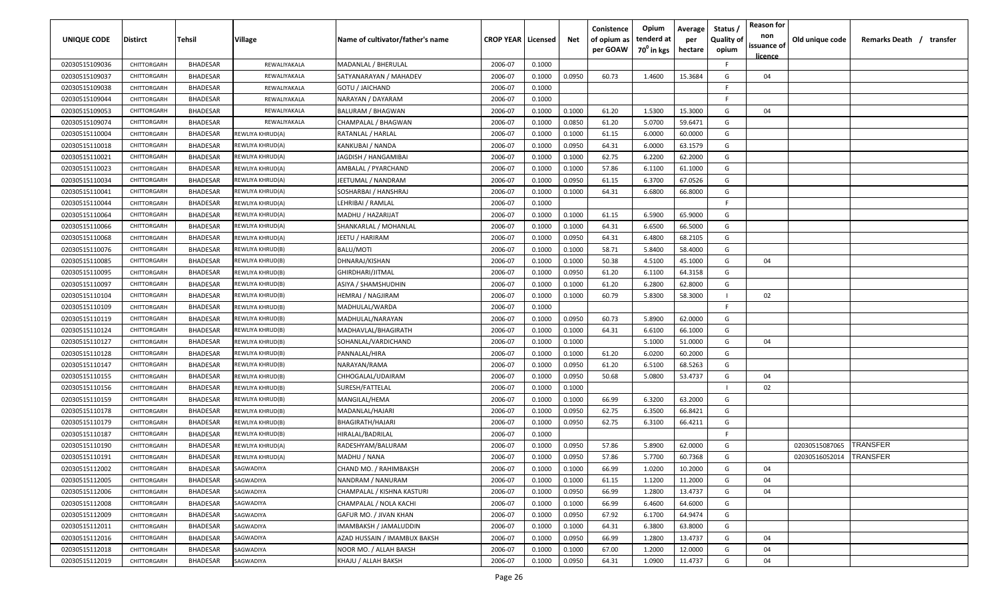| UNIQUE CODE    | Distirct    | Tehsil          | Village          | Name of cultivator/father's name | <b>CROP YEAR   Licensed</b> |        | Net    | Conistence<br>of opium as<br>per GOAW | Opium<br>tenderd at<br>70 <sup>0</sup> in kgs | Average<br>per<br>hectare | Status /<br><b>Quality of</b><br>opium | <b>Reason for</b><br>non<br>issuance of<br><u>licence</u> | Old unique code | Remarks Death / transfer |
|----------------|-------------|-----------------|------------------|----------------------------------|-----------------------------|--------|--------|---------------------------------------|-----------------------------------------------|---------------------------|----------------------------------------|-----------------------------------------------------------|-----------------|--------------------------|
| 02030515109036 | CHITTORGARH | BHADESAR        | REWALIYAKALA     | MADANLAL / BHERULAL              | 2006-07                     | 0.1000 |        |                                       |                                               |                           | F                                      |                                                           |                 |                          |
| 02030515109037 | CHITTORGARH | BHADESAR        | REWALIYAKALA     | SATYANARAYAN / MAHADEV           | 2006-07                     | 0.1000 | 0.0950 | 60.73                                 | 1.4600                                        | 15.3684                   | G                                      | 04                                                        |                 |                          |
| 02030515109038 | CHITTORGARH | <b>BHADESAR</b> | REWALIYAKALA     | <b>GOTU / JAICHAND</b>           | 2006-07                     | 0.1000 |        |                                       |                                               |                           | -F.                                    |                                                           |                 |                          |
| 02030515109044 | CHITTORGARH | <b>BHADESAR</b> | REWALIYAKALA     | NARAYAN / DAYARAM                | 2006-07                     | 0.1000 |        |                                       |                                               |                           | -F                                     |                                                           |                 |                          |
| 02030515109053 | CHITTORGARH | <b>BHADESAR</b> | REWALIYAKALA     | BALURAM / BHAGWAN                | 2006-07                     | 0.1000 | 0.1000 | 61.20                                 | 1.5300                                        | 15.3000                   | G                                      | 04                                                        |                 |                          |
| 02030515109074 | CHITTORGARH | <b>BHADESAR</b> | REWALIYAKALA     | CHAMPALAL / BHAGWAN              | 2006-07                     | 0.1000 | 0.0850 | 61.20                                 | 5.0700                                        | 59.6471                   | G                                      |                                                           |                 |                          |
| 02030515110004 | CHITTORGARH | <b>BHADESAR</b> | REWLIYA KHRUD(A) | RATANLAL / HARLAL                | 2006-07                     | 0.1000 | 0.1000 | 61.15                                 | 6.0000                                        | 60.0000                   | G                                      |                                                           |                 |                          |
| 02030515110018 | CHITTORGARH | <b>BHADESAR</b> | REWLIYA KHRUD(A) | KANKUBAI / NANDA                 | 2006-07                     | 0.1000 | 0.0950 | 64.31                                 | 6.0000                                        | 63.1579                   | G                                      |                                                           |                 |                          |
| 02030515110021 | CHITTORGARH | <b>BHADESAR</b> | REWLIYA KHRUD(A) | JAGDISH / HANGAMIBAI             | 2006-07                     | 0.1000 | 0.1000 | 62.75                                 | 6.2200                                        | 62.2000                   | G                                      |                                                           |                 |                          |
| 02030515110023 | CHITTORGARH | <b>BHADESAR</b> | REWLIYA KHRUD(A) | AMBALAL / PYARCHAND              | 2006-07                     | 0.1000 | 0.1000 | 57.86                                 | 6.1100                                        | 61.1000                   | G                                      |                                                           |                 |                          |
| 02030515110034 | CHITTORGARH | <b>BHADESAR</b> | REWLIYA KHRUD(A) | JEETUMAL / NANDRAM               | 2006-07                     | 0.1000 | 0.0950 | 61.15                                 | 6.3700                                        | 67.0526                   | G                                      |                                                           |                 |                          |
| 02030515110041 | CHITTORGARH | <b>BHADESAR</b> | REWLIYA KHRUD(A) | SOSHARBAI / HANSHRAJ             | 2006-07                     | 0.1000 | 0.1000 | 64.31                                 | 6.6800                                        | 66.8000                   | G                                      |                                                           |                 |                          |
| 02030515110044 | CHITTORGARH | <b>BHADESAR</b> | REWLIYA KHRUD(A) | LEHRIBAI / RAMLAL                | 2006-07                     | 0.1000 |        |                                       |                                               |                           | -F.                                    |                                                           |                 |                          |
| 02030515110064 | CHITTORGARH | <b>BHADESAR</b> | REWLIYA KHRUD(A) | MADHU / HAZARIJAT                | 2006-07                     | 0.1000 | 0.1000 | 61.15                                 | 6.5900                                        | 65.9000                   | G                                      |                                                           |                 |                          |
| 02030515110066 | CHITTORGARH | <b>BHADESAR</b> | REWLIYA KHRUD(A) | SHANKARLAL / MOHANLAL            | 2006-07                     | 0.1000 | 0.1000 | 64.31                                 | 6.6500                                        | 66.5000                   | G                                      |                                                           |                 |                          |
| 02030515110068 | CHITTORGARH | <b>BHADESAR</b> | REWLIYA KHRUD(A) | JEETU / HARIRAM                  | 2006-07                     | 0.1000 | 0.0950 | 64.31                                 | 6.4800                                        | 68.2105                   | G                                      |                                                           |                 |                          |
| 02030515110076 | CHITTORGARH | <b>BHADESAR</b> | REWLIYA KHRUD(B) | BALU/MOTI                        | 2006-07                     | 0.1000 | 0.1000 | 58.71                                 | 5.8400                                        | 58.4000                   | G                                      |                                                           |                 |                          |
| 02030515110085 | CHITTORGARH | <b>BHADESAR</b> | REWLIYA KHRUD(B) | DHNARAJ/KISHAN                   | 2006-07                     | 0.1000 | 0.1000 | 50.38                                 | 4.5100                                        | 45.1000                   | G                                      | 04                                                        |                 |                          |
| 02030515110095 | CHITTORGARH | BHADESAR        | REWLIYA KHRUD(B) | GHIRDHARI/JITMAL                 | 2006-07                     | 0.1000 | 0.0950 | 61.20                                 | 6.1100                                        | 64.3158                   | G                                      |                                                           |                 |                          |
| 02030515110097 | CHITTORGARH | <b>BHADESAR</b> | REWLIYA KHRUD(B) | ASIYA / SHAMSHUDHIN              | 2006-07                     | 0.1000 | 0.1000 | 61.20                                 | 6.2800                                        | 62.8000                   | G                                      |                                                           |                 |                          |
| 02030515110104 | CHITTORGARH | <b>BHADESAR</b> | REWLIYA KHRUD(B) | HEMRAJ / NAGJIRAM                | 2006-07                     | 0.1000 | 0.1000 | 60.79                                 | 5.8300                                        | 58.3000                   |                                        | 02                                                        |                 |                          |
| 02030515110109 | CHITTORGARH | <b>BHADESAR</b> | REWLIYA KHRUD(B) | MADHULAL/WARDA                   | 2006-07                     | 0.1000 |        |                                       |                                               |                           | -F                                     |                                                           |                 |                          |
| 02030515110119 | CHITTORGARH | <b>BHADESAR</b> | REWLIYA KHRUD(B) | MADHULAL/NARAYAN                 | 2006-07                     | 0.1000 | 0.0950 | 60.73                                 | 5.8900                                        | 62.0000                   | G                                      |                                                           |                 |                          |
| 02030515110124 | CHITTORGARH | <b>BHADESAR</b> | REWLIYA KHRUD(B) | MADHAVLAL/BHAGIRATH              | 2006-07                     | 0.1000 | 0.1000 | 64.31                                 | 6.6100                                        | 66.1000                   | G                                      |                                                           |                 |                          |
| 02030515110127 | CHITTORGARH | <b>BHADESAR</b> | REWLIYA KHRUD(B) | SOHANLAL/VARDICHAND              | 2006-07                     | 0.1000 | 0.1000 |                                       | 5.1000                                        | 51.0000                   | G                                      | 04                                                        |                 |                          |
| 02030515110128 | CHITTORGARH | <b>BHADESAR</b> | REWLIYA KHRUD(B) | PANNALAL/HIRA                    | 2006-07                     | 0.1000 | 0.1000 | 61.20                                 | 6.0200                                        | 60.2000                   | G                                      |                                                           |                 |                          |
| 02030515110147 | CHITTORGARH | <b>BHADESAR</b> | REWLIYA KHRUD(B) | NARAYAN/RAMA                     | 2006-07                     | 0.1000 | 0.0950 | 61.20                                 | 6.5100                                        | 68.5263                   | G                                      |                                                           |                 |                          |
| 02030515110155 | CHITTORGARH | <b>BHADESAR</b> | REWLIYA KHRUD(B) | CHHOGALAL/UDAIRAM                | 2006-07                     | 0.1000 | 0.0950 | 50.68                                 | 5.0800                                        | 53.4737                   | G                                      | 04                                                        |                 |                          |
| 02030515110156 | CHITTORGARH | <b>BHADESAR</b> | REWLIYA KHRUD(B) | SURESH/FATTELAL                  | 2006-07                     | 0.1000 | 0.1000 |                                       |                                               |                           |                                        | 02                                                        |                 |                          |
| 02030515110159 | CHITTORGARH | <b>BHADESAR</b> | REWLIYA KHRUD(B) | MANGILAL/HEMA                    | 2006-07                     | 0.1000 | 0.1000 | 66.99                                 | 6.3200                                        | 63.2000                   | G                                      |                                                           |                 |                          |
| 02030515110178 | CHITTORGARH | <b>BHADESAR</b> | REWLIYA KHRUD(B) | MADANLAL/HAJARI                  | 2006-07                     | 0.1000 | 0.0950 | 62.75                                 | 6.3500                                        | 66.8421                   | G                                      |                                                           |                 |                          |
| 02030515110179 | CHITTORGARH | <b>BHADESAR</b> | REWLIYA KHRUD(B) | BHAGIRATH/HAJARI                 | 2006-07                     | 0.1000 | 0.0950 | 62.75                                 | 6.3100                                        | 66.4211                   | G                                      |                                                           |                 |                          |
| 02030515110187 | CHITTORGARH | <b>BHADESAR</b> | REWLIYA KHRUD(B) | HIRALAL/BADRILAL                 | 2006-07                     | 0.1000 |        |                                       |                                               |                           | -F                                     |                                                           |                 |                          |
| 02030515110190 | CHITTORGARH | <b>BHADESAR</b> | REWLIYA KHRUD(A) | RADESHYAM/BALURAM                | 2006-07                     | 0.1000 | 0.0950 | 57.86                                 | 5.8900                                        | 62.0000                   | G                                      |                                                           | 02030515087065  | TRANSFER                 |
| 02030515110191 | CHITTORGARH | <b>BHADESAR</b> | REWLIYA KHRUD(A) | MADHU / NANA                     | 2006-07                     | 0.1000 | 0.0950 | 57.86                                 | 5.7700                                        | 60.7368                   | G                                      |                                                           | 02030516052014  | TRANSFER                 |
| 02030515112002 | CHITTORGARH | BHADESAR        | SAGWADIYA        | CHAND MO. / RAHIMBAKSH           | 2006-07                     | 0.1000 | 0.1000 | 66.99                                 | 1.0200                                        | 10.2000                   | G                                      | 04                                                        |                 |                          |
| 02030515112005 | CHITTORGARH | <b>BHADESAR</b> | SAGWADIYA        | NANDRAM / NANURAM                | 2006-07                     | 0.1000 | 0.1000 | 61.15                                 | 1.1200                                        | 11.2000                   | G                                      | 04                                                        |                 |                          |
| 02030515112006 | CHITTORGARH | <b>BHADESAR</b> | SAGWADIYA        | CHAMPALAL / KISHNA KASTURI       | 2006-07                     | 0.1000 | 0.0950 | 66.99                                 | 1.2800                                        | 13.4737                   | G                                      | 04                                                        |                 |                          |
| 02030515112008 | CHITTORGARH | <b>BHADESAR</b> | SAGWADIYA        | CHAMPALAL / NOLA KACHI           | 2006-07                     | 0.1000 | 0.1000 | 66.99                                 | 6.4600                                        | 64.6000                   | G                                      |                                                           |                 |                          |
| 02030515112009 | CHITTORGARH | <b>BHADESAR</b> | SAGWADIYA        | GAFUR MO. / JIVAN KHAN           | 2006-07                     | 0.1000 | 0.0950 | 67.92                                 | 6.1700                                        | 64.9474                   | G                                      |                                                           |                 |                          |
| 02030515112011 | CHITTORGARH | <b>BHADESAR</b> | SAGWADIYA        | IMAMBAKSH / JAMALUDDIN           | 2006-07                     | 0.1000 | 0.1000 | 64.31                                 | 6.3800                                        | 63.8000                   | G                                      |                                                           |                 |                          |
| 02030515112016 | CHITTORGARH | <b>BHADESAR</b> | SAGWADIYA        | AZAD HUSSAIN / IMAMBUX BAKSH     | 2006-07                     | 0.1000 | 0.0950 | 66.99                                 | 1.2800                                        | 13.4737                   | G                                      | 04                                                        |                 |                          |
| 02030515112018 | CHITTORGARH | <b>BHADESAR</b> | SAGWADIYA        | NOOR MO. / ALLAH BAKSH           | 2006-07                     | 0.1000 | 0.1000 | 67.00                                 | 1.2000                                        | 12.0000                   | G                                      | 04                                                        |                 |                          |
| 02030515112019 | CHITTORGARH | BHADESAR        | SAGWADIYA        | KHAJU / ALLAH BAKSH              | 2006-07                     | 0.1000 | 0.0950 | 64.31                                 | 1.0900                                        | 11.4737                   | G                                      | 04                                                        |                 |                          |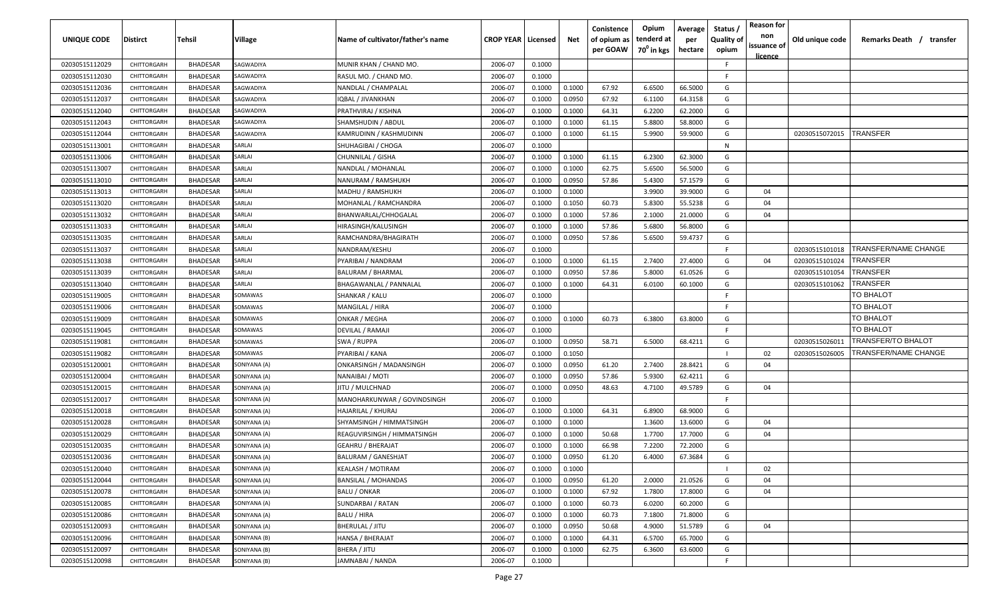| UNIQUE CODE    | Distirct    | Tehsil          | Village      | Name of cultivator/father's name | <b>CROP YEAR   Licensed</b> |        | Net    | Conistence<br>of opium as<br>per GOAW | Opium<br>tenderd at<br>70 <sup>0</sup> in kgs | Average<br>per<br>hectare | Status /<br><b>Quality of</b><br>opium | <b>Reason for</b><br>non<br>issuance of<br><u>licence</u> | Old unique code | Remarks Death / transfer  |
|----------------|-------------|-----------------|--------------|----------------------------------|-----------------------------|--------|--------|---------------------------------------|-----------------------------------------------|---------------------------|----------------------------------------|-----------------------------------------------------------|-----------------|---------------------------|
| 02030515112029 | CHITTORGARH | BHADESAR        | SAGWADIYA    | MUNIR KHAN / CHAND MO.           | 2006-07                     | 0.1000 |        |                                       |                                               |                           | F                                      |                                                           |                 |                           |
| 02030515112030 | CHITTORGARH | <b>BHADESAR</b> | SAGWADIYA    | RASUL MO. / CHAND MO.            | 2006-07                     | 0.1000 |        |                                       |                                               |                           | -F.                                    |                                                           |                 |                           |
| 02030515112036 | CHITTORGARH | <b>BHADESAR</b> | SAGWADIYA    | NANDLAL / CHAMPALAL              | 2006-07                     | 0.1000 | 0.1000 | 67.92                                 | 6.6500                                        | 66.5000                   | G                                      |                                                           |                 |                           |
| 02030515112037 | CHITTORGARH | <b>BHADESAR</b> | SAGWADIYA    | IQBAL / JIVANKHAN                | 2006-07                     | 0.1000 | 0.0950 | 67.92                                 | 6.1100                                        | 64.3158                   | G                                      |                                                           |                 |                           |
| 02030515112040 | CHITTORGARH | <b>BHADESAR</b> | SAGWADIYA    | PRATHVIRAJ / KISHNA              | 2006-07                     | 0.1000 | 0.1000 | 64.31                                 | 6.2200                                        | 62.2000                   | G                                      |                                                           |                 |                           |
| 02030515112043 | CHITTORGARH | <b>BHADESAR</b> | SAGWADIYA    | SHAMSHUDIN / ABDUL               | 2006-07                     | 0.1000 | 0.1000 | 61.15                                 | 5.8800                                        | 58.8000                   | G                                      |                                                           |                 |                           |
| 02030515112044 | CHITTORGARH | <b>BHADESAR</b> | SAGWADIYA    | KAMRUDINN / KASHMUDINN           | 2006-07                     | 0.1000 | 0.1000 | 61.15                                 | 5.9900                                        | 59.9000                   | G                                      |                                                           | 02030515072015  | TRANSFER                  |
| 02030515113001 | CHITTORGARH | <b>BHADESAR</b> | SARLAI       | SHUHAGIBAI / CHOGA               | 2006-07                     | 0.1000 |        |                                       |                                               |                           | N                                      |                                                           |                 |                           |
| 02030515113006 | CHITTORGARH | BHADESAR        | SARLAI       | CHUNNILAL / GISHA                | 2006-07                     | 0.1000 | 0.1000 | 61.15                                 | 6.2300                                        | 62.3000                   | G                                      |                                                           |                 |                           |
| 02030515113007 | CHITTORGARH | <b>BHADESAR</b> | SARLAI       | NANDLAL / MOHANLAL               | 2006-07                     | 0.1000 | 0.1000 | 62.75                                 | 5.6500                                        | 56.5000                   | G                                      |                                                           |                 |                           |
| 02030515113010 | CHITTORGARH | <b>BHADESAR</b> | SARLAI       | NANURAM / RAMSHUKH               | 2006-07                     | 0.1000 | 0.0950 | 57.86                                 | 5.4300                                        | 57.1579                   | G                                      |                                                           |                 |                           |
| 02030515113013 | CHITTORGARH | <b>BHADESAR</b> | SARLAI       | MADHU / RAMSHUKH                 | 2006-07                     | 0.1000 | 0.1000 |                                       | 3.9900                                        | 39.9000                   | G                                      | 04                                                        |                 |                           |
| 02030515113020 | CHITTORGARH | <b>BHADESAR</b> | SARLAI       | MOHANLAL / RAMCHANDRA            | 2006-07                     | 0.1000 | 0.1050 | 60.73                                 | 5.8300                                        | 55.5238                   | G                                      | 04                                                        |                 |                           |
| 02030515113032 | CHITTORGARH | BHADESAR        | SARLAI       | BHANWARLAL/CHHOGALAL             | 2006-07                     | 0.1000 | 0.1000 | 57.86                                 | 2.1000                                        | 21.0000                   | G                                      | 04                                                        |                 |                           |
| 02030515113033 | CHITTORGARH | <b>BHADESAR</b> | SARLAI       | HIRASINGH/KALUSINGH              | 2006-07                     | 0.1000 | 0.1000 | 57.86                                 | 5.6800                                        | 56.8000                   | G                                      |                                                           |                 |                           |
| 02030515113035 | CHITTORGARH | <b>BHADESAR</b> | SARLAI       | RAMCHANDRA/BHAGIRATH             | 2006-07                     | 0.1000 | 0.0950 | 57.86                                 | 5.6500                                        | 59.4737                   | G                                      |                                                           |                 |                           |
| 02030515113037 | CHITTORGARH | <b>BHADESAR</b> | SARLAI       | NANDRAM/KESHU                    | 2006-07                     | 0.1000 |        |                                       |                                               |                           | F.                                     |                                                           | 02030515101018  | TRANSFER/NAME CHANGE      |
| 02030515113038 | CHITTORGARH | <b>BHADESAR</b> | SARLAI       | PYARIBAI / NANDRAM               | 2006-07                     | 0.1000 | 0.1000 | 61.15                                 | 2.7400                                        | 27.4000                   | G                                      | 04                                                        | 02030515101024  | TRANSFER                  |
| 02030515113039 | CHITTORGARH | <b>BHADESAR</b> | SARLAI       | <b>BALURAM / BHARMAL</b>         | 2006-07                     | 0.1000 | 0.0950 | 57.86                                 | 5.8000                                        | 61.0526                   | G                                      |                                                           | 02030515101054  | TRANSFER                  |
| 02030515113040 | CHITTORGARH | <b>BHADESAR</b> | SARLAI       | BHAGAWANLAL / PANNALAL           | 2006-07                     | 0.1000 | 0.1000 | 64.31                                 | 6.0100                                        | 60.1000                   | G                                      |                                                           | 02030515101062  | <b>TRANSFER</b>           |
| 02030515119005 | CHITTORGARH | <b>BHADESAR</b> | SOMAWAS      | SHANKAR / KALU                   | 2006-07                     | 0.1000 |        |                                       |                                               |                           | -F.                                    |                                                           |                 | TO BHALOT                 |
| 02030515119006 | CHITTORGARH | <b>BHADESAR</b> | SOMAWAS      | MANGILAL / HIRA                  | 2006-07                     | 0.1000 |        |                                       |                                               |                           | -F.                                    |                                                           |                 | TO BHALOT                 |
| 02030515119009 | CHITTORGARH | <b>BHADESAR</b> | SOMAWAS      | ONKAR / MEGHA                    | 2006-07                     | 0.1000 | 0.1000 | 60.73                                 | 6.3800                                        | 63.8000                   | G                                      |                                                           |                 | TO BHALOT                 |
| 02030515119045 | CHITTORGARH | <b>BHADESAR</b> | SOMAWAS      | DEVILAL / RAMAJI                 | 2006-07                     | 0.1000 |        |                                       |                                               |                           | -F                                     |                                                           |                 | TO BHALOT                 |
| 02030515119081 | CHITTORGARH | <b>BHADESAR</b> | SOMAWAS      | SWA / RUPPA                      | 2006-07                     | 0.1000 | 0.0950 | 58.71                                 | 6.5000                                        | 68.4211                   | G                                      |                                                           | 02030515026011  | <b>TRANSFER/TO BHALOT</b> |
| 02030515119082 | CHITTORGARH | <b>BHADESAR</b> | SOMAWAS      | PYARIBAI / KANA                  | 2006-07                     | 0.1000 | 0.1050 |                                       |                                               |                           |                                        | 02                                                        | 02030515026005  | TRANSFER/NAME CHANGE      |
| 02030515120001 | CHITTORGARH | <b>BHADESAR</b> | SONIYANA (A) | ONKARSINGH / MADANSINGH          | 2006-07                     | 0.1000 | 0.0950 | 61.20                                 | 2.7400                                        | 28.8421                   | G                                      | 04                                                        |                 |                           |
| 02030515120004 | CHITTORGARH | <b>BHADESAR</b> | SONIYANA (A) | NANAIBAI / MOTI                  | 2006-07                     | 0.1000 | 0.0950 | 57.86                                 | 5.9300                                        | 62.4211                   | G                                      |                                                           |                 |                           |
| 02030515120015 | CHITTORGARH | <b>BHADESAR</b> | SONIYANA (A) | JITU / MULCHNAD                  | 2006-07                     | 0.1000 | 0.0950 | 48.63                                 | 4.7100                                        | 49.5789                   | G                                      | 04                                                        |                 |                           |
| 02030515120017 | CHITTORGARH | <b>BHADESAR</b> | SONIYANA (A) | MANOHARKUNWAR / GOVINDSINGH      | 2006-07                     | 0.1000 |        |                                       |                                               |                           | -F                                     |                                                           |                 |                           |
| 02030515120018 | CHITTORGARH | <b>BHADESAR</b> | SONIYANA (A) | HAJARILAL / KHURAJ               | 2006-07                     | 0.1000 | 0.1000 | 64.31                                 | 6.8900                                        | 68.9000                   | G                                      |                                                           |                 |                           |
| 02030515120028 | CHITTORGARH | <b>BHADESAR</b> | SONIYANA (A) | SHYAMSINGH / HIMMATSINGH         | 2006-07                     | 0.1000 | 0.1000 |                                       | 1.3600                                        | 13.6000                   | G                                      | 04                                                        |                 |                           |
| 02030515120029 | CHITTORGARH | <b>BHADESAR</b> | SONIYANA (A) | REAGUVIRSINGH / HIMMATSINGH      | 2006-07                     | 0.1000 | 0.1000 | 50.68                                 | 1.7700                                        | 17.7000                   | G                                      | 04                                                        |                 |                           |
| 02030515120035 | CHITTORGARH | <b>BHADESAR</b> | SONIYANA (A) | <b>GEAHRU / BHERAJAT</b>         | 2006-07                     | 0.1000 | 0.1000 | 66.98                                 | 7.2200                                        | 72.2000                   | G                                      |                                                           |                 |                           |
| 02030515120036 | CHITTORGARH | <b>BHADESAR</b> | SONIYANA (A) | <b>BALURAM / GANESHJAT</b>       | 2006-07                     | 0.1000 | 0.0950 | 61.20                                 | 6.4000                                        | 67.3684                   | G                                      |                                                           |                 |                           |
| 02030515120040 | CHITTORGARH | BHADESAR        | SONIYANA (A) | <b>KEALASH / MOTIRAM</b>         | 2006-07                     | 0.1000 | 0.1000 |                                       |                                               |                           |                                        | 02                                                        |                 |                           |
| 02030515120044 | CHITTORGARH | <b>BHADESAR</b> | SONIYANA (A) | <b>BANSILAL / MOHANDAS</b>       | 2006-07                     | 0.1000 | 0.0950 | 61.20                                 | 2.0000                                        | 21.0526                   | G                                      | 04                                                        |                 |                           |
| 02030515120078 | CHITTORGARH | <b>BHADESAR</b> | SONIYANA (A) | <b>BALU / ONKAR</b>              | 2006-07                     | 0.1000 | 0.1000 | 67.92                                 | 1.7800                                        | 17.8000                   | G                                      | 04                                                        |                 |                           |
| 02030515120085 | CHITTORGARH | <b>BHADESAR</b> | SONIYANA (A) | SUNDARBAI / RATAN                | 2006-07                     | 0.1000 | 0.1000 | 60.73                                 | 6.0200                                        | 60.2000                   | G                                      |                                                           |                 |                           |
| 02030515120086 | CHITTORGARH | <b>BHADESAR</b> | SONIYANA (A) | BALU / HIRA                      | 2006-07                     | 0.1000 | 0.1000 | 60.73                                 | 7.1800                                        | 71.8000                   | G                                      |                                                           |                 |                           |
| 02030515120093 | CHITTORGARH | <b>BHADESAR</b> | SONIYANA (A) | BHERULAL / JITU                  | 2006-07                     | 0.1000 | 0.0950 | 50.68                                 | 4.9000                                        | 51.5789                   | G                                      | 04                                                        |                 |                           |
| 02030515120096 | CHITTORGARH | <b>BHADESAR</b> | SONIYANA (B) | HANSA / BHERAJAT                 | 2006-07                     | 0.1000 | 0.1000 | 64.31                                 | 6.5700                                        | 65.7000                   | G                                      |                                                           |                 |                           |
| 02030515120097 | CHITTORGARH | <b>BHADESAR</b> | SONIYANA (B) | BHERA / JITU                     | 2006-07                     | 0.1000 | 0.1000 | 62.75                                 | 6.3600                                        | 63.6000                   | G                                      |                                                           |                 |                           |
| 02030515120098 | CHITTORGARH | BHADESAR        | SONIYANA (B) | JAMNABAI / NANDA                 | 2006-07                     | 0.1000 |        |                                       |                                               |                           | F.                                     |                                                           |                 |                           |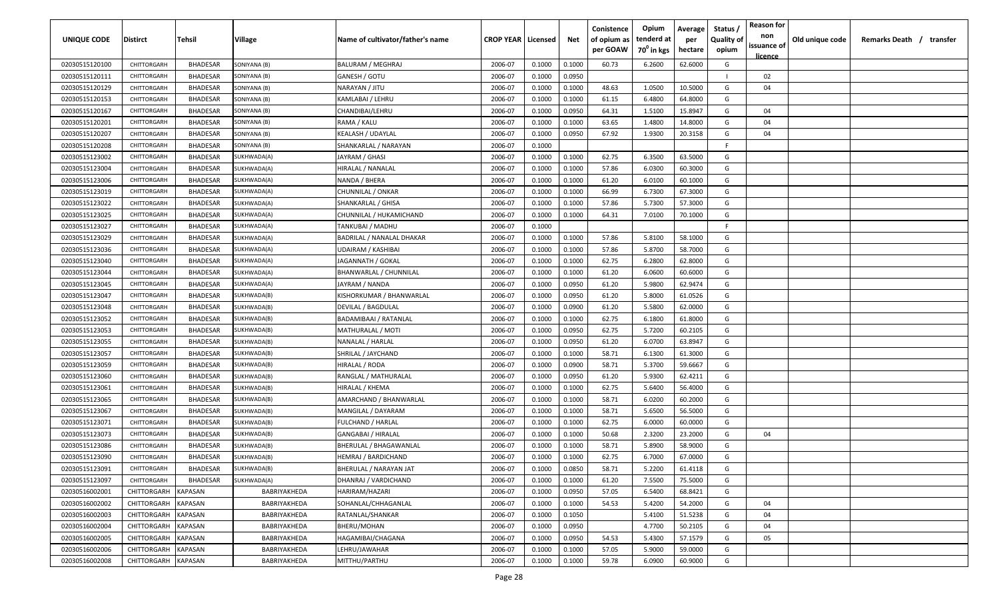| UNIQUE CODE    | Distirct    | Tehsil          | Village            | Name of cultivator/father's name | <b>CROP YEAR   Licensed</b> |        | Net    | Conistence<br>of opium as<br>per GOAW | Opium<br>tenderd at<br>70 <sup>0</sup> in kgs | Average<br>per<br>hectare | Status /<br><b>Quality of</b><br>opium | <b>Reason for</b><br>non<br>issuance of<br><u>licence</u> | Old unique code | Remarks Death / transfer |
|----------------|-------------|-----------------|--------------------|----------------------------------|-----------------------------|--------|--------|---------------------------------------|-----------------------------------------------|---------------------------|----------------------------------------|-----------------------------------------------------------|-----------------|--------------------------|
| 02030515120100 | CHITTORGARH | <b>BHADESAR</b> | SONIYANA (B)       | <b>BALURAM / MEGHRAJ</b>         | 2006-07                     | 0.1000 | 0.1000 | 60.73                                 | 6.2600                                        | 62.6000                   | G                                      |                                                           |                 |                          |
| 02030515120111 | CHITTORGARH | <b>BHADESAR</b> | SONIYANA (B)       | GANESH / GOTU                    | 2006-07                     | 0.1000 | 0.0950 |                                       |                                               |                           |                                        | 02                                                        |                 |                          |
| 02030515120129 | CHITTORGARH | <b>BHADESAR</b> | SONIYANA (B)       | NARAYAN / JITU                   | 2006-07                     | 0.1000 | 0.1000 | 48.63                                 | 1.0500                                        | 10.5000                   | G                                      | 04                                                        |                 |                          |
| 02030515120153 | CHITTORGARH | <b>BHADESAR</b> | SONIYANA (B)       | KAMLABAI / LEHRU                 | 2006-07                     | 0.1000 | 0.1000 | 61.15                                 | 6.4800                                        | 64.8000                   | G                                      |                                                           |                 |                          |
| 02030515120167 | CHITTORGARH | <b>BHADESAR</b> | SONIYANA (B)       | CHANDIBAI/LEHRU                  | 2006-07                     | 0.1000 | 0.0950 | 64.31                                 | 1.5100                                        | 15.8947                   | G                                      | 04                                                        |                 |                          |
| 02030515120201 | CHITTORGARH | <b>BHADESAR</b> | SONIYANA (B)       | RAMA / KALU                      | 2006-07                     | 0.1000 | 0.1000 | 63.65                                 | 1.4800                                        | 14.8000                   | G                                      | 04                                                        |                 |                          |
| 02030515120207 | CHITTORGARH | <b>BHADESAR</b> | SONIYANA (B)       | KEALASH / UDAYLAL                | 2006-07                     | 0.1000 | 0.0950 | 67.92                                 | 1.9300                                        | 20.3158                   | G                                      | 04                                                        |                 |                          |
| 02030515120208 | CHITTORGARH | <b>BHADESAR</b> | SONIYANA (B)       | SHANKARLAL / NARAYAN             | 2006-07                     | 0.1000 |        |                                       |                                               |                           | -F                                     |                                                           |                 |                          |
| 02030515123002 | CHITTORGARH | <b>BHADESAR</b> | SUKHWADA(A)        | JAYRAM / GHASI                   | 2006-07                     | 0.1000 | 0.1000 | 62.75                                 | 6.3500                                        | 63.5000                   | G                                      |                                                           |                 |                          |
| 02030515123004 | CHITTORGARH | <b>BHADESAR</b> | SUKHWADA(A)        | HIRALAL / NANALAL                | 2006-07                     | 0.1000 | 0.1000 | 57.86                                 | 6.0300                                        | 60.3000                   | G                                      |                                                           |                 |                          |
| 02030515123006 | CHITTORGARH | <b>BHADESAR</b> | SUKHWADA(A)        | NANDA / BHERA                    | 2006-07                     | 0.1000 | 0.1000 | 61.20                                 | 6.0100                                        | 60.1000                   | G                                      |                                                           |                 |                          |
| 02030515123019 | CHITTORGARH | <b>BHADESAR</b> | SUKHWADA(A)        | CHUNNILAL / ONKAR                | 2006-07                     | 0.1000 | 0.1000 | 66.99                                 | 6.7300                                        | 67.3000                   | G                                      |                                                           |                 |                          |
| 02030515123022 | CHITTORGARH | <b>BHADESAR</b> | SUKHWADA(A)        | SHANKARLAL / GHISA               | 2006-07                     | 0.1000 | 0.1000 | 57.86                                 | 5.7300                                        | 57.3000                   | G                                      |                                                           |                 |                          |
| 02030515123025 | CHITTORGARH | <b>BHADESAR</b> | SUKHWADA(A)        | CHUNNILAL / HUKAMICHAND          | 2006-07                     | 0.1000 | 0.1000 | 64.31                                 | 7.0100                                        | 70.1000                   | G                                      |                                                           |                 |                          |
| 02030515123027 | CHITTORGARH | <b>BHADESAR</b> | SUKHWADA(A)        | TANKUBAI / MADHU                 | 2006-07                     | 0.1000 |        |                                       |                                               |                           | -F.                                    |                                                           |                 |                          |
| 02030515123029 | CHITTORGARH | <b>BHADESAR</b> | SUKHWADA(A)        | BADRILAL / NANALAL DHAKAR        | 2006-07                     | 0.1000 | 0.1000 | 57.86                                 | 5.8100                                        | 58.1000                   | G                                      |                                                           |                 |                          |
| 02030515123036 | CHITTORGARH | <b>BHADESAR</b> | SUKHWADA(A)        | <b>UDAIRAM / KASHIBAI</b>        | 2006-07                     | 0.1000 | 0.1000 | 57.86                                 | 5.8700                                        | 58.7000                   | G                                      |                                                           |                 |                          |
| 02030515123040 | CHITTORGARH | <b>BHADESAR</b> | SUKHWADA(A)        | JAGANNATH / GOKAL                | 2006-07                     | 0.1000 | 0.1000 | 62.75                                 | 6.2800                                        | 62.8000                   | G                                      |                                                           |                 |                          |
| 02030515123044 | CHITTORGARH | <b>BHADESAR</b> | SUKHWADA(A)        | <b>BHANWARLAL / CHUNNILAL</b>    | 2006-07                     | 0.1000 | 0.1000 | 61.20                                 | 6.0600                                        | 60.6000                   | G                                      |                                                           |                 |                          |
| 02030515123045 | CHITTORGARH | <b>BHADESAR</b> | SUKHWADA(A)        | JAYRAM / NANDA                   | 2006-07                     | 0.1000 | 0.0950 | 61.20                                 | 5.9800                                        | 62.9474                   | G                                      |                                                           |                 |                          |
| 02030515123047 | CHITTORGARH | <b>BHADESAR</b> | SUKHWADA(B)        | KISHORKUMAR / BHANWARLAL         | 2006-07                     | 0.1000 | 0.0950 | 61.20                                 | 5.8000                                        | 61.0526                   | G                                      |                                                           |                 |                          |
| 02030515123048 | CHITTORGARH | <b>BHADESAR</b> | SUKHWADA(B)        | DEVILAL / BAGDULAL               | 2006-07                     | 0.1000 | 0.0900 | 61.20                                 | 5.5800                                        | 62.0000                   | G                                      |                                                           |                 |                          |
| 02030515123052 | CHITTORGARH | <b>BHADESAR</b> | <b>SUKHWADA(B)</b> | BADAMIBAAI / RATANLAL            | 2006-07                     | 0.1000 | 0.1000 | 62.75                                 | 6.1800                                        | 61.8000                   | G                                      |                                                           |                 |                          |
| 02030515123053 | CHITTORGARH | <b>BHADESAR</b> | SUKHWADA(B)        | MATHURALAL / MOTI                | 2006-07                     | 0.1000 | 0.0950 | 62.75                                 | 5.7200                                        | 60.2105                   | G                                      |                                                           |                 |                          |
| 02030515123055 | CHITTORGARH | <b>BHADESAR</b> | SUKHWADA(B)        | NANALAL / HARLAL                 | 2006-07                     | 0.1000 | 0.0950 | 61.20                                 | 6.0700                                        | 63.8947                   | G                                      |                                                           |                 |                          |
| 02030515123057 | CHITTORGARH | <b>BHADESAR</b> | SUKHWADA(B)        | SHRILAL / JAYCHAND               | 2006-07                     | 0.1000 | 0.1000 | 58.71                                 | 6.1300                                        | 61.3000                   | G                                      |                                                           |                 |                          |
| 02030515123059 | CHITTORGARH | <b>BHADESAR</b> | SUKHWADA(B)        | HIRALAL / RODA                   | 2006-07                     | 0.1000 | 0.0900 | 58.71                                 | 5.3700                                        | 59.6667                   | G                                      |                                                           |                 |                          |
| 02030515123060 | CHITTORGARH | <b>BHADESAR</b> | SUKHWADA(B)        | RANGLAL / MATHURALAL             | 2006-07                     | 0.1000 | 0.0950 | 61.20                                 | 5.9300                                        | 62.4211                   | G                                      |                                                           |                 |                          |
| 02030515123061 | CHITTORGARH | <b>BHADESAR</b> | SUKHWADA(B)        | HIRALAL / KHEMA                  | 2006-07                     | 0.1000 | 0.1000 | 62.75                                 | 5.6400                                        | 56.4000                   | G                                      |                                                           |                 |                          |
| 02030515123065 | CHITTORGARH | <b>BHADESAR</b> | SUKHWADA(B)        | AMARCHAND / BHANWARLAL           | 2006-07                     | 0.1000 | 0.1000 | 58.71                                 | 6.0200                                        | 60.2000                   | G                                      |                                                           |                 |                          |
| 02030515123067 | CHITTORGARH | <b>BHADESAR</b> | SUKHWADA(B)        | MANGILAL / DAYARAM               | 2006-07                     | 0.1000 | 0.1000 | 58.71                                 | 5.6500                                        | 56.5000                   | G                                      |                                                           |                 |                          |
| 02030515123071 | CHITTORGARH | <b>BHADESAR</b> | SUKHWADA(B)        | FULCHAND / HARLAL                | 2006-07                     | 0.1000 | 0.1000 | 62.75                                 | 6.0000                                        | 60.0000                   | G                                      |                                                           |                 |                          |
| 02030515123073 | CHITTORGARH | <b>BHADESAR</b> | SUKHWADA(B)        | GANGABAI / HIRALAL               | 2006-07                     | 0.1000 | 0.1000 | 50.68                                 | 2.3200                                        | 23.2000                   | G                                      | 04                                                        |                 |                          |
| 02030515123086 | CHITTORGARH | <b>BHADESAR</b> | SUKHWADA(B)        | BHERULAL / BHAGAWANLAL           | 2006-07                     | 0.1000 | 0.1000 | 58.71                                 | 5.8900                                        | 58.9000                   | G                                      |                                                           |                 |                          |
| 02030515123090 | CHITTORGARH | <b>BHADESAR</b> | SUKHWADA(B)        | HEMRAJ / BARDICHAND              | 2006-07                     | 0.1000 | 0.1000 | 62.75                                 | 6.7000                                        | 67.0000                   | G                                      |                                                           |                 |                          |
| 02030515123091 | CHITTORGARH | BHADESAR        | SUKHWADA(B)        | BHERULAL / NARAYAN JAT           | 2006-07                     | 0.1000 | 0.0850 | 58.71                                 | 5.2200                                        | 61.4118                   | G                                      |                                                           |                 |                          |
| 02030515123097 | CHITTORGARH | <b>BHADESAR</b> | SUKHWADA(A)        | DHANRAJ / VARDICHAND             | 2006-07                     | 0.1000 | 0.1000 | 61.20                                 | 7.5500                                        | 75.5000                   | G                                      |                                                           |                 |                          |
| 02030516002001 | CHITTORGARH | <b>KAPASAN</b>  | BABRIYAKHEDA       | HARIRAM/HAZARI                   | 2006-07                     | 0.1000 | 0.0950 | 57.05                                 | 6.5400                                        | 68.8421                   | G                                      |                                                           |                 |                          |
| 02030516002002 | CHITTORGARH | <b>KAPASAN</b>  | BABRIYAKHEDA       | SOHANLAL/CHHAGANLAL              | 2006-07                     | 0.1000 | 0.1000 | 54.53                                 | 5.4200                                        | 54.2000                   | G                                      | 04                                                        |                 |                          |
| 02030516002003 | CHITTORGARH | KAPASAN         | BABRIYAKHEDA       | RATANLAL/SHANKAR                 | 2006-07                     | 0.1000 | 0.1050 |                                       | 5.4100                                        | 51.5238                   | G                                      | 04                                                        |                 |                          |
| 02030516002004 | CHITTORGARH | KAPASAN         | BABRIYAKHEDA       | BHERU/MOHAN                      | 2006-07                     | 0.1000 | 0.0950 |                                       | 4.7700                                        | 50.2105                   | G                                      | 04                                                        |                 |                          |
| 02030516002005 | CHITTORGARH | <b>KAPASAN</b>  | BABRIYAKHEDA       | HAGAMIBAI/CHAGANA                | 2006-07                     | 0.1000 | 0.0950 | 54.53                                 | 5.4300                                        | 57.1579                   | G                                      | 05                                                        |                 |                          |
| 02030516002006 | CHITTORGARH | <b>KAPASAN</b>  | BABRIYAKHEDA       | LEHRU/JAWAHAR                    | 2006-07                     | 0.1000 | 0.1000 | 57.05                                 | 5.9000                                        | 59.0000                   | G                                      |                                                           |                 |                          |
| 02030516002008 | CHITTORGARH | <b>KAPASAN</b>  | BABRIYAKHEDA       | MITTHU/PARTHU                    | 2006-07                     | 0.1000 | 0.1000 | 59.78                                 | 6.0900                                        | 60.9000                   | G                                      |                                                           |                 |                          |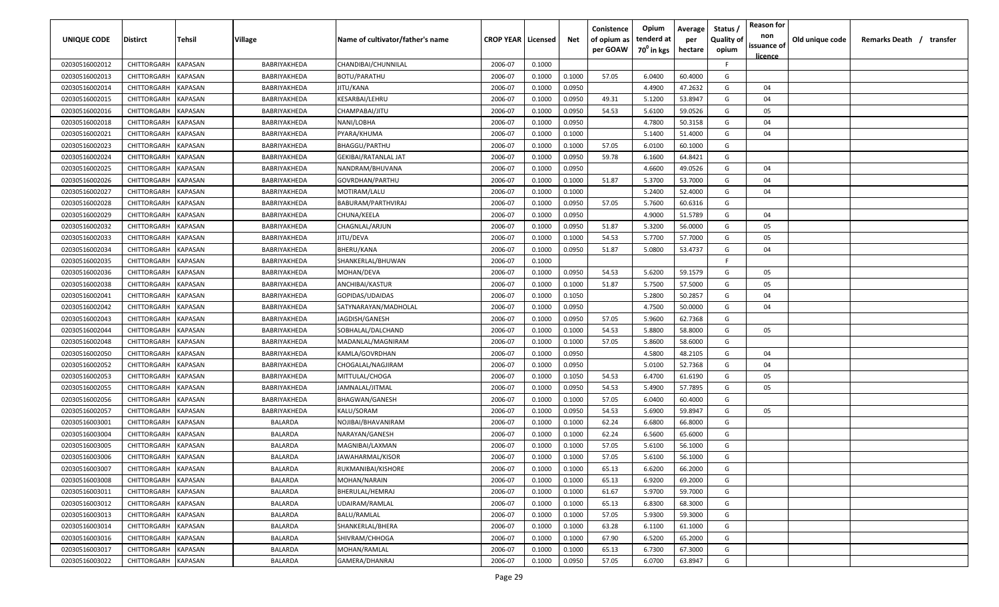| UNIQUE CODE    | <b>Distirct</b>     | Tehsil         | Village        | Name of cultivator/father's name | <b>CROP YEAR Licensed</b> |        | Net    | Conistence<br>of opium as | Opium<br>tenderd at | Average<br>per | Status /<br><b>Quality of</b> | <b>Reason for</b><br>non<br>issuance of | Old unique code | Remarks Death /<br>transfer |
|----------------|---------------------|----------------|----------------|----------------------------------|---------------------------|--------|--------|---------------------------|---------------------|----------------|-------------------------------|-----------------------------------------|-----------------|-----------------------------|
|                |                     |                |                |                                  |                           |        |        | per GOAW                  | $70^0$ in kgs       | hectare        | opium                         | <u>licence</u>                          |                 |                             |
| 02030516002012 | CHITTORGARH         | <b>KAPASAN</b> | BABRIYAKHEDA   | CHANDIBAI/CHUNNILAL              | 2006-07                   | 0.1000 |        |                           |                     |                | F.                            |                                         |                 |                             |
| 02030516002013 | CHITTORGARH         | <b>KAPASAN</b> | BABRIYAKHEDA   | <b>BOTU/PARATHU</b>              | 2006-07                   | 0.1000 | 0.1000 | 57.05                     | 6.0400              | 60.4000        | G                             |                                         |                 |                             |
| 02030516002014 | CHITTORGARH         | <b>KAPASAN</b> | BABRIYAKHEDA   | JITU/KANA                        | 2006-07                   | 0.1000 | 0.0950 |                           | 4.4900              | 47.2632        | G                             | 04                                      |                 |                             |
| 02030516002015 | CHITTORGARH         | KAPASAN        | BABRIYAKHEDA   | KESARBAI/LEHRU                   | 2006-07                   | 0.1000 | 0.0950 | 49.31                     | 5.1200              | 53.8947        | G                             | 04                                      |                 |                             |
| 02030516002016 | CHITTORGARH         | KAPASAN        | BABRIYAKHEDA   | CHAMPABAI/JITU                   | 2006-07                   | 0.1000 | 0.0950 | 54.53                     | 5.6100              | 59.0526        | G                             | 05                                      |                 |                             |
| 02030516002018 | CHITTORGARH         | KAPASAN        | BABRIYAKHEDA   | NANI/LOBHA                       | 2006-07                   | 0.1000 | 0.0950 |                           | 4.7800              | 50.3158        | G                             | 04                                      |                 |                             |
| 02030516002021 | CHITTORGARH         | <b>KAPASAN</b> | BABRIYAKHEDA   | PYARA/KHUMA                      | 2006-07                   | 0.1000 | 0.1000 |                           | 5.1400              | 51.4000        | G                             | 04                                      |                 |                             |
| 02030516002023 | CHITTORGARH         | <b>KAPASAN</b> | BABRIYAKHEDA   | BHAGGU/PARTHU                    | 2006-07                   | 0.1000 | 0.1000 | 57.05                     | 6.0100              | 60.1000        | G                             |                                         |                 |                             |
| 02030516002024 | CHITTORGARH         | <b>KAPASAN</b> | BABRIYAKHEDA   | GEKIBAI/RATANLAL JAT             | 2006-07                   | 0.1000 | 0.0950 | 59.78                     | 6.1600              | 64.8421        | G                             |                                         |                 |                             |
| 02030516002025 | CHITTORGARH         | <b>KAPASAN</b> | BABRIYAKHEDA   | NANDRAM/BHUVANA                  | 2006-07                   | 0.1000 | 0.0950 |                           | 4.6600              | 49.0526        | G                             | 04                                      |                 |                             |
| 02030516002026 | CHITTORGARH         | <b>KAPASAN</b> | BABRIYAKHEDA   | GOVRDHAN/PARTHU                  | 2006-07                   | 0.1000 | 0.1000 | 51.87                     | 5.3700              | 53.7000        | G                             | 04                                      |                 |                             |
| 02030516002027 | CHITTORGARH         | KAPASAN        | BABRIYAKHEDA   | MOTIRAM/LALU                     | 2006-07                   | 0.1000 | 0.1000 |                           | 5.2400              | 52.4000        | G                             | 04                                      |                 |                             |
| 02030516002028 | CHITTORGARH         | KAPASAN        | BABRIYAKHEDA   | BABURAM/PARTHVIRAJ               | 2006-07                   | 0.1000 | 0.0950 | 57.05                     | 5.7600              | 60.6316        | G                             |                                         |                 |                             |
| 02030516002029 | CHITTORGARH         | KAPASAN        | BABRIYAKHEDA   | CHUNA/KEELA                      | 2006-07                   | 0.1000 | 0.0950 |                           | 4.9000              | 51.5789        | G                             | 04                                      |                 |                             |
| 02030516002032 | CHITTORGARH         | <b>KAPASAN</b> | BABRIYAKHEDA   | CHAGNLAL/ARJUN                   | 2006-07                   | 0.1000 | 0.0950 | 51.87                     | 5.3200              | 56.0000        | G                             | 05                                      |                 |                             |
| 02030516002033 | CHITTORGARH         | <b>KAPASAN</b> | BABRIYAKHEDA   | JITU/DEVA                        | 2006-07                   | 0.1000 | 0.1000 | 54.53                     | 5.7700              | 57.7000        | G                             | 05                                      |                 |                             |
| 02030516002034 | <b>CHITTORGARH</b>  | <b>KAPASAN</b> | BABRIYAKHEDA   | BHERU/KANA                       | 2006-07                   | 0.1000 | 0.0950 | 51.87                     | 5.0800              | 53.4737        | G                             | 04                                      |                 |                             |
| 02030516002035 | CHITTORGARH         | <b>KAPASAN</b> | BABRIYAKHEDA   | SHANKERLAL/BHUWAN                | 2006-07                   | 0.1000 |        |                           |                     |                | E.                            |                                         |                 |                             |
| 02030516002036 | CHITTORGARH         | <b>KAPASAN</b> | BABRIYAKHEDA   | MOHAN/DEVA                       | 2006-07                   | 0.1000 | 0.0950 | 54.53                     | 5.6200              | 59.1579        | G                             | 05                                      |                 |                             |
| 02030516002038 | CHITTORGARH         | <b>KAPASAN</b> | BABRIYAKHEDA   | ANCHIBAI/KASTUR                  | 2006-07                   | 0.1000 | 0.1000 | 51.87                     | 5.7500              | 57.5000        | G                             | 05                                      |                 |                             |
| 02030516002041 | CHITTORGARH         | <b>KAPASAN</b> | BABRIYAKHEDA   | GOPIDAS/UDAIDAS                  | 2006-07                   | 0.1000 | 0.1050 |                           | 5.2800              | 50.2857        | G                             | 04                                      |                 |                             |
| 02030516002042 | CHITTORGARH         | <b>KAPASAN</b> | BABRIYAKHEDA   | SATYNARAYAN/MADHOLAL             | 2006-07                   | 0.1000 | 0.0950 |                           | 4.7500              | 50.0000        | G                             | 04                                      |                 |                             |
| 02030516002043 | CHITTORGARH         | <b>KAPASAN</b> | BABRIYAKHEDA   | JAGDISH/GANESH                   | 2006-07                   | 0.1000 | 0.0950 | 57.05                     | 5.9600              | 62.7368        | G                             |                                         |                 |                             |
| 02030516002044 | CHITTORGARH         | <b>KAPASAN</b> | BABRIYAKHEDA   | SOBHALAL/DALCHAND                | 2006-07                   | 0.1000 | 0.1000 | 54.53                     | 5.8800              | 58.8000        | G                             | 05                                      |                 |                             |
| 02030516002048 | CHITTORGARH         | <b>KAPASAN</b> | BABRIYAKHEDA   | MADANLAL/MAGNIRAM                | 2006-07                   | 0.1000 | 0.1000 | 57.05                     | 5.8600              | 58.6000        | G                             |                                         |                 |                             |
| 02030516002050 | CHITTORGARH         | <b>KAPASAN</b> | BABRIYAKHEDA   | KAMLA/GOVRDHAN                   | 2006-07                   | 0.1000 | 0.0950 |                           | 4.5800              | 48.2105        | G                             | 04                                      |                 |                             |
| 02030516002052 | CHITTORGARH         | <b>KAPASAN</b> | BABRIYAKHEDA   | CHOGALAL/NAGJIRAM                | 2006-07                   | 0.1000 | 0.0950 |                           | 5.0100              | 52.7368        | G                             | 04                                      |                 |                             |
| 02030516002053 | CHITTORGARH         | <b>KAPASAN</b> | BABRIYAKHEDA   | MITTULAL/CHOGA                   | 2006-07                   | 0.1000 | 0.1050 | 54.53                     | 6.4700              | 61.6190        | G                             | 05                                      |                 |                             |
| 02030516002055 | CHITTORGARH         | KAPASAN        | BABRIYAKHEDA   | JAMNALAL/JITMAL                  | 2006-07                   | 0.1000 | 0.0950 | 54.53                     | 5.4900              | 57.7895        | G                             | 05                                      |                 |                             |
| 02030516002056 | CHITTORGARH         | KAPASAN        | BABRIYAKHEDA   | BHAGWAN/GANESH                   | 2006-07                   | 0.1000 | 0.1000 | 57.05                     | 6.0400              | 60.4000        | G                             |                                         |                 |                             |
| 02030516002057 | CHITTORGARH         | KAPASAN        | BABRIYAKHEDA   | KALU/SORAM                       | 2006-07                   | 0.1000 | 0.0950 | 54.53                     | 5.6900              | 59.8947        | G                             | 05                                      |                 |                             |
| 02030516003001 | CHITTORGARH         | KAPASAN        | BALARDA        | NOJIBAI/BHAVANIRAM               | 2006-07                   | 0.1000 | 0.1000 | 62.24                     | 6.6800              | 66.8000        | G                             |                                         |                 |                             |
| 02030516003004 | CHITTORGARH         | <b>KAPASAN</b> | BALARDA        | NARAYAN/GANESH                   | 2006-07                   | 0.1000 | 0.1000 | 62.24                     | 6.5600              | 65.6000        | G                             |                                         |                 |                             |
| 02030516003005 | CHITTORGARH         | <b>KAPASAN</b> | <b>BALARDA</b> | MAGNIBAI/LAXMAN                  | 2006-07                   | 0.1000 | 0.1000 | 57.05                     | 5.6100              | 56.1000        | G                             |                                         |                 |                             |
| 02030516003006 | <b>CHITTORGARH</b>  | <b>KAPASAN</b> | BALARDA        | JAWAHARMAL/KISOR                 | 2006-07                   | 0.1000 | 0.1000 | 57.05                     | 5.6100              | 56.1000        | G                             |                                         |                 |                             |
| 02030516003007 | CHITTORGARH KAPASAN |                | BALARDA        | RUKMANIBAI/KISHORE               | 2006-07                   | 0.1000 | 0.1000 | 65.13                     | 6.6200              | 66.2000        | G                             |                                         |                 |                             |
| 02030516003008 | CHITTORGARH         | <b>KAPASAN</b> | BALARDA        | MOHAN/NARAIN                     | 2006-07                   | 0.1000 | 0.1000 | 65.13                     | 6.9200              | 69.2000        | G                             |                                         |                 |                             |
| 02030516003011 | CHITTORGARH         | <b>KAPASAN</b> | BALARDA        | BHERULAL/HEMRAJ                  | 2006-07                   | 0.1000 | 0.1000 | 61.67                     | 5.9700              | 59.7000        | G                             |                                         |                 |                             |
| 02030516003012 | CHITTORGARH         | <b>KAPASAN</b> | BALARDA        | UDAIRAM/RAMLAL                   | 2006-07                   | 0.1000 | 0.1000 | 65.13                     | 6.8300              | 68.3000        | G                             |                                         |                 |                             |
| 02030516003013 | CHITTORGARH         | <b>KAPASAN</b> | BALARDA        | <b>BALU/RAMLAL</b>               | 2006-07                   | 0.1000 | 0.1000 | 57.05                     | 5.9300              | 59.3000        | G                             |                                         |                 |                             |
| 02030516003014 | CHITTORGARH         | <b>KAPASAN</b> | BALARDA        | SHANKERLAL/BHERA                 | 2006-07                   | 0.1000 | 0.1000 | 63.28                     | 6.1100              | 61.1000        | G                             |                                         |                 |                             |
| 02030516003016 | CHITTORGARH         | <b>KAPASAN</b> | BALARDA        | SHIVRAM/CHHOGA                   | 2006-07                   | 0.1000 | 0.1000 | 67.90                     | 6.5200              | 65.2000        | G                             |                                         |                 |                             |
| 02030516003017 | CHITTORGARH         | <b>KAPASAN</b> | BALARDA        | MOHAN/RAMLAL                     | 2006-07                   | 0.1000 | 0.1000 | 65.13                     | 6.7300              | 67.3000        | G                             |                                         |                 |                             |
| 02030516003022 | CHITTORGARH KAPASAN |                | BALARDA        | GAMERA/DHANRAJ                   | 2006-07                   | 0.1000 | 0.0950 | 57.05                     | 6.0700              | 63.8947        | G                             |                                         |                 |                             |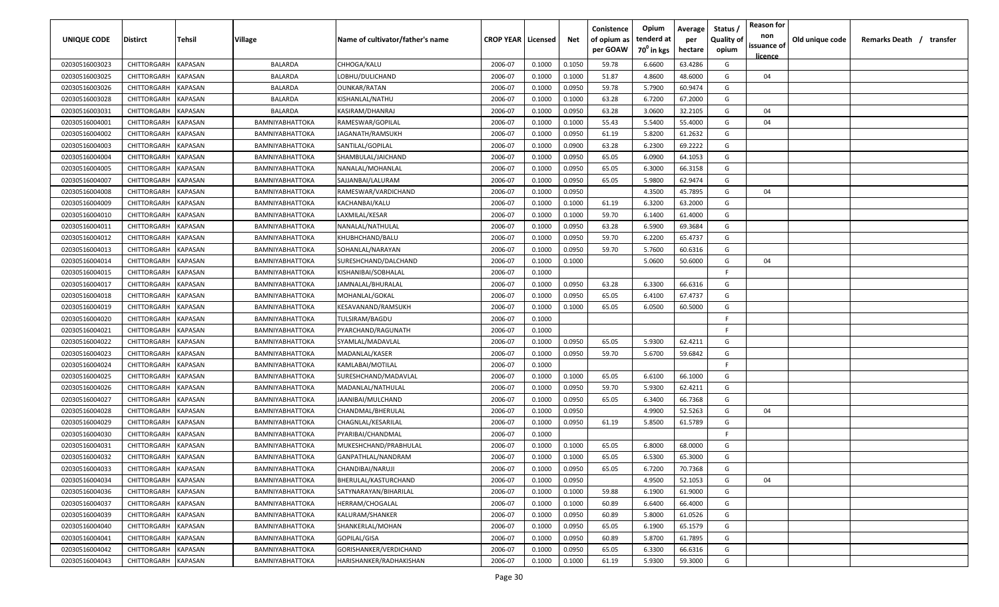| UNIQUE CODE    | <b>Distirct</b>     | Tehsil         | <b>Village</b>         | Name of cultivator/father's name | <b>CROP YEAR   Licensed</b> |        | Net    | Conistence<br>of opium as | Opium<br>tenderd at    | Average<br>per | Status /<br><b>Quality of</b> | <b>Reason for</b><br>non | Old unique code | Remarks Death / transfer |
|----------------|---------------------|----------------|------------------------|----------------------------------|-----------------------------|--------|--------|---------------------------|------------------------|----------------|-------------------------------|--------------------------|-----------------|--------------------------|
|                |                     |                |                        |                                  |                             |        |        | per GOAW                  | 70 <sup>0</sup> in kgs | hectare        | opium                         | issuance of<br>licence   |                 |                          |
| 02030516003023 | CHITTORGARH         | <b>KAPASAN</b> | BALARDA                | CHHOGA/KALU                      | 2006-07                     | 0.1000 | 0.1050 | 59.78                     | 6.6600                 | 63.4286        | G                             |                          |                 |                          |
| 02030516003025 | CHITTORGARH         | <b>KAPASAN</b> | BALARDA                | LOBHU/DULICHAND                  | 2006-07                     | 0.1000 | 0.1000 | 51.87                     | 4.8600                 | 48.6000        | G                             | 04                       |                 |                          |
| 02030516003026 | CHITTORGARH         | KAPASAN        | <b>BALARDA</b>         | OUNKAR/RATAN                     | 2006-07                     | 0.1000 | 0.0950 | 59.78                     | 5.7900                 | 60.9474        | G                             |                          |                 |                          |
| 02030516003028 | CHITTORGARH         | <b>KAPASAN</b> | <b>BALARDA</b>         | KISHANLAL/NATHU                  | 2006-07                     | 0.1000 | 0.1000 | 63.28                     | 6.7200                 | 67.2000        | G                             |                          |                 |                          |
| 02030516003031 | CHITTORGARH         | <b>KAPASAN</b> | BALARDA                | KASIRAM/DHANRAJ                  | 2006-07                     | 0.1000 | 0.0950 | 63.28                     | 3.0600                 | 32.2105        | G                             | 04                       |                 |                          |
| 02030516004001 | CHITTORGARH         | <b>KAPASAN</b> | <b>BAMNIYABHATTOKA</b> | RAMESWAR/GOPILAL                 | 2006-07                     | 0.1000 | 0.1000 | 55.43                     | 5.5400                 | 55.4000        | G                             | 04                       |                 |                          |
| 02030516004002 | CHITTORGARH         | <b>KAPASAN</b> | BAMNIYABHATTOKA        | IAGANATH/RAMSUKH                 | 2006-07                     | 0.1000 | 0.0950 | 61.19                     | 5.8200                 | 61.2632        | G                             |                          |                 |                          |
| 02030516004003 | CHITTORGARH         | <b>KAPASAN</b> | <b>BAMNIYABHATTOKA</b> | SANTILAL/GOPILAL                 | 2006-07                     | 0.1000 | 0.0900 | 63.28                     | 6.2300                 | 69.2222        | G                             |                          |                 |                          |
| 02030516004004 | CHITTORGARH         | <b>KAPASAN</b> | <b>BAMNIYABHATTOKA</b> | SHAMBULAL/JAICHAND               | 2006-07                     | 0.1000 | 0.0950 | 65.05                     | 6.0900                 | 64.1053        | G                             |                          |                 |                          |
| 02030516004005 | CHITTORGARH         | <b>KAPASAN</b> | <b>BAMNIYABHATTOKA</b> | NANALAL/MOHANLAL                 | 2006-07                     | 0.1000 | 0.0950 | 65.05                     | 6.3000                 | 66.3158        | G                             |                          |                 |                          |
| 02030516004007 | CHITTORGARH         | KAPASAN        | BAMNIYABHATTOKA        | SAJJANBAI/LALURAM                | 2006-07                     | 0.1000 | 0.0950 | 65.05                     | 5.9800                 | 62.9474        | G                             |                          |                 |                          |
| 02030516004008 | CHITTORGARH         | <b>KAPASAN</b> | BAMNIYABHATTOKA        | RAMESWAR/VARDICHAND              | 2006-07                     | 0.1000 | 0.0950 |                           | 4.3500                 | 45.7895        | G                             | 04                       |                 |                          |
| 02030516004009 | CHITTORGARH         | <b>KAPASAN</b> | <b>BAMNIYABHATTOKA</b> | KACHANBAI/KALU                   | 2006-07                     | 0.1000 | 0.1000 | 61.19                     | 6.3200                 | 63.2000        | G                             |                          |                 |                          |
| 02030516004010 | CHITTORGARH         | <b>KAPASAN</b> | <b>BAMNIYABHATTOKA</b> | LAXMILAL/KESAR                   | 2006-07                     | 0.1000 | 0.1000 | 59.70                     | 6.1400                 | 61.4000        | G                             |                          |                 |                          |
| 02030516004011 | <b>CHITTORGARH</b>  | <b>KAPASAN</b> | <b>BAMNIYABHATTOKA</b> | NANALAL/NATHULAL                 | 2006-07                     | 0.1000 | 0.0950 | 63.28                     | 6.5900                 | 69.3684        | G                             |                          |                 |                          |
| 02030516004012 | CHITTORGARH         | <b>KAPASAN</b> | <b>BAMNIYABHATTOKA</b> | KHUBHCHAND/BALU                  | 2006-07                     | 0.1000 | 0.0950 | 59.70                     | 6.2200                 | 65.4737        | G                             |                          |                 |                          |
| 02030516004013 | <b>CHITTORGARH</b>  | <b>KAPASAN</b> | <b>BAMNIYABHATTOKA</b> | SOHANLAL/NARAYAN                 | 2006-07                     | 0.1000 | 0.0950 | 59.70                     | 5.7600                 | 60.6316        | G                             |                          |                 |                          |
| 02030516004014 | CHITTORGARH         | <b>KAPASAN</b> | BAMNIYABHATTOKA        | SURESHCHAND/DALCHAND             | 2006-07                     | 0.1000 | 0.1000 |                           | 5.0600                 | 50.6000        | G                             | 04                       |                 |                          |
| 02030516004015 | CHITTORGARH         | KAPASAN        | <b>BAMNIYABHATTOKA</b> | KISHANIBAI/SOBHALAL              | 2006-07                     | 0.1000 |        |                           |                        |                | -F.                           |                          |                 |                          |
| 02030516004017 | CHITTORGARH         | <b>KAPASAN</b> | <b>BAMNIYABHATTOKA</b> | JAMNALAL/BHURALAL                | 2006-07                     | 0.1000 | 0.0950 | 63.28                     | 6.3300                 | 66.6316        | G                             |                          |                 |                          |
| 02030516004018 | CHITTORGARH         | <b>KAPASAN</b> | BAMNIYABHATTOKA        | MOHANLAL/GOKAL                   | 2006-07                     | 0.1000 | 0.0950 | 65.05                     | 6.4100                 | 67.4737        | G                             |                          |                 |                          |
| 02030516004019 | CHITTORGARH         | <b>KAPASAN</b> | <b>BAMNIYABHATTOKA</b> | KESAVANAND/RAMSUKH               | 2006-07                     | 0.1000 | 0.1000 | 65.05                     | 6.0500                 | 60.5000        | G                             |                          |                 |                          |
| 02030516004020 | CHITTORGARH         | <b>KAPASAN</b> | BAMNIYABHATTOKA        | TULSIRAM/BAGDU                   | 2006-07                     | 0.1000 |        |                           |                        |                | F.                            |                          |                 |                          |
| 02030516004021 | CHITTORGARH         | <b>KAPASAN</b> | BAMNIYABHATTOKA        | PYARCHAND/RAGUNATH               | 2006-07                     | 0.1000 |        |                           |                        |                | F.                            |                          |                 |                          |
| 02030516004022 | CHITTORGARH         | <b>KAPASAN</b> | <b>BAMNIYABHATTOKA</b> | SYAMLAL/MADAVLAL                 | 2006-07                     | 0.1000 | 0.0950 | 65.05                     | 5.9300                 | 62.4211        | G                             |                          |                 |                          |
| 02030516004023 | CHITTORGARH         | <b>KAPASAN</b> | <b>BAMNIYABHATTOKA</b> | MADANLAL/KASER                   | 2006-07                     | 0.1000 | 0.0950 | 59.70                     | 5.6700                 | 59.6842        | G                             |                          |                 |                          |
| 02030516004024 | CHITTORGARH         | <b>KAPASAN</b> | <b>BAMNIYABHATTOKA</b> | KAMLABAI/MOTILAL                 | 2006-07                     | 0.1000 |        |                           |                        |                | F.                            |                          |                 |                          |
| 02030516004025 | CHITTORGARH         | <b>KAPASAN</b> | BAMNIYABHATTOKA        | SURESHCHAND/MADAVLAL             | 2006-07                     | 0.1000 | 0.1000 | 65.05                     | 6.6100                 | 66.1000        | G                             |                          |                 |                          |
| 02030516004026 | CHITTORGARH         | <b>KAPASAN</b> | BAMNIYABHATTOKA        | MADANLAL/NATHULAL                | 2006-07                     | 0.1000 | 0.0950 | 59.70                     | 5.9300                 | 62.4211        | G                             |                          |                 |                          |
| 02030516004027 | CHITTORGARH         | <b>KAPASAN</b> | <b>BAMNIYABHATTOKA</b> | JAANIBAI/MULCHAND                | 2006-07                     | 0.1000 | 0.0950 | 65.05                     | 6.3400                 | 66.7368        | G                             |                          |                 |                          |
| 02030516004028 | CHITTORGARH         | <b>KAPASAN</b> | BAMNIYABHATTOKA        | CHANDMAL/BHERULAL                | 2006-07                     | 0.1000 | 0.0950 |                           | 4.9900                 | 52.5263        | G                             | 04                       |                 |                          |
| 02030516004029 | <b>CHITTORGARH</b>  | <b>KAPASAN</b> | <b>BAMNIYABHATTOKA</b> | CHAGNLAL/KESARILAL               | 2006-07                     | 0.1000 | 0.0950 | 61.19                     | 5.8500                 | 61.5789        | G                             |                          |                 |                          |
| 02030516004030 | CHITTORGARH         | <b>KAPASAN</b> | <b>BAMNIYABHATTOKA</b> | PYARIBAI/CHANDMAL                | 2006-07                     | 0.1000 |        |                           |                        |                | E                             |                          |                 |                          |
| 02030516004031 | CHITTORGARH         | <b>KAPASAN</b> | <b>BAMNIYABHATTOKA</b> | MUKESHCHAND/PRABHULAL            | 2006-07                     | 0.1000 | 0.1000 | 65.05                     | 6.8000                 | 68.0000        | G                             |                          |                 |                          |
| 02030516004032 | CHITTORGARH         | <b>KAPASAN</b> | BAMNIYABHATTOKA        | GANPATHLAL/NANDRAM               | 2006-07                     | 0.1000 | 0.1000 | 65.05                     | 6.5300                 | 65.3000        | G                             |                          |                 |                          |
| 02030516004033 | CHITTORGARH KAPASAN |                | BAMNIYABHATTOKA        | CHANDIBAI/NARUJI                 | 2006-07                     | 0.1000 | 0.0950 | 65.05                     | 6.7200                 | 70.7368        | G                             |                          |                 |                          |
| 02030516004034 | CHITTORGARH         | <b>KAPASAN</b> | BAMNIYABHATTOKA        | BHERULAL/KASTURCHAND             | 2006-07                     | 0.1000 | 0.0950 |                           | 4.9500                 | 52.1053        | G                             | 04                       |                 |                          |
| 02030516004036 | CHITTORGARH         | <b>KAPASAN</b> | BAMNIYABHATTOKA        | SATYNARAYAN/BIHARILAL            | 2006-07                     | 0.1000 | 0.1000 | 59.88                     | 6.1900                 | 61.9000        | G                             |                          |                 |                          |
| 02030516004037 | CHITTORGARH         | <b>KAPASAN</b> | BAMNIYABHATTOKA        | HERRAM/CHOGALAL                  | 2006-07                     | 0.1000 | 0.1000 | 60.89                     | 6.6400                 | 66.4000        | G                             |                          |                 |                          |
| 02030516004039 | CHITTORGARH         | <b>KAPASAN</b> | BAMNIYABHATTOKA        | KALURAM/SHANKER                  | 2006-07                     | 0.1000 | 0.0950 | 60.89                     | 5.8000                 | 61.0526        | G                             |                          |                 |                          |
| 02030516004040 | CHITTORGARH         | <b>KAPASAN</b> | BAMNIYABHATTOKA        | SHANKERLAL/MOHAN                 | 2006-07                     | 0.1000 | 0.0950 | 65.05                     | 6.1900                 | 65.1579        | G                             |                          |                 |                          |
| 02030516004041 | CHITTORGARH         | <b>KAPASAN</b> | BAMNIYABHATTOKA        | GOPILAL/GISA                     | 2006-07                     | 0.1000 | 0.0950 | 60.89                     | 5.8700                 | 61.7895        | G                             |                          |                 |                          |
| 02030516004042 | CHITTORGARH         | <b>KAPASAN</b> | BAMNIYABHATTOKA        | GORISHANKER/VERDICHAND           | 2006-07                     | 0.1000 | 0.0950 | 65.05                     | 6.3300                 | 66.6316        | G                             |                          |                 |                          |
| 02030516004043 | CHITTORGARH KAPASAN |                | BAMNIYABHATTOKA        | HARISHANKER/RADHAKISHAN          | 2006-07                     | 0.1000 | 0.1000 | 61.19                     | 5.9300                 | 59.3000        | G                             |                          |                 |                          |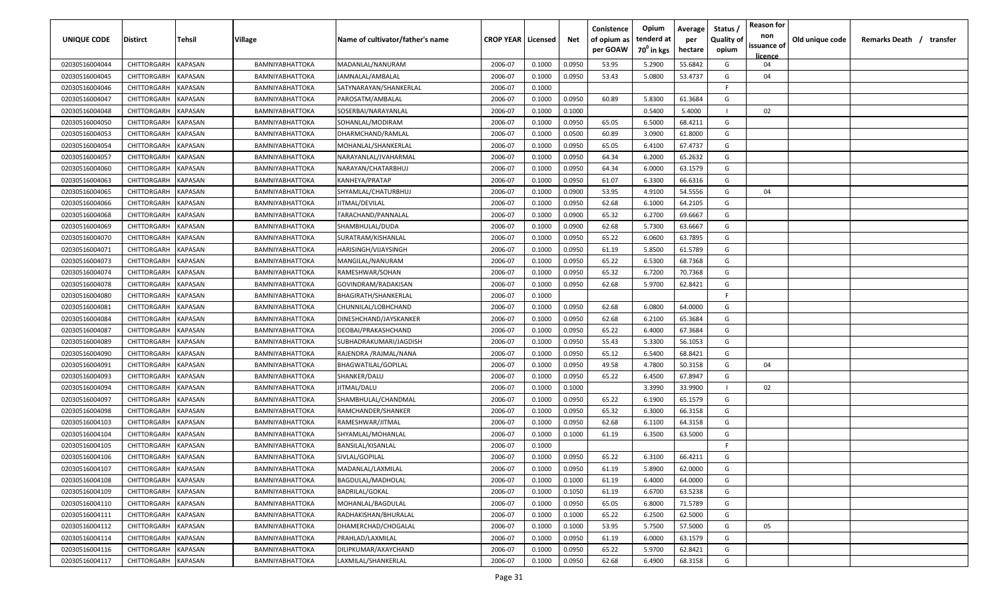| UNIQUE CODE    | <b>Distirct</b>     | Tehsil         | <b>Village</b>         | Name of cultivator/father's name | <b>CROP YEAR   Licensed</b> |        | Net    | Conistence<br>of opium as<br>per GOAW | Opium<br>tenderd at<br>70 <sup>0</sup> in kgs | Average<br>per<br>hectare | Status /<br><b>Quality of</b><br>opium | <b>Reason for</b><br>non<br>issuance of<br><u>licence</u> | Old unique code | Remarks Death / transfer |
|----------------|---------------------|----------------|------------------------|----------------------------------|-----------------------------|--------|--------|---------------------------------------|-----------------------------------------------|---------------------------|----------------------------------------|-----------------------------------------------------------|-----------------|--------------------------|
| 02030516004044 | CHITTORGARH         | <b>KAPASAN</b> | BAMNIYABHATTOKA        | MADANLAL/NANURAM                 | 2006-07                     | 0.1000 | 0.0950 | 53.95                                 | 5.2900                                        | 55.6842                   | G                                      | 04                                                        |                 |                          |
| 02030516004045 | CHITTORGARH         | <b>KAPASAN</b> | BAMNIYABHATTOKA        | JAMNALAL/AMBALAL                 | 2006-07                     | 0.1000 | 0.0950 | 53.43                                 | 5.0800                                        | 53.4737                   | G                                      | 04                                                        |                 |                          |
| 02030516004046 | CHITTORGARH         | <b>KAPASAN</b> | BAMNIYABHATTOKA        | SATYNARAYAN/SHANKERLAL           | 2006-07                     | 0.1000 |        |                                       |                                               |                           | E.                                     |                                                           |                 |                          |
| 02030516004047 | CHITTORGARH         | KAPASAN        | BAMNIYABHATTOKA        | PAROSATM/AMBALAL                 | 2006-07                     | 0.1000 | 0.0950 | 60.89                                 | 5.8300                                        | 61.3684                   | G                                      |                                                           |                 |                          |
| 02030516004048 | CHITTORGARH         | <b>KAPASAN</b> | BAMNIYABHATTOKA        | SOSERBAI/NARAYANLAL              | 2006-07                     | 0.1000 | 0.1000 |                                       | 0.5400                                        | 5.4000                    |                                        | 02                                                        |                 |                          |
| 02030516004050 | CHITTORGARH         | <b>KAPASAN</b> | BAMNIYABHATTOKA        | SOHANLAL/MODIRAM                 | 2006-07                     | 0.1000 | 0.0950 | 65.05                                 | 6.5000                                        | 68.4211                   | G                                      |                                                           |                 |                          |
| 02030516004053 | CHITTORGARH         | KAPASAN        | BAMNIYABHATTOKA        | DHARMCHAND/RAMLAL                | 2006-07                     | 0.1000 | 0.0500 | 60.89                                 | 3.0900                                        | 61.8000                   | G                                      |                                                           |                 |                          |
| 02030516004054 | CHITTORGARH         | <b>KAPASAN</b> | BAMNIYABHATTOKA        | MOHANLAL/SHANKERLAL              | 2006-07                     | 0.1000 | 0.0950 | 65.05                                 | 6.4100                                        | 67.4737                   | G                                      |                                                           |                 |                          |
| 02030516004057 | CHITTORGARH         | <b>KAPASAN</b> | <b>BAMNIYABHATTOKA</b> | NARAYANLAL/JVAHARMAL             | 2006-07                     | 0.1000 | 0.0950 | 64.34                                 | 6.2000                                        | 65.2632                   | G                                      |                                                           |                 |                          |
| 02030516004060 | CHITTORGARH         | <b>KAPASAN</b> | <b>BAMNIYABHATTOKA</b> | NARAYAN/CHATARBHUJ               | 2006-07                     | 0.1000 | 0.0950 | 64.34                                 | 6.0000                                        | 63.1579                   | G                                      |                                                           |                 |                          |
| 02030516004063 | CHITTORGARH         | <b>KAPASAN</b> | BAMNIYABHATTOKA        | KANHEYA/PRATAP                   | 2006-07                     | 0.1000 | 0.0950 | 61.07                                 | 6.3300                                        | 66.6316                   | G                                      |                                                           |                 |                          |
| 02030516004065 | CHITTORGARH         | KAPASAN        | BAMNIYABHATTOKA        | SHYAMLAL/CHATURBHUJ              | 2006-07                     | 0.1000 | 0.0900 | 53.95                                 | 4.9100                                        | 54.5556                   | G                                      | 04                                                        |                 |                          |
| 02030516004066 | CHITTORGARH         | KAPASAN        | BAMNIYABHATTOKA        | IITMAL/DEVILAL                   | 2006-07                     | 0.1000 | 0.0950 | 62.68                                 | 6.1000                                        | 64.2105                   | G                                      |                                                           |                 |                          |
| 02030516004068 | CHITTORGARH         | KAPASAN        | <b>BAMNIYABHATTOKA</b> | TARACHAND/PANNALAL               | 2006-07                     | 0.1000 | 0.0900 | 65.32                                 | 6.2700                                        | 69.6667                   | G                                      |                                                           |                 |                          |
| 02030516004069 | CHITTORGARH         | <b>KAPASAN</b> | BAMNIYABHATTOKA        | SHAMBHULAL/DUDA                  | 2006-07                     | 0.1000 | 0.0900 | 62.68                                 | 5.7300                                        | 63.6667                   | G                                      |                                                           |                 |                          |
| 02030516004070 | CHITTORGARH         | <b>KAPASAN</b> | BAMNIYABHATTOKA        | SURATRAM/KISHANLAL               | 2006-07                     | 0.1000 | 0.0950 | 65.22                                 | 6.0600                                        | 63.7895                   | G                                      |                                                           |                 |                          |
| 02030516004071 | CHITTORGARH         | <b>KAPASAN</b> | <b>BAMNIYABHATTOKA</b> | HARISINGH/VIJAYSINGH             | 2006-07                     | 0.1000 | 0.0950 | 61.19                                 | 5.8500                                        | 61.5789                   | G                                      |                                                           |                 |                          |
| 02030516004073 | CHITTORGARH         | <b>KAPASAN</b> | <b>BAMNIYABHATTOKA</b> | MANGILAL/NANURAM                 | 2006-07                     | 0.1000 | 0.0950 | 65.22                                 | 6.5300                                        | 68.7368                   | G                                      |                                                           |                 |                          |
| 02030516004074 | CHITTORGARH         | <b>KAPASAN</b> | <b>BAMNIYABHATTOKA</b> | RAMESHWAR/SOHAN                  | 2006-07                     | 0.1000 | 0.0950 | 65.32                                 | 6.7200                                        | 70.7368                   | G                                      |                                                           |                 |                          |
| 02030516004078 | CHITTORGARH         | <b>KAPASAN</b> | BAMNIYABHATTOKA        | GOVINDRAM/RADAKISAN              | 2006-07                     | 0.1000 | 0.0950 | 62.68                                 | 5.9700                                        | 62.8421                   | G                                      |                                                           |                 |                          |
| 02030516004080 | CHITTORGARH         | <b>KAPASAN</b> | BAMNIYABHATTOKA        | BHAGIRATH/SHANKERLAL             | 2006-07                     | 0.1000 |        |                                       |                                               |                           | E                                      |                                                           |                 |                          |
| 02030516004081 | CHITTORGARH         | <b>KAPASAN</b> | BAMNIYABHATTOKA        | CHUNNILAL/LOBHCHAND              | 2006-07                     | 0.1000 | 0.0950 | 62.68                                 | 6.0800                                        | 64.0000                   | G                                      |                                                           |                 |                          |
| 02030516004084 | CHITTORGARH         | <b>KAPASAN</b> | BAMNIYABHATTOKA        | DINESHCHAND/JAYSKANKER           | 2006-07                     | 0.1000 | 0.0950 | 62.68                                 | 6.2100                                        | 65.3684                   | G                                      |                                                           |                 |                          |
| 02030516004087 | CHITTORGARH         | <b>KAPASAN</b> | BAMNIYABHATTOKA        | DEOBAI/PRAKASHCHAND              | 2006-07                     | 0.1000 | 0.0950 | 65.22                                 | 6.4000                                        | 67.3684                   | G                                      |                                                           |                 |                          |
| 02030516004089 | CHITTORGARH         | <b>KAPASAN</b> | <b>BAMNIYABHATTOKA</b> | SUBHADRAKUMARI/JAGDISH           | 2006-07                     | 0.1000 | 0.0950 | 55.43                                 | 5.3300                                        | 56.1053                   | G                                      |                                                           |                 |                          |
| 02030516004090 | CHITTORGARH         | <b>KAPASAN</b> | <b>BAMNIYABHATTOKA</b> | RAJENDRA / RAJMAL/NANA           | 2006-07                     | 0.1000 | 0.0950 | 65.12                                 | 6.5400                                        | 68.8421                   | G                                      |                                                           |                 |                          |
| 02030516004091 | CHITTORGARH         | <b>KAPASAN</b> | <b>BAMNIYABHATTOKA</b> | BHAGWATILAL/GOPILAL              | 2006-07                     | 0.1000 | 0.0950 | 49.58                                 | 4.7800                                        | 50.3158                   | G                                      | 04                                                        |                 |                          |
| 02030516004093 | CHITTORGARH         | <b>KAPASAN</b> | BAMNIYABHATTOKA        | SHANKER/DALU                     | 2006-07                     | 0.1000 | 0.0950 | 65.22                                 | 6.4500                                        | 67.8947                   | G                                      |                                                           |                 |                          |
| 02030516004094 | CHITTORGARH         | <b>KAPASAN</b> | BAMNIYABHATTOKA        | IITMAL/DALU                      | 2006-07                     | 0.1000 | 0.1000 |                                       | 3.3990                                        | 33.9900                   |                                        | 02                                                        |                 |                          |
| 02030516004097 | CHITTORGARH         | <b>KAPASAN</b> | BAMNIYABHATTOKA        | SHAMBHULAL/CHANDMAL              | 2006-07                     | 0.1000 | 0.0950 | 65.22                                 | 6.1900                                        | 65.1579                   | G                                      |                                                           |                 |                          |
| 02030516004098 | CHITTORGARH         | KAPASAN        | BAMNIYABHATTOKA        | RAMCHANDER/SHANKER               | 2006-07                     | 0.1000 | 0.0950 | 65.32                                 | 6.3000                                        | 66.3158                   | G                                      |                                                           |                 |                          |
| 02030516004103 | CHITTORGARH         | KAPASAN        | BAMNIYABHATTOKA        | RAMESHWAR/JITMAL                 | 2006-07                     | 0.1000 | 0.0950 | 62.68                                 | 6.1100                                        | 64.3158                   | G                                      |                                                           |                 |                          |
| 02030516004104 | CHITTORGARH         | <b>KAPASAN</b> | BAMNIYABHATTOKA        | SHYAMLAL/MOHANLAL                | 2006-07                     | 0.1000 | 0.1000 | 61.19                                 | 6.3500                                        | 63.5000                   | G                                      |                                                           |                 |                          |
| 02030516004105 | CHITTORGARH         | <b>KAPASAN</b> | BAMNIYABHATTOKA        | BANSILAL/KISANLAL                | 2006-07                     | 0.1000 |        |                                       |                                               |                           | F.                                     |                                                           |                 |                          |
| 02030516004106 | <b>CHITTORGARH</b>  | <b>KAPASAN</b> | BAMNIYABHATTOKA        | SIVLAL/GOPILAL                   | 2006-07                     | 0.1000 | 0.0950 | 65.22                                 | 6.3100                                        | 66.4211                   | G                                      |                                                           |                 |                          |
| 02030516004107 | CHITTORGARH KAPASAN |                | <b>BAMNIYABHATTOKA</b> | MADANLAL/LAXMILAL                | 2006-07                     | 0.1000 | 0.0950 | 61.19                                 | 5.8900                                        | 62.0000                   | G                                      |                                                           |                 |                          |
| 02030516004108 | CHITTORGARH         | <b>KAPASAN</b> | BAMNIYABHATTOKA        | BAGDULAL/MADHOLAL                | 2006-07                     | 0.1000 | 0.1000 | 61.19                                 | 6.4000                                        | 64.0000                   | G                                      |                                                           |                 |                          |
| 02030516004109 | CHITTORGARH         | <b>KAPASAN</b> | BAMNIYABHATTOKA        | BADRILAL/GOKAL                   | 2006-07                     | 0.1000 | 0.1050 | 61.19                                 | 6.6700                                        | 63.5238                   | G                                      |                                                           |                 |                          |
| 02030516004110 | CHITTORGARH         | <b>KAPASAN</b> | BAMNIYABHATTOKA        | MOHANLAL/BAGDULAL                | 2006-07                     | 0.1000 | 0.0950 | 65.05                                 | 6.8000                                        | 71.5789                   | G                                      |                                                           |                 |                          |
| 02030516004111 | CHITTORGARH         | <b>KAPASAN</b> | BAMNIYABHATTOKA        | RADHAKISHAN/BHURALAL             | 2006-07                     | 0.1000 | 0.1000 | 65.22                                 | 6.2500                                        | 62.5000                   | G                                      |                                                           |                 |                          |
| 02030516004112 | CHITTORGARH         | <b>KAPASAN</b> | BAMNIYABHATTOKA        | DHAMERCHAD/CHOGALAL              | 2006-07                     | 0.1000 | 0.1000 | 53.95                                 | 5.7500                                        | 57.5000                   | G                                      | 05                                                        |                 |                          |
| 02030516004114 | CHITTORGARH         | <b>KAPASAN</b> | BAMNIYABHATTOKA        | PRAHLAD/LAXMILAL                 | 2006-07                     | 0.1000 | 0.0950 | 61.19                                 | 6.0000                                        | 63.1579                   | G                                      |                                                           |                 |                          |
| 02030516004116 | <b>CHITTORGARH</b>  | <b>KAPASAN</b> | BAMNIYABHATTOKA        | DILIPKUMAR/AXAYCHAND             | 2006-07                     | 0.1000 | 0.0950 | 65.22                                 | 5.9700                                        | 62.8421                   | G                                      |                                                           |                 |                          |
| 02030516004117 | CHITTORGARH KAPASAN |                | BAMNIYABHATTOKA        | LAXMILAL/SHANKERLAL              | 2006-07                     | 0.1000 | 0.0950 | 62.68                                 | 6.4900                                        | 68.3158                   | G                                      |                                                           |                 |                          |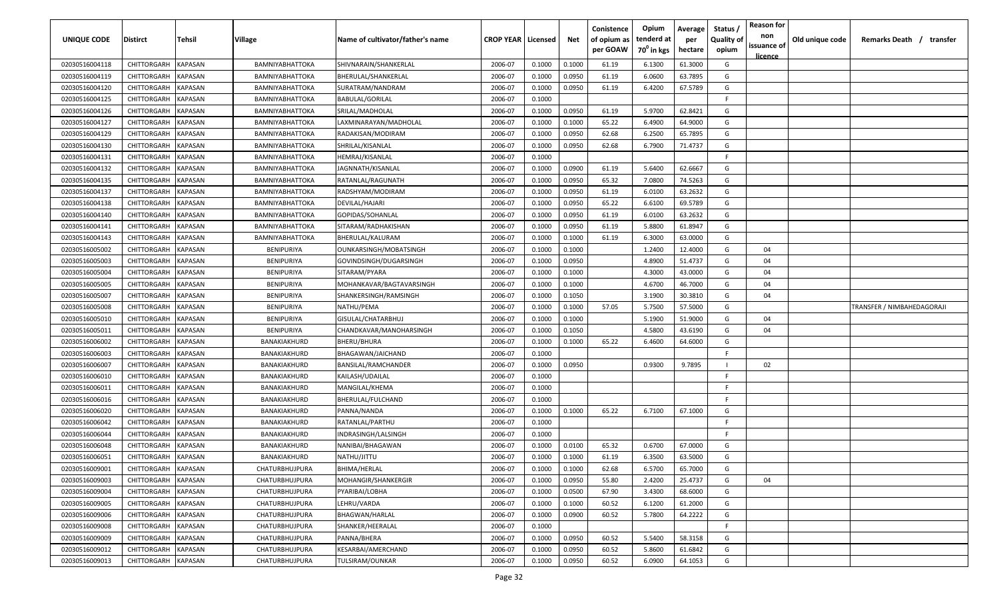| UNIQUE CODE    | <b>Distirct</b>     | Tehsil         | Village                | Name of cultivator/father's name | <b>CROP YEAR Licensed</b> |        | Net    | Conistence<br>of opium as<br>per GOAW | Opium<br>tenderd at<br>70 <sup>0</sup> in kgs | Average<br>per<br>hectare | Status /<br><b>Quality of</b><br>opium | <b>Reason for</b><br>non<br>issuance of<br><u>licence</u> | Old unique code | Remarks Death /<br>transfer |
|----------------|---------------------|----------------|------------------------|----------------------------------|---------------------------|--------|--------|---------------------------------------|-----------------------------------------------|---------------------------|----------------------------------------|-----------------------------------------------------------|-----------------|-----------------------------|
| 02030516004118 | CHITTORGARH         | <b>KAPASAN</b> | <b>BAMNIYABHATTOKA</b> | SHIVNARAIN/SHANKERLAL            | 2006-07                   | 0.1000 | 0.1000 | 61.19                                 | 6.1300                                        | 61.3000                   | G                                      |                                                           |                 |                             |
| 02030516004119 | CHITTORGARH         | <b>KAPASAN</b> | BAMNIYABHATTOKA        | BHERULAL/SHANKERLAL              | 2006-07                   | 0.1000 | 0.0950 | 61.19                                 | 6.0600                                        | 63.7895                   | G                                      |                                                           |                 |                             |
| 02030516004120 | CHITTORGARH         | <b>KAPASAN</b> | BAMNIYABHATTOKA        | SURATRAM/NANDRAM                 | 2006-07                   | 0.1000 | 0.0950 | 61.19                                 | 6.4200                                        | 67.5789                   | G                                      |                                                           |                 |                             |
| 02030516004125 | CHITTORGARH         | KAPASAN        | BAMNIYABHATTOKA        | BABULAL/GORILAL                  | 2006-07                   | 0.1000 |        |                                       |                                               |                           | E.                                     |                                                           |                 |                             |
| 02030516004126 | CHITTORGARH         | <b>KAPASAN</b> | BAMNIYABHATTOKA        | SRILAL/MADHOLAL                  | 2006-07                   | 0.1000 | 0.0950 | 61.19                                 | 5.9700                                        | 62.8421                   | G                                      |                                                           |                 |                             |
| 02030516004127 | CHITTORGARH         | <b>KAPASAN</b> | BAMNIYABHATTOKA        | LAXMINARAYAN/MADHOLAL            | 2006-07                   | 0.1000 | 0.1000 | 65.22                                 | 6.4900                                        | 64.9000                   | G                                      |                                                           |                 |                             |
| 02030516004129 | CHITTORGARH         | <b>KAPASAN</b> | <b>BAMNIYABHATTOKA</b> | RADAKISAN/MODIRAM                | 2006-07                   | 0.1000 | 0.0950 | 62.68                                 | 6.2500                                        | 65.7895                   | G                                      |                                                           |                 |                             |
| 02030516004130 | CHITTORGARH         | <b>KAPASAN</b> | <b>BAMNIYABHATTOKA</b> | SHRILAL/KISANLAL                 | 2006-07                   | 0.1000 | 0.0950 | 62.68                                 | 6.7900                                        | 71.4737                   | G                                      |                                                           |                 |                             |
| 02030516004131 | CHITTORGARH         | <b>KAPASAN</b> | <b>BAMNIYABHATTOKA</b> | HEMRAJ/KISANLAL                  | 2006-07                   | 0.1000 |        |                                       |                                               |                           | F.                                     |                                                           |                 |                             |
| 02030516004132 | CHITTORGARH         | <b>KAPASAN</b> | <b>BAMNIYABHATTOKA</b> | JAGNNATH/KISANLAL                | 2006-07                   | 0.1000 | 0.0900 | 61.19                                 | 5.6400                                        | 62.6667                   | G                                      |                                                           |                 |                             |
| 02030516004135 | CHITTORGARH         | <b>KAPASAN</b> | <b>BAMNIYABHATTOKA</b> | RATANLAL/RAGUNATH                | 2006-07                   | 0.1000 | 0.0950 | 65.32                                 | 7.0800                                        | 74.5263                   | G                                      |                                                           |                 |                             |
| 02030516004137 | CHITTORGARH         | KAPASAN        | BAMNIYABHATTOKA        | RADSHYAM/MODIRAM                 | 2006-07                   | 0.1000 | 0.0950 | 61.19                                 | 6.0100                                        | 63.2632                   | G                                      |                                                           |                 |                             |
| 02030516004138 | CHITTORGARH         | KAPASAN        | <b>BAMNIYABHATTOKA</b> | DEVILAL/HAJARI                   | 2006-07                   | 0.1000 | 0.0950 | 65.22                                 | 6.6100                                        | 69.5789                   | G                                      |                                                           |                 |                             |
| 02030516004140 | CHITTORGARH         | KAPASAN        | <b>BAMNIYABHATTOKA</b> | GOPIDAS/SOHANLAL                 | 2006-07                   | 0.1000 | 0.0950 | 61.19                                 | 6.0100                                        | 63.2632                   | G                                      |                                                           |                 |                             |
| 02030516004141 | CHITTORGARH         | <b>KAPASAN</b> | <b>BAMNIYABHATTOKA</b> | SITARAM/RADHAKISHAN              | 2006-07                   | 0.1000 | 0.0950 | 61.19                                 | 5.8800                                        | 61.8947                   | G                                      |                                                           |                 |                             |
| 02030516004143 | CHITTORGARH         | <b>KAPASAN</b> | BAMNIYABHATTOKA        | BHERULAL/KALURAM                 | 2006-07                   | 0.1000 | 0.1000 | 61.19                                 | 6.3000                                        | 63.0000                   | G                                      |                                                           |                 |                             |
| 02030516005002 | <b>CHITTORGARH</b>  | <b>KAPASAN</b> | BENIPURIYA             | OUNKARSINGH/MOBATSINGH           | 2006-07                   | 0.1000 | 0.1000 |                                       | 1.2400                                        | 12.4000                   | G                                      | 04                                                        |                 |                             |
| 02030516005003 | CHITTORGARH         | <b>KAPASAN</b> | <b>BENIPURIYA</b>      | GOVINDSINGH/DUGARSINGH           | 2006-07                   | 0.1000 | 0.0950 |                                       | 4.8900                                        | 51.4737                   | G                                      | 04                                                        |                 |                             |
| 02030516005004 | CHITTORGARH         | <b>KAPASAN</b> | <b>BENIPURIYA</b>      | SITARAM/PYARA                    | 2006-07                   | 0.1000 | 0.1000 |                                       | 4.3000                                        | 43.0000                   | G                                      | 04                                                        |                 |                             |
| 02030516005005 | CHITTORGARH         | <b>KAPASAN</b> | BENIPURIYA             | MOHANKAVAR/BAGTAVARSINGH         | 2006-07                   | 0.1000 | 0.1000 |                                       | 4.6700                                        | 46.7000                   | G                                      | 04                                                        |                 |                             |
| 02030516005007 | CHITTORGARH         | <b>KAPASAN</b> | BENIPURIYA             | SHANKERSINGH/RAMSINGH            | 2006-07                   | 0.1000 | 0.1050 |                                       | 3.1900                                        | 30.3810                   | G                                      | 04                                                        |                 |                             |
| 02030516005008 | CHITTORGARH         | <b>KAPASAN</b> | <b>BENIPURIYA</b>      | NATHU/PEMA                       | 2006-07                   | 0.1000 | 0.1000 | 57.05                                 | 5.7500                                        | 57.5000                   | G                                      |                                                           |                 | TRANSFER / NIMBAHEDAGORAJI  |
| 02030516005010 | CHITTORGARH         | <b>KAPASAN</b> | BENIPURIYA             | GISULAL/CHATARBHUJ               | 2006-07                   | 0.1000 | 0.1000 |                                       | 5.1900                                        | 51.9000                   | G                                      | 04                                                        |                 |                             |
| 02030516005011 | CHITTORGARH         | <b>KAPASAN</b> | BENIPURIYA             | CHANDKAVAR/MANOHARSINGH          | 2006-07                   | 0.1000 | 0.1050 |                                       | 4.5800                                        | 43.6190                   | G                                      | 04                                                        |                 |                             |
| 02030516006002 | CHITTORGARH         | <b>KAPASAN</b> | BANAKIAKHURD           | BHERU/BHURA                      | 2006-07                   | 0.1000 | 0.1000 | 65.22                                 | 6.4600                                        | 64.6000                   | G                                      |                                                           |                 |                             |
| 02030516006003 | CHITTORGARH         | <b>KAPASAN</b> | BANAKIAKHURD           | BHAGAWAN/JAICHAND                | 2006-07                   | 0.1000 |        |                                       |                                               |                           | E                                      |                                                           |                 |                             |
| 02030516006007 | CHITTORGARH         | <b>KAPASAN</b> | BANAKIAKHURD           | BANSILAL/RAMCHANDER              | 2006-07                   | 0.1000 | 0.0950 |                                       | 0.9300                                        | 9.7895                    |                                        | 02                                                        |                 |                             |
| 02030516006010 | CHITTORGARH         | <b>KAPASAN</b> | BANAKIAKHURD           | KAILASH/UDAILAL                  | 2006-07                   | 0.1000 |        |                                       |                                               |                           | F.                                     |                                                           |                 |                             |
| 02030516006011 | CHITTORGARH         | KAPASAN        | BANAKIAKHURD           | MANGILAL/KHEMA                   | 2006-07                   | 0.1000 |        |                                       |                                               |                           | E.                                     |                                                           |                 |                             |
| 02030516006016 | CHITTORGARH         | KAPASAN        | BANAKIAKHURD           | BHERULAL/FULCHAND                | 2006-07                   | 0.1000 |        |                                       |                                               |                           | E.                                     |                                                           |                 |                             |
| 02030516006020 | CHITTORGARH         | KAPASAN        | BANAKIAKHURD           | PANNA/NANDA                      | 2006-07                   | 0.1000 | 0.1000 | 65.22                                 | 6.7100                                        | 67.1000                   | G                                      |                                                           |                 |                             |
| 02030516006042 | CHITTORGARH         | KAPASAN        | BANAKIAKHURD           | RATANLAL/PARTHU                  | 2006-07                   | 0.1000 |        |                                       |                                               |                           | F.                                     |                                                           |                 |                             |
| 02030516006044 | CHITTORGARH         | <b>KAPASAN</b> | BANAKIAKHURD           | INDRASINGH/LALSINGH              | 2006-07                   | 0.1000 |        |                                       |                                               |                           | E.                                     |                                                           |                 |                             |
| 02030516006048 | CHITTORGARH         | <b>KAPASAN</b> | BANAKIAKHURD           | NANIBAI/BHAGAWAN                 | 2006-07                   | 0.1000 | 0.0100 | 65.32                                 | 0.6700                                        | 67.0000                   | G                                      |                                                           |                 |                             |
| 02030516006051 | <b>CHITTORGARH</b>  | <b>KAPASAN</b> | BANAKIAKHURD           | NATHU/JITTU                      | 2006-07                   | 0.1000 | 0.1000 | 61.19                                 | 6.3500                                        | 63.5000                   | G                                      |                                                           |                 |                             |
| 02030516009001 | CHITTORGARH KAPASAN |                | CHATURBHUJPURA         | BHIMA/HERLAL                     | 2006-07                   | 0.1000 | 0.1000 | 62.68                                 | 6.5700                                        | 65.7000                   | G                                      |                                                           |                 |                             |
| 02030516009003 | CHITTORGARH         | <b>KAPASAN</b> | CHATURBHUJPURA         | MOHANGIR/SHANKERGIR              | 2006-07                   | 0.1000 | 0.0950 | 55.80                                 | 2.4200                                        | 25.4737                   | G                                      | 04                                                        |                 |                             |
| 02030516009004 | CHITTORGARH         | <b>KAPASAN</b> | CHATURBHUJPURA         | PYARIBAI/LOBHA                   | 2006-07                   | 0.1000 | 0.0500 | 67.90                                 | 3.4300                                        | 68.6000                   | G                                      |                                                           |                 |                             |
| 02030516009005 | CHITTORGARH         | <b>KAPASAN</b> | CHATURBHUJPURA         | LEHRU/VARDA                      | 2006-07                   | 0.1000 | 0.1000 | 60.52                                 | 6.1200                                        | 61.2000                   | G                                      |                                                           |                 |                             |
| 02030516009006 | CHITTORGARH         | <b>KAPASAN</b> | CHATURBHUJPURA         | BHAGWAN/HARLAL                   | 2006-07                   | 0.1000 | 0.0900 | 60.52                                 | 5.7800                                        | 64.2222                   | G                                      |                                                           |                 |                             |
| 02030516009008 | <b>CHITTORGARH</b>  | <b>KAPASAN</b> | CHATURBHUJPURA         | SHANKER/HEERALAL                 | 2006-07                   | 0.1000 |        |                                       |                                               |                           | F.                                     |                                                           |                 |                             |
| 02030516009009 | CHITTORGARH         | <b>KAPASAN</b> | CHATURBHUJPURA         | PANNA/BHERA                      | 2006-07                   | 0.1000 | 0.0950 | 60.52                                 | 5.5400                                        | 58.3158                   | G                                      |                                                           |                 |                             |
| 02030516009012 | CHITTORGARH         | <b>KAPASAN</b> | CHATURBHUJPURA         | KESARBAI/AMERCHAND               | 2006-07                   | 0.1000 | 0.0950 | 60.52                                 | 5.8600                                        | 61.6842                   | G                                      |                                                           |                 |                             |
| 02030516009013 | CHITTORGARH         | <b>KAPASAN</b> | CHATURBHUJPURA         | TULSIRAM/OUNKAR                  | 2006-07                   | 0.1000 | 0.0950 | 60.52                                 | 6.0900                                        | 64.1053                   | G                                      |                                                           |                 |                             |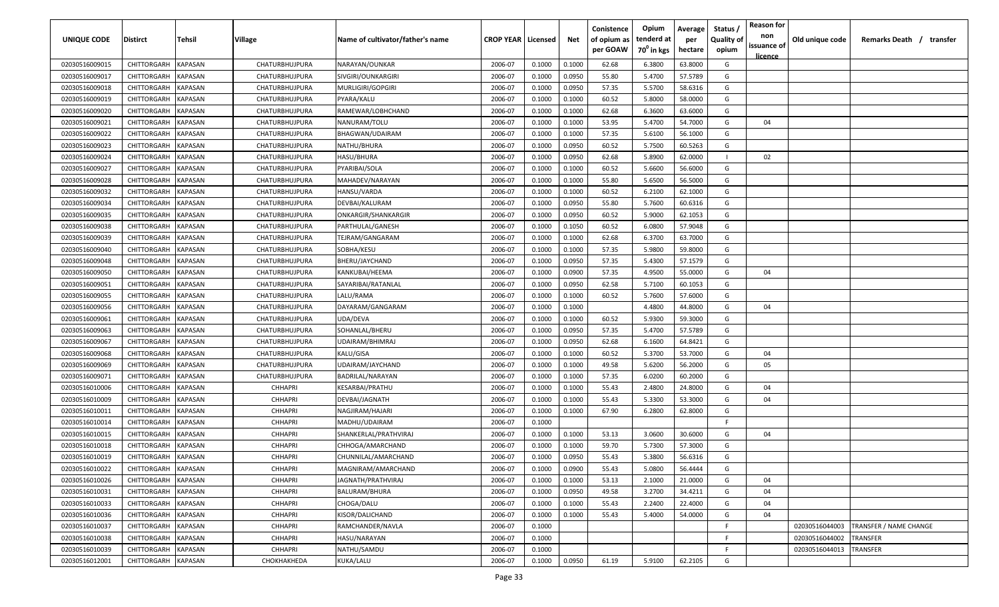| UNIQUE CODE    | <b>Distirct</b>     | Tehsil         | Village        | Name of cultivator/father's name | <b>CROP YEAR Licensed</b> |        | Net    | Conistence<br>of opium as<br>per GOAW | Opium<br>tenderd at<br>70 <sup>0</sup> in kgs | Average<br>per<br>hectare | Status /<br><b>Quality of</b><br>opium | <b>Reason for</b><br>non<br>issuance of<br><u>licence</u> | Old unique code | Remarks Death /<br>transfer |
|----------------|---------------------|----------------|----------------|----------------------------------|---------------------------|--------|--------|---------------------------------------|-----------------------------------------------|---------------------------|----------------------------------------|-----------------------------------------------------------|-----------------|-----------------------------|
| 02030516009015 | CHITTORGARH         | <b>KAPASAN</b> | CHATURBHUJPURA | NARAYAN/OUNKAR                   | 2006-07                   | 0.1000 | 0.1000 | 62.68                                 | 6.3800                                        | 63.8000                   | G                                      |                                                           |                 |                             |
| 02030516009017 | CHITTORGARH         | <b>KAPASAN</b> | CHATURBHUJPURA | SIVGIRI/OUNKARGIRI               | 2006-07                   | 0.1000 | 0.0950 | 55.80                                 | 5.4700                                        | 57.5789                   | G                                      |                                                           |                 |                             |
| 02030516009018 | CHITTORGARH         | <b>KAPASAN</b> | CHATURBHUJPURA | MURLIGIRI/GOPGIRI                | 2006-07                   | 0.1000 | 0.0950 | 57.35                                 | 5.5700                                        | 58.6316                   | G                                      |                                                           |                 |                             |
| 02030516009019 | CHITTORGARH         | KAPASAN        | CHATURBHUJPURA | PYARA/KALU                       | 2006-07                   | 0.1000 | 0.1000 | 60.52                                 | 5.8000                                        | 58.0000                   | G                                      |                                                           |                 |                             |
| 02030516009020 | CHITTORGARH         | <b>KAPASAN</b> | CHATURBHUJPURA | RAMEWAR/LOBHCHAND                | 2006-07                   | 0.1000 | 0.1000 | 62.68                                 | 6.3600                                        | 63.6000                   | G                                      |                                                           |                 |                             |
| 02030516009021 | CHITTORGARH         | <b>KAPASAN</b> | CHATURBHUJPURA | NANURAM/TOLU                     | 2006-07                   | 0.1000 | 0.1000 | 53.95                                 | 5.4700                                        | 54.7000                   | G                                      | 04                                                        |                 |                             |
| 02030516009022 | CHITTORGARH         | <b>KAPASAN</b> | CHATURBHUJPURA | BHAGWAN/UDAIRAM                  | 2006-07                   | 0.1000 | 0.1000 | 57.35                                 | 5.6100                                        | 56.1000                   | G                                      |                                                           |                 |                             |
| 02030516009023 | CHITTORGARH         | <b>KAPASAN</b> | CHATURBHUJPURA | NATHU/BHURA                      | 2006-07                   | 0.1000 | 0.0950 | 60.52                                 | 5.7500                                        | 60.5263                   | G                                      |                                                           |                 |                             |
| 02030516009024 | CHITTORGARH         | <b>KAPASAN</b> | CHATURBHUJPURA | HASU/BHURA                       | 2006-07                   | 0.1000 | 0.0950 | 62.68                                 | 5.8900                                        | 62.0000                   |                                        | 02                                                        |                 |                             |
| 02030516009027 | CHITTORGARH         | <b>KAPASAN</b> | CHATURBHUJPURA | PYARIBAI/SOLA                    | 2006-07                   | 0.1000 | 0.1000 | 60.52                                 | 5.6600                                        | 56.6000                   | G                                      |                                                           |                 |                             |
| 02030516009028 | CHITTORGARH         | <b>KAPASAN</b> | CHATURBHUJPURA | MAHADEV/NARAYAN                  | 2006-07                   | 0.1000 | 0.1000 | 55.80                                 | 5.6500                                        | 56.5000                   | G                                      |                                                           |                 |                             |
| 02030516009032 | CHITTORGARH         | KAPASAN        | CHATURBHUJPURA | HANSU/VARDA                      | 2006-07                   | 0.1000 | 0.1000 | 60.52                                 | 6.2100                                        | 62.1000                   | G                                      |                                                           |                 |                             |
| 02030516009034 | CHITTORGARH         | KAPASAN        | CHATURBHUJPURA | DEVBAI/KALURAM                   | 2006-07                   | 0.1000 | 0.0950 | 55.80                                 | 5.7600                                        | 60.6316                   | G                                      |                                                           |                 |                             |
| 02030516009035 | CHITTORGARH         | KAPASAN        | CHATURBHUJPURA | ONKARGIR/SHANKARGIR              | 2006-07                   | 0.1000 | 0.0950 | 60.52                                 | 5.9000                                        | 62.1053                   | G                                      |                                                           |                 |                             |
| 02030516009038 | CHITTORGARH         | <b>KAPASAN</b> | CHATURBHUJPURA | PARTHULAL/GANESH                 | 2006-07                   | 0.1000 | 0.1050 | 60.52                                 | 6.0800                                        | 57.9048                   | G                                      |                                                           |                 |                             |
| 02030516009039 | CHITTORGARH         | <b>KAPASAN</b> | CHATURBHUJPURA | TEJRAM/GANGARAM                  | 2006-07                   | 0.1000 | 0.1000 | 62.68                                 | 6.3700                                        | 63.7000                   | G                                      |                                                           |                 |                             |
| 02030516009040 | CHITTORGARH         | <b>KAPASAN</b> | CHATURBHUJPURA | SOBHA/KESU                       | 2006-07                   | 0.1000 | 0.1000 | 57.35                                 | 5.9800                                        | 59.8000                   | G                                      |                                                           |                 |                             |
| 02030516009048 | CHITTORGARH         | <b>KAPASAN</b> | CHATURBHUJPURA | BHERU/JAYCHAND                   | 2006-07                   | 0.1000 | 0.0950 | 57.35                                 | 5.4300                                        | 57.1579                   | G                                      |                                                           |                 |                             |
| 02030516009050 | CHITTORGARH         | <b>KAPASAN</b> | CHATURBHUJPURA | KANKUBAI/HEEMA                   | 2006-07                   | 0.1000 | 0.0900 | 57.35                                 | 4.9500                                        | 55.0000                   | G                                      | 04                                                        |                 |                             |
| 02030516009051 | CHITTORGARH         | <b>KAPASAN</b> | CHATURBHUJPURA | SAYARIBAI/RATANLAL               | 2006-07                   | 0.1000 | 0.0950 | 62.58                                 | 5.7100                                        | 60.1053                   | G                                      |                                                           |                 |                             |
| 02030516009055 | CHITTORGARH         | <b>KAPASAN</b> | CHATURBHUJPURA | LALU/RAMA                        | 2006-07                   | 0.1000 | 0.1000 | 60.52                                 | 5.7600                                        | 57.6000                   | G                                      |                                                           |                 |                             |
| 02030516009056 | CHITTORGARH         | <b>KAPASAN</b> | CHATURBHUJPURA | DAYARAM/GANGARAM                 | 2006-07                   | 0.1000 | 0.1000 |                                       | 4.4800                                        | 44.8000                   | G                                      | 04                                                        |                 |                             |
| 02030516009061 | CHITTORGARH         | <b>KAPASAN</b> | CHATURBHUJPURA | UDA/DEVA                         | 2006-07                   | 0.1000 | 0.1000 | 60.52                                 | 5.9300                                        | 59.3000                   | G                                      |                                                           |                 |                             |
| 02030516009063 | CHITTORGARH         | <b>KAPASAN</b> | CHATURBHUJPURA | SOHANLAL/BHERU                   | 2006-07                   | 0.1000 | 0.0950 | 57.35                                 | 5.4700                                        | 57.5789                   | G                                      |                                                           |                 |                             |
| 02030516009067 | CHITTORGARH         | <b>KAPASAN</b> | CHATURBHUJPURA | UDAIRAM/BHIMRAJ                  | 2006-07                   | 0.1000 | 0.0950 | 62.68                                 | 6.1600                                        | 64.8421                   | G                                      |                                                           |                 |                             |
| 02030516009068 | CHITTORGARH         | <b>KAPASAN</b> | CHATURBHUJPURA | KALU/GISA                        | 2006-07                   | 0.1000 | 0.1000 | 60.52                                 | 5.3700                                        | 53.7000                   | G                                      | 04                                                        |                 |                             |
| 02030516009069 | CHITTORGARH         | <b>KAPASAN</b> | CHATURBHUJPURA | UDAIRAM/JAYCHAND                 | 2006-07                   | 0.1000 | 0.1000 | 49.58                                 | 5.6200                                        | 56.2000                   | G                                      | 05                                                        |                 |                             |
| 02030516009071 | CHITTORGARH         | <b>KAPASAN</b> | CHATURBHUJPURA | BADRILAL/NARAYAN                 | 2006-07                   | 0.1000 | 0.1000 | 57.35                                 | 6.0200                                        | 60.2000                   | G                                      |                                                           |                 |                             |
| 02030516010006 | CHITTORGARH         | KAPASAN        | <b>CHHAPRI</b> | KESARBAI/PRATHU                  | 2006-07                   | 0.1000 | 0.1000 | 55.43                                 | 2.4800                                        | 24.8000                   | G                                      | 04                                                        |                 |                             |
| 02030516010009 | CHITTORGARH         | KAPASAN        | <b>CHHAPRI</b> | DEVBAI/JAGNATH                   | 2006-07                   | 0.1000 | 0.1000 | 55.43                                 | 5.3300                                        | 53.3000                   | G                                      | 04                                                        |                 |                             |
| 02030516010011 | CHITTORGARH         | KAPASAN        | <b>CHHAPRI</b> | NAGJIRAM/HAJARI                  | 2006-07                   | 0.1000 | 0.1000 | 67.90                                 | 6.2800                                        | 62.8000                   | G                                      |                                                           |                 |                             |
| 02030516010014 | CHITTORGARH         | KAPASAN        | <b>CHHAPRI</b> | MADHU/UDAIRAM                    | 2006-07                   | 0.1000 |        |                                       |                                               |                           | E.                                     |                                                           |                 |                             |
| 02030516010015 | CHITTORGARH         | <b>KAPASAN</b> | <b>CHHAPRI</b> | SHANKERLAL/PRATHVIRAJ            | 2006-07                   | 0.1000 | 0.1000 | 53.13                                 | 3.0600                                        | 30.6000                   | G                                      | 04                                                        |                 |                             |
| 02030516010018 | CHITTORGARH         | <b>KAPASAN</b> | <b>CHHAPRI</b> | CHHOGA/AMARCHAND                 | 2006-07                   | 0.1000 | 0.1000 | 59.70                                 | 5.7300                                        | 57.3000                   | G                                      |                                                           |                 |                             |
| 02030516010019 | <b>CHITTORGARH</b>  | <b>KAPASAN</b> | <b>CHHAPRI</b> | CHUNNILAL/AMARCHAND              | 2006-07                   | 0.1000 | 0.0950 | 55.43                                 | 5.3800                                        | 56.6316                   | G                                      |                                                           |                 |                             |
| 02030516010022 | CHITTORGARH KAPASAN |                | <b>CHHAPRI</b> | MAGNIRAM/AMARCHAND               | 2006-07                   | 0.1000 | 0.0900 | 55.43                                 | 5.0800                                        | 56.4444                   | G                                      |                                                           |                 |                             |
| 02030516010026 | CHITTORGARH         | <b>KAPASAN</b> | <b>CHHAPRI</b> | JAGNATH/PRATHVIRAJ               | 2006-07                   | 0.1000 | 0.1000 | 53.13                                 | 2.1000                                        | 21.0000                   | G                                      | 04                                                        |                 |                             |
| 02030516010031 | CHITTORGARH         | <b>KAPASAN</b> | <b>CHHAPRI</b> | BALURAM/BHURA                    | 2006-07                   | 0.1000 | 0.0950 | 49.58                                 | 3.2700                                        | 34.4211                   | G                                      | 04                                                        |                 |                             |
| 02030516010033 | CHITTORGARH         | <b>KAPASAN</b> | <b>CHHAPRI</b> | CHOGA/DALU                       | 2006-07                   | 0.1000 | 0.1000 | 55.43                                 | 2.2400                                        | 22.4000                   | G                                      | 04                                                        |                 |                             |
| 02030516010036 | CHITTORGARH         | <b>KAPASAN</b> | <b>CHHAPRI</b> | KISOR/DALICHAND                  | 2006-07                   | 0.1000 | 0.1000 | 55.43                                 | 5.4000                                        | 54.0000                   | G                                      | 04                                                        |                 |                             |
| 02030516010037 | CHITTORGARH         | <b>KAPASAN</b> | <b>CHHAPRI</b> | RAMCHANDER/NAVLA                 | 2006-07                   | 0.1000 |        |                                       |                                               |                           | F.                                     |                                                           | 02030516044003  | TRANSFER / NAME CHANGE      |
| 02030516010038 | CHITTORGARH         | <b>KAPASAN</b> | <b>CHHAPRI</b> | HASU/NARAYAN                     | 2006-07                   | 0.1000 |        |                                       |                                               |                           | F.                                     |                                                           | 02030516044002  | TRANSFER                    |
| 02030516010039 | CHITTORGARH         | <b>KAPASAN</b> | <b>CHHAPRI</b> | NATHU/SAMDU                      | 2006-07                   | 0.1000 |        |                                       |                                               |                           | E                                      |                                                           | 02030516044013  | TRANSFER                    |
| 02030516012001 | CHITTORGARH KAPASAN |                | СНОКНАКНЕDА    | KUKA/LALU                        | 2006-07                   | 0.1000 | 0.0950 | 61.19                                 | 5.9100                                        | 62.2105                   | G                                      |                                                           |                 |                             |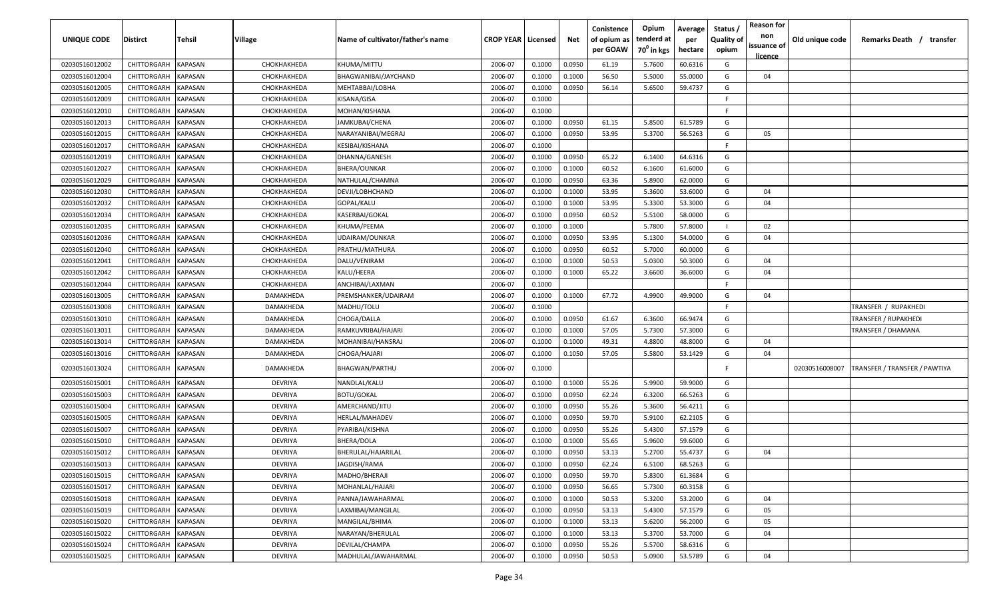| UNIQUE CODE    | <b>Distirct</b>     | Tehsil         | <b>Village</b> | Name of cultivator/father's name | <b>CROP YEAR   Licensed</b> |        | Net    | Conistence<br>of opium as<br>per GOAW | Opium<br>tenderd at<br>70 <sup>0</sup> in kgs | Average<br>per<br>hectare | Status /<br><b>Quality of</b><br>opium | <b>Reason for</b><br>non<br>issuance of<br><u>licence</u> | Old unique code | Remarks Death /<br>transfer   |
|----------------|---------------------|----------------|----------------|----------------------------------|-----------------------------|--------|--------|---------------------------------------|-----------------------------------------------|---------------------------|----------------------------------------|-----------------------------------------------------------|-----------------|-------------------------------|
| 02030516012002 | CHITTORGARH         | <b>KAPASAN</b> | СНОКНАКНЕDА    | KHUMA/MITTU                      | 2006-07                     | 0.1000 | 0.0950 | 61.19                                 | 5.7600                                        | 60.6316                   | G                                      |                                                           |                 |                               |
| 02030516012004 | CHITTORGARH         | <b>KAPASAN</b> | СНОКНАКНЕDА    | BHAGWANIBAI/JAYCHAND             | 2006-07                     | 0.1000 | 0.1000 | 56.50                                 | 5.5000                                        | 55.0000                   | G                                      | 04                                                        |                 |                               |
| 02030516012005 | CHITTORGARH         | KAPASAN        | СНОКНАКНЕDА    | MEHTABBAI/LOBHA                  | 2006-07                     | 0.1000 | 0.0950 | 56.14                                 | 5.6500                                        | 59.4737                   | G                                      |                                                           |                 |                               |
| 02030516012009 | CHITTORGARH         | KAPASAN        | СНОКНАКНЕDА    | KISANA/GISA                      | 2006-07                     | 0.1000 |        |                                       |                                               |                           | -F.                                    |                                                           |                 |                               |
| 02030516012010 | CHITTORGARH         | <b>KAPASAN</b> | СНОКНАКНЕDА    | MOHAN/KISHANA                    | 2006-07                     | 0.1000 |        |                                       |                                               |                           | F.                                     |                                                           |                 |                               |
| 02030516012013 | CHITTORGARH         | <b>KAPASAN</b> | СНОКНАКНЕDА    | JAMKUBAI/CHENA                   | 2006-07                     | 0.1000 | 0.0950 | 61.15                                 | 5.8500                                        | 61.5789                   | G                                      |                                                           |                 |                               |
| 02030516012015 | CHITTORGARH         | <b>KAPASAN</b> | СНОКНАКНЕDА    | NARAYANIBAI/MEGRAJ               | 2006-07                     | 0.1000 | 0.0950 | 53.95                                 | 5.3700                                        | 56.5263                   | G                                      | 05                                                        |                 |                               |
| 02030516012017 | CHITTORGARH         | KAPASAN        | СНОКНАКНЕРА    | KESIBAI/KISHANA                  | 2006-07                     | 0.1000 |        |                                       |                                               |                           | F.                                     |                                                           |                 |                               |
| 02030516012019 | CHITTORGARH         | <b>KAPASAN</b> | СНОКНАКНЕDА    | DHANNA/GANESH                    | 2006-07                     | 0.1000 | 0.0950 | 65.22                                 | 6.1400                                        | 64.6316                   | G                                      |                                                           |                 |                               |
| 02030516012027 | CHITTORGARH         | <b>KAPASAN</b> | СНОКНАКНЕDА    | BHERA/OUNKAR                     | 2006-07                     | 0.1000 | 0.1000 | 60.52                                 | 6.1600                                        | 61.6000                   | G                                      |                                                           |                 |                               |
| 02030516012029 | CHITTORGARH         | KAPASAN        | СНОКНАКНЕDА    | NATHULAL/CHAMNA                  | 2006-07                     | 0.1000 | 0.0950 | 63.36                                 | 5.8900                                        | 62.0000                   | G                                      |                                                           |                 |                               |
| 02030516012030 | CHITTORGARH         | KAPASAN        | СНОКНАКНЕDА    | DEVJI/LOBHCHAND                  | 2006-07                     | 0.1000 | 0.1000 | 53.95                                 | 5.3600                                        | 53.6000                   | G                                      | 04                                                        |                 |                               |
| 02030516012032 | CHITTORGARH         | <b>KAPASAN</b> | СНОКНАКНЕDА    | GOPAL/KALU                       | 2006-07                     | 0.1000 | 0.1000 | 53.95                                 | 5.3300                                        | 53.3000                   | G                                      | 04                                                        |                 |                               |
| 02030516012034 | CHITTORGARH         | <b>KAPASAN</b> | СНОКНАКНЕDА    | KASERBAI/GOKAL                   | 2006-07                     | 0.1000 | 0.0950 | 60.52                                 | 5.5100                                        | 58.0000                   | G                                      |                                                           |                 |                               |
| 02030516012035 | CHITTORGARH         | <b>KAPASAN</b> | СНОКНАКНЕDА    | KHUMA/PEEMA                      | 2006-07                     | 0.1000 | 0.1000 |                                       | 5.7800                                        | 57.8000                   |                                        | 02                                                        |                 |                               |
| 02030516012036 | CHITTORGARH         | <b>KAPASAN</b> | СНОКНАКНЕDА    | UDAIRAM/OUNKAR                   | 2006-07                     | 0.1000 | 0.0950 | 53.95                                 | 5.1300                                        | 54.0000                   | G                                      | 04                                                        |                 |                               |
| 02030516012040 | CHITTORGARH         | <b>KAPASAN</b> | СНОКНАКНЕДА    | PRATHU/MATHURA                   | 2006-07                     | 0.1000 | 0.0950 | 60.52                                 | 5.7000                                        | 60.0000                   | G                                      |                                                           |                 |                               |
| 02030516012041 | CHITTORGARH         | <b>KAPASAN</b> | СНОКНАКНЕДА    | DALU/VENIRAM                     | 2006-07                     | 0.1000 | 0.1000 | 50.53                                 | 5.0300                                        | 50.3000                   | G                                      | 04                                                        |                 |                               |
| 02030516012042 | CHITTORGARH         | <b>KAPASAN</b> | СНОКНАКНЕDА    | KALU/HEERA                       | 2006-07                     | 0.1000 | 0.1000 | 65.22                                 | 3.6600                                        | 36.6000                   | G                                      | 04                                                        |                 |                               |
| 02030516012044 | CHITTORGARH         | <b>KAPASAN</b> | СНОКНАКНЕDА    | ANCHIBAI/LAXMAN                  | 2006-07                     | 0.1000 |        |                                       |                                               |                           | -F.                                    |                                                           |                 |                               |
| 02030516013005 | CHITTORGARH         | <b>KAPASAN</b> | DAMAKHEDA      | PREMSHANKER/UDAIRAM              | 2006-07                     | 0.1000 | 0.1000 | 67.72                                 | 4.9900                                        | 49.9000                   | G                                      | 04                                                        |                 |                               |
| 02030516013008 | CHITTORGARH         | <b>KAPASAN</b> | DAMAKHEDA      | MADHU/TOLU                       | 2006-07                     | 0.1000 |        |                                       |                                               |                           | F.                                     |                                                           |                 | TRANSFER / RUPAKHEDI          |
| 02030516013010 | CHITTORGARH         | <b>KAPASAN</b> | DAMAKHEDA      | CHOGA/DALLA                      | 2006-07                     | 0.1000 | 0.0950 | 61.67                                 | 6.3600                                        | 66.9474                   | G                                      |                                                           |                 | TRANSFER / RUPAKHEDI          |
| 02030516013011 | CHITTORGARH         | <b>KAPASAN</b> | DAMAKHEDA      | RAMKUVRIBAI/HAJARI               | 2006-07                     | 0.1000 | 0.1000 | 57.05                                 | 5.7300                                        | 57.3000                   | G                                      |                                                           |                 | TRANSFER / DHAMANA            |
| 02030516013014 | CHITTORGARH         | <b>KAPASAN</b> | DAMAKHEDA      | MOHANIBAI/HANSRAJ                | 2006-07                     | 0.1000 | 0.1000 | 49.31                                 | 4.8800                                        | 48.8000                   | G                                      | 04                                                        |                 |                               |
| 02030516013016 | CHITTORGARH         | <b>KAPASAN</b> | DAMAKHEDA      | CHOGA/HAJARI                     | 2006-07                     | 0.1000 | 0.1050 | 57.05                                 | 5.5800                                        | 53.1429                   | G                                      | 04                                                        |                 |                               |
| 02030516013024 | CHITTORGARH         | KAPASAN        | DAMAKHEDA      | <b>BHAGWAN/PARTHU</b>            | 2006-07                     | 0.1000 |        |                                       |                                               |                           | F.                                     |                                                           | 02030516008007  | TRANSFER / TRANSFER / PAWTIYA |
| 02030516015001 | CHITTORGARH         | <b>KAPASAN</b> | DEVRIYA        | NANDLAL/KALU                     | 2006-07                     | 0.1000 | 0.1000 | 55.26                                 | 5.9900                                        | 59.9000                   | G                                      |                                                           |                 |                               |
| 02030516015003 | CHITTORGARH         | <b>KAPASAN</b> | DEVRIYA        | <b>BOTU/GOKAL</b>                | 2006-07                     | 0.1000 | 0.0950 | 62.24                                 | 6.3200                                        | 66.5263                   | G                                      |                                                           |                 |                               |
| 02030516015004 | CHITTORGARH         | KAPASAN        | DEVRIYA        | AMERCHAND/JITU                   | 2006-07                     | 0.1000 | 0.0950 | 55.26                                 | 5.3600                                        | 56.4211                   | G                                      |                                                           |                 |                               |
| 02030516015005 | <b>CHITTORGARH</b>  | KAPASAN        | DEVRIYA        | HERLAL/MAHADEV                   | 2006-07                     | 0.1000 | 0.0950 | 59.70                                 | 5.9100                                        | 62.2105                   | G                                      |                                                           |                 |                               |
| 02030516015007 | CHITTORGARH         | <b>KAPASAN</b> | DEVRIYA        | PYARIBAI/KISHNA                  | 2006-07                     | 0.1000 | 0.0950 | 55.26                                 | 5.4300                                        | 57.1579                   | G                                      |                                                           |                 |                               |
| 02030516015010 | CHITTORGARH         | KAPASAN        | <b>DEVRIYA</b> | BHERA/DOLA                       | 2006-07                     | 0.1000 | 0.1000 | 55.65                                 | 5.9600                                        | 59.6000                   | G                                      |                                                           |                 |                               |
| 02030516015012 | CHITTORGARH         | <b>KAPASAN</b> | DEVRIYA        | BHERULAL/HAJARILAL               | 2006-07                     | 0.1000 | 0.0950 | 53.13                                 | 5.2700                                        | 55.4737                   | G                                      | 04                                                        |                 |                               |
| 02030516015013 | CHITTORGARH KAPASAN |                | DEVRIYA        | JAGDISH/RAMA                     | 2006-07                     | 0.1000 | 0.0950 | 62.24                                 | 6.5100                                        | 68.5263                   | G                                      |                                                           |                 |                               |
| 02030516015015 | CHITTORGARH         | <b>KAPASAN</b> | DEVRIYA        | MADHO/BHERAJI                    | 2006-07                     | 0.1000 | 0.0950 | 59.70                                 | 5.8300                                        | 61.3684                   | G                                      |                                                           |                 |                               |
| 02030516015017 | CHITTORGARH         | <b>KAPASAN</b> | DEVRIYA        | MOHANLAL/HAJARI                  | 2006-07                     | 0.1000 | 0.0950 | 56.65                                 | 5.7300                                        | 60.3158                   | G                                      |                                                           |                 |                               |
| 02030516015018 | CHITTORGARH         | <b>KAPASAN</b> | DEVRIYA        | PANNA/JAWAHARMAL                 | 2006-07                     | 0.1000 | 0.1000 | 50.53                                 | 5.3200                                        | 53.2000                   | G                                      | 04                                                        |                 |                               |
| 02030516015019 | CHITTORGARH         | <b>KAPASAN</b> | DEVRIYA        | LAXMIBAI/MANGILAL                | 2006-07                     | 0.1000 | 0.0950 | 53.13                                 | 5.4300                                        | 57.1579                   | G                                      | 05                                                        |                 |                               |
| 02030516015020 | CHITTORGARH         | <b>KAPASAN</b> | DEVRIYA        | MANGILAL/BHIMA                   | 2006-07                     | 0.1000 | 0.1000 | 53.13                                 | 5.6200                                        | 56.2000                   | G                                      | 05                                                        |                 |                               |
| 02030516015022 | CHITTORGARH         | <b>KAPASAN</b> | DEVRIYA        | NARAYAN/BHERULAL                 | 2006-07                     | 0.1000 | 0.1000 | 53.13                                 | 5.3700                                        | 53.7000                   | G                                      | 04                                                        |                 |                               |
| 02030516015024 | CHITTORGARH         | <b>KAPASAN</b> | DEVRIYA        | DEVILAL/CHAMPA                   | 2006-07                     | 0.1000 | 0.0950 | 55.26                                 | 5.5700                                        | 58.6316                   | G                                      |                                                           |                 |                               |
| 02030516015025 | CHITTORGARH         | <b>KAPASAN</b> | DEVRIYA        | MADHULAL/JAWAHARMAL              | 2006-07                     | 0.1000 | 0.0950 | 50.53                                 | 5.0900                                        | 53.5789                   | G                                      | 04                                                        |                 |                               |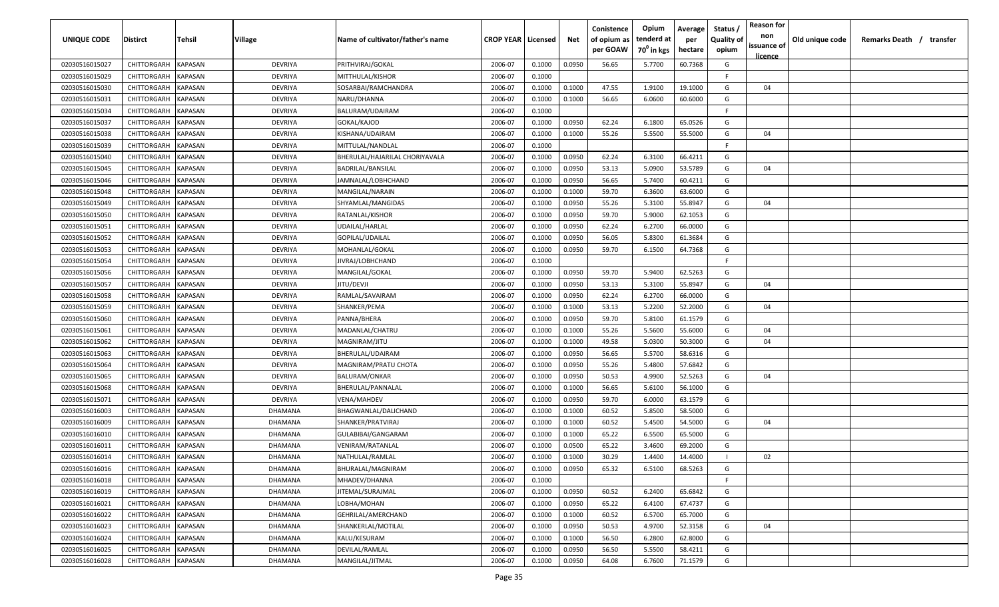| UNIQUE CODE                      | <b>Distirct</b>            | Tehsil                    | <b>Village</b>            | Name of cultivator/father's name  | <b>CROP YEAR   Licensed</b> |                  | Net              | Conistence<br>of opium as<br>per GOAW | Opium<br>tenderd at<br>70 <sup>0</sup> in kgs | Average<br>per<br>hectare | Status /<br><b>Quality of</b><br>opium | <b>Reason for</b><br>non<br>issuance of<br>licence | Old unique code | Remarks Death / transfer |
|----------------------------------|----------------------------|---------------------------|---------------------------|-----------------------------------|-----------------------------|------------------|------------------|---------------------------------------|-----------------------------------------------|---------------------------|----------------------------------------|----------------------------------------------------|-----------------|--------------------------|
| 02030516015027                   | CHITTORGARH                | KAPASAN                   | DEVRIYA                   | PRITHVIRAJ/GOKAL                  | 2006-07                     | 0.1000           | 0.0950           | 56.65                                 | 5.7700                                        | 60.7368                   | G                                      |                                                    |                 |                          |
| 02030516015029                   | CHITTORGARH                | KAPASAN                   | DEVRIYA                   | MITTHULAL/KISHOR                  | 2006-07                     | 0.1000           |                  |                                       |                                               |                           | F.                                     |                                                    |                 |                          |
| 02030516015030                   | CHITTORGARH                | KAPASAN                   | DEVRIYA                   | SOSARBAI/RAMCHANDRA               | 2006-07                     | 0.1000           | 0.1000           | 47.55                                 | 1.9100                                        | 19.1000                   | G                                      | 04                                                 |                 |                          |
| 02030516015031                   | CHITTORGARH                | KAPASAN                   | DEVRIYA                   | NARU/DHANNA                       | 2006-07                     | 0.1000           | 0.1000           | 56.65                                 | 6.0600                                        | 60.6000                   | G                                      |                                                    |                 |                          |
| 02030516015034                   | CHITTORGARH                | KAPASAN                   | DEVRIYA                   | BALURAM/UDAIRAM                   | 2006-07                     | 0.1000           |                  |                                       |                                               |                           | F.                                     |                                                    |                 |                          |
| 02030516015037                   | CHITTORGARH                | KAPASAN                   | DEVRIYA                   | GOKAL/KAJOD                       | 2006-07                     | 0.1000           | 0.0950           | 62.24                                 | 6.1800                                        | 65.0526                   | G                                      |                                                    |                 |                          |
| 02030516015038                   | CHITTORGARH                | KAPASAN                   | DEVRIYA                   | KISHANA/UDAIRAM                   | 2006-07                     | 0.1000           | 0.1000           | 55.26                                 | 5.5500                                        | 55.5000                   | G                                      | 04                                                 |                 |                          |
| 02030516015039                   | CHITTORGARH                | KAPASAN                   | <b>DEVRIYA</b>            | MITTULAL/NANDLAL                  | 2006-07                     | 0.1000           |                  |                                       |                                               |                           | E                                      |                                                    |                 |                          |
| 02030516015040                   | CHITTORGARH                | KAPASAN                   | DEVRIYA                   | BHERULAL/HAJARILAL CHORIYAVALA    | 2006-07                     | 0.1000           | 0.0950           | 62.24                                 | 6.3100                                        | 66.4211                   | G                                      |                                                    |                 |                          |
| 02030516015045                   | CHITTORGARH                | KAPASAN                   | DEVRIYA                   | BADRILAL/BANSILAL                 | 2006-07                     | 0.1000           | 0.0950           | 53.13                                 | 5.0900                                        | 53.5789                   | G                                      | 04                                                 |                 |                          |
| 02030516015046                   | CHITTORGARH                | KAPASAN                   | <b>DEVRIYA</b>            | IAMNALAL/LOBHCHAND                | 2006-07                     | 0.1000           | 0.0950           | 56.65                                 | 5.7400                                        | 60.4211                   | G                                      |                                                    |                 |                          |
| 02030516015048                   | CHITTORGARH                | KAPASAN                   | <b>DEVRIYA</b>            | MANGILAL/NARAIN                   | 2006-07                     | 0.1000           | 0.1000           | 59.70                                 | 6.3600                                        | 63.6000                   | G                                      |                                                    |                 |                          |
| 02030516015049                   | CHITTORGARH                | KAPASAN                   | DEVRIYA                   | SHYAMLAL/MANGIDAS                 | 2006-07                     | 0.1000           | 0.0950           | 55.26                                 | 5.3100                                        | 55.8947                   | G                                      | 04                                                 |                 |                          |
| 02030516015050                   | CHITTORGARH                | KAPASAN                   | DEVRIYA                   | RATANLAL/KISHOR                   | 2006-07                     | 0.1000           | 0.0950           | 59.70                                 | 5.9000                                        | 62.1053                   | G                                      |                                                    |                 |                          |
| 02030516015051                   | CHITTORGARH                | KAPASAN                   | DEVRIYA                   | UDAILAL/HARLAL                    | 2006-07                     | 0.1000           | 0.0950           | 62.24                                 | 6.2700                                        | 66.0000                   | G                                      |                                                    |                 |                          |
| 02030516015052                   | CHITTORGARH                | KAPASAN                   | DEVRIYA                   | GOPILAL/UDAILAL                   | 2006-07                     | 0.1000           | 0.0950           | 56.05                                 | 5.8300                                        | 61.3684                   | G                                      |                                                    |                 |                          |
| 02030516015053                   | CHITTORGARH                | KAPASAN                   | DEVRIYA                   | MOHANLAL/GOKAL                    | 2006-07                     | 0.1000           | 0.0950           | 59.70                                 | 6.1500                                        | 64.7368                   | G                                      |                                                    |                 |                          |
| 02030516015054                   | CHITTORGARH                | KAPASAN                   | DEVRIYA                   | JIVRAJ/LOBHCHAND                  | 2006-07                     | 0.1000           |                  |                                       |                                               |                           | F                                      |                                                    |                 |                          |
| 02030516015056                   | CHITTORGARH                | KAPASAN                   | DEVRIYA                   | MANGILAL/GOKAL                    | 2006-07                     | 0.1000           | 0.0950           | 59.70                                 | 5.9400                                        | 62.5263                   | G                                      |                                                    |                 |                          |
| 02030516015057                   | CHITTORGARH                | KAPASAN                   | <b>DEVRIYA</b>            | JITU/DEVJI                        | 2006-07                     | 0.1000           | 0.0950           | 53.13                                 | 5.3100                                        | 55.8947                   | G                                      | 04                                                 |                 |                          |
| 02030516015058                   | CHITTORGARH                | KAPASAN                   | DEVRIYA                   | RAMLAL/SAVAIRAM                   | 2006-07                     | 0.1000           | 0.0950           | 62.24                                 | 6.2700                                        | 66.0000                   | G                                      |                                                    |                 |                          |
| 02030516015059                   | CHITTORGARH                | KAPASAN                   | DEVRIYA                   | SHANKER/PEMA                      | 2006-07                     | 0.1000           | 0.1000           | 53.13                                 | 5.2200                                        | 52.2000                   | G                                      | 04                                                 |                 |                          |
| 02030516015060                   | CHITTORGARH                | KAPASAN                   | DEVRIYA                   | PANNA/BHERA                       | 2006-07                     | 0.1000           | 0.0950           | 59.70                                 | 5.8100                                        | 61.1579                   | G                                      |                                                    |                 |                          |
| 02030516015061                   | CHITTORGARH                | KAPASAN                   | <b>DEVRIYA</b>            | MADANLAL/CHATRU                   | 2006-07                     | 0.1000           | 0.1000           | 55.26                                 | 5.5600                                        | 55.6000                   | G                                      | 04                                                 |                 |                          |
| 02030516015062                   | CHITTORGARH                | KAPASAN                   | DEVRIYA                   | MAGNIRAM/JITU                     | 2006-07                     | 0.1000           | 0.1000           | 49.58                                 | 5.0300                                        | 50.3000                   | G                                      | 04                                                 |                 |                          |
| 02030516015063                   | CHITTORGARH                | KAPASAN                   | DEVRIYA                   | BHERULAL/UDAIRAM                  | 2006-07                     | 0.1000           | 0.0950           | 56.65                                 | 5.5700                                        | 58.6316                   | G                                      |                                                    |                 |                          |
| 02030516015064                   | CHITTORGARH                | KAPASAN                   | <b>DEVRIYA</b>            | MAGNIRAM/PRATU CHOTA              | 2006-07                     | 0.1000           | 0.0950           | 55.26                                 | 5.4800                                        | 57.6842                   | G                                      |                                                    |                 |                          |
| 02030516015065                   | CHITTORGARH                | KAPASAN                   | <b>DEVRIYA</b>            | BALURAM/ONKAR                     | 2006-07                     | 0.1000           | 0.0950           | 50.53                                 | 4.9900                                        | 52.5263                   | G                                      | 04                                                 |                 |                          |
| 02030516015068                   | CHITTORGARH                | KAPASAN                   | <b>DEVRIYA</b>            | BHERULAL/PANNALAL                 | 2006-07                     | 0.1000           | 0.1000           | 56.65                                 | 5.6100                                        | 56.1000                   | G                                      |                                                    |                 |                          |
| 02030516015071                   | CHITTORGARH                | KAPASAN                   | DEVRIYA                   | VENA/MAHDEV                       | 2006-07                     | 0.1000           | 0.0950           | 59.70                                 | 6.0000                                        | 63.1579                   | G                                      |                                                    |                 |                          |
| 02030516016003                   | CHITTORGARH                | KAPASAN                   | DHAMANA                   | BHAGWANLAL/DALICHAND              | 2006-07                     | 0.1000           | 0.1000           | 60.52                                 | 5.8500                                        | 58.5000                   | G                                      |                                                    |                 |                          |
| 02030516016009                   | CHITTORGARH                | KAPASAN                   | DHAMANA                   | SHANKER/PRATVIRAJ                 | 2006-07                     | 0.1000           | 0.1000           | 60.52                                 | 5.4500                                        | 54.5000                   | G                                      | 04                                                 |                 |                          |
| 02030516016010                   | CHITTORGARH                | KAPASAN                   | DHAMANA                   | GULABIBAI/GANGARAM                | 2006-07                     | 0.1000           | 0.1000           | 65.22                                 | 6.5500                                        | 65.5000                   | G                                      |                                                    |                 |                          |
| 02030516016011                   | CHITTORGARH                | KAPASAN                   | DHAMANA                   | VENIRAM/RATANLAL                  | 2006-07                     | 0.1000           | 0.0500           | 65.22                                 | 3.4600                                        | 69.2000                   | G                                      |                                                    |                 |                          |
| 02030516016014                   | CHITTORGARH                | KAPASAN                   | DHAMANA                   | NATHULAL/RAMLAL                   | 2006-07                     | 0.1000           | 0.1000<br>0.0950 | 30.29<br>65.32                        | 1.4400                                        | 14.4000<br>68.5263        |                                        | 02                                                 |                 |                          |
| 02030516016016                   | CHITTORGARH                | <b>KAPASAN</b>            | DHAMANA                   | BHURALAL/MAGNIRAM                 | 2006-07                     | 0.1000           |                  |                                       | 6.5100                                        |                           | G<br>F.                                |                                                    |                 |                          |
| 02030516016018                   | CHITTORGARH                | KAPASAN<br><b>KAPASAN</b> | <b>DHAMANA</b><br>DHAMANA | MHADEV/DHANNA<br>JITEMAL/SURAJMAL | 2006-07<br>2006-07          | 0.1000           | 0.0950           | 60.52                                 | 6.2400                                        |                           | G                                      |                                                    |                 |                          |
| 02030516016019<br>02030516016021 | CHITTORGARH<br>CHITTORGARH | KAPASAN                   | DHAMANA                   | LOBHA/MOHAN                       | 2006-07                     | 0.1000<br>0.1000 | 0.0950           | 65.22                                 | 6.4100                                        | 65.6842<br>67.4737        | G                                      |                                                    |                 |                          |
| 02030516016022                   | CHITTORGARH                | KAPASAN                   | DHAMANA                   | GEHRILAL/AMERCHAND                | 2006-07                     | 0.1000           | 0.1000           | 60.52                                 | 6.5700                                        | 65.7000                   | G                                      |                                                    |                 |                          |
| 02030516016023                   | CHITTORGARH                | KAPASAN                   | DHAMANA                   | SHANKERLAL/MOTILAL                | 2006-07                     | 0.1000           | 0.0950           | 50.53                                 | 4.9700                                        | 52.3158                   | G                                      | 04                                                 |                 |                          |
| 02030516016024                   | CHITTORGARH                | KAPASAN                   | DHAMANA                   | KALU/KESURAM                      | 2006-07                     | 0.1000           | 0.1000           | 56.50                                 | 6.2800                                        | 62.8000                   | G                                      |                                                    |                 |                          |
| 02030516016025                   | CHITTORGARH                | KAPASAN                   | DHAMANA                   | DEVILAL/RAMLAL                    | 2006-07                     | 0.1000           | 0.0950           | 56.50                                 | 5.5500                                        | 58.4211                   | G                                      |                                                    |                 |                          |
| 02030516016028                   | CHITTORGARH                | KAPASAN                   | DHAMANA                   | MANGILAL/JITMAL                   | 2006-07                     | 0.1000           | 0.0950           | 64.08                                 | 6.7600                                        | 71.1579                   | G                                      |                                                    |                 |                          |
|                                  |                            |                           |                           |                                   |                             |                  |                  |                                       |                                               |                           |                                        |                                                    |                 |                          |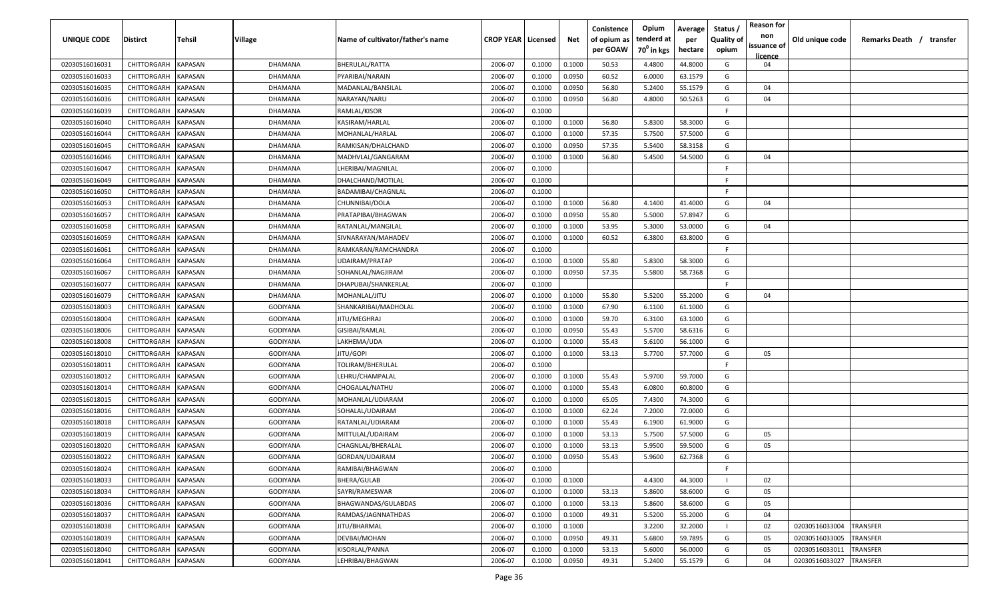| UNIQUE CODE    | <b>Distirct</b>     | Tehsil         | <b>Village</b>  | Name of cultivator/father's name | <b>CROP YEAR   Licensed</b> |        | Net    | Conistence<br>of opium as | Opium<br>tenderd at    | Average<br>per | Status /<br><b>Quality of</b> | <b>Reason for</b><br>non | Old unique code | Remarks Death /<br>transfer |
|----------------|---------------------|----------------|-----------------|----------------------------------|-----------------------------|--------|--------|---------------------------|------------------------|----------------|-------------------------------|--------------------------|-----------------|-----------------------------|
|                |                     |                |                 |                                  |                             |        |        | per GOAW                  | 70 <sup>0</sup> in kgs | hectare        | opium                         | issuance of              |                 |                             |
| 02030516016031 | CHITTORGARH         | <b>KAPASAN</b> | DHAMANA         | BHERULAL/RATTA                   | 2006-07                     | 0.1000 | 0.1000 | 50.53                     | 4.4800                 | 44.8000        | G                             | <u>licence</u><br>04     |                 |                             |
| 02030516016033 | CHITTORGARH         | <b>KAPASAN</b> | DHAMANA         | PYARIBAI/NARAIN                  | 2006-07                     | 0.1000 | 0.0950 | 60.52                     | 6.0000                 | 63.1579        | G                             |                          |                 |                             |
| 02030516016035 | CHITTORGARH         | KAPASAN        | DHAMANA         | MADANLAL/BANSILAL                | 2006-07                     | 0.1000 | 0.0950 | 56.80                     | 5.2400                 | 55.1579        | G                             | 04                       |                 |                             |
| 02030516016036 | CHITTORGARH         | <b>KAPASAN</b> | DHAMANA         | NARAYAN/NARU                     | 2006-07                     | 0.1000 | 0.0950 | 56.80                     | 4.8000                 | 50.5263        | G                             | 04                       |                 |                             |
| 02030516016039 | CHITTORGARH         | KAPASAN        | <b>DHAMANA</b>  | RAMLAL/KISOR                     | 2006-07                     | 0.1000 |        |                           |                        |                | -F                            |                          |                 |                             |
| 02030516016040 | CHITTORGARH         | <b>KAPASAN</b> | <b>DHAMANA</b>  | KASIRAM/HARLAL                   | 2006-07                     | 0.1000 | 0.1000 | 56.80                     | 5.8300                 | 58.3000        | G                             |                          |                 |                             |
| 02030516016044 | CHITTORGARH         | <b>KAPASAN</b> | <b>DHAMANA</b>  | MOHANLAL/HARLAL                  | 2006-07                     | 0.1000 | 0.1000 | 57.35                     | 5.7500                 | 57.5000        | G                             |                          |                 |                             |
| 02030516016045 | CHITTORGARH         | KAPASAN        | <b>DHAMANA</b>  | RAMKISAN/DHALCHAND               | 2006-07                     | 0.1000 | 0.0950 | 57.35                     | 5.5400                 | 58.3158        | G                             |                          |                 |                             |
| 02030516016046 | CHITTORGARH         | <b>KAPASAN</b> | <b>DHAMANA</b>  | MADHVLAL/GANGARAM                | 2006-07                     | 0.1000 | 0.1000 | 56.80                     | 5.4500                 | 54.5000        | G                             | 04                       |                 |                             |
| 02030516016047 | CHITTORGARH         | KAPASAN        | <b>DHAMANA</b>  | LHERIBAI/MAGNILAL                | 2006-07                     | 0.1000 |        |                           |                        |                | F.                            |                          |                 |                             |
| 02030516016049 | CHITTORGARH         | KAPASAN        | DHAMANA         | DHALCHAND/MOTILAL                | 2006-07                     | 0.1000 |        |                           |                        |                | F.                            |                          |                 |                             |
| 02030516016050 | CHITTORGARH         | <b>KAPASAN</b> | DHAMANA         | BADAMIBAI/CHAGNLAL               | 2006-07                     | 0.1000 |        |                           |                        |                | F.                            |                          |                 |                             |
| 02030516016053 | CHITTORGARH         | <b>KAPASAN</b> | <b>DHAMANA</b>  | CHUNNIBAI/DOLA                   | 2006-07                     | 0.1000 | 0.1000 | 56.80                     | 4.1400                 | 41.4000        | G                             | 04                       |                 |                             |
| 02030516016057 | CHITTORGARH         | <b>KAPASAN</b> | <b>DHAMANA</b>  | PRATAPIBAI/BHAGWAN               | 2006-07                     | 0.1000 | 0.0950 | 55.80                     | 5.5000                 | 57.8947        | G                             |                          |                 |                             |
| 02030516016058 | CHITTORGARH         | <b>KAPASAN</b> | DHAMANA         | RATANLAL/MANGILAL                | 2006-07                     | 0.1000 | 0.1000 | 53.95                     | 5.3000                 | 53.0000        | G                             | 04                       |                 |                             |
| 02030516016059 | CHITTORGARH         | <b>KAPASAN</b> | DHAMANA         | SIVNARAYAN/MAHADEV               | 2006-07                     | 0.1000 | 0.1000 | 60.52                     | 6.3800                 | 63.8000        | G                             |                          |                 |                             |
| 02030516016061 | CHITTORGARH         | <b>KAPASAN</b> | DHAMANA         | RAMKARAN/RAMCHANDRA              | 2006-07                     | 0.1000 |        |                           |                        |                | F.                            |                          |                 |                             |
| 02030516016064 | CHITTORGARH         | <b>KAPASAN</b> | DHAMANA         | UDAIRAM/PRATAP                   | 2006-07                     | 0.1000 | 0.1000 | 55.80                     | 5.8300                 | 58.3000        | G                             |                          |                 |                             |
| 02030516016067 | CHITTORGARH         | <b>KAPASAN</b> | DHAMANA         | SOHANLAL/NAGJIRAM                | 2006-07                     | 0.1000 | 0.0950 | 57.35                     | 5.5800                 | 58.7368        | G                             |                          |                 |                             |
| 02030516016077 | CHITTORGARH         | KAPASAN        | DHAMANA         | DHAPUBAI/SHANKERLAL              | 2006-07                     | 0.1000 |        |                           |                        |                | F.                            |                          |                 |                             |
| 02030516016079 | CHITTORGARH         | <b>KAPASAN</b> | DHAMANA         | MOHANLAL/JITU                    | 2006-07                     | 0.1000 | 0.1000 | 55.80                     | 5.5200                 | 55.2000        | G                             | 04                       |                 |                             |
| 02030516018003 | CHITTORGARH         | <b>KAPASAN</b> | GODIYANA        | SHANKARIBAI/MADHOLAL             | 2006-07                     | 0.1000 | 0.1000 | 67.90                     | 6.1100                 | 61.1000        | G                             |                          |                 |                             |
| 02030516018004 | CHITTORGARH         | <b>KAPASAN</b> | GODIYANA        | JITU/MEGHRAJ                     | 2006-07                     | 0.1000 | 0.1000 | 59.70                     | 6.3100                 | 63.1000        | G                             |                          |                 |                             |
| 02030516018006 | CHITTORGARH         | <b>KAPASAN</b> | GODIYANA        | GISIBAI/RAMLAL                   | 2006-07                     | 0.1000 | 0.0950 | 55.43                     | 5.5700                 | 58.6316        | G                             |                          |                 |                             |
| 02030516018008 | CHITTORGARH         | <b>KAPASAN</b> | GODIYANA        | LAKHEMA/UDA                      | 2006-07                     | 0.1000 | 0.1000 | 55.43                     | 5.6100                 | 56.1000        | G                             |                          |                 |                             |
| 02030516018010 | CHITTORGARH         | <b>KAPASAN</b> | <b>GODIYANA</b> | jitu/gopi                        | 2006-07                     | 0.1000 | 0.1000 | 53.13                     | 5.7700                 | 57.7000        | G                             | 05                       |                 |                             |
| 02030516018011 | CHITTORGARH         | <b>KAPASAN</b> | GODIYANA        | TOLIRAM/BHERULAL                 | 2006-07                     | 0.1000 |        |                           |                        |                | F.                            |                          |                 |                             |
| 02030516018012 | CHITTORGARH         | <b>KAPASAN</b> | GODIYANA        | LEHRU/CHAMPALAL                  | 2006-07                     | 0.1000 | 0.1000 | 55.43                     | 5.9700                 | 59.7000        | G                             |                          |                 |                             |
| 02030516018014 | CHITTORGARH         | <b>KAPASAN</b> | GODIYANA        | CHOGALAL/NATHU                   | 2006-07                     | 0.1000 | 0.1000 | 55.43                     | 6.0800                 | 60.8000        | G                             |                          |                 |                             |
| 02030516018015 | CHITTORGARH         | <b>KAPASAN</b> | GODIYANA        | MOHANLAL/UDIARAM                 | 2006-07                     | 0.1000 | 0.1000 | 65.05                     | 7.4300                 | 74.3000        | G                             |                          |                 |                             |
| 02030516018016 | CHITTORGARH         | <b>KAPASAN</b> | GODIYANA        | SOHALAL/UDAIRAM                  | 2006-07                     | 0.1000 | 0.1000 | 62.24                     | 7.2000                 | 72.0000        | G                             |                          |                 |                             |
| 02030516018018 | <b>CHITTORGARH</b>  | KAPASAN        | GODIYANA        | RATANLAL/UDIARAM                 | 2006-07                     | 0.1000 | 0.1000 | 55.43                     | 6.1900                 | 61.9000        | G                             |                          |                 |                             |
| 02030516018019 | CHITTORGARH         | <b>KAPASAN</b> | GODIYANA        | MITTULAL/UDAIRAM                 | 2006-07                     | 0.1000 | 0.1000 | 53.13                     | 5.7500                 | 57.5000        | G                             | 05                       |                 |                             |
| 02030516018020 | CHITTORGARH         | <b>KAPASAN</b> | GODIYANA        | CHAGNLAL/BHERALAL                | 2006-07                     | 0.1000 | 0.1000 | 53.13                     | 5.9500                 | 59.5000        | G                             | 05                       |                 |                             |
| 02030516018022 | CHITTORGARH         | <b>KAPASAN</b> | <b>GODIYANA</b> | GORDAN/UDAIRAM                   | 2006-07                     | 0.1000 | 0.0950 | 55.43                     | 5.9600                 | 62.7368        | G                             |                          |                 |                             |
| 02030516018024 | CHITTORGARH KAPASAN |                | GODIYANA        | RAMIBAI/BHAGWAN                  | 2006-07                     | 0.1000 |        |                           |                        |                | F.                            |                          |                 |                             |
| 02030516018033 | <b>CHITTORGARH</b>  | <b>KAPASAN</b> | GODIYANA        | BHERA/GULAB                      | 2006-07                     | 0.1000 | 0.1000 |                           | 4.4300                 | 44.3000        | $\mathbf{I}$                  | 02                       |                 |                             |
| 02030516018034 | CHITTORGARH         | <b>KAPASAN</b> | GODIYANA        | SAYRI/RAMESWAR                   | 2006-07                     | 0.1000 | 0.1000 | 53.13                     | 5.8600                 | 58.6000        | G                             | 05                       |                 |                             |
| 02030516018036 | CHITTORGARH         | <b>KAPASAN</b> | GODIYANA        | BHAGWANDAS/GULABDAS              | 2006-07                     | 0.1000 | 0.1000 | 53.13                     | 5.8600                 | 58.6000        | G                             | 05                       |                 |                             |
| 02030516018037 | <b>CHITTORGARH</b>  | <b>KAPASAN</b> | GODIYANA        | RAMDAS/JAGNNATHDAS               | 2006-07                     | 0.1000 | 0.1000 | 49.31                     | 5.5200                 | 55.2000        | G                             | 04                       |                 |                             |
| 02030516018038 | <b>CHITTORGARH</b>  | <b>KAPASAN</b> | GODIYANA        | JITU/BHARMAL                     | 2006-07                     | 0.1000 | 0.1000 |                           | 3.2200                 | 32.2000        |                               | 02                       | 02030516033004  | <b>TRANSFER</b>             |
| 02030516018039 | <b>CHITTORGARH</b>  | <b>KAPASAN</b> | GODIYANA        | DEVBAI/MOHAN                     | 2006-07                     | 0.1000 | 0.0950 | 49.31                     | 5.6800                 | 59.7895        | G                             | 05                       | 02030516033005  | <b>TRANSFER</b>             |
| 02030516018040 | CHITTORGARH         | <b>KAPASAN</b> | GODIYANA        | KISORLAL/PANNA                   | 2006-07                     | 0.1000 | 0.1000 | 53.13                     | 5.6000                 | 56.0000        | G                             | 05                       | 02030516033011  | TRANSFER                    |
| 02030516018041 | CHITTORGARH KAPASAN |                | GODIYANA        | LEHRIBAI/BHAGWAN                 | 2006-07                     | 0.1000 | 0.0950 | 49.31                     | 5.2400                 | 55.1579        | G                             | 04                       | 02030516033027  | <b>TRANSFER</b>             |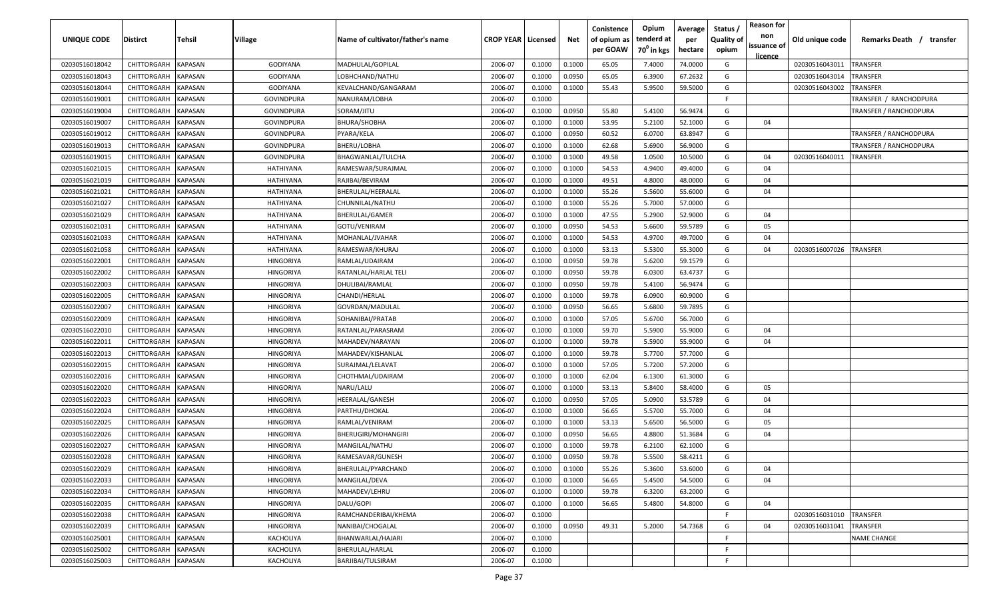| UNIQUE CODE    | <b>Distirct</b>     | Tehsil         | Village           | Name of cultivator/father's name | <b>CROP YEAR   Licensed</b> |        | Net    | Conistence<br>of opium as<br>per GOAW | Opium<br>tenderd at<br>70 <sup>0</sup> in kgs | Average<br>per<br>hectare | Status /<br><b>Quality of</b><br>opium | <b>Reason for</b><br>non<br>issuance of<br>licence | Old unique code | Remarks Death /<br>transfer |
|----------------|---------------------|----------------|-------------------|----------------------------------|-----------------------------|--------|--------|---------------------------------------|-----------------------------------------------|---------------------------|----------------------------------------|----------------------------------------------------|-----------------|-----------------------------|
| 02030516018042 | <b>CHITTORGARH</b>  | <b>KAPASAN</b> | GODIYANA          | MADHULAL/GOPILAL                 | 2006-07                     | 0.1000 | 0.1000 | 65.05                                 | 7.4000                                        | 74.0000                   | G                                      |                                                    | 02030516043011  | TRANSFER                    |
| 02030516018043 | CHITTORGARH         | <b>KAPASAN</b> | GODIYANA          | LOBHCHAND/NATHU                  | 2006-07                     | 0.1000 | 0.0950 | 65.05                                 | 6.3900                                        | 67.2632                   | G                                      |                                                    | 02030516043014  | TRANSFER                    |
| 02030516018044 | CHITTORGARH         | <b>KAPASAN</b> | GODIYANA          | KEVALCHAND/GANGARAM              | 2006-07                     | 0.1000 | 0.1000 | 55.43                                 | 5.9500                                        | 59.5000                   | G                                      |                                                    | 02030516043002  | TRANSFER                    |
| 02030516019001 | CHITTORGARH         | <b>KAPASAN</b> | <b>GOVINDPURA</b> | NANURAM/LOBHA                    | 2006-07                     | 0.1000 |        |                                       |                                               |                           | F.                                     |                                                    |                 | TRANSFER / RANCHODPURA      |
| 02030516019004 | CHITTORGARH         | KAPASAN        | <b>GOVINDPURA</b> | SORAM/JITU                       | 2006-07                     | 0.1000 | 0.0950 | 55.80                                 | 5.4100                                        | 56.9474                   | G                                      |                                                    |                 | TRANSFER / RANCHODPURA      |
| 02030516019007 | CHITTORGARH         | <b>KAPASAN</b> | <b>GOVINDPURA</b> | BHURA/SHOBHA                     | 2006-07                     | 0.1000 | 0.1000 | 53.95                                 | 5.2100                                        | 52.1000                   | G                                      | 04                                                 |                 |                             |
| 02030516019012 | CHITTORGARH         | <b>KAPASAN</b> | <b>GOVINDPURA</b> | PYARA/KELA                       | 2006-07                     | 0.1000 | 0.0950 | 60.52                                 | 6.0700                                        | 63.8947                   | G                                      |                                                    |                 | TRANSFER / RANCHODPURA      |
| 02030516019013 | CHITTORGARH         | <b>KAPASAN</b> | <b>GOVINDPURA</b> | BHERU/LOBHA                      | 2006-07                     | 0.1000 | 0.1000 | 62.68                                 | 5.6900                                        | 56.9000                   | G                                      |                                                    |                 | TRANSFER / RANCHODPURA      |
| 02030516019015 | CHITTORGARH         | <b>KAPASAN</b> | <b>GOVINDPURA</b> | BHAGWANLAL/TULCHA                | 2006-07                     | 0.1000 | 0.1000 | 49.58                                 | 1.0500                                        | 10.5000                   | G                                      | 04                                                 | 02030516040011  | TRANSFER                    |
| 02030516021015 | CHITTORGARH         | <b>KAPASAN</b> | HATHIYANA         | RAMESWAR/SURAJMAL                | 2006-07                     | 0.1000 | 0.1000 | 54.53                                 | 4.9400                                        | 49.4000                   | G                                      | 04                                                 |                 |                             |
| 02030516021019 | CHITTORGARH         | <b>KAPASAN</b> | HATHIYANA         | RAJIBAI/BEVIRAM                  | 2006-07                     | 0.1000 | 0.1000 | 49.51                                 | 4.8000                                        | 48.0000                   | G                                      | 04                                                 |                 |                             |
| 02030516021021 | CHITTORGARH         | <b>KAPASAN</b> | HATHIYANA         | BHERULAL/HEERALAL                | 2006-07                     | 0.1000 | 0.1000 | 55.26                                 | 5.5600                                        | 55.6000                   | G                                      | 04                                                 |                 |                             |
| 02030516021027 | CHITTORGARH         | KAPASAN        | HATHIYANA         | CHUNNILAL/NATHU                  | 2006-07                     | 0.1000 | 0.1000 | 55.26                                 | 5.7000                                        | 57.0000                   | G                                      |                                                    |                 |                             |
| 02030516021029 | CHITTORGARH         | <b>KAPASAN</b> | HATHIYANA         | BHERULAL/GAMER                   | 2006-07                     | 0.1000 | 0.1000 | 47.55                                 | 5.2900                                        | 52.9000                   | G                                      | 04                                                 |                 |                             |
| 02030516021031 | CHITTORGARH         | <b>KAPASAN</b> | HATHIYANA         | GOTU/VENIRAM                     | 2006-07                     | 0.1000 | 0.0950 | 54.53                                 | 5.6600                                        | 59.5789                   | G                                      | 05                                                 |                 |                             |
| 02030516021033 | CHITTORGARH         | <b>KAPASAN</b> | HATHIYANA         | MOHANLAL/JVAHAR                  | 2006-07                     | 0.1000 | 0.1000 | 54.53                                 | 4.9700                                        | 49.7000                   | G                                      | 04                                                 |                 |                             |
| 02030516021058 | CHITTORGARH         | <b>KAPASAN</b> | HATHIYANA         | RAMESWAR/KHURAJ                  | 2006-07                     | 0.1000 | 0.1000 | 53.13                                 | 5.5300                                        | 55.3000                   | G                                      | 04                                                 | 02030516007026  | TRANSFER                    |
| 02030516022001 | CHITTORGARH         | <b>KAPASAN</b> | <b>HINGORIYA</b>  | RAMLAL/UDAIRAM                   | 2006-07                     | 0.1000 | 0.0950 | 59.78                                 | 5.6200                                        | 59.1579                   | G                                      |                                                    |                 |                             |
| 02030516022002 | CHITTORGARH         | <b>KAPASAN</b> | <b>HINGORIYA</b>  | RATANLAL/HARLAL TELI             | 2006-07                     | 0.1000 | 0.0950 | 59.78                                 | 6.0300                                        | 63.4737                   | G                                      |                                                    |                 |                             |
| 02030516022003 | CHITTORGARH         | <b>KAPASAN</b> | <b>HINGORIYA</b>  | DHULIBAI/RAMLAL                  | 2006-07                     | 0.1000 | 0.0950 | 59.78                                 | 5.4100                                        | 56.9474                   | G                                      |                                                    |                 |                             |
| 02030516022005 | CHITTORGARH         | <b>KAPASAN</b> | <b>HINGORIYA</b>  | CHANDI/HERLAL                    | 2006-07                     | 0.1000 | 0.1000 | 59.78                                 | 6.0900                                        | 60.9000                   | G                                      |                                                    |                 |                             |
| 02030516022007 | CHITTORGARH         | <b>KAPASAN</b> | <b>HINGORIYA</b>  | GOVRDAN/MADULAL                  | 2006-07                     | 0.1000 | 0.0950 | 56.65                                 | 5.6800                                        | 59.7895                   | G                                      |                                                    |                 |                             |
| 02030516022009 | CHITTORGARH         | <b>KAPASAN</b> | <b>HINGORIYA</b>  | SOHANIBAI/PRATAB                 | 2006-07                     | 0.1000 | 0.1000 | 57.05                                 | 5.6700                                        | 56.7000                   | G                                      |                                                    |                 |                             |
| 02030516022010 | CHITTORGARH         | <b>KAPASAN</b> | <b>HINGORIYA</b>  | RATANLAL/PARASRAM                | 2006-07                     | 0.1000 | 0.1000 | 59.70                                 | 5.5900                                        | 55.9000                   | G                                      | 04                                                 |                 |                             |
| 02030516022011 | CHITTORGARH         | <b>KAPASAN</b> | <b>HINGORIYA</b>  | MAHADEV/NARAYAN                  | 2006-07                     | 0.1000 | 0.1000 | 59.78                                 | 5.5900                                        | 55.9000                   | G                                      | 04                                                 |                 |                             |
| 02030516022013 | CHITTORGARH         | <b>KAPASAN</b> | <b>HINGORIYA</b>  | MAHADEV/KISHANLAL                | 2006-07                     | 0.1000 | 0.1000 | 59.78                                 | 5.7700                                        | 57.7000                   | G                                      |                                                    |                 |                             |
| 02030516022015 | CHITTORGARH         | <b>KAPASAN</b> | <b>HINGORIYA</b>  | SURAJMAL/LELAVAT                 | 2006-07                     | 0.1000 | 0.1000 | 57.05                                 | 5.7200                                        | 57.2000                   | G                                      |                                                    |                 |                             |
| 02030516022016 | CHITTORGARH         | <b>KAPASAN</b> | <b>HINGORIYA</b>  | CHOTHMAL/UDAIRAM                 | 2006-07                     | 0.1000 | 0.1000 | 62.04                                 | 6.1300                                        | 61.3000                   | G                                      |                                                    |                 |                             |
| 02030516022020 | CHITTORGARH         | <b>KAPASAN</b> | <b>HINGORIYA</b>  | NARU/LALU                        | 2006-07                     | 0.1000 | 0.1000 | 53.13                                 | 5.8400                                        | 58.4000                   | G                                      | 05                                                 |                 |                             |
| 02030516022023 | CHITTORGARH         | KAPASAN        | <b>HINGORIYA</b>  | HEERALAL/GANESH                  | 2006-07                     | 0.1000 | 0.0950 | 57.05                                 | 5.0900                                        | 53.5789                   | G                                      | 04                                                 |                 |                             |
| 02030516022024 | CHITTORGARH         | <b>KAPASAN</b> | <b>HINGORIYA</b>  | PARTHU/DHOKAL                    | 2006-07                     | 0.1000 | 0.1000 | 56.65                                 | 5.5700                                        | 55.7000                   | G                                      | 04                                                 |                 |                             |
| 02030516022025 | CHITTORGARH         | <b>KAPASAN</b> | <b>HINGORIYA</b>  | RAMLAL/VENIRAM                   | 2006-07                     | 0.1000 | 0.1000 | 53.13                                 | 5.6500                                        | 56.5000                   | G                                      | 05                                                 |                 |                             |
| 02030516022026 | CHITTORGARH         | <b>KAPASAN</b> | <b>HINGORIYA</b>  | BHERUGIRI/MOHANGIRI              | 2006-07                     | 0.1000 | 0.0950 | 56.65                                 | 4.8800                                        | 51.3684                   | G                                      | 04                                                 |                 |                             |
| 02030516022027 | <b>CHITTORGARH</b>  | <b>KAPASAN</b> | <b>HINGORIYA</b>  | MANGILAL/NATHU                   | 2006-07                     | 0.1000 | 0.1000 | 59.78                                 | 6.2100                                        | 62.1000                   | G                                      |                                                    |                 |                             |
| 02030516022028 | <b>CHITTORGARH</b>  | <b>KAPASAN</b> | <b>HINGORIYA</b>  | RAMESAVAR/GUNESH                 | 2006-07                     | 0.1000 | 0.0950 | 59.78                                 | 5.5500                                        | 58.4211                   | G                                      |                                                    |                 |                             |
| 02030516022029 | CHITTORGARH KAPASAN |                | <b>HINGORIYA</b>  | BHERULAL/PYARCHAND               | 2006-07                     | 0.1000 | 0.1000 | 55.26                                 | 5.3600                                        | 53.6000                   | G                                      | 04                                                 |                 |                             |
| 02030516022033 | CHITTORGARH         | <b>KAPASAN</b> | <b>HINGORIYA</b>  | MANGILAL/DEVA                    | 2006-07                     | 0.1000 | 0.1000 | 56.65                                 | 5.4500                                        | 54.5000                   | G                                      | 04                                                 |                 |                             |
| 02030516022034 | CHITTORGARH         | <b>KAPASAN</b> | <b>HINGORIYA</b>  | MAHADEV/LEHRU                    | 2006-07                     | 0.1000 | 0.1000 | 59.78                                 | 6.3200                                        | 63.2000                   | G                                      |                                                    |                 |                             |
| 02030516022035 | CHITTORGARH         | <b>KAPASAN</b> | <b>HINGORIYA</b>  | DALU/GOPI                        | 2006-07                     | 0.1000 | 0.1000 | 56.65                                 | 5.4800                                        | 54.8000                   | G                                      | 04                                                 |                 |                             |
| 02030516022038 | CHITTORGARH         | <b>KAPASAN</b> | <b>HINGORIYA</b>  | RAMCHANDERIBAI/KHEMA             | 2006-07                     | 0.1000 |        |                                       |                                               |                           | F.                                     |                                                    | 02030516031010  | <b>TRANSFER</b>             |
| 02030516022039 | CHITTORGARH         | <b>KAPASAN</b> | <b>HINGORIYA</b>  | NANIBAI/CHOGALAL                 | 2006-07                     | 0.1000 | 0.0950 | 49.31                                 | 5.2000                                        | 54.7368                   | G                                      | 04                                                 | 02030516031041  | TRANSFER                    |
| 02030516025001 | CHITTORGARH         | <b>KAPASAN</b> | KACHOLIYA         | BHANWARLAL/HAJARI                | 2006-07                     | 0.1000 |        |                                       |                                               |                           | F.                                     |                                                    |                 | NAME CHANGE                 |
| 02030516025002 | <b>CHITTORGARH</b>  | <b>KAPASAN</b> | KACHOLIYA         | BHERULAL/HARLAL                  | 2006-07                     | 0.1000 |        |                                       |                                               |                           | F.                                     |                                                    |                 |                             |
| 02030516025003 | CHITTORGARH KAPASAN |                | KACHOLIYA         | BARJIBAI/TULSIRAM                | 2006-07                     | 0.1000 |        |                                       |                                               |                           | F.                                     |                                                    |                 |                             |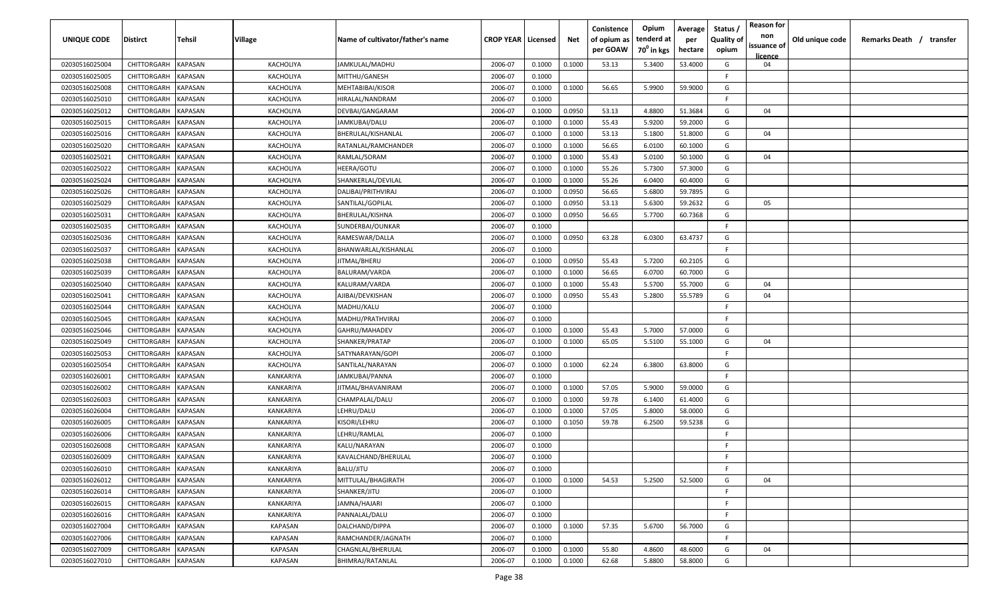| UNIQUE CODE    | Distirct            | Tehsil         | <b>Village</b> | Name of cultivator/father's name | <b>CROP YEAR Licensed</b> |        | Net    | Conistence<br>of opium as | Opium<br>tenderd at | Average<br>per | Status /<br><b>Quality of</b> | <b>Reason for</b><br>non      | Old unique code | Remarks Death / transfer |
|----------------|---------------------|----------------|----------------|----------------------------------|---------------------------|--------|--------|---------------------------|---------------------|----------------|-------------------------------|-------------------------------|-----------------|--------------------------|
|                |                     |                |                |                                  |                           |        |        | per GOAW                  | $70^0$ in kgs       | hectare        | opium                         | issuance of<br><u>licence</u> |                 |                          |
| 02030516025004 | CHITTORGARH         | <b>KAPASAN</b> | KACHOLIYA      | JAMKULAL/MADHU                   | 2006-07                   | 0.1000 | 0.1000 | 53.13                     | 5.3400              | 53.4000        | G                             | 04                            |                 |                          |
| 02030516025005 | CHITTORGARH         | <b>KAPASAN</b> | KACHOLIYA      | MITTHU/GANESH                    | 2006-07                   | 0.1000 |        |                           |                     |                | F.                            |                               |                 |                          |
| 02030516025008 | CHITTORGARH         | KAPASAN        | KACHOLIYA      | MEHTABIBAI/KISOR                 | 2006-07                   | 0.1000 | 0.1000 | 56.65                     | 5.9900              | 59.9000        | G                             |                               |                 |                          |
| 02030516025010 | CHITTORGARH         | <b>KAPASAN</b> | KACHOLIYA      | HIRALAL/NANDRAM                  | 2006-07                   | 0.1000 |        |                           |                     |                | F                             |                               |                 |                          |
| 02030516025012 | CHITTORGARH         | KAPASAN        | KACHOLIYA      | DEVBAI/GANGARAM                  | 2006-07                   | 0.1000 | 0.0950 | 53.13                     | 4.8800              | 51.3684        | G                             | 04                            |                 |                          |
| 02030516025015 | CHITTORGARH         | <b>KAPASAN</b> | KACHOLIYA      | JAMKUBAI/DALU                    | 2006-07                   | 0.1000 | 0.1000 | 55.43                     | 5.9200              | 59.2000        | G                             |                               |                 |                          |
| 02030516025016 | CHITTORGARH         | <b>KAPASAN</b> | KACHOLIYA      | BHERULAL/KISHANLAL               | 2006-07                   | 0.1000 | 0.1000 | 53.13                     | 5.1800              | 51.8000        | G                             | 04                            |                 |                          |
| 02030516025020 | CHITTORGARH         | <b>KAPASAN</b> | KACHOLIYA      | RATANLAL/RAMCHANDER              | 2006-07                   | 0.1000 | 0.1000 | 56.65                     | 6.0100              | 60.1000        | G                             |                               |                 |                          |
| 02030516025021 | CHITTORGARH         | <b>KAPASAN</b> | KACHOLIYA      | RAMLAL/SORAM                     | 2006-07                   | 0.1000 | 0.1000 | 55.43                     | 5.0100              | 50.1000        | G                             | 04                            |                 |                          |
| 02030516025022 | CHITTORGARH         | <b>KAPASAN</b> | KACHOLIYA      | HEERA/GOTU                       | 2006-07                   | 0.1000 | 0.1000 | 55.26                     | 5.7300              | 57.3000        | G                             |                               |                 |                          |
| 02030516025024 | CHITTORGARH         | KAPASAN        | KACHOLIYA      | SHANKERLAL/DEVILAL               | 2006-07                   | 0.1000 | 0.1000 | 55.26                     | 6.0400              | 60.4000        | G                             |                               |                 |                          |
| 02030516025026 | CHITTORGARH         | <b>KAPASAN</b> | KACHOLIYA      | DALIBAI/PRITHVIRAJ               | 2006-07                   | 0.1000 | 0.0950 | 56.65                     | 5.6800              | 59.7895        | G                             |                               |                 |                          |
| 02030516025029 | CHITTORGARH         | <b>KAPASAN</b> | KACHOLIYA      | SANTILAL/GOPILAL                 | 2006-07                   | 0.1000 | 0.0950 | 53.13                     | 5.6300              | 59.2632        | G                             | 05                            |                 |                          |
| 02030516025031 | CHITTORGARH         | <b>KAPASAN</b> | KACHOLIYA      | BHERULAL/KISHNA                  | 2006-07                   | 0.1000 | 0.0950 | 56.65                     | 5.7700              | 60.7368        | G                             |                               |                 |                          |
| 02030516025035 | <b>CHITTORGARH</b>  | <b>KAPASAN</b> | KACHOLIYA      | SUNDERBAI/OUNKAR                 | 2006-07                   | 0.1000 |        |                           |                     |                | F.                            |                               |                 |                          |
| 02030516025036 | CHITTORGARH         | <b>KAPASAN</b> | KACHOLIYA      | RAMESWAR/DALLA                   | 2006-07                   | 0.1000 | 0.0950 | 63.28                     | 6.0300              | 63.4737        | G                             |                               |                 |                          |
| 02030516025037 | <b>CHITTORGARH</b>  | <b>KAPASAN</b> | KACHOLIYA      | BHANWARLAL/KISHANLAL             | 2006-07                   | 0.1000 |        |                           |                     |                | F.                            |                               |                 |                          |
| 02030516025038 | CHITTORGARH         | <b>KAPASAN</b> | KACHOLIYA      | JITMAL/BHERU                     | 2006-07                   | 0.1000 | 0.0950 | 55.43                     | 5.7200              | 60.2105        | G                             |                               |                 |                          |
| 02030516025039 | CHITTORGARH         | <b>KAPASAN</b> | KACHOLIYA      | BALURAM/VARDA                    | 2006-07                   | 0.1000 | 0.1000 | 56.65                     | 6.0700              | 60.7000        | G                             |                               |                 |                          |
| 02030516025040 | CHITTORGARH         | <b>KAPASAN</b> | KACHOLIYA      | KALURAM/VARDA                    | 2006-07                   | 0.1000 | 0.1000 | 55.43                     | 5.5700              | 55.7000        | G                             | 04                            |                 |                          |
| 02030516025041 | CHITTORGARH         | <b>KAPASAN</b> | KACHOLIYA      | AJIBAI/DEVKISHAN                 | 2006-07                   | 0.1000 | 0.0950 | 55.43                     | 5.2800              | 55.5789        | G                             | 04                            |                 |                          |
| 02030516025044 | CHITTORGARH         | <b>KAPASAN</b> | KACHOLIYA      | MADHU/KALU                       | 2006-07                   | 0.1000 |        |                           |                     |                | -F.                           |                               |                 |                          |
| 02030516025045 | CHITTORGARH         | <b>KAPASAN</b> | KACHOLIYA      | MADHU/PRATHVIRAJ                 | 2006-07                   | 0.1000 |        |                           |                     |                | F.                            |                               |                 |                          |
| 02030516025046 | CHITTORGARH         | <b>KAPASAN</b> | KACHOLIYA      | GAHRU/MAHADEV                    | 2006-07                   | 0.1000 | 0.1000 | 55.43                     | 5.7000              | 57.0000        | G                             |                               |                 |                          |
| 02030516025049 | CHITTORGARH         | <b>KAPASAN</b> | KACHOLIYA      | SHANKER/PRATAP                   | 2006-07                   | 0.1000 | 0.1000 | 65.05                     | 5.5100              | 55.1000        | G                             | 04                            |                 |                          |
| 02030516025053 | CHITTORGARH         | <b>KAPASAN</b> | KACHOLIYA      | SATYNARAYAN/GOPI                 | 2006-07                   | 0.1000 |        |                           |                     |                | -F.                           |                               |                 |                          |
| 02030516025054 | CHITTORGARH         | <b>KAPASAN</b> | KACHOLIYA      | SANTILAL/NARAYAN                 | 2006-07                   | 0.1000 | 0.1000 | 62.24                     | 6.3800              | 63.8000        | G                             |                               |                 |                          |
| 02030516026001 | CHITTORGARH         | <b>KAPASAN</b> | KANKARIYA      | JAMKUBAI/PANNA                   | 2006-07                   | 0.1000 |        |                           |                     |                | -F.                           |                               |                 |                          |
| 02030516026002 | CHITTORGARH         | <b>KAPASAN</b> | KANKARIYA      | IITMAL/BHAVANIRAM                | 2006-07                   | 0.1000 | 0.1000 | 57.05                     | 5.9000              | 59.0000        | G                             |                               |                 |                          |
| 02030516026003 | CHITTORGARH         | <b>KAPASAN</b> | KANKARIYA      | CHAMPALAL/DALU                   | 2006-07                   | 0.1000 | 0.1000 | 59.78                     | 6.1400              | 61.4000        | G                             |                               |                 |                          |
| 02030516026004 | CHITTORGARH         | <b>KAPASAN</b> | KANKARIYA      | LEHRU/DALU                       | 2006-07                   | 0.1000 | 0.1000 | 57.05                     | 5.8000              | 58.0000        | G                             |                               |                 |                          |
| 02030516026005 | <b>CHITTORGARH</b>  | <b>KAPASAN</b> | KANKARIYA      | KISORI/LEHRU                     | 2006-07                   | 0.1000 | 0.1050 | 59.78                     | 6.2500              | 59.5238        | G                             |                               |                 |                          |
| 02030516026006 | CHITTORGARH         | <b>KAPASAN</b> | KANKARIYA      | LEHRU/RAMLAL                     | 2006-07                   | 0.1000 |        |                           |                     |                |                               |                               |                 |                          |
| 02030516026008 | CHITTORGARH         | <b>KAPASAN</b> | KANKARIYA      | KALU/NARAYAN                     | 2006-07                   | 0.1000 |        |                           |                     |                | F.                            |                               |                 |                          |
| 02030516026009 | CHITTORGARH         | <b>KAPASAN</b> | KANKARIYA      | KAVALCHAND/BHERULAL              | 2006-07                   | 0.1000 |        |                           |                     |                | F.                            |                               |                 |                          |
| 02030516026010 | CHITTORGARH KAPASAN |                | KANKARIYA      | BALU/JITU                        | 2006-07                   | 0.1000 |        |                           |                     |                | F.                            |                               |                 |                          |
| 02030516026012 | <b>CHITTORGARH</b>  | <b>KAPASAN</b> | KANKARIYA      | MITTULAL/BHAGIRATH               | 2006-07                   | 0.1000 | 0.1000 | 54.53                     | 5.2500              | 52.5000        | G                             | 04                            |                 |                          |
| 02030516026014 | CHITTORGARH         | <b>KAPASAN</b> | KANKARIYA      | SHANKER/JITU                     | 2006-07                   | 0.1000 |        |                           |                     |                | F.                            |                               |                 |                          |
| 02030516026015 | CHITTORGARH         | <b>KAPASAN</b> | KANKARIYA      | JAMNA/HAJARI                     | 2006-07                   | 0.1000 |        |                           |                     |                | F.                            |                               |                 |                          |
| 02030516026016 | CHITTORGARH         | <b>KAPASAN</b> | KANKARIYA      | PANNALAL/DALU                    | 2006-07                   | 0.1000 |        |                           |                     |                | F.                            |                               |                 |                          |
| 02030516027004 | CHITTORGARH         | <b>KAPASAN</b> | KAPASAN        | DALCHAND/DIPPA                   | 2006-07                   | 0.1000 | 0.1000 | 57.35                     | 5.6700              | 56.7000        | G                             |                               |                 |                          |
| 02030516027006 | CHITTORGARH         | <b>KAPASAN</b> | <b>KAPASAN</b> | RAMCHANDER/JAGNATH               | 2006-07                   | 0.1000 |        |                           |                     |                | F.                            |                               |                 |                          |
| 02030516027009 | CHITTORGARH         | <b>KAPASAN</b> | KAPASAN        | CHAGNLAL/BHERULAL                | 2006-07                   | 0.1000 | 0.1000 | 55.80                     | 4.8600              | 48.6000        | G                             | 04                            |                 |                          |
| 02030516027010 | CHITTORGARH KAPASAN |                | KAPASAN        | BHIMRAJ/RATANLAL                 | 2006-07                   | 0.1000 | 0.1000 | 62.68                     | 5.8800              | 58.8000        | G                             |                               |                 |                          |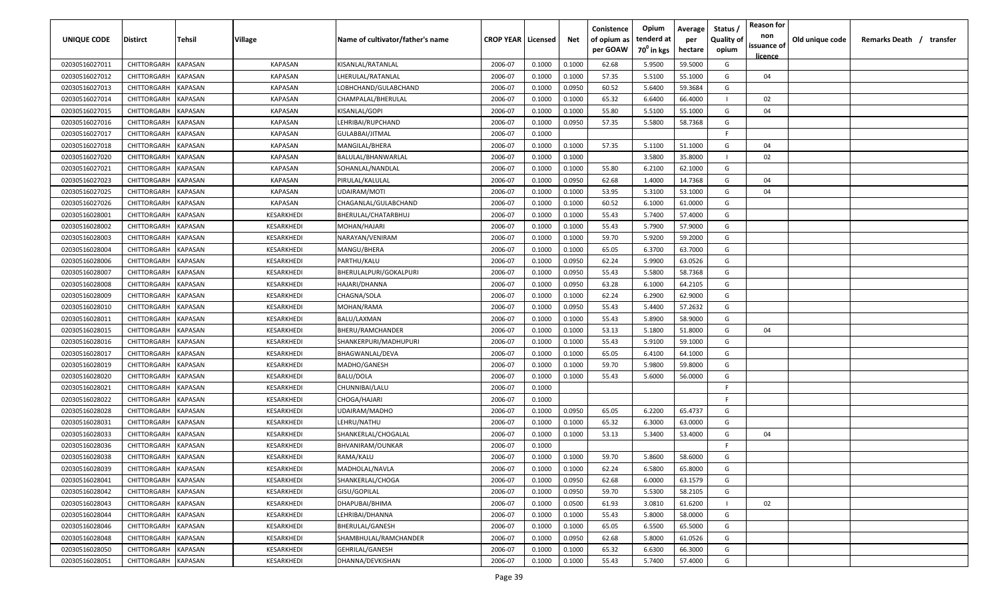| UNIQUE CODE    | <b>Distirct</b>    | Tehsil         | <b>Village</b> | Name of cultivator/father's name | <b>CROP YEAR   Licensed</b> |        | Net    | Conistence<br>of opium as | Opium<br>tenderd at    | Average<br>per | Status /<br><b>Quality of</b> | <b>Reason for</b><br>non      | Old unique code | Remarks Death /<br>transfer |  |
|----------------|--------------------|----------------|----------------|----------------------------------|-----------------------------|--------|--------|---------------------------|------------------------|----------------|-------------------------------|-------------------------------|-----------------|-----------------------------|--|
|                |                    |                |                |                                  |                             |        |        | per GOAW                  | 70 <sup>0</sup> in kgs | hectare        | opium                         | issuance of<br><u>licence</u> |                 |                             |  |
| 02030516027011 | CHITTORGARH        | <b>KAPASAN</b> | <b>KAPASAN</b> | KISANLAL/RATANLAL                | 2006-07                     | 0.1000 | 0.1000 | 62.68                     | 5.9500                 | 59.5000        | G                             |                               |                 |                             |  |
| 02030516027012 | CHITTORGARH        | <b>KAPASAN</b> | <b>KAPASAN</b> | LHERULAL/RATANLAL                | 2006-07                     | 0.1000 | 0.1000 | 57.35                     | 5.5100                 | 55.1000        | G                             | 04                            |                 |                             |  |
| 02030516027013 | CHITTORGARH        | <b>KAPASAN</b> | <b>KAPASAN</b> | LOBHCHAND/GULABCHAND             | 2006-07                     | 0.1000 | 0.0950 | 60.52                     | 5.6400                 | 59.3684        | G                             |                               |                 |                             |  |
| 02030516027014 | CHITTORGARH        | KAPASAN        | <b>KAPASAN</b> | CHAMPALAL/BHERULAL               | 2006-07                     | 0.1000 | 0.1000 | 65.32                     | 6.6400                 | 66.4000        |                               | 02                            |                 |                             |  |
| 02030516027015 | CHITTORGARH        | <b>KAPASAN</b> | <b>KAPASAN</b> | KISANLAL/GOPI                    | 2006-07                     | 0.1000 | 0.1000 | 55.80                     | 5.5100                 | 55.1000        | G                             | 04                            |                 |                             |  |
| 02030516027016 | CHITTORGARH        | <b>KAPASAN</b> | <b>KAPASAN</b> | LEHRIBAI/RUPCHAND                | 2006-07                     | 0.1000 | 0.0950 | 57.35                     | 5.5800                 | 58.7368        | G                             |                               |                 |                             |  |
| 02030516027017 | CHITTORGARH        | <b>KAPASAN</b> | <b>KAPASAN</b> | <b>GULABBAI/JITMAL</b>           | 2006-07                     | 0.1000 |        |                           |                        |                | -F.                           |                               |                 |                             |  |
| 02030516027018 | CHITTORGARH        | <b>KAPASAN</b> | <b>KAPASAN</b> | MANGILAL/BHERA                   | 2006-07                     | 0.1000 | 0.1000 | 57.35                     | 5.1100                 | 51.1000        | G                             | 04                            |                 |                             |  |
| 02030516027020 | CHITTORGARH        | <b>KAPASAN</b> | <b>KAPASAN</b> | BALULAL/BHANWARLAL               | 2006-07                     | 0.1000 | 0.1000 |                           | 3.5800                 | 35.8000        |                               | 02                            |                 |                             |  |
| 02030516027021 | CHITTORGARH        | <b>KAPASAN</b> | <b>KAPASAN</b> | SOHANLAL/NANDLAL                 | 2006-07                     | 0.1000 | 0.1000 | 55.80                     | 6.2100                 | 62.1000        | G                             |                               |                 |                             |  |
| 02030516027023 | CHITTORGARH        | <b>KAPASAN</b> | KAPASAN        | PIRULAL/KALULAL                  | 2006-07                     | 0.1000 | 0.0950 | 62.68                     | 1.4000                 | 14.7368        | G                             | 04                            |                 |                             |  |
| 02030516027025 | CHITTORGARH        | KAPASAN        | <b>KAPASAN</b> | UDAIRAM/MOTI                     | 2006-07                     | 0.1000 | 0.1000 | 53.95                     | 5.3100                 | 53.1000        | G                             | 04                            |                 |                             |  |
| 02030516027026 | CHITTORGARH        | <b>KAPASAN</b> | <b>KAPASAN</b> | CHAGANLAL/GULABCHAND             | 2006-07                     | 0.1000 | 0.1000 | 60.52                     | 6.1000                 | 61.0000        | G                             |                               |                 |                             |  |
| 02030516028001 | CHITTORGARH        | <b>KAPASAN</b> | KESARKHEDI     | BHERULAL/CHATARBHUJ              | 2006-07                     | 0.1000 | 0.1000 | 55.43                     | 5.7400                 | 57.4000        | G                             |                               |                 |                             |  |
| 02030516028002 | CHITTORGARH        | <b>KAPASAN</b> | KESARKHEDI     | MOHAN/HAJARI                     | 2006-07                     | 0.1000 | 0.1000 | 55.43                     | 5.7900                 | 57.9000        | G                             |                               |                 |                             |  |
| 02030516028003 | CHITTORGARH        | <b>KAPASAN</b> | KESARKHEDI     | NARAYAN/VENIRAM                  | 2006-07                     | 0.1000 | 0.1000 | 59.70                     | 5.9200                 | 59.2000        | G                             |                               |                 |                             |  |
| 02030516028004 | CHITTORGARH        | <b>KAPASAN</b> | KESARKHEDI     | MANGU/BHERA                      | 2006-07                     | 0.1000 | 0.1000 | 65.05                     | 6.3700                 | 63.7000        | G                             |                               |                 |                             |  |
| 02030516028006 | CHITTORGARH        | <b>KAPASAN</b> | KESARKHEDI     | PARTHU/KALU                      | 2006-07                     | 0.1000 | 0.0950 | 62.24                     | 5.9900                 | 63.0526        | G                             |                               |                 |                             |  |
| 02030516028007 | CHITTORGARH        | <b>KAPASAN</b> | KESARKHEDI     | BHERULALPURI/GOKALPURI           | 2006-07                     | 0.1000 | 0.0950 | 55.43                     | 5.5800                 | 58.7368        | G                             |                               |                 |                             |  |
| 02030516028008 | CHITTORGARH        | <b>KAPASAN</b> | KESARKHEDI     | HAJARI/DHANNA                    | 2006-07                     | 0.1000 | 0.0950 | 63.28                     | 6.1000                 | 64.2105        | G                             |                               |                 |                             |  |
| 02030516028009 | CHITTORGARH        | <b>KAPASAN</b> | KESARKHEDI     | CHAGNA/SOLA                      | 2006-07                     | 0.1000 | 0.1000 | 62.24                     | 6.2900                 | 62.9000        | G                             |                               |                 |                             |  |
| 02030516028010 | CHITTORGARH        | <b>KAPASAN</b> | KESARKHEDI     | MOHAN/RAMA                       | 2006-07                     | 0.1000 | 0.0950 | 55.43                     | 5.4400                 | 57.2632        | G                             |                               |                 |                             |  |
| 02030516028011 | CHITTORGARH        | <b>KAPASAN</b> | KESARKHEDI     | BALU/LAXMAN                      | 2006-07                     | 0.1000 | 0.1000 | 55.43                     | 5.8900                 | 58.9000        | G                             |                               |                 |                             |  |
| 02030516028015 | CHITTORGARH        | <b>KAPASAN</b> | KESARKHEDI     | BHERU/RAMCHANDER                 | 2006-07                     | 0.1000 | 0.1000 | 53.13                     | 5.1800                 | 51.8000        | G                             | 04                            |                 |                             |  |
| 02030516028016 | CHITTORGARH        | <b>KAPASAN</b> | KESARKHEDI     | SHANKERPURI/MADHUPURI            | 2006-07                     | 0.1000 | 0.1000 | 55.43                     | 5.9100                 | 59.1000        | G                             |                               |                 |                             |  |
| 02030516028017 | CHITTORGARH        | <b>KAPASAN</b> | KESARKHEDI     | <b>BHAGWANLAL/DEVA</b>           | 2006-07                     | 0.1000 | 0.1000 | 65.05                     | 6.4100                 | 64.1000        | G                             |                               |                 |                             |  |
| 02030516028019 | CHITTORGARH        | <b>KAPASAN</b> | KESARKHEDI     | MADHO/GANESH                     | 2006-07                     | 0.1000 | 0.1000 | 59.70                     | 5.9800                 | 59.8000        | G                             |                               |                 |                             |  |
| 02030516028020 | CHITTORGARH        | KAPASAN        | KESARKHEDI     | BALU/DOLA                        | 2006-07                     | 0.1000 | 0.1000 | 55.43                     | 5.6000                 | 56.0000        | G                             |                               |                 |                             |  |
| 02030516028021 | CHITTORGARH        | KAPASAN        | KESARKHEDI     | CHUNNIBAI/LALU                   | 2006-07                     | 0.1000 |        |                           |                        |                | F.                            |                               |                 |                             |  |
| 02030516028022 | CHITTORGARH        | <b>KAPASAN</b> | KESARKHEDI     | CHOGA/HAJARI                     | 2006-07                     | 0.1000 |        |                           |                        |                | F.                            |                               |                 |                             |  |
| 02030516028028 | CHITTORGARH        | <b>KAPASAN</b> | KESARKHEDI     | UDAIRAM/MADHO                    | 2006-07                     | 0.1000 | 0.0950 | 65.05                     | 6.2200                 | 65.4737        | G                             |                               |                 |                             |  |
| 02030516028031 | CHITTORGARH        | <b>KAPASAN</b> | KESARKHEDI     | LEHRU/NATHU                      | 2006-07                     | 0.1000 | 0.1000 | 65.32                     | 6.3000                 | 63.0000        | G                             |                               |                 |                             |  |
| 02030516028033 | <b>CHITTORGARH</b> | <b>KAPASAN</b> | KESARKHEDI     | SHANKERLAL/CHOGALAL              | 2006-07                     | 0.1000 | 0.1000 | 53.13                     | 5.3400                 | 53.4000        | G                             | 04                            |                 |                             |  |
| 02030516028036 | CHITTORGARH        | <b>KAPASAN</b> | KESARKHEDI     | BHVANIRAM/OUNKAR                 | 2006-07                     | 0.1000 |        |                           |                        |                | F.                            |                               |                 |                             |  |
| 02030516028038 | CHITTORGARH        | <b>KAPASAN</b> | KESARKHEDI     | RAMA/KALU                        | 2006-07                     | 0.1000 | 0.1000 | 59.70                     | 5.8600                 | 58.6000        | G                             |                               |                 |                             |  |
| 02030516028039 | CHITTORGARH        | <b>KAPASAN</b> | KESARKHEDI     | MADHOLAL/NAVLA                   | 2006-07                     | 0.1000 | 0.1000 | 62.24                     | 6.5800                 | 65.8000        | G                             |                               |                 |                             |  |
| 02030516028041 | CHITTORGARH        | <b>KAPASAN</b> | KESARKHEDI     | SHANKERLAL/CHOGA                 | 2006-07                     | 0.1000 | 0.0950 | 62.68                     | 6.0000                 | 63.1579        | G                             |                               |                 |                             |  |
| 02030516028042 | CHITTORGARH        | <b>KAPASAN</b> | KESARKHEDI     | GISU/GOPILAL                     | 2006-07                     | 0.1000 | 0.0950 | 59.70                     | 5.5300                 | 58.2105        | G                             |                               |                 |                             |  |
| 02030516028043 | CHITTORGARH        | <b>KAPASAN</b> | KESARKHEDI     | DHAPUBAI/BHIMA                   | 2006-07                     | 0.1000 | 0.0500 | 61.93                     | 3.0810                 | 61.6200        |                               | 02                            |                 |                             |  |
| 02030516028044 | CHITTORGARH        | <b>KAPASAN</b> | KESARKHEDI     | LEHRIBAI/DHANNA                  | 2006-07                     | 0.1000 | 0.1000 | 55.43                     | 5.8000                 | 58.0000        | G                             |                               |                 |                             |  |
| 02030516028046 | CHITTORGARH        | <b>KAPASAN</b> | KESARKHEDI     | <b>BHERULAL/GANESH</b>           | 2006-07                     | 0.1000 | 0.1000 | 65.05                     | 6.5500                 | 65.5000        | G                             |                               |                 |                             |  |
| 02030516028048 | CHITTORGARH        | <b>KAPASAN</b> | KESARKHEDI     | SHAMBHULAL/RAMCHANDER            | 2006-07                     | 0.1000 | 0.0950 | 62.68                     | 5.8000                 | 61.0526        | G                             |                               |                 |                             |  |
| 02030516028050 | CHITTORGARH        | <b>KAPASAN</b> | KESARKHEDI     | <b>GEHRILAL/GANESH</b>           | 2006-07                     | 0.1000 | 0.1000 | 65.32                     | 6.6300                 | 66.3000        | G                             |                               |                 |                             |  |
| 02030516028051 | CHITTORGARH        | <b>KAPASAN</b> | KESARKHEDI     | DHANNA/DEVKISHAN                 | 2006-07                     | 0.1000 | 0.1000 | 55.43                     | 5.7400                 | 57.4000        | G                             |                               |                 |                             |  |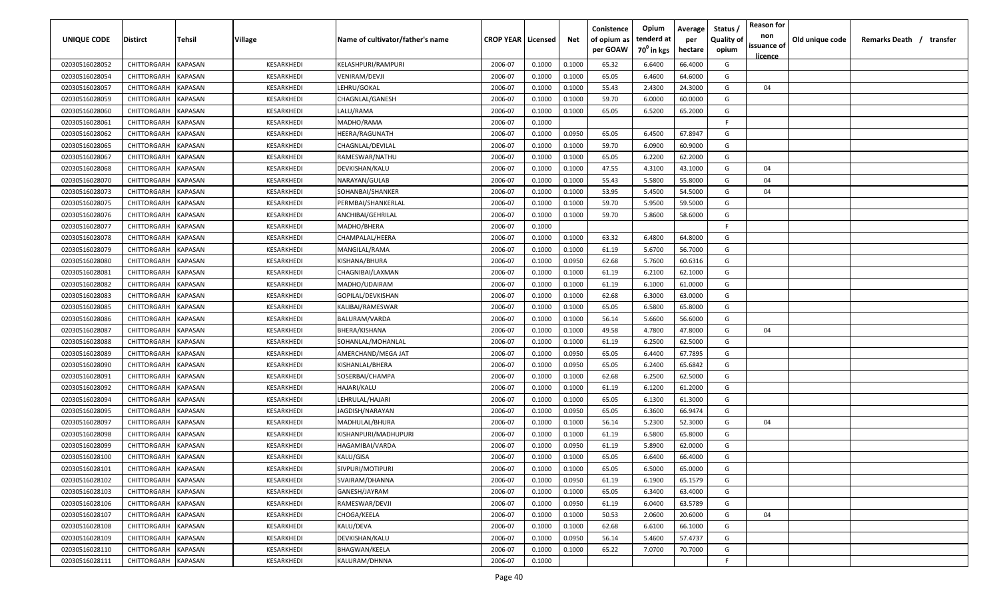| UNIQUE CODE    | <b>Distirct</b>     | Tehsil         | <b>Village</b> | Name of cultivator/father's name | <b>CROP YEAR Licensed</b> |        | Net    | Conistence<br>of opium as<br>per GOAW | Opium<br>tenderd at<br>70 <sup>0</sup> in kgs | Average<br>per<br>hectare | Status /<br><b>Quality of</b><br>opium | <b>Reason for</b><br>non<br>issuance of<br><u>licence</u> | Old unique code | Remarks Death /<br>transfer |
|----------------|---------------------|----------------|----------------|----------------------------------|---------------------------|--------|--------|---------------------------------------|-----------------------------------------------|---------------------------|----------------------------------------|-----------------------------------------------------------|-----------------|-----------------------------|
| 02030516028052 | CHITTORGARH         | <b>KAPASAN</b> | KESARKHEDI     | KELASHPURI/RAMPURI               | 2006-07                   | 0.1000 | 0.1000 | 65.32                                 | 6.6400                                        | 66.4000                   | G                                      |                                                           |                 |                             |
| 02030516028054 | CHITTORGARH         | <b>KAPASAN</b> | KESARKHEDI     | VENIRAM/DEVJI                    | 2006-07                   | 0.1000 | 0.1000 | 65.05                                 | 6.4600                                        | 64.6000                   | G                                      |                                                           |                 |                             |
| 02030516028057 | CHITTORGARH         | <b>KAPASAN</b> | KESARKHEDI     | LEHRU/GOKAL                      | 2006-07                   | 0.1000 | 0.1000 | 55.43                                 | 2.4300                                        | 24.3000                   | G                                      | 04                                                        |                 |                             |
| 02030516028059 | CHITTORGARH         | KAPASAN        | KESARKHEDI     | CHAGNLAL/GANESH                  | 2006-07                   | 0.1000 | 0.1000 | 59.70                                 | 6.0000                                        | 60.0000                   | G                                      |                                                           |                 |                             |
| 02030516028060 | CHITTORGARH         | KAPASAN        | KESARKHEDI     | LALU/RAMA                        | 2006-07                   | 0.1000 | 0.1000 | 65.05                                 | 6.5200                                        | 65.2000                   | G                                      |                                                           |                 |                             |
| 02030516028061 | CHITTORGARH         | KAPASAN        | KESARKHEDI     | MADHO/RAMA                       | 2006-07                   | 0.1000 |        |                                       |                                               |                           | F                                      |                                                           |                 |                             |
| 02030516028062 | CHITTORGARH         | <b>KAPASAN</b> | KESARKHEDI     | HEERA/RAGUNATH                   | 2006-07                   | 0.1000 | 0.0950 | 65.05                                 | 6.4500                                        | 67.8947                   | G                                      |                                                           |                 |                             |
| 02030516028065 | CHITTORGARH         | <b>KAPASAN</b> | KESARKHEDI     | CHAGNLAL/DEVILAL                 | 2006-07                   | 0.1000 | 0.1000 | 59.70                                 | 6.0900                                        | 60.9000                   | G                                      |                                                           |                 |                             |
| 02030516028067 | CHITTORGARH         | <b>KAPASAN</b> | KESARKHEDI     | RAMESWAR/NATHU                   | 2006-07                   | 0.1000 | 0.1000 | 65.05                                 | 6.2200                                        | 62.2000                   | G                                      |                                                           |                 |                             |
| 02030516028068 | CHITTORGARH         | <b>KAPASAN</b> | KESARKHEDI     | DEVKISHAN/KALU                   | 2006-07                   | 0.1000 | 0.1000 | 47.55                                 | 4.3100                                        | 43.1000                   | G                                      | 04                                                        |                 |                             |
| 02030516028070 | CHITTORGARH         | KAPASAN        | KESARKHEDI     | NARAYAN/GULAB                    | 2006-07                   | 0.1000 | 0.1000 | 55.43                                 | 5.5800                                        | 55.8000                   | G                                      | 04                                                        |                 |                             |
| 02030516028073 | CHITTORGARH         | KAPASAN        | KESARKHEDI     | SOHANBAI/SHANKER                 | 2006-07                   | 0.1000 | 0.1000 | 53.95                                 | 5.4500                                        | 54.5000                   | G                                      | 04                                                        |                 |                             |
| 02030516028075 | CHITTORGARH         | KAPASAN        | KESARKHEDI     | PERMBAI/SHANKERLAL               | 2006-07                   | 0.1000 | 0.1000 | 59.70                                 | 5.9500                                        | 59.5000                   | G                                      |                                                           |                 |                             |
| 02030516028076 | CHITTORGARH         | KAPASAN        | KESARKHEDI     | ANCHIBAI/GEHRILAL                | 2006-07                   | 0.1000 | 0.1000 | 59.70                                 | 5.8600                                        | 58.6000                   | G                                      |                                                           |                 |                             |
| 02030516028077 | CHITTORGARH         | <b>KAPASAN</b> | KESARKHEDI     | MADHO/BHERA                      | 2006-07                   | 0.1000 |        |                                       |                                               |                           | F.                                     |                                                           |                 |                             |
| 02030516028078 | CHITTORGARH         | <b>KAPASAN</b> | KESARKHEDI     | CHAMPALAL/HEERA                  | 2006-07                   | 0.1000 | 0.1000 | 63.32                                 | 6.4800                                        | 64.8000                   | G                                      |                                                           |                 |                             |
| 02030516028079 | <b>CHITTORGARH</b>  | <b>KAPASAN</b> | KESARKHEDI     | MANGILAL/RAMA                    | 2006-07                   | 0.1000 | 0.1000 | 61.19                                 | 5.6700                                        | 56.7000                   | G                                      |                                                           |                 |                             |
| 02030516028080 | CHITTORGARH         | <b>KAPASAN</b> | KESARKHEDI     | KISHANA/BHURA                    | 2006-07                   | 0.1000 | 0.0950 | 62.68                                 | 5.7600                                        | 60.6316                   | G                                      |                                                           |                 |                             |
| 02030516028081 | CHITTORGARH         | <b>KAPASAN</b> | KESARKHEDI     | CHAGNIBAI/LAXMAN                 | 2006-07                   | 0.1000 | 0.1000 | 61.19                                 | 6.2100                                        | 62.1000                   | G                                      |                                                           |                 |                             |
| 02030516028082 | CHITTORGARH         | <b>KAPASAN</b> | KESARKHEDI     | MADHO/UDAIRAM                    | 2006-07                   | 0.1000 | 0.1000 | 61.19                                 | 6.1000                                        | 61.0000                   | G                                      |                                                           |                 |                             |
| 02030516028083 | CHITTORGARH         | <b>KAPASAN</b> | KESARKHEDI     | GOPILAL/DEVKISHAN                | 2006-07                   | 0.1000 | 0.1000 | 62.68                                 | 6.3000                                        | 63.0000                   | G                                      |                                                           |                 |                             |
| 02030516028085 | CHITTORGARH         | <b>KAPASAN</b> | KESARKHEDI     | KALIBAI/RAMESWAR                 | 2006-07                   | 0.1000 | 0.1000 | 65.05                                 | 6.5800                                        | 65.8000                   | G                                      |                                                           |                 |                             |
| 02030516028086 | CHITTORGARH         | <b>KAPASAN</b> | KESARKHEDI     | BALURAM/VARDA                    | 2006-07                   | 0.1000 | 0.1000 | 56.14                                 | 5.6600                                        | 56.6000                   | G                                      |                                                           |                 |                             |
| 02030516028087 | CHITTORGARH         | <b>KAPASAN</b> | KESARKHEDI     | BHERA/KISHANA                    | 2006-07                   | 0.1000 | 0.1000 | 49.58                                 | 4.7800                                        | 47.8000                   | G                                      | 04                                                        |                 |                             |
| 02030516028088 | CHITTORGARH         | <b>KAPASAN</b> | KESARKHEDI     | SOHANLAL/MOHANLAL                | 2006-07                   | 0.1000 | 0.1000 | 61.19                                 | 6.2500                                        | 62.5000                   | G                                      |                                                           |                 |                             |
| 02030516028089 | CHITTORGARH         | <b>KAPASAN</b> | KESARKHEDI     | AMERCHAND/MEGA JAT               | 2006-07                   | 0.1000 | 0.0950 | 65.05                                 | 6.4400                                        | 67.7895                   | G                                      |                                                           |                 |                             |
| 02030516028090 | CHITTORGARH         | <b>KAPASAN</b> | KESARKHEDI     | KISHANLAL/BHERA                  | 2006-07                   | 0.1000 | 0.0950 | 65.05                                 | 6.2400                                        | 65.6842                   | G                                      |                                                           |                 |                             |
| 02030516028091 | CHITTORGARH         | KAPASAN        | KESARKHEDI     | SOSERBAI/CHAMPA                  | 2006-07                   | 0.1000 | 0.1000 | 62.68                                 | 6.2500                                        | 62.5000                   | G                                      |                                                           |                 |                             |
| 02030516028092 | CHITTORGARH         | KAPASAN        | KESARKHEDI     | HAJARI/KALU                      | 2006-07                   | 0.1000 | 0.1000 | 61.19                                 | 6.1200                                        | 61.2000                   | G                                      |                                                           |                 |                             |
| 02030516028094 | CHITTORGARH         | KAPASAN        | KESARKHEDI     | LEHRULAL/HAJARI                  | 2006-07                   | 0.1000 | 0.1000 | 65.05                                 | 6.1300                                        | 61.3000                   | G                                      |                                                           |                 |                             |
| 02030516028095 | CHITTORGARH         | KAPASAN        | KESARKHEDI     | JAGDISH/NARAYAN                  | 2006-07                   | 0.1000 | 0.0950 | 65.05                                 | 6.3600                                        | 66.9474                   | G                                      |                                                           |                 |                             |
| 02030516028097 | CHITTORGARH         | KAPASAN        | KESARKHEDI     | MADHULAL/BHURA                   | 2006-07                   | 0.1000 | 0.1000 | 56.14                                 | 5.2300                                        | 52.3000                   | G                                      | 04                                                        |                 |                             |
| 02030516028098 | CHITTORGARH         | <b>KAPASAN</b> | KESARKHEDI     | KISHANPURI/MADHUPURI             | 2006-07                   | 0.1000 | 0.1000 | 61.19                                 | 6.5800                                        | 65.8000                   | G                                      |                                                           |                 |                             |
| 02030516028099 | CHITTORGARH         | <b>KAPASAN</b> | KESARKHEDI     | HAGAMIBAI/VARDA                  | 2006-07                   | 0.1000 | 0.0950 | 61.19                                 | 5.8900                                        | 62.0000                   | G                                      |                                                           |                 |                             |
| 02030516028100 | <b>CHITTORGARH</b>  | <b>KAPASAN</b> | KESARKHEDI     | KALU/GISA                        | 2006-07                   | 0.1000 | 0.1000 | 65.05                                 | 6.6400                                        | 66.4000                   | G                                      |                                                           |                 |                             |
| 02030516028101 | CHITTORGARH KAPASAN |                | KESARKHEDI     | SIVPURI/MOTIPURI                 | 2006-07                   | 0.1000 | 0.1000 | 65.05                                 | 6.5000                                        | 65.0000                   | G                                      |                                                           |                 |                             |
| 02030516028102 | CHITTORGARH         | <b>KAPASAN</b> | KESARKHEDI     | SVAIRAM/DHANNA                   | 2006-07                   | 0.1000 | 0.0950 | 61.19                                 | 6.1900                                        | 65.1579                   | G                                      |                                                           |                 |                             |
| 02030516028103 | CHITTORGARH         | <b>KAPASAN</b> | KESARKHEDI     | GANESH/JAYRAM                    | 2006-07                   | 0.1000 | 0.1000 | 65.05                                 | 6.3400                                        | 63.4000                   | G                                      |                                                           |                 |                             |
| 02030516028106 | CHITTORGARH         | <b>KAPASAN</b> | KESARKHEDI     | RAMESWAR/DEVJI                   | 2006-07                   | 0.1000 | 0.0950 | 61.19                                 | 6.0400                                        | 63.5789                   | G                                      |                                                           |                 |                             |
| 02030516028107 | CHITTORGARH         | <b>KAPASAN</b> | KESARKHEDI     | CHOGA/KEELA                      | 2006-07                   | 0.1000 | 0.1000 | 50.53                                 | 2.0600                                        | 20.6000                   | G                                      | 04                                                        |                 |                             |
| 02030516028108 | CHITTORGARH         | <b>KAPASAN</b> | KESARKHEDI     | KALU/DEVA                        | 2006-07                   | 0.1000 | 0.1000 | 62.68                                 | 6.6100                                        | 66.1000                   | G                                      |                                                           |                 |                             |
| 02030516028109 | CHITTORGARH         | <b>KAPASAN</b> | KESARKHEDI     | DEVKISHAN/KALU                   | 2006-07                   | 0.1000 | 0.0950 | 56.14                                 | 5.4600                                        | 57.4737                   | G                                      |                                                           |                 |                             |
| 02030516028110 | <b>CHITTORGARH</b>  | <b>KAPASAN</b> | KESARKHEDI     | BHAGWAN/KEELA                    | 2006-07                   | 0.1000 | 0.1000 | 65.22                                 | 7.0700                                        | 70.7000                   | G                                      |                                                           |                 |                             |
| 02030516028111 | CHITTORGARH         | <b>KAPASAN</b> | KESARKHEDI     | KALURAM/DHNNA                    | 2006-07                   | 0.1000 |        |                                       |                                               |                           | F.                                     |                                                           |                 |                             |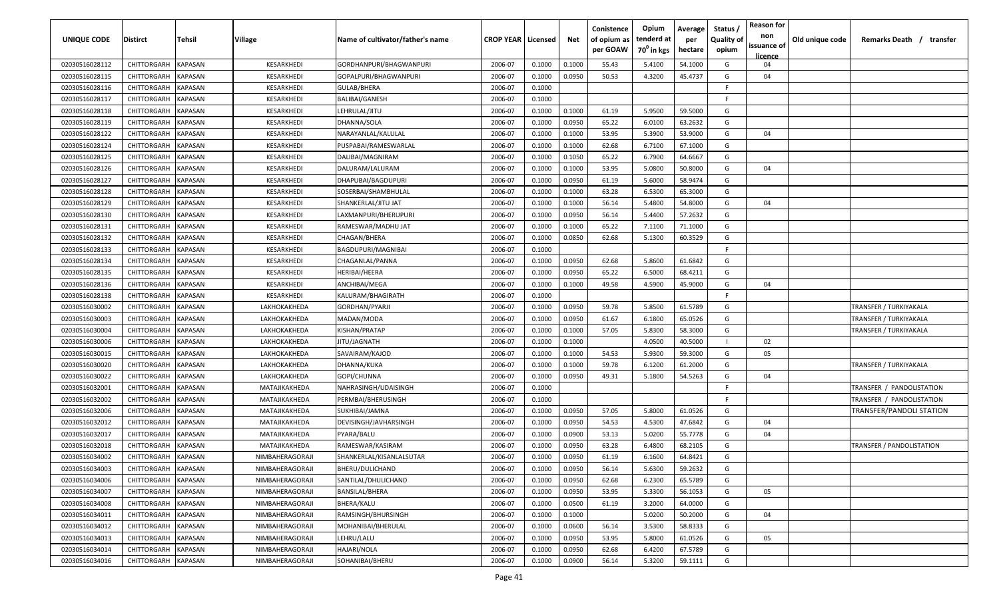| UNIQUE CODE    | <b>Distirct</b>     | Tehsil         | <b>Village</b>      | Name of cultivator/father's name | <b>CROP YEAR Licensed</b> |        | Net    | Conistence<br>of opium as<br>per GOAW | Opium<br>tenderd at<br>70 <sup>0</sup> in kgs | Average<br>per<br>hectare | Status /<br><b>Quality of</b><br>opium | <b>Reason for</b><br>non<br>issuance of | Old unique code | Remarks Death /<br>transfer |
|----------------|---------------------|----------------|---------------------|----------------------------------|---------------------------|--------|--------|---------------------------------------|-----------------------------------------------|---------------------------|----------------------------------------|-----------------------------------------|-----------------|-----------------------------|
| 02030516028112 | CHITTORGARH         | <b>KAPASAN</b> | KESARKHEDI          | GORDHANPURI/BHAGWANPURI          | 2006-07                   | 0.1000 | 0.1000 | 55.43                                 | 5.4100                                        | 54.1000                   | G                                      | <u>licence</u><br>04                    |                 |                             |
| 02030516028115 | CHITTORGARH         | <b>KAPASAN</b> | <b>KESARKHEDI</b>   | GOPALPURI/BHAGWANPURI            | 2006-07                   | 0.1000 | 0.0950 | 50.53                                 | 4.3200                                        | 45.4737                   | G                                      | 04                                      |                 |                             |
| 02030516028116 | CHITTORGARH         | <b>KAPASAN</b> | KESARKHEDI          | GULAB/BHERA                      | 2006-07                   | 0.1000 |        |                                       |                                               |                           | E.                                     |                                         |                 |                             |
| 02030516028117 | CHITTORGARH         | KAPASAN        | KESARKHEDI          | BALIBAI/GANESH                   | 2006-07                   | 0.1000 |        |                                       |                                               |                           | F.                                     |                                         |                 |                             |
| 02030516028118 | CHITTORGARH         | KAPASAN        | KESARKHEDI          | LEHRULAL/JITU                    | 2006-07                   | 0.1000 | 0.1000 | 61.19                                 | 5.9500                                        | 59.5000                   | G                                      |                                         |                 |                             |
| 02030516028119 | CHITTORGARH         | KAPASAN        | KESARKHEDI          | DHANNA/SOLA                      | 2006-07                   | 0.1000 | 0.0950 | 65.22                                 | 6.0100                                        | 63.2632                   | G                                      |                                         |                 |                             |
| 02030516028122 | CHITTORGARH         | <b>KAPASAN</b> | KESARKHEDI          | NARAYANLAL/KALULAL               | 2006-07                   | 0.1000 | 0.1000 | 53.95                                 | 5.3900                                        | 53.9000                   | G                                      | 04                                      |                 |                             |
| 02030516028124 | <b>CHITTORGARH</b>  | <b>KAPASAN</b> | <b>KESARKHEDI</b>   | PUSPABAI/RAMESWARLAL             | 2006-07                   | 0.1000 | 0.1000 | 62.68                                 | 6.7100                                        | 67.1000                   | G                                      |                                         |                 |                             |
| 02030516028125 | CHITTORGARH         | KAPASAN        | KESARKHEDI          | DALIBAI/MAGNIRAM                 | 2006-07                   | 0.1000 | 0.1050 | 65.22                                 | 6.7900                                        | 64.6667                   | G                                      |                                         |                 |                             |
| 02030516028126 | CHITTORGARH         | KAPASAN        | KESARKHEDI          | DALURAM/LALURAM                  | 2006-07                   | 0.1000 | 0.1000 | 53.95                                 | 5.0800                                        | 50.8000                   | G                                      | 04                                      |                 |                             |
| 02030516028127 | CHITTORGARH         | <b>KAPASAN</b> | KESARKHEDI          | DHAPUBAI/BAGDUPURI               | 2006-07                   | 0.1000 | 0.0950 | 61.19                                 | 5.6000                                        | 58.9474                   | G                                      |                                         |                 |                             |
| 02030516028128 | CHITTORGARH         | KAPASAN        | KESARKHEDI          | SOSERBAI/SHAMBHULAL              | 2006-07                   | 0.1000 | 0.1000 | 63.28                                 | 6.5300                                        | 65.3000                   | G                                      |                                         |                 |                             |
| 02030516028129 | CHITTORGARH         | KAPASAN        | KESARKHEDI          | SHANKERLAL/JITU JAT              | 2006-07                   | 0.1000 | 0.1000 | 56.14                                 | 5.4800                                        | 54.8000                   | G                                      | 04                                      |                 |                             |
| 02030516028130 | CHITTORGARH         | KAPASAN        | KESARKHEDI          | LAXMANPURI/BHERUPURI             | 2006-07                   | 0.1000 | 0.0950 | 56.14                                 | 5.4400                                        | 57.2632                   | G                                      |                                         |                 |                             |
| 02030516028131 | CHITTORGARH         | <b>KAPASAN</b> | KESARKHEDI          | RAMESWAR/MADHU JAT               | 2006-07                   | 0.1000 | 0.1000 | 65.22                                 | 7.1100                                        | 71.1000                   | G                                      |                                         |                 |                             |
| 02030516028132 | CHITTORGARH         | <b>KAPASAN</b> | KESARKHEDI          | CHAGAN/BHERA                     | 2006-07                   | 0.1000 | 0.0850 | 62.68                                 | 5.1300                                        | 60.3529                   | G                                      |                                         |                 |                             |
| 02030516028133 | CHITTORGARH         | <b>KAPASAN</b> | KESARKHEDI          | BAGDUPURI/MAGNIBAI               | 2006-07                   | 0.1000 |        |                                       |                                               |                           | F.                                     |                                         |                 |                             |
| 02030516028134 | CHITTORGARH         | <b>KAPASAN</b> | KESARKHEDI          | CHAGANLAL/PANNA                  | 2006-07                   | 0.1000 | 0.0950 | 62.68                                 | 5.8600                                        | 61.6842                   | G                                      |                                         |                 |                             |
| 02030516028135 | CHITTORGARH         | <b>KAPASAN</b> | KESARKHEDI          | HERIBAI/HEERA                    | 2006-07                   | 0.1000 | 0.0950 | 65.22                                 | 6.5000                                        | 68.4211                   | G                                      |                                         |                 |                             |
| 02030516028136 | CHITTORGARH         | <b>KAPASAN</b> | KESARKHEDI          | ANCHIBAI/MEGA                    | 2006-07                   | 0.1000 | 0.1000 | 49.58                                 | 4.5900                                        | 45.9000                   | G                                      | 04                                      |                 |                             |
| 02030516028138 | CHITTORGARH         | <b>KAPASAN</b> | KESARKHEDI          | KALURAM/BHAGIRATH                | 2006-07                   | 0.1000 |        |                                       |                                               |                           | E                                      |                                         |                 |                             |
| 02030516030002 | CHITTORGARH         | <b>KAPASAN</b> | <b>LAKHOKAKHEDA</b> | GORDHAN/PYARJI                   | 2006-07                   | 0.1000 | 0.0950 | 59.78                                 | 5.8500                                        | 61.5789                   | G                                      |                                         |                 | TRANSFER / TURKIYAKALA      |
| 02030516030003 | CHITTORGARH         | KAPASAN        | <b>LAKHOKAKHEDA</b> | MADAN/MODA                       | 2006-07                   | 0.1000 | 0.0950 | 61.67                                 | 6.1800                                        | 65.0526                   | G                                      |                                         |                 | TRANSFER / TURKIYAKALA      |
| 02030516030004 | CHITTORGARH         | <b>KAPASAN</b> | <b>LAKHOKAKHEDA</b> | KISHAN/PRATAP                    | 2006-07                   | 0.1000 | 0.1000 | 57.05                                 | 5.8300                                        | 58.3000                   | G                                      |                                         |                 | TRANSFER / TURKIYAKALA      |
| 02030516030006 | CHITTORGARH         | <b>KAPASAN</b> | <b>LAKHOKAKHEDA</b> | JITU/JAGNATH                     | 2006-07                   | 0.1000 | 0.1000 |                                       | 4.0500                                        | 40.5000                   |                                        | 02                                      |                 |                             |
| 02030516030015 | CHITTORGARH         | <b>KAPASAN</b> | <b>LAKHOKAKHEDA</b> | SAVAIRAM/KAJOD                   | 2006-07                   | 0.1000 | 0.1000 | 54.53                                 | 5.9300                                        | 59.3000                   | G                                      | 05                                      |                 |                             |
| 02030516030020 | CHITTORGARH         | <b>KAPASAN</b> | LAKHOKAKHEDA        | DHANNA/KUKA                      | 2006-07                   | 0.1000 | 0.1000 | 59.78                                 | 6.1200                                        | 61.2000                   | G                                      |                                         |                 | TRANSFER / TURKIYAKALA      |
| 02030516030022 | CHITTORGARH         | <b>KAPASAN</b> | LAKHOKAKHEDA        | GOPI/CHUNNA                      | 2006-07                   | 0.1000 | 0.0950 | 49.31                                 | 5.1800                                        | 54.5263                   | G                                      | 04                                      |                 |                             |
| 02030516032001 | CHITTORGARH         | <b>KAPASAN</b> | MATAJIKAKHEDA       | NAHRASINGH/UDAISINGH             | 2006-07                   | 0.1000 |        |                                       |                                               |                           | E.                                     |                                         |                 | TRANSFER / PANDOLISTATION   |
| 02030516032002 | CHITTORGARH         | KAPASAN        | MATAJIKAKHEDA       | PERMBAI/BHERUSINGH               | 2006-07                   | 0.1000 |        |                                       |                                               |                           | $\mathsf{E}$                           |                                         |                 | TRANSFER / PANDOLISTATION   |
| 02030516032006 | CHITTORGARH         | KAPASAN        | MATAJIKAKHEDA       | SUKHIBAI/JAMNA                   | 2006-07                   | 0.1000 | 0.0950 | 57.05                                 | 5.8000                                        | 61.0526                   | G                                      |                                         |                 | TRANSFER/PANDOLI STATION    |
| 02030516032012 | CHITTORGARH         | KAPASAN        | MATAJIKAKHEDA       | DEVISINGH/JAVHARSINGH            | 2006-07                   | 0.1000 | 0.0950 | 54.53                                 | 4.5300                                        | 47.6842                   | G                                      | 04                                      |                 |                             |
| 02030516032017 | CHITTORGARH         | <b>KAPASAN</b> | MATAJIKAKHEDA       | PYARA/BALU                       | 2006-07                   | 0.1000 | 0.0900 | 53.13                                 | 5.0200                                        | 55.7778                   | G                                      | 04                                      |                 |                             |
| 02030516032018 | CHITTORGARH         | <b>KAPASAN</b> | MATAJIKAKHEDA       | RAMESWAR/KASIRAM                 | 2006-07                   | 0.1000 | 0.0950 | 63.28                                 | 6.4800                                        | 68.2105                   | G                                      |                                         |                 | TRANSFER / PANDOLISTATION   |
| 02030516034002 | <b>CHITTORGARH</b>  | <b>KAPASAN</b> | NIMBAHERAGORAJI     | SHANKERLAL/KISANLALSUTAR         | 2006-07                   | 0.1000 | 0.0950 | 61.19                                 | 6.1600                                        | 64.8421                   | G                                      |                                         |                 |                             |
| 02030516034003 | CHITTORGARH KAPASAN |                | NIMBAHERAGORAJI     | BHERU/DULICHAND                  | 2006-07                   | 0.1000 | 0.0950 | 56.14                                 | 5.6300                                        | 59.2632                   | G                                      |                                         |                 |                             |
| 02030516034006 | CHITTORGARH         | <b>KAPASAN</b> | NIMBAHERAGORAJI     | SANTILAL/DHULICHAND              | 2006-07                   | 0.1000 | 0.0950 | 62.68                                 | 6.2300                                        | 65.5789                   | G                                      |                                         |                 |                             |
| 02030516034007 | CHITTORGARH         | <b>KAPASAN</b> | NIMBAHERAGORAJI     | BANSILAL/BHERA                   | 2006-07                   | 0.1000 | 0.0950 | 53.95                                 | 5.3300                                        | 56.1053                   | G                                      | 05                                      |                 |                             |
| 02030516034008 | CHITTORGARH         | <b>KAPASAN</b> | NIMBAHERAGORAJI     | BHERA/KALU                       | 2006-07                   | 0.1000 | 0.0500 | 61.19                                 | 3.2000                                        | 64.0000                   | G                                      |                                         |                 |                             |
| 02030516034011 | CHITTORGARH         | <b>KAPASAN</b> | NIMBAHERAGORAJI     | RAMSINGH/BHURSINGH               | 2006-07                   | 0.1000 | 0.1000 |                                       | 5.0200                                        | 50.2000                   | G                                      | 04                                      |                 |                             |
| 02030516034012 | CHITTORGARH         | <b>KAPASAN</b> | NIMBAHERAGORAJI     | MOHANIBAI/BHERULAL               | 2006-07                   | 0.1000 | 0.0600 | 56.14                                 | 3.5300                                        | 58.8333                   | G                                      |                                         |                 |                             |
| 02030516034013 | CHITTORGARH         | <b>KAPASAN</b> | NIMBAHERAGORAJI     | LEHRU/LALU                       | 2006-07                   | 0.1000 | 0.0950 | 53.95                                 | 5.8000                                        | 61.0526                   | G                                      | 05                                      |                 |                             |
| 02030516034014 | CHITTORGARH         | <b>KAPASAN</b> | NIMBAHERAGORAJI     | HAJARI/NOLA                      | 2006-07                   | 0.1000 | 0.0950 | 62.68                                 | 6.4200                                        | 67.5789                   | G                                      |                                         |                 |                             |
| 02030516034016 | CHITTORGARH KAPASAN |                | NIMBAHERAGORAJI     | SOHANIBAI/BHERU                  | 2006-07                   | 0.1000 | 0.0900 | 56.14                                 | 5.3200                                        | 59.1111                   | G                                      |                                         |                 |                             |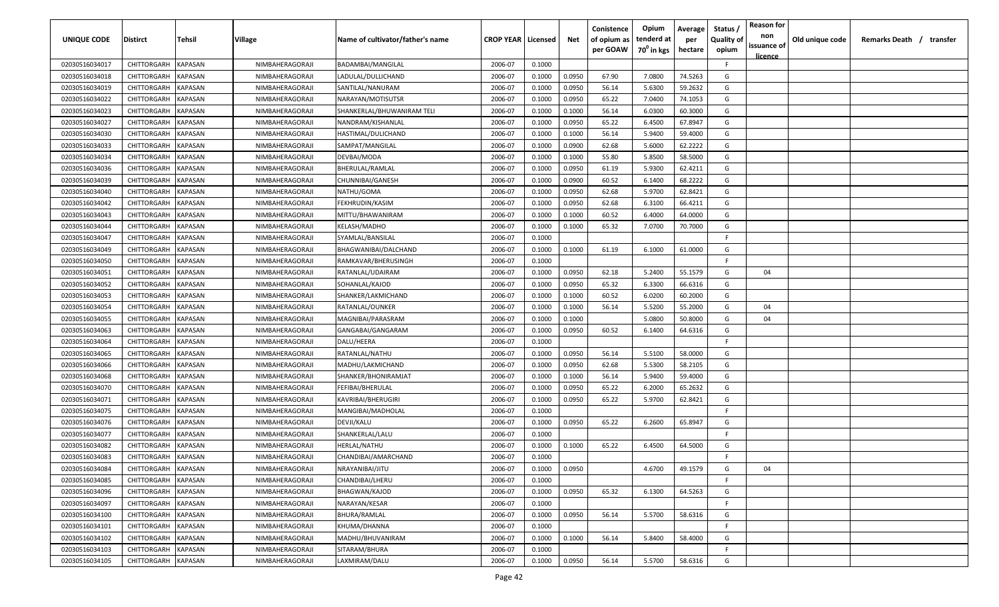| UNIQUE CODE    | Distirct            | Tehsil         | <b>Village</b>  | Name of cultivator/father's name | <b>CROP YEAR   Licensed</b> |        | Net    | Conistence<br>of opium as | Opium<br>tenderd at    | Average<br>per | Status /<br><b>Quality of</b> | <b>Reason for</b><br>non | Old unique code | Remarks Death / transfer |
|----------------|---------------------|----------------|-----------------|----------------------------------|-----------------------------|--------|--------|---------------------------|------------------------|----------------|-------------------------------|--------------------------|-----------------|--------------------------|
|                |                     |                |                 |                                  |                             |        |        | per GOAW                  | 70 <sup>0</sup> in kgs | hectare        | opium                         | issuance of<br>licence   |                 |                          |
| 02030516034017 | CHITTORGARH         | <b>KAPASAN</b> | NIMBAHERAGORAJI | BADAMBAI/MANGILAL                | 2006-07                     | 0.1000 |        |                           |                        |                | F.                            |                          |                 |                          |
| 02030516034018 | CHITTORGARH         | <b>KAPASAN</b> | NIMBAHERAGORAJI | LADULAL/DULLICHAND               | 2006-07                     | 0.1000 | 0.0950 | 67.90                     | 7.0800                 | 74.5263        | G                             |                          |                 |                          |
| 02030516034019 | CHITTORGARH         | KAPASAN        | NIMBAHERAGORAJI | SANTILAL/NANURAM                 | 2006-07                     | 0.1000 | 0.0950 | 56.14                     | 5.6300                 | 59.2632        | G                             |                          |                 |                          |
| 02030516034022 | CHITTORGARH         | KAPASAN        | NIMBAHERAGORAJI | NARAYAN/MOTISUTSR                | 2006-07                     | 0.1000 | 0.0950 | 65.22                     | 7.0400                 | 74.1053        | G                             |                          |                 |                          |
| 02030516034023 | CHITTORGARH         | KAPASAN        | NIMBAHERAGORAJI | SHANKERLAL/BHUWANIRAM TELI       | 2006-07                     | 0.1000 | 0.1000 | 56.14                     | 6.0300                 | 60.3000        | G                             |                          |                 |                          |
| 02030516034027 | CHITTORGARH         | <b>KAPASAN</b> | NIMBAHERAGORAJI | NANDRAM/KISHANLAL                | 2006-07                     | 0.1000 | 0.0950 | 65.22                     | 6.4500                 | 67.8947        | G                             |                          |                 |                          |
| 02030516034030 | CHITTORGARH         | <b>KAPASAN</b> | NIMBAHERAGORAJI | HASTIMAL/DULICHAND               | 2006-07                     | 0.1000 | 0.1000 | 56.14                     | 5.9400                 | 59.4000        | G                             |                          |                 |                          |
| 02030516034033 | CHITTORGARH         | <b>KAPASAN</b> | NIMBAHERAGORAJI | SAMPAT/MANGILAL                  | 2006-07                     | 0.1000 | 0.0900 | 62.68                     | 5.6000                 | 62.2222        | G                             |                          |                 |                          |
| 02030516034034 | CHITTORGARH         | <b>KAPASAN</b> | NIMBAHERAGORAJI | DEVBAI/MODA                      | 2006-07                     | 0.1000 | 0.1000 | 55.80                     | 5.8500                 | 58.5000        | G                             |                          |                 |                          |
| 02030516034036 | CHITTORGARH         | <b>KAPASAN</b> | NIMBAHERAGORAJI | BHERULAL/RAMLAL                  | 2006-07                     | 0.1000 | 0.0950 | 61.19                     | 5.9300                 | 62.4211        | G                             |                          |                 |                          |
| 02030516034039 | CHITTORGARH         | KAPASAN        | NIMBAHERAGORAJI | CHUNNIBAI/GANESH                 | 2006-07                     | 0.1000 | 0.0900 | 60.52                     | 6.1400                 | 68.2222        | G                             |                          |                 |                          |
| 02030516034040 | CHITTORGARH         | <b>KAPASAN</b> | NIMBAHERAGORAJI | NATHU/GOMA                       | 2006-07                     | 0.1000 | 0.0950 | 62.68                     | 5.9700                 | 62.8421        | G                             |                          |                 |                          |
| 02030516034042 | CHITTORGARH         | <b>KAPASAN</b> | NIMBAHERAGORAJI | FEKHRUDIN/KASIM                  | 2006-07                     | 0.1000 | 0.0950 | 62.68                     | 6.3100                 | 66.4211        | G                             |                          |                 |                          |
| 02030516034043 | CHITTORGARH         | <b>KAPASAN</b> | NIMBAHERAGORAJI | MITTU/BHAWANIRAM                 | 2006-07                     | 0.1000 | 0.1000 | 60.52                     | 6.4000                 | 64.0000        | G                             |                          |                 |                          |
| 02030516034044 | <b>CHITTORGARH</b>  | <b>KAPASAN</b> | NIMBAHERAGORAJI | KELASH/MADHO                     | 2006-07                     | 0.1000 | 0.1000 | 65.32                     | 7.0700                 | 70.7000        | G                             |                          |                 |                          |
| 02030516034047 | CHITTORGARH         | <b>KAPASAN</b> | NIMBAHERAGORAJI | SYAMLAL/BANSILAL                 | 2006-07                     | 0.1000 |        |                           |                        |                | E.                            |                          |                 |                          |
| 02030516034049 | <b>CHITTORGARH</b>  | <b>KAPASAN</b> | NIMBAHERAGORAJI | BHAGWANIBAI/DALCHAND             | 2006-07                     | 0.1000 | 0.1000 | 61.19                     | 6.1000                 | 61.0000        | G                             |                          |                 |                          |
| 02030516034050 | CHITTORGARH         | <b>KAPASAN</b> | NIMBAHERAGORAJI | RAMKAVAR/BHERUSINGH              | 2006-07                     | 0.1000 |        |                           |                        |                | F.                            |                          |                 |                          |
| 02030516034051 | CHITTORGARH         | KAPASAN        | NIMBAHERAGORAJI | RATANLAL/UDAIRAM                 | 2006-07                     | 0.1000 | 0.0950 | 62.18                     | 5.2400                 | 55.1579        | G                             | 04                       |                 |                          |
| 02030516034052 | CHITTORGARH         | <b>KAPASAN</b> | NIMBAHERAGORAJI | SOHANLAL/KAJOD                   | 2006-07                     | 0.1000 | 0.0950 | 65.32                     | 6.3300                 | 66.6316        | G                             |                          |                 |                          |
| 02030516034053 | CHITTORGARH         | <b>KAPASAN</b> | NIMBAHERAGORAJI | SHANKER/LAKMICHAND               | 2006-07                     | 0.1000 | 0.1000 | 60.52                     | 6.0200                 | 60.2000        | G                             |                          |                 |                          |
| 02030516034054 | CHITTORGARH         | <b>KAPASAN</b> | NIMBAHERAGORAJI | RATANLAL/OUNKER                  | 2006-07                     | 0.1000 | 0.1000 | 56.14                     | 5.5200                 | 55.2000        | G                             | 04                       |                 |                          |
| 02030516034055 | CHITTORGARH         | <b>KAPASAN</b> | NIMBAHERAGORAJI | MAGNIBAI/PARASRAM                | 2006-07                     | 0.1000 | 0.1000 |                           | 5.0800                 | 50.8000        | G                             | 04                       |                 |                          |
| 02030516034063 | CHITTORGARH         | <b>KAPASAN</b> | NIMBAHERAGORAJI | GANGABAI/GANGARAM                | 2006-07                     | 0.1000 | 0.0950 | 60.52                     | 6.1400                 | 64.6316        | G                             |                          |                 |                          |
| 02030516034064 | CHITTORGARH         | <b>KAPASAN</b> | NIMBAHERAGORAJI | DALU/HEERA                       | 2006-07                     | 0.1000 |        |                           |                        |                | F.                            |                          |                 |                          |
| 02030516034065 | CHITTORGARH         | <b>KAPASAN</b> | NIMBAHERAGORAJI | RATANLAL/NATHU                   | 2006-07                     | 0.1000 | 0.0950 | 56.14                     | 5.5100                 | 58.0000        | G                             |                          |                 |                          |
| 02030516034066 | CHITTORGARH         | <b>KAPASAN</b> | NIMBAHERAGORAJI | MADHU/LAKMICHAND                 | 2006-07                     | 0.1000 | 0.0950 | 62.68                     | 5.5300                 | 58.2105        | G                             |                          |                 |                          |
| 02030516034068 | CHITTORGARH         | <b>KAPASAN</b> | NIMBAHERAGORAJI | SHANKER/BHONIRAMJAT              | 2006-07                     | 0.1000 | 0.1000 | 56.14                     | 5.9400                 | 59.4000        | G                             |                          |                 |                          |
| 02030516034070 | CHITTORGARH         | <b>KAPASAN</b> | NIMBAHERAGORAJI | FEFIBAI/BHERULAL                 | 2006-07                     | 0.1000 | 0.0950 | 65.22                     | 6.2000                 | 65.2632        | G                             |                          |                 |                          |
| 02030516034071 | CHITTORGARH         | <b>KAPASAN</b> | NIMBAHERAGORAJI | KAVRIBAI/BHERUGIRI               | 2006-07                     | 0.1000 | 0.0950 | 65.22                     | 5.9700                 | 62.8421        | G                             |                          |                 |                          |
| 02030516034075 | CHITTORGARH         | <b>KAPASAN</b> | NIMBAHERAGORAJI | MANGIBAI/MADHOLAL                | 2006-07                     | 0.1000 |        |                           |                        |                | F.                            |                          |                 |                          |
| 02030516034076 | CHITTORGARH         | <b>KAPASAN</b> | NIMBAHERAGORAJI | DEVJI/KALU                       | 2006-07                     | 0.1000 | 0.0950 | 65.22                     | 6.2600                 | 65.8947        | G                             |                          |                 |                          |
| 02030516034077 | CHITTORGARH         | <b>KAPASAN</b> | NIMBAHERAGORAJI | SHANKERLAL/LALU                  | 2006-07                     | 0.1000 |        |                           |                        |                | E                             |                          |                 |                          |
| 02030516034082 | CHITTORGARH         | <b>KAPASAN</b> | NIMBAHERAGORAJI | <b>HERLAL/NATHU</b>              | 2006-07                     | 0.1000 | 0.1000 | 65.22                     | 6.4500                 | 64.5000        | G                             |                          |                 |                          |
| 02030516034083 | <b>CHITTORGARH</b>  | <b>KAPASAN</b> | NIMBAHERAGORAJI | CHANDIBAI/AMARCHAND              | 2006-07                     | 0.1000 |        |                           |                        |                | F                             |                          |                 |                          |
| 02030516034084 | CHITTORGARH KAPASAN |                | NIMBAHERAGORAJI | NRAYANIBAI/JITU                  | 2006-07                     | 0.1000 | 0.0950 |                           | 4.6700                 | 49.1579        | G                             | 04                       |                 |                          |
| 02030516034085 | CHITTORGARH         | <b>KAPASAN</b> | NIMBAHERAGORAJI | CHANDIBAI/LHERU                  | 2006-07                     | 0.1000 |        |                           |                        |                | F.                            |                          |                 |                          |
| 02030516034096 | CHITTORGARH         | <b>KAPASAN</b> | NIMBAHERAGORAJI | BHAGWAN/KAJOD                    | 2006-07                     | 0.1000 | 0.0950 | 65.32                     | 6.1300                 | 64.5263        | G                             |                          |                 |                          |
| 02030516034097 | CHITTORGARH         | <b>KAPASAN</b> | NIMBAHERAGORAJI | NARAYAN/KESAR                    | 2006-07                     | 0.1000 |        |                           |                        |                | F.                            |                          |                 |                          |
| 02030516034100 | CHITTORGARH         | <b>KAPASAN</b> | NIMBAHERAGORAJI | BHURA/RAMLAL                     | 2006-07                     | 0.1000 | 0.0950 | 56.14                     | 5.5700                 | 58.6316        | G                             |                          |                 |                          |
| 02030516034101 | CHITTORGARH         | <b>KAPASAN</b> | NIMBAHERAGORAJI | KHUMA/DHANNA                     | 2006-07                     | 0.1000 |        |                           |                        |                | F.                            |                          |                 |                          |
| 02030516034102 | CHITTORGARH         | <b>KAPASAN</b> | NIMBAHERAGORAJI | MADHU/BHUVANIRAM                 | 2006-07                     | 0.1000 | 0.1000 | 56.14                     | 5.8400                 | 58.4000        | G                             |                          |                 |                          |
| 02030516034103 | CHITTORGARH         | <b>KAPASAN</b> | NIMBAHERAGORAJI | SITARAM/BHURA                    | 2006-07                     | 0.1000 |        |                           |                        |                | F.                            |                          |                 |                          |
| 02030516034105 | CHITTORGARH KAPASAN |                | NIMBAHERAGORAJI | LAXMIRAM/DALU                    | 2006-07                     | 0.1000 | 0.0950 | 56.14                     | 5.5700                 | 58.6316        | G                             |                          |                 |                          |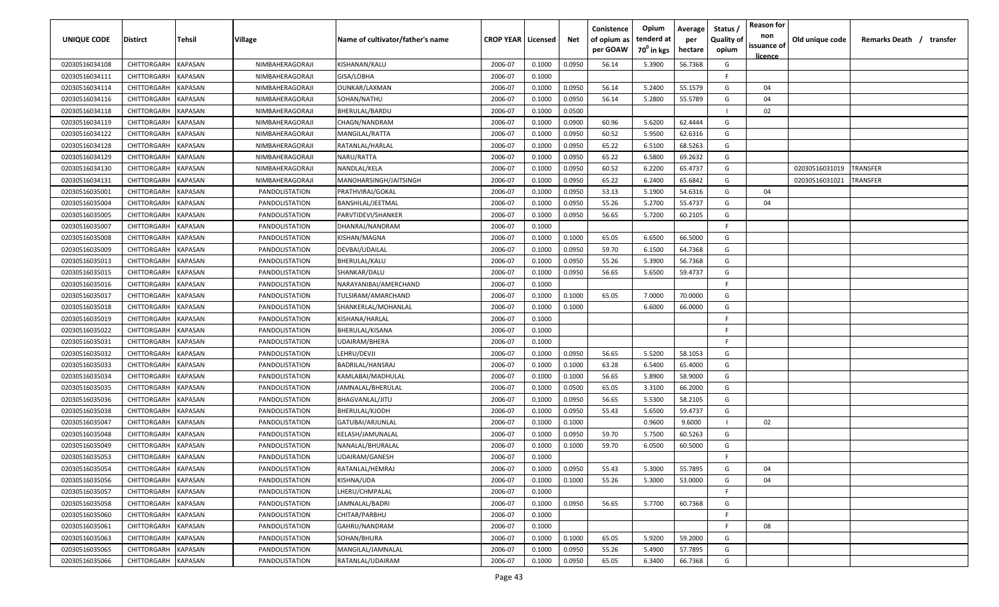| UNIQUE CODE    | <b>Distirct</b>     | Tehsil         | <b>Village</b>  | Name of cultivator/father's name | <b>CROP YEAR Licensed</b> |        | Net    | Conistence<br>of opium as | Opium<br>tenderd at    | Average<br>per | Status /<br><b>Quality of</b> | <b>Reason for</b><br>non<br>issuance of | Old unique code | Remarks Death /<br>transfer |
|----------------|---------------------|----------------|-----------------|----------------------------------|---------------------------|--------|--------|---------------------------|------------------------|----------------|-------------------------------|-----------------------------------------|-----------------|-----------------------------|
|                |                     |                |                 |                                  |                           |        |        | per GOAW                  | 70 <sup>0</sup> in kgs | hectare        | opium                         | <u>licence</u>                          |                 |                             |
| 02030516034108 | CHITTORGARH         | <b>KAPASAN</b> | NIMBAHERAGORAJI | KISHANAN/KALU                    | 2006-07                   | 0.1000 | 0.0950 | 56.14                     | 5.3900                 | 56.7368        | G                             |                                         |                 |                             |
| 02030516034111 | CHITTORGARH         | <b>KAPASAN</b> | NIMBAHERAGORAJI | GISA/LOBHA                       | 2006-07                   | 0.1000 |        |                           |                        |                | -F.                           |                                         |                 |                             |
| 02030516034114 | CHITTORGARH         | KAPASAN        | NIMBAHERAGORAJI | OUNKAR/LAXMAN                    | 2006-07                   | 0.1000 | 0.0950 | 56.14                     | 5.2400                 | 55.1579        | G                             | 04                                      |                 |                             |
| 02030516034116 | CHITTORGARH         | <b>KAPASAN</b> | NIMBAHERAGORAJI | SOHAN/NATHU                      | 2006-07                   | 0.1000 | 0.0950 | 56.14                     | 5.2800                 | 55.5789        | G                             | 04                                      |                 |                             |
| 02030516034118 | CHITTORGARH         | KAPASAN        | NIMBAHERAGORAJI | BHERULAL/BARDU                   | 2006-07                   | 0.1000 | 0.0500 |                           |                        |                |                               | 02                                      |                 |                             |
| 02030516034119 | CHITTORGARH         | <b>KAPASAN</b> | NIMBAHERAGORAJI | CHAGN/NANDRAM                    | 2006-07                   | 0.1000 | 0.0900 | 60.96                     | 5.6200                 | 62.4444        | G                             |                                         |                 |                             |
| 02030516034122 | <b>CHITTORGARH</b>  | <b>KAPASAN</b> | NIMBAHERAGORAJI | MANGILAL/RATTA                   | 2006-07                   | 0.1000 | 0.0950 | 60.52                     | 5.9500                 | 62.6316        | G                             |                                         |                 |                             |
| 02030516034128 | CHITTORGARH         | KAPASAN        | NIMBAHERAGORAJI | RATANLAL/HARLAL                  | 2006-07                   | 0.1000 | 0.0950 | 65.22                     | 6.5100                 | 68.5263        | G                             |                                         |                 |                             |
| 02030516034129 | CHITTORGARH         | <b>KAPASAN</b> | NIMBAHERAGORAJI | NARU/RATTA                       | 2006-07                   | 0.1000 | 0.0950 | 65.22                     | 6.5800                 | 69.2632        | G                             |                                         |                 |                             |
| 02030516034130 | CHITTORGARH         | KAPASAN        | NIMBAHERAGORAJI | NANDLAL/KELA                     | 2006-07                   | 0.1000 | 0.0950 | 60.52                     | 6.2200                 | 65.4737        | G                             |                                         | 02030516031019  | TRANSFER                    |
| 02030516034131 | CHITTORGARH         | KAPASAN        | NIMBAHERAGORAJI | MANOHARSINGH/JAITSINGH           | 2006-07                   | 0.1000 | 0.0950 | 65.22                     | 6.2400                 | 65.6842        | G                             |                                         | 02030516031021  | TRANSFER                    |
| 02030516035001 | CHITTORGARH         | <b>KAPASAN</b> | PANDOLISTATION  | PRATHVIRAJ/GOKAL                 | 2006-07                   | 0.1000 | 0.0950 | 53.13                     | 5.1900                 | 54.6316        | G                             | 04                                      |                 |                             |
| 02030516035004 | CHITTORGARH         | KAPASAN        | PANDOLISTATION  | BANSHILAL/JEETMAL                | 2006-07                   | 0.1000 | 0.0950 | 55.26                     | 5.2700                 | 55.4737        | G                             | 04                                      |                 |                             |
| 02030516035005 | CHITTORGARH         | <b>KAPASAN</b> | PANDOLISTATION  | PARVTIDEVI/SHANKER               | 2006-07                   | 0.1000 | 0.0950 | 56.65                     | 5.7200                 | 60.2105        | G                             |                                         |                 |                             |
| 02030516035007 | CHITTORGARH         | <b>KAPASAN</b> | PANDOLISTATION  | DHANRAJ/NANDRAM                  | 2006-07                   | 0.1000 |        |                           |                        |                | F.                            |                                         |                 |                             |
| 02030516035008 | CHITTORGARH         | <b>KAPASAN</b> | PANDOLISTATION  | KISHAN/MAGNA                     | 2006-07                   | 0.1000 | 0.1000 | 65.05                     | 6.6500                 | 66.5000        | G                             |                                         |                 |                             |
| 02030516035009 | CHITTORGARH         | <b>KAPASAN</b> | PANDOLISTATION  | DEVBAI/UDAILAL                   | 2006-07                   | 0.1000 | 0.0950 | 59.70                     | 6.1500                 | 64.7368        | G                             |                                         |                 |                             |
| 02030516035013 | CHITTORGARH         | <b>KAPASAN</b> | PANDOLISTATION  | BHERULAL/KALU                    | 2006-07                   | 0.1000 | 0.0950 | 55.26                     | 5.3900                 | 56.7368        | G                             |                                         |                 |                             |
| 02030516035015 | CHITTORGARH         | KAPASAN        | PANDOLISTATION  | SHANKAR/DALU                     | 2006-07                   | 0.1000 | 0.0950 | 56.65                     | 5.6500                 | 59.4737        | G                             |                                         |                 |                             |
| 02030516035016 | CHITTORGARH         | KAPASAN        | PANDOLISTATION  | NARAYANIBAI/AMERCHAND            | 2006-07                   | 0.1000 |        |                           |                        |                | F.                            |                                         |                 |                             |
| 02030516035017 | CHITTORGARH         | <b>KAPASAN</b> | PANDOLISTATION  | TULSIRAM/AMARCHAND               | 2006-07                   | 0.1000 | 0.1000 | 65.05                     | 7.0000                 | 70.0000        | G                             |                                         |                 |                             |
| 02030516035018 | CHITTORGARH         | <b>KAPASAN</b> | PANDOLISTATION  | SHANKERLAL/MOHANLAL              | 2006-07                   | 0.1000 | 0.1000 |                           | 6.6000                 | 66.0000        | G                             |                                         |                 |                             |
| 02030516035019 | CHITTORGARH         | <b>KAPASAN</b> | PANDOLISTATION  | KISHANA/HARLAL                   | 2006-07                   | 0.1000 |        |                           |                        |                | -F.                           |                                         |                 |                             |
| 02030516035022 | CHITTORGARH         | <b>KAPASAN</b> | PANDOLISTATION  | BHERULAL/KISANA                  | 2006-07                   | 0.1000 |        |                           |                        |                | -F.                           |                                         |                 |                             |
| 02030516035031 | CHITTORGARH         | <b>KAPASAN</b> | PANDOLISTATION  | <b>UDAIRAM/BHERA</b>             | 2006-07                   | 0.1000 |        |                           |                        |                | F.                            |                                         |                 |                             |
| 02030516035032 | CHITTORGARH         | <b>KAPASAN</b> | PANDOLISTATION  | LEHRU/DEVJI                      | 2006-07                   | 0.1000 | 0.0950 | 56.65                     | 5.5200                 | 58.1053        | G                             |                                         |                 |                             |
| 02030516035033 | CHITTORGARH         | <b>KAPASAN</b> | PANDOLISTATION  | BADRILAL/HANSRAJ                 | 2006-07                   | 0.1000 | 0.1000 | 63.28                     | 6.5400                 | 65.4000        | G                             |                                         |                 |                             |
| 02030516035034 | CHITTORGARH         | <b>KAPASAN</b> | PANDOLISTATION  | KAMLABAI/MADHULAL                | 2006-07                   | 0.1000 | 0.1000 | 56.65                     | 5.8900                 | 58.9000        | G                             |                                         |                 |                             |
| 02030516035035 | CHITTORGARH         | <b>KAPASAN</b> | PANDOLISTATION  | JAMNALAL/BHERULAL                | 2006-07                   | 0.1000 | 0.0500 | 65.05                     | 3.3100                 | 66.2000        | G                             |                                         |                 |                             |
| 02030516035036 | CHITTORGARH         | <b>KAPASAN</b> | PANDOLISTATION  | BHAGVANLAL/JITU                  | 2006-07                   | 0.1000 | 0.0950 | 56.65                     | 5.5300                 | 58.2105        | G                             |                                         |                 |                             |
| 02030516035038 | CHITTORGARH         | <b>KAPASAN</b> | PANDOLISTATION  | BHERULAL/KJODH                   | 2006-07                   | 0.1000 | 0.0950 | 55.43                     | 5.6500                 | 59.4737        | G                             |                                         |                 |                             |
| 02030516035047 | <b>CHITTORGARH</b>  | KAPASAN        | PANDOLISTATION  | GATUBAI/ARJUNLAL                 | 2006-07                   | 0.1000 | 0.1000 |                           | 0.9600                 | 9.6000         |                               | 02                                      |                 |                             |
| 02030516035048 | CHITTORGARH         | KAPASAN        | PANDOLISTATION  | KELASH/JAMUNALAL                 | 2006-07                   | 0.1000 | 0.0950 | 59.70                     | 5.7500                 | 60.5263        | G                             |                                         |                 |                             |
| 02030516035049 | CHITTORGARH         | <b>KAPASAN</b> | PANDOLISTATION  | NANALAL/BHURALAL                 | 2006-07                   | 0.1000 | 0.1000 | 59.70                     | 6.0500                 | 60.5000        | G                             |                                         |                 |                             |
| 02030516035053 | <b>CHITTORGARH</b>  | <b>KAPASAN</b> | PANDOLISTATION  | <b>UDAIRAM/GANESH</b>            | 2006-07                   | 0.1000 |        |                           |                        |                | F.                            |                                         |                 |                             |
| 02030516035054 | CHITTORGARH KAPASAN |                | PANDOLISTATION  | RATANLAL/HEMRAJ                  | 2006-07                   | 0.1000 | 0.0950 | 55.43                     | 5.3000                 | 55.7895        | G                             | 04                                      |                 |                             |
| 02030516035056 | <b>CHITTORGARH</b>  | <b>KAPASAN</b> | PANDOLISTATION  | KISHNA/UDA                       | 2006-07                   | 0.1000 | 0.1000 | 55.26                     | 5.3000                 | 53.0000        | G                             | 04                                      |                 |                             |
| 02030516035057 | CHITTORGARH         | <b>KAPASAN</b> | PANDOLISTATION  | LHERU/CHMPALAL                   | 2006-07                   | 0.1000 |        |                           |                        |                | F.                            |                                         |                 |                             |
| 02030516035058 | CHITTORGARH         | <b>KAPASAN</b> | PANDOLISTATION  | JAMNALAL/BADRI                   | 2006-07                   | 0.1000 | 0.0950 | 56.65                     | 5.7700                 | 60.7368        | G                             |                                         |                 |                             |
| 02030516035060 | CHITTORGARH         | <b>KAPASAN</b> | PANDOLISTATION  | CHITAR/PARBHU                    | 2006-07                   | 0.1000 |        |                           |                        |                | F.                            |                                         |                 |                             |
| 02030516035061 | <b>CHITTORGARH</b>  | <b>KAPASAN</b> | PANDOLISTATION  | GAHRU/NANDRAM                    | 2006-07                   | 0.1000 |        |                           |                        |                | F.                            | 08                                      |                 |                             |
| 02030516035063 | <b>CHITTORGARH</b>  | <b>KAPASAN</b> | PANDOLISTATION  | SOHAN/BHURA                      | 2006-07                   | 0.1000 | 0.1000 | 65.05                     | 5.9200                 | 59.2000        | G                             |                                         |                 |                             |
| 02030516035065 | CHITTORGARH         | <b>KAPASAN</b> | PANDOLISTATION  | MANGILAL/JAMNALAL                | 2006-07                   | 0.1000 | 0.0950 | 55.26                     | 5.4900                 | 57.7895        | G                             |                                         |                 |                             |
| 02030516035066 | CHITTORGARH         | <b>KAPASAN</b> | PANDOLISTATION  | RATANLAL/UDAIRAM                 | 2006-07                   | 0.1000 | 0.0950 | 65.05                     | 6.3400                 | 66.7368        | G                             |                                         |                 |                             |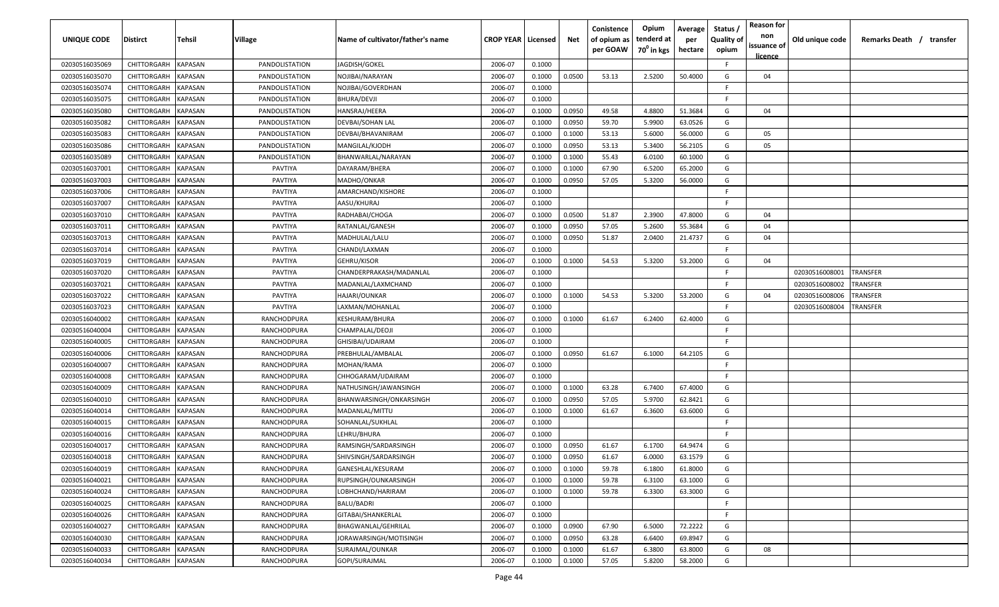| UNIQUE CODE    | Distirct            | Tehsil         | <b>Village</b> | Name of cultivator/father's name | <b>CROP YEAR   Licensed</b> |        | Net    | Conistence<br>of opium as | Opium<br>tenderd at    | Average<br>per | Status /<br><b>Quality of</b> | <b>Reason for</b><br>non<br>issuance of | Old unique code | Remarks Death / transfer |
|----------------|---------------------|----------------|----------------|----------------------------------|-----------------------------|--------|--------|---------------------------|------------------------|----------------|-------------------------------|-----------------------------------------|-----------------|--------------------------|
|                |                     |                |                |                                  |                             |        |        | per GOAW                  | 70 <sup>0</sup> in kgs | hectare        | opium                         | licence                                 |                 |                          |
| 02030516035069 | CHITTORGARH         | <b>KAPASAN</b> | PANDOLISTATION | JAGDISH/GOKEL                    | 2006-07                     | 0.1000 |        |                           |                        |                | F.                            |                                         |                 |                          |
| 02030516035070 | CHITTORGARH         | <b>KAPASAN</b> | PANDOLISTATION | NOJIBAI/NARAYAN                  | 2006-07                     | 0.1000 | 0.0500 | 53.13                     | 2.5200                 | 50.4000        | G                             | 04                                      |                 |                          |
| 02030516035074 | CHITTORGARH         | KAPASAN        | PANDOLISTATION | NOJIBAI/GOVERDHAN                | 2006-07                     | 0.1000 |        |                           |                        |                | -F                            |                                         |                 |                          |
| 02030516035075 | CHITTORGARH         | <b>KAPASAN</b> | PANDOLISTATION | BHURA/DEVJI                      | 2006-07                     | 0.1000 |        |                           |                        |                | F.                            |                                         |                 |                          |
| 02030516035080 | CHITTORGARH         | <b>KAPASAN</b> | PANDOLISTATION | HANSRAJ/HEERA                    | 2006-07                     | 0.1000 | 0.0950 | 49.58                     | 4.8800                 | 51.3684        | G                             | 04                                      |                 |                          |
| 02030516035082 | CHITTORGARH         | <b>KAPASAN</b> | PANDOLISTATION | DEVBAI/SOHAN LAL                 | 2006-07                     | 0.1000 | 0.0950 | 59.70                     | 5.9900                 | 63.0526        | G                             |                                         |                 |                          |
| 02030516035083 | CHITTORGARH         | <b>KAPASAN</b> | PANDOLISTATION | DEVBAI/BHAVANIRAM                | 2006-07                     | 0.1000 | 0.1000 | 53.13                     | 5.6000                 | 56.0000        | G                             | 05                                      |                 |                          |
| 02030516035086 | CHITTORGARH         | <b>KAPASAN</b> | PANDOLISTATION | MANGILAL/KJODH                   | 2006-07                     | 0.1000 | 0.0950 | 53.13                     | 5.3400                 | 56.2105        | G                             | 05                                      |                 |                          |
| 02030516035089 | CHITTORGARH         | <b>KAPASAN</b> | PANDOLISTATION | BHANWARLAL/NARAYAN               | 2006-07                     | 0.1000 | 0.1000 | 55.43                     | 6.0100                 | 60.1000        | G                             |                                         |                 |                          |
| 02030516037001 | CHITTORGARH         | <b>KAPASAN</b> | PAVTIYA        | DAYARAM/BHERA                    | 2006-07                     | 0.1000 | 0.1000 | 67.90                     | 6.5200                 | 65.2000        | G                             |                                         |                 |                          |
| 02030516037003 | CHITTORGARH         | KAPASAN        | PAVTIYA        | MADHO/ONKAR                      | 2006-07                     | 0.1000 | 0.0950 | 57.05                     | 5.3200                 | 56.0000        | G                             |                                         |                 |                          |
| 02030516037006 | CHITTORGARH         | <b>KAPASAN</b> | PAVTIYA        | AMARCHAND/KISHORE                | 2006-07                     | 0.1000 |        |                           |                        |                | E                             |                                         |                 |                          |
| 02030516037007 | CHITTORGARH         | <b>KAPASAN</b> | PAVTIYA        | AASU/KHURAJ                      | 2006-07                     | 0.1000 |        |                           |                        |                | -F                            |                                         |                 |                          |
| 02030516037010 | CHITTORGARH         | <b>KAPASAN</b> | PAVTIYA        | RADHABAI/CHOGA                   | 2006-07                     | 0.1000 | 0.0500 | 51.87                     | 2.3900                 | 47.8000        | G                             | 04                                      |                 |                          |
| 02030516037011 | <b>CHITTORGARH</b>  | <b>KAPASAN</b> | PAVTIYA        | RATANLAL/GANESH                  | 2006-07                     | 0.1000 | 0.0950 | 57.05                     | 5.2600                 | 55.3684        | G                             | 04                                      |                 |                          |
| 02030516037013 | CHITTORGARH         | <b>KAPASAN</b> | PAVTIYA        | MADHULAL/LALU                    | 2006-07                     | 0.1000 | 0.0950 | 51.87                     | 2.0400                 | 21.4737        | G                             | 04                                      |                 |                          |
| 02030516037014 | <b>CHITTORGARH</b>  | <b>KAPASAN</b> | PAVTIYA        | CHANDI/LAXMAN                    | 2006-07                     | 0.1000 |        |                           |                        |                | F.                            |                                         |                 |                          |
| 02030516037019 | CHITTORGARH         | <b>KAPASAN</b> | PAVTIYA        | GEHRU/KISOR                      | 2006-07                     | 0.1000 | 0.1000 | 54.53                     | 5.3200                 | 53.2000        | G                             | 04                                      |                 |                          |
| 02030516037020 | CHITTORGARH         | <b>KAPASAN</b> | PAVTIYA        | CHANDERPRAKASH/MADANLAL          | 2006-07                     | 0.1000 |        |                           |                        |                | F.                            |                                         | 02030516008001  | TRANSFER                 |
| 02030516037021 | CHITTORGARH         | <b>KAPASAN</b> | PAVTIYA        | MADANLAL/LAXMCHAND               | 2006-07                     | 0.1000 |        |                           |                        |                | F.                            |                                         | 02030516008002  | TRANSFER                 |
| 02030516037022 | CHITTORGARH         | <b>KAPASAN</b> | PAVTIYA        | HAJARI/OUNKAR                    | 2006-07                     | 0.1000 | 0.1000 | 54.53                     | 5.3200                 | 53.2000        | G                             | 04                                      | 02030516008006  | TRANSFER                 |
| 02030516037023 | CHITTORGARH         | <b>KAPASAN</b> | PAVTIYA        | LAXMAN/MOHANLAL                  | 2006-07                     | 0.1000 |        |                           |                        |                | -F.                           |                                         | 02030516008004  | TRANSFER                 |
| 02030516040002 | CHITTORGARH         | <b>KAPASAN</b> | RANCHODPURA    | KESHURAM/BHURA                   | 2006-07                     | 0.1000 | 0.1000 | 61.67                     | 6.2400                 | 62.4000        | G                             |                                         |                 |                          |
| 02030516040004 | CHITTORGARH         | <b>KAPASAN</b> | RANCHODPURA    | CHAMPALAL/DEOJI                  | 2006-07                     | 0.1000 |        |                           |                        |                | F.                            |                                         |                 |                          |
| 02030516040005 | CHITTORGARH         | <b>KAPASAN</b> | RANCHODPURA    | GHISIBAI/UDAIRAM                 | 2006-07                     | 0.1000 |        |                           |                        |                | -F.                           |                                         |                 |                          |
| 02030516040006 | CHITTORGARH         | <b>KAPASAN</b> | RANCHODPURA    | PREBHULAL/AMBALAL                | 2006-07                     | 0.1000 | 0.0950 | 61.67                     | 6.1000                 | 64.2105        | G                             |                                         |                 |                          |
| 02030516040007 | CHITTORGARH         | <b>KAPASAN</b> | RANCHODPURA    | MOHAN/RAMA                       | 2006-07                     | 0.1000 |        |                           |                        |                | -F.                           |                                         |                 |                          |
| 02030516040008 | CHITTORGARH         | <b>KAPASAN</b> | RANCHODPURA    | CHHOGARAM/UDAIRAM                | 2006-07                     | 0.1000 |        |                           |                        |                | -F.                           |                                         |                 |                          |
| 02030516040009 | CHITTORGARH         | <b>KAPASAN</b> | RANCHODPURA    | NATHUSINGH/JAWANSINGH            | 2006-07                     | 0.1000 | 0.1000 | 63.28                     | 6.7400                 | 67.4000        | G                             |                                         |                 |                          |
| 02030516040010 | CHITTORGARH         | <b>KAPASAN</b> | RANCHODPURA    | BHANWARSINGH/ONKARSINGH          | 2006-07                     | 0.1000 | 0.0950 | 57.05                     | 5.9700                 | 62.8421        | G                             |                                         |                 |                          |
| 02030516040014 | CHITTORGARH         | <b>KAPASAN</b> | RANCHODPURA    | MADANLAL/MITTU                   | 2006-07                     | 0.1000 | 0.1000 | 61.67                     | 6.3600                 | 63.6000        | G                             |                                         |                 |                          |
| 02030516040015 | <b>CHITTORGARH</b>  | <b>KAPASAN</b> | RANCHODPURA    | SOHANLAL/SUKHLAL                 | 2006-07                     | 0.1000 |        |                           |                        |                | F.                            |                                         |                 |                          |
| 02030516040016 | CHITTORGARH         | <b>KAPASAN</b> | RANCHODPURA    | LEHRU/BHURA                      | 2006-07                     | 0.1000 |        |                           |                        |                | E                             |                                         |                 |                          |
| 02030516040017 | CHITTORGARH         | <b>KAPASAN</b> | RANCHODPURA    | RAMSINGH/SARDARSINGH             | 2006-07                     | 0.1000 | 0.0950 | 61.67                     | 6.1700                 | 64.9474        | G                             |                                         |                 |                          |
| 02030516040018 | <b>CHITTORGARH</b>  | <b>KAPASAN</b> | RANCHODPURA    | SHIVSINGH/SARDARSINGH            | 2006-07                     | 0.1000 | 0.0950 | 61.67                     | 6.0000                 | 63.1579        | G                             |                                         |                 |                          |
| 02030516040019 | CHITTORGARH KAPASAN |                | RANCHODPURA    | GANESHLAL/KESURAM                | 2006-07                     | 0.1000 | 0.1000 | 59.78                     | 6.1800                 | 61.8000        | G                             |                                         |                 |                          |
| 02030516040021 | CHITTORGARH         | <b>KAPASAN</b> | RANCHODPURA    | RUPSINGH/OUNKARSINGH             | 2006-07                     | 0.1000 | 0.1000 | 59.78                     | 6.3100                 | 63.1000        | G                             |                                         |                 |                          |
| 02030516040024 | CHITTORGARH         | <b>KAPASAN</b> | RANCHODPURA    | LOBHCHAND/HARIRAM                | 2006-07                     | 0.1000 | 0.1000 | 59.78                     | 6.3300                 | 63.3000        | G                             |                                         |                 |                          |
| 02030516040025 | CHITTORGARH         | <b>KAPASAN</b> | RANCHODPURA    | BALU/BADRI                       | 2006-07                     | 0.1000 |        |                           |                        |                | F.                            |                                         |                 |                          |
| 02030516040026 | CHITTORGARH         | <b>KAPASAN</b> | RANCHODPURA    | GITABAI/SHANKERLAL               | 2006-07                     | 0.1000 |        |                           |                        |                | F.                            |                                         |                 |                          |
| 02030516040027 | CHITTORGARH         | <b>KAPASAN</b> | RANCHODPURA    | BHAGWANLAL/GEHRILAL              | 2006-07                     | 0.1000 | 0.0900 | 67.90                     | 6.5000                 | 72.2222        | G                             |                                         |                 |                          |
| 02030516040030 | CHITTORGARH         | <b>KAPASAN</b> | RANCHODPURA    | JORAWARSINGH/MOTISINGH           | 2006-07                     | 0.1000 | 0.0950 | 63.28                     | 6.6400                 | 69.8947        | G                             |                                         |                 |                          |
| 02030516040033 | CHITTORGARH         | <b>KAPASAN</b> | RANCHODPURA    | SURAJMAL/OUNKAR                  | 2006-07                     | 0.1000 | 0.1000 | 61.67                     | 6.3800                 | 63.8000        | G                             | 08                                      |                 |                          |
| 02030516040034 | CHITTORGARH KAPASAN |                | RANCHODPURA    | GOPI/SURAJMAL                    | 2006-07                     | 0.1000 | 0.1000 | 57.05                     | 5.8200                 | 58.2000        | G                             |                                         |                 |                          |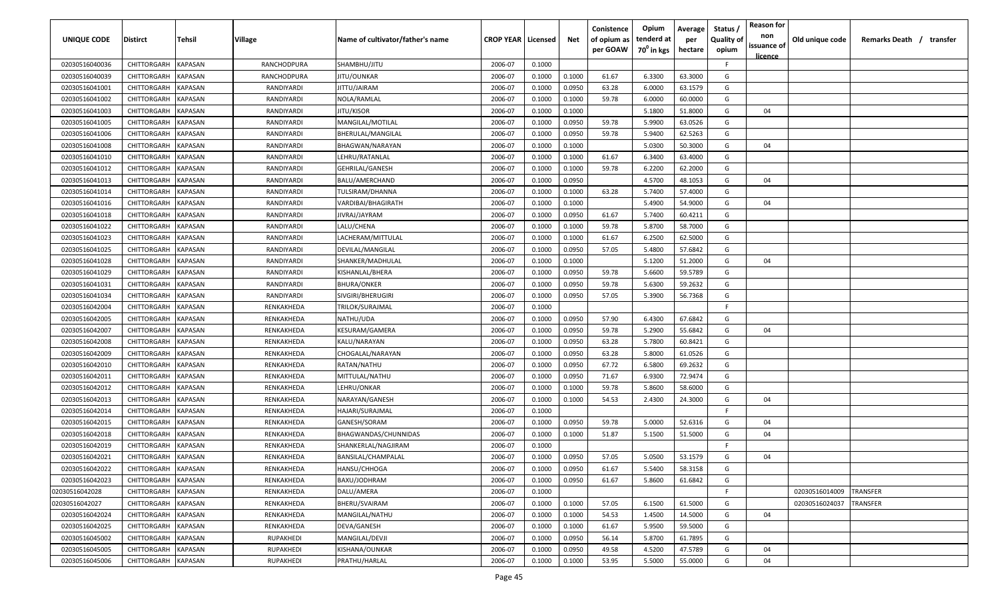| UNIQUE CODE    | <b>Distirct</b>    | Tehsil                | Village          | Name of cultivator/father's name | <b>CROP YEAR   Licensed</b> |        | Net    | Conistence<br>of opium as | Opium<br>tenderd at | Average<br>per | Status /<br><b>Quality of</b> | <b>Reason for</b><br>non<br>issuance of | Old unique code | Remarks Death / transfer |
|----------------|--------------------|-----------------------|------------------|----------------------------------|-----------------------------|--------|--------|---------------------------|---------------------|----------------|-------------------------------|-----------------------------------------|-----------------|--------------------------|
|                |                    |                       |                  |                                  |                             |        |        | per GOAW                  | $70^0$ in kgs       | hectare        | opium                         | licence                                 |                 |                          |
| 02030516040036 | CHITTORGARH        | KAPASAN               | RANCHODPURA      | SHAMBHU/JITU                     | 2006-07                     | 0.1000 |        |                           |                     |                | F.                            |                                         |                 |                          |
| 02030516040039 | CHITTORGARH        | KAPASAN               | RANCHODPURA      | JITU/OUNKAR                      | 2006-07                     | 0.1000 | 0.1000 | 61.67                     | 6.3300              | 63.3000        | G                             |                                         |                 |                          |
| 02030516041001 | CHITTORGARH        | KAPASAN               | RANDIYARDI       | JITTU/JAIRAM                     | 2006-07                     | 0.1000 | 0.0950 | 63.28                     | 6.0000              | 63.1579        | G                             |                                         |                 |                          |
| 02030516041002 | CHITTORGARH        | KAPASAN               | RANDIYARDI       | NOLA/RAMLAL                      | 2006-07                     | 0.1000 | 0.1000 | 59.78                     | 6.0000              | 60.0000        | G                             |                                         |                 |                          |
| 02030516041003 | CHITTORGARH        | KAPASAN               | RANDIYARDI       | JITU/KISOR                       | 2006-07                     | 0.1000 | 0.1000 |                           | 5.1800              | 51.8000        | G                             | 04                                      |                 |                          |
| 02030516041005 | CHITTORGARH        | KAPASAN               | RANDIYARDI       | MANGILAL/MOTILAL                 | 2006-07                     | 0.1000 | 0.0950 | 59.78                     | 5.9900              | 63.0526        | G                             |                                         |                 |                          |
| 02030516041006 | CHITTORGARH        | KAPASAN               | RANDIYARDI       | BHERULAL/MANGILAL                | 2006-07                     | 0.1000 | 0.0950 | 59.78                     | 5.9400              | 62.5263        | G                             |                                         |                 |                          |
| 02030516041008 | CHITTORGARH        | KAPASAN               | RANDIYARDI       | BHAGWAN/NARAYAN                  | 2006-07                     | 0.1000 | 0.1000 |                           | 5.0300              | 50.3000        | G                             | 04                                      |                 |                          |
| 02030516041010 | CHITTORGARH        | KAPASAN               | RANDIYARDI       | LEHRU/RATANLAL                   | 2006-07                     | 0.1000 | 0.1000 | 61.67                     | 6.3400              | 63.4000        | G                             |                                         |                 |                          |
| 02030516041012 | CHITTORGARH        | KAPASAN               | RANDIYARDI       | GEHRILAL/GANESH                  | 2006-07                     | 0.1000 | 0.1000 | 59.78                     | 6.2200              | 62.2000        | G                             |                                         |                 |                          |
| 02030516041013 | CHITTORGARH        | KAPASAN               | RANDIYARDI       | BALU/AMERCHAND                   | 2006-07                     | 0.1000 | 0.0950 |                           | 4.5700              | 48.1053        | G                             | 04                                      |                 |                          |
| 02030516041014 | CHITTORGARH        | KAPASAN               | RANDIYARDI       | TULSIRAM/DHANNA                  | 2006-07                     | 0.1000 | 0.1000 | 63.28                     | 5.7400              | 57.4000        | G                             |                                         |                 |                          |
| 02030516041016 | CHITTORGARH        | KAPASAN               | RANDIYARDI       | VARDIBAI/BHAGIRATH               | 2006-07                     | 0.1000 | 0.1000 |                           | 5.4900              | 54.9000        | G                             | 04                                      |                 |                          |
| 02030516041018 | CHITTORGARH        | KAPASAN               | RANDIYARDI       | JIVRAJ/JAYRAM                    | 2006-07                     | 0.1000 | 0.0950 | 61.67                     | 5.7400              | 60.4211        | G                             |                                         |                 |                          |
| 02030516041022 | CHITTORGARH        | KAPASAN               | RANDIYARDI       | LALU/CHENA                       | 2006-07                     | 0.1000 | 0.1000 | 59.78                     | 5.8700              | 58.7000        | G                             |                                         |                 |                          |
| 02030516041023 | CHITTORGARH        | KAPASAN               | RANDIYARDI       | LACHERAM/MITTULAL                | 2006-07                     | 0.1000 | 0.1000 | 61.67                     | 6.2500              | 62.5000        | G                             |                                         |                 |                          |
| 02030516041025 | CHITTORGARH        | KAPASAN               | RANDIYARDI       | DEVILAL/MANGILAL                 | 2006-07                     | 0.1000 | 0.0950 | 57.05                     | 5.4800              | 57.6842        | G                             |                                         |                 |                          |
| 02030516041028 | CHITTORGARH        | KAPASAN               | RANDIYARDI       | SHANKER/MADHULAL                 | 2006-07                     | 0.1000 | 0.1000 |                           | 5.1200              | 51.2000        | G                             | 04                                      |                 |                          |
| 02030516041029 | CHITTORGARH        | KAPASAN               | RANDIYARDI       | KISHANLAL/BHERA                  | 2006-07                     | 0.1000 | 0.0950 | 59.78                     | 5.6600              | 59.5789        | G                             |                                         |                 |                          |
| 02030516041031 | CHITTORGARH        | KAPASAN               | RANDIYARDI       | <b>BHURA/ONKER</b>               | 2006-07                     | 0.1000 | 0.0950 | 59.78                     | 5.6300              | 59.2632        | G                             |                                         |                 |                          |
| 02030516041034 | CHITTORGARH        | KAPASAN               | RANDIYARDI       | SIVGIRI/BHERUGIRI                | 2006-07                     | 0.1000 | 0.0950 | 57.05                     | 5.3900              | 56.7368        | G                             |                                         |                 |                          |
| 02030516042004 | CHITTORGARH        | KAPASAN               | RENKAKHEDA       | TRILOK/SURAJMAL                  | 2006-07                     | 0.1000 |        |                           |                     |                | E                             |                                         |                 |                          |
| 02030516042005 | CHITTORGARH        | KAPASAN               | RENKAKHEDA       | NATHU/UDA                        | 2006-07                     | 0.1000 | 0.0950 | 57.90                     | 6.4300              | 67.6842        | G                             |                                         |                 |                          |
| 02030516042007 | CHITTORGARH        | KAPASAN               | RENKAKHEDA       | KESURAM/GAMERA                   | 2006-07                     | 0.1000 | 0.0950 | 59.78                     | 5.2900              | 55.6842        | G                             | 04                                      |                 |                          |
| 02030516042008 | CHITTORGARH        | KAPASAN               | RENKAKHEDA       | KALU/NARAYAN                     | 2006-07                     | 0.1000 | 0.0950 | 63.28                     | 5.7800              | 60.8421        | G                             |                                         |                 |                          |
| 02030516042009 | CHITTORGARH        | KAPASAN               | RENKAKHEDA       | CHOGALAL/NARAYAN                 | 2006-07                     | 0.1000 | 0.0950 | 63.28                     | 5.8000              | 61.0526        | G                             |                                         |                 |                          |
| 02030516042010 | CHITTORGARH        | KAPASAN               | RENKAKHEDA       | RATAN/NATHU                      | 2006-07                     | 0.1000 | 0.0950 | 67.72                     | 6.5800              | 69.2632        | G                             |                                         |                 |                          |
| 02030516042011 | CHITTORGARH        | KAPASAN               | RENKAKHEDA       | MITTULAL/NATHU                   | 2006-07                     | 0.1000 | 0.0950 | 71.67                     | 6.9300              | 72.9474        | G                             |                                         |                 |                          |
| 02030516042012 | CHITTORGARH        | KAPASAN               | RENKAKHEDA       | LEHRU/ONKAR                      | 2006-07                     | 0.1000 | 0.1000 | 59.78                     | 5.8600              | 58.6000        | G                             |                                         |                 |                          |
| 02030516042013 | CHITTORGARH        | KAPASAN               | RENKAKHEDA       | NARAYAN/GANESH                   | 2006-07                     | 0.1000 | 0.1000 | 54.53                     | 2.4300              | 24.3000        | G                             | 04                                      |                 |                          |
| 02030516042014 | CHITTORGARH        | KAPASAN               | RENKAKHEDA       | HAJARI/SURAJMAL                  | 2006-07                     | 0.1000 |        |                           |                     |                | F.                            |                                         |                 |                          |
| 02030516042015 | CHITTORGARH        | <b><i>KAPASAN</i></b> | RENKAKHEDA       | GANESH/SORAM                     | 2006-07                     | 0.1000 | 0.0950 | 59.78                     | 5.0000              | 52.6316        | G                             | 04                                      |                 |                          |
| 02030516042018 | CHITTORGARH        | KAPASAN               | RENKAKHEDA       | BHAGWANDAS/CHUNNIDAS             | 2006-07                     | 0.1000 | 0.1000 | 51.87                     | 5.1500              | 51.5000        | G                             | 04                                      |                 |                          |
| 02030516042019 | CHITTORGARH        | KAPASAN               | RENKAKHEDA       | SHANKERLAL/NAGJIRAM              | 2006-07                     | 0.1000 |        |                           |                     |                | F.                            |                                         |                 |                          |
| 02030516042021 | CHITTORGARH        | KAPASAN               | RENKAKHEDA       | BANSILAL/CHAMPALAL               | 2006-07                     | 0.1000 | 0.0950 | 57.05                     | 5.0500              | 53.1579        | G                             | 04                                      |                 |                          |
| 02030516042022 | CHITTORGARH        | <b>KAPASAN</b>        | RENKAKHEDA       | HANSU/CHHOGA                     | 2006-07                     | 0.1000 | 0.0950 | 61.67                     | 5.5400              | 58.3158        | G                             |                                         |                 |                          |
| 02030516042023 | CHITTORGARH        | KAPASAN               | RENKAKHEDA       | BAXU/JODHRAM                     | 2006-07                     | 0.1000 | 0.0950 | 61.67                     | 5.8600              | 61.6842        | G                             |                                         |                 |                          |
| 02030516042028 | <b>CHITTORGARH</b> | KAPASAN               | RENKAKHEDA       | DALU/AMERA                       | 2006-07                     | 0.1000 |        |                           |                     |                | F.                            |                                         | 02030516014009  | <b>TRANSFER</b>          |
| 02030516042027 | CHITTORGARH        | KAPASAN               | RENKAKHEDA       | BHERU/SVAIRAM                    | 2006-07                     | 0.1000 | 0.1000 | 57.05                     | 6.1500              | 61.5000        | G                             |                                         | 02030516024037  | TRANSFER                 |
| 02030516042024 | CHITTORGARH        | KAPASAN               | RENKAKHEDA       | MANGILAL/NATHU                   | 2006-07                     | 0.1000 | 0.1000 | 54.53                     | 1.4500              | 14.5000        | G                             | 04                                      |                 |                          |
| 02030516042025 | CHITTORGARH        | KAPASAN               | RENKAKHEDA       | DEVA/GANESH                      | 2006-07                     | 0.1000 | 0.1000 | 61.67                     | 5.9500              | 59.5000        | G                             |                                         |                 |                          |
| 02030516045002 | CHITTORGARH        | KAPASAN               | RUPAKHEDI        | MANGILAL/DEVJI                   | 2006-07                     | 0.1000 | 0.0950 | 56.14                     | 5.8700              | 61.7895        | G                             |                                         |                 |                          |
| 02030516045005 | CHITTORGARH        | KAPASAN               | RUPAKHEDI        | KISHANA/OUNKAR                   | 2006-07                     | 0.1000 | 0.0950 | 49.58                     | 4.5200              | 47.5789        | G                             | 04                                      |                 |                          |
| 02030516045006 | CHITTORGARH        | KAPASAN               | <b>RUPAKHEDI</b> | PRATHU/HARLAL                    | 2006-07                     | 0.1000 | 0.1000 | 53.95                     | 5.5000              | 55.0000        | G                             | 04                                      |                 |                          |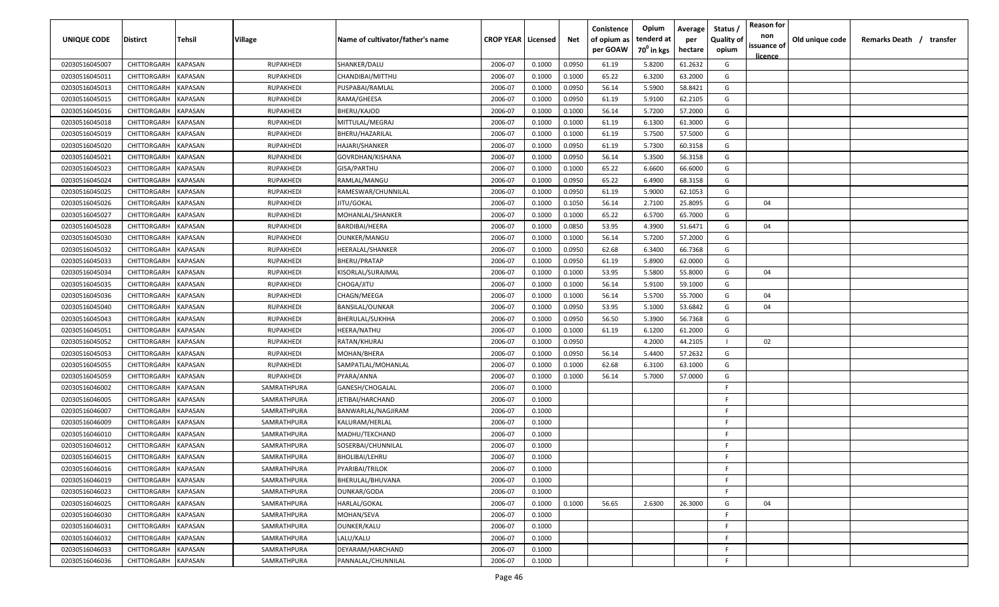| UNIQUE CODE    | <b>Distirct</b>     | Tehsil         | <b>Village</b>   | Name of cultivator/father's name | <b>CROP YEAR Licensed</b> |        | Net    | Conistence<br>of opium as<br>per GOAW | Opium<br>tenderd at<br>70 <sup>0</sup> in kgs | Average<br>per<br>hectare | Status /<br><b>Quality of</b><br>opium | <b>Reason for</b><br>non<br>issuance of<br><u>licence</u> | Old unique code | Remarks Death /<br>transfer |
|----------------|---------------------|----------------|------------------|----------------------------------|---------------------------|--------|--------|---------------------------------------|-----------------------------------------------|---------------------------|----------------------------------------|-----------------------------------------------------------|-----------------|-----------------------------|
| 02030516045007 | CHITTORGARH         | <b>KAPASAN</b> | <b>RUPAKHEDI</b> | SHANKER/DALU                     | 2006-07                   | 0.1000 | 0.0950 | 61.19                                 | 5.8200                                        | 61.2632                   | G                                      |                                                           |                 |                             |
| 02030516045011 | CHITTORGARH         | <b>KAPASAN</b> | RUPAKHEDI        | CHANDIBAI/MITTHU                 | 2006-07                   | 0.1000 | 0.1000 | 65.22                                 | 6.3200                                        | 63.2000                   | G                                      |                                                           |                 |                             |
| 02030516045013 | CHITTORGARH         | <b>KAPASAN</b> | RUPAKHEDI        | PUSPABAI/RAMLAL                  | 2006-07                   | 0.1000 | 0.0950 | 56.14                                 | 5.5900                                        | 58.8421                   | G                                      |                                                           |                 |                             |
| 02030516045015 | CHITTORGARH         | KAPASAN        | RUPAKHEDI        | RAMA/GHEESA                      | 2006-07                   | 0.1000 | 0.0950 | 61.19                                 | 5.9100                                        | 62.2105                   | G                                      |                                                           |                 |                             |
| 02030516045016 | CHITTORGARH         | KAPASAN        | RUPAKHEDI        | BHERU/KAJOD                      | 2006-07                   | 0.1000 | 0.1000 | 56.14                                 | 5.7200                                        | 57.2000                   | G                                      |                                                           |                 |                             |
| 02030516045018 | CHITTORGARH         | KAPASAN        | RUPAKHEDI        | MITTULAL/MEGRAJ                  | 2006-07                   | 0.1000 | 0.1000 | 61.19                                 | 6.1300                                        | 61.3000                   | G                                      |                                                           |                 |                             |
| 02030516045019 | CHITTORGARH         | <b>KAPASAN</b> | RUPAKHEDI        | BHERU/HAZARILAL                  | 2006-07                   | 0.1000 | 0.1000 | 61.19                                 | 5.7500                                        | 57.5000                   | G                                      |                                                           |                 |                             |
| 02030516045020 | CHITTORGARH         | <b>KAPASAN</b> | <b>RUPAKHEDI</b> | HAJARI/SHANKER                   | 2006-07                   | 0.1000 | 0.0950 | 61.19                                 | 5.7300                                        | 60.3158                   | G                                      |                                                           |                 |                             |
| 02030516045021 | CHITTORGARH         | <b>KAPASAN</b> | RUPAKHEDI        | GOVRDHAN/KISHANA                 | 2006-07                   | 0.1000 | 0.0950 | 56.14                                 | 5.3500                                        | 56.3158                   | G                                      |                                                           |                 |                             |
| 02030516045023 | CHITTORGARH         | <b>KAPASAN</b> | RUPAKHEDI        | GISA/PARTHU                      | 2006-07                   | 0.1000 | 0.1000 | 65.22                                 | 6.6600                                        | 66.6000                   | G                                      |                                                           |                 |                             |
| 02030516045024 | CHITTORGARH         | KAPASAN        | RUPAKHEDI        | RAMLAL/MANGU                     | 2006-07                   | 0.1000 | 0.0950 | 65.22                                 | 6.4900                                        | 68.3158                   | G                                      |                                                           |                 |                             |
| 02030516045025 | CHITTORGARH         | KAPASAN        | RUPAKHEDI        | RAMESWAR/CHUNNILAL               | 2006-07                   | 0.1000 | 0.0950 | 61.19                                 | 5.9000                                        | 62.1053                   | G                                      |                                                           |                 |                             |
| 02030516045026 | CHITTORGARH         | KAPASAN        | RUPAKHEDI        | JITU/GOKAL                       | 2006-07                   | 0.1000 | 0.1050 | 56.14                                 | 2.7100                                        | 25.8095                   | G                                      | 04                                                        |                 |                             |
| 02030516045027 | CHITTORGARH         | KAPASAN        | RUPAKHEDI        | MOHANLAL/SHANKER                 | 2006-07                   | 0.1000 | 0.1000 | 65.22                                 | 6.5700                                        | 65.7000                   | G                                      |                                                           |                 |                             |
| 02030516045028 | CHITTORGARH         | <b>KAPASAN</b> | RUPAKHEDI        | BARDIBAI/HEERA                   | 2006-07                   | 0.1000 | 0.0850 | 53.95                                 | 4.3900                                        | 51.6471                   | G                                      | 04                                                        |                 |                             |
| 02030516045030 | CHITTORGARH         | <b>KAPASAN</b> | RUPAKHEDI        | OUNKER/MANGU                     | 2006-07                   | 0.1000 | 0.1000 | 56.14                                 | 5.7200                                        | 57.2000                   | G                                      |                                                           |                 |                             |
| 02030516045032 | <b>CHITTORGARH</b>  | <b>KAPASAN</b> | RUPAKHEDI        | HEERALAL/SHANKER                 | 2006-07                   | 0.1000 | 0.0950 | 62.68                                 | 6.3400                                        | 66.7368                   | G                                      |                                                           |                 |                             |
| 02030516045033 | CHITTORGARH         | <b>KAPASAN</b> | RUPAKHEDI        | BHERU/PRATAP                     | 2006-07                   | 0.1000 | 0.0950 | 61.19                                 | 5.8900                                        | 62.0000                   | G                                      |                                                           |                 |                             |
| 02030516045034 | CHITTORGARH         | <b>KAPASAN</b> | RUPAKHEDI        | KISORLAL/SURAJMAL                | 2006-07                   | 0.1000 | 0.1000 | 53.95                                 | 5.5800                                        | 55.8000                   | G                                      | 04                                                        |                 |                             |
| 02030516045035 | CHITTORGARH         | <b>KAPASAN</b> | RUPAKHEDI        | CHOGA/JITU                       | 2006-07                   | 0.1000 | 0.1000 | 56.14                                 | 5.9100                                        | 59.1000                   | G                                      |                                                           |                 |                             |
| 02030516045036 | CHITTORGARH         | <b>KAPASAN</b> | RUPAKHEDI        | CHAGN/MEEGA                      | 2006-07                   | 0.1000 | 0.1000 | 56.14                                 | 5.5700                                        | 55.7000                   | G                                      | 04                                                        |                 |                             |
| 02030516045040 | CHITTORGARH         | <b>KAPASAN</b> | RUPAKHEDI        | BANSILAL/OUNKAR                  | 2006-07                   | 0.1000 | 0.0950 | 53.95                                 | 5.1000                                        | 53.6842                   | G                                      | 04                                                        |                 |                             |
| 02030516045043 | CHITTORGARH         | <b>KAPASAN</b> | RUPAKHEDI        | BHERULAL/SUKHHA                  | 2006-07                   | 0.1000 | 0.0950 | 56.50                                 | 5.3900                                        | 56.7368                   | G                                      |                                                           |                 |                             |
| 02030516045051 | CHITTORGARH         | <b>KAPASAN</b> | RUPAKHEDI        | HEERA/NATHU                      | 2006-07                   | 0.1000 | 0.1000 | 61.19                                 | 6.1200                                        | 61.2000                   | G                                      |                                                           |                 |                             |
| 02030516045052 | CHITTORGARH         | <b>KAPASAN</b> | RUPAKHEDI        | RATAN/KHURAJ                     | 2006-07                   | 0.1000 | 0.0950 |                                       | 4.2000                                        | 44.2105                   |                                        | 02                                                        |                 |                             |
| 02030516045053 | CHITTORGARH         | <b>KAPASAN</b> | RUPAKHEDI        | MOHAN/BHERA                      | 2006-07                   | 0.1000 | 0.0950 | 56.14                                 | 5.4400                                        | 57.2632                   | G                                      |                                                           |                 |                             |
| 02030516045055 | CHITTORGARH         | <b>KAPASAN</b> | RUPAKHEDI        | SAMPATLAL/MOHANLAL               | 2006-07                   | 0.1000 | 0.1000 | 62.68                                 | 6.3100                                        | 63.1000                   | G                                      |                                                           |                 |                             |
| 02030516045059 | CHITTORGARH         | <b>KAPASAN</b> | RUPAKHEDI        | PYARA/ANNA                       | 2006-07                   | 0.1000 | 0.1000 | 56.14                                 | 5.7000                                        | 57.0000                   | G                                      |                                                           |                 |                             |
| 02030516046002 | CHITTORGARH         | KAPASAN        | SAMRATHPURA      | GANESH/CHOGALAL                  | 2006-07                   | 0.1000 |        |                                       |                                               |                           | E.                                     |                                                           |                 |                             |
| 02030516046005 | CHITTORGARH         | KAPASAN        | SAMRATHPURA      | JETIBAI/HARCHAND                 | 2006-07                   | 0.1000 |        |                                       |                                               |                           | E                                      |                                                           |                 |                             |
| 02030516046007 | CHITTORGARH         | KAPASAN        | SAMRATHPURA      | BANWARLAL/NAGJIRAM               | 2006-07                   | 0.1000 |        |                                       |                                               |                           | E                                      |                                                           |                 |                             |
| 02030516046009 | CHITTORGARH         | KAPASAN        | SAMRATHPURA      | KALURAM/HERLAL                   | 2006-07                   | 0.1000 |        |                                       |                                               |                           | F.                                     |                                                           |                 |                             |
| 02030516046010 | CHITTORGARH         | <b>KAPASAN</b> | SAMRATHPURA      | MADHU/TEKCHAND                   | 2006-07                   | 0.1000 |        |                                       |                                               |                           | F                                      |                                                           |                 |                             |
| 02030516046012 | CHITTORGARH         | <b>KAPASAN</b> | SAMRATHPURA      | SOSERBAI/CHUNNILAL               | 2006-07                   | 0.1000 |        |                                       |                                               |                           | F                                      |                                                           |                 |                             |
| 02030516046015 | <b>CHITTORGARH</b>  | <b>KAPASAN</b> | SAMRATHPURA      | BHOLIBAI/LEHRU                   | 2006-07                   | 0.1000 |        |                                       |                                               |                           | E.                                     |                                                           |                 |                             |
| 02030516046016 | CHITTORGARH KAPASAN |                | SAMRATHPURA      | PYARIBAI/TRILOK                  | 2006-07                   | 0.1000 |        |                                       |                                               |                           | F.                                     |                                                           |                 |                             |
| 02030516046019 | CHITTORGARH         | <b>KAPASAN</b> | SAMRATHPURA      | BHERULAL/BHUVANA                 | 2006-07                   | 0.1000 |        |                                       |                                               |                           | F.                                     |                                                           |                 |                             |
| 02030516046023 | CHITTORGARH         | <b>KAPASAN</b> | SAMRATHPURA      | OUNKAR/GODA                      | 2006-07                   | 0.1000 |        |                                       |                                               |                           | F.                                     |                                                           |                 |                             |
| 02030516046025 | CHITTORGARH         | <b>KAPASAN</b> | SAMRATHPURA      | HARLAL/GOKAL                     | 2006-07                   | 0.1000 | 0.1000 | 56.65                                 | 2.6300                                        | 26.3000                   | G                                      | 04                                                        |                 |                             |
| 02030516046030 | CHITTORGARH         | <b>KAPASAN</b> | SAMRATHPURA      | MOHAN/SEVA                       | 2006-07                   | 0.1000 |        |                                       |                                               |                           | F.                                     |                                                           |                 |                             |
| 02030516046031 | CHITTORGARH         | <b>KAPASAN</b> | SAMRATHPURA      | OUNKER/KALU                      | 2006-07                   | 0.1000 |        |                                       |                                               |                           | -F.                                    |                                                           |                 |                             |
| 02030516046032 | CHITTORGARH         | <b>KAPASAN</b> | SAMRATHPURA      | LALU/KALU                        | 2006-07                   | 0.1000 |        |                                       |                                               |                           | -F                                     |                                                           |                 |                             |
| 02030516046033 | CHITTORGARH         | <b>KAPASAN</b> | SAMRATHPURA      | DEYARAM/HARCHAND                 | 2006-07                   | 0.1000 |        |                                       |                                               |                           | E                                      |                                                           |                 |                             |
| 02030516046036 | CHITTORGARH         | <b>KAPASAN</b> | SAMRATHPURA      | PANNALAL/CHUNNILAL               | 2006-07                   | 0.1000 |        |                                       |                                               |                           | F                                      |                                                           |                 |                             |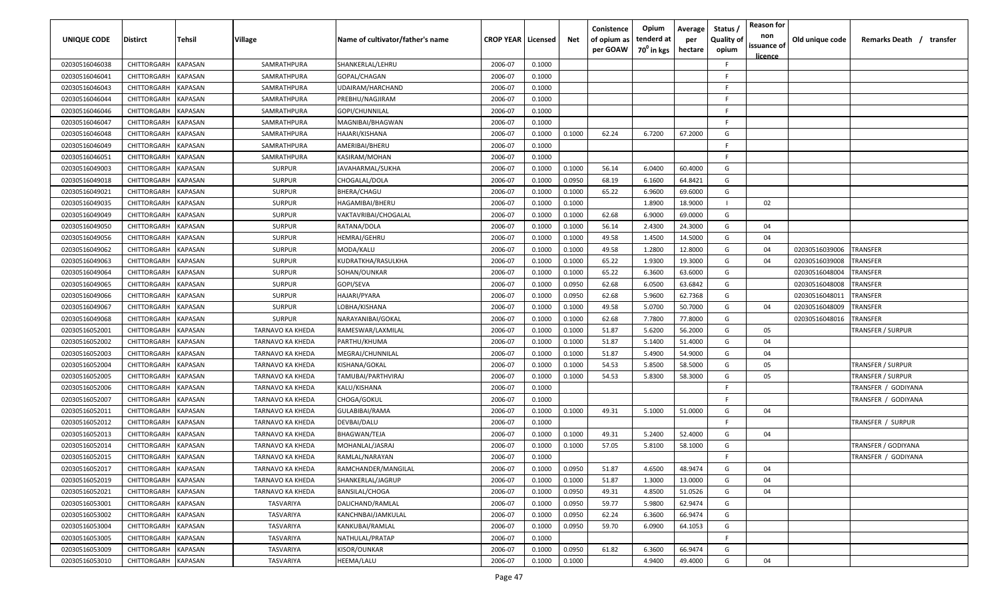| UNIQUE CODE    | Distirct            | Tehsil         | <b>Village</b>          | Name of cultivator/father's name | <b>CROP YEAR   Licensed</b> |        | Net    | Conistence<br>of opium as<br>per GOAW | Opium<br>tenderd at<br>70 <sup>0</sup> in kgs | Average<br>per<br>hectare | Status /<br><b>Quality of</b><br>opium | <b>Reason for</b><br>non<br>issuance of<br><u>licence</u> | Old unique code<br>Remarks Death / transfer |
|----------------|---------------------|----------------|-------------------------|----------------------------------|-----------------------------|--------|--------|---------------------------------------|-----------------------------------------------|---------------------------|----------------------------------------|-----------------------------------------------------------|---------------------------------------------|
| 02030516046038 | CHITTORGARH         | <b>KAPASAN</b> | SAMRATHPURA             | SHANKERLAL/LEHRU                 | 2006-07                     | 0.1000 |        |                                       |                                               |                           | F.                                     |                                                           |                                             |
| 02030516046041 | CHITTORGARH         | KAPASAN        | SAMRATHPURA             | GOPAL/CHAGAN                     | 2006-07                     | 0.1000 |        |                                       |                                               |                           | -F.                                    |                                                           |                                             |
| 02030516046043 | CHITTORGARH         | KAPASAN        | SAMRATHPURA             | JDAIRAM/HARCHAND                 | 2006-07                     | 0.1000 |        |                                       |                                               |                           | -F.                                    |                                                           |                                             |
| 02030516046044 | CHITTORGARH         | KAPASAN        | SAMRATHPURA             | PREBHU/NAGJIRAM                  | 2006-07                     | 0.1000 |        |                                       |                                               |                           | -F                                     |                                                           |                                             |
| 02030516046046 | CHITTORGARH         | KAPASAN        | SAMRATHPURA             | GOPI/CHUNNILAL                   | 2006-07                     | 0.1000 |        |                                       |                                               |                           | -F                                     |                                                           |                                             |
| 02030516046047 | CHITTORGARH         | KAPASAN        | SAMRATHPURA             | MAGNIBAI/BHAGWAN                 | 2006-07                     | 0.1000 |        |                                       |                                               |                           | -F                                     |                                                           |                                             |
| 02030516046048 | CHITTORGARH         | KAPASAN        | SAMRATHPURA             | HAJARI/KISHANA                   | 2006-07                     | 0.1000 | 0.1000 | 62.24                                 | 6.7200                                        | 67.2000                   | G                                      |                                                           |                                             |
| 02030516046049 | CHITTORGARH         | <b>KAPASAN</b> | SAMRATHPURA             | AMERIBAI/BHERU                   | 2006-07                     | 0.1000 |        |                                       |                                               |                           | -F                                     |                                                           |                                             |
| 02030516046051 | CHITTORGARH         | KAPASAN        | SAMRATHPURA             | KASIRAM/MOHAN                    | 2006-07                     | 0.1000 |        |                                       |                                               |                           | F.                                     |                                                           |                                             |
| 02030516049003 | CHITTORGARH         | KAPASAN        | <b>SURPUR</b>           | JAVAHARMAL/SUKHA                 | 2006-07                     | 0.1000 | 0.1000 | 56.14                                 | 6.0400                                        | 60.4000                   | G                                      |                                                           |                                             |
| 02030516049018 | CHITTORGARH         | KAPASAN        | <b>SURPUR</b>           | CHOGALAL/DOLA                    | 2006-07                     | 0.1000 | 0.0950 | 68.19                                 | 6.1600                                        | 64.8421                   | G                                      |                                                           |                                             |
| 02030516049021 | CHITTORGARH         | KAPASAN        | <b>SURPUR</b>           | BHERA/CHAGU                      | 2006-07                     | 0.1000 | 0.1000 | 65.22                                 | 6.9600                                        | 69.6000                   | G                                      |                                                           |                                             |
| 02030516049035 | CHITTORGARH         | KAPASAN        | <b>SURPUR</b>           | HAGAMIBAI/BHERU                  | 2006-07                     | 0.1000 | 0.1000 |                                       | 1.8900                                        | 18.9000                   | $\mathbf{I}$                           | 02                                                        |                                             |
| 02030516049049 | CHITTORGARH         | KAPASAN        | <b>SURPUR</b>           | VAKTAVRIBAI/CHOGALAL             | 2006-07                     | 0.1000 | 0.1000 | 62.68                                 | 6.9000                                        | 69.0000                   | G                                      |                                                           |                                             |
| 02030516049050 | CHITTORGARH         | <b>KAPASAN</b> | <b>SURPUR</b>           | RATANA/DOLA                      | 2006-07                     | 0.1000 | 0.1000 | 56.14                                 | 2.4300                                        | 24.3000                   | G                                      | 04                                                        |                                             |
| 02030516049056 | CHITTORGARH         | <b>KAPASAN</b> | <b>SURPUR</b>           | HEMRAJ/GEHRU                     | 2006-07                     | 0.1000 | 0.1000 | 49.58                                 | 1.4500                                        | 14.5000                   | G                                      | 04                                                        |                                             |
| 02030516049062 | <b>CHITTORGARH</b>  | <b>KAPASAN</b> | <b>SURPUR</b>           | MODA/KALU                        | 2006-07                     | 0.1000 | 0.1000 | 49.58                                 | 1.2800                                        | 12.8000                   | G                                      | 04                                                        | 02030516039006<br>TRANSFER                  |
| 02030516049063 | CHITTORGARH         | <b>KAPASAN</b> | <b>SURPUR</b>           | KUDRATKHA/RASULKHA               | 2006-07                     | 0.1000 | 0.1000 | 65.22                                 | 1.9300                                        | 19.3000                   | G                                      | 04                                                        | TRANSFER<br>02030516039008                  |
| 02030516049064 | CHITTORGARH         | KAPASAN        | <b>SURPUR</b>           | SOHAN/OUNKAR                     | 2006-07                     | 0.1000 | 0.1000 | 65.22                                 | 6.3600                                        | 63.6000                   | G                                      |                                                           | 02030516048004<br>TRANSFER                  |
| 02030516049065 | CHITTORGARH         | KAPASAN        | <b>SURPUR</b>           | GOPI/SEVA                        | 2006-07                     | 0.1000 | 0.0950 | 62.68                                 | 6.0500                                        | 63.6842                   | G                                      |                                                           | 02030516048008<br>TRANSFER                  |
| 02030516049066 | CHITTORGARH         | KAPASAN        | <b>SURPUR</b>           | HAJARI/PYARA                     | 2006-07                     | 0.1000 | 0.0950 | 62.68                                 | 5.9600                                        | 62.7368                   | G                                      |                                                           | 02030516048011<br><b><i>FRANSFER</i></b>    |
| 02030516049067 | CHITTORGARH         | KAPASAN        | <b>SURPUR</b>           | LOBHA/KISHANA                    | 2006-07                     | 0.1000 | 0.1000 | 49.58                                 | 5.0700                                        | 50.7000                   | G                                      | 04                                                        | 02030516048009<br>TRANSFER                  |
| 02030516049068 | CHITTORGARH         | <b>KAPASAN</b> | <b>SURPUR</b>           | NARAYANIBAI/GOKAL                | 2006-07                     | 0.1000 | 0.1000 | 62.68                                 | 7.7800                                        | 77.8000                   | G                                      |                                                           | 02030516048016<br><b>RANSFER</b>            |
| 02030516052001 | CHITTORGARH         | KAPASAN        | <b>TARNAVO KA KHEDA</b> | RAMESWAR/LAXMILAL                | 2006-07                     | 0.1000 | 0.1000 | 51.87                                 | 5.6200                                        | 56.2000                   | G                                      | 05                                                        | TRANSFER / SURPUR                           |
| 02030516052002 | CHITTORGARH         | <b>KAPASAN</b> | TARNAVO KA KHEDA        | PARTHU/KHUMA                     | 2006-07                     | 0.1000 | 0.1000 | 51.87                                 | 5.1400                                        | 51.4000                   | G                                      | 04                                                        |                                             |
| 02030516052003 | CHITTORGARH         | KAPASAN        | TARNAVO KA KHEDA        | MEGRAJ/CHUNNILAL                 | 2006-07                     | 0.1000 | 0.1000 | 51.87                                 | 5.4900                                        | 54.9000                   | G                                      | 04                                                        |                                             |
| 02030516052004 | CHITTORGARH         | <b>KAPASAN</b> | TARNAVO KA KHEDA        | KISHANA/GOKAL                    | 2006-07                     | 0.1000 | 0.1000 | 54.53                                 | 5.8500                                        | 58.5000                   | G                                      | 05                                                        | TRANSFER / SURPUR                           |
| 02030516052005 | CHITTORGARH         | KAPASAN        | TARNAVO KA KHEDA        | TAMUBAI/PARTHVIRAJ               | 2006-07                     | 0.1000 | 0.1000 | 54.53                                 | 5.8300                                        | 58.3000                   | G                                      | 05                                                        | FRANSFER / SURPUR                           |
| 02030516052006 | CHITTORGARH         | KAPASAN        | TARNAVO KA KHEDA        | KALU/KISHANA                     | 2006-07                     | 0.1000 |        |                                       |                                               |                           | -F.                                    |                                                           | FRANSFER / GODIYANA                         |
| 02030516052007 | CHITTORGARH         | KAPASAN        | TARNAVO KA KHEDA        | CHOGA/GOKUL                      | 2006-07                     | 0.1000 |        |                                       |                                               |                           | -F.                                    |                                                           | TRANSFER / GODIYANA                         |
| 02030516052011 | CHITTORGARH         | KAPASAN        | <b>TARNAVO KA KHEDA</b> | GULABIBAI/RAMA                   | 2006-07                     | 0.1000 | 0.1000 | 49.31                                 | 5.1000                                        | 51.0000                   | G                                      | 04                                                        |                                             |
| 02030516052012 | <b>CHITTORGARH</b>  | <b>KAPASAN</b> | TARNAVO KA KHEDA        | DEVBAI/DALU                      | 2006-07                     | 0.1000 |        |                                       |                                               |                           | -F.                                    |                                                           | TRANSFER / SURPUR                           |
| 02030516052013 | CHITTORGARH         | <b>KAPASAN</b> | TARNAVO KA KHEDA        | BHAGWAN/TEJA                     | 2006-07                     | 0.1000 | 0.1000 | 49.31                                 | 5.2400                                        | 52.4000                   | G                                      | 04                                                        |                                             |
| 02030516052014 | CHITTORGARH         | <b>KAPASAN</b> | TARNAVO KA KHEDA        | MOHANLAL/JASRAJ                  | 2006-07                     | 0.1000 | 0.1000 | 57.05                                 | 5.8100                                        | 58.1000                   | G                                      |                                                           | TRANSFER / GODIYANA                         |
| 02030516052015 | <b>CHITTORGARH</b>  | <b>KAPASAN</b> | <b>TARNAVO KA KHEDA</b> | RAMLAL/NARAYAN                   | 2006-07                     | 0.1000 |        |                                       |                                               |                           | F                                      |                                                           | TRANSFER / GODIYANA                         |
| 02030516052017 | CHITTORGARH         | <b>KAPASAN</b> | TARNAVO KA KHEDA        | RAMCHANDER/MANGILAL              | 2006-07                     | 0.1000 | 0.0950 | 51.87                                 | 4.6500                                        | 48.9474                   | G                                      | 04                                                        |                                             |
| 02030516052019 | <b>CHITTORGARH</b>  | KAPASAN        | <b>TARNAVO KA KHEDA</b> | SHANKERLAL/JAGRUP                | 2006-07                     | 0.1000 | 0.1000 | 51.87                                 | 1.3000                                        | 13.0000                   | G                                      | 04                                                        |                                             |
| 02030516052021 | CHITTORGARH         | <b>KAPASAN</b> | TARNAVO KA KHEDA        | BANSILAL/CHOGA                   | 2006-07                     | 0.1000 | 0.0950 | 49.31                                 | 4.8500                                        | 51.0526                   | G                                      | 04                                                        |                                             |
| 02030516053001 | CHITTORGARH         | <b>KAPASAN</b> | TASVARIYA               | DALICHAND/RAMLAL                 | 2006-07                     | 0.1000 | 0.0950 | 59.77                                 | 5.9800                                        | 62.9474                   | G                                      |                                                           |                                             |
| 02030516053002 | CHITTORGARH         | <b>KAPASAN</b> | TASVARIYA               | KANCHNBAI/JAMKULAL               | 2006-07                     | 0.1000 | 0.0950 | 62.24                                 | 6.3600                                        | 66.9474                   | G                                      |                                                           |                                             |
| 02030516053004 | CHITTORGARH         | <b>KAPASAN</b> | TASVARIYA               | KANKUBAI/RAMLAL                  | 2006-07                     | 0.1000 | 0.0950 | 59.70                                 | 6.0900                                        | 64.1053                   | G                                      |                                                           |                                             |
| 02030516053005 | CHITTORGARH         | <b>KAPASAN</b> | TASVARIYA               | NATHULAL/PRATAP                  | 2006-07                     | 0.1000 |        |                                       |                                               |                           | F.                                     |                                                           |                                             |
| 02030516053009 | CHITTORGARH         | <b>KAPASAN</b> | TASVARIYA               | KISOR/OUNKAR                     | 2006-07                     | 0.1000 | 0.0950 | 61.82                                 | 6.3600                                        | 66.9474                   | G                                      |                                                           |                                             |
| 02030516053010 | CHITTORGARH KAPASAN |                | TASVARIYA               | HEEMA/LALU                       | 2006-07                     | 0.1000 | 0.1000 |                                       | 4.9400                                        | 49.4000                   | G                                      | 04                                                        |                                             |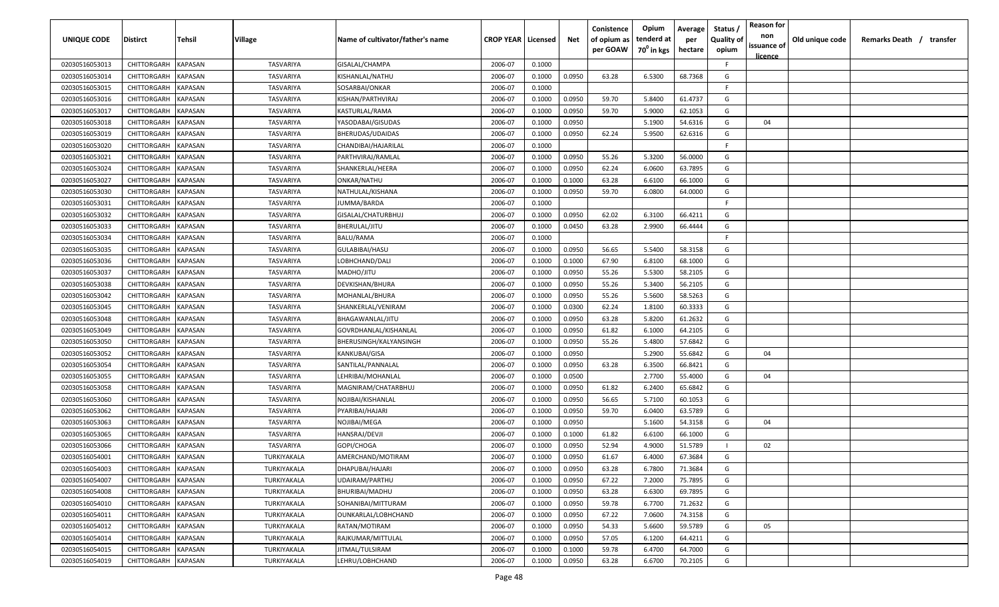| UNIQUE CODE    | <b>Distirct</b>     | Tehsil         | <b>Village</b> | Name of cultivator/father's name | <b>CROP YEAR   Licensed</b> |        | Net    | Conistence<br>of opium as | Opium<br>tenderd at    | Average<br>per | Status /<br><b>Quality of</b> | <b>Reason for</b><br>non | Old unique code | Remarks Death / transfer |
|----------------|---------------------|----------------|----------------|----------------------------------|-----------------------------|--------|--------|---------------------------|------------------------|----------------|-------------------------------|--------------------------|-----------------|--------------------------|
|                |                     |                |                |                                  |                             |        |        | per GOAW                  | 70 <sup>0</sup> in kgs | hectare        | opium                         | issuance of<br>licence   |                 |                          |
| 02030516053013 | CHITTORGARH         | <b>KAPASAN</b> | TASVARIYA      | GISALAL/CHAMPA                   | 2006-07                     | 0.1000 |        |                           |                        |                | F.                            |                          |                 |                          |
| 02030516053014 | CHITTORGARH         | <b>KAPASAN</b> | TASVARIYA      | KISHANLAL/NATHU                  | 2006-07                     | 0.1000 | 0.0950 | 63.28                     | 6.5300                 | 68.7368        | G                             |                          |                 |                          |
| 02030516053015 | CHITTORGARH         | KAPASAN        | TASVARIYA      | SOSARBAI/ONKAR                   | 2006-07                     | 0.1000 |        |                           |                        |                | -F                            |                          |                 |                          |
| 02030516053016 | CHITTORGARH         | KAPASAN        | TASVARIYA      | KISHAN/PARTHVIRAJ                | 2006-07                     | 0.1000 | 0.0950 | 59.70                     | 5.8400                 | 61.4737        | G                             |                          |                 |                          |
| 02030516053017 | CHITTORGARH         | KAPASAN        | TASVARIYA      | KASTURLAL/RAMA                   | 2006-07                     | 0.1000 | 0.0950 | 59.70                     | 5.9000                 | 62.1053        | G                             |                          |                 |                          |
| 02030516053018 | CHITTORGARH         | <b>KAPASAN</b> | TASVARIYA      | YASODABAI/GISUDAS                | 2006-07                     | 0.1000 | 0.0950 |                           | 5.1900                 | 54.6316        | G                             | 04                       |                 |                          |
| 02030516053019 | CHITTORGARH         | <b>KAPASAN</b> | TASVARIYA      | BHERUDAS/UDAIDAS                 | 2006-07                     | 0.1000 | 0.0950 | 62.24                     | 5.9500                 | 62.6316        | G                             |                          |                 |                          |
| 02030516053020 | CHITTORGARH         | <b>KAPASAN</b> | TASVARIYA      | CHANDIBAI/HAJARILAL              | 2006-07                     | 0.1000 |        |                           |                        |                | F.                            |                          |                 |                          |
| 02030516053021 | CHITTORGARH         | <b>KAPASAN</b> | TASVARIYA      | PARTHVIRAJ/RAMLAL                | 2006-07                     | 0.1000 | 0.0950 | 55.26                     | 5.3200                 | 56.0000        | G                             |                          |                 |                          |
| 02030516053024 | CHITTORGARH         | <b>KAPASAN</b> | TASVARIYA      | SHANKERLAL/HEERA                 | 2006-07                     | 0.1000 | 0.0950 | 62.24                     | 6.0600                 | 63.7895        | G                             |                          |                 |                          |
| 02030516053027 | CHITTORGARH         | KAPASAN        | TASVARIYA      | ONKAR/NATHU                      | 2006-07                     | 0.1000 | 0.1000 | 63.28                     | 6.6100                 | 66.1000        | G                             |                          |                 |                          |
| 02030516053030 | CHITTORGARH         | <b>KAPASAN</b> | TASVARIYA      | NATHULAL/KISHANA                 | 2006-07                     | 0.1000 | 0.0950 | 59.70                     | 6.0800                 | 64.0000        | G                             |                          |                 |                          |
| 02030516053031 | CHITTORGARH         | <b>KAPASAN</b> | TASVARIYA      | JUMMA/BARDA                      | 2006-07                     | 0.1000 |        |                           |                        |                | F                             |                          |                 |                          |
| 02030516053032 | CHITTORGARH         | <b>KAPASAN</b> | TASVARIYA      | GISALAL/CHATURBHUJ               | 2006-07                     | 0.1000 | 0.0950 | 62.02                     | 6.3100                 | 66.4211        | G                             |                          |                 |                          |
| 02030516053033 | <b>CHITTORGARH</b>  | <b>KAPASAN</b> | TASVARIYA      | BHERULAL/JITU                    | 2006-07                     | 0.1000 | 0.0450 | 63.28                     | 2.9900                 | 66.4444        | G                             |                          |                 |                          |
| 02030516053034 | CHITTORGARH         | <b>KAPASAN</b> | TASVARIYA      | BALU/RAMA                        | 2006-07                     | 0.1000 |        |                           |                        |                | F.                            |                          |                 |                          |
| 02030516053035 | <b>CHITTORGARH</b>  | <b>KAPASAN</b> | TASVARIYA      | GULABIBAI/HASU                   | 2006-07                     | 0.1000 | 0.0950 | 56.65                     | 5.5400                 | 58.3158        | G                             |                          |                 |                          |
| 02030516053036 | CHITTORGARH         | <b>KAPASAN</b> | TASVARIYA      | LOBHCHAND/DALI                   | 2006-07                     | 0.1000 | 0.1000 | 67.90                     | 6.8100                 | 68.1000        | G                             |                          |                 |                          |
| 02030516053037 | CHITTORGARH         | <b>KAPASAN</b> | TASVARIYA      | MADHO/JITU                       | 2006-07                     | 0.1000 | 0.0950 | 55.26                     | 5.5300                 | 58.2105        | G                             |                          |                 |                          |
| 02030516053038 | CHITTORGARH         | <b>KAPASAN</b> | TASVARIYA      | DEVKISHAN/BHURA                  | 2006-07                     | 0.1000 | 0.0950 | 55.26                     | 5.3400                 | 56.2105        | G                             |                          |                 |                          |
| 02030516053042 | CHITTORGARH         | <b>KAPASAN</b> | TASVARIYA      | MOHANLAL/BHURA                   | 2006-07                     | 0.1000 | 0.0950 | 55.26                     | 5.5600                 | 58.5263        | G                             |                          |                 |                          |
| 02030516053045 | CHITTORGARH         | <b>KAPASAN</b> | TASVARIYA      | SHANKERLAL/VENIRAM               | 2006-07                     | 0.1000 | 0.0300 | 62.24                     | 1.8100                 | 60.3333        | G                             |                          |                 |                          |
| 02030516053048 | CHITTORGARH         | <b>KAPASAN</b> | TASVARIYA      | BHAGAWANLAL/JITU                 | 2006-07                     | 0.1000 | 0.0950 | 63.28                     | 5.8200                 | 61.2632        | G                             |                          |                 |                          |
| 02030516053049 | CHITTORGARH         | <b>KAPASAN</b> | TASVARIYA      | GOVRDHANLAL/KISHANLAL            | 2006-07                     | 0.1000 | 0.0950 | 61.82                     | 6.1000                 | 64.2105        | G                             |                          |                 |                          |
| 02030516053050 | CHITTORGARH         | <b>KAPASAN</b> | TASVARIYA      | BHERUSINGH/KALYANSINGH           | 2006-07                     | 0.1000 | 0.0950 | 55.26                     | 5.4800                 | 57.6842        | G                             |                          |                 |                          |
| 02030516053052 | CHITTORGARH         | <b>KAPASAN</b> | TASVARIYA      | KANKUBAI/GISA                    | 2006-07                     | 0.1000 | 0.0950 |                           | 5.2900                 | 55.6842        | G                             | 04                       |                 |                          |
| 02030516053054 | CHITTORGARH         | <b>KAPASAN</b> | TASVARIYA      | SANTILAL/PANNALAL                | 2006-07                     | 0.1000 | 0.0950 | 63.28                     | 6.3500                 | 66.8421        | G                             |                          |                 |                          |
| 02030516053055 | CHITTORGARH         | <b>KAPASAN</b> | TASVARIYA      | LEHRIBAI/MOHANLAL                | 2006-07                     | 0.1000 | 0.0500 |                           | 2.7700                 | 55.4000        | G                             | 04                       |                 |                          |
| 02030516053058 | CHITTORGARH         | <b>KAPASAN</b> | TASVARIYA      | MAGNIRAM/CHATARBHUJ              | 2006-07                     | 0.1000 | 0.0950 | 61.82                     | 6.2400                 | 65.6842        | G                             |                          |                 |                          |
| 02030516053060 | CHITTORGARH         | <b>KAPASAN</b> | TASVARIYA      | NOJIBAI/KISHANLAL                | 2006-07                     | 0.1000 | 0.0950 | 56.65                     | 5.7100                 | 60.1053        | G                             |                          |                 |                          |
| 02030516053062 | <b>CHITTORGARH</b>  | <b>KAPASAN</b> | TASVARIYA      | PYARIBAI/HAJARI                  | 2006-07                     | 0.1000 | 0.0950 | 59.70                     | 6.0400                 | 63.5789        | G                             |                          |                 |                          |
| 02030516053063 | <b>CHITTORGARH</b>  | <b>KAPASAN</b> | TASVARIYA      | NOJIBAI/MEGA                     | 2006-07                     | 0.1000 | 0.0950 |                           | 5.1600                 | 54.3158        | G                             | 04                       |                 |                          |
| 02030516053065 | CHITTORGARH         | <b>KAPASAN</b> | TASVARIYA      | HANSRAJ/DEVJI                    | 2006-07                     | 0.1000 | 0.1000 | 61.82                     | 6.6100                 | 66.1000        | G                             |                          |                 |                          |
| 02030516053066 | CHITTORGARH         | <b>KAPASAN</b> | TASVARIYA      | GOPI/CHOGA                       | 2006-07                     | 0.1000 | 0.0950 | 52.94                     | 4.9000                 | 51.5789        |                               | 02                       |                 |                          |
| 02030516054001 | <b>CHITTORGARH</b>  | <b>KAPASAN</b> | TURKIYAKALA    | AMERCHAND/MOTIRAM                | 2006-07                     | 0.1000 | 0.0950 | 61.67                     | 6.4000                 | 67.3684        | G                             |                          |                 |                          |
| 02030516054003 | CHITTORGARH KAPASAN |                | TURKIYAKALA    | DHAPUBAI/HAJARI                  | 2006-07                     | 0.1000 | 0.0950 | 63.28                     | 6.7800                 | 71.3684        | G                             |                          |                 |                          |
| 02030516054007 | CHITTORGARH         | <b>KAPASAN</b> | TURKIYAKALA    | UDAIRAM/PARTHU                   | 2006-07                     | 0.1000 | 0.0950 | 67.22                     | 7.2000                 | 75.7895        | G                             |                          |                 |                          |
| 02030516054008 | CHITTORGARH         | <b>KAPASAN</b> | TURKIYAKALA    | BHURIBAI/MADHU                   | 2006-07                     | 0.1000 | 0.0950 | 63.28                     | 6.6300                 | 69.7895        | G                             |                          |                 |                          |
| 02030516054010 | CHITTORGARH         | <b>KAPASAN</b> | TURKIYAKALA    | SOHANIBAI/MITTURAM               | 2006-07                     | 0.1000 | 0.0950 | 59.78                     | 6.7700                 | 71.2632        | G                             |                          |                 |                          |
| 02030516054011 | CHITTORGARH         | <b>KAPASAN</b> | TURKIYAKALA    | OUNKARLAL/LOBHCHAND              | 2006-07                     | 0.1000 | 0.0950 | 67.22                     | 7.0600                 | 74.3158        | G                             |                          |                 |                          |
| 02030516054012 | CHITTORGARH         | <b>KAPASAN</b> | TURKIYAKALA    | RATAN/MOTIRAM                    | 2006-07                     | 0.1000 | 0.0950 | 54.33                     | 5.6600                 | 59.5789        | G                             | 05                       |                 |                          |
| 02030516054014 | CHITTORGARH         | <b>KAPASAN</b> | TURKIYAKALA    | RAJKUMAR/MITTULAL                | 2006-07                     | 0.1000 | 0.0950 | 57.05                     | 6.1200                 | 64.4211        | G                             |                          |                 |                          |
| 02030516054015 | CHITTORGARH         | <b>KAPASAN</b> | TURKIYAKALA    | JITMAL/TULSIRAM                  | 2006-07                     | 0.1000 | 0.1000 | 59.78                     | 6.4700                 | 64.7000        | G                             |                          |                 |                          |
| 02030516054019 | CHITTORGARH KAPASAN |                | TURKIYAKALA    | LEHRU/LOBHCHAND                  | 2006-07                     | 0.1000 | 0.0950 | 63.28                     | 6.6700                 | 70.2105        | G                             |                          |                 |                          |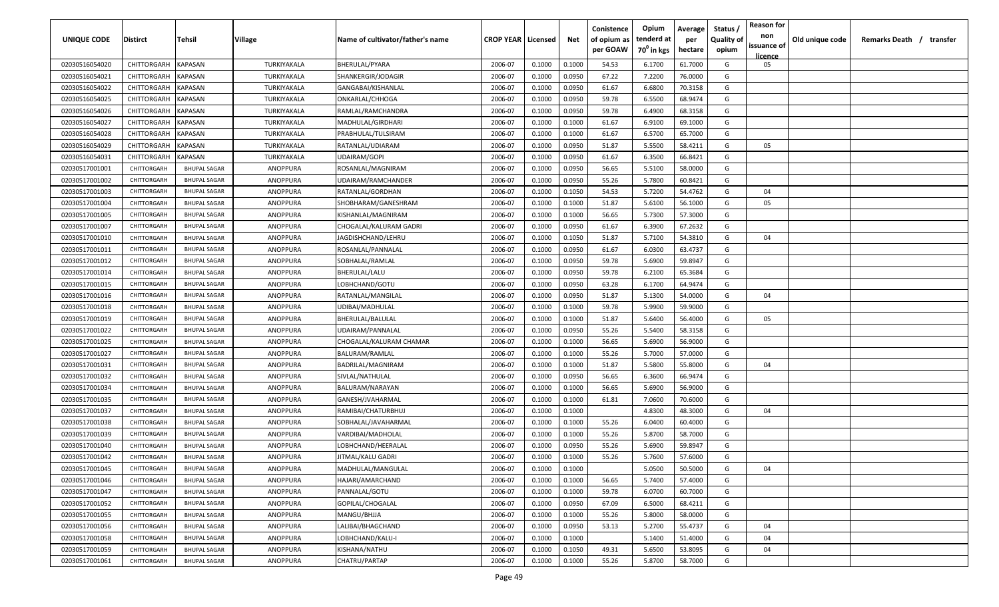| UNIQUE CODE    | <b>Distirct</b> | Tehsil              | <b>Village</b>  | Name of cultivator/father's name | <b>CROP YEAR Licensed</b> |        | Net    | Conistence<br>of opium as<br>per GOAW | Opium<br>tenderd at<br>70 <sup>0</sup> in kgs | Average<br>per<br>hectare | Status /<br><b>Quality of</b><br>opium | <b>Reason for</b><br>non<br>issuance of<br><u>licence</u> | Old unique code | Remarks Death /<br>transfer |  |
|----------------|-----------------|---------------------|-----------------|----------------------------------|---------------------------|--------|--------|---------------------------------------|-----------------------------------------------|---------------------------|----------------------------------------|-----------------------------------------------------------|-----------------|-----------------------------|--|
| 02030516054020 | CHITTORGARH     | <b>KAPASAN</b>      | TURKIYAKALA     | BHERULAL/PYARA                   | 2006-07                   | 0.1000 | 0.1000 | 54.53                                 | 6.1700                                        | 61.7000                   | G                                      | 05                                                        |                 |                             |  |
| 02030516054021 | CHITTORGARH     | <b>KAPASAN</b>      | TURKIYAKALA     | SHANKERGIR/JODAGIR               | 2006-07                   | 0.1000 | 0.0950 | 67.22                                 | 7.2200                                        | 76.0000                   | G                                      |                                                           |                 |                             |  |
| 02030516054022 | CHITTORGARH     | <b>KAPASAN</b>      | TURKIYAKALA     | GANGABAI/KISHANLAL               | 2006-07                   | 0.1000 | 0.0950 | 61.67                                 | 6.6800                                        | 70.3158                   | G                                      |                                                           |                 |                             |  |
| 02030516054025 | CHITTORGARH     | KAPASAN             | TURKIYAKALA     | ONKARLAL/CHHOGA                  | 2006-07                   | 0.1000 | 0.0950 | 59.78                                 | 6.5500                                        | 68.9474                   | G                                      |                                                           |                 |                             |  |
| 02030516054026 | CHITTORGARH     | <b>KAPASAN</b>      | TURKIYAKALA     | RAMLAL/RAMCHANDRA                | 2006-07                   | 0.1000 | 0.0950 | 59.78                                 | 6.4900                                        | 68.3158                   | G                                      |                                                           |                 |                             |  |
| 02030516054027 | CHITTORGARH     | KAPASAN             | TURKIYAKALA     | MADHULAL/GIRDHARI                | 2006-07                   | 0.1000 | 0.1000 | 61.67                                 | 6.9100                                        | 69.1000                   | G                                      |                                                           |                 |                             |  |
| 02030516054028 | CHITTORGARH     | KAPASAN             | TURKIYAKALA     | PRABHULAL/TULSIRAM               | 2006-07                   | 0.1000 | 0.1000 | 61.67                                 | 6.5700                                        | 65.7000                   | G                                      |                                                           |                 |                             |  |
| 02030516054029 | CHITTORGARH     | KAPASAN             | TURKIYAKALA     | RATANLAL/UDIARAM                 | 2006-07                   | 0.1000 | 0.0950 | 51.87                                 | 5.5500                                        | 58.4211                   | G                                      | 05                                                        |                 |                             |  |
| 02030516054031 | CHITTORGARH     | KAPASAN             | TURKIYAKALA     | UDAIRAM/GOPI                     | 2006-07                   | 0.1000 | 0.0950 | 61.67                                 | 6.3500                                        | 66.8421                   | G                                      |                                                           |                 |                             |  |
| 02030517001001 | CHITTORGARH     | <b>BHUPAL SAGAR</b> | ANOPPURA        | ROSANLAL/MAGNIRAM                | 2006-07                   | 0.1000 | 0.0950 | 56.65                                 | 5.5100                                        | 58.0000                   | G                                      |                                                           |                 |                             |  |
| 02030517001002 | CHITTORGARH     | <b>BHUPAL SAGAR</b> | ANOPPURA        | UDAIRAM/RAMCHANDER               | 2006-07                   | 0.1000 | 0.0950 | 55.26                                 | 5.7800                                        | 60.8421                   | G                                      |                                                           |                 |                             |  |
| 02030517001003 | CHITTORGARH     | <b>BHUPAL SAGAR</b> | ANOPPURA        | RATANLAL/GORDHAN                 | 2006-07                   | 0.1000 | 0.1050 | 54.53                                 | 5.7200                                        | 54.4762                   | G                                      | 04                                                        |                 |                             |  |
| 02030517001004 | CHITTORGARH     | <b>BHUPAL SAGAR</b> | ANOPPURA        | SHOBHARAM/GANESHRAM              | 2006-07                   | 0.1000 | 0.1000 | 51.87                                 | 5.6100                                        | 56.1000                   | G                                      | 05                                                        |                 |                             |  |
| 02030517001005 | CHITTORGARH     | <b>BHUPAL SAGAR</b> | ANOPPURA        | KISHANLAL/MAGNIRAM               | 2006-07                   | 0.1000 | 0.1000 | 56.65                                 | 5.7300                                        | 57.3000                   | G                                      |                                                           |                 |                             |  |
| 02030517001007 | CHITTORGARH     | <b>BHUPAL SAGAR</b> | ANOPPURA        | CHOGALAL/KALURAM GADRI           | 2006-07                   | 0.1000 | 0.0950 | 61.67                                 | 6.3900                                        | 67.2632                   | G                                      |                                                           |                 |                             |  |
| 02030517001010 | CHITTORGARH     | <b>BHUPAL SAGAR</b> | ANOPPURA        | JAGDISHCHAND/LEHRU               | 2006-07                   | 0.1000 | 0.1050 | 51.87                                 | 5.7100                                        | 54.3810                   | G                                      | 04                                                        |                 |                             |  |
| 02030517001011 | CHITTORGARH     | <b>BHUPAL SAGAR</b> | ANOPPURA        | ROSANLAL/PANNALAL                | 2006-07                   | 0.1000 | 0.0950 | 61.67                                 | 6.0300                                        | 63.4737                   | G                                      |                                                           |                 |                             |  |
| 02030517001012 | CHITTORGARH     | <b>BHUPAL SAGAR</b> | <b>ANOPPURA</b> | SOBHALAL/RAMLAL                  | 2006-07                   | 0.1000 | 0.0950 | 59.78                                 | 5.6900                                        | 59.8947                   | G                                      |                                                           |                 |                             |  |
| 02030517001014 | CHITTORGARH     | <b>BHUPAL SAGAR</b> | ANOPPURA        | BHERULAL/LALU                    | 2006-07                   | 0.1000 | 0.0950 | 59.78                                 | 6.2100                                        | 65.3684                   | G                                      |                                                           |                 |                             |  |
| 02030517001015 | CHITTORGARH     | <b>BHUPAL SAGAR</b> | ANOPPURA        | LOBHCHAND/GOTU                   | 2006-07                   | 0.1000 | 0.0950 | 63.28                                 | 6.1700                                        | 64.9474                   | G                                      |                                                           |                 |                             |  |
| 02030517001016 | CHITTORGARH     | <b>BHUPAL SAGAR</b> | ANOPPURA        | RATANLAL/MANGILAL                | 2006-07                   | 0.1000 | 0.0950 | 51.87                                 | 5.1300                                        | 54.0000                   | G                                      | 04                                                        |                 |                             |  |
| 02030517001018 | CHITTORGARH     | <b>BHUPAL SAGAR</b> | ANOPPURA        | UDIBAI/MADHULAL                  | 2006-07                   | 0.1000 | 0.1000 | 59.78                                 | 5.9900                                        | 59.9000                   | G                                      |                                                           |                 |                             |  |
| 02030517001019 | CHITTORGARH     | <b>BHUPAL SAGAR</b> | ANOPPURA        | BHERULAL/BALULAL                 | 2006-07                   | 0.1000 | 0.1000 | 51.87                                 | 5.6400                                        | 56.4000                   | G                                      | 05                                                        |                 |                             |  |
| 02030517001022 | CHITTORGARH     | <b>BHUPAL SAGAR</b> | ANOPPURA        | JDAIRAM/PANNALAL                 | 2006-07                   | 0.1000 | 0.0950 | 55.26                                 | 5.5400                                        | 58.3158                   | G                                      |                                                           |                 |                             |  |
| 02030517001025 | CHITTORGARH     | <b>BHUPAL SAGAR</b> | ANOPPURA        | CHOGALAL/KALURAM CHAMAR          | 2006-07                   | 0.1000 | 0.1000 | 56.65                                 | 5.6900                                        | 56.9000                   | G                                      |                                                           |                 |                             |  |
| 02030517001027 | CHITTORGARH     | <b>BHUPAL SAGAR</b> | ANOPPURA        | BALURAM/RAMLAL                   | 2006-07                   | 0.1000 | 0.1000 | 55.26                                 | 5.7000                                        | 57.0000                   | G                                      |                                                           |                 |                             |  |
| 02030517001031 | CHITTORGARH     | <b>BHUPAL SAGAR</b> | ANOPPURA        | BADRILAL/MAGNIRAM                | 2006-07                   | 0.1000 | 0.1000 | 51.87                                 | 5.5800                                        | 55.8000                   | G                                      | 04                                                        |                 |                             |  |
| 02030517001032 | CHITTORGARH     | <b>BHUPAL SAGAR</b> | ANOPPURA        | SIVLAL/NATHULAL                  | 2006-07                   | 0.1000 | 0.0950 | 56.65                                 | 6.3600                                        | 66.9474                   | G                                      |                                                           |                 |                             |  |
| 02030517001034 | CHITTORGARH     | <b>BHUPAL SAGAR</b> | ANOPPURA        | BALURAM/NARAYAN                  | 2006-07                   | 0.1000 | 0.1000 | 56.65                                 | 5.6900                                        | 56.9000                   | G                                      |                                                           |                 |                             |  |
| 02030517001035 | CHITTORGARH     | <b>BHUPAL SAGAR</b> | ANOPPURA        | GANESH/JVAHARMAL                 | 2006-07                   | 0.1000 | 0.1000 | 61.81                                 | 7.0600                                        | 70.6000                   | G                                      |                                                           |                 |                             |  |
| 02030517001037 | CHITTORGARH     | <b>BHUPAL SAGAR</b> | ANOPPURA        | RAMIBAI/CHATURBHUJ               | 2006-07                   | 0.1000 | 0.1000 |                                       | 4.8300                                        | 48.3000                   | G                                      | 04                                                        |                 |                             |  |
| 02030517001038 | CHITTORGARH     | <b>BHUPAL SAGAR</b> | ANOPPURA        | SOBHALAL/JAVAHARMAL              | 2006-07                   | 0.1000 | 0.1000 | 55.26                                 | 6.0400                                        | 60.4000                   | G                                      |                                                           |                 |                             |  |
| 02030517001039 | CHITTORGARH     | <b>BHUPAL SAGAR</b> | ANOPPURA        | VARDIBAI/MADHOLAL                | 2006-07                   | 0.1000 | 0.1000 | 55.26                                 | 5.8700                                        | 58.7000                   | G                                      |                                                           |                 |                             |  |
| 02030517001040 | CHITTORGARH     | <b>BHUPAL SAGAR</b> | ANOPPURA        | LOBHCHAND/HEERALAL               | 2006-07                   | 0.1000 | 0.0950 | 55.26                                 | 5.6900                                        | 59.8947                   | G                                      |                                                           |                 |                             |  |
| 02030517001042 | CHITTORGARH     | <b>BHUPAL SAGAR</b> | <b>ANOPPURA</b> | JITMAL/KALU GADRI                | 2006-07                   | 0.1000 | 0.1000 | 55.26                                 | 5.7600                                        | 57.6000                   | G                                      |                                                           |                 |                             |  |
| 02030517001045 | CHITTORGARH     | <b>BHUPAL SAGAR</b> | ANOPPURA        | MADHULAL/MANGULAL                | 2006-07                   | 0.1000 | 0.1000 |                                       | 5.0500                                        | 50.5000                   | G                                      | 04                                                        |                 |                             |  |
| 02030517001046 | CHITTORGARH     | <b>BHUPAL SAGAR</b> | ANOPPURA        | HAJARI/AMARCHAND                 | 2006-07                   | 0.1000 | 0.1000 | 56.65                                 | 5.7400                                        | 57.4000                   | G                                      |                                                           |                 |                             |  |
| 02030517001047 | CHITTORGARH     | <b>BHUPAL SAGAR</b> | ANOPPURA        | PANNALAL/GOTU                    | 2006-07                   | 0.1000 | 0.1000 | 59.78                                 | 6.0700                                        | 60.7000                   | G                                      |                                                           |                 |                             |  |
| 02030517001052 | CHITTORGARH     | <b>BHUPAL SAGAR</b> | ANOPPURA        | GOPILAL/CHOGALAL                 | 2006-07                   | 0.1000 | 0.0950 | 67.09                                 | 6.5000                                        | 68.4211                   | G                                      |                                                           |                 |                             |  |
| 02030517001055 | CHITTORGARH     | <b>BHUPAL SAGAR</b> | ANOPPURA        | MANGU/BHJJA                      | 2006-07                   | 0.1000 | 0.1000 | 55.26                                 | 5.8000                                        | 58.0000                   | G                                      |                                                           |                 |                             |  |
| 02030517001056 | CHITTORGARH     | <b>BHUPAL SAGAR</b> | ANOPPURA        | LALIBAI/BHAGCHAND                | 2006-07                   | 0.1000 | 0.0950 | 53.13                                 | 5.2700                                        | 55.4737                   | G                                      | 04                                                        |                 |                             |  |
| 02030517001058 | CHITTORGARH     | <b>BHUPAL SAGAR</b> | ANOPPURA        | LOBHCHAND/KALU-I                 | 2006-07                   | 0.1000 | 0.1000 |                                       | 5.1400                                        | 51.4000                   | G                                      | 04                                                        |                 |                             |  |
| 02030517001059 | CHITTORGARH     | <b>BHUPAL SAGAR</b> | ANOPPURA        | KISHANA/NATHU                    | 2006-07                   | 0.1000 | 0.1050 | 49.31                                 | 5.6500                                        | 53.8095                   | G                                      | 04                                                        |                 |                             |  |
| 02030517001061 | CHITTORGARH     | <b>BHUPAL SAGAR</b> | ANOPPURA        | CHATRU/PARTAP                    | 2006-07                   | 0.1000 | 0.1000 | 55.26                                 | 5.8700                                        | 58.7000                   | G                                      |                                                           |                 |                             |  |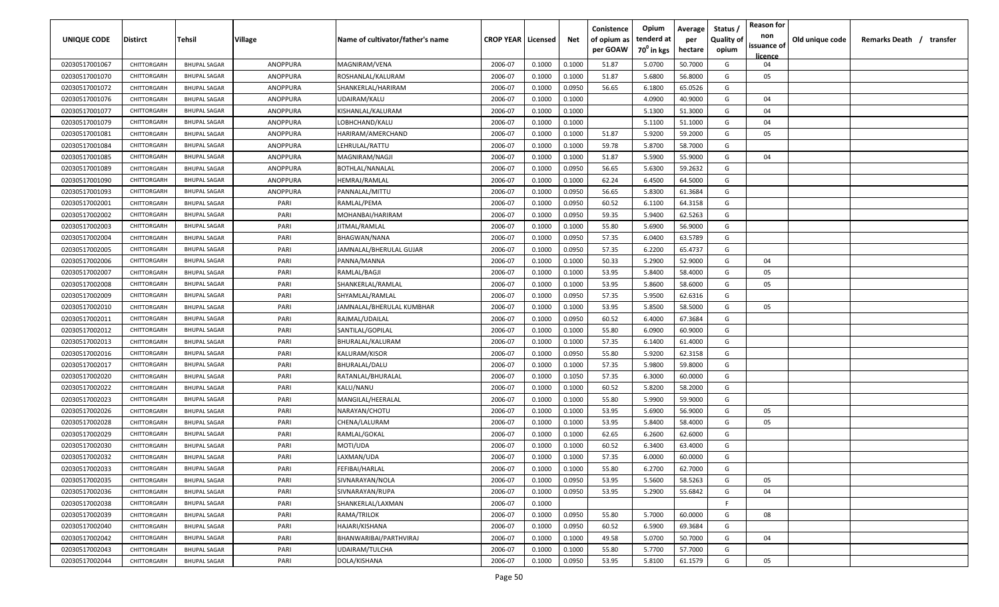| UNIQUE CODE    | <b>Distirct</b> | Tehsil              | <b>Village</b>  | Name of cultivator/father's name | <b>CROP YEAR Licensed</b> |        | Net    | Conistence<br>of opium as<br>per GOAW | Opium<br>tenderd at<br>70 <sup>0</sup> in kgs | Average<br>per<br>hectare | Status /<br><b>Quality of</b><br>opium | <b>Reason for</b><br>non<br>issuance of<br><u>licence</u> | Old unique code | Remarks Death /<br>transfer |
|----------------|-----------------|---------------------|-----------------|----------------------------------|---------------------------|--------|--------|---------------------------------------|-----------------------------------------------|---------------------------|----------------------------------------|-----------------------------------------------------------|-----------------|-----------------------------|
| 02030517001067 | CHITTORGARH     | <b>BHUPAL SAGAR</b> | <b>ANOPPURA</b> | MAGNIRAM/VENA                    | 2006-07                   | 0.1000 | 0.1000 | 51.87                                 | 5.0700                                        | 50.7000                   | G                                      | 04                                                        |                 |                             |
| 02030517001070 | CHITTORGARH     | <b>BHUPAL SAGAR</b> | ANOPPURA        | ROSHANLAL/KALURAM                | 2006-07                   | 0.1000 | 0.1000 | 51.87                                 | 5.6800                                        | 56.8000                   | G                                      | 05                                                        |                 |                             |
| 02030517001072 | CHITTORGARH     | <b>BHUPAL SAGAR</b> | ANOPPURA        | SHANKERLAL/HARIRAM               | 2006-07                   | 0.1000 | 0.0950 | 56.65                                 | 6.1800                                        | 65.0526                   | G                                      |                                                           |                 |                             |
| 02030517001076 | CHITTORGARH     | <b>BHUPAL SAGAR</b> | ANOPPURA        | UDAIRAM/KALU                     | 2006-07                   | 0.1000 | 0.1000 |                                       | 4.0900                                        | 40.9000                   | G                                      | 04                                                        |                 |                             |
| 02030517001077 | CHITTORGARH     | <b>BHUPAL SAGAR</b> | ANOPPURA        | KISHANLAL/KALURAM                | 2006-07                   | 0.1000 | 0.1000 |                                       | 5.1300                                        | 51.3000                   | G                                      | 04                                                        |                 |                             |
| 02030517001079 | CHITTORGARH     | <b>BHUPAL SAGAR</b> | ANOPPURA        | LOBHCHAND/KALU                   | 2006-07                   | 0.1000 | 0.1000 |                                       | 5.1100                                        | 51.1000                   | G                                      | 04                                                        |                 |                             |
| 02030517001081 | CHITTORGARH     | <b>BHUPAL SAGAR</b> | ANOPPURA        | HARIRAM/AMERCHAND                | 2006-07                   | 0.1000 | 0.1000 | 51.87                                 | 5.9200                                        | 59.2000                   | G                                      | 05                                                        |                 |                             |
| 02030517001084 | CHITTORGARH     | <b>BHUPAL SAGAR</b> | ANOPPURA        | LEHRULAL/RATTU                   | 2006-07                   | 0.1000 | 0.1000 | 59.78                                 | 5.8700                                        | 58.7000                   | G                                      |                                                           |                 |                             |
| 02030517001085 | CHITTORGARH     | <b>BHUPAL SAGAR</b> | <b>ANOPPURA</b> | MAGNIRAM/NAGJI                   | 2006-07                   | 0.1000 | 0.1000 | 51.87                                 | 5.5900                                        | 55.9000                   | G                                      | 04                                                        |                 |                             |
| 02030517001089 | CHITTORGARH     | <b>BHUPAL SAGAR</b> | ANOPPURA        | BOTHLAL/NANALAL                  | 2006-07                   | 0.1000 | 0.0950 | 56.65                                 | 5.6300                                        | 59.2632                   | G                                      |                                                           |                 |                             |
| 02030517001090 | CHITTORGARH     | <b>BHUPAL SAGAR</b> | ANOPPURA        | HEMRAJ/RAMLAL                    | 2006-07                   | 0.1000 | 0.1000 | 62.24                                 | 6.4500                                        | 64.5000                   | G                                      |                                                           |                 |                             |
| 02030517001093 | CHITTORGARH     | <b>BHUPAL SAGAR</b> | ANOPPURA        | PANNALAL/MITTU                   | 2006-07                   | 0.1000 | 0.0950 | 56.65                                 | 5.8300                                        | 61.3684                   | G                                      |                                                           |                 |                             |
| 02030517002001 | CHITTORGARH     | <b>BHUPAL SAGAR</b> | PARI            | RAMLAL/PEMA                      | 2006-07                   | 0.1000 | 0.0950 | 60.52                                 | 6.1100                                        | 64.3158                   | G                                      |                                                           |                 |                             |
| 02030517002002 | CHITTORGARH     | <b>BHUPAL SAGAR</b> | PARI            | MOHANBAI/HARIRAM                 | 2006-07                   | 0.1000 | 0.0950 | 59.35                                 | 5.9400                                        | 62.5263                   | G                                      |                                                           |                 |                             |
| 02030517002003 | CHITTORGARH     | <b>BHUPAL SAGAR</b> | PARI            | JITMAL/RAMLAL                    | 2006-07                   | 0.1000 | 0.1000 | 55.80                                 | 5.6900                                        | 56.9000                   | G                                      |                                                           |                 |                             |
| 02030517002004 | CHITTORGARH     | <b>BHUPAL SAGAR</b> | PARI            | BHAGWAN/NANA                     | 2006-07                   | 0.1000 | 0.0950 | 57.35                                 | 6.0400                                        | 63.5789                   | G                                      |                                                           |                 |                             |
| 02030517002005 | CHITTORGARH     | <b>BHUPAL SAGAR</b> | PARI            | JAMNALAL/BHERULAL GUJAR          | 2006-07                   | 0.1000 | 0.0950 | 57.35                                 | 6.2200                                        | 65.4737                   | G                                      |                                                           |                 |                             |
| 02030517002006 | CHITTORGARH     | <b>BHUPAL SAGAR</b> | PARI            | PANNA/MANNA                      | 2006-07                   | 0.1000 | 0.1000 | 50.33                                 | 5.2900                                        | 52.9000                   | G                                      | 04                                                        |                 |                             |
| 02030517002007 | CHITTORGARH     | <b>BHUPAL SAGAR</b> | PARI            | RAMLAL/BAGJI                     | 2006-07                   | 0.1000 | 0.1000 | 53.95                                 | 5.8400                                        | 58.4000                   | G                                      | 05                                                        |                 |                             |
| 02030517002008 | CHITTORGARH     | <b>BHUPAL SAGAR</b> | PARI            | SHANKERLAL/RAMLAL                | 2006-07                   | 0.1000 | 0.1000 | 53.95                                 | 5.8600                                        | 58.6000                   | G                                      | 05                                                        |                 |                             |
| 02030517002009 | CHITTORGARH     | <b>BHUPAL SAGAR</b> | PARI            | SHYAMLAL/RAMLAL                  | 2006-07                   | 0.1000 | 0.0950 | 57.35                                 | 5.9500                                        | 62.6316                   | G                                      |                                                           |                 |                             |
| 02030517002010 | CHITTORGARH     | <b>BHUPAL SAGAR</b> | PARI            | JAMNALAL/BHERULAL KUMBHAR        | 2006-07                   | 0.1000 | 0.1000 | 53.95                                 | 5.8500                                        | 58.5000                   | G                                      | 05                                                        |                 |                             |
| 02030517002011 | CHITTORGARH     | <b>BHUPAL SAGAR</b> | PARI            | RAJMAL/UDAILAL                   | 2006-07                   | 0.1000 | 0.0950 | 60.52                                 | 6.4000                                        | 67.3684                   | G                                      |                                                           |                 |                             |
| 02030517002012 | CHITTORGARH     | <b>BHUPAL SAGAR</b> | PARI            | SANTILAL/GOPILAL                 | 2006-07                   | 0.1000 | 0.1000 | 55.80                                 | 6.0900                                        | 60.9000                   | G                                      |                                                           |                 |                             |
| 02030517002013 | CHITTORGARH     | <b>BHUPAL SAGAR</b> | PARI            | BHURALAL/KALURAM                 | 2006-07                   | 0.1000 | 0.1000 | 57.35                                 | 6.1400                                        | 61.4000                   | G                                      |                                                           |                 |                             |
| 02030517002016 | CHITTORGARH     | <b>BHUPAL SAGAR</b> | PARI            | KALURAM/KISOR                    | 2006-07                   | 0.1000 | 0.0950 | 55.80                                 | 5.9200                                        | 62.3158                   | G                                      |                                                           |                 |                             |
| 02030517002017 | CHITTORGARH     | <b>BHUPAL SAGAR</b> | PARI            | BHURALAL/DALU                    | 2006-07                   | 0.1000 | 0.1000 | 57.35                                 | 5.9800                                        | 59.8000                   | G                                      |                                                           |                 |                             |
| 02030517002020 | CHITTORGARH     | <b>BHUPAL SAGAR</b> | PARI            | RATANLAL/BHURALAL                | 2006-07                   | 0.1000 | 0.1050 | 57.35                                 | 6.3000                                        | 60.0000                   | G                                      |                                                           |                 |                             |
| 02030517002022 | CHITTORGARH     | <b>BHUPAL SAGAR</b> | PARI            | KALU/NANU                        | 2006-07                   | 0.1000 | 0.1000 | 60.52                                 | 5.8200                                        | 58.2000                   | G                                      |                                                           |                 |                             |
| 02030517002023 | CHITTORGARH     | <b>BHUPAL SAGAR</b> | PARI            | MANGILAL/HEERALAL                | 2006-07                   | 0.1000 | 0.1000 | 55.80                                 | 5.9900                                        | 59.9000                   | G                                      |                                                           |                 |                             |
| 02030517002026 | CHITTORGARH     | <b>BHUPAL SAGAR</b> | PARI            | NARAYAN/CHOTU                    | 2006-07                   | 0.1000 | 0.1000 | 53.95                                 | 5.6900                                        | 56.9000                   | G                                      | 05                                                        |                 |                             |
| 02030517002028 | CHITTORGARH     | <b>BHUPAL SAGAR</b> | PARI            | CHENA/LALURAM                    | 2006-07                   | 0.1000 | 0.1000 | 53.95                                 | 5.8400                                        | 58.4000                   | G                                      | 05                                                        |                 |                             |
| 02030517002029 | CHITTORGARH     | <b>BHUPAL SAGAR</b> | PARI            | RAMLAL/GOKAL                     | 2006-07                   | 0.1000 | 0.1000 | 62.65                                 | 6.2600                                        | 62.6000                   | G                                      |                                                           |                 |                             |
| 02030517002030 | CHITTORGARH     | <b>BHUPAL SAGAR</b> | PARI            | MOTI/UDA                         | 2006-07                   | 0.1000 | 0.1000 | 60.52                                 | 6.3400                                        | 63.4000                   | G                                      |                                                           |                 |                             |
| 02030517002032 | CHITTORGARH     | <b>BHUPAL SAGAR</b> | PARI            | LAXMAN/UDA                       | 2006-07                   | 0.1000 | 0.1000 | 57.35                                 | 6.0000                                        | 60.0000                   | G                                      |                                                           |                 |                             |
| 02030517002033 | CHITTORGARH     | <b>BHUPAL SAGAR</b> | PARI            | FEFIBAI/HARLAL                   | 2006-07                   | 0.1000 | 0.1000 | 55.80                                 | 6.2700                                        | 62.7000                   | G                                      |                                                           |                 |                             |
| 02030517002035 | CHITTORGARH     | <b>BHUPAL SAGAR</b> | PARI            | SIVNARAYAN/NOLA                  | 2006-07                   | 0.1000 | 0.0950 | 53.95                                 | 5.5600                                        | 58.5263                   | G                                      | 05                                                        |                 |                             |
| 02030517002036 | CHITTORGARH     | <b>BHUPAL SAGAR</b> | PARI            | SIVNARAYAN/RUPA                  | 2006-07                   | 0.1000 | 0.0950 | 53.95                                 | 5.2900                                        | 55.6842                   | G                                      | 04                                                        |                 |                             |
| 02030517002038 | CHITTORGARH     | <b>BHUPAL SAGAR</b> | PARI            | SHANKERLAL/LAXMAN                | 2006-07                   | 0.1000 |        |                                       |                                               |                           | F.                                     |                                                           |                 |                             |
| 02030517002039 | CHITTORGARH     | <b>BHUPAL SAGAR</b> | PARI            | RAMA/TRILOK                      | 2006-07                   | 0.1000 | 0.0950 | 55.80                                 | 5.7000                                        | 60.0000                   | G                                      | 08                                                        |                 |                             |
| 02030517002040 | CHITTORGARH     | <b>BHUPAL SAGAR</b> | PARI            | HAJARI/KISHANA                   | 2006-07                   | 0.1000 | 0.0950 | 60.52                                 | 6.5900                                        | 69.3684                   | G                                      |                                                           |                 |                             |
| 02030517002042 | CHITTORGARH     | <b>BHUPAL SAGAR</b> | PARI            | BHANWARIBAI/PARTHVIRAJ           | 2006-07                   | 0.1000 | 0.1000 | 49.58                                 | 5.0700                                        | 50.7000                   | G                                      | 04                                                        |                 |                             |
| 02030517002043 | CHITTORGARH     | <b>BHUPAL SAGAR</b> | PARI            | UDAIRAM/TULCHA                   | 2006-07                   | 0.1000 | 0.1000 | 55.80                                 | 5.7700                                        | 57.7000                   | G                                      |                                                           |                 |                             |
| 02030517002044 | CHITTORGARH     | <b>BHUPAL SAGAR</b> | PARI            | DOLA/KISHANA                     | 2006-07                   | 0.1000 | 0.0950 | 53.95                                 | 5.8100                                        | 61.1579                   | G                                      | 05                                                        |                 |                             |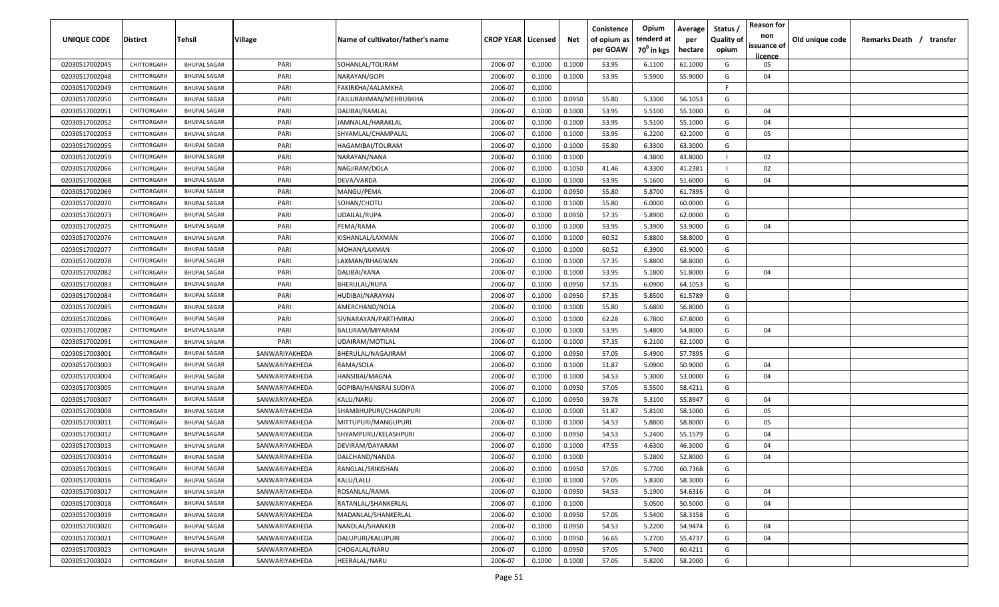| UNIQUE CODE    | <b>Distirct</b> | Tehsil              | <b>Village</b> | Name of cultivator/father's name | <b>CROP YEAR   Licensed</b> |        | Net    | Conistence<br>of opium as | Opium<br>tenderd at    | Average<br>per | Status /<br><b>Quality of</b> | <b>Reason for</b><br>non<br>issuance of | Old unique code | Remarks Death /<br>transfer |
|----------------|-----------------|---------------------|----------------|----------------------------------|-----------------------------|--------|--------|---------------------------|------------------------|----------------|-------------------------------|-----------------------------------------|-----------------|-----------------------------|
|                |                 |                     |                |                                  |                             |        |        | per GOAW                  | 70 <sup>0</sup> in kgs | hectare        | opium                         | <u>licence</u>                          |                 |                             |
| 02030517002045 | CHITTORGARH     | <b>BHUPAL SAGAR</b> | PARI           | SOHANLAL/TOLIRAM                 | 2006-07                     | 0.1000 | 0.1000 | 53.95                     | 6.1100                 | 61.1000        | G                             | 05                                      |                 |                             |
| 02030517002048 | CHITTORGARH     | <b>BHUPAL SAGAR</b> | PARI           | NARAYAN/GOPI                     | 2006-07                     | 0.1000 | 0.1000 | 53.95                     | 5.5900                 | 55.9000        | G                             | 04                                      |                 |                             |
| 02030517002049 | CHITTORGARH     | <b>BHUPAL SAGAR</b> | PARI           | FAKIRKHA/AALAMKHA                | 2006-07                     | 0.1000 |        |                           |                        |                | F                             |                                         |                 |                             |
| 02030517002050 | CHITTORGARH     | <b>BHUPAL SAGAR</b> | PARI           | FAJLURAHMAN/MEHBUBKHA            | 2006-07                     | 0.1000 | 0.0950 | 55.80                     | 5.3300                 | 56.1053        | G                             |                                         |                 |                             |
| 02030517002051 | CHITTORGARH     | <b>BHUPAL SAGAR</b> | PARI           | DALIBAI/RAMLAL                   | 2006-07                     | 0.1000 | 0.1000 | 53.95                     | 5.5100                 | 55.1000        | G                             | 04                                      |                 |                             |
| 02030517002052 | CHITTORGARH     | <b>BHUPAL SAGAR</b> | PARI           | JAMNALAL/HARAKLAL                | 2006-07                     | 0.1000 | 0.1000 | 53.95                     | 5.5100                 | 55.1000        | G                             | 04                                      |                 |                             |
| 02030517002053 | CHITTORGARH     | <b>BHUPAL SAGAR</b> | PARI           | SHYAMLAL/CHAMPALAL               | 2006-07                     | 0.1000 | 0.1000 | 53.95                     | 6.2200                 | 62.2000        | G                             | 05                                      |                 |                             |
| 02030517002055 | CHITTORGARH     | <b>BHUPAL SAGAR</b> | PARI           | HAGAMIBAI/TOLIRAM                | 2006-07                     | 0.1000 | 0.1000 | 55.80                     | 6.3300                 | 63.3000        | G                             |                                         |                 |                             |
| 02030517002059 | CHITTORGARH     | <b>BHUPAL SAGAR</b> | PARI           | NARAYAN/NANA                     | 2006-07                     | 0.1000 | 0.1000 |                           | 4.3800                 | 43.8000        |                               | 02                                      |                 |                             |
| 02030517002066 | CHITTORGARH     | <b>BHUPAL SAGAR</b> | PARI           | NAGJIRAM/DOLA                    | 2006-07                     | 0.1000 | 0.1050 | 41.46                     | 4.3300                 | 41.2381        |                               | 02                                      |                 |                             |
| 02030517002068 | CHITTORGARH     | <b>BHUPAL SAGAR</b> | PARI           | DEVA/VARDA                       | 2006-07                     | 0.1000 | 0.1000 | 53.95                     | 5.1600                 | 51.6000        | G                             | 04                                      |                 |                             |
| 02030517002069 | CHITTORGARH     | <b>BHUPAL SAGAR</b> | PARI           | MANGU/PEMA                       | 2006-07                     | 0.1000 | 0.0950 | 55.80                     | 5.8700                 | 61.7895        | G                             |                                         |                 |                             |
| 02030517002070 | CHITTORGARH     | <b>BHUPAL SAGAR</b> | PARI           | SOHAN/CHOTU                      | 2006-07                     | 0.1000 | 0.1000 | 55.80                     | 6.0000                 | 60.0000        | G                             |                                         |                 |                             |
| 02030517002073 | CHITTORGARH     | <b>BHUPAL SAGAR</b> | PARI           | <b>UDAILAL/RUPA</b>              | 2006-07                     | 0.1000 | 0.0950 | 57.35                     | 5.8900                 | 62.0000        | G                             |                                         |                 |                             |
| 02030517002075 | CHITTORGARH     | <b>BHUPAL SAGAR</b> | PARI           | PEMA/RAMA                        | 2006-07                     | 0.1000 | 0.1000 | 53.95                     | 5.3900                 | 53.9000        | G                             | 04                                      |                 |                             |
| 02030517002076 | CHITTORGARH     | <b>BHUPAL SAGAR</b> | PARI           | KISHANLAL/LAXMAN                 | 2006-07                     | 0.1000 | 0.1000 | 60.52                     | 5.8800                 | 58.8000        | G                             |                                         |                 |                             |
| 02030517002077 | CHITTORGARH     | <b>BHUPAL SAGAR</b> | PARI           | MOHAN/LAXMAN                     | 2006-07                     | 0.1000 | 0.1000 | 60.52                     | 6.3900                 | 63.9000        | G                             |                                         |                 |                             |
| 02030517002078 | CHITTORGARH     | <b>BHUPAL SAGAR</b> | PARI           | LAXMAN/BHAGWAN                   | 2006-07                     | 0.1000 | 0.1000 | 57.35                     | 5.8800                 | 58.8000        | G                             |                                         |                 |                             |
| 02030517002082 | CHITTORGARH     | <b>BHUPAL SAGAR</b> | PARI           | DALIBAI/KANA                     | 2006-07                     | 0.1000 | 0.1000 | 53.95                     | 5.1800                 | 51.8000        | G                             | 04                                      |                 |                             |
| 02030517002083 | CHITTORGARH     | <b>BHUPAL SAGAR</b> | PARI           | <b>BHERULAL/RUPA</b>             | 2006-07                     | 0.1000 | 0.0950 | 57.35                     | 6.0900                 | 64.1053        | G                             |                                         |                 |                             |
| 02030517002084 | CHITTORGARH     | <b>BHUPAL SAGAR</b> | PARI           | <b>HUDIBAI/NARAYAN</b>           | 2006-07                     | 0.1000 | 0.0950 | 57.35                     | 5.8500                 | 61.5789        | G                             |                                         |                 |                             |
| 02030517002085 | CHITTORGARH     | <b>BHUPAL SAGAR</b> | PARI           | AMERCHAND/NOLA                   | 2006-07                     | 0.1000 | 0.1000 | 55.80                     | 5.6800                 | 56.8000        | G                             |                                         |                 |                             |
| 02030517002086 | CHITTORGARH     | <b>BHUPAL SAGAR</b> | PARI           | SIVNARAYAN/PARTHVIRAJ            | 2006-07                     | 0.1000 | 0.1000 | 62.28                     | 6.7800                 | 67.8000        | G                             |                                         |                 |                             |
| 02030517002087 | CHITTORGARH     | <b>BHUPAL SAGAR</b> | PARI           | BALURAM/MIYARAM                  | 2006-07                     | 0.1000 | 0.1000 | 53.95                     | 5.4800                 | 54.8000        | G                             | 04                                      |                 |                             |
| 02030517002091 | CHITTORGARH     | <b>BHUPAL SAGAR</b> | PARI           | UDAIRAM/MOTILAL                  | 2006-07                     | 0.1000 | 0.1000 | 57.35                     | 6.2100                 | 62.1000        | G                             |                                         |                 |                             |
| 02030517003001 | CHITTORGARH     | <b>BHUPAL SAGAR</b> | SANWARIYAKHEDA | BHERULAL/NAGAJIRAM               | 2006-07                     | 0.1000 | 0.0950 | 57.05                     | 5.4900                 | 57.7895        | G                             |                                         |                 |                             |
| 02030517003003 | CHITTORGARH     | <b>BHUPAL SAGAR</b> | SANWARIYAKHEDA | RAMA/SOLA                        | 2006-07                     | 0.1000 | 0.1000 | 51.87                     | 5.0900                 | 50.9000        | G                             | 04                                      |                 |                             |
| 02030517003004 | CHITTORGARH     | <b>BHUPAL SAGAR</b> | SANWARIYAKHEDA | HANSIBAI/MAGNA                   | 2006-07                     | 0.1000 | 0.1000 | 54.53                     | 5.3000                 | 53.0000        | G                             | 04                                      |                 |                             |
| 02030517003005 | CHITTORGARH     | <b>BHUPAL SAGAR</b> | SANWARIYAKHEDA | GOPIBAI/HANSRAJ SUDIYA           | 2006-07                     | 0.1000 | 0.0950 | 57.05                     | 5.5500                 | 58.4211        | G                             |                                         |                 |                             |
| 02030517003007 | CHITTORGARH     | <b>BHUPAL SAGAR</b> | SANWARIYAKHEDA | KALU/NARU                        | 2006-07                     | 0.1000 | 0.0950 | 59.78                     | 5.3100                 | 55.8947        | G                             | 04                                      |                 |                             |
| 02030517003008 | CHITTORGARH     | <b>BHUPAL SAGAR</b> | SANWARIYAKHEDA | SHAMBHUPURI/CHAGNPURI            | 2006-07                     | 0.1000 | 0.1000 | 51.87                     | 5.8100                 | 58.1000        | G                             | 05                                      |                 |                             |
| 02030517003011 | CHITTORGARH     | <b>BHUPAL SAGAR</b> | SANWARIYAKHEDA | MITTUPURI/MANGUPURI              | 2006-07                     | 0.1000 | 0.1000 | 54.53                     | 5.8800                 | 58.8000        | G                             | 05                                      |                 |                             |
| 02030517003012 | CHITTORGARH     | <b>BHUPAL SAGAR</b> | SANWARIYAKHEDA | SHYAMPURU/KELASHPURI             | 2006-07                     | 0.1000 | 0.0950 | 54.53                     | 5.2400                 | 55.1579        | G                             | 04                                      |                 |                             |
| 02030517003013 | CHITTORGARH     | <b>BHUPAL SAGAR</b> | SANWARIYAKHEDA | DEVIRAM/DAYARAM                  | 2006-07                     | 0.1000 | 0.1000 | 47.55                     | 4.6300                 | 46.3000        | G                             | 04                                      |                 |                             |
| 02030517003014 | CHITTORGARH     | <b>BHUPAL SAGAR</b> | SANWARIYAKHEDA | DALCHAND/NANDA                   | 2006-07                     | 0.1000 | 0.1000 |                           | 5.2800                 | 52.8000        | G                             | 04                                      |                 |                             |
| 02030517003015 | CHITTORGARH     | <b>BHUPAL SAGAR</b> | SANWARIYAKHEDA | RANGLAL/SRIKISHAN                | 2006-07                     | 0.1000 | 0.0950 | 57.05                     | 5.7700                 | 60.7368        | G                             |                                         |                 |                             |
| 02030517003016 | CHITTORGARH     | <b>BHUPAL SAGAR</b> | SANWARIYAKHEDA | KALU/LALU                        | 2006-07                     | 0.1000 | 0.1000 | 57.05                     | 5.8300                 | 58.3000        | G                             |                                         |                 |                             |
| 02030517003017 | CHITTORGARH     | <b>BHUPAL SAGAR</b> | SANWARIYAKHEDA | ROSANLAL/RAMA                    | 2006-07                     | 0.1000 | 0.0950 | 54.53                     | 5.1900                 | 54.6316        | G                             | 04                                      |                 |                             |
| 02030517003018 | CHITTORGARH     | <b>BHUPAL SAGAR</b> | SANWARIYAKHEDA | RATANLAL/SHANKERLAL              | 2006-07                     | 0.1000 | 0.1000 |                           | 5.0500                 | 50.5000        | G                             | 04                                      |                 |                             |
| 02030517003019 | CHITTORGARH     | <b>BHUPAL SAGAR</b> | SANWARIYAKHEDA | MADANLAL/SHANKERLAL              | 2006-07                     | 0.1000 | 0.0950 | 57.05                     | 5.5400                 | 58.3158        | G                             |                                         |                 |                             |
| 02030517003020 | CHITTORGARH     | <b>BHUPAL SAGAR</b> | SANWARIYAKHEDA | NANDLAL/SHANKER                  | 2006-07                     | 0.1000 | 0.0950 | 54.53                     | 5.2200                 | 54.9474        | G                             | 04                                      |                 |                             |
| 02030517003021 | CHITTORGARH     | <b>BHUPAL SAGAR</b> | SANWARIYAKHEDA | DALUPURI/KALUPURI                | 2006-07                     | 0.1000 | 0.0950 | 56.65                     | 5.2700                 | 55.4737        | G                             | 04                                      |                 |                             |
| 02030517003023 | CHITTORGARH     | <b>BHUPAL SAGAR</b> | SANWARIYAKHEDA | CHOGALAL/NARU                    | 2006-07                     | 0.1000 | 0.0950 | 57.05                     | 5.7400                 | 60.4211        | G                             |                                         |                 |                             |
| 02030517003024 | CHITTORGARH     | <b>BHUPAL SAGAR</b> | SANWARIYAKHEDA | HEERALAL/NARU                    | 2006-07                     | 0.1000 | 0.1000 | 57.05                     | 5.8200                 | 58.2000        | G                             |                                         |                 |                             |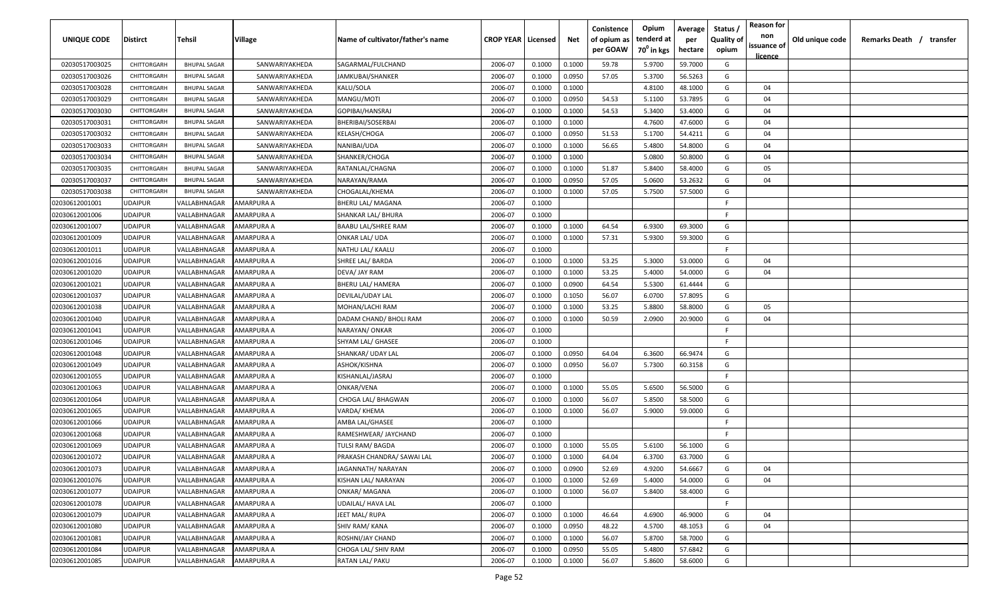| <b>UNIQUE CODE</b> | <b>Distirct</b> | <b>Tehsil</b>       | Village        | Name of cultivator/father's name | <b>CROP YEAR   Licensed</b> |        | Net    | Conistence<br>of opium as<br>per GOAW | Opium<br>tenderd at<br>70 <sup>°</sup> in kgs | Average<br>per<br>hectare | Status /<br><b>Quality of</b><br>opium | <b>Reason for</b><br>non<br>issuance of<br><u>licence</u> | Old unique code | Remarks Death /<br>transfer |
|--------------------|-----------------|---------------------|----------------|----------------------------------|-----------------------------|--------|--------|---------------------------------------|-----------------------------------------------|---------------------------|----------------------------------------|-----------------------------------------------------------|-----------------|-----------------------------|
| 02030517003025     | CHITTORGARH     | <b>BHUPAL SAGAR</b> | SANWARIYAKHEDA | SAGARMAL/FULCHAND                | 2006-07                     | 0.1000 | 0.1000 | 59.78                                 | 5.9700                                        | 59.7000                   | G                                      |                                                           |                 |                             |
| 02030517003026     | CHITTORGARH     | <b>BHUPAL SAGAR</b> | SANWARIYAKHEDA | JAMKUBAI/SHANKER                 | 2006-07                     | 0.1000 | 0.0950 | 57.05                                 | 5.3700                                        | 56.5263                   | G                                      |                                                           |                 |                             |
| 02030517003028     | CHITTORGARH     | <b>BHUPAL SAGAR</b> | SANWARIYAKHEDA | KALU/SOLA                        | 2006-07                     | 0.1000 | 0.1000 |                                       | 4.8100                                        | 48.1000                   | G                                      | 04                                                        |                 |                             |
| 02030517003029     | CHITTORGARH     | <b>BHUPAL SAGAR</b> | SANWARIYAKHEDA | MANGU/MOTI                       | 2006-07                     | 0.1000 | 0.0950 | 54.53                                 | 5.1100                                        | 53.7895                   | G                                      | 04                                                        |                 |                             |
| 02030517003030     | CHITTORGARH     | <b>BHUPAL SAGAR</b> | SANWARIYAKHEDA | GOPIBAI/HANSRAJ                  | 2006-07                     | 0.1000 | 0.1000 | 54.53                                 | 5.3400                                        | 53.4000                   | G                                      | 04                                                        |                 |                             |
| 02030517003031     | CHITTORGARH     | <b>BHUPAL SAGAR</b> | SANWARIYAKHEDA | BHERIBAI/SOSERBAI                | 2006-07                     | 0.1000 | 0.1000 |                                       | 4.7600                                        | 47.6000                   | G                                      | 04                                                        |                 |                             |
| 02030517003032     | CHITTORGARH     | <b>BHUPAL SAGAR</b> | SANWARIYAKHEDA | KELASH/CHOGA                     | 2006-07                     | 0.1000 | 0.0950 | 51.53                                 | 5.1700                                        | 54.4211                   | G                                      | 04                                                        |                 |                             |
| 02030517003033     | CHITTORGARH     | <b>BHUPAL SAGAR</b> | SANWARIYAKHEDA | NANIBAI/UDA                      | 2006-07                     | 0.1000 | 0.1000 | 56.65                                 | 5.4800                                        | 54.8000                   | G                                      | 04                                                        |                 |                             |
| 02030517003034     | CHITTORGARH     | <b>BHUPAL SAGAR</b> | SANWARIYAKHEDA | SHANKER/CHOGA                    | 2006-07                     | 0.1000 | 0.1000 |                                       | 5.0800                                        | 50.8000                   | G                                      | 04                                                        |                 |                             |
| 02030517003035     | CHITTORGARH     | <b>BHUPAL SAGAR</b> | SANWARIYAKHEDA | RATANLAL/CHAGNA                  | 2006-07                     | 0.1000 | 0.1000 | 51.87                                 | 5.8400                                        | 58.4000                   | G                                      | 05                                                        |                 |                             |
| 02030517003037     | CHITTORGARH     | <b>BHUPAL SAGAR</b> | SANWARIYAKHEDA | NARAYAN/RAMA                     | 2006-07                     | 0.1000 | 0.0950 | 57.05                                 | 5.0600                                        | 53.2632                   | G                                      | 04                                                        |                 |                             |
| 02030517003038     | CHITTORGARH     | <b>BHUPAL SAGAR</b> | SANWARIYAKHEDA | CHOGALAL/KHEMA                   | 2006-07                     | 0.1000 | 0.1000 | 57.05                                 | 5.7500                                        | 57.5000                   | G                                      |                                                           |                 |                             |
| 02030612001001     | UDAIPUR         | VALLABHNAGAR        | AMARPURA A     | BHERU LAL/ MAGANA                | 2006-07                     | 0.1000 |        |                                       |                                               |                           | F                                      |                                                           |                 |                             |
| 02030612001006     | UDAIPUR         | VALLABHNAGAR        | AMARPURA A     | SHANKAR LAL/ BHURA               | 2006-07                     | 0.1000 |        |                                       |                                               |                           | -F.                                    |                                                           |                 |                             |
| 02030612001007     | <b>UDAIPUR</b>  | VALLABHNAGAR        | AMARPURA A     | <b>BAABU LAL/SHREE RAM</b>       | 2006-07                     | 0.1000 | 0.1000 | 64.54                                 | 6.9300                                        | 69.3000                   | G                                      |                                                           |                 |                             |
| 02030612001009     | <b>UDAIPUR</b>  | VALLABHNAGAR        | AMARPURA A     | ONKAR LAL/ UDA                   | 2006-07                     | 0.1000 | 0.1000 | 57.31                                 | 5.9300                                        | 59.3000                   | G                                      |                                                           |                 |                             |
| 02030612001011     | <b>UDAIPUR</b>  | VALLABHNAGAR        | AMARPURA A     | NATHU LAL/ KAALU                 | 2006-07                     | 0.1000 |        |                                       |                                               |                           | F.                                     |                                                           |                 |                             |
| 02030612001016     | <b>UDAIPUR</b>  | VALLABHNAGAR        | AMARPURA A     | SHREE LAL/ BARDA                 | 2006-07                     | 0.1000 | 0.1000 | 53.25                                 | 5.3000                                        | 53.0000                   | G                                      | 04                                                        |                 |                             |
| 02030612001020     | <b>UDAIPUR</b>  | VALLABHNAGAR        | AMARPURA A     | DEVA/ JAY RAM                    | 2006-07                     | 0.1000 | 0.1000 | 53.25                                 | 5.4000                                        | 54.0000                   | G                                      | 04                                                        |                 |                             |
| 02030612001021     | UDAIPUR         | VALLABHNAGAR        | AMARPURA A     | <b>BHERU LAL/ HAMERA</b>         | 2006-07                     | 0.1000 | 0.0900 | 64.54                                 | 5.5300                                        | 61.4444                   | G                                      |                                                           |                 |                             |
| 02030612001037     | <b>UDAIPUR</b>  | VALLABHNAGAR        | AMARPURA A     | DEVILAL/UDAY LAL                 | 2006-07                     | 0.1000 | 0.1050 | 56.07                                 | 6.0700                                        | 57.8095                   | G                                      |                                                           |                 |                             |
| 02030612001038     | <b>UDAIPUR</b>  | VALLABHNAGAR        | AMARPURA A     | MOHAN/LACHI RAM                  | 2006-07                     | 0.1000 | 0.1000 | 53.25                                 | 5.8800                                        | 58.8000                   | G                                      | 05                                                        |                 |                             |
| 02030612001040     | <b>UDAIPUR</b>  | VALLABHNAGAR        | AMARPURA A     | DADAM CHAND/ BHOLI RAM           | 2006-07                     | 0.1000 | 0.1000 | 50.59                                 | 2.0900                                        | 20.9000                   | G                                      | 04                                                        |                 |                             |
| 02030612001041     | <b>UDAIPUR</b>  | VALLABHNAGAR        | AMARPURA A     | NARAYAN/ONKAR                    | 2006-07                     | 0.1000 |        |                                       |                                               |                           | -F.                                    |                                                           |                 |                             |
| 02030612001046     | <b>UDAIPUR</b>  | VALLABHNAGAR        | AMARPURA A     | SHYAM LAL/ GHASEE                | 2006-07                     | 0.1000 |        |                                       |                                               |                           | -F                                     |                                                           |                 |                             |
| 02030612001048     | <b>UDAIPUR</b>  | VALLABHNAGAR        | AMARPURA A     | SHANKAR/ UDAY LAL                | 2006-07                     | 0.1000 | 0.0950 | 64.04                                 | 6.3600                                        | 66.9474                   | G                                      |                                                           |                 |                             |
| 02030612001049     | <b>UDAIPUR</b>  | VALLABHNAGAR        | AMARPURA A     | ASHOK/KISHNA                     | 2006-07                     | 0.1000 | 0.0950 | 56.07                                 | 5.7300                                        | 60.3158                   | G                                      |                                                           |                 |                             |
| 02030612001055     | UDAIPUR         | VALLABHNAGAR        | AMARPURA A     | KISHANLAL/JASRAJ                 | 2006-07                     | 0.1000 |        |                                       |                                               |                           | F.                                     |                                                           |                 |                             |
| 02030612001063     | UDAIPUR         | VALLABHNAGAR        | AMARPURA A     | ONKAR/VENA                       | 2006-07                     | 0.1000 | 0.1000 | 55.05                                 | 5.6500                                        | 56.5000                   | G                                      |                                                           |                 |                             |
| 02030612001064     | UDAIPUR         | VALLABHNAGAR        | AMARPURA A     | CHOGA LAL/ BHAGWAN               | 2006-07                     | 0.1000 | 0.1000 | 56.07                                 | 5.8500                                        | 58.5000                   | G                                      |                                                           |                 |                             |
| 02030612001065     | UDAIPUR         | VALLABHNAGAR        | AMARPURA A     | VARDA/ KHEMA                     | 2006-07                     | 0.1000 | 0.1000 | 56.07                                 | 5.9000                                        | 59.0000                   | G                                      |                                                           |                 |                             |
| 02030612001066     | UDAIPUR         | VALLABHNAGAR        | AMARPURA A     | AMBA LAL/GHASEE                  | 2006-07                     | 0.1000 |        |                                       |                                               |                           | F.                                     |                                                           |                 |                             |
| 02030612001068     | <b>UDAIPUR</b>  | VALLABHNAGAR        | AMARPURA A     | RAMESHWEAR/ JAYCHAND             | 2006-07                     | 0.1000 |        |                                       |                                               |                           | -F.                                    |                                                           |                 |                             |
| 02030612001069     | <b>UDAIPUR</b>  | VALLABHNAGAR        | AMARPURA A     | <b>TULSI RAM/ BAGDA</b>          | 2006-07                     | 0.1000 | 0.1000 | 55.05                                 | 5.6100                                        | 56.1000                   | G                                      |                                                           |                 |                             |
| 02030612001072     | <b>UDAIPUR</b>  | VALLABHNAGAR        | AMARPURA A     | PRAKASH CHANDRA/ SAWAI LAL       | 2006-07                     | 0.1000 | 0.1000 | 64.04                                 | 6.3700                                        | 63.7000                   | G                                      |                                                           |                 |                             |
| 02030612001073     | <b>UDAIPUR</b>  | VALLABHNAGAR        | AMARPURA A     | JAGANNATH/NARAYAN                | 2006-07                     | 0.1000 | 0.0900 | 52.69                                 | 4.9200                                        | 54.6667                   | G                                      | 04                                                        |                 |                             |
| 02030612001076     | <b>UDAIPUR</b>  | VALLABHNAGAR        | AMARPURA A     | KISHAN LAL/ NARAYAN              | 2006-07                     | 0.1000 | 0.1000 | 52.69                                 | 5.4000                                        | 54.0000                   | G                                      | 04                                                        |                 |                             |
| 02030612001077     | <b>UDAIPUR</b>  | VALLABHNAGAR        | AMARPURA A     | ONKAR/ MAGANA                    | 2006-07                     | 0.1000 | 0.1000 | 56.07                                 | 5.8400                                        | 58.4000                   | G                                      |                                                           |                 |                             |
| 02030612001078     | <b>UDAIPUR</b>  | VALLABHNAGAR        | AMARPURA A     | <b>UDAILAL/ HAVA LAL</b>         | 2006-07                     | 0.1000 |        |                                       |                                               |                           | F                                      |                                                           |                 |                             |
| 02030612001079     | <b>UDAIPUR</b>  | VALLABHNAGAR        | AMARPURA A     | JEET MAL/RUPA                    | 2006-07                     | 0.1000 | 0.1000 | 46.64                                 | 4.6900                                        | 46.9000                   | G                                      | 04                                                        |                 |                             |
| 02030612001080     | <b>UDAIPUR</b>  | VALLABHNAGAR        | AMARPURA A     | SHIV RAM/ KANA                   | 2006-07                     | 0.1000 | 0.0950 | 48.22                                 | 4.5700                                        | 48.1053                   | G                                      | 04                                                        |                 |                             |
| 02030612001081     | <b>UDAIPUR</b>  | VALLABHNAGAR        | AMARPURA A     | ROSHNI/JAY CHAND                 | 2006-07                     | 0.1000 | 0.1000 | 56.07                                 | 5.8700                                        | 58.7000                   | G                                      |                                                           |                 |                             |
| 02030612001084     | <b>UDAIPUR</b>  | VALLABHNAGAR        | AMARPURA A     | CHOGA LAL/ SHIV RAM              | 2006-07                     | 0.1000 | 0.0950 | 55.05                                 | 5.4800                                        | 57.6842                   | G                                      |                                                           |                 |                             |
| 02030612001085     | <b>UDAIPUR</b>  | VALLABHNAGAR        | AMARPURA A     | RATAN LAL/ PAKU                  | 2006-07                     | 0.1000 | 0.1000 | 56.07                                 | 5.8600                                        | 58.6000                   | G                                      |                                                           |                 |                             |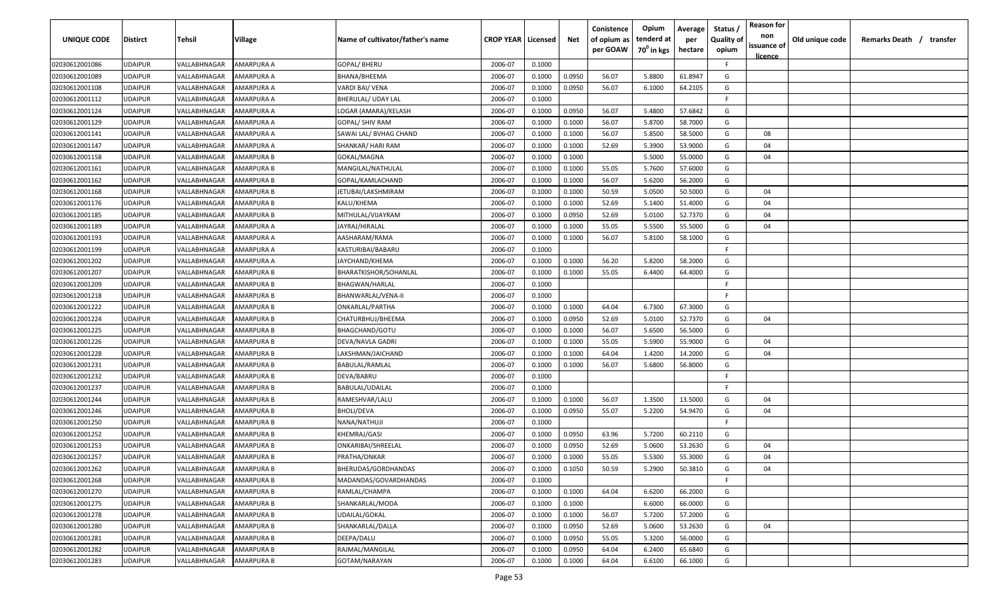| UNIQUE CODE    | <b>Distirct</b> | Tehsil       | Village           | Name of cultivator/father's name | <b>CROP YEAR   Licensed</b> |        | Net    | Conistence<br>of opium as<br>per GOAW | Opium<br>tenderd at<br>70 <sup>0</sup> in kgs | Average<br>per<br>hectare | Status /<br><b>Quality of</b><br>opium | <b>Reason for</b><br>non<br>issuance of<br><u>licence</u> | Old unique code | Remarks Death /<br>transfer |
|----------------|-----------------|--------------|-------------------|----------------------------------|-----------------------------|--------|--------|---------------------------------------|-----------------------------------------------|---------------------------|----------------------------------------|-----------------------------------------------------------|-----------------|-----------------------------|
| 02030612001086 | <b>JDAIPUR</b>  | VALLABHNAGAR | AMARPURA A        | GOPAL/BHERU                      | 2006-07                     | 0.1000 |        |                                       |                                               |                           | F.                                     |                                                           |                 |                             |
| 02030612001089 | UDAIPUR         | VALLABHNAGAR | AMARPURA A        | BHANA/BHEEMA                     | 2006-07                     | 0.1000 | 0.0950 | 56.07                                 | 5.8800                                        | 61.8947                   | G                                      |                                                           |                 |                             |
| 02030612001108 | <b>JDAIPUR</b>  | VALLABHNAGAR | AMARPURA A        | VARDI BAI/ VENA                  | 2006-07                     | 0.1000 | 0.0950 | 56.07                                 | 6.1000                                        | 64.2105                   | G                                      |                                                           |                 |                             |
| 02030612001112 | <b>JDAIPUR</b>  | VALLABHNAGAR | AMARPURA A        | <b>BHERULAL/ UDAY LAL</b>        | 2006-07                     | 0.1000 |        |                                       |                                               |                           | F.                                     |                                                           |                 |                             |
| 02030612001124 | <b>JDAIPUR</b>  | VALLABHNAGAR | AMARPURA A        | LOGAR (AMARA)/KELASH             | 2006-07                     | 0.1000 | 0.0950 | 56.07                                 | 5.4800                                        | 57.6842                   | G                                      |                                                           |                 |                             |
| 02030612001129 | <b>JDAIPUR</b>  | VALLABHNAGAR | AMARPURA A        | GOPAL/ SHIV RAM                  | 2006-07                     | 0.1000 | 0.1000 | 56.07                                 | 5.8700                                        | 58.7000                   | G                                      |                                                           |                 |                             |
| 02030612001141 | <b>JDAIPUR</b>  | VALLABHNAGAR | AMARPURA A        | SAWAI LAL/ BVHAG CHAND           | 2006-07                     | 0.1000 | 0.1000 | 56.07                                 | 5.8500                                        | 58.5000                   | G                                      | 08                                                        |                 |                             |
| 02030612001147 | <b>JDAIPUR</b>  | VALLABHNAGAR | AMARPURA A        | SHANKAR/ HARI RAM                | 2006-07                     | 0.1000 | 0.1000 | 52.69                                 | 5.3900                                        | 53.9000                   | G                                      | 04                                                        |                 |                             |
| 02030612001158 | <b>JDAIPUR</b>  | VALLABHNAGAR | AMARPURA B        | GOKAL/MAGNA                      | 2006-07                     | 0.1000 | 0.1000 |                                       | 5.5000                                        | 55.0000                   | G                                      | 04                                                        |                 |                             |
| 02030612001161 | UDAIPUR         | VALLABHNAGAR | AMARPURA B        | MANGILAL/NATHULAL                | 2006-07                     | 0.1000 | 0.1000 | 55.05                                 | 5.7600                                        | 57.6000                   | G                                      |                                                           |                 |                             |
| 02030612001162 | JDAIPUR         | VALLABHNAGAR | AMARPURA B        | GOPAL/KAMLACHAND                 | 2006-07                     | 0.1000 | 0.1000 | 56.07                                 | 5.6200                                        | 56.2000                   | G                                      |                                                           |                 |                             |
| 02030612001168 | <b>JDAIPUR</b>  | VALLABHNAGAR | AMARPURA B        | IETUBAI/LAKSHMIRAM               | 2006-07                     | 0.1000 | 0.1000 | 50.59                                 | 5.0500                                        | 50.5000                   | G                                      | 04                                                        |                 |                             |
| 02030612001176 | <b>JDAIPUR</b>  | VALLABHNAGAR | AMARPURA B        | KALU/KHEMA                       | 2006-07                     | 0.1000 | 0.1000 | 52.69                                 | 5.1400                                        | 51.4000                   | G                                      | 04                                                        |                 |                             |
| 02030612001185 | <b>JDAIPUR</b>  | VALLABHNAGAR | <b>AMARPURA B</b> | MITHULAL/VIJAYRAM                | 2006-07                     | 0.1000 | 0.0950 | 52.69                                 | 5.0100                                        | 52.7370                   | G                                      | 04                                                        |                 |                             |
| 02030612001189 | <b>JDAIPUR</b>  | VALLABHNAGAR | AMARPURA A        | JAYRAJ/HIRALAL                   | 2006-07                     | 0.1000 | 0.1000 | 55.05                                 | 5.5500                                        | 55.5000                   | G                                      | 04                                                        |                 |                             |
| 02030612001193 | <b>JDAIPUR</b>  | VALLABHNAGAR | AMARPURA A        | AASHARAM/RAMA                    | 2006-07                     | 0.1000 | 0.1000 | 56.07                                 | 5.8100                                        | 58.1000                   | G                                      |                                                           |                 |                             |
| 02030612001199 | <b>JDAIPUR</b>  | VALLABHNAGAR | AMARPURA A        | KASTURIBAI/BABARU                | 2006-07                     | 0.1000 |        |                                       |                                               |                           | F.                                     |                                                           |                 |                             |
| 02030612001202 | <b>JDAIPUR</b>  | VALLABHNAGAR | AMARPURA A        | JAYCHAND/KHEMA                   | 2006-07                     | 0.1000 | 0.1000 | 56.20                                 | 5.8200                                        | 58.2000                   | G                                      |                                                           |                 |                             |
| 02030612001207 | UDAIPUR         | VALLABHNAGAR | AMARPURA B        | <b>BHARATKISHOR/SOHANLAL</b>     | 2006-07                     | 0.1000 | 0.1000 | 55.05                                 | 6.4400                                        | 64.4000                   | G                                      |                                                           |                 |                             |
| 02030612001209 | <b>JDAIPUR</b>  | VALLABHNAGAR | AMARPURA B        | <b>BHAGWAN/HARLAL</b>            | 2006-07                     | 0.1000 |        |                                       |                                               |                           | F.                                     |                                                           |                 |                             |
| 02030612001218 | <b>JDAIPUR</b>  | VALLABHNAGAR | AMARPURA B        | BHANWARLAL/VENA-II               | 2006-07                     | 0.1000 |        |                                       |                                               |                           | F.                                     |                                                           |                 |                             |
| 02030612001222 | <b>JDAIPUR</b>  | VALLABHNAGAR | AMARPURA B        | <b>ONKARLAL/PARTHA</b>           | 2006-07                     | 0.1000 | 0.1000 | 64.04                                 | 6.7300                                        | 67.3000                   | G                                      |                                                           |                 |                             |
| 02030612001224 | <b>JDAIPUR</b>  | VALLABHNAGAR | AMARPURA B        | CHATURBHUJ/BHEEMA                | 2006-07                     | 0.1000 | 0.0950 | 52.69                                 | 5.0100                                        | 52.7370                   | G                                      | 04                                                        |                 |                             |
| 02030612001225 | <b>JDAIPUR</b>  | VALLABHNAGAR | AMARPURA B        | BHAGCHAND/GOTU                   | 2006-07                     | 0.1000 | 0.1000 | 56.07                                 | 5.6500                                        | 56.5000                   | G                                      |                                                           |                 |                             |
| 02030612001226 | <b>JDAIPUR</b>  | VALLABHNAGAR | AMARPURA B        | DEVA/NAVLA GADRI                 | 2006-07                     | 0.1000 | 0.1000 | 55.05                                 | 5.5900                                        | 55.9000                   | G                                      | 04                                                        |                 |                             |
| 02030612001228 | <b>JDAIPUR</b>  | VALLABHNAGAR | AMARPURA B        | LAKSHMAN/JAICHAND                | 2006-07                     | 0.1000 | 0.1000 | 64.04                                 | 1.4200                                        | 14.2000                   | G                                      | 04                                                        |                 |                             |
| 02030612001231 | UDAIPUR         | VALLABHNAGAR | AMARPURA B        | BABULAL/RAMLAL                   | 2006-07                     | 0.1000 | 0.1000 | 56.07                                 | 5.6800                                        | 56.8000                   | G                                      |                                                           |                 |                             |
| 02030612001232 | JDAIPUR         | VALLABHNAGAR | AMARPURA B        | DEVA/BABRU                       | 2006-07                     | 0.1000 |        |                                       |                                               |                           | -F                                     |                                                           |                 |                             |
| 02030612001237 | <b>JDAIPUR</b>  | VALLABHNAGAR | AMARPURA B        | BABULAL/UDAILAL                  | 2006-07                     | 0.1000 |        |                                       |                                               |                           | F.                                     |                                                           |                 |                             |
| 02030612001244 | <b>JDAIPUR</b>  | VALLABHNAGAR | AMARPURA B        | RAMESHVAR/LALU                   | 2006-07                     | 0.1000 | 0.1000 | 56.07                                 | 1.3500                                        | 13.5000                   | G                                      | 04                                                        |                 |                             |
| 02030612001246 | <b>JDAIPUR</b>  | VALLABHNAGAR | AMARPURA B        | <b>BHOLI/DEVA</b>                | 2006-07                     | 0.1000 | 0.0950 | 55.07                                 | 5.2200                                        | 54.9470                   | G                                      | 04                                                        |                 |                             |
| 02030612001250 | <b>JDAIPUR</b>  | VALLABHNAGAR | <b>AMARPURA B</b> | NANA/NATHUJI                     | 2006-07                     | 0.1000 |        |                                       |                                               |                           | -F                                     |                                                           |                 |                             |
| 02030612001252 | <b>JDAIPUR</b>  | VALLABHNAGAR | AMARPURA B        | KHEMRAJ/GASI                     | 2006-07                     | 0.1000 | 0.0950 | 63.96                                 | 5.7200                                        | 60.2110                   | G                                      |                                                           |                 |                             |
| 02030612001253 | <b>JDAIPUR</b>  | VALLABHNAGAR | AMARPURA B        | ONKARIBAI/SHREELAL               | 2006-07                     | 0.1000 | 0.0950 | 52.69                                 | 5.0600                                        | 53.2630                   | G                                      | 04                                                        |                 |                             |
| 02030612001257 | UDAIPUR         | VALLABHNAGAR | AMARPURA B        | PRATHA/ONKAR                     | 2006-07                     | 0.1000 | 0.1000 | 55.05                                 | 5.5300                                        | 55.3000                   | G                                      | 04                                                        |                 |                             |
| 02030612001262 | UDAIPUR         | VALLABHNAGAR | AMARPURA B        | BHERUDAS/GORDHANDAS              | 2006-07                     | 0.1000 | 0.1050 | 50.59                                 | 5.2900                                        | 50.3810                   | G                                      | 04                                                        |                 |                             |
| 02030612001268 | <b>JDAIPUR</b>  | VALLABHNAGAR | AMARPURA B        | MADANDAS/GOVARDHANDAS            | 2006-07                     | 0.1000 |        |                                       |                                               |                           | F.                                     |                                                           |                 |                             |
| 02030612001270 | <b>UDAIPUR</b>  | VALLABHNAGAR | AMARPURA B        | RAMLAL/CHAMPA                    | 2006-07                     | 0.1000 | 0.1000 | 64.04                                 | 6.6200                                        | 66.2000                   | G                                      |                                                           |                 |                             |
| 02030612001275 | <b>UDAIPUR</b>  | VALLABHNAGAR | AMARPURA B        | SHANKARLAL/MODA                  | 2006-07                     | 0.1000 | 0.1000 |                                       | 6.6000                                        | 66.0000                   | G                                      |                                                           |                 |                             |
| 02030612001278 | <b>JDAIPUR</b>  | VALLABHNAGAR | AMARPURA B        | UDAILAL/GOKAL                    | 2006-07                     | 0.1000 | 0.1000 | 56.07                                 | 5.7200                                        | 57.2000                   | G                                      |                                                           |                 |                             |
| 02030612001280 | <b>JDAIPUR</b>  | VALLABHNAGAR | AMARPURA B        | SHANKARLAL/DALLA                 | 2006-07                     | 0.1000 | 0.0950 | 52.69                                 | 5.0600                                        | 53.2630                   | G                                      | 04                                                        |                 |                             |
| 02030612001281 | <b>JDAIPUR</b>  | VALLABHNAGAR | AMARPURA B        | DEEPA/DALU                       | 2006-07                     | 0.1000 | 0.0950 | 55.05                                 | 5.3200                                        | 56.0000                   | G                                      |                                                           |                 |                             |
| 02030612001282 | <b>JDAIPUR</b>  | VALLABHNAGAR | AMARPURA B        | RAJMAL/MANGILAL                  | 2006-07                     | 0.1000 | 0.0950 | 64.04                                 | 6.2400                                        | 65.6840                   | G                                      |                                                           |                 |                             |
| 02030612001283 | UDAIPUR         | VALLABHNAGAR | AMARPURA B        | GOTAM/NARAYAN                    | 2006-07                     | 0.1000 | 0.1000 | 64.04                                 | 6.6100                                        | 66.1000                   | G                                      |                                                           |                 |                             |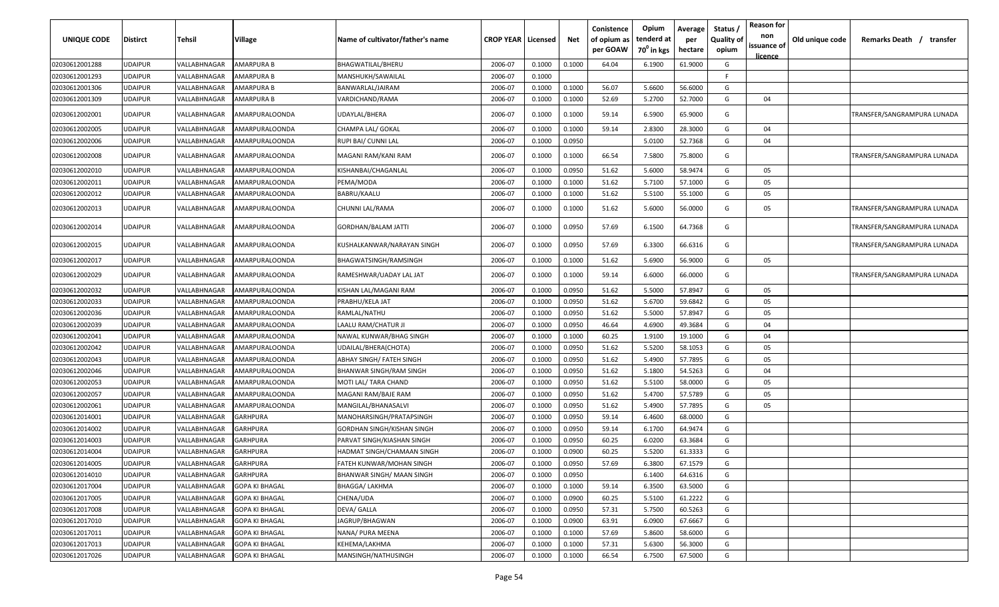| 02030612001288<br><b>UDAIPUR</b><br>VALLABHNAGAR<br>AMARPURA B<br>2006-07<br>0.1000<br>64.04<br>6.1900<br>61.9000<br>G<br>BHAGWATILAL/BHERU<br>0.1000<br><b>UDAIPUR</b><br>F.<br>02030612001293<br>VALLABHNAGAR<br>AMARPURA B<br>MANSHUKH/SAWAILAL<br>2006-07<br>0.1000<br>02030612001306<br><b>UDAIPUR</b><br>AMARPURA B<br>0.1000<br>56.07<br>5.6600<br>56.6000<br>G<br>VALLABHNAGAR<br>BANWARLAL/JAIRAM<br>2006-07<br>0.1000<br>02030612001309<br><b>UDAIPUR</b><br>VALLABHNAGAR<br>AMARPURA B<br>2006-07<br>0.1000<br>52.69<br>5.2700<br>52.7000<br>G<br>04<br>VARDICHAND/RAMA<br>0.1000<br><b>UDAIPUR</b><br>0.1000<br>59.14<br>6.5900<br>G<br>02030612002001<br>VALLABHNAGAR<br>AMARPURALOONDA<br>UDAYLAL/BHERA<br>2006-07<br>0.1000<br>65.9000<br>TRANSFER/SANGRAMPURA LUNADA<br>02030612002005<br><b>UDAIPUR</b><br>VALLABHNAGAR<br>AMARPURALOONDA<br>2006-07<br>0.1000<br>0.1000<br>59.14<br>2.8300<br>28.3000<br>G<br>04<br>CHAMPA LAL/ GOKAL<br>02030612002006<br><b>UDAIPUR</b><br>VALLABHNAGAR<br>2006-07<br>0.1000<br>0.0950<br>5.0100<br>52.7368<br>G<br>04<br>AMARPURALOONDA<br>RUPI BAI/ CUNNI LAL<br>2006-07<br>66.54<br>7.5800<br>G<br>02030612002008<br><b>UDAIPUR</b><br>VALLABHNAGAR<br>AMARPURALOONDA<br>MAGANI RAM/KANI RAM<br>0.1000<br>0.1000<br>75.8000<br>TRANSFER/SANGRAMPURA LUNADA<br>0.0950<br>02030612002010<br><b>UDAIPUR</b><br>VALLABHNAGAR<br>AMARPURALOONDA<br>KISHANBAI/CHAGANLAL<br>2006-07<br>0.1000<br>51.62<br>5.6000<br>58.9474<br>G<br>05<br>0.1000<br>51.62<br>G<br>02030612002011<br><b>UDAIPUR</b><br>VALLABHNAGAR<br>AMARPURALOONDA<br>PEMA/MODA<br>2006-07<br>0.1000<br>5.7100<br>57.1000<br>05<br>02030612002012<br><b>UDAIPUR</b><br>VALLABHNAGAR<br>BABRU/KAALU<br>2006-07<br>0.1000<br>0.1000<br>51.62<br>5.5100<br>55.1000<br>G<br>05<br>AMARPURALOONDA<br>G<br>51.62<br>5.6000<br>05<br>02030612002013<br>UDAIPUR<br>VALLABHNAGAR<br>AMARPURALOONDA<br>CHUNNI LAL/RAMA<br>2006-07<br>0.1000<br>0.1000<br>56.0000<br>TRANSFER/SANGRAMPURA LUNADA<br>57.69<br>02030612002014<br><b>UDAIPUR</b><br>VALLABHNAGAR<br>AMARPURALOONDA<br><b>GORDHAN/BALAM JATTI</b><br>2006-07<br>0.1000<br>0.0950<br>6.1500<br>64.7368<br>G<br>TRANSFER/SANGRAMPURA LUNADA<br>57.69<br>6.3300<br>G<br>02030612002015<br><b>UDAIPUR</b><br>VALLABHNAGAR<br>KUSHALKANWAR/NARAYAN SINGH<br>2006-07<br>0.1000<br>0.0950<br>66.6316<br>TRANSFER/SANGRAMPURA LUNADA<br>AMARPURALOONDA<br>G<br><b>UDAIPUR</b><br>2006-07<br>0.1000<br>51.62<br>5.6900<br>56.9000<br>05<br>02030612002017<br>VALLABHNAGAR<br>AMARPURALOONDA<br>BHAGWATSINGH/RAMSINGH<br>0.1000<br>0.1000<br>59.14<br>6.6000<br>G<br>02030612002029<br><b>UDAIPUR</b><br>VALLABHNAGAR<br>2006-07<br>0.1000<br>66.0000<br>FRANSFER/SANGRAMPURA LUNADA<br>AMARPURALOONDA<br>RAMESHWAR/UADAY LAL JAT<br>0.0950<br>02030612002032<br><b>UDAIPUR</b><br>VALLABHNAGAR<br>51.62<br>5.5000<br>57.8947<br>G<br>AMARPURALOONDA<br>KISHAN LAL/MAGANI RAM<br>2006-07<br>0.1000<br>05<br>02030612002033<br><b>UDAIPUR</b><br>VALLABHNAGAR<br>AMARPURALOONDA<br>PRABHU/KELA JAT<br>2006-07<br>0.1000<br>0.0950<br>51.62<br>5.6700<br>59.6842<br>G<br>05<br>02030612002036<br><b>UDAIPUR</b><br>VALLABHNAGAR<br>AMARPURALOONDA<br>RAMLAL/NATHU<br>2006-07<br>0.1000<br>0.0950<br>51.62<br>5.5000<br>57.8947<br>G<br>05<br>0.0950<br>46.64<br>4.6900<br>G<br>02030612002039<br><b>UDAIPUR</b><br>VALLABHNAGAR<br>AMARPURALOONDA<br>LAALU RAM/CHATUR JI<br>2006-07<br>0.1000<br>49.3684<br>04<br>0.1000<br>02030612002041<br><b>UDAIPUR</b><br>VALLABHNAGAR<br>2006-07<br>0.1000<br>60.25<br>1.9100<br>19.1000<br>G<br>04<br>AMARPURALOONDA<br>NAWAL KUNWAR/BHAG SINGH<br>0.0950<br>51.62<br>02030612002042<br><b>UDAIPUR</b><br>VALLABHNAGAR<br>2006-07<br>0.1000<br>5.5200<br>58.1053<br>G<br>05<br>AMARPURALOONDA<br>UDAILAL/BHERA(CHOTA)<br>0.1000<br>0.0950<br>51.62<br>5.4900<br>57.7895<br>G<br>02030612002043<br><b>UDAIPUR</b><br>VALLABHNAGAR<br>AMARPURALOONDA<br>ABHAY SINGH/ FATEH SINGH<br>2006-07<br>05<br>0.0950<br>G<br>51.62<br>5.1800<br>54.5263<br>04<br>02030612002046<br><b>UDAIPUR</b><br>VALLABHNAGAR<br>AMARPURALOONDA<br>BHANWAR SINGH/RAM SINGH<br>2006-07<br>0.1000<br>0.0950<br>51.62<br>5.5100<br>58.0000<br>G<br>02030612002053<br>UDAIPUR<br>VALLABHNAGAR<br>AMARPURALOONDA<br>MOTI LAL/ TARA CHAND<br>2006-07<br>0.1000<br>05<br>51.62<br>G<br><b>UDAIPUR</b><br>2006-07<br>0.0950<br>5.4700<br>57.5789<br>05<br>02030612002057<br>VALLABHNAGAR<br>AMARPURALOONDA<br>MAGANI RAM/BAJE RAM<br>0.1000<br>51.62<br>G<br>2006-07<br>0.1000<br>0.0950<br>5.4900<br>57.7895<br>02030612002061<br><b>UDAIPUR</b><br>VALLABHNAGAR<br>AMARPURALOONDA<br>MANGILAL/BHANASALVI<br>05<br>59.14<br><b>UDAIPUR</b><br>VALLABHNAGAR<br>MANOHARSINGH/PRATAPSINGH<br>2006-07<br>0.1000<br>0.0950<br>6.4600<br>68.0000<br>G<br>02030612014001<br><b>GARHPURA</b><br>VALLABHNAGAR<br>2006-07<br>0.0950<br>59.14<br>6.1700<br>64.9474<br>G<br>02030612014002<br>UDAIPUR<br>GARHPURA<br>GORDHAN SINGH/KISHAN SINGH<br>0.1000<br>G<br>02030612014003<br><b>UDAIPUR</b><br>VALLABHNAGAR<br>GARHPURA<br>2006-07<br>0.1000<br>0.0950<br>60.25<br>6.0200<br>63.3684<br>PARVAT SINGH/KIASHAN SINGH<br>02030612014004<br><b>UDAIPUR</b><br>VALLABHNAGAR<br><b>GARHPURA</b><br>2006-07<br>0.1000<br>0.0900<br>60.25<br>5.5200<br>61.3333<br>G<br>HADMAT SINGH/CHAMAAN SINGH<br>57.69<br>6.3800<br>67.1579<br>G<br>02030612014005<br><b>UDAIPUR</b><br>VALLABHNAGAR<br><b>GARHPURA</b><br>FATEH KUNWAR/MOHAN SINGH<br>2006-07<br>0.1000<br>0.0950<br>02030612014010<br><b>UDAIPUR</b><br>VALLABHNAGAR<br><b>GARHPURA</b><br>BHANWAR SINGH/ MAAN SINGH<br>2006-07<br>0.1000<br>0.0950<br>6.1400<br>64.6316<br>G<br>02030612017004<br><b>UDAIPUR</b><br>VALLABHNAGAR<br><b>GOPA KI BHAGAL</b><br><b>BHAGGA/ LAKHMA</b><br>2006-07<br>0.1000<br>59.14<br>6.3500<br>63.5000<br>G<br>0.1000<br>0.0900<br>02030612017005<br><b>UDAIPUR</b><br>VALLABHNAGAR<br><b>GOPA KI BHAGAL</b><br>CHENA/UDA<br>2006-07<br>0.1000<br>60.25<br>5.5100<br>61.2222<br>G<br>0.0950<br>02030612017008<br><b>UDAIPUR</b><br>VALLABHNAGAR<br><b>GOPA KI BHAGAL</b><br>DEVA/ GALLA<br>2006-07<br>0.1000<br>57.31<br>5.7500<br>60.5263<br>G<br>02030612017010<br>0.0900<br>63.91<br>6.0900<br>G<br><b>UDAIPUR</b><br>VALLABHNAGAR<br><b>GOPA KI BHAGAL</b><br>JAGRUP/BHAGWAN<br>2006-07<br>0.1000<br>67.6667<br>02030612017011<br>0.1000<br><b>UDAIPUR</b><br>VALLABHNAGAR<br><b>GOPA KI BHAGAL</b><br>NANA/ PURA MEENA<br>2006-07<br>0.1000<br>57.69<br>5.8600<br>58.6000<br>G<br>02030612017013<br><b>UDAIPUR</b><br>VALLABHNAGAR<br>KEHEMA/LAKHMA<br>2006-07<br>0.1000<br>0.1000<br>57.31<br>5.6300<br>56.3000<br>G<br><b>GOPA KI BHAGAL</b> | UNIQUE CODE | <b>Distirct</b> | Tehsil | Village | Name of cultivator/father's name | <b>CROP YEAR   Licensed</b> | Net | Conistence<br>of opium as<br>per GOAW | Opium<br>tenderd at<br>70 <sup>0</sup> in kgs | Average<br>per<br>hectare | Status<br><b>Quality of</b><br>opium | <b>Reason for</b><br>non<br>issuance of<br><u>licence</u> | Old unique code | Remarks Death / transfer |
|-----------------------------------------------------------------------------------------------------------------------------------------------------------------------------------------------------------------------------------------------------------------------------------------------------------------------------------------------------------------------------------------------------------------------------------------------------------------------------------------------------------------------------------------------------------------------------------------------------------------------------------------------------------------------------------------------------------------------------------------------------------------------------------------------------------------------------------------------------------------------------------------------------------------------------------------------------------------------------------------------------------------------------------------------------------------------------------------------------------------------------------------------------------------------------------------------------------------------------------------------------------------------------------------------------------------------------------------------------------------------------------------------------------------------------------------------------------------------------------------------------------------------------------------------------------------------------------------------------------------------------------------------------------------------------------------------------------------------------------------------------------------------------------------------------------------------------------------------------------------------------------------------------------------------------------------------------------------------------------------------------------------------------------------------------------------------------------------------------------------------------------------------------------------------------------------------------------------------------------------------------------------------------------------------------------------------------------------------------------------------------------------------------------------------------------------------------------------------------------------------------------------------------------------------------------------------------------------------------------------------------------------------------------------------------------------------------------------------------------------------------------------------------------------------------------------------------------------------------------------------------------------------------------------------------------------------------------------------------------------------------------------------------------------------------------------------------------------------------------------------------------------------------------------------------------------------------------------------------------------------------------------------------------------------------------------------------------------------------------------------------------------------------------------------------------------------------------------------------------------------------------------------------------------------------------------------------------------------------------------------------------------------------------------------------------------------------------------------------------------------------------------------------------------------------------------------------------------------------------------------------------------------------------------------------------------------------------------------------------------------------------------------------------------------------------------------------------------------------------------------------------------------------------------------------------------------------------------------------------------------------------------------------------------------------------------------------------------------------------------------------------------------------------------------------------------------------------------------------------------------------------------------------------------------------------------------------------------------------------------------------------------------------------------------------------------------------------------------------------------------------------------------------------------------------------------------------------------------------------------------------------------------------------------------------------------------------------------------------------------------------------------------------------------------------------------------------------------------------------------------------------------------------------------------------------------------------------------------------------------------------------------------------------------------------------------------------------------------------------------------------------------------------------------------------------------------------------------------------------------------------------------------------------------------------------------------------------------------------------------------------------------------------------------------------------------------------------------------------------------------------------------------------------------------------------------------------------------------------------------------------------------------------------------------------------------------------------------------------------------------------------------------------------------------------------------------------------------------------------------------------------------------------------------------------------------------------------------------------------------------------------------------------------------------------------------------------------------------------------------------------------------------------------------------------------------------------------------------------------------------------------------------------------------------------------------------------------------------------------------------------------------------------------------------------------------------|-------------|-----------------|--------|---------|----------------------------------|-----------------------------|-----|---------------------------------------|-----------------------------------------------|---------------------------|--------------------------------------|-----------------------------------------------------------|-----------------|--------------------------|
|                                                                                                                                                                                                                                                                                                                                                                                                                                                                                                                                                                                                                                                                                                                                                                                                                                                                                                                                                                                                                                                                                                                                                                                                                                                                                                                                                                                                                                                                                                                                                                                                                                                                                                                                                                                                                                                                                                                                                                                                                                                                                                                                                                                                                                                                                                                                                                                                                                                                                                                                                                                                                                                                                                                                                                                                                                                                                                                                                                                                                                                                                                                                                                                                                                                                                                                                                                                                                                                                                                                                                                                                                                                                                                                                                                                                                                                                                                                                                                                                                                                                                                                                                                                                                                                                                                                                                                                                                                                                                                                                                                                                                                                                                                                                                                                                                                                                                                                                                                                                                                                                                                                                                                                                                                                                                                                                                                                                                                                                                                                                                                                                                                                                                                                                                                                                                                                                                                                                                                                                                                                                                                                                                                                                                                                                                                                                                                                                                                                                                                                                                                                                                                                                                               |             |                 |        |         |                                  |                             |     |                                       |                                               |                           |                                      |                                                           |                 |                          |
|                                                                                                                                                                                                                                                                                                                                                                                                                                                                                                                                                                                                                                                                                                                                                                                                                                                                                                                                                                                                                                                                                                                                                                                                                                                                                                                                                                                                                                                                                                                                                                                                                                                                                                                                                                                                                                                                                                                                                                                                                                                                                                                                                                                                                                                                                                                                                                                                                                                                                                                                                                                                                                                                                                                                                                                                                                                                                                                                                                                                                                                                                                                                                                                                                                                                                                                                                                                                                                                                                                                                                                                                                                                                                                                                                                                                                                                                                                                                                                                                                                                                                                                                                                                                                                                                                                                                                                                                                                                                                                                                                                                                                                                                                                                                                                                                                                                                                                                                                                                                                                                                                                                                                                                                                                                                                                                                                                                                                                                                                                                                                                                                                                                                                                                                                                                                                                                                                                                                                                                                                                                                                                                                                                                                                                                                                                                                                                                                                                                                                                                                                                                                                                                                                               |             |                 |        |         |                                  |                             |     |                                       |                                               |                           |                                      |                                                           |                 |                          |
|                                                                                                                                                                                                                                                                                                                                                                                                                                                                                                                                                                                                                                                                                                                                                                                                                                                                                                                                                                                                                                                                                                                                                                                                                                                                                                                                                                                                                                                                                                                                                                                                                                                                                                                                                                                                                                                                                                                                                                                                                                                                                                                                                                                                                                                                                                                                                                                                                                                                                                                                                                                                                                                                                                                                                                                                                                                                                                                                                                                                                                                                                                                                                                                                                                                                                                                                                                                                                                                                                                                                                                                                                                                                                                                                                                                                                                                                                                                                                                                                                                                                                                                                                                                                                                                                                                                                                                                                                                                                                                                                                                                                                                                                                                                                                                                                                                                                                                                                                                                                                                                                                                                                                                                                                                                                                                                                                                                                                                                                                                                                                                                                                                                                                                                                                                                                                                                                                                                                                                                                                                                                                                                                                                                                                                                                                                                                                                                                                                                                                                                                                                                                                                                                                               |             |                 |        |         |                                  |                             |     |                                       |                                               |                           |                                      |                                                           |                 |                          |
|                                                                                                                                                                                                                                                                                                                                                                                                                                                                                                                                                                                                                                                                                                                                                                                                                                                                                                                                                                                                                                                                                                                                                                                                                                                                                                                                                                                                                                                                                                                                                                                                                                                                                                                                                                                                                                                                                                                                                                                                                                                                                                                                                                                                                                                                                                                                                                                                                                                                                                                                                                                                                                                                                                                                                                                                                                                                                                                                                                                                                                                                                                                                                                                                                                                                                                                                                                                                                                                                                                                                                                                                                                                                                                                                                                                                                                                                                                                                                                                                                                                                                                                                                                                                                                                                                                                                                                                                                                                                                                                                                                                                                                                                                                                                                                                                                                                                                                                                                                                                                                                                                                                                                                                                                                                                                                                                                                                                                                                                                                                                                                                                                                                                                                                                                                                                                                                                                                                                                                                                                                                                                                                                                                                                                                                                                                                                                                                                                                                                                                                                                                                                                                                                                               |             |                 |        |         |                                  |                             |     |                                       |                                               |                           |                                      |                                                           |                 |                          |
|                                                                                                                                                                                                                                                                                                                                                                                                                                                                                                                                                                                                                                                                                                                                                                                                                                                                                                                                                                                                                                                                                                                                                                                                                                                                                                                                                                                                                                                                                                                                                                                                                                                                                                                                                                                                                                                                                                                                                                                                                                                                                                                                                                                                                                                                                                                                                                                                                                                                                                                                                                                                                                                                                                                                                                                                                                                                                                                                                                                                                                                                                                                                                                                                                                                                                                                                                                                                                                                                                                                                                                                                                                                                                                                                                                                                                                                                                                                                                                                                                                                                                                                                                                                                                                                                                                                                                                                                                                                                                                                                                                                                                                                                                                                                                                                                                                                                                                                                                                                                                                                                                                                                                                                                                                                                                                                                                                                                                                                                                                                                                                                                                                                                                                                                                                                                                                                                                                                                                                                                                                                                                                                                                                                                                                                                                                                                                                                                                                                                                                                                                                                                                                                                                               |             |                 |        |         |                                  |                             |     |                                       |                                               |                           |                                      |                                                           |                 |                          |
|                                                                                                                                                                                                                                                                                                                                                                                                                                                                                                                                                                                                                                                                                                                                                                                                                                                                                                                                                                                                                                                                                                                                                                                                                                                                                                                                                                                                                                                                                                                                                                                                                                                                                                                                                                                                                                                                                                                                                                                                                                                                                                                                                                                                                                                                                                                                                                                                                                                                                                                                                                                                                                                                                                                                                                                                                                                                                                                                                                                                                                                                                                                                                                                                                                                                                                                                                                                                                                                                                                                                                                                                                                                                                                                                                                                                                                                                                                                                                                                                                                                                                                                                                                                                                                                                                                                                                                                                                                                                                                                                                                                                                                                                                                                                                                                                                                                                                                                                                                                                                                                                                                                                                                                                                                                                                                                                                                                                                                                                                                                                                                                                                                                                                                                                                                                                                                                                                                                                                                                                                                                                                                                                                                                                                                                                                                                                                                                                                                                                                                                                                                                                                                                                                               |             |                 |        |         |                                  |                             |     |                                       |                                               |                           |                                      |                                                           |                 |                          |
|                                                                                                                                                                                                                                                                                                                                                                                                                                                                                                                                                                                                                                                                                                                                                                                                                                                                                                                                                                                                                                                                                                                                                                                                                                                                                                                                                                                                                                                                                                                                                                                                                                                                                                                                                                                                                                                                                                                                                                                                                                                                                                                                                                                                                                                                                                                                                                                                                                                                                                                                                                                                                                                                                                                                                                                                                                                                                                                                                                                                                                                                                                                                                                                                                                                                                                                                                                                                                                                                                                                                                                                                                                                                                                                                                                                                                                                                                                                                                                                                                                                                                                                                                                                                                                                                                                                                                                                                                                                                                                                                                                                                                                                                                                                                                                                                                                                                                                                                                                                                                                                                                                                                                                                                                                                                                                                                                                                                                                                                                                                                                                                                                                                                                                                                                                                                                                                                                                                                                                                                                                                                                                                                                                                                                                                                                                                                                                                                                                                                                                                                                                                                                                                                                               |             |                 |        |         |                                  |                             |     |                                       |                                               |                           |                                      |                                                           |                 |                          |
|                                                                                                                                                                                                                                                                                                                                                                                                                                                                                                                                                                                                                                                                                                                                                                                                                                                                                                                                                                                                                                                                                                                                                                                                                                                                                                                                                                                                                                                                                                                                                                                                                                                                                                                                                                                                                                                                                                                                                                                                                                                                                                                                                                                                                                                                                                                                                                                                                                                                                                                                                                                                                                                                                                                                                                                                                                                                                                                                                                                                                                                                                                                                                                                                                                                                                                                                                                                                                                                                                                                                                                                                                                                                                                                                                                                                                                                                                                                                                                                                                                                                                                                                                                                                                                                                                                                                                                                                                                                                                                                                                                                                                                                                                                                                                                                                                                                                                                                                                                                                                                                                                                                                                                                                                                                                                                                                                                                                                                                                                                                                                                                                                                                                                                                                                                                                                                                                                                                                                                                                                                                                                                                                                                                                                                                                                                                                                                                                                                                                                                                                                                                                                                                                                               |             |                 |        |         |                                  |                             |     |                                       |                                               |                           |                                      |                                                           |                 |                          |
|                                                                                                                                                                                                                                                                                                                                                                                                                                                                                                                                                                                                                                                                                                                                                                                                                                                                                                                                                                                                                                                                                                                                                                                                                                                                                                                                                                                                                                                                                                                                                                                                                                                                                                                                                                                                                                                                                                                                                                                                                                                                                                                                                                                                                                                                                                                                                                                                                                                                                                                                                                                                                                                                                                                                                                                                                                                                                                                                                                                                                                                                                                                                                                                                                                                                                                                                                                                                                                                                                                                                                                                                                                                                                                                                                                                                                                                                                                                                                                                                                                                                                                                                                                                                                                                                                                                                                                                                                                                                                                                                                                                                                                                                                                                                                                                                                                                                                                                                                                                                                                                                                                                                                                                                                                                                                                                                                                                                                                                                                                                                                                                                                                                                                                                                                                                                                                                                                                                                                                                                                                                                                                                                                                                                                                                                                                                                                                                                                                                                                                                                                                                                                                                                                               |             |                 |        |         |                                  |                             |     |                                       |                                               |                           |                                      |                                                           |                 |                          |
|                                                                                                                                                                                                                                                                                                                                                                                                                                                                                                                                                                                                                                                                                                                                                                                                                                                                                                                                                                                                                                                                                                                                                                                                                                                                                                                                                                                                                                                                                                                                                                                                                                                                                                                                                                                                                                                                                                                                                                                                                                                                                                                                                                                                                                                                                                                                                                                                                                                                                                                                                                                                                                                                                                                                                                                                                                                                                                                                                                                                                                                                                                                                                                                                                                                                                                                                                                                                                                                                                                                                                                                                                                                                                                                                                                                                                                                                                                                                                                                                                                                                                                                                                                                                                                                                                                                                                                                                                                                                                                                                                                                                                                                                                                                                                                                                                                                                                                                                                                                                                                                                                                                                                                                                                                                                                                                                                                                                                                                                                                                                                                                                                                                                                                                                                                                                                                                                                                                                                                                                                                                                                                                                                                                                                                                                                                                                                                                                                                                                                                                                                                                                                                                                                               |             |                 |        |         |                                  |                             |     |                                       |                                               |                           |                                      |                                                           |                 |                          |
|                                                                                                                                                                                                                                                                                                                                                                                                                                                                                                                                                                                                                                                                                                                                                                                                                                                                                                                                                                                                                                                                                                                                                                                                                                                                                                                                                                                                                                                                                                                                                                                                                                                                                                                                                                                                                                                                                                                                                                                                                                                                                                                                                                                                                                                                                                                                                                                                                                                                                                                                                                                                                                                                                                                                                                                                                                                                                                                                                                                                                                                                                                                                                                                                                                                                                                                                                                                                                                                                                                                                                                                                                                                                                                                                                                                                                                                                                                                                                                                                                                                                                                                                                                                                                                                                                                                                                                                                                                                                                                                                                                                                                                                                                                                                                                                                                                                                                                                                                                                                                                                                                                                                                                                                                                                                                                                                                                                                                                                                                                                                                                                                                                                                                                                                                                                                                                                                                                                                                                                                                                                                                                                                                                                                                                                                                                                                                                                                                                                                                                                                                                                                                                                                                               |             |                 |        |         |                                  |                             |     |                                       |                                               |                           |                                      |                                                           |                 |                          |
|                                                                                                                                                                                                                                                                                                                                                                                                                                                                                                                                                                                                                                                                                                                                                                                                                                                                                                                                                                                                                                                                                                                                                                                                                                                                                                                                                                                                                                                                                                                                                                                                                                                                                                                                                                                                                                                                                                                                                                                                                                                                                                                                                                                                                                                                                                                                                                                                                                                                                                                                                                                                                                                                                                                                                                                                                                                                                                                                                                                                                                                                                                                                                                                                                                                                                                                                                                                                                                                                                                                                                                                                                                                                                                                                                                                                                                                                                                                                                                                                                                                                                                                                                                                                                                                                                                                                                                                                                                                                                                                                                                                                                                                                                                                                                                                                                                                                                                                                                                                                                                                                                                                                                                                                                                                                                                                                                                                                                                                                                                                                                                                                                                                                                                                                                                                                                                                                                                                                                                                                                                                                                                                                                                                                                                                                                                                                                                                                                                                                                                                                                                                                                                                                                               |             |                 |        |         |                                  |                             |     |                                       |                                               |                           |                                      |                                                           |                 |                          |
|                                                                                                                                                                                                                                                                                                                                                                                                                                                                                                                                                                                                                                                                                                                                                                                                                                                                                                                                                                                                                                                                                                                                                                                                                                                                                                                                                                                                                                                                                                                                                                                                                                                                                                                                                                                                                                                                                                                                                                                                                                                                                                                                                                                                                                                                                                                                                                                                                                                                                                                                                                                                                                                                                                                                                                                                                                                                                                                                                                                                                                                                                                                                                                                                                                                                                                                                                                                                                                                                                                                                                                                                                                                                                                                                                                                                                                                                                                                                                                                                                                                                                                                                                                                                                                                                                                                                                                                                                                                                                                                                                                                                                                                                                                                                                                                                                                                                                                                                                                                                                                                                                                                                                                                                                                                                                                                                                                                                                                                                                                                                                                                                                                                                                                                                                                                                                                                                                                                                                                                                                                                                                                                                                                                                                                                                                                                                                                                                                                                                                                                                                                                                                                                                                               |             |                 |        |         |                                  |                             |     |                                       |                                               |                           |                                      |                                                           |                 |                          |
|                                                                                                                                                                                                                                                                                                                                                                                                                                                                                                                                                                                                                                                                                                                                                                                                                                                                                                                                                                                                                                                                                                                                                                                                                                                                                                                                                                                                                                                                                                                                                                                                                                                                                                                                                                                                                                                                                                                                                                                                                                                                                                                                                                                                                                                                                                                                                                                                                                                                                                                                                                                                                                                                                                                                                                                                                                                                                                                                                                                                                                                                                                                                                                                                                                                                                                                                                                                                                                                                                                                                                                                                                                                                                                                                                                                                                                                                                                                                                                                                                                                                                                                                                                                                                                                                                                                                                                                                                                                                                                                                                                                                                                                                                                                                                                                                                                                                                                                                                                                                                                                                                                                                                                                                                                                                                                                                                                                                                                                                                                                                                                                                                                                                                                                                                                                                                                                                                                                                                                                                                                                                                                                                                                                                                                                                                                                                                                                                                                                                                                                                                                                                                                                                                               |             |                 |        |         |                                  |                             |     |                                       |                                               |                           |                                      |                                                           |                 |                          |
|                                                                                                                                                                                                                                                                                                                                                                                                                                                                                                                                                                                                                                                                                                                                                                                                                                                                                                                                                                                                                                                                                                                                                                                                                                                                                                                                                                                                                                                                                                                                                                                                                                                                                                                                                                                                                                                                                                                                                                                                                                                                                                                                                                                                                                                                                                                                                                                                                                                                                                                                                                                                                                                                                                                                                                                                                                                                                                                                                                                                                                                                                                                                                                                                                                                                                                                                                                                                                                                                                                                                                                                                                                                                                                                                                                                                                                                                                                                                                                                                                                                                                                                                                                                                                                                                                                                                                                                                                                                                                                                                                                                                                                                                                                                                                                                                                                                                                                                                                                                                                                                                                                                                                                                                                                                                                                                                                                                                                                                                                                                                                                                                                                                                                                                                                                                                                                                                                                                                                                                                                                                                                                                                                                                                                                                                                                                                                                                                                                                                                                                                                                                                                                                                                               |             |                 |        |         |                                  |                             |     |                                       |                                               |                           |                                      |                                                           |                 |                          |
|                                                                                                                                                                                                                                                                                                                                                                                                                                                                                                                                                                                                                                                                                                                                                                                                                                                                                                                                                                                                                                                                                                                                                                                                                                                                                                                                                                                                                                                                                                                                                                                                                                                                                                                                                                                                                                                                                                                                                                                                                                                                                                                                                                                                                                                                                                                                                                                                                                                                                                                                                                                                                                                                                                                                                                                                                                                                                                                                                                                                                                                                                                                                                                                                                                                                                                                                                                                                                                                                                                                                                                                                                                                                                                                                                                                                                                                                                                                                                                                                                                                                                                                                                                                                                                                                                                                                                                                                                                                                                                                                                                                                                                                                                                                                                                                                                                                                                                                                                                                                                                                                                                                                                                                                                                                                                                                                                                                                                                                                                                                                                                                                                                                                                                                                                                                                                                                                                                                                                                                                                                                                                                                                                                                                                                                                                                                                                                                                                                                                                                                                                                                                                                                                                               |             |                 |        |         |                                  |                             |     |                                       |                                               |                           |                                      |                                                           |                 |                          |
|                                                                                                                                                                                                                                                                                                                                                                                                                                                                                                                                                                                                                                                                                                                                                                                                                                                                                                                                                                                                                                                                                                                                                                                                                                                                                                                                                                                                                                                                                                                                                                                                                                                                                                                                                                                                                                                                                                                                                                                                                                                                                                                                                                                                                                                                                                                                                                                                                                                                                                                                                                                                                                                                                                                                                                                                                                                                                                                                                                                                                                                                                                                                                                                                                                                                                                                                                                                                                                                                                                                                                                                                                                                                                                                                                                                                                                                                                                                                                                                                                                                                                                                                                                                                                                                                                                                                                                                                                                                                                                                                                                                                                                                                                                                                                                                                                                                                                                                                                                                                                                                                                                                                                                                                                                                                                                                                                                                                                                                                                                                                                                                                                                                                                                                                                                                                                                                                                                                                                                                                                                                                                                                                                                                                                                                                                                                                                                                                                                                                                                                                                                                                                                                                                               |             |                 |        |         |                                  |                             |     |                                       |                                               |                           |                                      |                                                           |                 |                          |
|                                                                                                                                                                                                                                                                                                                                                                                                                                                                                                                                                                                                                                                                                                                                                                                                                                                                                                                                                                                                                                                                                                                                                                                                                                                                                                                                                                                                                                                                                                                                                                                                                                                                                                                                                                                                                                                                                                                                                                                                                                                                                                                                                                                                                                                                                                                                                                                                                                                                                                                                                                                                                                                                                                                                                                                                                                                                                                                                                                                                                                                                                                                                                                                                                                                                                                                                                                                                                                                                                                                                                                                                                                                                                                                                                                                                                                                                                                                                                                                                                                                                                                                                                                                                                                                                                                                                                                                                                                                                                                                                                                                                                                                                                                                                                                                                                                                                                                                                                                                                                                                                                                                                                                                                                                                                                                                                                                                                                                                                                                                                                                                                                                                                                                                                                                                                                                                                                                                                                                                                                                                                                                                                                                                                                                                                                                                                                                                                                                                                                                                                                                                                                                                                                               |             |                 |        |         |                                  |                             |     |                                       |                                               |                           |                                      |                                                           |                 |                          |
|                                                                                                                                                                                                                                                                                                                                                                                                                                                                                                                                                                                                                                                                                                                                                                                                                                                                                                                                                                                                                                                                                                                                                                                                                                                                                                                                                                                                                                                                                                                                                                                                                                                                                                                                                                                                                                                                                                                                                                                                                                                                                                                                                                                                                                                                                                                                                                                                                                                                                                                                                                                                                                                                                                                                                                                                                                                                                                                                                                                                                                                                                                                                                                                                                                                                                                                                                                                                                                                                                                                                                                                                                                                                                                                                                                                                                                                                                                                                                                                                                                                                                                                                                                                                                                                                                                                                                                                                                                                                                                                                                                                                                                                                                                                                                                                                                                                                                                                                                                                                                                                                                                                                                                                                                                                                                                                                                                                                                                                                                                                                                                                                                                                                                                                                                                                                                                                                                                                                                                                                                                                                                                                                                                                                                                                                                                                                                                                                                                                                                                                                                                                                                                                                                               |             |                 |        |         |                                  |                             |     |                                       |                                               |                           |                                      |                                                           |                 |                          |
|                                                                                                                                                                                                                                                                                                                                                                                                                                                                                                                                                                                                                                                                                                                                                                                                                                                                                                                                                                                                                                                                                                                                                                                                                                                                                                                                                                                                                                                                                                                                                                                                                                                                                                                                                                                                                                                                                                                                                                                                                                                                                                                                                                                                                                                                                                                                                                                                                                                                                                                                                                                                                                                                                                                                                                                                                                                                                                                                                                                                                                                                                                                                                                                                                                                                                                                                                                                                                                                                                                                                                                                                                                                                                                                                                                                                                                                                                                                                                                                                                                                                                                                                                                                                                                                                                                                                                                                                                                                                                                                                                                                                                                                                                                                                                                                                                                                                                                                                                                                                                                                                                                                                                                                                                                                                                                                                                                                                                                                                                                                                                                                                                                                                                                                                                                                                                                                                                                                                                                                                                                                                                                                                                                                                                                                                                                                                                                                                                                                                                                                                                                                                                                                                                               |             |                 |        |         |                                  |                             |     |                                       |                                               |                           |                                      |                                                           |                 |                          |
|                                                                                                                                                                                                                                                                                                                                                                                                                                                                                                                                                                                                                                                                                                                                                                                                                                                                                                                                                                                                                                                                                                                                                                                                                                                                                                                                                                                                                                                                                                                                                                                                                                                                                                                                                                                                                                                                                                                                                                                                                                                                                                                                                                                                                                                                                                                                                                                                                                                                                                                                                                                                                                                                                                                                                                                                                                                                                                                                                                                                                                                                                                                                                                                                                                                                                                                                                                                                                                                                                                                                                                                                                                                                                                                                                                                                                                                                                                                                                                                                                                                                                                                                                                                                                                                                                                                                                                                                                                                                                                                                                                                                                                                                                                                                                                                                                                                                                                                                                                                                                                                                                                                                                                                                                                                                                                                                                                                                                                                                                                                                                                                                                                                                                                                                                                                                                                                                                                                                                                                                                                                                                                                                                                                                                                                                                                                                                                                                                                                                                                                                                                                                                                                                                               |             |                 |        |         |                                  |                             |     |                                       |                                               |                           |                                      |                                                           |                 |                          |
|                                                                                                                                                                                                                                                                                                                                                                                                                                                                                                                                                                                                                                                                                                                                                                                                                                                                                                                                                                                                                                                                                                                                                                                                                                                                                                                                                                                                                                                                                                                                                                                                                                                                                                                                                                                                                                                                                                                                                                                                                                                                                                                                                                                                                                                                                                                                                                                                                                                                                                                                                                                                                                                                                                                                                                                                                                                                                                                                                                                                                                                                                                                                                                                                                                                                                                                                                                                                                                                                                                                                                                                                                                                                                                                                                                                                                                                                                                                                                                                                                                                                                                                                                                                                                                                                                                                                                                                                                                                                                                                                                                                                                                                                                                                                                                                                                                                                                                                                                                                                                                                                                                                                                                                                                                                                                                                                                                                                                                                                                                                                                                                                                                                                                                                                                                                                                                                                                                                                                                                                                                                                                                                                                                                                                                                                                                                                                                                                                                                                                                                                                                                                                                                                                               |             |                 |        |         |                                  |                             |     |                                       |                                               |                           |                                      |                                                           |                 |                          |
|                                                                                                                                                                                                                                                                                                                                                                                                                                                                                                                                                                                                                                                                                                                                                                                                                                                                                                                                                                                                                                                                                                                                                                                                                                                                                                                                                                                                                                                                                                                                                                                                                                                                                                                                                                                                                                                                                                                                                                                                                                                                                                                                                                                                                                                                                                                                                                                                                                                                                                                                                                                                                                                                                                                                                                                                                                                                                                                                                                                                                                                                                                                                                                                                                                                                                                                                                                                                                                                                                                                                                                                                                                                                                                                                                                                                                                                                                                                                                                                                                                                                                                                                                                                                                                                                                                                                                                                                                                                                                                                                                                                                                                                                                                                                                                                                                                                                                                                                                                                                                                                                                                                                                                                                                                                                                                                                                                                                                                                                                                                                                                                                                                                                                                                                                                                                                                                                                                                                                                                                                                                                                                                                                                                                                                                                                                                                                                                                                                                                                                                                                                                                                                                                                               |             |                 |        |         |                                  |                             |     |                                       |                                               |                           |                                      |                                                           |                 |                          |
|                                                                                                                                                                                                                                                                                                                                                                                                                                                                                                                                                                                                                                                                                                                                                                                                                                                                                                                                                                                                                                                                                                                                                                                                                                                                                                                                                                                                                                                                                                                                                                                                                                                                                                                                                                                                                                                                                                                                                                                                                                                                                                                                                                                                                                                                                                                                                                                                                                                                                                                                                                                                                                                                                                                                                                                                                                                                                                                                                                                                                                                                                                                                                                                                                                                                                                                                                                                                                                                                                                                                                                                                                                                                                                                                                                                                                                                                                                                                                                                                                                                                                                                                                                                                                                                                                                                                                                                                                                                                                                                                                                                                                                                                                                                                                                                                                                                                                                                                                                                                                                                                                                                                                                                                                                                                                                                                                                                                                                                                                                                                                                                                                                                                                                                                                                                                                                                                                                                                                                                                                                                                                                                                                                                                                                                                                                                                                                                                                                                                                                                                                                                                                                                                                               |             |                 |        |         |                                  |                             |     |                                       |                                               |                           |                                      |                                                           |                 |                          |
|                                                                                                                                                                                                                                                                                                                                                                                                                                                                                                                                                                                                                                                                                                                                                                                                                                                                                                                                                                                                                                                                                                                                                                                                                                                                                                                                                                                                                                                                                                                                                                                                                                                                                                                                                                                                                                                                                                                                                                                                                                                                                                                                                                                                                                                                                                                                                                                                                                                                                                                                                                                                                                                                                                                                                                                                                                                                                                                                                                                                                                                                                                                                                                                                                                                                                                                                                                                                                                                                                                                                                                                                                                                                                                                                                                                                                                                                                                                                                                                                                                                                                                                                                                                                                                                                                                                                                                                                                                                                                                                                                                                                                                                                                                                                                                                                                                                                                                                                                                                                                                                                                                                                                                                                                                                                                                                                                                                                                                                                                                                                                                                                                                                                                                                                                                                                                                                                                                                                                                                                                                                                                                                                                                                                                                                                                                                                                                                                                                                                                                                                                                                                                                                                                               |             |                 |        |         |                                  |                             |     |                                       |                                               |                           |                                      |                                                           |                 |                          |
|                                                                                                                                                                                                                                                                                                                                                                                                                                                                                                                                                                                                                                                                                                                                                                                                                                                                                                                                                                                                                                                                                                                                                                                                                                                                                                                                                                                                                                                                                                                                                                                                                                                                                                                                                                                                                                                                                                                                                                                                                                                                                                                                                                                                                                                                                                                                                                                                                                                                                                                                                                                                                                                                                                                                                                                                                                                                                                                                                                                                                                                                                                                                                                                                                                                                                                                                                                                                                                                                                                                                                                                                                                                                                                                                                                                                                                                                                                                                                                                                                                                                                                                                                                                                                                                                                                                                                                                                                                                                                                                                                                                                                                                                                                                                                                                                                                                                                                                                                                                                                                                                                                                                                                                                                                                                                                                                                                                                                                                                                                                                                                                                                                                                                                                                                                                                                                                                                                                                                                                                                                                                                                                                                                                                                                                                                                                                                                                                                                                                                                                                                                                                                                                                                               |             |                 |        |         |                                  |                             |     |                                       |                                               |                           |                                      |                                                           |                 |                          |
|                                                                                                                                                                                                                                                                                                                                                                                                                                                                                                                                                                                                                                                                                                                                                                                                                                                                                                                                                                                                                                                                                                                                                                                                                                                                                                                                                                                                                                                                                                                                                                                                                                                                                                                                                                                                                                                                                                                                                                                                                                                                                                                                                                                                                                                                                                                                                                                                                                                                                                                                                                                                                                                                                                                                                                                                                                                                                                                                                                                                                                                                                                                                                                                                                                                                                                                                                                                                                                                                                                                                                                                                                                                                                                                                                                                                                                                                                                                                                                                                                                                                                                                                                                                                                                                                                                                                                                                                                                                                                                                                                                                                                                                                                                                                                                                                                                                                                                                                                                                                                                                                                                                                                                                                                                                                                                                                                                                                                                                                                                                                                                                                                                                                                                                                                                                                                                                                                                                                                                                                                                                                                                                                                                                                                                                                                                                                                                                                                                                                                                                                                                                                                                                                                               |             |                 |        |         |                                  |                             |     |                                       |                                               |                           |                                      |                                                           |                 |                          |
|                                                                                                                                                                                                                                                                                                                                                                                                                                                                                                                                                                                                                                                                                                                                                                                                                                                                                                                                                                                                                                                                                                                                                                                                                                                                                                                                                                                                                                                                                                                                                                                                                                                                                                                                                                                                                                                                                                                                                                                                                                                                                                                                                                                                                                                                                                                                                                                                                                                                                                                                                                                                                                                                                                                                                                                                                                                                                                                                                                                                                                                                                                                                                                                                                                                                                                                                                                                                                                                                                                                                                                                                                                                                                                                                                                                                                                                                                                                                                                                                                                                                                                                                                                                                                                                                                                                                                                                                                                                                                                                                                                                                                                                                                                                                                                                                                                                                                                                                                                                                                                                                                                                                                                                                                                                                                                                                                                                                                                                                                                                                                                                                                                                                                                                                                                                                                                                                                                                                                                                                                                                                                                                                                                                                                                                                                                                                                                                                                                                                                                                                                                                                                                                                                               |             |                 |        |         |                                  |                             |     |                                       |                                               |                           |                                      |                                                           |                 |                          |
|                                                                                                                                                                                                                                                                                                                                                                                                                                                                                                                                                                                                                                                                                                                                                                                                                                                                                                                                                                                                                                                                                                                                                                                                                                                                                                                                                                                                                                                                                                                                                                                                                                                                                                                                                                                                                                                                                                                                                                                                                                                                                                                                                                                                                                                                                                                                                                                                                                                                                                                                                                                                                                                                                                                                                                                                                                                                                                                                                                                                                                                                                                                                                                                                                                                                                                                                                                                                                                                                                                                                                                                                                                                                                                                                                                                                                                                                                                                                                                                                                                                                                                                                                                                                                                                                                                                                                                                                                                                                                                                                                                                                                                                                                                                                                                                                                                                                                                                                                                                                                                                                                                                                                                                                                                                                                                                                                                                                                                                                                                                                                                                                                                                                                                                                                                                                                                                                                                                                                                                                                                                                                                                                                                                                                                                                                                                                                                                                                                                                                                                                                                                                                                                                                               |             |                 |        |         |                                  |                             |     |                                       |                                               |                           |                                      |                                                           |                 |                          |
|                                                                                                                                                                                                                                                                                                                                                                                                                                                                                                                                                                                                                                                                                                                                                                                                                                                                                                                                                                                                                                                                                                                                                                                                                                                                                                                                                                                                                                                                                                                                                                                                                                                                                                                                                                                                                                                                                                                                                                                                                                                                                                                                                                                                                                                                                                                                                                                                                                                                                                                                                                                                                                                                                                                                                                                                                                                                                                                                                                                                                                                                                                                                                                                                                                                                                                                                                                                                                                                                                                                                                                                                                                                                                                                                                                                                                                                                                                                                                                                                                                                                                                                                                                                                                                                                                                                                                                                                                                                                                                                                                                                                                                                                                                                                                                                                                                                                                                                                                                                                                                                                                                                                                                                                                                                                                                                                                                                                                                                                                                                                                                                                                                                                                                                                                                                                                                                                                                                                                                                                                                                                                                                                                                                                                                                                                                                                                                                                                                                                                                                                                                                                                                                                                               |             |                 |        |         |                                  |                             |     |                                       |                                               |                           |                                      |                                                           |                 |                          |
|                                                                                                                                                                                                                                                                                                                                                                                                                                                                                                                                                                                                                                                                                                                                                                                                                                                                                                                                                                                                                                                                                                                                                                                                                                                                                                                                                                                                                                                                                                                                                                                                                                                                                                                                                                                                                                                                                                                                                                                                                                                                                                                                                                                                                                                                                                                                                                                                                                                                                                                                                                                                                                                                                                                                                                                                                                                                                                                                                                                                                                                                                                                                                                                                                                                                                                                                                                                                                                                                                                                                                                                                                                                                                                                                                                                                                                                                                                                                                                                                                                                                                                                                                                                                                                                                                                                                                                                                                                                                                                                                                                                                                                                                                                                                                                                                                                                                                                                                                                                                                                                                                                                                                                                                                                                                                                                                                                                                                                                                                                                                                                                                                                                                                                                                                                                                                                                                                                                                                                                                                                                                                                                                                                                                                                                                                                                                                                                                                                                                                                                                                                                                                                                                                               |             |                 |        |         |                                  |                             |     |                                       |                                               |                           |                                      |                                                           |                 |                          |
|                                                                                                                                                                                                                                                                                                                                                                                                                                                                                                                                                                                                                                                                                                                                                                                                                                                                                                                                                                                                                                                                                                                                                                                                                                                                                                                                                                                                                                                                                                                                                                                                                                                                                                                                                                                                                                                                                                                                                                                                                                                                                                                                                                                                                                                                                                                                                                                                                                                                                                                                                                                                                                                                                                                                                                                                                                                                                                                                                                                                                                                                                                                                                                                                                                                                                                                                                                                                                                                                                                                                                                                                                                                                                                                                                                                                                                                                                                                                                                                                                                                                                                                                                                                                                                                                                                                                                                                                                                                                                                                                                                                                                                                                                                                                                                                                                                                                                                                                                                                                                                                                                                                                                                                                                                                                                                                                                                                                                                                                                                                                                                                                                                                                                                                                                                                                                                                                                                                                                                                                                                                                                                                                                                                                                                                                                                                                                                                                                                                                                                                                                                                                                                                                                               |             |                 |        |         |                                  |                             |     |                                       |                                               |                           |                                      |                                                           |                 |                          |
|                                                                                                                                                                                                                                                                                                                                                                                                                                                                                                                                                                                                                                                                                                                                                                                                                                                                                                                                                                                                                                                                                                                                                                                                                                                                                                                                                                                                                                                                                                                                                                                                                                                                                                                                                                                                                                                                                                                                                                                                                                                                                                                                                                                                                                                                                                                                                                                                                                                                                                                                                                                                                                                                                                                                                                                                                                                                                                                                                                                                                                                                                                                                                                                                                                                                                                                                                                                                                                                                                                                                                                                                                                                                                                                                                                                                                                                                                                                                                                                                                                                                                                                                                                                                                                                                                                                                                                                                                                                                                                                                                                                                                                                                                                                                                                                                                                                                                                                                                                                                                                                                                                                                                                                                                                                                                                                                                                                                                                                                                                                                                                                                                                                                                                                                                                                                                                                                                                                                                                                                                                                                                                                                                                                                                                                                                                                                                                                                                                                                                                                                                                                                                                                                                               |             |                 |        |         |                                  |                             |     |                                       |                                               |                           |                                      |                                                           |                 |                          |
|                                                                                                                                                                                                                                                                                                                                                                                                                                                                                                                                                                                                                                                                                                                                                                                                                                                                                                                                                                                                                                                                                                                                                                                                                                                                                                                                                                                                                                                                                                                                                                                                                                                                                                                                                                                                                                                                                                                                                                                                                                                                                                                                                                                                                                                                                                                                                                                                                                                                                                                                                                                                                                                                                                                                                                                                                                                                                                                                                                                                                                                                                                                                                                                                                                                                                                                                                                                                                                                                                                                                                                                                                                                                                                                                                                                                                                                                                                                                                                                                                                                                                                                                                                                                                                                                                                                                                                                                                                                                                                                                                                                                                                                                                                                                                                                                                                                                                                                                                                                                                                                                                                                                                                                                                                                                                                                                                                                                                                                                                                                                                                                                                                                                                                                                                                                                                                                                                                                                                                                                                                                                                                                                                                                                                                                                                                                                                                                                                                                                                                                                                                                                                                                                                               |             |                 |        |         |                                  |                             |     |                                       |                                               |                           |                                      |                                                           |                 |                          |
|                                                                                                                                                                                                                                                                                                                                                                                                                                                                                                                                                                                                                                                                                                                                                                                                                                                                                                                                                                                                                                                                                                                                                                                                                                                                                                                                                                                                                                                                                                                                                                                                                                                                                                                                                                                                                                                                                                                                                                                                                                                                                                                                                                                                                                                                                                                                                                                                                                                                                                                                                                                                                                                                                                                                                                                                                                                                                                                                                                                                                                                                                                                                                                                                                                                                                                                                                                                                                                                                                                                                                                                                                                                                                                                                                                                                                                                                                                                                                                                                                                                                                                                                                                                                                                                                                                                                                                                                                                                                                                                                                                                                                                                                                                                                                                                                                                                                                                                                                                                                                                                                                                                                                                                                                                                                                                                                                                                                                                                                                                                                                                                                                                                                                                                                                                                                                                                                                                                                                                                                                                                                                                                                                                                                                                                                                                                                                                                                                                                                                                                                                                                                                                                                                               |             |                 |        |         |                                  |                             |     |                                       |                                               |                           |                                      |                                                           |                 |                          |
|                                                                                                                                                                                                                                                                                                                                                                                                                                                                                                                                                                                                                                                                                                                                                                                                                                                                                                                                                                                                                                                                                                                                                                                                                                                                                                                                                                                                                                                                                                                                                                                                                                                                                                                                                                                                                                                                                                                                                                                                                                                                                                                                                                                                                                                                                                                                                                                                                                                                                                                                                                                                                                                                                                                                                                                                                                                                                                                                                                                                                                                                                                                                                                                                                                                                                                                                                                                                                                                                                                                                                                                                                                                                                                                                                                                                                                                                                                                                                                                                                                                                                                                                                                                                                                                                                                                                                                                                                                                                                                                                                                                                                                                                                                                                                                                                                                                                                                                                                                                                                                                                                                                                                                                                                                                                                                                                                                                                                                                                                                                                                                                                                                                                                                                                                                                                                                                                                                                                                                                                                                                                                                                                                                                                                                                                                                                                                                                                                                                                                                                                                                                                                                                                                               |             |                 |        |         |                                  |                             |     |                                       |                                               |                           |                                      |                                                           |                 |                          |
|                                                                                                                                                                                                                                                                                                                                                                                                                                                                                                                                                                                                                                                                                                                                                                                                                                                                                                                                                                                                                                                                                                                                                                                                                                                                                                                                                                                                                                                                                                                                                                                                                                                                                                                                                                                                                                                                                                                                                                                                                                                                                                                                                                                                                                                                                                                                                                                                                                                                                                                                                                                                                                                                                                                                                                                                                                                                                                                                                                                                                                                                                                                                                                                                                                                                                                                                                                                                                                                                                                                                                                                                                                                                                                                                                                                                                                                                                                                                                                                                                                                                                                                                                                                                                                                                                                                                                                                                                                                                                                                                                                                                                                                                                                                                                                                                                                                                                                                                                                                                                                                                                                                                                                                                                                                                                                                                                                                                                                                                                                                                                                                                                                                                                                                                                                                                                                                                                                                                                                                                                                                                                                                                                                                                                                                                                                                                                                                                                                                                                                                                                                                                                                                                                               |             |                 |        |         |                                  |                             |     |                                       |                                               |                           |                                      |                                                           |                 |                          |
|                                                                                                                                                                                                                                                                                                                                                                                                                                                                                                                                                                                                                                                                                                                                                                                                                                                                                                                                                                                                                                                                                                                                                                                                                                                                                                                                                                                                                                                                                                                                                                                                                                                                                                                                                                                                                                                                                                                                                                                                                                                                                                                                                                                                                                                                                                                                                                                                                                                                                                                                                                                                                                                                                                                                                                                                                                                                                                                                                                                                                                                                                                                                                                                                                                                                                                                                                                                                                                                                                                                                                                                                                                                                                                                                                                                                                                                                                                                                                                                                                                                                                                                                                                                                                                                                                                                                                                                                                                                                                                                                                                                                                                                                                                                                                                                                                                                                                                                                                                                                                                                                                                                                                                                                                                                                                                                                                                                                                                                                                                                                                                                                                                                                                                                                                                                                                                                                                                                                                                                                                                                                                                                                                                                                                                                                                                                                                                                                                                                                                                                                                                                                                                                                                               |             |                 |        |         |                                  |                             |     |                                       |                                               |                           |                                      |                                                           |                 |                          |
| G<br>02030612017026<br><b>UDAIPUR</b><br>MANSINGH/NATHUSINGH<br>2006-07<br>0.1000<br>0.1000<br>66.54<br>6.7500<br>67.5000<br>VALLABHNAGAR<br><b>GOPA KI BHAGAL</b>                                                                                                                                                                                                                                                                                                                                                                                                                                                                                                                                                                                                                                                                                                                                                                                                                                                                                                                                                                                                                                                                                                                                                                                                                                                                                                                                                                                                                                                                                                                                                                                                                                                                                                                                                                                                                                                                                                                                                                                                                                                                                                                                                                                                                                                                                                                                                                                                                                                                                                                                                                                                                                                                                                                                                                                                                                                                                                                                                                                                                                                                                                                                                                                                                                                                                                                                                                                                                                                                                                                                                                                                                                                                                                                                                                                                                                                                                                                                                                                                                                                                                                                                                                                                                                                                                                                                                                                                                                                                                                                                                                                                                                                                                                                                                                                                                                                                                                                                                                                                                                                                                                                                                                                                                                                                                                                                                                                                                                                                                                                                                                                                                                                                                                                                                                                                                                                                                                                                                                                                                                                                                                                                                                                                                                                                                                                                                                                                                                                                                                                            |             |                 |        |         |                                  |                             |     |                                       |                                               |                           |                                      |                                                           |                 |                          |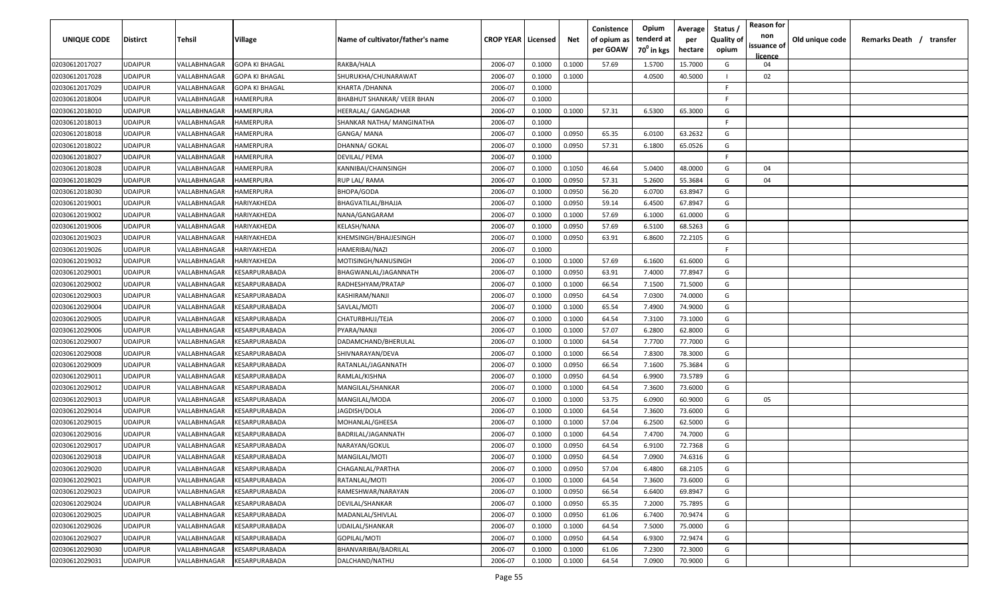| UNIQUE CODE    | Distirct       | Tehsil       | Village        | Name of cultivator/father's name  | <b>CROP YEAR   Licensed</b> |        | Net    | Conistence<br>of opium as<br>per GOAW | Opium<br>tenderd at<br>70 <sup>°</sup> in kgs | Average<br>per<br>hectare | Status<br><b>Quality of</b><br>opium | <b>Reason for</b><br>non<br>issuance of<br>licence | Old unique code | Remarks Death / transfer |
|----------------|----------------|--------------|----------------|-----------------------------------|-----------------------------|--------|--------|---------------------------------------|-----------------------------------------------|---------------------------|--------------------------------------|----------------------------------------------------|-----------------|--------------------------|
| 02030612017027 | UDAIPUR        | VALLABHNAGAR | GOPA KI BHAGAL | RAKBA/HALA                        | 2006-07                     | 0.1000 | 0.1000 | 57.69                                 | 1.5700                                        | 15.7000                   | G                                    | 04                                                 |                 |                          |
| 02030612017028 | UDAIPUR        | VALLABHNAGAR | GOPA KI BHAGAL | SHURUKHA/CHUNARAWAT               | 2006-07                     | 0.1000 | 0.1000 |                                       | 4.0500                                        | 40.5000                   |                                      | 02                                                 |                 |                          |
| 02030612017029 | UDAIPUR        | VALLABHNAGAR | GOPA KI BHAGAL | KHARTA / DHANNA                   | 2006-07                     | 0.1000 |        |                                       |                                               |                           | -F.                                  |                                                    |                 |                          |
| 02030612018004 | UDAIPUR        | VALLABHNAGAR | HAMERPURA      | <b>BHABHUT SHANKAR/ VEER BHAN</b> | 2006-07                     | 0.1000 |        |                                       |                                               |                           | -F.                                  |                                                    |                 |                          |
| 02030612018010 | UDAIPUR        | VALLABHNAGAR | HAMERPURA      | HEERALAL/ GANGADHAR               | 2006-07                     | 0.1000 | 0.1000 | 57.31                                 | 6.5300                                        | 65.3000                   | G                                    |                                                    |                 |                          |
| 02030612018013 | UDAIPUR        | VALLABHNAGAR | HAMERPURA      | SHANKAR NATHA/ MANGINATHA         | 2006-07                     | 0.1000 |        |                                       |                                               |                           | E                                    |                                                    |                 |                          |
| 02030612018018 | UDAIPUR        | VALLABHNAGAR | HAMERPURA      | GANGA/MAANA                       | 2006-07                     | 0.1000 | 0.0950 | 65.35                                 | 6.0100                                        | 63.2632                   | G                                    |                                                    |                 |                          |
| 02030612018022 | UDAIPUR        | VALLABHNAGAR | HAMERPURA      | DHANNA/ GOKAL                     | 2006-07                     | 0.1000 | 0.0950 | 57.31                                 | 6.1800                                        | 65.0526                   | G                                    |                                                    |                 |                          |
| 02030612018027 | UDAIPUR        | VALLABHNAGAR | HAMERPURA      | DEVILAL/ PEMA                     | 2006-07                     | 0.1000 |        |                                       |                                               |                           | F.                                   |                                                    |                 |                          |
| 02030612018028 | UDAIPUR        | VALLABHNAGAR | HAMERPURA      | KANNIBAI/CHAINSINGH               | 2006-07                     | 0.1000 | 0.1050 | 46.64                                 | 5.0400                                        | 48.0000                   | G                                    | 04                                                 |                 |                          |
| 02030612018029 | UDAIPUR        | VALLABHNAGAR | HAMERPURA      | RUP LAL/ RAMA                     | 2006-07                     | 0.1000 | 0.0950 | 57.31                                 | 5.2600                                        | 55.3684                   | G                                    | 04                                                 |                 |                          |
| 02030612018030 | UDAIPUR        | VALLABHNAGAR | HAMERPURA      | BHOPA/GODA                        | 2006-07                     | 0.1000 | 0.0950 | 56.20                                 | 6.0700                                        | 63.8947                   | G                                    |                                                    |                 |                          |
| 02030612019001 | UDAIPUR        | VALLABHNAGAR | HARIYAKHEDA    | BHAGVATILAL/BHAJJA                | 2006-07                     | 0.1000 | 0.0950 | 59.14                                 | 6.4500                                        | 67.8947                   | G                                    |                                                    |                 |                          |
| 02030612019002 | UDAIPUR        | VALLABHNAGAR | HARIYAKHEDA    | NANA/GANGARAM                     | 2006-07                     | 0.1000 | 0.1000 | 57.69                                 | 6.1000                                        | 61.0000                   | G                                    |                                                    |                 |                          |
| 02030612019006 | UDAIPUR        | VALLABHNAGAR | HARIYAKHEDA    | KELASH/NANA                       | 2006-07                     | 0.1000 | 0.0950 | 57.69                                 | 6.5100                                        | 68.5263                   | G                                    |                                                    |                 |                          |
| 02030612019023 | UDAIPUR        | VALLABHNAGAR | HARIYAKHEDA    | KHEMSINGH/BHAJJESINGH             | 2006-07                     | 0.1000 | 0.0950 | 63.91                                 | 6.8600                                        | 72.2105                   | G                                    |                                                    |                 |                          |
| 02030612019026 | UDAIPUR        | VALLABHNAGAR | HARIYAKHEDA    | HAMERIBAI/NAZI                    | 2006-07                     | 0.1000 |        |                                       |                                               |                           | F.                                   |                                                    |                 |                          |
| 02030612019032 | UDAIPUR        | VALLABHNAGAR | HARIYAKHEDA    | MOTISINGH/NANUSINGH               | 2006-07                     | 0.1000 | 0.1000 | 57.69                                 | 6.1600                                        | 61.6000                   | G                                    |                                                    |                 |                          |
| 02030612029001 | UDAIPUR        | VALLABHNAGAR | KESARPURABADA  | BHAGWANLAL/JAGANNATH              | 2006-07                     | 0.1000 | 0.0950 | 63.91                                 | 7.4000                                        | 77.8947                   | G                                    |                                                    |                 |                          |
| 02030612029002 | UDAIPUR        | VALLABHNAGAR | KESARPURABADA  | RADHESHYAM/PRATAP                 | 2006-07                     | 0.1000 | 0.1000 | 66.54                                 | 7.1500                                        | 71.5000                   | G                                    |                                                    |                 |                          |
| 02030612029003 | UDAIPUR        | VALLABHNAGAR | KESARPURABADA  | KASHIRAM/NANJI                    | 2006-07                     | 0.1000 | 0.0950 | 64.54                                 | 7.0300                                        | 74.0000                   | G                                    |                                                    |                 |                          |
| 02030612029004 | UDAIPUR        | VALLABHNAGAR | KESARPURABADA  | SAVLAL/MOTI                       | 2006-07                     | 0.1000 | 0.1000 | 65.54                                 | 7.4900                                        | 74.9000                   | G                                    |                                                    |                 |                          |
| 02030612029005 | UDAIPUR        | VALLABHNAGAR | KESARPURABADA  | CHATURBHUJ/TEJA                   | 2006-07                     | 0.1000 | 0.1000 | 64.54                                 | 7.3100                                        | 73.1000                   | G                                    |                                                    |                 |                          |
| 02030612029006 | UDAIPUR        | VALLABHNAGAR | KESARPURABADA  | PYARA/NANJI                       | 2006-07                     | 0.1000 | 0.1000 | 57.07                                 | 6.2800                                        | 62.8000                   | G                                    |                                                    |                 |                          |
| 02030612029007 | UDAIPUR        | VALLABHNAGAR | KESARPURABADA  | DADAMCHAND/BHERULAL               | 2006-07                     | 0.1000 | 0.1000 | 64.54                                 | 7.7700                                        | 77.7000                   | G                                    |                                                    |                 |                          |
| 02030612029008 | UDAIPUR        | VALLABHNAGAR | KESARPURABADA  | SHIVNARAYAN/DEVA                  | 2006-07                     | 0.1000 | 0.1000 | 66.54                                 | 7.8300                                        | 78.3000                   | G                                    |                                                    |                 |                          |
| 02030612029009 | UDAIPUR        | VALLABHNAGAR | KESARPURABADA  | RATANLAL/JAGANNATH                | 2006-07                     | 0.1000 | 0.0950 | 66.54                                 | 7.1600                                        | 75.3684                   | G                                    |                                                    |                 |                          |
| 02030612029011 | UDAIPUR        | VALLABHNAGAR | KESARPURABADA  | RAMLAL/KISHNA                     | 2006-07                     | 0.1000 | 0.0950 | 64.54                                 | 6.9900                                        | 73.5789                   | G                                    |                                                    |                 |                          |
| 02030612029012 | UDAIPUR        | VALLABHNAGAR | KESARPURABADA  | MANGILAL/SHANKAR                  | 2006-07                     | 0.1000 | 0.1000 | 64.54                                 | 7.3600                                        | 73.6000                   | G                                    |                                                    |                 |                          |
| 02030612029013 | UDAIPUR        | VALLABHNAGAR | KESARPURABADA  | MANGILAL/MODA                     | 2006-07                     | 0.1000 | 0.1000 | 53.75                                 | 6.0900                                        | 60.9000                   | G                                    | 05                                                 |                 |                          |
| 02030612029014 | UDAIPUR        | VALLABHNAGAR | KESARPURABADA  | JAGDISH/DOLA                      | 2006-07                     | 0.1000 | 0.1000 | 64.54                                 | 7.3600                                        | 73.6000                   | G                                    |                                                    |                 |                          |
| 02030612029015 | UDAIPUR        | VALLABHNAGAR | KESARPURABADA  | MOHANLAL/GHEESA                   | 2006-07                     | 0.1000 | 0.1000 | 57.04                                 | 6.2500                                        | 62.5000                   | G                                    |                                                    |                 |                          |
| 02030612029016 | UDAIPUR        | VALLABHNAGAR | KESARPURABADA  | BADRILAL/JAGANNATH                | 2006-07                     | 0.1000 | 0.1000 | 64.54                                 | 7.4700                                        | 74.7000                   | G                                    |                                                    |                 |                          |
| 02030612029017 | UDAIPUR        | VALLABHNAGAR | KESARPURABADA  | NARAYAN/GOKUL                     | 2006-07                     | 0.1000 | 0.0950 | 64.54                                 | 6.9100                                        | 72.7368                   | G                                    |                                                    |                 |                          |
| 02030612029018 | UDAIPUR        | VALLABHNAGAR | KESARPURABADA  | MANGILAL/MOTI                     | 2006-07                     | 0.1000 | 0.0950 | 64.54                                 | 7.0900                                        | 74.6316                   | G                                    |                                                    |                 |                          |
| 02030612029020 | UDAIPUR        | VALLABHNAGAR | KESARPURABADA  | CHAGANLAL/PARTHA                  | 2006-07                     | 0.1000 | 0.0950 | 57.04                                 | 6.4800                                        | 68.2105                   | G                                    |                                                    |                 |                          |
| 02030612029021 | <b>UDAIPUR</b> | VALLABHNAGAR | KESARPURABADA  | RATANLAL/MOTI                     | 2006-07                     | 0.1000 | 0.1000 | 64.54                                 | 7.3600                                        | 73.6000                   | G                                    |                                                    |                 |                          |
| 02030612029023 | UDAIPUR        | VALLABHNAGAR | KESARPURABADA  | RAMESHWAR/NARAYAN                 | 2006-07                     | 0.1000 | 0.0950 | 66.54                                 | 6.6400                                        | 69.8947                   | G                                    |                                                    |                 |                          |
| 02030612029024 | UDAIPUR        | VALLABHNAGAR | KESARPURABADA  | DEVILAL/SHANKAR                   | 2006-07                     | 0.1000 | 0.0950 | 65.35                                 | 7.2000                                        | 75.7895                   | G                                    |                                                    |                 |                          |
| 02030612029025 | UDAIPUR        | VALLABHNAGAR | KESARPURABADA  | MADANLAL/SHIVLAL                  | 2006-07                     | 0.1000 | 0.0950 | 61.06                                 | 6.7400                                        | 70.9474                   | G                                    |                                                    |                 |                          |
| 02030612029026 | UDAIPUR        | VALLABHNAGAR | KESARPURABADA  | UDAILAL/SHANKAR                   | 2006-07                     | 0.1000 | 0.1000 | 64.54                                 | 7.5000                                        | 75.0000                   | G                                    |                                                    |                 |                          |
| 02030612029027 | UDAIPUR        | VALLABHNAGAR | KESARPURABADA  | GOPILAL/MOTI                      | 2006-07                     | 0.1000 | 0.0950 | 64.54                                 | 6.9300                                        | 72.9474                   | G                                    |                                                    |                 |                          |
| 02030612029030 | UDAIPUR        | VALLABHNAGAR | KESARPURABADA  | BHANVARIBAI/BADRILAL              | 2006-07                     | 0.1000 | 0.1000 | 61.06                                 | 7.2300                                        | 72.3000                   | G                                    |                                                    |                 |                          |
| 02030612029031 | UDAIPUR        | VALLABHNAGAR | KESARPURABADA  | DALCHAND/NATHU                    | 2006-07                     | 0.1000 | 0.1000 | 64.54                                 | 7.0900                                        | 70.9000                   | G                                    |                                                    |                 |                          |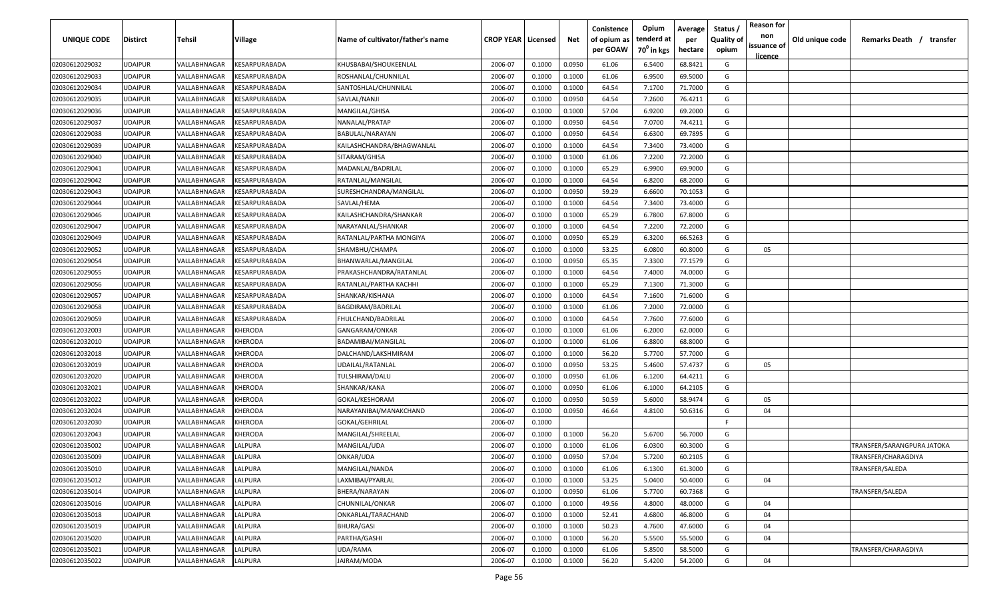| UNIQUE CODE    | <b>Distirct</b> | <b>Tehsil</b> | Village                                     | Name of cultivator/father's name | <b>CROP YEAR   Licensed</b> |        | Net    | Conistence<br>of opium as<br>per GOAW | Opium<br>tenderd at<br>70 <sup>°</sup> in kgs | Average<br>per<br>hectare | Status /<br><b>Quality of</b><br>opium | <b>Reason for</b><br>non<br>issuance of<br>licence | Old unique code | Remarks Death /            | transfer |
|----------------|-----------------|---------------|---------------------------------------------|----------------------------------|-----------------------------|--------|--------|---------------------------------------|-----------------------------------------------|---------------------------|----------------------------------------|----------------------------------------------------|-----------------|----------------------------|----------|
| 02030612029032 | <b>UDAIPUR</b>  | VALLABHNAGAR  | KESARPURABADA                               | KHUSBABAI/SHOUKEENLAL            | 2006-07                     | 0.1000 | 0.0950 | 61.06                                 | 6.5400                                        | 68.8421                   | G                                      |                                                    |                 |                            |          |
| 02030612029033 | <b>UDAIPUR</b>  | VALLABHNAGAR  | <b><i>CESARPURABADA</i></b>                 | ROSHANLAL/CHUNNILAL              | 2006-07                     | 0.1000 | 0.1000 | 61.06                                 | 6.9500                                        | 69.5000                   | G                                      |                                                    |                 |                            |          |
| 02030612029034 | <b>UDAIPUR</b>  | VALLABHNAGAR  | <b><i>CESARPURABADA</i></b>                 | SANTOSHLAL/CHUNNILAL             | 2006-07                     | 0.1000 | 0.1000 | 64.54                                 | 7.1700                                        | 71.7000                   | G                                      |                                                    |                 |                            |          |
| 02030612029035 | <b>UDAIPUR</b>  | VALLABHNAGAR  | <b>ESARPURABADA</b>                         | SAVLAL/NANJI                     | 2006-07                     | 0.1000 | 0.0950 | 64.54                                 | 7.2600                                        | 76.4211                   | G                                      |                                                    |                 |                            |          |
| 02030612029036 | <b>UDAIPUR</b>  | VALLABHNAGAR  | <b><i>CESARPURABADA</i></b>                 | MANGILAL/GHISA                   | 2006-07                     | 0.1000 | 0.1000 | 57.04                                 | 6.9200                                        | 69.2000                   | G                                      |                                                    |                 |                            |          |
| 02030612029037 | <b>UDAIPUR</b>  | VALLABHNAGAR  | <b><i>CESARPURABADA</i></b>                 | NANALAL/PRATAP                   | 2006-07                     | 0.1000 | 0.0950 | 64.54                                 | 7.0700                                        | 74.4211                   | G                                      |                                                    |                 |                            |          |
| 02030612029038 | <b>UDAIPUR</b>  | VALLABHNAGAR  | <b><i>CESARPURABADA</i></b>                 | BABULAL/NARAYAN                  | 2006-07                     | 0.1000 | 0.0950 | 64.54                                 | 6.6300                                        | 69.7895                   | G                                      |                                                    |                 |                            |          |
| 02030612029039 | <b>UDAIPUR</b>  | VALLABHNAGAR  | <b><i>CESARPURABADA</i></b>                 | KAILASHCHANDRA/BHAGWANLAL        | 2006-07                     | 0.1000 | 0.1000 | 64.54                                 | 7.3400                                        | 73.4000                   | G                                      |                                                    |                 |                            |          |
| 02030612029040 | <b>UDAIPUR</b>  | VALLABHNAGAR  | <b><i>CESARPURABADA</i></b>                 | SITARAM/GHISA                    | 2006-07                     | 0.1000 | 0.1000 | 61.06                                 | 7.2200                                        | 72.2000                   | G                                      |                                                    |                 |                            |          |
| 02030612029041 | <b>UDAIPUR</b>  | VALLABHNAGAR  | <b><i>CESARPURABADA</i></b>                 | MADANLAL/BADRILAL                | 2006-07                     | 0.1000 | 0.1000 | 65.29                                 | 6.9900                                        | 69.9000                   | G                                      |                                                    |                 |                            |          |
| 02030612029042 | <b>UDAIPUR</b>  | VALLABHNAGAR  | KESARPURABADA                               | RATANLAL/MANGILAL                | 2006-07                     | 0.1000 | 0.1000 | 64.54                                 | 6.8200                                        | 68.2000                   | G                                      |                                                    |                 |                            |          |
| 02030612029043 | <b>UDAIPUR</b>  | VALLABHNAGAR  | KESARPURABADA                               | SURESHCHANDRA/MANGILAL           | 2006-07                     | 0.1000 | 0.0950 | 59.29                                 | 6.6600                                        | 70.1053                   | G                                      |                                                    |                 |                            |          |
| 02030612029044 | <b>UDAIPUR</b>  | VALLABHNAGAR  | <b><esarpurabada< b=""></esarpurabada<></b> | SAVLAL/HEMA                      | 2006-07                     | 0.1000 | 0.1000 | 64.54                                 | 7.3400                                        | 73.4000                   | G                                      |                                                    |                 |                            |          |
| 02030612029046 | <b>UDAIPUR</b>  | VALLABHNAGAR  | KESARPURABADA                               | KAILASHCHANDRA/SHANKAR           | 2006-07                     | 0.1000 | 0.1000 | 65.29                                 | 6.7800                                        | 67.8000                   | G                                      |                                                    |                 |                            |          |
| 02030612029047 | <b>UDAIPUR</b>  | VALLABHNAGAR  | KESARPURABADA                               | NARAYANLAL/SHANKAR               | 2006-07                     | 0.1000 | 0.1000 | 64.54                                 | 7.2200                                        | 72.2000                   | G                                      |                                                    |                 |                            |          |
| 02030612029049 | UDAIPUR         | VALLABHNAGAR  | KESARPURABADA                               | RATANLAL/PARTHA MONGIYA          | 2006-07                     | 0.1000 | 0.0950 | 65.29                                 | 6.3200                                        | 66.5263                   | G                                      |                                                    |                 |                            |          |
| 02030612029052 | <b>UDAIPUR</b>  | VALLABHNAGAR  | <b><i>CESARPURABADA</i></b>                 | SHAMBHU/CHAMPA                   | 2006-07                     | 0.1000 | 0.1000 | 53.25                                 | 6.0800                                        | 60.8000                   | G                                      | 05                                                 |                 |                            |          |
| 02030612029054 | <b>UDAIPUR</b>  | VALLABHNAGAR  | KESARPURABADA                               | BHANWARLAL/MANGILAL              | 2006-07                     | 0.1000 | 0.0950 | 65.35                                 | 7.3300                                        | 77.1579                   | G                                      |                                                    |                 |                            |          |
| 02030612029055 | <b>UDAIPUR</b>  | VALLABHNAGAR  | <b><i>CESARPURABADA</i></b>                 | PRAKASHCHANDRA/RATANLAL          | 2006-07                     | 0.1000 | 0.1000 | 64.54                                 | 7.4000                                        | 74.0000                   | G                                      |                                                    |                 |                            |          |
| 02030612029056 | <b>UDAIPUR</b>  | VALLABHNAGAR  | <b><i>CESARPURABADA</i></b>                 | RATANLAL/PARTHA KACHHI           | 2006-07                     | 0.1000 | 0.1000 | 65.29                                 | 7.1300                                        | 71.3000                   | G                                      |                                                    |                 |                            |          |
| 02030612029057 | <b>UDAIPUR</b>  | VALLABHNAGAR  | <b>ESARPURABADA</b>                         | SHANKAR/KISHANA                  | 2006-07                     | 0.1000 | 0.1000 | 64.54                                 | 7.1600                                        | 71.6000                   | G                                      |                                                    |                 |                            |          |
| 02030612029058 | <b>UDAIPUR</b>  | VALLABHNAGAR  | <b><i>CESARPURABADA</i></b>                 | BAGDIRAM/BADRILAL                | 2006-07                     | 0.1000 | 0.1000 | 61.06                                 | 7.2000                                        | 72.0000                   | G                                      |                                                    |                 |                            |          |
| 02030612029059 | <b>UDAIPUR</b>  | VALLABHNAGAR  | <b><i>CESARPURABADA</i></b>                 | FHULCHAND/BADRILAL               | 2006-07                     | 0.1000 | 0.1000 | 64.54                                 | 7.7600                                        | 77.6000                   | G                                      |                                                    |                 |                            |          |
| 02030612032003 | <b>UDAIPUR</b>  | VALLABHNAGAR  | KHERODA                                     | GANGARAM/ONKAR                   | 2006-07                     | 0.1000 | 0.1000 | 61.06                                 | 6.2000                                        | 62.0000                   | G                                      |                                                    |                 |                            |          |
| 02030612032010 | <b>UDAIPUR</b>  | VALLABHNAGAR  | <b>CHERODA</b>                              | BADAMIBAI/MANGILAL               | 2006-07                     | 0.1000 | 0.1000 | 61.06                                 | 6.8800                                        | 68.8000                   | G                                      |                                                    |                 |                            |          |
| 02030612032018 | <b>UDAIPUR</b>  | VALLABHNAGAR  | <b>CHERODA</b>                              | DALCHAND/LAKSHMIRAM              | 2006-07                     | 0.1000 | 0.1000 | 56.20                                 | 5.7700                                        | 57.7000                   | G                                      |                                                    |                 |                            |          |
| 02030612032019 | <b>UDAIPUR</b>  | VALLABHNAGAR  | KHERODA                                     | UDAILAL/RATANLAL                 | 2006-07                     | 0.1000 | 0.0950 | 53.25                                 | 5.4600                                        | 57.4737                   | G                                      | 05                                                 |                 |                            |          |
| 02030612032020 | <b>UDAIPUR</b>  | VALLABHNAGAR  | KHERODA                                     | TULSHIRAM/DALU                   | 2006-07                     | 0.1000 | 0.0950 | 61.06                                 | 6.1200                                        | 64.4211                   | G                                      |                                                    |                 |                            |          |
| 02030612032021 | UDAIPUR         | VALLABHNAGAR  | KHERODA                                     | SHANKAR/KANA                     | 2006-07                     | 0.1000 | 0.0950 | 61.06                                 | 6.1000                                        | 64.2105                   | G                                      |                                                    |                 |                            |          |
| 02030612032022 | <b>UDAIPUR</b>  | VALLABHNAGAR  | KHERODA                                     | GOKAL/KESHORAM                   | 2006-07                     | 0.1000 | 0.0950 | 50.59                                 | 5.6000                                        | 58.9474                   | G                                      | 05                                                 |                 |                            |          |
| 02030612032024 | <b>UDAIPUR</b>  | VALLABHNAGAR  | KHERODA                                     | NARAYANIBAI/MANAKCHAND           | 2006-07                     | 0.1000 | 0.0950 | 46.64                                 | 4.8100                                        | 50.6316                   | G                                      | 04                                                 |                 |                            |          |
| 02030612032030 | <b>UDAIPUR</b>  | VALLABHNAGAR  | KHERODA                                     | GOKAL/GEHRILAL                   | 2006-07                     | 0.1000 |        |                                       |                                               |                           | F.                                     |                                                    |                 |                            |          |
| 02030612032043 | <b>UDAIPUR</b>  | VALLABHNAGAR  | KHERODA                                     | MANGILAL/SHREELAL                | 2006-07                     | 0.1000 | 0.1000 | 56.20                                 | 5.6700                                        | 56.7000                   | G                                      |                                                    |                 |                            |          |
| 02030612035002 | <b>UDAIPUR</b>  | VALLABHNAGAR  | <b>ALPURA</b>                               | MANGILAL/UDA                     | 2006-07                     | 0.1000 | 0.1000 | 61.06                                 | 6.0300                                        | 60.3000                   | G                                      |                                                    |                 | TRANSFER/SARANGPURA JATOKA |          |
| 02030612035009 | <b>UDAIPUR</b>  | VALLABHNAGAR  | LALPURA                                     | ONKAR/UDA                        | 2006-07                     | 0.1000 | 0.0950 | 57.04                                 | 5.7200                                        | 60.2105                   | G                                      |                                                    |                 | TRANSFER/CHARAGDIYA        |          |
| 02030612035010 | <b>UDAIPUR</b>  | VALLABHNAGAR  | LALPURA                                     | MANGILAL/NANDA                   | 2006-07                     | 0.1000 | 0.1000 | 61.06                                 | 6.1300                                        | 61.3000                   | G                                      |                                                    |                 | TRANSFER/SALEDA            |          |
| 02030612035012 | <b>UDAIPUR</b>  | VALLABHNAGAR  | LALPURA                                     | LAXMIBAI/PYARLAL                 | 2006-07                     | 0.1000 | 0.1000 | 53.25                                 | 5.0400                                        | 50.4000                   | G                                      | 04                                                 |                 |                            |          |
| 02030612035014 | <b>UDAIPUR</b>  | VALLABHNAGAR  | LALPURA                                     | BHERA/NARAYAN                    | 2006-07                     | 0.1000 | 0.0950 | 61.06                                 | 5.7700                                        | 60.7368                   | G                                      |                                                    |                 | TRANSFER/SALEDA            |          |
| 02030612035016 | <b>UDAIPUR</b>  | VALLABHNAGAR  | LALPURA                                     | CHUNNILAL/ONKAR                  | 2006-07                     | 0.1000 | 0.1000 | 49.56                                 | 4.8000                                        | 48.0000                   | G                                      | 04                                                 |                 |                            |          |
| 02030612035018 | <b>UDAIPUR</b>  | VALLABHNAGAR  | LALPURA                                     | ONKARLAL/TARACHAND               | 2006-07                     | 0.1000 | 0.1000 | 52.41                                 | 4.6800                                        | 46.8000                   | G                                      | 04                                                 |                 |                            |          |
| 02030612035019 | <b>UDAIPUR</b>  | VALLABHNAGAR  | LALPURA                                     | <b>BHURA/GASI</b>                | 2006-07                     | 0.1000 | 0.1000 | 50.23                                 | 4.7600                                        | 47.6000                   | G                                      | 04                                                 |                 |                            |          |
| 02030612035020 | <b>UDAIPUR</b>  | VALLABHNAGAR  | LALPURA                                     | PARTHA/GASHI                     | 2006-07                     | 0.1000 | 0.1000 | 56.20                                 | 5.5500                                        | 55.5000                   | G                                      | 04                                                 |                 |                            |          |
| 02030612035021 | <b>UDAIPUR</b>  | VALLABHNAGAR  | LALPURA                                     | UDA/RAMA                         | 2006-07                     | 0.1000 | 0.1000 | 61.06                                 | 5.8500                                        | 58.5000                   | G                                      |                                                    |                 | TRANSFER/CHARAGDIYA        |          |
| 02030612035022 | <b>UDAIPUR</b>  | VALLABHNAGAR  | LALPURA                                     | JAIRAM/MODA                      | 2006-07                     | 0.1000 | 0.1000 | 56.20                                 | 5.4200                                        | 54.2000                   | G                                      | 04                                                 |                 |                            |          |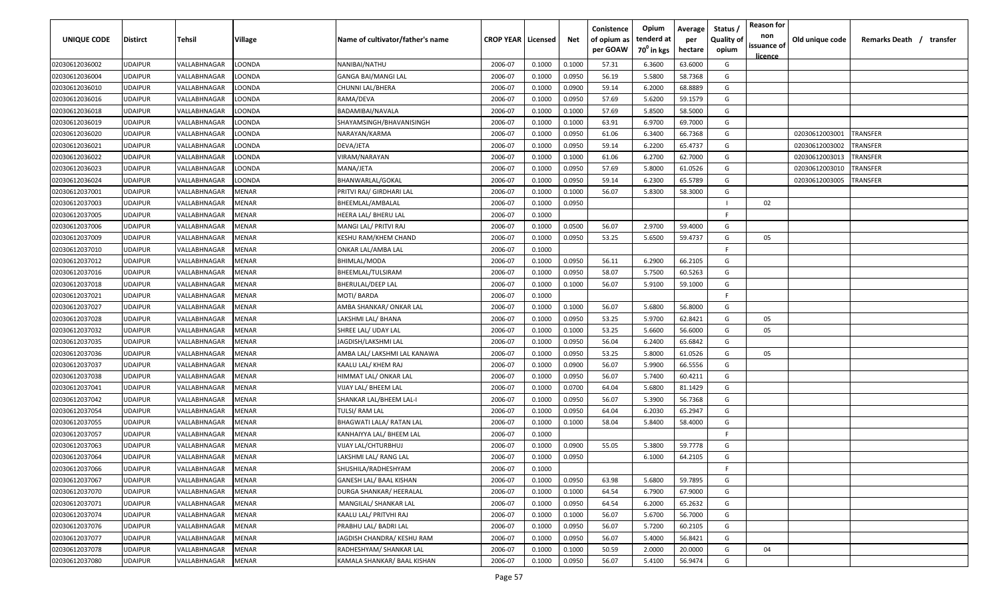| UNIQUE CODE    | <b>Distirct</b> | Tehsil       | Village      | Name of cultivator/father's name | <b>CROP YEAR   Licensed</b> |        | Net    | Conistence<br>of opium as | Opium<br>tenderd at    | Average<br>per | Status<br><b>Quality of</b> | <b>Reason for</b><br>non<br>issuance of | Old unique code | Remarks Death / transfer |
|----------------|-----------------|--------------|--------------|----------------------------------|-----------------------------|--------|--------|---------------------------|------------------------|----------------|-----------------------------|-----------------------------------------|-----------------|--------------------------|
|                |                 |              |              |                                  |                             |        |        | per GOAW                  | 70 <sup>0</sup> in kgs | hectare        | opium                       | <u>licence</u>                          |                 |                          |
| 02030612036002 | <b>UDAIPUR</b>  | VALLABHNAGAR | LOONDA       | NANIBAI/NATHU                    | 2006-07                     | 0.1000 | 0.1000 | 57.31                     | 6.3600                 | 63.6000        | G                           |                                         |                 |                          |
| 02030612036004 | <b>UDAIPUR</b>  | VALLABHNAGAR | LOONDA       | <b>GANGA BAI/MANGI LAL</b>       | 2006-07                     | 0.1000 | 0.0950 | 56.19                     | 5.5800                 | 58.7368        | G                           |                                         |                 |                          |
| 02030612036010 | <b>UDAIPUR</b>  | VALLABHNAGAR | LOONDA       | CHUNNI LAL/BHERA                 | 2006-07                     | 0.1000 | 0.0900 | 59.14                     | 6.2000                 | 68.8889        | G                           |                                         |                 |                          |
| 02030612036016 | <b>UDAIPUR</b>  | VALLABHNAGAR | LOONDA       | RAMA/DEVA                        | 2006-07                     | 0.1000 | 0.0950 | 57.69                     | 5.6200                 | 59.1579        | G                           |                                         |                 |                          |
| 02030612036018 | <b>UDAIPUR</b>  | VALLABHNAGAR | LOONDA       | BADAMIBAI/NAVALA                 | 2006-07                     | 0.1000 | 0.1000 | 57.69                     | 5.8500                 | 58.5000        | G                           |                                         |                 |                          |
| 02030612036019 | <b>UDAIPUR</b>  | VALLABHNAGAR | LOONDA       | SHAYAMSINGH/BHAVANISINGH         | 2006-07                     | 0.1000 | 0.1000 | 63.91                     | 6.9700                 | 69.7000        | G                           |                                         |                 |                          |
| 02030612036020 | <b>UDAIPUR</b>  | VALLABHNAGAR | LOONDA       | NARAYAN/KARMA                    | 2006-07                     | 0.1000 | 0.0950 | 61.06                     | 6.3400                 | 66.7368        | G                           |                                         | 02030612003001  | <b><i>FRANSFER</i></b>   |
| 02030612036021 | <b>UDAIPUR</b>  | VALLABHNAGAR | LOONDA       | DEVA/JETA                        | 2006-07                     | 0.1000 | 0.0950 | 59.14                     | 6.2200                 | 65.4737        | G                           |                                         | 02030612003002  | TRANSFER                 |
| 02030612036022 | <b>UDAIPUR</b>  | VALLABHNAGAR | LOONDA       | VIRAM/NARAYAN                    | 2006-07                     | 0.1000 | 0.1000 | 61.06                     | 6.2700                 | 62.7000        | G                           |                                         | 02030612003013  | TRANSFER                 |
| 02030612036023 | <b>UDAIPUR</b>  | VALLABHNAGAR | LOONDA       | MANA/JETA                        | 2006-07                     | 0.1000 | 0.0950 | 57.69                     | 5.8000                 | 61.0526        | G                           |                                         | 02030612003010  | TRANSFER                 |
| 02030612036024 | UDAIPUR         | VALLABHNAGAR | LOONDA       | BHANWARLAL/GOKAL                 | 2006-07                     | 0.1000 | 0.0950 | 59.14                     | 6.2300                 | 65.5789        | G                           |                                         | 02030612003005  | <b>RANSFER</b>           |
| 02030612037001 | <b>UDAIPUR</b>  | VALLABHNAGAR | MENAR        | PRITVI RAJ/ GIRDHARI LAL         | 2006-07                     | 0.1000 | 0.1000 | 56.07                     | 5.8300                 | 58.3000        | G                           |                                         |                 |                          |
| 02030612037003 | <b>UDAIPUR</b>  | VALLABHNAGAR | MENAR        | BHEEMLAL/AMBALAL                 | 2006-07                     | 0.1000 | 0.0950 |                           |                        |                | $\blacksquare$              | 02                                      |                 |                          |
| 02030612037005 | <b>UDAIPUR</b>  | VALLABHNAGAR | MENAR        | HEERA LAL/ BHERU LAL             | 2006-07                     | 0.1000 |        |                           |                        |                | F.                          |                                         |                 |                          |
| 02030612037006 | <b>UDAIPUR</b>  | VALLABHNAGAR | MENAR        | MANGI LAL/ PRITVI RAJ            | 2006-07                     | 0.1000 | 0.0500 | 56.07                     | 2.9700                 | 59.4000        | G                           |                                         |                 |                          |
| 02030612037009 | <b>UDAIPUR</b>  | VALLABHNAGAR | MENAR        | KESHU RAM/KHEM CHAND             | 2006-07                     | 0.1000 | 0.0950 | 53.25                     | 5.6500                 | 59.4737        | G                           | 05                                      |                 |                          |
| 02030612037010 | <b>UDAIPUR</b>  | VALLABHNAGAR | MENAR        | ONKAR LAL/AMBA LAL               | 2006-07                     | 0.1000 |        |                           |                        |                | F.                          |                                         |                 |                          |
| 02030612037012 | <b>UDAIPUR</b>  | VALLABHNAGAR | MENAR        | <b>BHIMLAL/MODA</b>              | 2006-07                     | 0.1000 | 0.0950 | 56.11                     | 6.2900                 | 66.2105        | G                           |                                         |                 |                          |
| 02030612037016 | <b>UDAIPUR</b>  | VALLABHNAGAR | MENAR        | BHEEMLAL/TULSIRAM                | 2006-07                     | 0.1000 | 0.0950 | 58.07                     | 5.7500                 | 60.5263        | G                           |                                         |                 |                          |
| 02030612037018 | <b>UDAIPUR</b>  | VALLABHNAGAR | MENAR        | BHERULAL/DEEP LAL                | 2006-07                     | 0.1000 | 0.1000 | 56.07                     | 5.9100                 | 59.1000        | G                           |                                         |                 |                          |
| 02030612037021 | <b>UDAIPUR</b>  | VALLABHNAGAR | MENAR        | MOTI/ BARDA                      | 2006-07                     | 0.1000 |        |                           |                        |                | -F.                         |                                         |                 |                          |
| 02030612037027 | <b>UDAIPUR</b>  | VALLABHNAGAR | MENAR        | AMBA SHANKAR/ ONKAR LAL          | 2006-07                     | 0.1000 | 0.1000 | 56.07                     | 5.6800                 | 56.8000        | G                           |                                         |                 |                          |
| 02030612037028 | <b>UDAIPUR</b>  | VALLABHNAGAR | MENAR        | LAKSHMI LAL/ BHANA               | 2006-07                     | 0.1000 | 0.0950 | 53.25                     | 5.9700                 | 62.8421        | G                           | 05                                      |                 |                          |
| 02030612037032 | <b>UDAIPUR</b>  | VALLABHNAGAR | MENAR        | SHREE LAL/ UDAY LAL              | 2006-07                     | 0.1000 | 0.1000 | 53.25                     | 5.6600                 | 56.6000        | G                           | 05                                      |                 |                          |
| 02030612037035 | <b>UDAIPUR</b>  | VALLABHNAGAR | MENAR        | JAGDISH/LAKSHMI LAL              | 2006-07                     | 0.1000 | 0.0950 | 56.04                     | 6.2400                 | 65.6842        | G                           |                                         |                 |                          |
| 02030612037036 | <b>UDAIPUR</b>  | VALLABHNAGAR | MENAR        | AMBA LAL/ LAKSHMI LAL KANAWA     | 2006-07                     | 0.1000 | 0.0950 | 53.25                     | 5.8000                 | 61.0526        | G                           | 05                                      |                 |                          |
| 02030612037037 | <b>UDAIPUR</b>  | VALLABHNAGAR | MENAR        | KAALU LAL/ KHEM RAJ              | 2006-07                     | 0.1000 | 0.0900 | 56.07                     | 5.9900                 | 66.5556        | G                           |                                         |                 |                          |
| 02030612037038 | UDAIPUR         | VALLABHNAGAR | MENAR        | HIMMAT LAL/ ONKAR LAL            | 2006-07                     | 0.1000 | 0.0950 | 56.07                     | 5.7400                 | 60.4211        | G                           |                                         |                 |                          |
| 02030612037041 | <b>UDAIPUR</b>  | VALLABHNAGAR | MENAR        | VIJAY LAL/ BHEEM LAL             | 2006-07                     | 0.1000 | 0.0700 | 64.04                     | 5.6800                 | 81.1429        | G                           |                                         |                 |                          |
| 02030612037042 | <b>UDAIPUR</b>  | VALLABHNAGAR | MENAR        | SHANKAR LAL/BHEEM LAL-I          | 2006-07                     | 0.1000 | 0.0950 | 56.07                     | 5.3900                 | 56.7368        | G                           |                                         |                 |                          |
| 02030612037054 | <b>UDAIPUR</b>  | VALLABHNAGAR | MENAR        | TULSI/ RAM LAL                   | 2006-07                     | 0.1000 | 0.0950 | 64.04                     | 6.2030                 | 65.2947        | G                           |                                         |                 |                          |
| 02030612037055 | <b>UDAIPUR</b>  | VALLABHNAGAR | MENAR        | BHAGWATI LALA/ RATAN LAL         | 2006-07                     | 0.1000 | 0.1000 | 58.04                     | 5.8400                 | 58.4000        | G                           |                                         |                 |                          |
| 02030612037057 | <b>UDAIPUR</b>  | VALLABHNAGAR | MENAR        | KANHAIYYA LAL/ BHEEM LAL         | 2006-07                     | 0.1000 |        |                           |                        |                | F.                          |                                         |                 |                          |
| 02030612037063 | <b>UDAIPUR</b>  | VALLABHNAGAR | MENAR        | VIJAY LAL/CHTURBHUJ              | 2006-07                     | 0.1000 | 0.0900 | 55.05                     | 5.3800                 | 59.7778        | G                           |                                         |                 |                          |
| 02030612037064 | <b>UDAIPUR</b>  | VALLABHNAGAR | MENAR        | LAKSHMI LAL/ RANG LAL            | 2006-07                     | 0.1000 | 0.0950 |                           | 6.1000                 | 64.2105        | G                           |                                         |                 |                          |
| 02030612037066 | <b>UDAIPUR</b>  | VALLABHNAGAR | <b>MENAR</b> | SHUSHILA/RADHESHYAM              | 2006-07                     | 0.1000 |        |                           |                        |                | F.                          |                                         |                 |                          |
| 02030612037067 | <b>UDAIPUR</b>  | VALLABHNAGAR | MENAR        | GANESH LAL/ BAAL KISHAN          | 2006-07                     | 0.1000 | 0.0950 | 63.98                     | 5.6800                 | 59.7895        | G                           |                                         |                 |                          |
| 02030612037070 | <b>UDAIPUR</b>  | VALLABHNAGAR | MENAR        | DURGA SHANKAR/ HEERALAL          | 2006-07                     | 0.1000 | 0.1000 | 64.54                     | 6.7900                 | 67.9000        | G                           |                                         |                 |                          |
| 02030612037071 | <b>UDAIPUR</b>  | VALLABHNAGAR | MENAR        | MANGILAL/ SHANKAR LAL            | 2006-07                     | 0.1000 | 0.0950 | 64.54                     | 6.2000                 | 65.2632        | G                           |                                         |                 |                          |
| 02030612037074 | <b>UDAIPUR</b>  | VALLABHNAGAR | MENAR        | KAALU LAL/ PRITVHI RAJ           | 2006-07                     | 0.1000 | 0.1000 | 56.07                     | 5.6700                 | 56.7000        | G                           |                                         |                 |                          |
| 02030612037076 | <b>UDAIPUR</b>  | VALLABHNAGAR | MENAR        | PRABHU LAL/ BADRI LAL            | 2006-07                     | 0.1000 | 0.0950 | 56.07                     | 5.7200                 | 60.2105        | G                           |                                         |                 |                          |
| 02030612037077 | <b>UDAIPUR</b>  | VALLABHNAGAR | MENAR        | JAGDISH CHANDRA/ KESHU RAM       | 2006-07                     | 0.1000 | 0.0950 | 56.07                     | 5.4000                 | 56.8421        | G                           |                                         |                 |                          |
| 02030612037078 | <b>UDAIPUR</b>  | VALLABHNAGAR | MENAR        | RADHESHYAM/ SHANKAR LAL          | 2006-07                     | 0.1000 | 0.1000 | 50.59                     | 2.0000                 | 20.0000        | G                           | 04                                      |                 |                          |
| 02030612037080 | <b>UDAIPUR</b>  | VALLABHNAGAR | <b>MENAR</b> | KAMALA SHANKAR/ BAAL KISHAN      | 2006-07                     | 0.1000 | 0.0950 | 56.07                     | 5.4100                 | 56.9474        | G                           |                                         |                 |                          |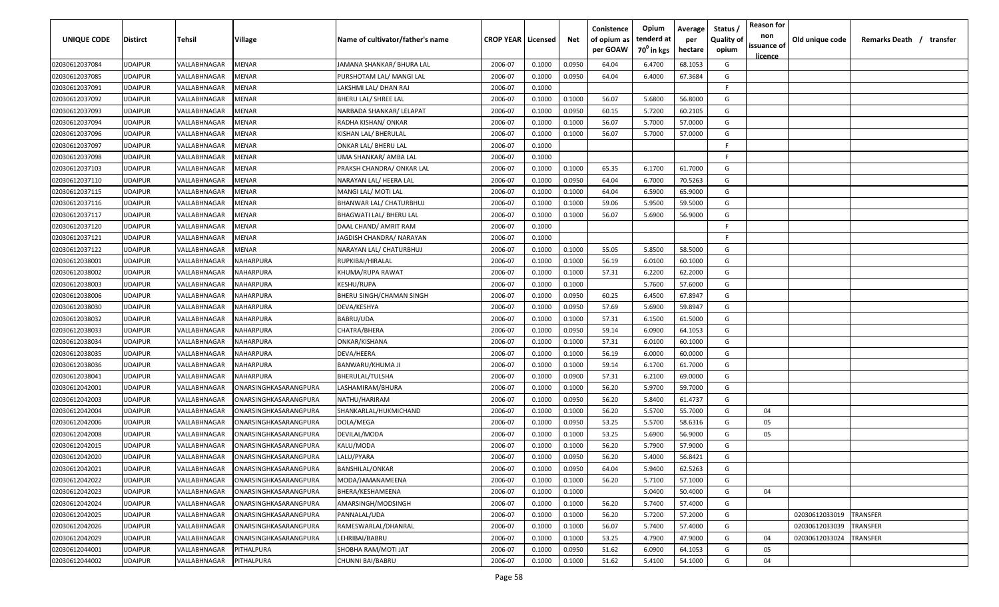| UNIQUE CODE                      | <b>Distirct</b>           | Tehsil                       | Village                | Name of cultivator/father's name                   | <b>CROP YEAR   Licensed</b> |                  | Net              | Conistence<br>of opium as<br>per GOAW | Opium<br>tenderd at<br>70 <sup>0</sup> in kgs | Average<br>per<br>hectare | Status<br><b>Quality of</b><br>opium | <b>Reason for</b><br>non<br>issuance of | Old unique code | Remarks Death / transfer |
|----------------------------------|---------------------------|------------------------------|------------------------|----------------------------------------------------|-----------------------------|------------------|------------------|---------------------------------------|-----------------------------------------------|---------------------------|--------------------------------------|-----------------------------------------|-----------------|--------------------------|
|                                  |                           |                              |                        |                                                    |                             |                  |                  |                                       |                                               |                           |                                      | <u>licence</u>                          |                 |                          |
| 02030612037084                   | <b>UDAIPUR</b>            | VALLABHNAGAR                 | MENAR                  | JAMANA SHANKAR/ BHURA LAL                          | 2006-07                     | 0.1000           | 0.0950           | 64.04                                 | 6.4700                                        | 68.1053                   | G                                    |                                         |                 |                          |
| 02030612037085                   | <b>UDAIPUR</b>            | VALLABHNAGAR                 | MENAR                  | PURSHOTAM LAL/ MANGI LAL                           | 2006-07                     | 0.1000           | 0.0950           | 64.04                                 | 6.4000                                        | 67.3684                   | G                                    |                                         |                 |                          |
| 02030612037091                   | <b>UDAIPUR</b>            | VALLABHNAGAR                 | MENAR                  | LAKSHMI LAL/ DHAN RAJ                              | 2006-07                     | 0.1000           |                  |                                       |                                               |                           | -F                                   |                                         |                 |                          |
| 02030612037092                   | <b>UDAIPUR</b>            | VALLABHNAGAR                 | MENAR                  | BHERU LAL/ SHREE LAL                               | 2006-07                     | 0.1000           | 0.1000           | 56.07                                 | 5.6800                                        | 56.8000                   | G                                    |                                         |                 |                          |
| 02030612037093                   | <b>UDAIPUR</b>            | VALLABHNAGAR                 | MENAR                  | NARBADA SHANKAR/ LELAPAT                           | 2006-07                     | 0.1000           | 0.0950           | 60.15                                 | 5.7200                                        | 60.2105                   | G                                    |                                         |                 |                          |
| 02030612037094                   | <b>UDAIPUR</b>            | VALLABHNAGAR                 | MENAR                  | RADHA KISHAN/ ONKAR                                | 2006-07                     | 0.1000           | 0.1000           | 56.07                                 | 5.7000                                        | 57.0000                   | G                                    |                                         |                 |                          |
| 02030612037096                   | <b>UDAIPUR</b>            | VALLABHNAGAR                 | MENAR                  | KISHAN LAL/ BHERULAL                               | 2006-07                     | 0.1000           | 0.1000           | 56.07                                 | 5.7000                                        | 57.0000                   | G<br>F                               |                                         |                 |                          |
| 02030612037097                   | <b>UDAIPUR</b>            | VALLABHNAGAR                 | MENAR                  | ONKAR LAL/ BHERU LAL                               | 2006-07                     | 0.1000           |                  |                                       |                                               |                           | F.                                   |                                         |                 |                          |
| 02030612037098                   | <b>UDAIPUR</b>            | VALLABHNAGAR                 | MENAR                  | UMA SHANKAR/ AMBA LAL                              | 2006-07                     | 0.1000           |                  |                                       |                                               |                           | G                                    |                                         |                 |                          |
| 02030612037103                   | <b>UDAIPUR</b>            | VALLABHNAGAR                 | MENAR                  | PRAKSH CHANDRA/ ONKAR LAL                          | 2006-07                     | 0.1000           | 0.1000           | 65.35                                 | 6.1700                                        | 61.7000                   | G                                    |                                         |                 |                          |
| 02030612037110                   | UDAIPUR<br><b>UDAIPUR</b> | VALLABHNAGAR                 | MENAR<br>MENAR         | NARAYAN LAL/ HEERA LAL                             | 2006-07                     | 0.1000           | 0.0950<br>0.1000 | 64.04<br>64.04                        | 6.7000                                        | 70.5263                   | G                                    |                                         |                 |                          |
| 02030612037115                   | <b>UDAIPUR</b>            | VALLABHNAGAR<br>VALLABHNAGAR | MENAR                  | MANGI LAL/ MOTI LAL                                | 2006-07<br>2006-07          | 0.1000           | 0.1000           | 59.06                                 | 6.5900<br>5.9500                              | 65.9000<br>59.5000        | G                                    |                                         |                 |                          |
| 02030612037116                   | <b>UDAIPUR</b>            | VALLABHNAGAR                 | MENAR                  | BHANWAR LAL/ CHATURBHUJ<br>BHAGWATI LAL/ BHERU LAL | 2006-07                     | 0.1000<br>0.1000 | 0.1000           | 56.07                                 | 5.6900                                        | 56.9000                   | G                                    |                                         |                 |                          |
| 02030612037117<br>02030612037120 | <b>UDAIPUR</b>            | VALLABHNAGAR                 | MENAR                  | DAAL CHAND/ AMRIT RAM                              | 2006-07                     | 0.1000           |                  |                                       |                                               |                           | -F                                   |                                         |                 |                          |
|                                  | <b>UDAIPUR</b>            | VALLABHNAGAR                 | MENAR                  | JAGDISH CHANDRA/ NARAYAN                           | 2006-07                     | 0.1000           |                  |                                       |                                               |                           | F.                                   |                                         |                 |                          |
| 02030612037121                   | <b>UDAIPUR</b>            | VALLABHNAGAR                 | MENAR                  | NARAYAN LAL/ CHATURBHUJ                            | 2006-07                     | 0.1000           | 0.1000           | 55.05                                 | 5.8500                                        | 58.5000                   | G                                    |                                         |                 |                          |
| 02030612037122                   | <b>UDAIPUR</b>            | VALLABHNAGAR                 | NAHARPURA              |                                                    | 2006-07                     | 0.1000           | 0.1000           | 56.19                                 | 6.0100                                        | 60.1000                   | G                                    |                                         |                 |                          |
| 02030612038001                   | <b>UDAIPUR</b>            | VALLABHNAGAR                 |                        | RUPKIBAI/HIRALAL                                   |                             |                  |                  | 57.31                                 | 6.2200                                        |                           | G                                    |                                         |                 |                          |
| 02030612038002<br>02030612038003 | <b>UDAIPUR</b>            | VALLABHNAGAR                 | NAHARPURA<br>NAHARPURA | KHUMA/RUPA RAWAT<br>KESHU/RUPA                     | 2006-07<br>2006-07          | 0.1000<br>0.1000 | 0.1000<br>0.1000 |                                       | 5.7600                                        | 62.2000<br>57.6000        | G                                    |                                         |                 |                          |
| 02030612038006                   | <b>UDAIPUR</b>            | VALLABHNAGAR                 | NAHARPURA              | BHERU SINGH/CHAMAN SINGH                           | 2006-07                     | 0.1000           | 0.0950           | 60.25                                 | 6.4500                                        | 67.8947                   | G                                    |                                         |                 |                          |
| 02030612038030                   | <b>UDAIPUR</b>            | VALLABHNAGAR                 | NAHARPURA              | DEVA/KESHYA                                        | 2006-07                     | 0.1000           | 0.0950           | 57.69                                 | 5.6900                                        | 59.8947                   | G                                    |                                         |                 |                          |
| 02030612038032                   | <b>UDAIPUR</b>            | VALLABHNAGAR                 | NAHARPURA              | BABRU/UDA                                          | 2006-07                     | 0.1000           | 0.1000           | 57.31                                 | 6.1500                                        | 61.5000                   | G                                    |                                         |                 |                          |
| 02030612038033                   | <b>UDAIPUR</b>            | VALLABHNAGAR                 | NAHARPURA              | CHATRA/BHERA                                       | 2006-07                     | 0.1000           | 0.0950           | 59.14                                 | 6.0900                                        | 64.1053                   | G                                    |                                         |                 |                          |
| 02030612038034                   | <b>UDAIPUR</b>            | VALLABHNAGAR                 | NAHARPURA              | ONKAR/KISHANA                                      | 2006-07                     | 0.1000           | 0.1000           | 57.31                                 | 6.0100                                        | 60.1000                   | G                                    |                                         |                 |                          |
| 02030612038035                   | <b>UDAIPUR</b>            | VALLABHNAGAR                 | NAHARPURA              | DEVA/HEERA                                         | 2006-07                     | 0.1000           | 0.1000           | 56.19                                 | 6.0000                                        | 60.0000                   | G                                    |                                         |                 |                          |
| 02030612038036                   | <b>UDAIPUR</b>            | VALLABHNAGAR                 | NAHARPURA              | BANWARU/KHUMA JI                                   | 2006-07                     | 0.1000           | 0.1000           | 59.14                                 | 6.1700                                        | 61.7000                   | G                                    |                                         |                 |                          |
| 02030612038041                   | UDAIPUR                   | VALLABHNAGAR                 | NAHARPURA              | BHERULAL/TULSHA                                    | 2006-07                     | 0.1000           | 0.0900           | 57.31                                 | 6.2100                                        | 69.0000                   | G                                    |                                         |                 |                          |
| 02030612042001                   | <b>UDAIPUR</b>            | VALLABHNAGAR                 | ONARSINGHKASARANGPURA  | LASHAMIRAM/BHURA                                   | 2006-07                     | 0.1000           | 0.1000           | 56.20                                 | 5.9700                                        | 59.7000                   | G                                    |                                         |                 |                          |
| 02030612042003                   | <b>UDAIPUR</b>            | VALLABHNAGAR                 | ONARSINGHKASARANGPURA  | NATHU/HARIRAM                                      | 2006-07                     | 0.1000           | 0.0950           | 56.20                                 | 5.8400                                        | 61.4737                   | G                                    |                                         |                 |                          |
| 02030612042004                   | <b>UDAIPUR</b>            | VALLABHNAGAR                 | ONARSINGHKASARANGPURA  | SHANKARLAL/HUKMICHAND                              | 2006-07                     | 0.1000           | 0.1000           | 56.20                                 | 5.5700                                        | 55.7000                   | G                                    | 04                                      |                 |                          |
| 02030612042006                   | <b>UDAIPUR</b>            | VALLABHNAGAR                 | ONARSINGHKASARANGPURA  | DOLA/MEGA                                          | 2006-07                     | 0.1000           | 0.0950           | 53.25                                 | 5.5700                                        | 58.6316                   | G                                    | 05                                      |                 |                          |
| 02030612042008                   | <b>UDAIPUR</b>            | VALLABHNAGAR                 | ONARSINGHKASARANGPURA  | DEVILAL/MODA                                       | 2006-07                     | 0.1000           | 0.1000           | 53.25                                 | 5.6900                                        | 56.9000                   | G                                    | 05                                      |                 |                          |
| 02030612042015                   | <b>UDAIPUR</b>            | VALLABHNAGAR                 | ONARSINGHKASARANGPURA  | KALU/MODA                                          | 2006-07                     | 0.1000           | 0.1000           | 56.20                                 | 5.7900                                        | 57.9000                   | G                                    |                                         |                 |                          |
| 02030612042020                   | <b>UDAIPUR</b>            | VALLABHNAGAR                 | ONARSINGHKASARANGPURA  | LALU/PYARA                                         | 2006-07                     | 0.1000           | 0.0950           | 56.20                                 | 5.4000                                        | 56.8421                   | G                                    |                                         |                 |                          |
| 02030612042021                   | <b>UDAIPUR</b>            | VALLABHNAGAR                 | ONARSINGHKASARANGPURA  | <b>BANSHILAL/ONKAR</b>                             | 2006-07                     | 0.1000           | 0.0950           | 64.04                                 | 5.9400                                        | 62.5263                   | G                                    |                                         |                 |                          |
| 02030612042022                   | <b>UDAIPUR</b>            | VALLABHNAGAR                 | ONARSINGHKASARANGPURA  | MODA/JAMANAMEENA                                   | 2006-07                     | 0.1000           | 0.1000           | 56.20                                 | 5.7100                                        | 57.1000                   | G                                    |                                         |                 |                          |
| 02030612042023                   | <b>UDAIPUR</b>            | VALLABHNAGAR                 | ONARSINGHKASARANGPURA  | BHERA/KESHAMEENA                                   | 2006-07                     | 0.1000           | 0.1000           |                                       | 5.0400                                        | 50.4000                   | G                                    | 04                                      |                 |                          |
| 02030612042024                   | <b>UDAIPUR</b>            | VALLABHNAGAR                 | ONARSINGHKASARANGPURA  | AMARSINGH/MODSINGH                                 | 2006-07                     | 0.1000           | 0.1000           | 56.20                                 | 5.7400                                        | 57.4000                   | G                                    |                                         |                 |                          |
| 02030612042025                   | <b>UDAIPUR</b>            | VALLABHNAGAR                 | ONARSINGHKASARANGPURA  | PANNALAL/UDA                                       | 2006-07                     | 0.1000           | 0.1000           | 56.20                                 | 5.7200                                        | 57.2000                   | G                                    |                                         | 02030612033019  | TRANSFER                 |
| 02030612042026                   | <b>UDAIPUR</b>            | VALLABHNAGAR                 | ONARSINGHKASARANGPURA  | RAMESWARLAL/DHANRAL                                | 2006-07                     | 0.1000           | 0.1000           | 56.07                                 | 5.7400                                        | 57.4000                   | G                                    |                                         | 02030612033039  | TRANSFER                 |
| 02030612042029                   | <b>UDAIPUR</b>            | VALLABHNAGAR                 | ONARSINGHKASARANGPURA  | LEHRIBAI/BABRU                                     | 2006-07                     | 0.1000           | 0.1000           | 53.25                                 | 4.7900                                        | 47.9000                   | G                                    | 04                                      | 02030612033024  | TRANSFER                 |
| 02030612044001                   | <b>UDAIPUR</b>            | VALLABHNAGAR                 | PITHALPURA             | SHOBHA RAM/MOTI JAT                                | 2006-07                     | 0.1000           | 0.0950           | 51.62                                 | 6.0900                                        | 64.1053                   | G                                    | 05                                      |                 |                          |
| 02030612044002                   | <b>UDAIPUR</b>            | VALLABHNAGAR                 | PITHALPURA             | CHUNNI BAI/BABRU                                   | 2006-07                     | 0.1000           | 0.1000           | 51.62                                 | 5.4100                                        | 54.1000                   | G                                    | 04                                      |                 |                          |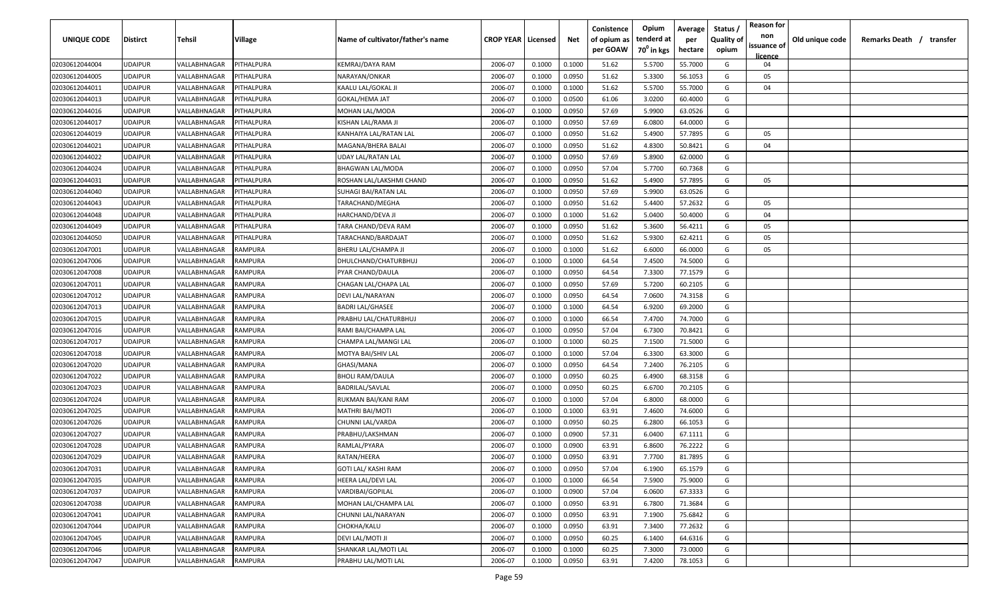| UNIQUE CODE<br><b>Distirct</b><br><b>Tehsil</b>                                      | Village                               | Name of cultivator/father's name                 | <b>CROP YEAR   Licensed</b> |                  | Net              | Conistence<br>of opium as<br>per GOAW | Opium<br>tenderd at<br>70 <sup>0</sup> in kgs | Average<br>per<br>hectare | Status /<br><b>Quality of</b><br>opium | <b>Reason for</b><br>non<br>issuance of | Old unique code | Remarks Death / | transfer |
|--------------------------------------------------------------------------------------|---------------------------------------|--------------------------------------------------|-----------------------------|------------------|------------------|---------------------------------------|-----------------------------------------------|---------------------------|----------------------------------------|-----------------------------------------|-----------------|-----------------|----------|
|                                                                                      |                                       |                                                  |                             |                  |                  |                                       |                                               |                           |                                        | licence                                 |                 |                 |          |
| 02030612044004<br><b>UDAIPUR</b><br>VALLABHNAGAR                                     | PITHALPURA                            | KEMRAJ/DAYA RAM                                  | 2006-07                     | 0.1000           | 0.1000           | 51.62                                 | 5.5700                                        | 55.7000                   | G                                      | 04                                      |                 |                 |          |
| <b>UDAIPUR</b><br>VALLABHNAGAR<br>02030612044005                                     | <b>PITHALPURA</b>                     | NARAYAN/ONKAR                                    | 2006-07                     | 0.1000           | 0.0950           | 51.62                                 | 5.3300                                        | 56.1053                   | G                                      | 05                                      |                 |                 |          |
| <b>UDAIPUR</b><br>02030612044011<br>VALLABHNAGAR                                     | <b>PITHALPURA</b>                     | KAALU LAL/GOKAL JI                               | 2006-07                     | 0.1000           | 0.1000           | 51.62                                 | 5.5700                                        | 55.7000                   | G                                      | 04                                      |                 |                 |          |
| 02030612044013<br><b>UDAIPUR</b><br>VALLABHNAGAR                                     | <b>ITHALPURA</b>                      | GOKAL/HEMA JAT                                   | 2006-07                     | 0.1000           | 0.0500           | 61.06                                 | 3.0200                                        | 60.4000                   | G                                      |                                         |                 |                 |          |
| 02030612044016<br><b>UDAIPUR</b><br>VALLABHNAGAR                                     | <b>PITHALPURA</b>                     | MOHAN LAL/MODA                                   | 2006-07                     | 0.1000           | 0.0950           | 57.69                                 | 5.9900                                        | 63.0526                   | G                                      |                                         |                 |                 |          |
| 02030612044017<br><b>UDAIPUR</b><br>VALLABHNAGAR<br>VALLABHNAGAR                     | PITHALPURA                            | KISHAN LAL/RAMA JI                               | 2006-07                     | 0.1000           | 0.0950           | 57.69                                 | 6.0800                                        | 64.0000                   | G                                      |                                         |                 |                 |          |
| 02030612044019<br><b>UDAIPUR</b><br>02030612044021<br><b>UDAIPUR</b><br>VALLABHNAGAR | <b>PITHALPURA</b><br><b>ITHALPURA</b> | KANHAIYA LAL/RATAN LAL                           | 2006-07                     | 0.1000           | 0.0950<br>0.0950 | 51.62<br>51.62                        | 5.4900<br>4.8300                              | 57.7895                   | G<br>G                                 | 05<br>04                                |                 |                 |          |
| 02030612044022<br><b>UDAIPUR</b><br>VALLABHNAGAR                                     | <b>ITHALPURA</b>                      | MAGANA/BHERA BALAI<br>UDAY LAL/RATAN LAL         | 2006-07<br>2006-07          | 0.1000<br>0.1000 | 0.0950           | 57.69                                 | 5.8900                                        | 50.8421<br>62.0000        | G                                      |                                         |                 |                 |          |
| 02030612044024<br><b>UDAIPUR</b><br>VALLABHNAGAR                                     | <b>ITHALPURA</b>                      |                                                  | 2006-07                     | 0.1000           | 0.0950           | 57.04                                 | 5.7700                                        | 60.7368                   | G                                      |                                         |                 |                 |          |
| <b>UDAIPUR</b>                                                                       | <b>ITHALPURA</b>                      | BHAGWAN LAL/MODA                                 |                             | 0.1000           | 0.0950           | 51.62                                 | 5.4900                                        | 57.7895                   | G                                      | 05                                      |                 |                 |          |
| 02030612044031<br>VALLABHNAGAR<br>02030612044040<br>UDAIPUR<br>VALLABHNAGAR          | <b>ITHALPURA</b>                      | ROSHAN LAL/LAKSHMI CHAND<br>SUHAGI BAI/RATAN LAL | 2006-07<br>2006-07          | 0.1000           | 0.0950           | 57.69                                 | 5.9900                                        | 63.0526                   | G                                      |                                         |                 |                 |          |
| 02030612044043<br><b>UDAIPUR</b><br>VALLABHNAGAR                                     | <b>PITHALPURA</b>                     | TARACHAND/MEGHA                                  | 2006-07                     | 0.1000           | 0.0950           | 51.62                                 | 5.4400                                        | 57.2632                   | G                                      | 05                                      |                 |                 |          |
| 02030612044048<br>UDAIPUR<br>VALLABHNAGAR                                            | PITHALPURA                            | HARCHAND/DEVA JI                                 | 2006-07                     | 0.1000           | 0.1000           | 51.62                                 | 5.0400                                        | 50.4000                   | G                                      | 04                                      |                 |                 |          |
| 02030612044049<br><b>UDAIPUR</b><br>VALLABHNAGAR                                     | <b>PITHALPURA</b>                     | TARA CHAND/DEVA RAM                              | 2006-07                     | 0.1000           | 0.0950           | 51.62                                 | 5.3600                                        | 56.4211                   | G                                      | 05                                      |                 |                 |          |
| VALLABHNAGAR<br>02030612044050                                                       | PITHALPURA                            |                                                  | 2006-07                     |                  | 0.0950           | 51.62                                 | 5.9300                                        | 62.4211                   | G                                      | 05                                      |                 |                 |          |
| UDAIPUR<br>02030612047001<br><b>UDAIPUR</b><br>VALLABHNAGAR                          | <b>RAMPURA</b>                        | TARACHAND/BARDAJAT                               | 2006-07                     | 0.1000<br>0.1000 | 0.1000           | 51.62                                 | 6.6000                                        | 66.0000                   | G                                      | 05                                      |                 |                 |          |
| 02030612047006<br><b>UDAIPUR</b><br>VALLABHNAGAR                                     | <b>RAMPURA</b>                        | BHERU LAL/CHAMPA JI                              | 2006-07                     | 0.1000           | 0.1000           | 64.54                                 | 7.4500                                        | 74.5000                   | G                                      |                                         |                 |                 |          |
| <b>UDAIPUR</b><br>VALLABHNAGAR<br>02030612047008                                     | <b>RAMPURA</b>                        | DHULCHAND/CHATURBHUJ                             | 2006-07                     | 0.1000           | 0.0950           | 64.54                                 | 7.3300                                        | 77.1579                   | G                                      |                                         |                 |                 |          |
| <b>UDAIPUR</b><br>02030612047011<br>VALLABHNAGAR                                     | RAMPURA                               | PYAR CHAND/DAULA<br>CHAGAN LAL/CHAPA LAL         | 2006-07                     | 0.1000           | 0.0950           | 57.69                                 | 5.7200                                        | 60.2105                   | G                                      |                                         |                 |                 |          |
| 02030612047012<br><b>UDAIPUR</b><br>VALLABHNAGAR                                     | RAMPURA                               | DEVI LAL/NARAYAN                                 | 2006-07                     | 0.1000           | 0.0950           | 64.54                                 | 7.0600                                        | 74.3158                   | G                                      |                                         |                 |                 |          |
| 02030612047013<br><b>UDAIPUR</b><br>VALLABHNAGAR                                     | RAMPURA                               | <b>BADRI LAL/GHASEE</b>                          | 2006-07                     | 0.1000           | 0.1000           | 64.54                                 | 6.9200                                        | 69.2000                   | G                                      |                                         |                 |                 |          |
| 02030612047015<br><b>UDAIPUR</b><br>VALLABHNAGAR                                     | RAMPURA                               | PRABHU LAL/CHATURBHUJ                            | 2006-07                     | 0.1000           | 0.1000           | 66.54                                 | 7.4700                                        | 74.7000                   | G                                      |                                         |                 |                 |          |
| 02030612047016<br><b>UDAIPUR</b><br>VALLABHNAGAR                                     | RAMPURA                               | RAMI BAI/CHAMPA LAL                              | 2006-07                     | 0.1000           | 0.0950           | 57.04                                 | 6.7300                                        | 70.8421                   | G                                      |                                         |                 |                 |          |
| 02030612047017<br><b>UDAIPUR</b><br>VALLABHNAGAR                                     | RAMPURA                               | CHAMPA LAL/MANGI LAL                             | 2006-07                     | 0.1000           | 0.1000           | 60.25                                 | 7.1500                                        | 71.5000                   | G                                      |                                         |                 |                 |          |
| 02030612047018<br><b>UDAIPUR</b><br>VALLABHNAGAR                                     | RAMPURA                               | MOTYA BAI/SHIV LAL                               | 2006-07                     | 0.1000           | 0.1000           | 57.04                                 | 6.3300                                        | 63.3000                   | G                                      |                                         |                 |                 |          |
| 02030612047020<br><b>UDAIPUR</b><br>VALLABHNAGAR                                     | RAMPURA                               | GHASI/MANA                                       | 2006-07                     | 0.1000           | 0.0950           | 64.54                                 | 7.2400                                        | 76.2105                   | G                                      |                                         |                 |                 |          |
| 02030612047022<br><b>UDAIPUR</b><br>VALLABHNAGAR                                     | RAMPURA                               | BHOLI RAM/DAULA                                  | 2006-07                     | 0.1000           | 0.0950           | 60.25                                 | 6.4900                                        | 68.3158                   | G                                      |                                         |                 |                 |          |
| 02030612047023<br>UDAIPUR<br>VALLABHNAGAR                                            | RAMPURA                               | BADRILAL/SAVLAL                                  | 2006-07                     | 0.1000           | 0.0950           | 60.25                                 | 6.6700                                        | 70.2105                   | G                                      |                                         |                 |                 |          |
| 02030612047024<br><b>UDAIPUR</b><br>VALLABHNAGAR                                     | RAMPURA                               | RUKMAN BAI/KANI RAM                              | 2006-07                     | 0.1000           | 0.1000           | 57.04                                 | 6.8000                                        | 68.0000                   | G                                      |                                         |                 |                 |          |
| 02030612047025<br><b>UDAIPUR</b><br>VALLABHNAGAR                                     | <b>RAMPURA</b>                        | <b>MATHRI BAI/MOTI</b>                           | 2006-07                     | 0.1000           | 0.1000           | 63.91                                 | 7.4600                                        | 74.6000                   | G                                      |                                         |                 |                 |          |
| 02030612047026<br><b>UDAIPUR</b><br>VALLABHNAGAR                                     | RAMPURA                               | CHUNNI LAL/VARDA                                 | 2006-07                     | 0.1000           | 0.0950           | 60.25                                 | 6.2800                                        | 66.1053                   | G                                      |                                         |                 |                 |          |
| 02030612047027<br><b>UDAIPUR</b><br>VALLABHNAGAR                                     | RAMPURA                               | PRABHU/LAKSHMAN                                  | 2006-07                     | 0.1000           | 0.0900           | 57.31                                 | 6.0400                                        | 67.1111                   | G                                      |                                         |                 |                 |          |
| 02030612047028<br><b>UDAIPUR</b><br>VALLABHNAGAR                                     | RAMPURA                               | RAMLAL/PYARA                                     | 2006-07                     | 0.1000           | 0.0900           | 63.91                                 | 6.8600                                        | 76.2222                   | G                                      |                                         |                 |                 |          |
| 02030612047029<br><b>UDAIPUR</b><br>VALLABHNAGAR                                     | RAMPURA                               | RATAN/HEERA                                      | 2006-07                     | 0.1000           | 0.0950           | 63.91                                 | 7.7700                                        | 81.7895                   | G                                      |                                         |                 |                 |          |
| 02030612047031<br><b>UDAIPUR</b><br>VALLABHNAGAR                                     | RAMPURA                               | <b>GOTI LAL/ KASHI RAM</b>                       | 2006-07                     | 0.1000           | 0.0950           | 57.04                                 | 6.1900                                        | 65.1579                   | G                                      |                                         |                 |                 |          |
| 02030612047035<br><b>UDAIPUR</b><br>VALLABHNAGAR                                     | RAMPURA                               | HEERA LAL/DEVI LAL                               | 2006-07                     | 0.1000           | 0.1000           | 66.54                                 | 7.5900                                        | 75.9000                   | G                                      |                                         |                 |                 |          |
| 02030612047037<br><b>UDAIPUR</b><br>VALLABHNAGAR                                     | RAMPURA                               | VARDIBAI/GOPILAL                                 | 2006-07                     | 0.1000           | 0.0900           | 57.04                                 | 6.0600                                        | 67.3333                   | G                                      |                                         |                 |                 |          |
| 02030612047038<br><b>UDAIPUR</b><br>VALLABHNAGAR                                     | RAMPURA                               | MOHAN LAL/CHAMPA LAL                             | 2006-07                     | 0.1000           | 0.0950           | 63.91                                 | 6.7800                                        | 71.3684                   | G                                      |                                         |                 |                 |          |
| 02030612047041<br><b>UDAIPUR</b><br>VALLABHNAGAR                                     | RAMPURA                               | CHUNNI LAL/NARAYAN                               | 2006-07                     | 0.1000           | 0.0950           | 63.91                                 | 7.1900                                        | 75.6842                   | G                                      |                                         |                 |                 |          |
| 02030612047044<br><b>UDAIPUR</b><br>VALLABHNAGAR                                     | RAMPURA                               | CHOKHA/KALU                                      | 2006-07                     | 0.1000           | 0.0950           | 63.91                                 | 7.3400                                        | 77.2632                   | G                                      |                                         |                 |                 |          |
| 02030612047045<br><b>UDAIPUR</b><br>VALLABHNAGAR                                     | RAMPURA                               | DEVI LAL/MOTI JI                                 | 2006-07                     | 0.1000           | 0.0950           | 60.25                                 | 6.1400                                        | 64.6316                   | G                                      |                                         |                 |                 |          |
| 02030612047046<br><b>UDAIPUR</b><br>VALLABHNAGAR                                     | RAMPURA                               | SHANKAR LAL/MOTI LAL                             | 2006-07                     | 0.1000           | 0.1000           | 60.25                                 | 7.3000                                        | 73.0000                   | G                                      |                                         |                 |                 |          |
| 02030612047047<br><b>UDAIPUR</b><br>VALLABHNAGAR                                     | RAMPURA                               | PRABHU LAL/MOTI LAL                              | 2006-07                     | 0.1000           | 0.0950           | 63.91                                 | 7.4200                                        | 78.1053                   | G                                      |                                         |                 |                 |          |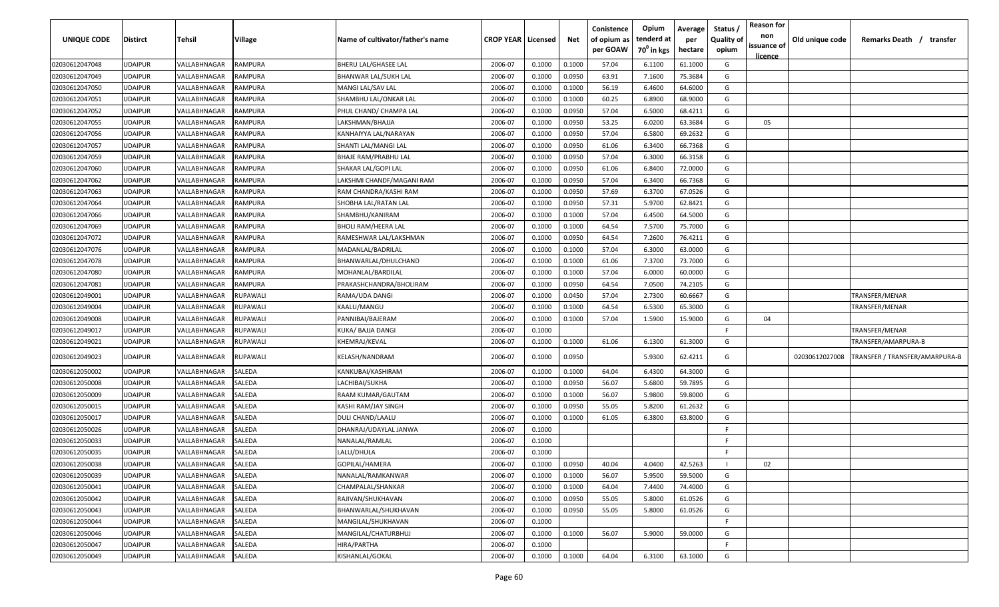| UNIQUE CODE    | <b>Distirct</b> | Tehsil       | Village         | Name of cultivator/father's name | <b>CROP YEAR   Licensed</b> |               | Net    | Conistence<br>of opium as<br>per GOAW | Opium<br>tenderd at<br>70 <sup>0</sup> in kgs | Average<br>per<br>hectare | Status<br><b>Quality of</b><br>opium | <b>Reason for</b><br>non<br>issuance of<br><u>licence</u> | Old unique code | Remarks Death / transfer       |
|----------------|-----------------|--------------|-----------------|----------------------------------|-----------------------------|---------------|--------|---------------------------------------|-----------------------------------------------|---------------------------|--------------------------------------|-----------------------------------------------------------|-----------------|--------------------------------|
| 02030612047048 | <b>UDAIPUR</b>  | VALLABHNAGAR | RAMPURA         | BHERU LAL/GHASEE LAL             | 2006-07                     | 0.1000        | 0.1000 | 57.04                                 | 6.1100                                        | 61.1000                   | G                                    |                                                           |                 |                                |
| 02030612047049 | <b>UDAIPUR</b>  | VALLABHNAGAR | RAMPURA         | <b>BHANWAR LAL/SUKH LAL</b>      | 2006-07                     | 0.1000        | 0.0950 | 63.91                                 | 7.1600                                        | 75.3684                   | G                                    |                                                           |                 |                                |
| 02030612047050 | <b>UDAIPUR</b>  | VALLABHNAGAR | RAMPURA         | MANGI LAL/SAV LAL                | 2006-07                     | 0.1000        | 0.1000 | 56.19                                 | 6.4600                                        | 64.6000                   | G                                    |                                                           |                 |                                |
| 02030612047051 | <b>UDAIPUR</b>  | VALLABHNAGAR | RAMPURA         | SHAMBHU LAL/ONKAR LAL            | 2006-07                     | 0.1000        | 0.1000 | 60.25                                 | 6.8900                                        | 68.9000                   | G                                    |                                                           |                 |                                |
| 02030612047052 | <b>UDAIPUR</b>  | VALLABHNAGAR | RAMPURA         | PHUL CHAND/ CHAMPA LAL           | 2006-07                     | 0.1000        | 0.0950 | 57.04                                 | 6.5000                                        | 68.4211                   | G                                    |                                                           |                 |                                |
| 02030612047055 | <b>UDAIPUR</b>  | VALLABHNAGAR | RAMPURA         | LAKSHMAN/BHAJJA                  | 2006-07                     | 0.1000        | 0.0950 | 53.25                                 | 6.0200                                        | 63.3684                   | G                                    | 05                                                        |                 |                                |
| 02030612047056 | <b>UDAIPUR</b>  | VALLABHNAGAR | RAMPURA         | KANHAIYYA LAL/NARAYAN            | 2006-07                     | 0.1000        | 0.0950 | 57.04                                 | 6.5800                                        | 69.2632                   | G                                    |                                                           |                 |                                |
| 02030612047057 | <b>UDAIPUR</b>  | VALLABHNAGAR | RAMPURA         | SHANTI LAL/MANGI LAL             | 2006-07                     | 0.1000        | 0.0950 | 61.06                                 | 6.3400                                        | 66.7368                   | G                                    |                                                           |                 |                                |
| 02030612047059 | <b>UDAIPUR</b>  | VALLABHNAGAR | RAMPURA         | BHAJE RAM/PRABHU LAL             | 2006-07                     | 0.1000        | 0.0950 | 57.04                                 | 6.3000                                        | 66.3158                   | G                                    |                                                           |                 |                                |
| 02030612047060 | <b>UDAIPUR</b>  | VALLABHNAGAR | RAMPURA         | SHAKAR LAL/GOPI LAL              | 2006-07                     | 0.1000        | 0.0950 | 61.06                                 | 6.8400                                        | 72.0000                   | G                                    |                                                           |                 |                                |
| 02030612047062 | UDAIPUR         | VALLABHNAGAR | RAMPURA         | LAKSHMI CHANDF/MAGANI RAM        | 2006-07                     | 0.1000        | 0.0950 | 57.04                                 | 6.3400                                        | 66.7368                   | G                                    |                                                           |                 |                                |
| 02030612047063 | <b>UDAIPUR</b>  | VALLABHNAGAR | RAMPURA         | RAM CHANDRA/KASHI RAM            | 2006-07                     | 0.1000        | 0.0950 | 57.69                                 | 6.3700                                        | 67.0526                   | G                                    |                                                           |                 |                                |
| 02030612047064 | <b>UDAIPUR</b>  | VALLABHNAGAR | RAMPURA         | SHOBHA LAL/RATAN LAL             | 2006-07                     | 0.1000        | 0.0950 | 57.31                                 | 5.9700                                        | 62.8421                   | G                                    |                                                           |                 |                                |
| 02030612047066 | <b>UDAIPUR</b>  | VALLABHNAGAR | RAMPURA         | SHAMBHU/KANIRAM                  | 2006-07                     | 0.1000        | 0.1000 | 57.04                                 | 6.4500                                        | 64.5000                   | G                                    |                                                           |                 |                                |
| 02030612047069 | <b>UDAIPUR</b>  | VALLABHNAGAR | <b>RAMPURA</b>  | BHOLI RAM/HEERA LAL              | 2006-07                     | 0.1000        | 0.1000 | 64.54                                 | 7.5700                                        | 75.7000                   | G                                    |                                                           |                 |                                |
| 02030612047072 | <b>UDAIPUR</b>  | VALLABHNAGAR | RAMPURA         | RAMESHWAR LAL/LAKSHMAN           | 2006-07                     | 0.1000        | 0.0950 | 64.54                                 | 7.2600                                        | 76.4211                   | G                                    |                                                           |                 |                                |
| 02030612047076 | <b>UDAIPUR</b>  | VALLABHNAGAR | RAMPURA         | MADANLAL/BADRILAL                | 2006-07                     | 0.1000        | 0.1000 | 57.04                                 | 6.3000                                        | 63.0000                   | G                                    |                                                           |                 |                                |
| 02030612047078 | <b>UDAIPUR</b>  | VALLABHNAGAR | RAMPURA         | BHANWARLAL/DHULCHAND             | 2006-07                     | 0.1000        | 0.1000 | 61.06                                 | 7.3700                                        | 73.7000                   | G                                    |                                                           |                 |                                |
| 02030612047080 | <b>UDAIPUR</b>  | VALLABHNAGAR | RAMPURA         | MOHANLAL/BARDILAL                | 2006-07                     | 0.1000        | 0.1000 | 57.04                                 | 6.0000                                        | 60.0000                   | G                                    |                                                           |                 |                                |
| 02030612047081 | <b>UDAIPUR</b>  | VALLABHNAGAR | RAMPURA         | PRAKASHCHANDRA/BHOLIRAM          | 2006-07                     | 0.1000        | 0.0950 | 64.54                                 | 7.0500                                        | 74.2105                   | G                                    |                                                           |                 |                                |
| 02030612049001 | <b>UDAIPUR</b>  | VALLABHNAGAR | <b>RUPAWALI</b> | RAMA/UDA DANGI                   | 2006-07                     | 0.1000        | 0.0450 | 57.04                                 | 2.7300                                        | 60.6667                   | G                                    |                                                           |                 | TRANSFER/MENAR                 |
| 02030612049004 | <b>UDAIPUR</b>  | VALLABHNAGAR | <b>RUPAWALI</b> | KAALU/MANGU                      | 2006-07                     | 0.1000        | 0.1000 | 64.54                                 | 6.5300                                        | 65.3000                   | G                                    |                                                           |                 | TRANSFER/MENAR                 |
| 02030612049008 | <b>UDAIPUR</b>  | VALLABHNAGAR | <b>UPAWALI</b>  | PANNIBAI/BAJERAM                 | 2006-07                     | 0.1000        | 0.1000 | 57.04                                 | 1.5900                                        | 15.9000                   | G                                    | 04                                                        |                 |                                |
| 02030612049017 | <b>UDAIPUR</b>  | VALLABHNAGAR | <b>UPAWALI</b>  | KUKA/ BAJJA DANGI                | 2006-07                     | 0.1000        |        |                                       |                                               |                           | -F                                   |                                                           |                 | TRANSFER/MENAR                 |
| 02030612049021 | <b>UDAIPUR</b>  | VALLABHNAGAR | <b>UPAWALI</b>  | KHEMRAJ/KEVAL                    | 2006-07                     | 0.1000        | 0.1000 | 61.06                                 | 6.1300                                        | 61.3000                   | G                                    |                                                           |                 | TRANSFER/AMARPURA-B            |
| 02030612049023 | <b>UDAIPUR</b>  | VALLABHNAGAR | <b>UPAWALI</b>  | KELASH/NANDRAM                   | 2006-07                     | 0.1000        | 0.0950 |                                       | 5.9300                                        | 62.4211                   | G                                    |                                                           | 02030612027008  | TRANSFER / TRANSFER/AMARPURA-B |
| 02030612050002 | <b>UDAIPUR</b>  | VALLABHNAGAR | SALEDA          | KANKUBAI/KASHIRAM                | 2006-07                     | 0.1000        | 0.1000 | 64.04                                 | 6.4300                                        | 64.3000                   | G                                    |                                                           |                 |                                |
| 02030612050008 | <b>UDAIPUR</b>  | VALLABHNAGAR | SALEDA          | LACHIBAI/SUKHA                   | 2006-07                     | 0.1000        | 0.0950 | 56.07                                 | 5.6800                                        | 59.7895                   | G                                    |                                                           |                 |                                |
| 02030612050009 | <b>UDAIPUR</b>  | VALLABHNAGAR | SALEDA          | RAAM KUMAR/GAUTAM                | 2006-07                     | 0.1000        | 0.1000 | 56.07                                 | 5.9800                                        | 59.8000                   | G                                    |                                                           |                 |                                |
| 02030612050015 | UDAIPUR         | VALLABHNAGAR | SALEDA          | KASHI RAM/JAY SINGH              | 2006-07                     | 0.1000        | 0.0950 | 55.05                                 | 5.8200                                        | 61.2632                   | G                                    |                                                           |                 |                                |
| 02030612050017 | <b>UDAIPUR</b>  | VALLABHNAGAR | SALEDA          | DULI CHAND/LAALU                 | 2006-07                     | 0.1000        | 0.1000 | 61.05                                 | 6.3800                                        | 63.8000                   | G                                    |                                                           |                 |                                |
| 02030612050026 | <b>UDAIPUR</b>  | VALLABHNAGAR | SALEDA          | DHANRAJ/UDAYLAL JANWA            | 2006-07                     | 0.1000        |        |                                       |                                               |                           | -F.                                  |                                                           |                 |                                |
| 02030612050033 | <b>UDAIPUR</b>  | VALLABHNAGAR | SALEDA          | NANALAL/RAMLAL                   | 2006-07                     | 0.1000        |        |                                       |                                               |                           | -F.                                  |                                                           |                 |                                |
| 02030612050035 | <b>UDAIPUR</b>  | VALLABHNAGAR | SALEDA          | LALU/DHULA                       | 2006-07                     | 0.1000        |        |                                       |                                               |                           | -F                                   |                                                           |                 |                                |
| 02030612050038 | <b>UDAIPUR</b>  | VALLABHNAGAR | <b>SALEDA</b>   | GOPILAL/HAMERA                   | 2006-07                     | 0.1000 0.0950 |        | 40.04                                 | 4.0400                                        | 42.5263                   | $\mathbf{I}$                         | 02                                                        |                 |                                |
| 02030612050039 | <b>UDAIPUR</b>  | VALLABHNAGAR | SALEDA          | NANALAL/RAMKANWAR                | 2006-07                     | 0.1000        | 0.1000 | 56.07                                 | 5.9500                                        | 59.5000                   | G                                    |                                                           |                 |                                |
| 02030612050041 | <b>UDAIPUR</b>  | VALLABHNAGAR | SALEDA          | CHAMPALAL/SHANKAR                | 2006-07                     | 0.1000        | 0.1000 | 64.04                                 | 7.4400                                        | 74.4000                   | G                                    |                                                           |                 |                                |
| 02030612050042 | <b>UDAIPUR</b>  | VALLABHNAGAR | SALEDA          | RAJIVAN/SHUKHAVAN                | 2006-07                     | 0.1000        | 0.0950 | 55.05                                 | 5.8000                                        | 61.0526                   | G                                    |                                                           |                 |                                |
| 02030612050043 | <b>UDAIPUR</b>  | VALLABHNAGAR | SALEDA          | BHANWARLAL/SHUKHAVAN             | 2006-07                     | 0.1000        | 0.0950 | 55.05                                 | 5.8000                                        | 61.0526                   | G                                    |                                                           |                 |                                |
| 02030612050044 | <b>UDAIPUR</b>  | VALLABHNAGAR | SALEDA          | MANGILAL/SHUKHAVAN               | 2006-07                     | 0.1000        |        |                                       |                                               |                           | F.                                   |                                                           |                 |                                |
| 02030612050046 | <b>UDAIPUR</b>  | VALLABHNAGAR | SALEDA          | MANGILAL/CHATURBHUJ              | 2006-07                     | 0.1000        | 0.1000 | 56.07                                 | 5.9000                                        | 59.0000                   | G                                    |                                                           |                 |                                |
| 02030612050047 | <b>UDAIPUR</b>  | VALLABHNAGAR | SALEDA          | HIRA/PARTHA                      | 2006-07                     | 0.1000        |        |                                       |                                               |                           | F.                                   |                                                           |                 |                                |
| 02030612050049 | <b>UDAIPUR</b>  | VALLABHNAGAR | SALEDA          | KISHANLAL/GOKAL                  | 2006-07                     | 0.1000        | 0.1000 | 64.04                                 | 6.3100                                        | 63.1000                   | G                                    |                                                           |                 |                                |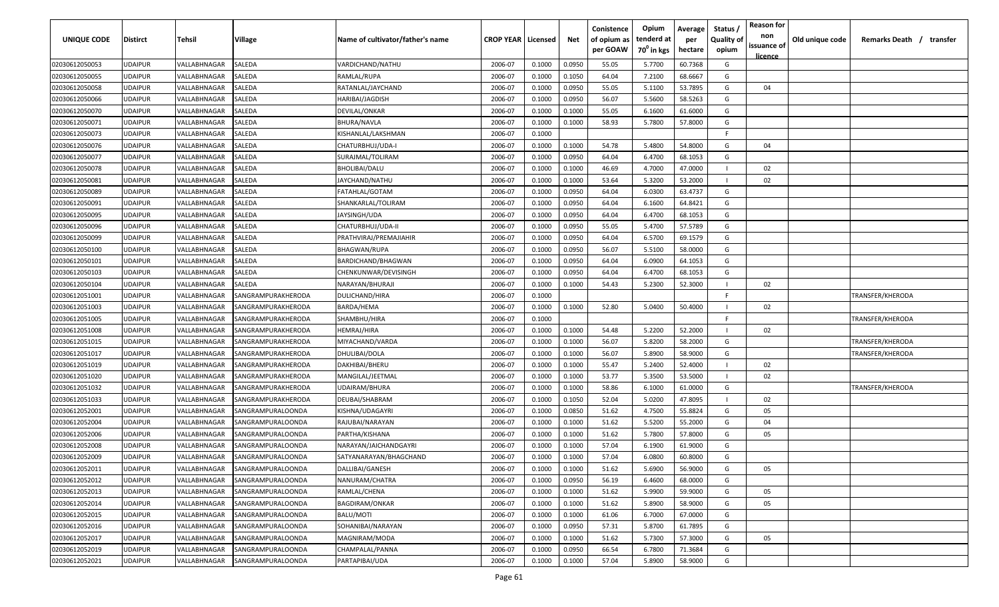| UNIQUE CODE    | <b>Distirct</b> | <b>Tehsil</b>              | <b>Village</b>           | Name of cultivator/father's name | <b>CROP YEAR   Licensed</b> |        | Net    | Conistence<br>of opium as<br>per GOAW | Opium<br>tenderd at<br>70 <sup>0</sup> in kgs | Average<br>per<br>hectare | Status /<br><b>Quality of</b><br>opium | <b>Reason for</b><br>non<br>issuance of<br><u>licence</u> | Old unique code | Remarks Death /<br>transfer |
|----------------|-----------------|----------------------------|--------------------------|----------------------------------|-----------------------------|--------|--------|---------------------------------------|-----------------------------------------------|---------------------------|----------------------------------------|-----------------------------------------------------------|-----------------|-----------------------------|
| 02030612050053 | <b>UDAIPUR</b>  | VALLABHNAGAR               | SALEDA                   | VARDICHAND/NATHU                 | 2006-07                     | 0.1000 | 0.0950 | 55.05                                 | 5.7700                                        | 60.7368                   | G                                      |                                                           |                 |                             |
| 02030612050055 | UDAIPUR         | VALLABHNAGAR               | SALEDA                   | RAMLAL/RUPA                      | 2006-07                     | 0.1000 | 0.1050 | 64.04                                 | 7.2100                                        | 68.6667                   | G                                      |                                                           |                 |                             |
| 02030612050058 | <b>UDAIPUR</b>  | VALLABHNAGAR               | SALEDA                   | RATANLAL/JAYCHAND                | 2006-07                     | 0.1000 | 0.0950 | 55.05                                 | 5.1100                                        | 53.7895                   | G                                      | 04                                                        |                 |                             |
| 02030612050066 | <b>UDAIPUR</b>  | VALLABHNAGAR               | SALEDA                   | HARIBAI/JAGDISH                  | 2006-07                     | 0.1000 | 0.0950 | 56.07                                 | 5.5600                                        | 58.5263                   | G                                      |                                                           |                 |                             |
| 02030612050070 | <b>UDAIPUR</b>  | VALLABHNAGAR               | SALEDA                   | DEVILAL/ONKAR                    | 2006-07                     | 0.1000 | 0.1000 | 55.05                                 | 6.1600                                        | 61.6000                   | G                                      |                                                           |                 |                             |
| 02030612050071 | <b>UDAIPUR</b>  | VALLABHNAGAR               | SALEDA                   | BHURA/NAVLA                      | 2006-07                     | 0.1000 | 0.1000 | 58.93                                 | 5.7800                                        | 57.8000                   | G                                      |                                                           |                 |                             |
| 02030612050073 | <b>UDAIPUR</b>  | VALLABHNAGAR               | SALEDA                   | KISHANLAL/LAKSHMAN               | 2006-07                     | 0.1000 |        |                                       |                                               |                           | F.                                     |                                                           |                 |                             |
| 02030612050076 | <b>UDAIPUR</b>  | VALLABHNAGAR               | SALEDA                   | CHATURBHUJ/UDA-I                 | 2006-07                     | 0.1000 | 0.1000 | 54.78                                 | 5.4800                                        | 54.8000                   | G                                      | 04                                                        |                 |                             |
| 02030612050077 | <b>UDAIPUR</b>  | VALLABHNAGAR               | SALEDA                   | SURAJMAL/TOLIRAM                 | 2006-07                     | 0.1000 | 0.0950 | 64.04                                 | 6.4700                                        | 68.1053                   | G                                      |                                                           |                 |                             |
| 02030612050078 | UDAIPUR         | VALLABHNAGAR               | SALEDA                   | BHOLIBAI/DALU                    | 2006-07                     | 0.1000 | 0.1000 | 46.69                                 | 4.7000                                        | 47.0000                   | $\mathbf{I}$                           | 02                                                        |                 |                             |
| 02030612050081 | UDAIPUR         | VALLABHNAGAR               | SALEDA                   | IAYCHAND/NATHU                   | 2006-07                     | 0.1000 | 0.1000 | 53.64                                 | 5.3200                                        | 53.2000                   | $\blacksquare$                         | 02                                                        |                 |                             |
| 02030612050089 | UDAIPUR         | VALLABHNAGAR               | SALEDA                   | FATAHLAL/GOTAM                   | 2006-07                     | 0.1000 | 0.0950 | 64.04                                 | 6.0300                                        | 63.4737                   | G                                      |                                                           |                 |                             |
| 02030612050091 | UDAIPUR         | VALLABHNAGAR               | SALEDA                   | SHANKARLAL/TOLIRAM               | 2006-07                     | 0.1000 | 0.0950 | 64.04                                 | 6.1600                                        | 64.8421                   | G                                      |                                                           |                 |                             |
| 02030612050095 | <b>UDAIPUR</b>  | VALLABHNAGAR               | SALEDA                   | JAYSINGH/UDA                     | 2006-07                     | 0.1000 | 0.0950 | 64.04                                 | 6.4700                                        | 68.1053                   | G                                      |                                                           |                 |                             |
| 02030612050096 | <b>UDAIPUR</b>  | <b><i>VALLABHNAGAR</i></b> | SALEDA                   | CHATURBHUJ/UDA-II                | 2006-07                     | 0.1000 | 0.0950 | 55.05                                 | 5.4700                                        | 57.5789                   | G                                      |                                                           |                 |                             |
| 02030612050099 | <b>UDAIPUR</b>  | <b><i>VALLABHNAGAR</i></b> | SALEDA                   | PRATHVIRAJ/PREMAJIAHIR           | 2006-07                     | 0.1000 | 0.0950 | 64.04                                 | 6.5700                                        | 69.1579                   | G                                      |                                                           |                 |                             |
| 02030612050100 | <b>UDAIPUR</b>  | VALLABHNAGAR               | SALEDA                   | <b>BHAGWAN/RUPA</b>              | 2006-07                     | 0.1000 | 0.0950 | 56.07                                 | 5.5100                                        | 58.0000                   | G                                      |                                                           |                 |                             |
| 02030612050101 | <b>UDAIPUR</b>  | VALLABHNAGAR               | SALEDA                   | BARDICHAND/BHAGWAN               | 2006-07                     | 0.1000 | 0.0950 | 64.04                                 | 6.0900                                        | 64.1053                   | G                                      |                                                           |                 |                             |
| 02030612050103 | <b>UDAIPUR</b>  | VALLABHNAGAR               | SALEDA                   | CHENKUNWAR/DEVISINGH             | 2006-07                     | 0.1000 | 0.0950 | 64.04                                 | 6.4700                                        | 68.1053                   | G                                      |                                                           |                 |                             |
| 02030612050104 | <b>UDAIPUR</b>  | VALLABHNAGAR               | SALEDA                   | NARAYAN/BHURAJI                  | 2006-07                     | 0.1000 | 0.1000 | 54.43                                 | 5.2300                                        | 52.3000                   |                                        | 02                                                        |                 |                             |
| 02030612051001 | <b>UDAIPUR</b>  | VALLABHNAGAF               | SANGRAMPURAKHERODA       | DULICHAND/HIRA                   | 2006-07                     | 0.1000 |        |                                       |                                               |                           | F.                                     |                                                           |                 | TRANSFER/KHERODA            |
| 02030612051003 | <b>UDAIPUR</b>  | VALLABHNAGAR               | SANGRAMPURAKHERODA       | BARDA/HEMA                       | 2006-07                     | 0.1000 | 0.1000 | 52.80                                 | 5.0400                                        | 50.4000                   |                                        | 02                                                        |                 |                             |
| 02030612051005 | <b>UDAIPUR</b>  | VALLABHNAGAR               | SANGRAMPURAKHERODA       | SHAMBHU/HIRA                     | 2006-07                     | 0.1000 |        |                                       |                                               |                           | -F.                                    |                                                           |                 | TRANSFER/KHERODA            |
| 02030612051008 | <b>UDAIPUR</b>  | VALLABHNAGAR               | SANGRAMPURAKHERODA       | HEMRAJ/HIRA                      | 2006-07                     | 0.1000 | 0.1000 | 54.48                                 | 5.2200                                        | 52.2000                   |                                        | 02                                                        |                 |                             |
| 02030612051015 | <b>UDAIPUR</b>  | <b><i>VALLABHNAGAR</i></b> | SANGRAMPURAKHERODA       | MIYACHAND/VARDA                  | 2006-07                     | 0.1000 | 0.1000 | 56.07                                 | 5.8200                                        | 58.2000                   | G                                      |                                                           |                 | TRANSFER/KHERODA            |
| 02030612051017 | <b>UDAIPUR</b>  | VALLABHNAGAR               | SANGRAMPURAKHERODA       | DHULIBAI/DOLA                    | 2006-07                     | 0.1000 | 0.1000 | 56.07                                 | 5.8900                                        | 58.9000                   | G                                      |                                                           |                 | TRANSFER/KHERODA            |
| 02030612051019 | <b>UDAIPUR</b>  | VALLABHNAGAR               | SANGRAMPURAKHERODA       | DAKHIBAI/BHERU                   | 2006-07                     | 0.1000 | 0.1000 | 55.47                                 | 5.2400                                        | 52.4000                   | $\mathbf{I}$                           | 02                                                        |                 |                             |
| 02030612051020 | UDAIPUR         | VALLABHNAGAR               | SANGRAMPURAKHERODA       | MANGILAL/JEETMAL                 | 2006-07                     | 0.1000 | 0.1000 | 53.77                                 | 5.3500                                        | 53.5000                   | $\blacksquare$                         | 02                                                        |                 |                             |
| 02030612051032 | <b>UDAIPUR</b>  | VALLABHNAGAR               | SANGRAMPURAKHERODA       | UDAIRAM/BHURA                    | 2006-07                     | 0.1000 | 0.1000 | 58.86                                 | 6.1000                                        | 61.0000                   | G                                      |                                                           |                 | TRANSFER/KHERODA            |
| 02030612051033 | <b>UDAIPUR</b>  | VALLABHNAGAR               | SANGRAMPURAKHERODA       | DEUBAI/SHABRAM                   | 2006-07                     | 0.1000 | 0.1050 | 52.04                                 | 5.0200                                        | 47.8095                   | $\blacksquare$                         | 02                                                        |                 |                             |
| 02030612052001 | <b>UDAIPUR</b>  | <b>/ALLABHNAGAR</b>        | SANGRAMPURALOONDA        | KISHNA/UDAGAYRI                  | 2006-07                     | 0.1000 | 0.0850 | 51.62                                 | 4.7500                                        | 55.8824                   | G                                      | 05                                                        |                 |                             |
| 02030612052004 | <b>UDAIPUR</b>  | <b><i>VALLABHNAGAR</i></b> | SANGRAMPURALOONDA        | RAJUBAI/NARAYAN                  | 2006-07                     | 0.1000 | 0.1000 | 51.62                                 | 5.5200                                        | 55.2000                   | G                                      | 04                                                        |                 |                             |
| 02030612052006 | <b>UDAIPUR</b>  | VALLABHNAGAR               | SANGRAMPURALOONDA        | PARTHA/KISHANA                   | 2006-07                     | 0.1000 | 0.1000 | 51.62                                 | 5.7800                                        | 57.8000                   | G                                      | 05                                                        |                 |                             |
| 02030612052008 | <b>UDAIPUR</b>  | VALLABHNAGAR               | SANGRAMPURALOONDA        | NARAYAN/JAICHANDGAYRI            | 2006-07                     | 0.1000 | 0.1000 | 57.04                                 | 6.1900                                        | 61.9000                   | G                                      |                                                           |                 |                             |
| 02030612052009 | <b>UDAIPUR</b>  | VALLABHNAGAR               | SANGRAMPURALOONDA        | SATYANARAYAN/BHAGCHAND           | 2006-07                     | 0.1000 | 0.1000 | 57.04                                 | 6.0800                                        | 60.8000                   | G                                      |                                                           |                 |                             |
| 02030612052011 | <b>UDAIPUR</b>  | VALLABHNAGAR               | SANGRAMPURALOONDA        | DALLIBAI/GANESH                  | 2006-07                     | 0.1000 | 0.1000 | 51.62                                 | 5.6900                                        | 56.9000                   | G                                      | 05                                                        |                 |                             |
| 02030612052012 | <b>UDAIPUR</b>  | VALLABHNAGAR               | <b>SANGRAMPURALOONDA</b> | NANURAM/CHATRA                   | 2006-07                     | 0.1000 | 0.0950 | 56.19                                 | 6.4600                                        | 68.0000                   | G                                      |                                                           |                 |                             |
| 02030612052013 | <b>UDAIPUR</b>  | VALLABHNAGAR               | <b>SANGRAMPURALOONDA</b> | RAMLAL/CHENA                     | 2006-07                     | 0.1000 | 0.1000 | 51.62                                 | 5.9900                                        | 59.9000                   | G                                      | 05                                                        |                 |                             |
| 02030612052014 | <b>UDAIPUR</b>  | VALLABHNAGAR               | SANGRAMPURALOONDA        | <b>BAGDIRAM/ONKAR</b>            | 2006-07                     | 0.1000 | 0.1000 | 51.62                                 | 5.8900                                        | 58.9000                   | G                                      | 05                                                        |                 |                             |
| 02030612052015 | <b>UDAIPUR</b>  | VALLABHNAGAR               | SANGRAMPURALOONDA        | <b>BALU/MOTI</b>                 | 2006-07                     | 0.1000 | 0.1000 | 61.06                                 | 6.7000                                        | 67.0000                   | G                                      |                                                           |                 |                             |
| 02030612052016 | <b>UDAIPUR</b>  | VALLABHNAGAR               | <b>SANGRAMPURALOONDA</b> | SOHANIBAI/NARAYAN                | 2006-07                     | 0.1000 | 0.0950 | 57.31                                 | 5.8700                                        | 61.7895                   | G                                      |                                                           |                 |                             |
| 02030612052017 | <b>UDAIPUR</b>  | VALLABHNAGAR               | <b>SANGRAMPURALOONDA</b> | MAGNIRAM/MODA                    | 2006-07                     | 0.1000 | 0.1000 | 51.62                                 | 5.7300                                        | 57.3000                   | G                                      | 05                                                        |                 |                             |
| 02030612052019 | <b>UDAIPUR</b>  | VALLABHNAGAR               | SANGRAMPURALOONDA        | CHAMPALAL/PANNA                  | 2006-07                     | 0.1000 | 0.0950 | 66.54                                 | 6.7800                                        | 71.3684                   | G                                      |                                                           |                 |                             |
| 02030612052021 | <b>UDAIPUR</b>  | VALLABHNAGAR               | <b>SANGRAMPURALOONDA</b> | PARTAPIBAI/UDA                   | 2006-07                     | 0.1000 | 0.1000 | 57.04                                 | 5.8900                                        | 58.9000                   | G                                      |                                                           |                 |                             |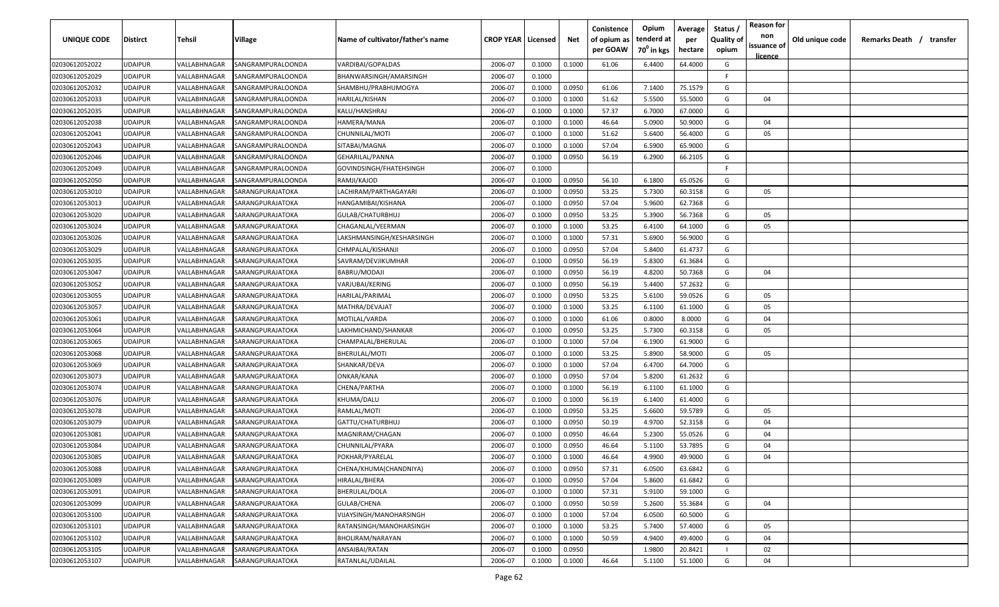| UNIQUE CODE    | Distirct       | Tehsil       | Village           | Name of cultivator/father's name | <b>CROP YEAR   Licensed</b> |        | Net    | Conistence<br>of opium as<br>per GOAW | Opium<br>tenderd at<br>70 <sup>°</sup> in kgs | Average<br>per<br>hectare | Status<br><b>Quality of</b><br>opium | <b>Reason for</b><br>non<br>issuance of<br><u>licence</u> | Old unique code | Remarks Death / | transfer |
|----------------|----------------|--------------|-------------------|----------------------------------|-----------------------------|--------|--------|---------------------------------------|-----------------------------------------------|---------------------------|--------------------------------------|-----------------------------------------------------------|-----------------|-----------------|----------|
| 02030612052022 | UDAIPUR        | VALLABHNAGAR | SANGRAMPURALOONDA | VARDIBAI/GOPALDAS                | 2006-07                     | 0.1000 | 0.1000 | 61.06                                 | 6.4400                                        | 64.4000                   | G                                    |                                                           |                 |                 |          |
| 02030612052029 | UDAIPUR        | VALLABHNAGAR | SANGRAMPURALOONDA | BHANWARSINGH/AMARSINGH           | 2006-07                     | 0.1000 |        |                                       |                                               |                           | F.                                   |                                                           |                 |                 |          |
| 02030612052032 | UDAIPUR        | VALLABHNAGAR | SANGRAMPURALOONDA | SHAMBHU/PRABHUMOGYA              | 2006-07                     | 0.1000 | 0.0950 | 61.06                                 | 7.1400                                        | 75.1579                   | G                                    |                                                           |                 |                 |          |
| 02030612052033 | UDAIPUR        | VALLABHNAGAR | SANGRAMPURALOONDA | HARILAL/KISHAN                   | 2006-07                     | 0.1000 | 0.1000 | 51.62                                 | 5.5500                                        | 55.5000                   | G                                    | 04                                                        |                 |                 |          |
| 02030612052035 | UDAIPUR        | VALLABHNAGAR | SANGRAMPURALOONDA | KALU/HANSHRAJ                    | 2006-07                     | 0.1000 | 0.1000 | 57.37                                 | 6.7000                                        | 67.0000                   | G                                    |                                                           |                 |                 |          |
| 02030612052038 | UDAIPUR        | VALLABHNAGAR | SANGRAMPURALOONDA | HAMERA/MANA                      | 2006-07                     | 0.1000 | 0.1000 | 46.64                                 | 5.0900                                        | 50.9000                   | G                                    | 04                                                        |                 |                 |          |
| 02030612052041 | UDAIPUR        | VALLABHNAGAR | SANGRAMPURALOONDA | CHUNNILAL/MOTI                   | 2006-07                     | 0.1000 | 0.1000 | 51.62                                 | 5.6400                                        | 56.4000                   | G                                    | 05                                                        |                 |                 |          |
| 02030612052043 | UDAIPUR        | VALLABHNAGAR | SANGRAMPURALOONDA | SITABAI/MAGNA                    | 2006-07                     | 0.1000 | 0.1000 | 57.04                                 | 6.5900                                        | 65.9000                   | G                                    |                                                           |                 |                 |          |
| 02030612052046 | UDAIPUR        | VALLABHNAGAR | SANGRAMPURALOONDA | GEHARILAL/PANNA                  | 2006-07                     | 0.1000 | 0.0950 | 56.19                                 | 6.2900                                        | 66.2105                   | G                                    |                                                           |                 |                 |          |
| 02030612052049 | UDAIPUR        | VALLABHNAGAR | SANGRAMPURALOONDA | GOVINDSINGH/FHATEHSINGH          | 2006-07                     | 0.1000 |        |                                       |                                               |                           | F.                                   |                                                           |                 |                 |          |
| 02030612052050 | UDAIPUR        | VALLABHNAGAR | SANGRAMPURALOONDA | RAMJI/KAJOD                      | 2006-07                     | 0.1000 | 0.0950 | 56.10                                 | 6.1800                                        | 65.0526                   | G                                    |                                                           |                 |                 |          |
| 02030612053010 | UDAIPUR        | VALLABHNAGAR | SARANGPURAJATOKA  | LACHIRAM/PARTHAGAYARI            | 2006-07                     | 0.1000 | 0.0950 | 53.25                                 | 5.7300                                        | 60.3158                   | G                                    | 05                                                        |                 |                 |          |
| 02030612053013 | UDAIPUR        | VALLABHNAGAR | SARANGPURAJATOKA  | HANGAMIBAI/KISHANA               | 2006-07                     | 0.1000 | 0.0950 | 57.04                                 | 5.9600                                        | 62.7368                   | G                                    |                                                           |                 |                 |          |
| 02030612053020 | UDAIPUR        | VALLABHNAGAR | SARANGPURAJATOKA  | GULAB/CHATURBHUJ                 | 2006-07                     | 0.1000 | 0.0950 | 53.25                                 | 5.3900                                        | 56.7368                   | G                                    | 05                                                        |                 |                 |          |
| 02030612053024 | UDAIPUR        | VALLABHNAGAR | SARANGPURAJATOKA  | CHAGANLAL/VEERMAN                | 2006-07                     | 0.1000 | 0.1000 | 53.25                                 | 6.4100                                        | 64.1000                   | G                                    | 05                                                        |                 |                 |          |
| 02030612053026 | UDAIPUR        | VALLABHNAGAR | SARANGPURAJATOKA  | LAKSHMANSINGH/KESHARSINGH        | 2006-07                     | 0.1000 | 0.1000 | 57.31                                 | 5.6900                                        | 56.9000                   | G                                    |                                                           |                 |                 |          |
| 02030612053029 | UDAIPUR        | VALLABHNAGAR | SARANGPURAJATOKA  | CHMPALAL/KISHANJI                | 2006-07                     | 0.1000 | 0.0950 | 57.04                                 | 5.8400                                        | 61.4737                   | G                                    |                                                           |                 |                 |          |
| 02030612053035 | UDAIPUR        | VALLABHNAGAR | SARANGPURAJATOKA  | SAVRAM/DEVJIKUMHAR               | 2006-07                     | 0.1000 | 0.0950 | 56.19                                 | 5.8300                                        | 61.3684                   | G                                    |                                                           |                 |                 |          |
| 02030612053047 | UDAIPUR        | VALLABHNAGAR | SARANGPURAJATOKA  | BABRU/MODAJI                     | 2006-07                     | 0.1000 | 0.0950 | 56.19                                 | 4.8200                                        | 50.7368                   | G                                    | 04                                                        |                 |                 |          |
| 02030612053052 | UDAIPUR        | VALLABHNAGAR | SARANGPURAJATOKA  | VARJUBAI/KERING                  | 2006-07                     | 0.1000 | 0.0950 | 56.19                                 | 5.4400                                        | 57.2632                   | G                                    |                                                           |                 |                 |          |
| 02030612053055 | UDAIPUR        | VALLABHNAGAR | SARANGPURAJATOKA  | HARILAL/PARIMAL                  | 2006-07                     | 0.1000 | 0.0950 | 53.25                                 | 5.6100                                        | 59.0526                   | G                                    | 05                                                        |                 |                 |          |
| 02030612053057 | UDAIPUR        | VALLABHNAGAR | SARANGPURAJATOKA  | MATHRA/DEVAJAT                   | 2006-07                     | 0.1000 | 0.1000 | 53.25                                 | 6.1100                                        | 61.1000                   | G                                    | 05                                                        |                 |                 |          |
| 02030612053061 | UDAIPUR        | VALLABHNAGAR | SARANGPURAJATOKA  | MOTILAL/VARDA                    | 2006-07                     | 0.1000 | 0.1000 | 61.06                                 | 0.8000                                        | 8.0000                    | G                                    | 04                                                        |                 |                 |          |
| 02030612053064 | UDAIPUR        | VALLABHNAGAR | SARANGPURAJATOKA  | LAKHMICHAND/SHANKAR              | 2006-07                     | 0.1000 | 0.0950 | 53.25                                 | 5.7300                                        | 60.3158                   | G                                    | 05                                                        |                 |                 |          |
| 02030612053065 | UDAIPUR        | VALLABHNAGAR | SARANGPURAJATOKA  | CHAMPALAL/BHERULAL               | 2006-07                     | 0.1000 | 0.1000 | 57.04                                 | 6.1900                                        | 61.9000                   | G                                    |                                                           |                 |                 |          |
| 02030612053068 | UDAIPUR        | VALLABHNAGAR | SARANGPURAJATOKA  | BHERULAL/MOTI                    | 2006-07                     | 0.1000 | 0.1000 | 53.25                                 | 5.8900                                        | 58.9000                   | G                                    | 05                                                        |                 |                 |          |
| 02030612053069 | UDAIPUR        | VALLABHNAGAR | SARANGPURAJATOKA  | SHANKAR/DEVA                     | 2006-07                     | 0.1000 | 0.1000 | 57.04                                 | 6.4700                                        | 64.7000                   | G                                    |                                                           |                 |                 |          |
| 02030612053073 | UDAIPUR        | VALLABHNAGAR | SARANGPURAJATOKA  | ONKAR/KANA                       | 2006-07                     | 0.1000 | 0.0950 | 57.04                                 | 5.8200                                        | 61.2632                   | G                                    |                                                           |                 |                 |          |
| 02030612053074 | UDAIPUR        | VALLABHNAGAR | SARANGPURAJATOKA  | CHENA/PARTHA                     | 2006-07                     | 0.1000 | 0.1000 | 56.19                                 | 6.1100                                        | 61.1000                   | G                                    |                                                           |                 |                 |          |
| 02030612053076 | UDAIPUR        | VALLABHNAGAR | SARANGPURAJATOKA  | KHUMA/DALU                       | 2006-07                     | 0.1000 | 0.1000 | 56.19                                 | 6.1400                                        | 61.4000                   | G                                    |                                                           |                 |                 |          |
| 02030612053078 | UDAIPUR        | VALLABHNAGAR | SARANGPURAJATOKA  | RAMLAL/MOTI                      | 2006-07                     | 0.1000 | 0.0950 | 53.25                                 | 5.6600                                        | 59.5789                   | G                                    | 05                                                        |                 |                 |          |
| 02030612053079 | UDAIPUR        | VALLABHNAGAR | SARANGPURAJATOKA  | GATTU/CHATURBHUJ                 | 2006-07                     | 0.1000 | 0.0950 | 50.19                                 | 4.9700                                        | 52.3158                   | G                                    | 04                                                        |                 |                 |          |
| 02030612053081 | UDAIPUR        | VALLABHNAGAR | SARANGPURAJATOKA  | MAGNIRAM/CHAGAN                  | 2006-07                     | 0.1000 | 0.0950 | 46.64                                 | 5.2300                                        | 55.0526                   | G                                    | 04                                                        |                 |                 |          |
| 02030612053084 | UDAIPUR        | VALLABHNAGAR | SARANGPURAJATOKA  | CHUNNILAL/PYARA                  | 2006-07                     | 0.1000 | 0.0950 | 46.64                                 | 5.1100                                        | 53.7895                   | G                                    | 04                                                        |                 |                 |          |
| 02030612053085 | UDAIPUR        | VALLABHNAGAR | SARANGPURAJATOKA  | POKHAR/PYARELAL                  | 2006-07                     | 0.1000 | 0.1000 | 46.64                                 | 4.9900                                        | 49.9000                   | G                                    | 04                                                        |                 |                 |          |
| 02030612053088 | <b>UDAIPUR</b> | VALLABHNAGAR | SARANGPURAJATOKA  | CHENA/KHUMA(CHANDNIYA)           | 2006-07                     | 0.1000 | 0.0950 | 57.31                                 | 6.0500                                        | 63.6842                   | G                                    |                                                           |                 |                 |          |
| 02030612053089 | UDAIPUR        | VALLABHNAGAR | SARANGPURAJATOKA  | HIRALAL/BHERA                    | 2006-07                     | 0.1000 | 0.0950 | 57.04                                 | 5.8600                                        | 61.6842                   | G                                    |                                                           |                 |                 |          |
| 02030612053091 | UDAIPUR        | VALLABHNAGAR | SARANGPURAJATOKA  | BHERULAL/DOLA                    | 2006-07                     | 0.1000 | 0.1000 | 57.31                                 | 5.9100                                        | 59.1000                   | G                                    |                                                           |                 |                 |          |
| 02030612053099 | <b>UDAIPUR</b> | VALLABHNAGAR | SARANGPURAJATOKA  | GULAB/CHENA                      | 2006-07                     | 0.1000 | 0.0950 | 50.59                                 | 5.2600                                        | 55.3684                   | G                                    | 04                                                        |                 |                 |          |
| 02030612053100 | UDAIPUR        | VALLABHNAGAR | SARANGPURAJATOKA  | VIJAYSINGH/MANOHARSINGH          | 2006-07                     | 0.1000 | 0.1000 | 57.04                                 | 6.0500                                        | 60.5000                   | G                                    |                                                           |                 |                 |          |
| 02030612053101 | UDAIPUR        | VALLABHNAGAR | SARANGPURAJATOKA  | RATANSINGH/MANOHARSINGH          | 2006-07                     | 0.1000 | 0.1000 | 53.25                                 | 5.7400                                        | 57.4000                   | G                                    | 05                                                        |                 |                 |          |
| 02030612053102 | UDAIPUR        | VALLABHNAGAR | SARANGPURAJATOKA  | BHOLIRAM/NARAYAN                 | 2006-07                     | 0.1000 | 0.1000 | 50.59                                 | 4.9400                                        | 49.4000                   | G                                    | 04                                                        |                 |                 |          |
| 02030612053105 | UDAIPUR        | VALLABHNAGAR | SARANGPURAJATOKA  | ANSAIBAI/RATAN                   | 2006-07                     | 0.1000 | 0.0950 |                                       | 1.9800                                        | 20.8421                   |                                      | 02                                                        |                 |                 |          |
| 02030612053107 | UDAIPUR        | VALLABHNAGAR | SARANGPURAJATOKA  | RATANLAL/UDAILAL                 | 2006-07                     | 0.1000 | 0.1000 | 46.64                                 | 5.1100                                        | 51.1000                   | G                                    | 04                                                        |                 |                 |          |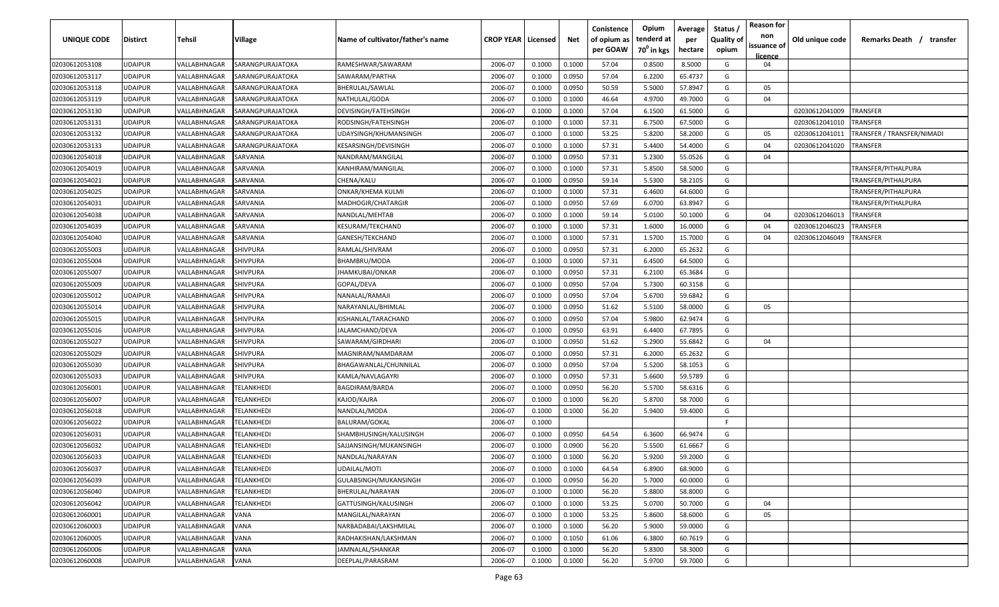| UNIQUE CODE    | <b>Distirct</b> | Tehsil       | Village                  | Name of cultivator/father's name | <b>CROP YEAR   Licensed</b> |        | Net    | Conistence<br>of opium as<br>per GOAW | Opium<br>tenderd at<br>70 <sup>0</sup> in kgs | Average<br>per<br>hectare | Status /<br><b>Quality of</b><br>opium | <b>Reason for</b><br>non<br>issuance of<br>licence | Old unique code | Remarks Death /<br>transfer |
|----------------|-----------------|--------------|--------------------------|----------------------------------|-----------------------------|--------|--------|---------------------------------------|-----------------------------------------------|---------------------------|----------------------------------------|----------------------------------------------------|-----------------|-----------------------------|
| 02030612053108 | <b>UDAIPUR</b>  | VALLABHNAGAR | SARANGPURAJATOKA         | RAMESHWAR/SAWARAM                | 2006-07                     | 0.1000 | 0.1000 | 57.04                                 | 0.8500                                        | 8.5000                    | G                                      | 04                                                 |                 |                             |
| 02030612053117 | <b>UDAIPUR</b>  | VALLABHNAGAR | SARANGPURAJATOKA         | SAWARAM/PARTHA                   | 2006-07                     | 0.1000 | 0.0950 | 57.04                                 | 6.2200                                        | 65.4737                   | G                                      |                                                    |                 |                             |
| 02030612053118 | <b>UDAIPUR</b>  | VALLABHNAGAR | SARANGPURAJATOKA         | BHERULAL/SAWLAL                  | 2006-07                     | 0.1000 | 0.0950 | 50.59                                 | 5.5000                                        | 57.8947                   | G                                      | 05                                                 |                 |                             |
| 02030612053119 | <b>UDAIPUR</b>  | VALLABHNAGAR | SARANGPURAJATOKA         | NATHULAL/GODA                    | 2006-07                     | 0.1000 | 0.1000 | 46.64                                 | 4.9700                                        | 49.7000                   | G                                      | 04                                                 |                 |                             |
| 02030612053130 | <b>UDAIPUR</b>  | VALLABHNAGAR | SARANGPURAJATOKA         | DEVISINGH/FATEHSINGH             | 2006-07                     | 0.1000 | 0.1000 | 57.04                                 | 6.1500                                        | 61.5000                   | G                                      |                                                    | 02030612041009  | TRANSFER                    |
| 02030612053131 | <b>UDAIPUR</b>  | VALLABHNAGAR | SARANGPURAJATOKA         | RODSINGH/FATEHSINGH              | 2006-07                     | 0.1000 | 0.1000 | 57.31                                 | 6.7500                                        | 67.5000                   | G                                      |                                                    | 02030612041010  | TRANSFER                    |
| 02030612053132 | <b>UDAIPUR</b>  | VALLABHNAGAR | SARANGPURAJATOKA         | UDAYSINGH/KHUMANSINGH            | 2006-07                     | 0.1000 | 0.1000 | 53.25                                 | 5.8200                                        | 58.2000                   | G                                      | 05                                                 | 02030612041011  | FRANSFER / TRANSFER/NIMADI  |
| 02030612053133 | <b>UDAIPUR</b>  | VALLABHNAGAR | SARANGPURAJATOKA         | KESARSINGH/DEVISINGH             | 2006-07                     | 0.1000 | 0.1000 | 57.31                                 | 5.4400                                        | 54.4000                   | G                                      | 04                                                 | 02030612041020  | TRANSFER                    |
| 02030612054018 | <b>UDAIPUR</b>  | VALLABHNAGAR | SARVANIA                 | NANDRAM/MANGILAL                 | 2006-07                     | 0.1000 | 0.0950 | 57.31                                 | 5.2300                                        | 55.0526                   | G                                      | 04                                                 |                 |                             |
| 02030612054019 | <b>UDAIPUR</b>  | VALLABHNAGAR | SARVANIA                 | KANHIRAM/MANGILAL                | 2006-07                     | 0.1000 | 0.1000 | 57.31                                 | 5.8500                                        | 58.5000                   | G                                      |                                                    |                 | TRANSFER/PITHALPURA         |
| 02030612054021 | <b>UDAIPUR</b>  | VALLABHNAGAR | SARVANIA                 | CHENA/KALU                       | 2006-07                     | 0.1000 | 0.0950 | 59.14                                 | 5.5300                                        | 58.2105                   | G                                      |                                                    |                 | TRANSFER/PITHALPURA         |
| 02030612054025 | <b>UDAIPUR</b>  | VALLABHNAGAR | SARVANIA                 | ONKAR/KHEMA KULMI                | 2006-07                     | 0.1000 | 0.1000 | 57.31                                 | 6.4600                                        | 64.6000                   | G                                      |                                                    |                 | TRANSFER/PITHALPURA         |
| 02030612054031 | <b>UDAIPUR</b>  | VALLABHNAGAR | SARVANIA                 | MADHOGIR/CHATARGIR               | 2006-07                     | 0.1000 | 0.0950 | 57.69                                 | 6.0700                                        | 63.8947                   | G                                      |                                                    |                 | TRANSFER/PITHALPURA         |
| 02030612054038 | UDAIPUR         | VALLABHNAGAR | SARVANIA                 | NANDLAL/MEHTAB                   | 2006-07                     | 0.1000 | 0.1000 | 59.14                                 | 5.0100                                        | 50.1000                   | G                                      | 04                                                 | 02030612046013  | TRANSFER                    |
| 02030612054039 | UDAIPUR         | VALLABHNAGAR | SARVANIA                 | KESURAM/TEKCHAND                 | 2006-07                     | 0.1000 | 0.1000 | 57.31                                 | 1.6000                                        | 16.0000                   | G                                      | 04                                                 | 02030612046023  | <b><i>FRANSFER</i></b>      |
| 02030612054040 | UDAIPUR         | VALLABHNAGAR | SARVANIA                 | GANESH/TEKCHAND                  | 2006-07                     | 0.1000 | 0.1000 | 57.31                                 | 1.5700                                        | 15.7000                   | G                                      | 04                                                 | 02030612046049  | <b>RANSFER</b>              |
| 02030612055003 | <b>UDAIPUR</b>  | VALLABHNAGAR | SHIVPURA                 | RAMLAL/SHIVRAM                   | 2006-07                     | 0.1000 | 0.0950 | 57.31                                 | 6.2000                                        | 65.2632                   | G                                      |                                                    |                 |                             |
| 02030612055004 | <b>UDAIPUR</b>  | VALLABHNAGAR | <b>SHIVPURA</b>          | BHAMBRU/MODA                     | 2006-07                     | 0.1000 | 0.1000 | 57.31                                 | 6.4500                                        | 64.5000                   | G                                      |                                                    |                 |                             |
| 02030612055007 | <b>UDAIPUR</b>  | VALLABHNAGAR | SHIVPURA                 | JHAMKUBAI/ONKAR                  | 2006-07                     | 0.1000 | 0.0950 | 57.31                                 | 6.2100                                        | 65.3684                   | G                                      |                                                    |                 |                             |
| 02030612055009 | <b>UDAIPUR</b>  | VALLABHNAGAR | <b>SHIVPURA</b>          | GOPAL/DEVA                       | 2006-07                     | 0.1000 | 0.0950 | 57.04                                 | 5.7300                                        | 60.3158                   | G                                      |                                                    |                 |                             |
| 02030612055012 | <b>UDAIPUR</b>  | VALLABHNAGAR | SHIVPURA                 | NANALAL/RAMAJI                   | 2006-07                     | 0.1000 | 0.0950 | 57.04                                 | 5.6700                                        | 59.6842                   | G                                      |                                                    |                 |                             |
| 02030612055014 | <b>UDAIPUR</b>  | VALLABHNAGAR | SHIVPURA                 | NARAYANLAL/BHIMLAL               | 2006-07                     | 0.1000 | 0.0950 | 51.62                                 | 5.5100                                        | 58.0000                   | G                                      | 05                                                 |                 |                             |
| 02030612055015 | <b>UDAIPUR</b>  | VALLABHNAGAR | SHIVPURA                 | KISHANLAL/TARACHAND              | 2006-07                     | 0.1000 | 0.0950 | 57.04                                 | 5.9800                                        | 62.9474                   | G                                      |                                                    |                 |                             |
| 02030612055016 | <b>UDAIPUR</b>  | VALLABHNAGAR | SHIVPURA                 | JALAMCHAND/DEVA                  | 2006-07                     | 0.1000 | 0.0950 | 63.91                                 | 6.4400                                        | 67.7895                   | G                                      |                                                    |                 |                             |
| 02030612055027 | <b>UDAIPUR</b>  | VALLABHNAGAR | SHIVPURA                 | SAWARAM/GIRDHARI                 | 2006-07                     | 0.1000 | 0.0950 | 51.62                                 | 5.2900                                        | 55.6842                   | G                                      | 04                                                 |                 |                             |
| 02030612055029 | <b>UDAIPUR</b>  | VALLABHNAGAR | SHIVPURA                 | MAGNIRAM/NAMDARAM                | 2006-07                     | 0.1000 | 0.0950 | 57.31                                 | 6.2000                                        | 65.2632                   | G                                      |                                                    |                 |                             |
| 02030612055030 | <b>UDAIPUR</b>  | VALLABHNAGAR | SHIVPURA                 | BHAGAWANLAL/CHUNNILAL            | 2006-07                     | 0.1000 | 0.0950 | 57.04                                 | 5.5200                                        | 58.1053                   | G                                      |                                                    |                 |                             |
| 02030612055033 | <b>UDAIPUR</b>  | VALLABHNAGAR | SHIVPURA                 | KAMLA/NAVLAGAYRI                 | 2006-07                     | 0.1000 | 0.0950 | 57.31                                 | 5.6600                                        | 59.5789                   | G                                      |                                                    |                 |                             |
| 02030612056001 | <b>UDAIPUR</b>  | VALLABHNAGAR | <b>ELANKHEDI</b>         | BAGDIRAM/BARDA                   | 2006-07                     | 0.1000 | 0.0950 | 56.20                                 | 5.5700                                        | 58.6316                   | G                                      |                                                    |                 |                             |
| 02030612056007 | <b>UDAIPUR</b>  | VALLABHNAGAR | <b><i>FELANKHEDI</i></b> | KAJOD/KAJRA                      | 2006-07                     | 0.1000 | 0.1000 | 56.20                                 | 5.8700                                        | 58.7000                   | G                                      |                                                    |                 |                             |
| 02030612056018 | <b>UDAIPUR</b>  | VALLABHNAGAR | <b>FELANKHEDI</b>        | NANDLAL/MODA                     | 2006-07                     | 0.1000 | 0.1000 | 56.20                                 | 5.9400                                        | 59.4000                   | G                                      |                                                    |                 |                             |
| 02030612056022 | <b>UDAIPUR</b>  | VALLABHNAGAR | <b>ELANKHEDI</b>         | BALURAM/GOKAL                    | 2006-07                     | 0.1000 |        |                                       |                                               |                           | F.                                     |                                                    |                 |                             |
| 02030612056031 | <b>UDAIPUR</b>  | VALLABHNAGAR | <b>ELANKHEDI</b>         | SHAMBHUSINGH/KALUSINGH           | 2006-07                     | 0.1000 | 0.0950 | 64.54                                 | 6.3600                                        | 66.9474                   | G                                      |                                                    |                 |                             |
| 02030612056032 | <b>UDAIPUR</b>  | VALLABHNAGAR | <b>ELANKHEDI</b>         | SAJJANSINGH/MUKANSINGH           | 2006-07                     | 0.1000 | 0.0900 | 56.20                                 | 5.5500                                        | 61.6667                   | G                                      |                                                    |                 |                             |
| 02030612056033 | <b>UDAIPUR</b>  | VALLABHNAGAR | <b>ELANKHEDI</b>         | NANDLAL/NARAYAN                  | 2006-07                     | 0.1000 | 0.1000 | 56.20                                 | 5.9200                                        | 59.2000                   | G                                      |                                                    |                 |                             |
| 02030612056037 | <b>UDAIPUR</b>  | VALLABHNAGAR | <b>TELANKHEDI</b>        | UDAILAL/MOTI                     | 2006-07                     | 0.1000 | 0.1000 | 64.54                                 | 6.8900                                        | 68.9000                   | G                                      |                                                    |                 |                             |
| 02030612056039 | <b>UDAIPUR</b>  | VALLABHNAGAR | TELANKHEDI               | GULABSINGH/MUKANSINGH            | 2006-07                     | 0.1000 | 0.0950 | 56.20                                 | 5.7000                                        | 60.0000                   | G                                      |                                                    |                 |                             |
| 02030612056040 | <b>UDAIPUR</b>  | VALLABHNAGAR | TELANKHEDI               | BHERULAL/NARAYAN                 | 2006-07                     | 0.1000 | 0.1000 | 56.20                                 | 5.8800                                        | 58.8000                   | G                                      |                                                    |                 |                             |
| 02030612056042 | <b>UDAIPUR</b>  | VALLABHNAGAR | TELANKHEDI               | GATTUSINGH/KALUSINGH             | 2006-07                     | 0.1000 | 0.1000 | 53.25                                 | 5.0700                                        | 50.7000                   | G                                      | 04                                                 |                 |                             |
| 02030612060001 | <b>UDAIPUR</b>  | VALLABHNAGAR | VANA                     | MANGILAL/NARAYAN                 | 2006-07                     | 0.1000 | 0.1000 | 53.25                                 | 5.8600                                        | 58.6000                   | G                                      | 05                                                 |                 |                             |
| 02030612060003 | <b>UDAIPUR</b>  | VALLABHNAGAR | VANA                     | NARBADABAI/LAKSHMILAL            | 2006-07                     | 0.1000 | 0.1000 | 56.20                                 | 5.9000                                        | 59.0000                   | G                                      |                                                    |                 |                             |
| 02030612060005 | <b>UDAIPUR</b>  | VALLABHNAGAR | VANA                     | RADHAKISHAN/LAKSHMAN             | 2006-07                     | 0.1000 | 0.1050 | 61.06                                 | 6.3800                                        | 60.7619                   | G                                      |                                                    |                 |                             |
| 02030612060006 | <b>UDAIPUR</b>  | VALLABHNAGAR | VANA                     | JAMNALAL/SHANKAR                 | 2006-07                     | 0.1000 | 0.1000 | 56.20                                 | 5.8300                                        | 58.3000                   | G                                      |                                                    |                 |                             |
| 02030612060008 | <b>UDAIPUR</b>  | VALLABHNAGAR | <b>VANA</b>              | DEEPLAL/PARASRAM                 | 2006-07                     | 0.1000 | 0.1000 | 56.20                                 | 5.9700                                        | 59.7000                   | G                                      |                                                    |                 |                             |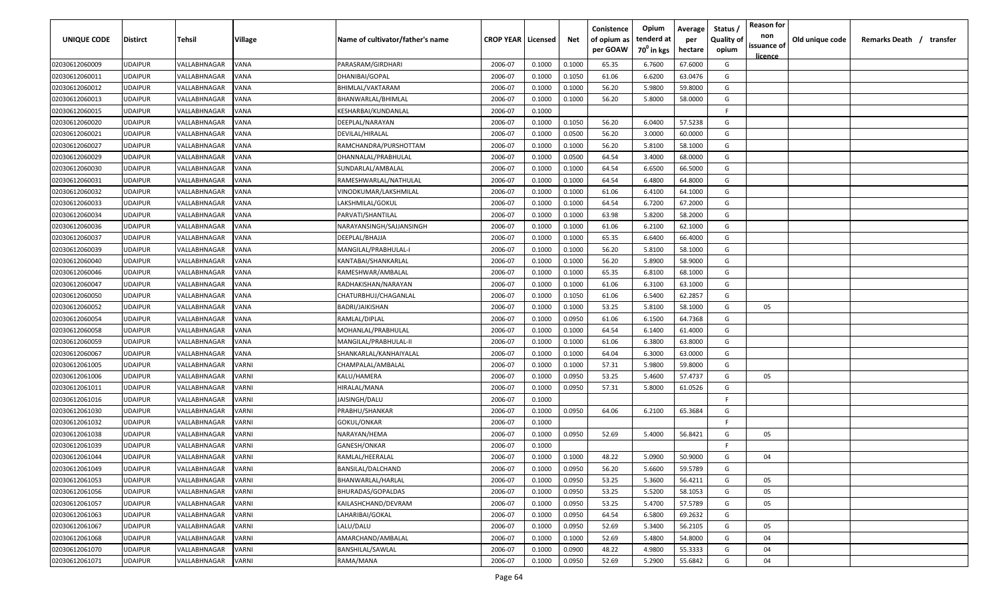| UNIQUE CODE    | <b>Distirct</b> | Tehsil       | Village      | Name of cultivator/father's name | <b>CROP YEAR   Licensed</b> |        | Net    | Conistence<br>of opium as | Opium<br>tenderd at    | Average<br>per | Status<br><b>Quality of</b> | <b>Reason for</b><br>non<br>issuance of | Old unique code | Remarks Death / transfer |
|----------------|-----------------|--------------|--------------|----------------------------------|-----------------------------|--------|--------|---------------------------|------------------------|----------------|-----------------------------|-----------------------------------------|-----------------|--------------------------|
|                |                 |              |              |                                  |                             |        |        | per GOAW                  | 70 <sup>0</sup> in kgs | hectare        | opium                       | <u>licence</u>                          |                 |                          |
| 02030612060009 | <b>UDAIPUR</b>  | VALLABHNAGAR | VANA         | PARASRAM/GIRDHARI                | 2006-07                     | 0.1000 | 0.1000 | 65.35                     | 6.7600                 | 67.6000        | G                           |                                         |                 |                          |
| 02030612060011 | <b>UDAIPUR</b>  | VALLABHNAGAR | VANA         | DHANIBAI/GOPAL                   | 2006-07                     | 0.1000 | 0.1050 | 61.06                     | 6.6200                 | 63.0476        | G                           |                                         |                 |                          |
| 02030612060012 | <b>UDAIPUR</b>  | VALLABHNAGAR | VANA         | BHIMLAL/VAKTARAM                 | 2006-07                     | 0.1000 | 0.1000 | 56.20                     | 5.9800                 | 59.8000        | G                           |                                         |                 |                          |
| 02030612060013 | <b>UDAIPUR</b>  | VALLABHNAGAR | VANA         | BHANWARLAL/BHIMLAL               | 2006-07                     | 0.1000 | 0.1000 | 56.20                     | 5.8000                 | 58.0000        | G                           |                                         |                 |                          |
| 02030612060015 | <b>UDAIPUR</b>  | VALLABHNAGAR | VANA         | KESHARBAI/KUNDANLAL              | 2006-07                     | 0.1000 |        |                           |                        |                | -F                          |                                         |                 |                          |
| 02030612060020 | <b>UDAIPUR</b>  | VALLABHNAGAR | VANA         | DEEPLAL/NARAYAN                  | 2006-07                     | 0.1000 | 0.1050 | 56.20                     | 6.0400                 | 57.5238        | G                           |                                         |                 |                          |
| 02030612060021 | <b>UDAIPUR</b>  | VALLABHNAGAR | VANA         | DEVILAL/HIRALAL                  | 2006-07                     | 0.1000 | 0.0500 | 56.20                     | 3.0000                 | 60.0000        | G                           |                                         |                 |                          |
| 02030612060027 | <b>UDAIPUR</b>  | VALLABHNAGAR | VANA         | RAMCHANDRA/PURSHOTTAM            | 2006-07                     | 0.1000 | 0.1000 | 56.20                     | 5.8100                 | 58.1000        | G                           |                                         |                 |                          |
| 02030612060029 | <b>UDAIPUR</b>  | VALLABHNAGAR | VANA         | DHANNALAL/PRABHULAL              | 2006-07                     | 0.1000 | 0.0500 | 64.54                     | 3.4000                 | 68.0000        | G                           |                                         |                 |                          |
| 02030612060030 | <b>UDAIPUR</b>  | VALLABHNAGAR | VANA         | SUNDARLAL/AMBALAL                | 2006-07                     | 0.1000 | 0.1000 | 64.54                     | 6.6500                 | 66.5000        | G                           |                                         |                 |                          |
| 02030612060031 | UDAIPUR         | VALLABHNAGAR | VANA         | RAMESHWARLAL/NATHULAL            | 2006-07                     | 0.1000 | 0.1000 | 64.54                     | 6.4800                 | 64.8000        | G                           |                                         |                 |                          |
| 02030612060032 | <b>UDAIPUR</b>  | VALLABHNAGAR | VANA         | VINODKUMAR/LAKSHMILAL            | 2006-07                     | 0.1000 | 0.1000 | 61.06                     | 6.4100                 | 64.1000        | G                           |                                         |                 |                          |
| 02030612060033 | <b>UDAIPUR</b>  | VALLABHNAGAR | VANA         | LAKSHMILAL/GOKUL                 | 2006-07                     | 0.1000 | 0.1000 | 64.54                     | 6.7200                 | 67.2000        | G                           |                                         |                 |                          |
| 02030612060034 | <b>UDAIPUR</b>  | VALLABHNAGAR | VANA         | PARVATI/SHANTILAL                | 2006-07                     | 0.1000 | 0.1000 | 63.98                     | 5.8200                 | 58.2000        | G                           |                                         |                 |                          |
| 02030612060036 | <b>UDAIPUR</b>  | VALLABHNAGAR | VANA         | NARAYANSINGH/SAJJANSINGH         | 2006-07                     | 0.1000 | 0.1000 | 61.06                     | 6.2100                 | 62.1000        | G                           |                                         |                 |                          |
| 02030612060037 | <b>UDAIPUR</b>  | VALLABHNAGAR | VANA         | DEEPLAL/BHAJJA                   | 2006-07                     | 0.1000 | 0.1000 | 65.35                     | 6.6400                 | 66.4000        | G                           |                                         |                 |                          |
| 02030612060039 | <b>UDAIPUR</b>  | VALLABHNAGAR | VANA         | MANGILAL/PRABHULAL-I             | 2006-07                     | 0.1000 | 0.1000 | 56.20                     | 5.8100                 | 58.1000        | G                           |                                         |                 |                          |
| 02030612060040 | <b>UDAIPUR</b>  | VALLABHNAGAR | VANA         | KANTABAI/SHANKARLAL              | 2006-07                     | 0.1000 | 0.1000 | 56.20                     | 5.8900                 | 58.9000        | G                           |                                         |                 |                          |
| 02030612060046 | <b>UDAIPUR</b>  | VALLABHNAGAR | VANA         | RAMESHWAR/AMBALAL                | 2006-07                     | 0.1000 | 0.1000 | 65.35                     | 6.8100                 | 68.1000        | G                           |                                         |                 |                          |
| 02030612060047 | <b>UDAIPUR</b>  | VALLABHNAGAR | VANA         | RADHAKISHAN/NARAYAN              | 2006-07                     | 0.1000 | 0.1000 | 61.06                     | 6.3100                 | 63.1000        | G                           |                                         |                 |                          |
| 02030612060050 | <b>UDAIPUR</b>  | VALLABHNAGAR | VANA         | CHATURBHUJ/CHAGANLAL             | 2006-07                     | 0.1000 | 0.1050 | 61.06                     | 6.5400                 | 62.2857        | G                           |                                         |                 |                          |
| 02030612060052 | <b>UDAIPUR</b>  | VALLABHNAGAR | VANA         | BADRI/JAIKISHAN                  | 2006-07                     | 0.1000 | 0.1000 | 53.25                     | 5.8100                 | 58.1000        | G                           | 05                                      |                 |                          |
| 02030612060054 | <b>UDAIPUR</b>  | VALLABHNAGAR | <b>JANA</b>  | RAMLAL/DIPLAL                    | 2006-07                     | 0.1000 | 0.0950 | 61.06                     | 6.1500                 | 64.7368        | G                           |                                         |                 |                          |
| 02030612060058 | <b>UDAIPUR</b>  | VALLABHNAGAR | VANA         | MOHANLAL/PRABHULAL               | 2006-07                     | 0.1000 | 0.1000 | 64.54                     | 6.1400                 | 61.4000        | G                           |                                         |                 |                          |
| 02030612060059 | <b>UDAIPUR</b>  | VALLABHNAGAR | VANA         | MANGILAL/PRABHULAL-II            | 2006-07                     | 0.1000 | 0.1000 | 61.06                     | 6.3800                 | 63.8000        | G                           |                                         |                 |                          |
| 02030612060067 | <b>UDAIPUR</b>  | VALLABHNAGAR | VANA         | SHANKARLAL/KANHAIYALAL           | 2006-07                     | 0.1000 | 0.1000 | 64.04                     | 6.3000                 | 63.0000        | G                           |                                         |                 |                          |
| 02030612061005 | <b>UDAIPUR</b>  | VALLABHNAGAR | /ARNI        | CHAMPALAL/AMBALAL                | 2006-07                     | 0.1000 | 0.1000 | 57.31                     | 5.9800                 | 59.8000        | G                           |                                         |                 |                          |
| 02030612061006 | UDAIPUR         | VALLABHNAGAR | /ARNI        | KALU/HAMERA                      | 2006-07                     | 0.1000 | 0.0950 | 53.25                     | 5.4600                 | 57.4737        | G                           | 05                                      |                 |                          |
| 02030612061011 | <b>UDAIPUR</b>  | VALLABHNAGAR | <b>/ARNI</b> | IIRALAL/MANA                     | 2006-07                     | 0.1000 | 0.0950 | 57.31                     | 5.8000                 | 61.0526        | G                           |                                         |                 |                          |
| 02030612061016 | <b>UDAIPUR</b>  | VALLABHNAGAR | VARNI        | IAISINGH/DALU                    | 2006-07                     | 0.1000 |        |                           |                        |                | -F.                         |                                         |                 |                          |
| 02030612061030 | <b>UDAIPUR</b>  | VALLABHNAGAR | /ARNI        | PRABHU/SHANKAR                   | 2006-07                     | 0.1000 | 0.0950 | 64.06                     | 6.2100                 | 65.3684        | G                           |                                         |                 |                          |
| 02030612061032 | <b>UDAIPUR</b>  | VALLABHNAGAR | <b>/ARNI</b> | GOKUL/ONKAR                      | 2006-07                     | 0.1000 |        |                           |                        |                | -F.                         |                                         |                 |                          |
| 02030612061038 | <b>UDAIPUR</b>  | VALLABHNAGAR | <b>/ARNI</b> | NARAYAN/HEMA                     | 2006-07                     | 0.1000 | 0.0950 | 52.69                     | 5.4000                 | 56.8421        | G                           | 05                                      |                 |                          |
| 02030612061039 | <b>UDAIPUR</b>  | VALLABHNAGAR | <b>/ARNI</b> | GANESH/ONKAR                     | 2006-07                     | 0.1000 |        |                           |                        |                | -F.                         |                                         |                 |                          |
| 02030612061044 | <b>UDAIPUR</b>  | VALLABHNAGAR | VARNI        | RAMLAL/HEERALAL                  | 2006-07                     | 0.1000 | 0.1000 | 48.22                     | 5.0900                 | 50.9000        | G                           | 04                                      |                 |                          |
| 02030612061049 | <b>UDAIPUR</b>  | VALLABHNAGAR | <b>VARNI</b> | BANSILAL/DALCHAND                | 2006-07                     | 0.1000 | 0.0950 | 56.20                     | 5.6600                 | 59.5789        | G                           |                                         |                 |                          |
| 02030612061053 | <b>UDAIPUR</b>  | VALLABHNAGAR | VARNI        | BHANWARLAL/HARLAL                | 2006-07                     | 0.1000 | 0.0950 | 53.25                     | 5.3600                 | 56.4211        | G                           | 05                                      |                 |                          |
| 02030612061056 | <b>UDAIPUR</b>  | VALLABHNAGAR | VARNI        | BHURADAS/GOPALDAS                | 2006-07                     | 0.1000 | 0.0950 | 53.25                     | 5.5200                 | 58.1053        | G                           | 05                                      |                 |                          |
| 02030612061057 | <b>UDAIPUR</b>  | VALLABHNAGAR | VARNI        | KAILASHCHAND/DEVRAM              | 2006-07                     | 0.1000 | 0.0950 | 53.25                     | 5.4700                 | 57.5789        | G                           | 05                                      |                 |                          |
| 02030612061063 | <b>UDAIPUR</b>  | VALLABHNAGAR | VARNI        | LAHARIBAI/GOKAL                  | 2006-07                     | 0.1000 | 0.0950 | 64.54                     | 6.5800                 | 69.2632        | G                           |                                         |                 |                          |
| 02030612061067 | <b>UDAIPUR</b>  | VALLABHNAGAR | VARNI        | LALU/DALU                        | 2006-07                     | 0.1000 | 0.0950 | 52.69                     | 5.3400                 | 56.2105        | G                           | 05                                      |                 |                          |
| 02030612061068 | <b>UDAIPUR</b>  | VALLABHNAGAR | VARNI        | AMARCHAND/AMBALAL                | 2006-07                     | 0.1000 | 0.1000 | 52.69                     | 5.4800                 | 54.8000        | G                           | 04                                      |                 |                          |
| 02030612061070 | <b>UDAIPUR</b>  | VALLABHNAGAR | VARNI        | BANSHILAL/SAWLAL                 | 2006-07                     | 0.1000 | 0.0900 | 48.22                     | 4.9800                 | 55.3333        | G                           | 04                                      |                 |                          |
| 02030612061071 | <b>UDAIPUR</b>  | VALLABHNAGAR | <b>VARNI</b> | RAMA/MANA                        | 2006-07                     | 0.1000 | 0.0950 | 52.69                     | 5.2900                 | 55.6842        | G                           | 04                                      |                 |                          |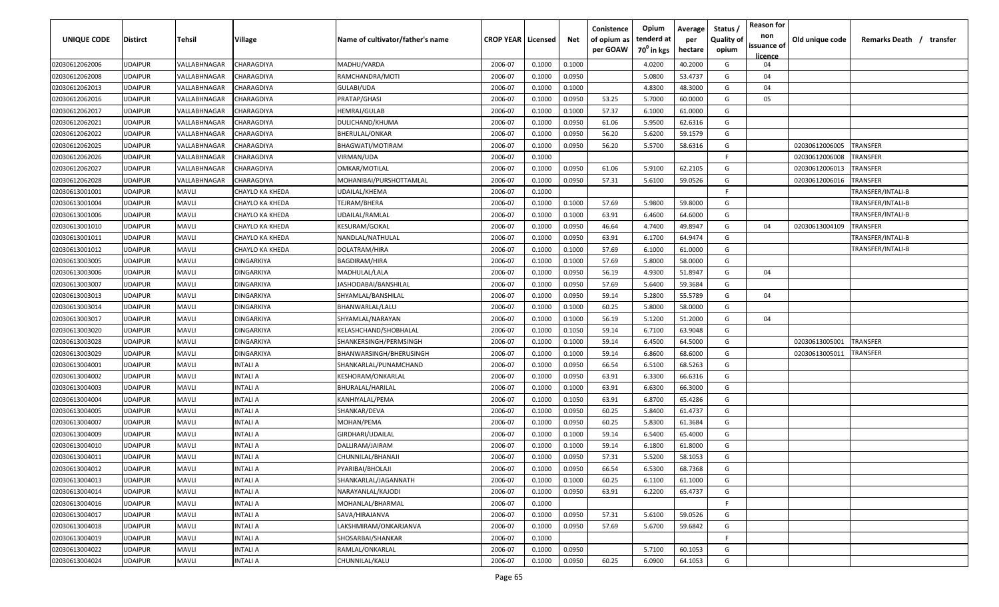| UNIQUE CODE    | <b>Distirct</b> | <b>Tehsil</b> | Village           | Name of cultivator/father's name | <b>CROP YEAR   Licensed</b> |        | Net    | Conistence<br>of opium as<br>per GOAW | Opium<br>tenderd at<br>70 <sup>0</sup> in kgs | Average<br>per<br>hectare | Status /<br><b>Quality of</b><br>opium | <b>Reason for</b><br>non<br>issuance of<br><u>licence</u> | Old unique code | Remarks Death /<br>transfer |
|----------------|-----------------|---------------|-------------------|----------------------------------|-----------------------------|--------|--------|---------------------------------------|-----------------------------------------------|---------------------------|----------------------------------------|-----------------------------------------------------------|-----------------|-----------------------------|
| 02030612062006 | <b>UDAIPUR</b>  | VALLABHNAGAR  | CHARAGDIYA        | MADHU/VARDA                      | 2006-07                     | 0.1000 | 0.1000 |                                       | 4.0200                                        | 40.2000                   | G                                      | 04                                                        |                 |                             |
| 02030612062008 | <b>UDAIPUR</b>  | VALLABHNAGAR  | CHARAGDIYA        | RAMCHANDRA/MOTI                  | 2006-07                     | 0.1000 | 0.0950 |                                       | 5.0800                                        | 53.4737                   | G                                      | 04                                                        |                 |                             |
| 02030612062013 | <b>UDAIPUR</b>  | VALLABHNAGAR  | CHARAGDIYA        | GULABI/UDA                       | 2006-07                     | 0.1000 | 0.1000 |                                       | 4.8300                                        | 48.3000                   | G                                      | 04                                                        |                 |                             |
| 02030612062016 | <b>UDAIPUR</b>  | VALLABHNAGAR  | CHARAGDIYA        | PRATAP/GHASI                     | 2006-07                     | 0.1000 | 0.0950 | 53.25                                 | 5.7000                                        | 60.0000                   | G                                      | 05                                                        |                 |                             |
| 02030612062017 | <b>UDAIPUR</b>  | VALLABHNAGAR  | CHARAGDIYA        | HEMRAJ/GULAB                     | 2006-07                     | 0.1000 | 0.1000 | 57.37                                 | 6.1000                                        | 61.0000                   | G                                      |                                                           |                 |                             |
| 02030612062021 | <b>UDAIPUR</b>  | VALLABHNAGAR  | CHARAGDIYA        | DULICHAND/KHUMA                  | 2006-07                     | 0.1000 | 0.0950 | 61.06                                 | 5.9500                                        | 62.6316                   | G                                      |                                                           |                 |                             |
| 02030612062022 | <b>UDAIPUR</b>  | VALLABHNAGAR  | CHARAGDIYA        | BHERULAL/ONKAR                   | 2006-07                     | 0.1000 | 0.0950 | 56.20                                 | 5.6200                                        | 59.1579                   | G                                      |                                                           |                 |                             |
| 02030612062025 | <b>UDAIPUR</b>  | VALLABHNAGAR  | CHARAGDIYA        | BHAGWATI/MOTIRAM                 | 2006-07                     | 0.1000 | 0.0950 | 56.20                                 | 5.5700                                        | 58.6316                   | G                                      |                                                           | 02030612006005  | TRANSFER                    |
| 02030612062026 | <b>UDAIPUR</b>  | VALLABHNAGAR  | CHARAGDIYA        | VIRMAN/UDA                       | 2006-07                     | 0.1000 |        |                                       |                                               |                           | F.                                     |                                                           | 02030612006008  | TRANSFER                    |
| 02030612062027 | UDAIPUR         | VALLABHNAGAR  | CHARAGDIYA        | OMKAR/MOTILAL                    | 2006-07                     | 0.1000 | 0.0950 | 61.06                                 | 5.9100                                        | 62.2105                   | G                                      |                                                           | 02030612006013  | TRANSFER                    |
| 02030612062028 | UDAIPUR         | VALLABHNAGAR  | CHARAGDIYA        | MOHANIBAI/PURSHOTTAMLAL          | 2006-07                     | 0.1000 | 0.0950 | 57.31                                 | 5.6100                                        | 59.0526                   | G                                      |                                                           | 02030612006016  | TRANSFER                    |
| 02030613001001 | <b>UDAIPUR</b>  | <b>MAVLI</b>  | CHAYLO KA KHEDA   | JDAILAL/KHEMA                    | 2006-07                     | 0.1000 |        |                                       |                                               |                           | F.                                     |                                                           |                 | TRANSFER/INTALI-B           |
| 02030613001004 | UDAIPUR         | <b>MAVLI</b>  | CHAYLO KA KHEDA   | TEJRAM/BHERA                     | 2006-07                     | 0.1000 | 0.1000 | 57.69                                 | 5.9800                                        | 59.8000                   | G                                      |                                                           |                 | TRANSFER/INTALI-B           |
| 02030613001006 | <b>UDAIPUR</b>  | <b>MAVLI</b>  | CHAYLO KA KHEDA   | UDAILAL/RAMLAL                   | 2006-07                     | 0.1000 | 0.1000 | 63.91                                 | 6.4600                                        | 64.6000                   | G                                      |                                                           |                 | TRANSFER/INTALI-B           |
| 02030613001010 | <b>UDAIPUR</b>  | MAVLI         | CHAYLO KA KHEDA   | KESURAM/GOKAL                    | 2006-07                     | 0.1000 | 0.0950 | 46.64                                 | 4.7400                                        | 49.8947                   | G                                      | 04                                                        | 02030613004109  | TRANSFER                    |
| 02030613001011 | <b>UDAIPUR</b>  | <b>MAVLI</b>  | CHAYLO KA KHEDA   | NANDLAL/NATHULAL                 | 2006-07                     | 0.1000 | 0.0950 | 63.91                                 | 6.1700                                        | 64.9474                   | G                                      |                                                           |                 | TRANSFER/INTALI-B           |
| 02030613001012 | <b>UDAIPUR</b>  | <b>MAVLI</b>  | CHAYLO KA KHEDA   | DOLATRAM/HIRA                    | 2006-07                     | 0.1000 | 0.1000 | 57.69                                 | 6.1000                                        | 61.0000                   | G                                      |                                                           |                 | TRANSFER/INTALI-B           |
| 02030613003005 | <b>UDAIPUR</b>  | <b>MAVLI</b>  | <b>DINGARKIYA</b> | <b>BAGDIRAM/HIRA</b>             | 2006-07                     | 0.1000 | 0.1000 | 57.69                                 | 5.8000                                        | 58.0000                   | G                                      |                                                           |                 |                             |
| 02030613003006 | <b>UDAIPUR</b>  | <b>MAVLI</b>  | <b>DINGARKIYA</b> | MADHULAL/LALA                    | 2006-07                     | 0.1000 | 0.0950 | 56.19                                 | 4.9300                                        | 51.8947                   | G                                      | 04                                                        |                 |                             |
| 02030613003007 | <b>UDAIPUR</b>  | <b>MAVLI</b>  | <b>DINGARKIYA</b> | JASHODABAI/BANSHILAL             | 2006-07                     | 0.1000 | 0.0950 | 57.69                                 | 5.6400                                        | 59.3684                   | G                                      |                                                           |                 |                             |
| 02030613003013 | <b>UDAIPUR</b>  | <b>MAVLI</b>  | <b>DINGARKIYA</b> | SHYAMLAL/BANSHILAL               | 2006-07                     | 0.1000 | 0.0950 | 59.14                                 | 5.2800                                        | 55.5789                   | G                                      | 04                                                        |                 |                             |
| 02030613003014 | <b>UDAIPUR</b>  | <b>MAVLI</b>  | <b>DINGARKIYA</b> | BHANWARLAL/LALU                  | 2006-07                     | 0.1000 | 0.1000 | 60.25                                 | 5.8000                                        | 58.0000                   | G                                      |                                                           |                 |                             |
| 02030613003017 | <b>UDAIPUR</b>  | <b>MAVLI</b>  | <b>DINGARKIYA</b> | SHYAMLAL/NARAYAN                 | 2006-07                     | 0.1000 | 0.1000 | 56.19                                 | 5.1200                                        | 51.2000                   | G                                      | 04                                                        |                 |                             |
| 02030613003020 | <b>UDAIPUR</b>  | <b>MAVLI</b>  | <b>DINGARKIYA</b> | KELASHCHAND/SHOBHALAL            | 2006-07                     | 0.1000 | 0.1050 | 59.14                                 | 6.7100                                        | 63.9048                   | G                                      |                                                           |                 |                             |
| 02030613003028 | <b>UDAIPUR</b>  | <b>MAVLI</b>  | <b>DINGARKIYA</b> | SHANKERSINGH/PERMSINGH           | 2006-07                     | 0.1000 | 0.1000 | 59.14                                 | 6.4500                                        | 64.5000                   | G                                      |                                                           | 02030613005001  | TRANSFER                    |
| 02030613003029 | <b>UDAIPUR</b>  | <b>MAVLI</b>  | <b>DINGARKIYA</b> | BHANWARSINGH/BHERUSINGH          | 2006-07                     | 0.1000 | 0.1000 | 59.14                                 | 6.8600                                        | 68.6000                   | G                                      |                                                           | 02030613005011  | TRANSFER                    |
| 02030613004001 | UDAIPUR         | <b>MAVLI</b>  | <b>INTALI A</b>   | SHANKARLAL/PUNAMCHAND            | 2006-07                     | 0.1000 | 0.0950 | 66.54                                 | 6.5100                                        | 68.5263                   | G                                      |                                                           |                 |                             |
| 02030613004002 | UDAIPUR         | <b>MAVLI</b>  | INTALI A          | KESHORAM/ONKARLAL                | 2006-07                     | 0.1000 | 0.0950 | 63.91                                 | 6.3300                                        | 66.6316                   | G                                      |                                                           |                 |                             |
| 02030613004003 | UDAIPUR         | <b>MAVLI</b>  | INTALI A          | BHURALAL/HARILAL                 | 2006-07                     | 0.1000 | 0.1000 | 63.91                                 | 6.6300                                        | 66.3000                   | G                                      |                                                           |                 |                             |
| 02030613004004 | <b>UDAIPUR</b>  | <b>MAVLI</b>  | INTALI A          | KANHIYALAL/PEMA                  | 2006-07                     | 0.1000 | 0.1050 | 63.91                                 | 6.8700                                        | 65.4286                   | G                                      |                                                           |                 |                             |
| 02030613004005 | <b>UDAIPUR</b>  | <b>MAVLI</b>  | INTALI A          | SHANKAR/DEVA                     | 2006-07                     | 0.1000 | 0.0950 | 60.25                                 | 5.8400                                        | 61.4737                   | G                                      |                                                           |                 |                             |
| 02030613004007 | <b>UDAIPUR</b>  | MAVLI         | <b>INTALI A</b>   | MOHAN/PEMA                       | 2006-07                     | 0.1000 | 0.0950 | 60.25                                 | 5.8300                                        | 61.3684                   | G                                      |                                                           |                 |                             |
| 02030613004009 | <b>UDAIPUR</b>  | <b>MAVLI</b>  | <b>INTALIA</b>    | GIRDHARI/UDAILAL                 | 2006-07                     | 0.1000 | 0.1000 | 59.14                                 | 6.5400                                        | 65.4000                   | G                                      |                                                           |                 |                             |
| 02030613004010 | <b>UDAIPUR</b>  | <b>MAVLI</b>  | <b>INTALIA</b>    | DALLIRAM/JAIRAM                  | 2006-07                     | 0.1000 | 0.1000 | 59.14                                 | 6.1800                                        | 61.8000                   | G                                      |                                                           |                 |                             |
| 02030613004011 | <b>UDAIPUR</b>  | <b>MAVLI</b>  | INTALI A          | CHUNNILAL/BHANAJI                | 2006-07                     | 0.1000 | 0.0950 | 57.31                                 | 5.5200                                        | 58.1053                   | G                                      |                                                           |                 |                             |
| 02030613004012 | <b>UDAIPUR</b>  | <b>MAVLI</b>  | <b>INTALI A</b>   | PYARIBAI/BHOLAJI                 | 2006-07                     | 0.1000 | 0.0950 | 66.54                                 | 6.5300                                        | 68.7368                   | G                                      |                                                           |                 |                             |
| 02030613004013 | <b>UDAIPUR</b>  | <b>MAVLI</b>  | <b>INTALI A</b>   | SHANKARLAL/JAGANNATH             | 2006-07                     | 0.1000 | 0.1000 | 60.25                                 | 6.1100                                        | 61.1000                   | G                                      |                                                           |                 |                             |
| 02030613004014 | <b>UDAIPUR</b>  | <b>MAVLI</b>  | <b>INTALI A</b>   | NARAYANLAL/KAJODI                | 2006-07                     | 0.1000 | 0.0950 | 63.91                                 | 6.2200                                        | 65.4737                   | G                                      |                                                           |                 |                             |
| 02030613004016 | <b>UDAIPUR</b>  | <b>MAVLI</b>  | <b>INTALI A</b>   | MOHANLAL/BHARMAL                 | 2006-07                     | 0.1000 |        |                                       |                                               |                           | F.                                     |                                                           |                 |                             |
| 02030613004017 | <b>UDAIPUR</b>  | <b>MAVLI</b>  | <b>INTALI A</b>   | SAVA/HIRAJANVA                   | 2006-07                     | 0.1000 | 0.0950 | 57.31                                 | 5.6100                                        | 59.0526                   | G                                      |                                                           |                 |                             |
| 02030613004018 | <b>UDAIPUR</b>  | <b>MAVLI</b>  | <b>INTALI A</b>   | LAKSHMIRAM/ONKARJANVA            | 2006-07                     | 0.1000 | 0.0950 | 57.69                                 | 5.6700                                        | 59.6842                   | G                                      |                                                           |                 |                             |
| 02030613004019 | <b>UDAIPUR</b>  | <b>MAVLI</b>  | <b>INTALI A</b>   | SHOSARBAI/SHANKAR                | 2006-07                     | 0.1000 |        |                                       |                                               |                           | F.                                     |                                                           |                 |                             |
| 02030613004022 | <b>UDAIPUR</b>  | <b>MAVLI</b>  | <b>INTALI A</b>   | RAMLAL/ONKARLAL                  | 2006-07                     | 0.1000 | 0.0950 |                                       | 5.7100                                        | 60.1053                   | G                                      |                                                           |                 |                             |
| 02030613004024 | <b>UDAIPUR</b>  | <b>MAVLI</b>  | <b>INTALI A</b>   | CHUNNILAL/KALU                   | 2006-07                     | 0.1000 | 0.0950 | 60.25                                 | 6.0900                                        | 64.1053                   | G                                      |                                                           |                 |                             |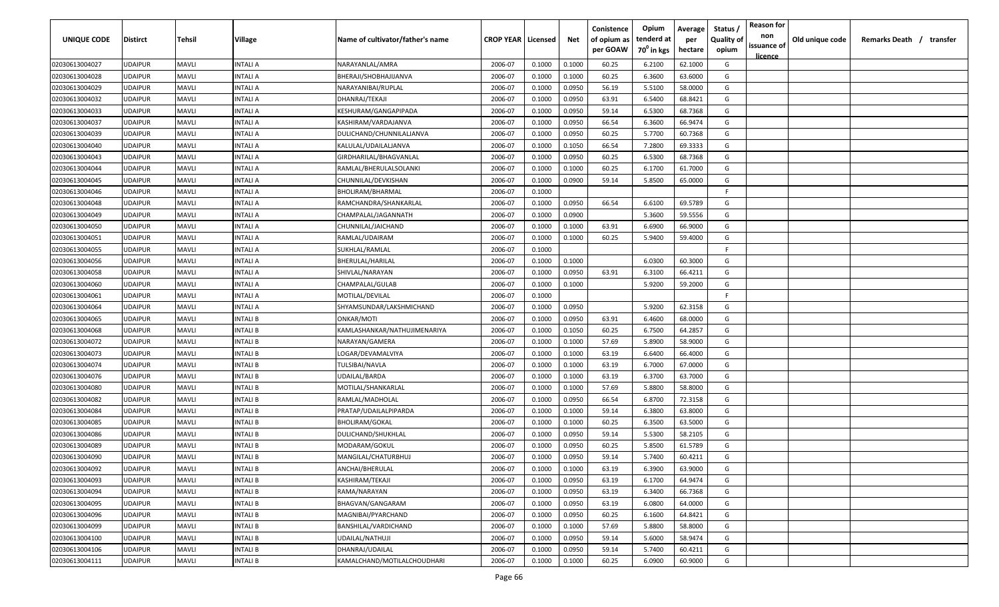| UNIQUE CODE    | Distirct       | Tehsil       | Village         | Name of cultivator/father's name | <b>CROP YEAR   Licensed</b> |        | Net    | Conistence<br>of opium as | Opium<br>tenderd at    | Average<br>per | Status<br><b>Quality of</b> | <b>Reason for</b><br>non<br>issuance of | Old unique code | Remarks Death / transfer |  |
|----------------|----------------|--------------|-----------------|----------------------------------|-----------------------------|--------|--------|---------------------------|------------------------|----------------|-----------------------------|-----------------------------------------|-----------------|--------------------------|--|
|                |                |              |                 |                                  |                             |        |        | per GOAW                  | 70 <sup>0</sup> in kgs | hectare        | opium                       | <u>licence</u>                          |                 |                          |  |
| 02030613004027 | UDAIPUR        | <b>MAVLI</b> | INTALI A        | NARAYANLAL/AMRA                  | 2006-07                     | 0.1000 | 0.1000 | 60.25                     | 6.2100                 | 62.1000        | G                           |                                         |                 |                          |  |
| 02030613004028 | UDAIPUR        | <b>MAVLI</b> | INTALI A        | BHERAJI/SHOBHAJIJANVA            | 2006-07                     | 0.1000 | 0.1000 | 60.25                     | 6.3600                 | 63.6000        | G                           |                                         |                 |                          |  |
| 02030613004029 | UDAIPUR        | <b>MAVLI</b> | INTALI A        | NARAYANIBAI/RUPLAL               | 2006-07                     | 0.1000 | 0.0950 | 56.19                     | 5.5100                 | 58.0000        | G                           |                                         |                 |                          |  |
| 02030613004032 | UDAIPUR        | <b>MAVLI</b> | INTALI A        | DHANRAJ/TEKAJI                   | 2006-07                     | 0.1000 | 0.0950 | 63.91                     | 6.5400                 | 68.8421        | G                           |                                         |                 |                          |  |
| 02030613004033 | UDAIPUR        | <b>MAVLI</b> | INTALI A        | KESHURAM/GANGAPIPADA             | 2006-07                     | 0.1000 | 0.0950 | 59.14                     | 6.5300                 | 68.7368        | G                           |                                         |                 |                          |  |
| 02030613004037 | UDAIPUR        | <b>MAVLI</b> | INTALI A        | KASHIRAM/VARDAJANVA              | 2006-07                     | 0.1000 | 0.0950 | 66.54                     | 6.3600                 | 66.9474        | G                           |                                         |                 |                          |  |
| 02030613004039 | UDAIPUR        | <b>MAVLI</b> | INTALI A        | DULICHAND/CHUNNILALJANVA         | 2006-07                     | 0.1000 | 0.0950 | 60.25                     | 5.7700                 | 60.7368        | G                           |                                         |                 |                          |  |
| 02030613004040 | UDAIPUR        | <b>MAVLI</b> | INTALI A        | KALULAL/UDAILALJANVA             | 2006-07                     | 0.1000 | 0.1050 | 66.54                     | 7.2800                 | 69.3333        | G                           |                                         |                 |                          |  |
| 02030613004043 | UDAIPUR        | <b>MAVLI</b> | INTALI A        | GIRDHARILAL/BHAGVANLAL           | 2006-07                     | 0.1000 | 0.0950 | 60.25                     | 6.5300                 | 68.7368        | G                           |                                         |                 |                          |  |
| 02030613004044 | <b>JDAIPUR</b> | <b>MAVLI</b> | INTALI A        | RAMLAL/BHERULALSOLANKI           | 2006-07                     | 0.1000 | 0.1000 | 60.25                     | 6.1700                 | 61.7000        | G                           |                                         |                 |                          |  |
| 02030613004045 | UDAIPUR        | <b>MAVLI</b> | NTALI A         | CHUNNILAL/DEVKISHAN              | 2006-07                     | 0.1000 | 0.0900 | 59.14                     | 5.8500                 | 65.0000        | G                           |                                         |                 |                          |  |
| 02030613004046 | <b>JDAIPUR</b> | <b>MAVLI</b> | INTALI A        | BHOLIRAM/BHARMAL                 | 2006-07                     | 0.1000 |        |                           |                        |                | F.                          |                                         |                 |                          |  |
| 02030613004048 | UDAIPUR        | <b>MAVLI</b> | INTALI A        | RAMCHANDRA/SHANKARLAL            | 2006-07                     | 0.1000 | 0.0950 | 66.54                     | 6.6100                 | 69.5789        | G                           |                                         |                 |                          |  |
| 02030613004049 | UDAIPUR        | <b>MAVLI</b> | <b>NTALI A</b>  | CHAMPALAL/JAGANNATH              | 2006-07                     | 0.1000 | 0.0900 |                           | 5.3600                 | 59.5556        | G                           |                                         |                 |                          |  |
| 02030613004050 | UDAIPUR        | <b>MAVLI</b> | INTALI A        | CHUNNILAL/JAICHAND               | 2006-07                     | 0.1000 | 0.1000 | 63.91                     | 6.6900                 | 66.9000        | G                           |                                         |                 |                          |  |
| 02030613004051 | UDAIPUR        | <b>MAVLI</b> | INTALI A        | RAMLAL/UDAIRAM                   | 2006-07                     | 0.1000 | 0.1000 | 60.25                     | 5.9400                 | 59.4000        | G                           |                                         |                 |                          |  |
| 02030613004055 | UDAIPUR        | <b>MAVLI</b> | INTALI A        | SUKHLAL/RAMLAL                   | 2006-07                     | 0.1000 |        |                           |                        |                | F.                          |                                         |                 |                          |  |
| 02030613004056 | UDAIPUR        | <b>MAVLI</b> | INTALI A        | BHERULAL/HARILAL                 | 2006-07                     | 0.1000 | 0.1000 |                           | 6.0300                 | 60.3000        | G                           |                                         |                 |                          |  |
| 02030613004058 | UDAIPUR        | <b>MAVLI</b> | INTALI A        | SHIVLAL/NARAYAN                  | 2006-07                     | 0.1000 | 0.0950 | 63.91                     | 6.3100                 | 66.4211        | G                           |                                         |                 |                          |  |
| 02030613004060 | UDAIPUR        | <b>MAVLI</b> | INTALI A        | CHAMPALAL/GULAB                  | 2006-07                     | 0.1000 | 0.1000 |                           | 5.9200                 | 59.2000        | G                           |                                         |                 |                          |  |
| 02030613004061 | UDAIPUR        | <b>MAVLI</b> | INTALI A        | MOTILAL/DEVILAL                  | 2006-07                     | 0.1000 |        |                           |                        |                | F.                          |                                         |                 |                          |  |
| 02030613004064 | <b>UDAIPUR</b> | <b>MAVLI</b> | INTALI A        | SHYAMSUNDAR/LAKSHMICHAND         | 2006-07                     | 0.1000 | 0.0950 |                           | 5.9200                 | 62.3158        | G                           |                                         |                 |                          |  |
| 02030613004065 | UDAIPUR        | <b>MAVLI</b> | INTALI B        | ONKAR/MOTI                       | 2006-07                     | 0.1000 | 0.0950 | 63.91                     | 6.4600                 | 68.0000        | G                           |                                         |                 |                          |  |
| 02030613004068 | UDAIPUR        | <b>MAVLI</b> | <b>INTALI B</b> | KAMLASHANKAR/NATHUJIMENARIYA     | 2006-07                     | 0.1000 | 0.1050 | 60.25                     | 6.7500                 | 64.2857        | G                           |                                         |                 |                          |  |
| 02030613004072 | UDAIPUR        | <b>MAVLI</b> | INTALI B        | NARAYAN/GAMERA                   | 2006-07                     | 0.1000 | 0.1000 | 57.69                     | 5.8900                 | 58.9000        | G                           |                                         |                 |                          |  |
| 02030613004073 | UDAIPUR        | <b>MAVLI</b> | INTALI B        | LOGAR/DEVAMALVIYA                | 2006-07                     | 0.1000 | 0.1000 | 63.19                     | 6.6400                 | 66.4000        | G                           |                                         |                 |                          |  |
| 02030613004074 | UDAIPUR        | <b>MAVLI</b> | INTALI B        | TULSIBAI/NAVLA                   | 2006-07                     | 0.1000 | 0.1000 | 63.19                     | 6.7000                 | 67.0000        | G                           |                                         |                 |                          |  |
| 02030613004076 | UDAIPUR        | <b>MAVLI</b> | NTALI B         | UDAILAL/BARDA                    | 2006-07                     | 0.1000 | 0.1000 | 63.19                     | 6.3700                 | 63.7000        | G                           |                                         |                 |                          |  |
| 02030613004080 | <b>JDAIPUR</b> | <b>MAVLI</b> | <b>NTALI B</b>  | MOTILAL/SHANKARLAL               | 2006-07                     | 0.1000 | 0.1000 | 57.69                     | 5.8800                 | 58.8000        | G                           |                                         |                 |                          |  |
| 02030613004082 | UDAIPUR        | <b>MAVLI</b> | INTALI B        | RAMLAL/MADHOLAL                  | 2006-07                     | 0.1000 | 0.0950 | 66.54                     | 6.8700                 | 72.3158        | G                           |                                         |                 |                          |  |
| 02030613004084 | UDAIPUR        | <b>MAVLI</b> | INTALI B        | PRATAP/UDAILALPIPARDA            | 2006-07                     | 0.1000 | 0.1000 | 59.14                     | 6.3800                 | 63.8000        | G                           |                                         |                 |                          |  |
| 02030613004085 | UDAIPUR        | <b>MAVLI</b> | INTALI B        | <b>BHOLIRAM/GOKAL</b>            | 2006-07                     | 0.1000 | 0.1000 | 60.25                     | 6.3500                 | 63.5000        | G                           |                                         |                 |                          |  |
| 02030613004086 | UDAIPUR        | <b>MAVLI</b> | INTALI B        | DULICHAND/SHUKHLAL               | 2006-07                     | 0.1000 | 0.0950 | 59.14                     | 5.5300                 | 58.2105        | G                           |                                         |                 |                          |  |
| 02030613004089 | UDAIPUR        | <b>MAVLI</b> | INTALI B        | MODARAM/GOKUL                    | 2006-07                     | 0.1000 | 0.0950 | 60.25                     | 5.8500                 | 61.5789        | G                           |                                         |                 |                          |  |
| 02030613004090 | UDAIPUR        | <b>MAVLI</b> | INTALI B        | MANGILAL/CHATURBHUJ              | 2006-07                     | 0.1000 | 0.0950 | 59.14                     | 5.7400                 | 60.4211        | G                           |                                         |                 |                          |  |
| 02030613004092 | UDAIPUR        | <b>MAVLI</b> | INTALI B        | ANCHAI/BHERULAL                  | 2006-07                     | 0.1000 | 0.1000 | 63.19                     | 6.3900                 | 63.9000        | G                           |                                         |                 |                          |  |
| 02030613004093 | <b>UDAIPUR</b> | <b>MAVLI</b> | INTALI B        | KASHIRAM/TEKAJI                  | 2006-07                     | 0.1000 | 0.0950 | 63.19                     | 6.1700                 | 64.9474        | G                           |                                         |                 |                          |  |
| 02030613004094 | UDAIPUR        | <b>MAVLI</b> | INTALI B        | RAMA/NARAYAN                     | 2006-07                     | 0.1000 | 0.0950 | 63.19                     | 6.3400                 | 66.7368        | G                           |                                         |                 |                          |  |
| 02030613004095 | UDAIPUR        | <b>MAVLI</b> | INTALI B        | BHAGVAN/GANGARAM                 | 2006-07                     | 0.1000 | 0.0950 | 63.19                     | 6.0800                 | 64.0000        | G                           |                                         |                 |                          |  |
| 02030613004096 | UDAIPUR        | <b>MAVLI</b> | INTALI B        | MAGNIBAI/PYARCHAND               | 2006-07                     | 0.1000 | 0.0950 | 60.25                     | 6.1600                 | 64.8421        | G                           |                                         |                 |                          |  |
| 02030613004099 | UDAIPUR        | <b>MAVLI</b> | INTALI B        | BANSHILAL/VARDICHAND             | 2006-07                     | 0.1000 | 0.1000 | 57.69                     | 5.8800                 | 58.8000        | G                           |                                         |                 |                          |  |
| 02030613004100 | UDAIPUR        | <b>MAVLI</b> | INTALI B        | UDAILAL/NATHUJI                  | 2006-07                     | 0.1000 | 0.0950 | 59.14                     | 5.6000                 | 58.9474        | G                           |                                         |                 |                          |  |
| 02030613004106 | UDAIPUR        | <b>MAVLI</b> | INTALI B        | DHANRAJ/UDAILAL                  | 2006-07                     | 0.1000 | 0.0950 | 59.14                     | 5.7400                 | 60.4211        | G                           |                                         |                 |                          |  |
| 02030613004111 | UDAIPUR        | <b>MAVLI</b> | INTALI B        | KAMALCHAND/MOTILALCHOUDHARI      | 2006-07                     | 0.1000 | 0.1000 | 60.25                     | 6.0900                 | 60.9000        | G                           |                                         |                 |                          |  |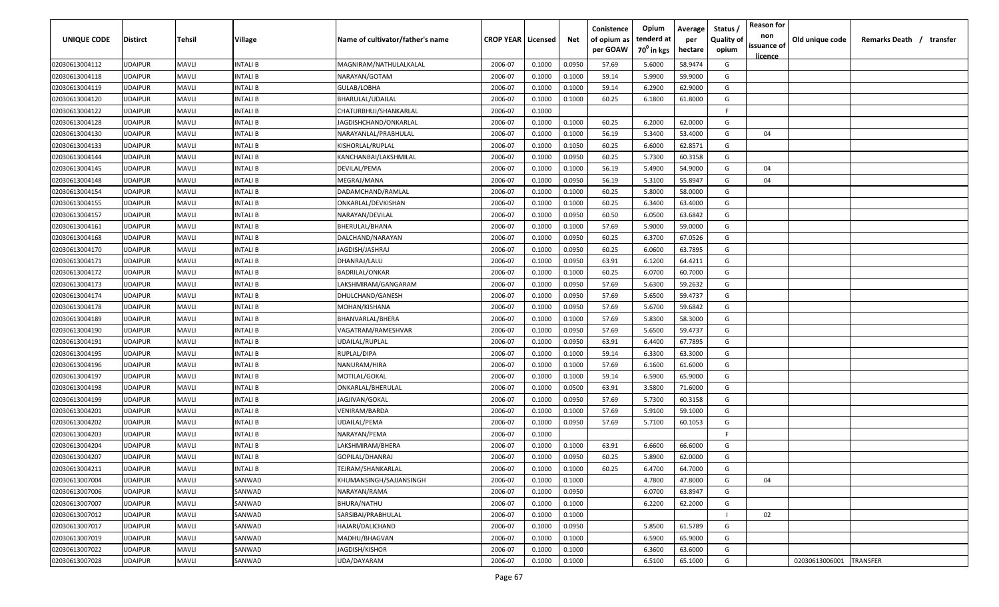| UNIQUE CODE    | Distirct       | Tehsil       | Village        | Name of cultivator/father's name | <b>CROP YEAR   Licensed</b> |        | Net    | Conistence<br>of opium as | Opium<br>tenderd at    | Average<br>per | Status<br><b>Quality of</b> | <b>Reason for</b><br>non<br>issuance of | Old unique code | Remarks Death / transfer |
|----------------|----------------|--------------|----------------|----------------------------------|-----------------------------|--------|--------|---------------------------|------------------------|----------------|-----------------------------|-----------------------------------------|-----------------|--------------------------|
|                |                |              |                |                                  |                             |        |        | per GOAW                  | 70 <sup>0</sup> in kgs | hectare        | opium                       | <u>licence</u>                          |                 |                          |
| 02030613004112 | UDAIPUR        | <b>MAVLI</b> | INTALI B       | MAGNIRAM/NATHULALKALAL           | 2006-07                     | 0.1000 | 0.0950 | 57.69                     | 5.6000                 | 58.9474        | G                           |                                         |                 |                          |
| 02030613004118 | UDAIPUR        | <b>MAVLI</b> | INTALI B       | NARAYAN/GOTAM                    | 2006-07                     | 0.1000 | 0.1000 | 59.14                     | 5.9900                 | 59.9000        | G                           |                                         |                 |                          |
| 02030613004119 | UDAIPUR        | <b>MAVLI</b> | INTALI B       | GULAB/LOBHA                      | 2006-07                     | 0.1000 | 0.1000 | 59.14                     | 6.2900                 | 62.9000        | G                           |                                         |                 |                          |
| 02030613004120 | UDAIPUR        | <b>MAVLI</b> | INTALI B       | BHARULAL/UDAILAL                 | 2006-07                     | 0.1000 | 0.1000 | 60.25                     | 6.1800                 | 61.8000        | G                           |                                         |                 |                          |
| 02030613004122 | UDAIPUR        | <b>MAVLI</b> | INTALI B       | CHATURBHUJ/SHANKARLAL            | 2006-07                     | 0.1000 |        |                           |                        |                | E                           |                                         |                 |                          |
| 02030613004128 | UDAIPUR        | <b>MAVLI</b> | INTALI B       | JAGDISHCHAND/ONKARLAL            | 2006-07                     | 0.1000 | 0.1000 | 60.25                     | 6.2000                 | 62.0000        | G                           |                                         |                 |                          |
| 02030613004130 | UDAIPUR        | <b>MAVLI</b> | INTALI B       | NARAYANLAL/PRABHULAL             | 2006-07                     | 0.1000 | 0.1000 | 56.19                     | 5.3400                 | 53.4000        | G                           | 04                                      |                 |                          |
| 02030613004133 | UDAIPUR        | <b>MAVLI</b> | INTALI B       | KISHORLAL/RUPLAL                 | 2006-07                     | 0.1000 | 0.1050 | 60.25                     | 6.6000                 | 62.8571        | G                           |                                         |                 |                          |
| 02030613004144 | UDAIPUR        | <b>MAVLI</b> | INTALI B       | KANCHANBAI/LAKSHMILAL            | 2006-07                     | 0.1000 | 0.0950 | 60.25                     | 5.7300                 | 60.3158        | G                           |                                         |                 |                          |
| 02030613004145 | JDAIPUR        | <b>MAVLI</b> | INTALI B       | DEVILAL/PEMA                     | 2006-07                     | 0.1000 | 0.1000 | 56.19                     | 5.4900                 | 54.9000        | G                           | 04                                      |                 |                          |
| 02030613004148 | JDAIPUR        | <b>MAVLI</b> | NTALI B        | MEGRAJ/MANA                      | 2006-07                     | 0.1000 | 0.0950 | 56.19                     | 5.3100                 | 55.8947        | G                           | 04                                      |                 |                          |
| 02030613004154 | UDAIPUR        | <b>MAVLI</b> | INTALI B       | DADAMCHAND/RAMLAL                | 2006-07                     | 0.1000 | 0.1000 | 60.25                     | 5.8000                 | 58.0000        | G                           |                                         |                 |                          |
| 02030613004155 | UDAIPUR        | <b>MAVLI</b> | INTALI B       | ONKARLAL/DEVKISHAN               | 2006-07                     | 0.1000 | 0.1000 | 60.25                     | 6.3400                 | 63.4000        | G                           |                                         |                 |                          |
| 02030613004157 | UDAIPUR        | <b>MAVLI</b> | INTALI B       | NARAYAN/DEVILAL                  | 2006-07                     | 0.1000 | 0.0950 | 60.50                     | 6.0500                 | 63.6842        | G                           |                                         |                 |                          |
| 02030613004161 | UDAIPUR        | <b>MAVLI</b> | INTALI B       | BHERULAL/BHANA                   | 2006-07                     | 0.1000 | 0.1000 | 57.69                     | 5.9000                 | 59.0000        | G                           |                                         |                 |                          |
| 02030613004168 | UDAIPUR        | <b>MAVLI</b> | INTALI B       | DALCHAND/NARAYAN                 | 2006-07                     | 0.1000 | 0.0950 | 60.25                     | 6.3700                 | 67.0526        | G                           |                                         |                 |                          |
| 02030613004170 | UDAIPUR        | <b>MAVLI</b> | INTALI B       | JAGDISH/JASHRAJ                  | 2006-07                     | 0.1000 | 0.0950 | 60.25                     | 6.0600                 | 63.7895        | G                           |                                         |                 |                          |
| 02030613004171 | UDAIPUR        | <b>MAVLI</b> | INTALI B       | DHANRAJ/LALU                     | 2006-07                     | 0.1000 | 0.0950 | 63.91                     | 6.1200                 | 64.4211        | G                           |                                         |                 |                          |
| 02030613004172 | UDAIPUR        | <b>MAVLI</b> | INTALI B       | <b>BADRILAL/ONKAR</b>            | 2006-07                     | 0.1000 | 0.1000 | 60.25                     | 6.0700                 | 60.7000        | G                           |                                         |                 |                          |
| 02030613004173 | UDAIPUR        | <b>MAVLI</b> | INTALI B       | LAKSHMIRAM/GANGARAM              | 2006-07                     | 0.1000 | 0.0950 | 57.69                     | 5.6300                 | 59.2632        | G                           |                                         |                 |                          |
| 02030613004174 | UDAIPUR        | <b>MAVLI</b> | INTALI B       | DHULCHAND/GANESH                 | 2006-07                     | 0.1000 | 0.0950 | 57.69                     | 5.6500                 | 59.4737        | G                           |                                         |                 |                          |
| 02030613004178 | <b>UDAIPUR</b> | <b>MAVLI</b> | INTALI B       | MOHAN/KISHANA                    | 2006-07                     | 0.1000 | 0.0950 | 57.69                     | 5.6700                 | 59.6842        | G                           |                                         |                 |                          |
| 02030613004189 | UDAIPUR        | <b>MAVLI</b> | INTALI B       | BHANVARLAL/BHERA                 | 2006-07                     | 0.1000 | 0.1000 | 57.69                     | 5.8300                 | 58.3000        | G                           |                                         |                 |                          |
| 02030613004190 | UDAIPUR        | <b>MAVLI</b> | INTALI B       | VAGATRAM/RAMESHVAR               | 2006-07                     | 0.1000 | 0.0950 | 57.69                     | 5.6500                 | 59.4737        | G                           |                                         |                 |                          |
| 02030613004191 | UDAIPUR        | <b>MAVLI</b> | INTALI B       | UDAILAL/RUPLAL                   | 2006-07                     | 0.1000 | 0.0950 | 63.91                     | 6.4400                 | 67.7895        | G                           |                                         |                 |                          |
| 02030613004195 | UDAIPUR        | <b>MAVLI</b> | INTALI B       | RUPLAL/DIPA                      | 2006-07                     | 0.1000 | 0.1000 | 59.14                     | 6.3300                 | 63.3000        | G                           |                                         |                 |                          |
| 02030613004196 | UDAIPUR        | <b>MAVLI</b> | INTALI B       | NANURAM/HIRA                     | 2006-07                     | 0.1000 | 0.1000 | 57.69                     | 6.1600                 | 61.6000        | G                           |                                         |                 |                          |
| 02030613004197 | UDAIPUR        | <b>MAVLI</b> | NTALI B        | MOTILAL/GOKAL                    | 2006-07                     | 0.1000 | 0.1000 | 59.14                     | 6.5900                 | 65.9000        | G                           |                                         |                 |                          |
| 02030613004198 | UDAIPUR        | <b>MAVLI</b> | <b>NTALI B</b> | ONKARLAL/BHERULAL                | 2006-07                     | 0.1000 | 0.0500 | 63.91                     | 3.5800                 | 71.6000        | G                           |                                         |                 |                          |
| 02030613004199 | UDAIPUR        | <b>MAVLI</b> | INTALI B       | JAGJIVAN/GOKAL                   | 2006-07                     | 0.1000 | 0.0950 | 57.69                     | 5.7300                 | 60.3158        | G                           |                                         |                 |                          |
| 02030613004201 | UDAIPUR        | <b>MAVLI</b> | INTALI B       | VENIRAM/BARDA                    | 2006-07                     | 0.1000 | 0.1000 | 57.69                     | 5.9100                 | 59.1000        | G                           |                                         |                 |                          |
| 02030613004202 | UDAIPUR        | <b>MAVLI</b> | INTALI B       | UDAILAL/PEMA                     | 2006-07                     | 0.1000 | 0.0950 | 57.69                     | 5.7100                 | 60.1053        | G                           |                                         |                 |                          |
| 02030613004203 | UDAIPUR        | <b>MAVLI</b> | INTALI B       | NARAYAN/PEMA                     | 2006-07                     | 0.1000 |        |                           |                        |                | F.                          |                                         |                 |                          |
| 02030613004204 | UDAIPUR        | <b>MAVLI</b> | INTALI B       | LAKSHMIRAM/BHERA                 | 2006-07                     | 0.1000 | 0.1000 | 63.91                     | 6.6600                 | 66.6000        | G                           |                                         |                 |                          |
| 02030613004207 | UDAIPUR        | <b>MAVLI</b> | INTALI B       | GOPILAL/DHANRAJ                  | 2006-07                     | 0.1000 | 0.0950 | 60.25                     | 5.8900                 | 62.0000        | G                           |                                         |                 |                          |
| 02030613004211 | UDAIPUR        | <b>MAVLI</b> | INTALI B       | TEJRAM/SHANKARLAL                | 2006-07                     | 0.1000 | 0.1000 | 60.25                     | 6.4700                 | 64.7000        | G                           |                                         |                 |                          |
| 02030613007004 | <b>UDAIPUR</b> | <b>MAVLI</b> | SANWAD         | KHUMANSINGH/SAJJANSINGH          | 2006-07                     | 0.1000 | 0.1000 |                           | 4.7800                 | 47.8000        | G                           | 04                                      |                 |                          |
| 02030613007006 | UDAIPUR        | <b>MAVLI</b> | SANWAD         | NARAYAN/RAMA                     | 2006-07                     | 0.1000 | 0.0950 |                           | 6.0700                 | 63.8947        | G                           |                                         |                 |                          |
| 02030613007007 | UDAIPUR        | <b>MAVLI</b> | SANWAD         | BHURA/NATHU                      | 2006-07                     | 0.1000 | 0.1000 |                           | 6.2200                 | 62.2000        | G                           |                                         |                 |                          |
| 02030613007012 | UDAIPUR        | <b>MAVLI</b> | SANWAD         | SARSIBAI/PRABHULAL               | 2006-07                     | 0.1000 | 0.1000 |                           |                        |                | - 1                         | 02                                      |                 |                          |
| 02030613007017 | UDAIPUR        | <b>MAVLI</b> | SANWAD         | HAJARI/DALICHAND                 | 2006-07                     | 0.1000 | 0.0950 |                           | 5.8500                 | 61.5789        | G                           |                                         |                 |                          |
| 02030613007019 | UDAIPUR        | <b>MAVLI</b> | SANWAD         | MADHU/BHAGVAN                    | 2006-07                     | 0.1000 | 0.1000 |                           | 6.5900                 | 65.9000        | G                           |                                         |                 |                          |
| 02030613007022 | UDAIPUR        | <b>MAVLI</b> | SANWAD         | JAGDISH/KISHOR                   | 2006-07                     | 0.1000 | 0.1000 |                           | 6.3600                 | 63.6000        | G                           |                                         |                 |                          |
| 02030613007028 | UDAIPUR        | <b>MAVLI</b> | SANWAD         | UDA/DAYARAM                      | 2006-07                     | 0.1000 | 0.1000 |                           | 6.5100                 | 65.1000        | G                           |                                         | 02030613006001  | TRANSFER                 |